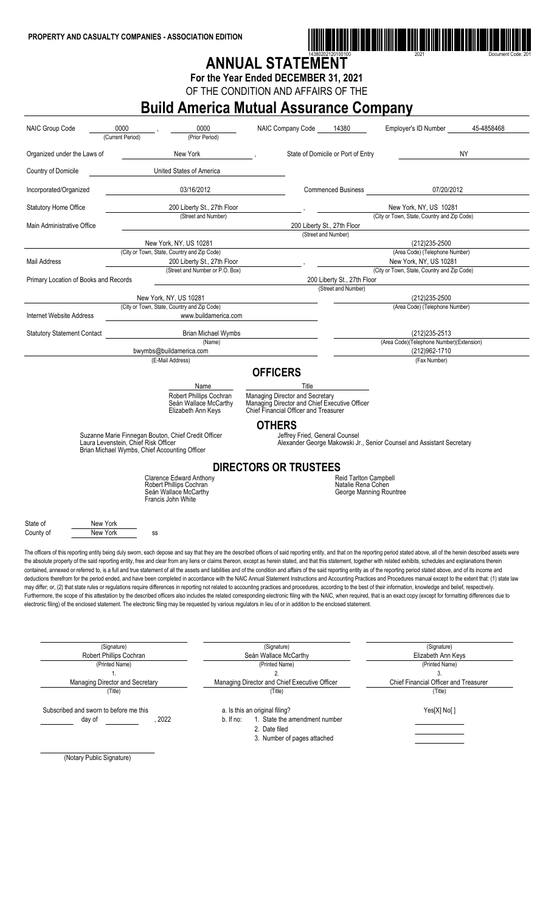

## ANNUAL STATEMENT

**For the Year Ended DECEMBER 31, 2021**

OF THE CONDITION AND AFFAIRS OF THE

## **Build America Mutual Assurance Company**

| NAIC Group Code                        | 0000<br>(Current Period)               | 0000<br>(Prior Period)                                                 | NAIC Company Code                                                                                                                                                                                                                                                                                                                                                                               | 14380                                         | Employer's ID Number                                                  | 45-4858468 |
|----------------------------------------|----------------------------------------|------------------------------------------------------------------------|-------------------------------------------------------------------------------------------------------------------------------------------------------------------------------------------------------------------------------------------------------------------------------------------------------------------------------------------------------------------------------------------------|-----------------------------------------------|-----------------------------------------------------------------------|------------|
| Organized under the Laws of            |                                        | New York                                                               |                                                                                                                                                                                                                                                                                                                                                                                                 | State of Domicile or Port of Entry            |                                                                       | NY         |
| Country of Domicile                    |                                        | United States of America                                               |                                                                                                                                                                                                                                                                                                                                                                                                 |                                               |                                                                       |            |
| Incorporated/Organized                 |                                        | 03/16/2012                                                             |                                                                                                                                                                                                                                                                                                                                                                                                 | <b>Commenced Business</b>                     | 07/20/2012                                                            |            |
| <b>Statutory Home Office</b>           |                                        | 200 Liberty St., 27th Floor<br>(Street and Number)                     |                                                                                                                                                                                                                                                                                                                                                                                                 |                                               | New York, NY, US 10281                                                |            |
| Main Administrative Office             |                                        |                                                                        |                                                                                                                                                                                                                                                                                                                                                                                                 | 200 Liberty St., 27th Floor                   | (City or Town, State, Country and Zip Code)                           |            |
|                                        |                                        | New York, NY, US 10281                                                 |                                                                                                                                                                                                                                                                                                                                                                                                 | (Street and Number)                           | (212) 235-2500                                                        |            |
|                                        |                                        | (City or Town, State, Country and Zip Code)                            |                                                                                                                                                                                                                                                                                                                                                                                                 |                                               | (Area Code) (Telephone Number)                                        |            |
| Mail Address                           |                                        | 200 Liberty St., 27th Floor                                            |                                                                                                                                                                                                                                                                                                                                                                                                 |                                               | New York, NY, US 10281                                                |            |
|                                        |                                        | (Street and Number or P.O. Box)                                        |                                                                                                                                                                                                                                                                                                                                                                                                 |                                               | (City or Town, State, Country and Zip Code)                           |            |
| Primary Location of Books and Records  |                                        |                                                                        |                                                                                                                                                                                                                                                                                                                                                                                                 | 200 Liberty St., 27th Floor                   |                                                                       |            |
|                                        |                                        | New York, NY, US 10281                                                 |                                                                                                                                                                                                                                                                                                                                                                                                 | (Street and Number)                           | (212) 235-2500                                                        |            |
|                                        |                                        | (City or Town, State, Country and Zip Code)                            |                                                                                                                                                                                                                                                                                                                                                                                                 |                                               | (Area Code) (Telephone Number)                                        |            |
| Internet Website Address               |                                        | www.buildamerica.com                                                   |                                                                                                                                                                                                                                                                                                                                                                                                 |                                               |                                                                       |            |
| <b>Statutory Statement Contact</b>     |                                        | <b>Brian Michael Wymbs</b><br>(Name)                                   |                                                                                                                                                                                                                                                                                                                                                                                                 |                                               | (212) 235-2513<br>(Area Code)(Telephone Number)(Extension)            |            |
|                                        |                                        | bwymbs@buildamerica.com                                                |                                                                                                                                                                                                                                                                                                                                                                                                 |                                               | (212)962-1710                                                         |            |
|                                        |                                        | (E-Mail Address)                                                       |                                                                                                                                                                                                                                                                                                                                                                                                 |                                               | (Fax Number)                                                          |            |
|                                        |                                        |                                                                        | <b>OFFICERS</b>                                                                                                                                                                                                                                                                                                                                                                                 |                                               |                                                                       |            |
|                                        |                                        | Name                                                                   | Title                                                                                                                                                                                                                                                                                                                                                                                           |                                               |                                                                       |            |
|                                        |                                        | Robert Phillips Cochran<br>Seán Wallace McCarthy                       | Managing Director and Secretary<br>Managing Director and Chief Executive Officer                                                                                                                                                                                                                                                                                                                |                                               |                                                                       |            |
|                                        |                                        | Elizabeth Ann Keys                                                     | Chief Financial Officer and Treasurer<br><b>OTHERS</b>                                                                                                                                                                                                                                                                                                                                          |                                               |                                                                       |            |
|                                        |                                        | Suzanne Marie Finnegan Bouton, Chief Credit Officer                    | Jeffrey Fried, General Counsel                                                                                                                                                                                                                                                                                                                                                                  |                                               |                                                                       |            |
|                                        | Laura Levenstein, Chief Risk Officer   | Brian Michael Wymbs, Chief Accounting Officer                          |                                                                                                                                                                                                                                                                                                                                                                                                 |                                               | Alexander George Makowski Jr., Senior Counsel and Assistant Secretary |            |
|                                        |                                        |                                                                        | <b>DIRECTORS OR TRUSTEES</b>                                                                                                                                                                                                                                                                                                                                                                    |                                               |                                                                       |            |
|                                        |                                        | <b>Clarence Edward Anthony</b>                                         |                                                                                                                                                                                                                                                                                                                                                                                                 | <b>Reid Tarlton Campbell</b>                  |                                                                       |            |
|                                        |                                        | Robert Phillips Cochran<br>Seán Wallace McCarthy<br>Francis John White |                                                                                                                                                                                                                                                                                                                                                                                                 | Natalie Rena Cohen<br>George Manning Rountree |                                                                       |            |
| State of                               | New York                               |                                                                        |                                                                                                                                                                                                                                                                                                                                                                                                 |                                               |                                                                       |            |
| County of                              | New York                               | SS                                                                     |                                                                                                                                                                                                                                                                                                                                                                                                 |                                               |                                                                       |            |
|                                        |                                        |                                                                        | The officers of this reporting entity being duly sworn, each depose and say that they are the described officers of said reporting entity, and that on the reporting period stated above, all of the herein described assets w                                                                                                                                                                  |                                               |                                                                       |            |
|                                        |                                        |                                                                        | the absolute property of the said reporting entity, free and clear from any liens or claims thereon, except as herein stated, and that this statement, together with related exhibits, schedules and explanations therein                                                                                                                                                                       |                                               |                                                                       |            |
|                                        |                                        |                                                                        | contained, annexed or referred to, is a full and true statement of all the assets and liabilities and of the condition and affairs of the said reporting entity as of the reporting period stated above, and of its income and                                                                                                                                                                  |                                               |                                                                       |            |
|                                        |                                        |                                                                        | deductions therefrom for the period ended, and have been completed in accordance with the NAIC Annual Statement Instructions and Accounting Practices and Procedures manual except to the extent that: (1) state law                                                                                                                                                                            |                                               |                                                                       |            |
|                                        |                                        |                                                                        | may differ; or, (2) that state rules or regulations require differences in reporting not related to accounting practices and procedures, according to the best of their information, knowledge and belief, respectively.                                                                                                                                                                        |                                               |                                                                       |            |
|                                        |                                        |                                                                        | Furthermore, the scope of this attestation by the described officers also includes the related corresponding electronic filing with the NAIC, when required, that is an exact copy (except for formatting differences due to<br>electronic filing) of the enclosed statement. The electronic filing may be requested by various regulators in lieu of or in addition to the enclosed statement. |                                               |                                                                       |            |
|                                        |                                        |                                                                        |                                                                                                                                                                                                                                                                                                                                                                                                 |                                               |                                                                       |            |
|                                        |                                        |                                                                        |                                                                                                                                                                                                                                                                                                                                                                                                 |                                               |                                                                       |            |
|                                        |                                        |                                                                        |                                                                                                                                                                                                                                                                                                                                                                                                 |                                               |                                                                       |            |
|                                        |                                        |                                                                        |                                                                                                                                                                                                                                                                                                                                                                                                 |                                               |                                                                       |            |
|                                        | (Signature)<br>Robert Phillips Cochran |                                                                        | (Signature)<br>Seán Wallace McCarthy                                                                                                                                                                                                                                                                                                                                                            |                                               | (Signature)<br>Elizabeth Ann Keys                                     |            |
|                                        | (Printed Name)                         |                                                                        | (Printed Name)                                                                                                                                                                                                                                                                                                                                                                                  |                                               | (Printed Name)                                                        |            |
|                                        | $\mathbf{1}$ .                         |                                                                        | 2.                                                                                                                                                                                                                                                                                                                                                                                              |                                               | 3.                                                                    |            |
|                                        | Managing Director and Secretary        |                                                                        | Managing Director and Chief Executive Officer                                                                                                                                                                                                                                                                                                                                                   |                                               | Chief Financial Officer and Treasurer                                 |            |
|                                        | (Title)                                |                                                                        | (Title)                                                                                                                                                                                                                                                                                                                                                                                         |                                               | (Title)                                                               |            |
|                                        |                                        |                                                                        |                                                                                                                                                                                                                                                                                                                                                                                                 |                                               |                                                                       |            |
| Subscribed and sworn to before me this |                                        |                                                                        | a. Is this an original filing?                                                                                                                                                                                                                                                                                                                                                                  |                                               | Yes[X] No[]                                                           |            |
| day of                                 |                                        | . 2022                                                                 | 1. State the amendment number<br>b. If no:<br>2. Date filed                                                                                                                                                                                                                                                                                                                                     |                                               |                                                                       |            |

3. Number of pages attached

(Notary Public Signature)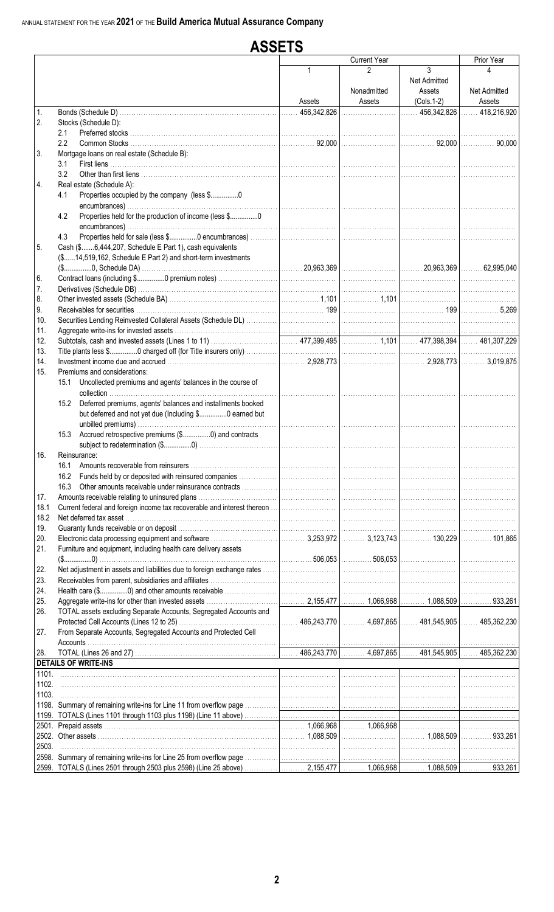|       | <b>ASSETS</b>                                                                                                           |              |                       |                          |                          |  |
|-------|-------------------------------------------------------------------------------------------------------------------------|--------------|-----------------------|--------------------------|--------------------------|--|
|       |                                                                                                                         |              | <b>Current Year</b>   |                          | Prior Year               |  |
|       |                                                                                                                         | $\mathbf{1}$ | 2                     | 3<br><b>Net Admitted</b> | 4                        |  |
|       |                                                                                                                         | Assets       | Nonadmitted<br>Assets | Assets<br>$(Cols.1-2)$   | Net Admitted<br>Assets   |  |
| 1.    |                                                                                                                         |              |                       |                          | 456,342,826  418,216,920 |  |
| 2.    | Stocks (Schedule D):                                                                                                    |              |                       |                          |                          |  |
|       | 2.1                                                                                                                     |              |                       |                          |                          |  |
|       | 2.2                                                                                                                     |              |                       |                          |                          |  |
| 3.    | Mortgage loans on real estate (Schedule B):                                                                             |              |                       |                          |                          |  |
|       | 3.1                                                                                                                     |              |                       |                          |                          |  |
|       | 3.2                                                                                                                     |              |                       |                          |                          |  |
| 4.    | Real estate (Schedule A):                                                                                               |              |                       |                          |                          |  |
|       | Properties occupied by the company (less \$0<br>4.1                                                                     |              |                       |                          |                          |  |
|       | Properties held for the production of income (less \$0<br>4.2                                                           |              |                       |                          |                          |  |
|       |                                                                                                                         |              |                       |                          |                          |  |
|       | 4.3                                                                                                                     |              |                       |                          |                          |  |
| 5.    | Cash (\$6,444,207, Schedule E Part 1), cash equivalents<br>(\$14,519,162, Schedule E Part 2) and short-term investments |              |                       |                          |                          |  |
| 6.    |                                                                                                                         |              |                       |                          |                          |  |
| 7.    |                                                                                                                         |              |                       |                          |                          |  |
| 8.    |                                                                                                                         |              |                       |                          |                          |  |
| 9.    |                                                                                                                         |              |                       |                          |                          |  |
| 10.   |                                                                                                                         |              |                       |                          |                          |  |
| 11.   |                                                                                                                         |              |                       |                          |                          |  |
| 12.   |                                                                                                                         |              |                       |                          |                          |  |
| 13.   |                                                                                                                         |              |                       |                          |                          |  |
| 14.   |                                                                                                                         |              |                       |                          |                          |  |
| 15.   | Premiums and considerations:                                                                                            |              |                       |                          |                          |  |
|       | 15.1 Uncollected premiums and agents' balances in the course of                                                         |              |                       |                          |                          |  |
|       | 15.2 Deferred premiums, agents' balances and installments booked                                                        |              |                       |                          |                          |  |
|       | but deferred and not yet due (Including \$0 earned but                                                                  |              |                       |                          |                          |  |
|       |                                                                                                                         |              |                       |                          |                          |  |
|       | 15.3 Accrued retrospective premiums (\$0) and contracts                                                                 |              |                       |                          |                          |  |
| 16.   | Reinsurance:                                                                                                            |              |                       |                          |                          |  |
|       | 16.1                                                                                                                    |              |                       |                          |                          |  |
|       |                                                                                                                         |              |                       |                          |                          |  |
|       | 16.3                                                                                                                    |              |                       |                          |                          |  |
| 17.   |                                                                                                                         |              |                       |                          |                          |  |
| 18.1  |                                                                                                                         |              |                       |                          |                          |  |
| 18.2  |                                                                                                                         |              |                       |                          |                          |  |
| 19.   |                                                                                                                         |              |                       |                          |                          |  |
| 20.   |                                                                                                                         |              |                       |                          |                          |  |
| 21.   | Furniture and equipment, including health care delivery assets                                                          |              |                       |                          |                          |  |
|       |                                                                                                                         |              |                       |                          |                          |  |
| 22.   |                                                                                                                         |              |                       |                          |                          |  |
| 23.   |                                                                                                                         |              |                       |                          |                          |  |
| 24.   |                                                                                                                         |              |                       |                          |                          |  |
| 25.   |                                                                                                                         |              |                       |                          |                          |  |
| 26.   | TOTAL assets excluding Separate Accounts, Segregated Accounts and                                                       |              |                       |                          |                          |  |
|       |                                                                                                                         |              |                       |                          |                          |  |
| 27.   | From Separate Accounts, Segregated Accounts and Protected Cell                                                          |              |                       |                          |                          |  |
|       |                                                                                                                         |              |                       |                          |                          |  |
| 28.   |                                                                                                                         |              |                       |                          |                          |  |
|       | <b>DETAILS OF WRITE-INS</b>                                                                                             |              |                       |                          |                          |  |
| 1102. |                                                                                                                         |              |                       |                          |                          |  |
| 1103. |                                                                                                                         |              |                       |                          |                          |  |
|       |                                                                                                                         |              |                       |                          |                          |  |
|       |                                                                                                                         |              |                       |                          |                          |  |
|       |                                                                                                                         |              |                       |                          |                          |  |
|       |                                                                                                                         |              |                       |                          |                          |  |
| 2503. |                                                                                                                         |              |                       |                          |                          |  |
|       |                                                                                                                         |              |                       |                          |                          |  |
|       |                                                                                                                         |              |                       |                          |                          |  |
|       |                                                                                                                         |              |                       |                          |                          |  |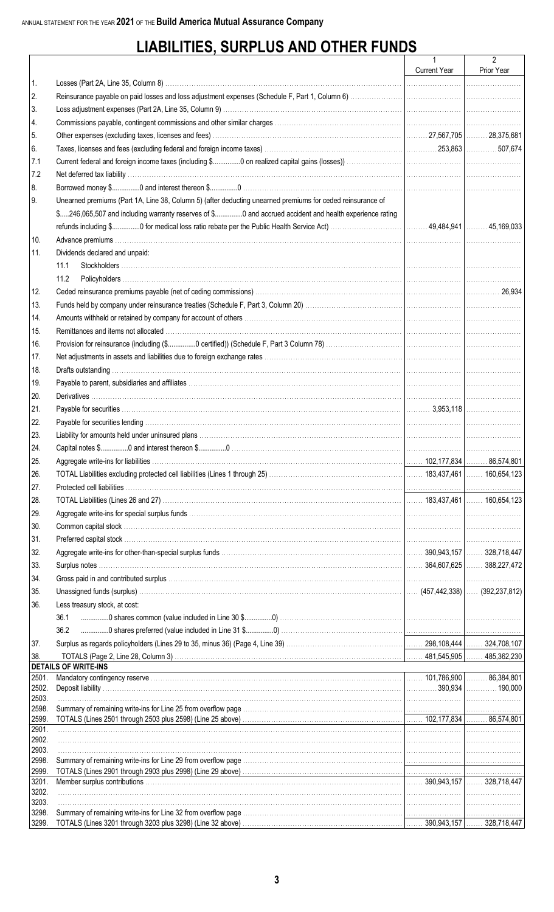## **LIABILITIES, SURPLUS AND OTHER FUNDS**

|                |                                                                                                                                                                                                                                        | Current Year | 2<br>Prior Year |
|----------------|----------------------------------------------------------------------------------------------------------------------------------------------------------------------------------------------------------------------------------------|--------------|-----------------|
| 1.             |                                                                                                                                                                                                                                        |              |                 |
| 2.             |                                                                                                                                                                                                                                        |              |                 |
| 3.             |                                                                                                                                                                                                                                        |              |                 |
| 4.             |                                                                                                                                                                                                                                        |              |                 |
| 5.             |                                                                                                                                                                                                                                        |              |                 |
| 6.             |                                                                                                                                                                                                                                        |              |                 |
| 7.1            |                                                                                                                                                                                                                                        |              |                 |
| 7.2            |                                                                                                                                                                                                                                        |              |                 |
| 8.             |                                                                                                                                                                                                                                        |              |                 |
| I 9.           | Unearned premiums (Part 1A, Line 38, Column 5) (after deducting unearned premiums for ceded reinsurance of                                                                                                                             |              |                 |
|                | \$246,065,507 and including warranty reserves of \$0 and accrued accident and health experience rating                                                                                                                                 |              |                 |
|                |                                                                                                                                                                                                                                        |              |                 |
| 10.            |                                                                                                                                                                                                                                        |              |                 |
| 11.            | Dividends declared and unpaid:                                                                                                                                                                                                         |              |                 |
|                | 11.1                                                                                                                                                                                                                                   |              |                 |
|                | 11.2                                                                                                                                                                                                                                   |              |                 |
| 12.            |                                                                                                                                                                                                                                        |              |                 |
| 13.            |                                                                                                                                                                                                                                        |              |                 |
| 14.            |                                                                                                                                                                                                                                        |              |                 |
| 15.            |                                                                                                                                                                                                                                        |              |                 |
| 16.            |                                                                                                                                                                                                                                        |              |                 |
| 17.            |                                                                                                                                                                                                                                        |              |                 |
| 18.            |                                                                                                                                                                                                                                        |              |                 |
| 19.            |                                                                                                                                                                                                                                        |              |                 |
| 20.            |                                                                                                                                                                                                                                        |              |                 |
| 21.            |                                                                                                                                                                                                                                        |              |                 |
| 22.            |                                                                                                                                                                                                                                        |              |                 |
| 23.            |                                                                                                                                                                                                                                        |              |                 |
| 24.            |                                                                                                                                                                                                                                        |              |                 |
| 25.            |                                                                                                                                                                                                                                        |              |                 |
| 26.            |                                                                                                                                                                                                                                        |              |                 |
| 27.            |                                                                                                                                                                                                                                        |              |                 |
| 28.            |                                                                                                                                                                                                                                        |              |                 |
|                |                                                                                                                                                                                                                                        |              |                 |
| 29.            |                                                                                                                                                                                                                                        |              |                 |
| 30.            |                                                                                                                                                                                                                                        |              |                 |
| 31.            |                                                                                                                                                                                                                                        |              |                 |
| 32.            |                                                                                                                                                                                                                                        |              |                 |
| 33.            |                                                                                                                                                                                                                                        |              |                 |
| 34.            | Gross paid in and contributed surplus with the content of the content of the content of the content of the contributed surplus with the content of the content of the content of the content of the content of the content of          |              |                 |
| 35.            |                                                                                                                                                                                                                                        |              |                 |
| 36.            | Less treasury stock, at cost:                                                                                                                                                                                                          |              |                 |
|                | 36.1                                                                                                                                                                                                                                   |              |                 |
|                | Examination of the result of the contract of the contract of the contract of the contract of the contract of the contract of the contract of the contract of the contract of the contract of the contract of the contract of t<br>36.2 |              |                 |
| 37.            |                                                                                                                                                                                                                                        |              |                 |
| 38.            | <b>DETAILS OF WRITE-INS</b>                                                                                                                                                                                                            |              |                 |
| 2501.          | and the control of the control of the control of the control of the control of the control of the control of the                                                                                                                       |              |                 |
| 2502.          |                                                                                                                                                                                                                                        |              |                 |
| 2503.          |                                                                                                                                                                                                                                        |              |                 |
| 2598.<br>2599. |                                                                                                                                                                                                                                        |              |                 |
| 2901.          |                                                                                                                                                                                                                                        |              |                 |
| 2902.          |                                                                                                                                                                                                                                        |              |                 |
| 2903.          |                                                                                                                                                                                                                                        |              |                 |
| 2998.<br>2999. |                                                                                                                                                                                                                                        |              |                 |
| 3201.          |                                                                                                                                                                                                                                        |              |                 |
| 3202.          |                                                                                                                                                                                                                                        |              |                 |
| 3203.          |                                                                                                                                                                                                                                        |              |                 |
| 3298.          |                                                                                                                                                                                                                                        |              |                 |
| 3299.          |                                                                                                                                                                                                                                        |              |                 |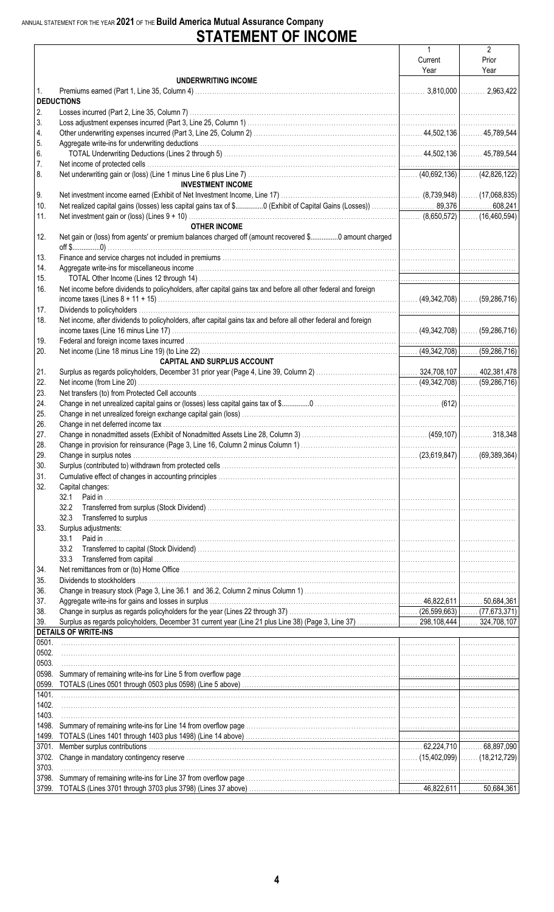# ANNUAL STATEMENT FOR THE YEAR 2021 OF THE Build America Mutual Assurance Company<br>
STATEMENT OF INCOME

|       |                                                                                                                |         | $\overline{2}$ |
|-------|----------------------------------------------------------------------------------------------------------------|---------|----------------|
|       |                                                                                                                | Current | Prior          |
|       |                                                                                                                | Year    | Year           |
|       | UNDERWRITING INCOME                                                                                            |         |                |
| 1.    |                                                                                                                |         |                |
|       | <b>DEDUCTIONS</b>                                                                                              |         |                |
| 2.    |                                                                                                                |         |                |
|       |                                                                                                                |         |                |
| 3.    |                                                                                                                |         |                |
| 4.    |                                                                                                                |         |                |
| 5.    |                                                                                                                |         |                |
| 6.    |                                                                                                                |         |                |
| 7.    |                                                                                                                |         |                |
| 8.    |                                                                                                                |         |                |
|       | <b>INVESTMENT INCOME</b>                                                                                       |         |                |
|       |                                                                                                                |         |                |
| 9.    |                                                                                                                |         |                |
| 10.   |                                                                                                                |         |                |
| 11.   |                                                                                                                |         |                |
|       | <b>OTHER INCOME</b>                                                                                            |         |                |
| 12.   | Net gain or (loss) from agents' or premium balances charged off (amount recovered \$0 amount charged           |         |                |
|       |                                                                                                                |         |                |
| 13.   |                                                                                                                |         |                |
|       |                                                                                                                |         |                |
| 14.   |                                                                                                                |         |                |
| 15.   |                                                                                                                |         |                |
| 16.   | Net income before dividends to policyholders, after capital gains tax and before all other federal and foreign |         |                |
|       |                                                                                                                |         |                |
| 17.   |                                                                                                                |         |                |
| 18.   | Net income, after dividends to policyholders, after capital gains tax and before all other federal and foreign |         |                |
|       |                                                                                                                |         |                |
|       |                                                                                                                |         |                |
| 19.   |                                                                                                                |         |                |
| 20.   |                                                                                                                |         |                |
|       | <b>CAPITAL AND SURPLUS ACCOUNT</b>                                                                             |         |                |
| 21.   |                                                                                                                |         |                |
| 22.   |                                                                                                                |         |                |
| 23.   |                                                                                                                |         |                |
|       |                                                                                                                |         |                |
| 24.   |                                                                                                                |         |                |
| 25.   |                                                                                                                |         |                |
| 26.   |                                                                                                                |         |                |
| 27.   |                                                                                                                |         |                |
| 28.   |                                                                                                                |         |                |
| 29.   |                                                                                                                |         |                |
| 30.   |                                                                                                                |         |                |
|       |                                                                                                                |         |                |
| 31.   |                                                                                                                |         |                |
| 32.   | Capital changes:                                                                                               |         |                |
|       | 32.1                                                                                                           |         |                |
|       |                                                                                                                |         |                |
|       | 32.3                                                                                                           |         |                |
| 33.   | Surplus adjustments:                                                                                           |         |                |
|       | 33.1                                                                                                           |         |                |
|       | 33.2                                                                                                           |         |                |
|       |                                                                                                                |         |                |
|       | 33.3                                                                                                           |         |                |
| 34.   |                                                                                                                |         |                |
| 35.   |                                                                                                                |         |                |
| 36.   |                                                                                                                |         |                |
| 37.   |                                                                                                                |         |                |
| 38.   |                                                                                                                |         |                |
| 39.   |                                                                                                                |         |                |
|       | <b>DETAILS OF WRITE-INS</b>                                                                                    |         |                |
|       |                                                                                                                |         |                |
| 0501. |                                                                                                                |         |                |
| 0502. |                                                                                                                |         |                |
| 0503. |                                                                                                                |         |                |
| 0598. |                                                                                                                |         |                |
|       |                                                                                                                |         |                |
| 1401. |                                                                                                                |         |                |
| 1402. |                                                                                                                |         |                |
|       |                                                                                                                |         |                |
| 1403. |                                                                                                                |         |                |
| 1498. |                                                                                                                |         |                |
|       | 1499. TOTALS (Lines 1401 through 1403 plus 1498) (Line 14 above) ……………………………………………………………………………………………           |         |                |
|       |                                                                                                                |         |                |
|       |                                                                                                                |         |                |
| 3703. |                                                                                                                |         |                |
|       |                                                                                                                |         |                |
| 3798. |                                                                                                                |         |                |
|       |                                                                                                                |         |                |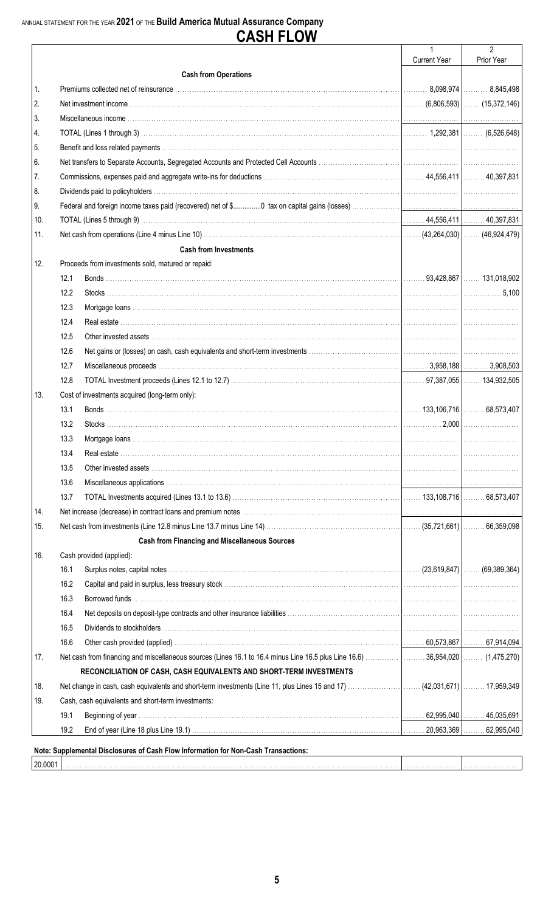# ANNUAL STATEMENT FOR THE YEAR 2021 OF THE Build America Mutual Assurance Company<br> **CASH FLOW**

|                |      |                                                                                    | $\mathbf{1}$        | $\overline{2}$ |
|----------------|------|------------------------------------------------------------------------------------|---------------------|----------------|
|                |      |                                                                                    | <b>Current Year</b> | Prior Year     |
|                |      | <b>Cash from Operations</b>                                                        |                     |                |
| $\mathbf{1}$ . |      |                                                                                    |                     |                |
| 2.             |      |                                                                                    |                     |                |
| 3.             |      |                                                                                    |                     |                |
| 4.             |      |                                                                                    |                     |                |
| 5.             |      |                                                                                    |                     |                |
| 6.             |      |                                                                                    |                     |                |
| 7.             |      |                                                                                    |                     |                |
| 8.             |      |                                                                                    |                     |                |
| 9.             |      |                                                                                    |                     |                |
| 10.            |      |                                                                                    |                     |                |
| 11.            |      |                                                                                    |                     |                |
|                |      | <b>Cash from Investments</b>                                                       |                     |                |
| 12.            |      | Proceeds from investments sold, matured or repaid:                                 |                     |                |
|                | 12.1 |                                                                                    |                     |                |
|                | 12.2 |                                                                                    |                     |                |
|                | 12.3 |                                                                                    |                     |                |
|                | 12.4 |                                                                                    |                     |                |
|                | 12.5 |                                                                                    |                     |                |
|                | 12.6 |                                                                                    |                     |                |
|                | 12.7 |                                                                                    |                     |                |
|                | 12.8 |                                                                                    |                     |                |
| 13.            |      | Cost of investments acquired (long-term only):                                     |                     |                |
|                | 13.1 |                                                                                    |                     |                |
|                | 13.2 |                                                                                    |                     |                |
|                | 13.3 |                                                                                    |                     |                |
|                | 13.4 |                                                                                    |                     |                |
|                | 13.5 |                                                                                    |                     |                |
|                | 13.6 |                                                                                    |                     |                |
|                | 13.7 |                                                                                    |                     |                |
| 14.            |      |                                                                                    |                     |                |
| 15.            |      |                                                                                    |                     |                |
|                |      | <b>Cash from Financing and Miscellaneous Sources</b>                               |                     |                |
| 16.            |      | Cash provided (applied):                                                           |                     |                |
|                | 16.1 | (69,389,364)  (23,619,847)  (69,389,364)                                           |                     |                |
|                | 16.2 |                                                                                    |                     |                |
|                | 16.3 |                                                                                    |                     |                |
|                | 16.4 |                                                                                    |                     |                |
|                | 16.5 |                                                                                    |                     |                |
|                | 16.6 |                                                                                    |                     |                |
| 17.            |      |                                                                                    |                     |                |
|                |      | RECONCILIATION OF CASH, CASH EQUIVALENTS AND SHORT-TERM INVESTMENTS                |                     |                |
| 18.            |      |                                                                                    |                     |                |
| 19.            |      | Cash, cash equivalents and short-term investments:                                 |                     |                |
|                | 19.1 |                                                                                    |                     |                |
|                | 19.2 |                                                                                    |                     |                |
|                |      |                                                                                    |                     |                |
|                |      | Note: Supplemental Disclosures of Cash Flow Information for Non-Cash Transactions: |                     |                |
| 20.0001        |      |                                                                                    |                     |                |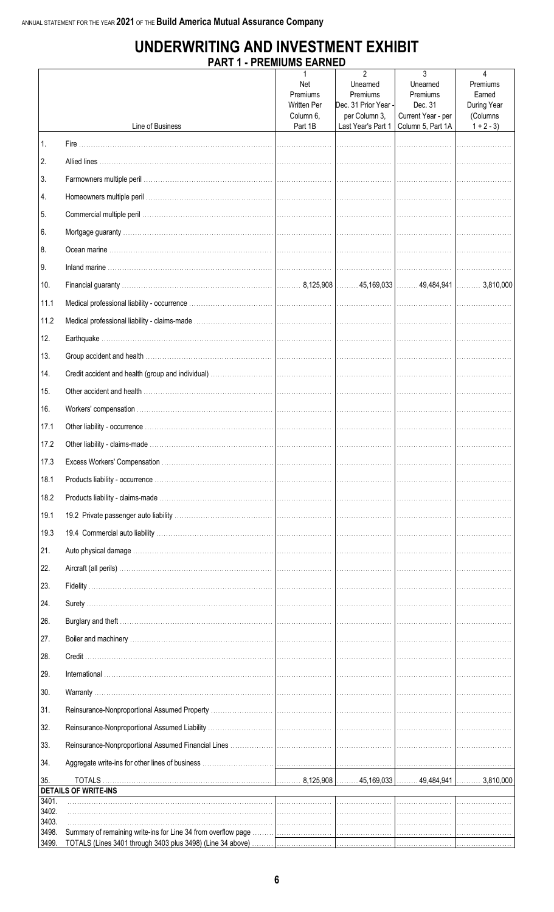### UNDERWRITING AND INVESTMENT EXHIBIT **PART 1 - PREMIUMS FARNED**

|                |                             | TI INLIJIIUIJU LAINN<br>Net<br>Premiums<br><b>Written Per</b> | $\mathfrak{p}$<br>Unearned<br>Premiums<br>Dec. 31 Prior Year - | 3<br>Unearned<br>Premiums<br>Dec. 31    | 4<br>Premiums<br>Earned<br>During Year |
|----------------|-----------------------------|---------------------------------------------------------------|----------------------------------------------------------------|-----------------------------------------|----------------------------------------|
|                | Line of Business            | Column 6,<br>Part 1B                                          | per Column 3,<br>Last Year's Part 1                            | Current Year - per<br>Column 5, Part 1A | (Columns<br>$1 + 2 - 3$                |
| 1.             |                             |                                                               |                                                                |                                         |                                        |
| 2.             |                             |                                                               |                                                                |                                         |                                        |
| 3.             |                             |                                                               |                                                                |                                         |                                        |
| 14.            |                             |                                                               |                                                                |                                         |                                        |
| 5.             |                             |                                                               |                                                                |                                         |                                        |
| 6.             |                             |                                                               |                                                                |                                         |                                        |
| 8.             |                             |                                                               |                                                                |                                         |                                        |
| 9.             |                             |                                                               |                                                                |                                         |                                        |
| 10.            |                             |                                                               |                                                                |                                         |                                        |
| 11.1           |                             |                                                               |                                                                |                                         |                                        |
| 11.2           |                             |                                                               |                                                                |                                         |                                        |
| 12.            |                             |                                                               |                                                                |                                         |                                        |
| 13.            |                             |                                                               |                                                                |                                         |                                        |
| 14.            |                             |                                                               |                                                                |                                         |                                        |
| 15.            |                             |                                                               |                                                                |                                         |                                        |
| 16.            |                             |                                                               |                                                                |                                         |                                        |
| 17.1           |                             |                                                               |                                                                |                                         |                                        |
| 17.2           |                             |                                                               |                                                                |                                         |                                        |
| 17.3           |                             |                                                               |                                                                |                                         |                                        |
| 18.1           |                             |                                                               |                                                                |                                         |                                        |
| 18.2           |                             |                                                               |                                                                |                                         |                                        |
| 19.1           |                             |                                                               |                                                                |                                         |                                        |
| 19.3           |                             |                                                               |                                                                |                                         |                                        |
| 21.            |                             |                                                               |                                                                |                                         |                                        |
| 22.            |                             |                                                               |                                                                |                                         |                                        |
| 23.            |                             |                                                               |                                                                |                                         |                                        |
| 24.            |                             |                                                               |                                                                |                                         |                                        |
| 26.            |                             |                                                               |                                                                |                                         |                                        |
| 27.            |                             |                                                               |                                                                |                                         |                                        |
| 28.            |                             |                                                               |                                                                |                                         |                                        |
| 29.            |                             |                                                               |                                                                |                                         |                                        |
| 30.            |                             |                                                               |                                                                |                                         |                                        |
| 31.            |                             |                                                               |                                                                |                                         |                                        |
| 32.            |                             |                                                               |                                                                |                                         |                                        |
| 33.            |                             |                                                               |                                                                |                                         |                                        |
| 34.            |                             |                                                               |                                                                |                                         |                                        |
| 35.            | <b>DETAILS OF WRITE-INS</b> |                                                               |                                                                |                                         |                                        |
| 3401.          |                             |                                                               |                                                                |                                         |                                        |
| 3402.<br>3403. |                             |                                                               |                                                                |                                         |                                        |
| 3498.<br>3499. |                             |                                                               |                                                                |                                         |                                        |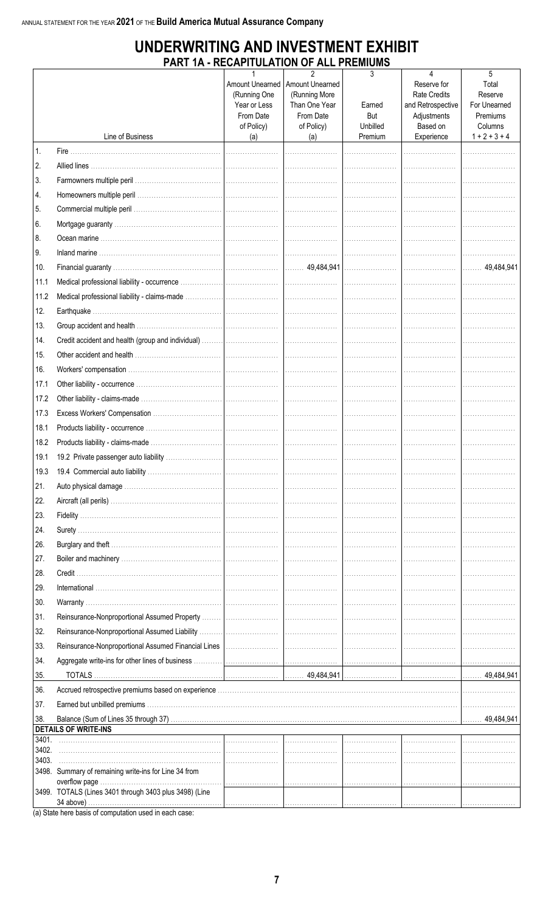## UNDERWRITING AND INVESTMENT EXHIBIT PART 1A - RECAPITULATION OF ALL PREMIUMS

|       |                                                        | 1                                               | $\overline{2}$                                    | 3               | 4                                                       | 5                                |
|-------|--------------------------------------------------------|-------------------------------------------------|---------------------------------------------------|-----------------|---------------------------------------------------------|----------------------------------|
|       |                                                        | Amount Unearned<br>(Running One<br>Year or Less | Amount Unearned<br>(Running More<br>Than One Year | Earned          | Reserve for<br><b>Rate Credits</b><br>and Retrospective | Total<br>Reserve<br>For Unearned |
|       |                                                        | From Date<br>of Policy)                         | From Date<br>of Policy)                           | But<br>Unbilled | Adjustments<br>Based on                                 | Premiums<br>Columns              |
|       | Line of Business                                       | (a)                                             | (a)                                               | Premium         | Experience                                              | $1 + 2 + 3 + 4$                  |
| 1.    |                                                        |                                                 |                                                   |                 |                                                         |                                  |
| 2.    |                                                        |                                                 |                                                   |                 |                                                         |                                  |
| 3.    |                                                        |                                                 |                                                   |                 |                                                         |                                  |
| 4.    |                                                        |                                                 |                                                   |                 |                                                         |                                  |
| 5.    |                                                        |                                                 |                                                   |                 |                                                         |                                  |
| 6.    |                                                        |                                                 |                                                   |                 |                                                         |                                  |
| 8.    |                                                        |                                                 |                                                   |                 |                                                         |                                  |
| 9.    |                                                        |                                                 |                                                   |                 |                                                         |                                  |
| 10.   |                                                        |                                                 |                                                   |                 |                                                         |                                  |
| 11.1  |                                                        |                                                 |                                                   |                 |                                                         |                                  |
| 11.2  |                                                        |                                                 |                                                   |                 |                                                         |                                  |
| 12.   |                                                        |                                                 |                                                   |                 |                                                         |                                  |
| 13.   |                                                        |                                                 |                                                   |                 |                                                         |                                  |
| 14.   |                                                        |                                                 |                                                   |                 |                                                         |                                  |
| 15.   |                                                        |                                                 |                                                   |                 |                                                         |                                  |
| 16.   |                                                        |                                                 |                                                   |                 |                                                         |                                  |
| 17.1  |                                                        |                                                 |                                                   |                 |                                                         |                                  |
| 17.2  |                                                        |                                                 |                                                   |                 |                                                         |                                  |
| 17.3  |                                                        |                                                 |                                                   |                 |                                                         |                                  |
| 18.1  |                                                        |                                                 |                                                   |                 |                                                         |                                  |
| 18.2  |                                                        |                                                 |                                                   |                 |                                                         |                                  |
| 19.1  |                                                        |                                                 |                                                   |                 |                                                         |                                  |
|       |                                                        |                                                 |                                                   |                 |                                                         |                                  |
| 21.   |                                                        |                                                 |                                                   |                 |                                                         |                                  |
| 22.   |                                                        |                                                 |                                                   |                 |                                                         |                                  |
| 23.   |                                                        |                                                 |                                                   |                 |                                                         |                                  |
| 24.   |                                                        |                                                 |                                                   |                 |                                                         |                                  |
| 26.   |                                                        |                                                 |                                                   |                 |                                                         |                                  |
| 27.   |                                                        |                                                 |                                                   |                 |                                                         |                                  |
| 28.   |                                                        |                                                 |                                                   |                 |                                                         |                                  |
| 29.   |                                                        |                                                 |                                                   |                 |                                                         |                                  |
| 30.   |                                                        |                                                 |                                                   |                 |                                                         |                                  |
| 31.   |                                                        |                                                 |                                                   |                 |                                                         |                                  |
| 32.   |                                                        |                                                 |                                                   |                 |                                                         |                                  |
| 33.   |                                                        |                                                 |                                                   |                 |                                                         |                                  |
| 34.   |                                                        |                                                 |                                                   |                 |                                                         |                                  |
| 35.   |                                                        |                                                 |                                                   |                 |                                                         |                                  |
| 36.   |                                                        |                                                 |                                                   |                 |                                                         |                                  |
| 37.   |                                                        |                                                 |                                                   |                 |                                                         |                                  |
| 38.   | <b>DETAILS OF WRITE-INS</b>                            |                                                 |                                                   |                 |                                                         |                                  |
| 3401. |                                                        |                                                 |                                                   |                 |                                                         |                                  |
| 3402. |                                                        |                                                 |                                                   |                 |                                                         |                                  |
| 3403. | 3498. Summary of remaining write-ins for Line 34 from  |                                                 |                                                   |                 |                                                         |                                  |
|       |                                                        |                                                 |                                                   |                 |                                                         |                                  |
|       | 3499. TOTALS (Lines 3401 through 3403 plus 3498) (Line |                                                 |                                                   |                 |                                                         |                                  |

(a) State here basis of computation used in each case: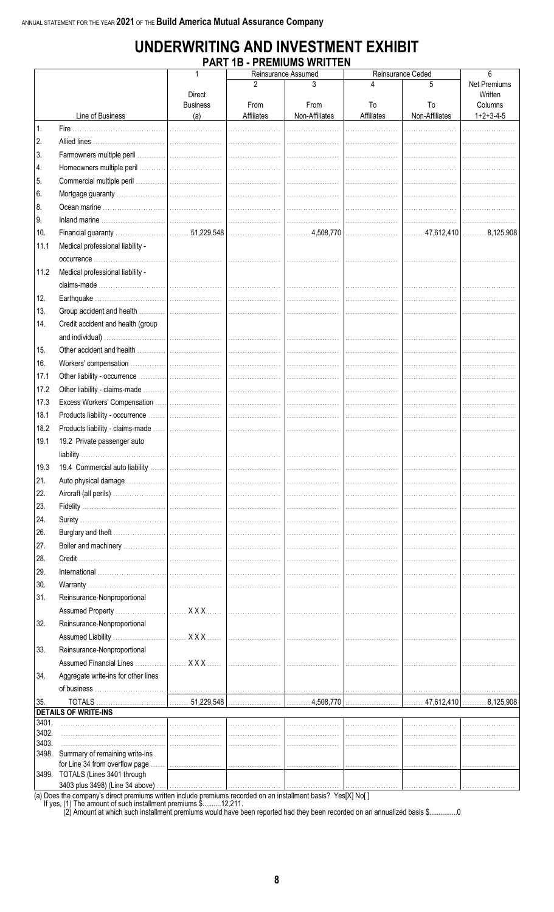### UNDERWRITING AND INVESTMENT EXHIBIT **PART 1B - PREMIUMS WRITTEN**

|       |                                                                     |                 |            | Reinsurance Assumed |            | Reinsurance Ceded            | 6            |
|-------|---------------------------------------------------------------------|-----------------|------------|---------------------|------------|------------------------------|--------------|
|       |                                                                     |                 | 2          | 3                   |            | 5                            | Net Premiums |
|       |                                                                     | <b>Direct</b>   |            |                     |            |                              | Written      |
|       |                                                                     | <b>Business</b> | From       | From                | To         | To                           | Columns      |
|       | Line of Business                                                    | (a)             | Affiliates | Non-Affiliates      | Affiliates | Non-Affiliates               | $1+2+3-4-5$  |
| 1.    |                                                                     |                 |            |                     |            |                              | .            |
| 2.    |                                                                     |                 |            |                     |            |                              |              |
| 3.    |                                                                     |                 |            |                     |            |                              |              |
| 4.    |                                                                     |                 |            |                     |            |                              |              |
| 5.    |                                                                     |                 |            |                     |            |                              |              |
| 6.    |                                                                     |                 |            |                     |            |                              |              |
| 8.    |                                                                     |                 |            |                     |            |                              |              |
| 9.    |                                                                     |                 |            |                     |            |                              |              |
| 10.   |                                                                     |                 |            |                     |            |                              |              |
| 11.1  | Medical professional liability -                                    |                 |            |                     |            |                              |              |
|       |                                                                     |                 |            |                     |            |                              |              |
| 11.2  | Medical professional liability -                                    |                 |            |                     |            |                              |              |
|       |                                                                     |                 |            |                     |            |                              |              |
| 12.   |                                                                     |                 |            |                     |            |                              |              |
| 13.   |                                                                     |                 |            |                     |            |                              |              |
| 14.   | Credit accident and health (group                                   |                 |            |                     |            |                              |              |
|       |                                                                     |                 |            |                     |            |                              |              |
|       |                                                                     |                 |            |                     |            |                              |              |
| 15.   |                                                                     |                 |            |                     |            |                              |              |
| 16.   |                                                                     |                 |            |                     |            |                              |              |
| 17.1  |                                                                     |                 |            |                     |            |                              |              |
| 17.2  |                                                                     |                 |            |                     |            |                              |              |
| 17.3  |                                                                     |                 |            |                     |            |                              |              |
| 18.1  |                                                                     |                 |            |                     |            |                              |              |
| 18.2  |                                                                     |                 |            |                     |            |                              |              |
| 19.1  | 19.2 Private passenger auto                                         |                 |            |                     |            |                              |              |
|       |                                                                     |                 |            |                     |            |                              |              |
| 19.3  |                                                                     |                 |            |                     |            |                              |              |
| 21.   |                                                                     |                 |            |                     |            |                              |              |
| 22.   |                                                                     |                 |            |                     |            |                              |              |
| 23.   |                                                                     |                 |            |                     |            |                              |              |
| 24.   |                                                                     |                 |            |                     |            |                              |              |
| 26.   |                                                                     |                 |            |                     |            |                              |              |
| 27.   |                                                                     |                 |            |                     |            |                              |              |
| 28.   |                                                                     |                 |            |                     |            |                              |              |
| 29.   |                                                                     |                 |            |                     |            |                              |              |
| 30.   |                                                                     |                 |            |                     |            |                              |              |
| 31.   | Reinsurance-Nonproportional                                         |                 |            |                     |            |                              |              |
|       |                                                                     |                 |            |                     |            |                              |              |
| 32.   | Reinsurance-Nonproportional                                         |                 |            |                     |            |                              |              |
|       |                                                                     |                 |            |                     |            |                              |              |
|       |                                                                     |                 |            |                     |            |                              |              |
| 33.   | Reinsurance-Nonproportional                                         |                 |            |                     |            |                              |              |
|       |                                                                     |                 |            |                     |            |                              |              |
| 34.   | Aggregate write-ins for other lines                                 |                 |            |                     |            |                              |              |
|       |                                                                     |                 |            |                     |            |                              |              |
| 35.   | <b>TOTALS</b>                                                       |                 |            |                     | 4,508,770  | $ $ 47,612,410 $ $ 8,125,908 |              |
| 3401. | <b>DETAILS OF WRITE-INS</b>                                         |                 |            |                     |            |                              |              |
| 3402. |                                                                     |                 |            |                     |            |                              |              |
| 3403. |                                                                     |                 |            |                     |            |                              |              |
|       | 3498. Summary of remaining write-ins                                |                 |            |                     |            |                              |              |
|       | for Line 34 from overflow page                                      |                 |            |                     |            |                              |              |
|       | 3499. TOTALS (Lines 3401 through<br>3403 plus 3498) (Line 34 above) |                 |            |                     |            |                              |              |

(a) Does the company's direct premiums written include premiums recorded on an installment basis? Yes[X] No[]<br>If yes, (1) The amount of such installment premiums \$..........12,211.<br>(2) Amount at which such installment prem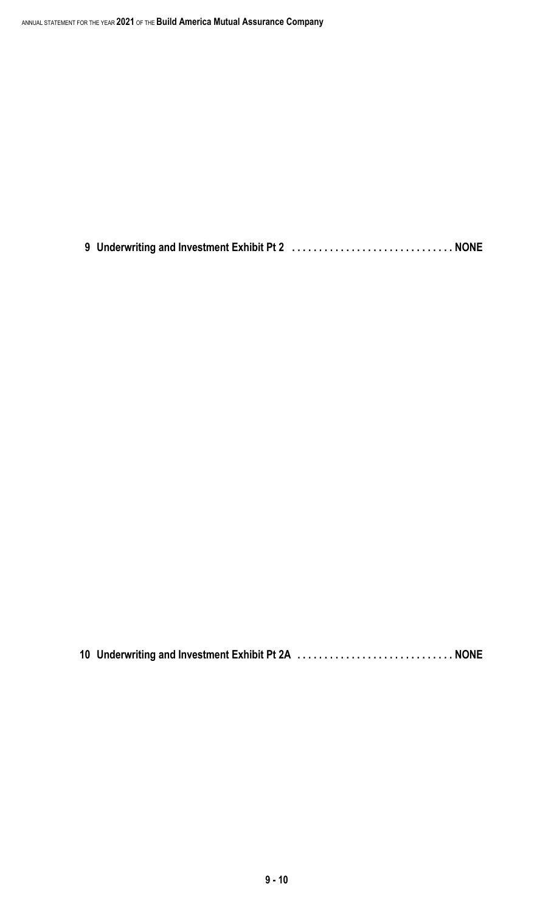**9 Underwriting and Investment Exhibit Pt 2 . . . . . . . . . . . . . . . . . . . . . . . . . . . . . . NONE**

**10 Underwriting and Investment Exhibit Pt 2A . . . . . . . . . . . . . . . . . . . . . . . . . . . . . NONE**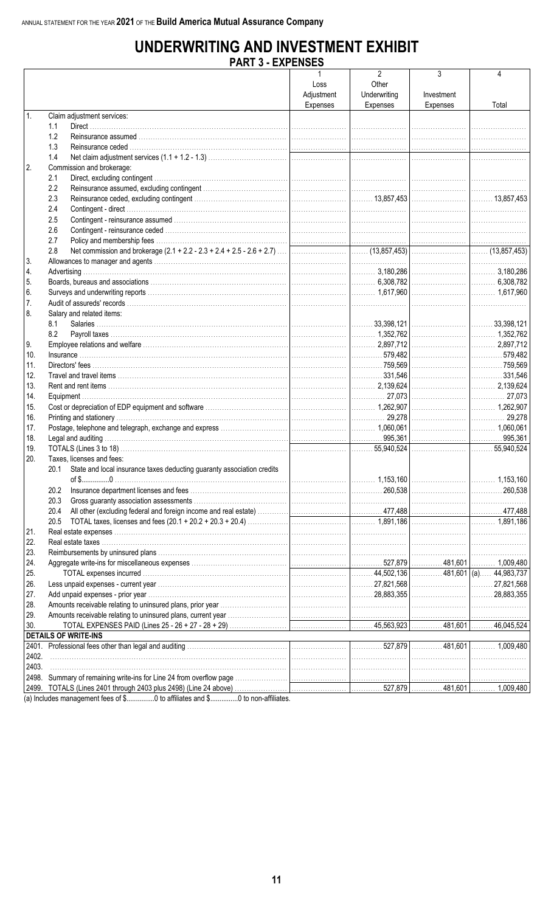## **UNDERWRITING AND INVESTMENT EXHIBIT**<br>PART 3 - EXPENSES

| $\overline{2}$<br>3<br>4<br>Loss<br>Other<br>Adjustment<br>Underwriting<br>Investment<br>Expenses<br>Expenses<br>Expenses<br>Total<br>$\overline{1}$ .<br>Claim adjustment services:<br>1.1<br>1.2<br>1.3<br>1.4<br>2.<br>Commission and brokerage:<br>2.1<br>2.2<br>2.3<br>2.4<br>2.5<br>2.6<br>2.7<br>2.8<br>l 6.<br>17.<br>8.<br>Salary and related items:<br>8.1<br>8.2<br>10.<br>11.<br>12.<br>13.<br>14.<br>17.<br>18.<br>19.<br>20.<br>Taxes, licenses and fees:<br>20.1 State and local insurance taxes deducting guaranty association credits<br>of \$0.<br>20.2<br>20.3<br>20.4<br>20.5<br>21.<br>22.<br>24.<br>25.<br>26.<br>27.<br>$ $ 28,883,355<br>28.<br><b>DETAILS OF WRITE-INS</b><br><u> 1989 - Johann Stein, fransk politik (d. 1989)</u><br>2401.<br>2402.<br>2403.<br>2498.<br>(a) $ln c \log \theta$ management face of $\theta$ at $\theta$ to officiate and $\theta$ and $\theta$ are officiated |     | PARI 3 - EXPENDED |  |  |
|--------------------------------------------------------------------------------------------------------------------------------------------------------------------------------------------------------------------------------------------------------------------------------------------------------------------------------------------------------------------------------------------------------------------------------------------------------------------------------------------------------------------------------------------------------------------------------------------------------------------------------------------------------------------------------------------------------------------------------------------------------------------------------------------------------------------------------------------------------------------------------------------------------------------------|-----|-------------------|--|--|
|                                                                                                                                                                                                                                                                                                                                                                                                                                                                                                                                                                                                                                                                                                                                                                                                                                                                                                                          |     |                   |  |  |
|                                                                                                                                                                                                                                                                                                                                                                                                                                                                                                                                                                                                                                                                                                                                                                                                                                                                                                                          |     |                   |  |  |
|                                                                                                                                                                                                                                                                                                                                                                                                                                                                                                                                                                                                                                                                                                                                                                                                                                                                                                                          |     |                   |  |  |
|                                                                                                                                                                                                                                                                                                                                                                                                                                                                                                                                                                                                                                                                                                                                                                                                                                                                                                                          |     |                   |  |  |
|                                                                                                                                                                                                                                                                                                                                                                                                                                                                                                                                                                                                                                                                                                                                                                                                                                                                                                                          |     |                   |  |  |
|                                                                                                                                                                                                                                                                                                                                                                                                                                                                                                                                                                                                                                                                                                                                                                                                                                                                                                                          |     |                   |  |  |
|                                                                                                                                                                                                                                                                                                                                                                                                                                                                                                                                                                                                                                                                                                                                                                                                                                                                                                                          |     |                   |  |  |
|                                                                                                                                                                                                                                                                                                                                                                                                                                                                                                                                                                                                                                                                                                                                                                                                                                                                                                                          |     |                   |  |  |
|                                                                                                                                                                                                                                                                                                                                                                                                                                                                                                                                                                                                                                                                                                                                                                                                                                                                                                                          |     |                   |  |  |
|                                                                                                                                                                                                                                                                                                                                                                                                                                                                                                                                                                                                                                                                                                                                                                                                                                                                                                                          |     |                   |  |  |
|                                                                                                                                                                                                                                                                                                                                                                                                                                                                                                                                                                                                                                                                                                                                                                                                                                                                                                                          |     |                   |  |  |
|                                                                                                                                                                                                                                                                                                                                                                                                                                                                                                                                                                                                                                                                                                                                                                                                                                                                                                                          |     |                   |  |  |
|                                                                                                                                                                                                                                                                                                                                                                                                                                                                                                                                                                                                                                                                                                                                                                                                                                                                                                                          |     |                   |  |  |
|                                                                                                                                                                                                                                                                                                                                                                                                                                                                                                                                                                                                                                                                                                                                                                                                                                                                                                                          |     |                   |  |  |
|                                                                                                                                                                                                                                                                                                                                                                                                                                                                                                                                                                                                                                                                                                                                                                                                                                                                                                                          |     |                   |  |  |
|                                                                                                                                                                                                                                                                                                                                                                                                                                                                                                                                                                                                                                                                                                                                                                                                                                                                                                                          |     |                   |  |  |
|                                                                                                                                                                                                                                                                                                                                                                                                                                                                                                                                                                                                                                                                                                                                                                                                                                                                                                                          |     |                   |  |  |
|                                                                                                                                                                                                                                                                                                                                                                                                                                                                                                                                                                                                                                                                                                                                                                                                                                                                                                                          |     |                   |  |  |
|                                                                                                                                                                                                                                                                                                                                                                                                                                                                                                                                                                                                                                                                                                                                                                                                                                                                                                                          |     |                   |  |  |
|                                                                                                                                                                                                                                                                                                                                                                                                                                                                                                                                                                                                                                                                                                                                                                                                                                                                                                                          |     |                   |  |  |
|                                                                                                                                                                                                                                                                                                                                                                                                                                                                                                                                                                                                                                                                                                                                                                                                                                                                                                                          |     |                   |  |  |
|                                                                                                                                                                                                                                                                                                                                                                                                                                                                                                                                                                                                                                                                                                                                                                                                                                                                                                                          | 3.  |                   |  |  |
|                                                                                                                                                                                                                                                                                                                                                                                                                                                                                                                                                                                                                                                                                                                                                                                                                                                                                                                          | 4.  |                   |  |  |
|                                                                                                                                                                                                                                                                                                                                                                                                                                                                                                                                                                                                                                                                                                                                                                                                                                                                                                                          | 5.  |                   |  |  |
|                                                                                                                                                                                                                                                                                                                                                                                                                                                                                                                                                                                                                                                                                                                                                                                                                                                                                                                          |     |                   |  |  |
|                                                                                                                                                                                                                                                                                                                                                                                                                                                                                                                                                                                                                                                                                                                                                                                                                                                                                                                          |     |                   |  |  |
|                                                                                                                                                                                                                                                                                                                                                                                                                                                                                                                                                                                                                                                                                                                                                                                                                                                                                                                          |     |                   |  |  |
|                                                                                                                                                                                                                                                                                                                                                                                                                                                                                                                                                                                                                                                                                                                                                                                                                                                                                                                          |     |                   |  |  |
|                                                                                                                                                                                                                                                                                                                                                                                                                                                                                                                                                                                                                                                                                                                                                                                                                                                                                                                          |     |                   |  |  |
|                                                                                                                                                                                                                                                                                                                                                                                                                                                                                                                                                                                                                                                                                                                                                                                                                                                                                                                          |     |                   |  |  |
|                                                                                                                                                                                                                                                                                                                                                                                                                                                                                                                                                                                                                                                                                                                                                                                                                                                                                                                          | 9.  |                   |  |  |
|                                                                                                                                                                                                                                                                                                                                                                                                                                                                                                                                                                                                                                                                                                                                                                                                                                                                                                                          |     |                   |  |  |
|                                                                                                                                                                                                                                                                                                                                                                                                                                                                                                                                                                                                                                                                                                                                                                                                                                                                                                                          |     |                   |  |  |
|                                                                                                                                                                                                                                                                                                                                                                                                                                                                                                                                                                                                                                                                                                                                                                                                                                                                                                                          |     |                   |  |  |
|                                                                                                                                                                                                                                                                                                                                                                                                                                                                                                                                                                                                                                                                                                                                                                                                                                                                                                                          |     |                   |  |  |
|                                                                                                                                                                                                                                                                                                                                                                                                                                                                                                                                                                                                                                                                                                                                                                                                                                                                                                                          |     |                   |  |  |
|                                                                                                                                                                                                                                                                                                                                                                                                                                                                                                                                                                                                                                                                                                                                                                                                                                                                                                                          |     |                   |  |  |
|                                                                                                                                                                                                                                                                                                                                                                                                                                                                                                                                                                                                                                                                                                                                                                                                                                                                                                                          | 15. |                   |  |  |
|                                                                                                                                                                                                                                                                                                                                                                                                                                                                                                                                                                                                                                                                                                                                                                                                                                                                                                                          | 16. |                   |  |  |
|                                                                                                                                                                                                                                                                                                                                                                                                                                                                                                                                                                                                                                                                                                                                                                                                                                                                                                                          |     |                   |  |  |
|                                                                                                                                                                                                                                                                                                                                                                                                                                                                                                                                                                                                                                                                                                                                                                                                                                                                                                                          |     |                   |  |  |
|                                                                                                                                                                                                                                                                                                                                                                                                                                                                                                                                                                                                                                                                                                                                                                                                                                                                                                                          |     |                   |  |  |
|                                                                                                                                                                                                                                                                                                                                                                                                                                                                                                                                                                                                                                                                                                                                                                                                                                                                                                                          |     |                   |  |  |
|                                                                                                                                                                                                                                                                                                                                                                                                                                                                                                                                                                                                                                                                                                                                                                                                                                                                                                                          |     |                   |  |  |
|                                                                                                                                                                                                                                                                                                                                                                                                                                                                                                                                                                                                                                                                                                                                                                                                                                                                                                                          |     |                   |  |  |
|                                                                                                                                                                                                                                                                                                                                                                                                                                                                                                                                                                                                                                                                                                                                                                                                                                                                                                                          |     |                   |  |  |
|                                                                                                                                                                                                                                                                                                                                                                                                                                                                                                                                                                                                                                                                                                                                                                                                                                                                                                                          |     |                   |  |  |
|                                                                                                                                                                                                                                                                                                                                                                                                                                                                                                                                                                                                                                                                                                                                                                                                                                                                                                                          |     |                   |  |  |
|                                                                                                                                                                                                                                                                                                                                                                                                                                                                                                                                                                                                                                                                                                                                                                                                                                                                                                                          |     |                   |  |  |
|                                                                                                                                                                                                                                                                                                                                                                                                                                                                                                                                                                                                                                                                                                                                                                                                                                                                                                                          |     |                   |  |  |
|                                                                                                                                                                                                                                                                                                                                                                                                                                                                                                                                                                                                                                                                                                                                                                                                                                                                                                                          |     |                   |  |  |
|                                                                                                                                                                                                                                                                                                                                                                                                                                                                                                                                                                                                                                                                                                                                                                                                                                                                                                                          |     |                   |  |  |
|                                                                                                                                                                                                                                                                                                                                                                                                                                                                                                                                                                                                                                                                                                                                                                                                                                                                                                                          |     |                   |  |  |
|                                                                                                                                                                                                                                                                                                                                                                                                                                                                                                                                                                                                                                                                                                                                                                                                                                                                                                                          | 23. |                   |  |  |
|                                                                                                                                                                                                                                                                                                                                                                                                                                                                                                                                                                                                                                                                                                                                                                                                                                                                                                                          |     |                   |  |  |
|                                                                                                                                                                                                                                                                                                                                                                                                                                                                                                                                                                                                                                                                                                                                                                                                                                                                                                                          |     |                   |  |  |
|                                                                                                                                                                                                                                                                                                                                                                                                                                                                                                                                                                                                                                                                                                                                                                                                                                                                                                                          |     |                   |  |  |
|                                                                                                                                                                                                                                                                                                                                                                                                                                                                                                                                                                                                                                                                                                                                                                                                                                                                                                                          |     |                   |  |  |
|                                                                                                                                                                                                                                                                                                                                                                                                                                                                                                                                                                                                                                                                                                                                                                                                                                                                                                                          |     |                   |  |  |
|                                                                                                                                                                                                                                                                                                                                                                                                                                                                                                                                                                                                                                                                                                                                                                                                                                                                                                                          |     |                   |  |  |
|                                                                                                                                                                                                                                                                                                                                                                                                                                                                                                                                                                                                                                                                                                                                                                                                                                                                                                                          | 29. |                   |  |  |
|                                                                                                                                                                                                                                                                                                                                                                                                                                                                                                                                                                                                                                                                                                                                                                                                                                                                                                                          | 30. |                   |  |  |
|                                                                                                                                                                                                                                                                                                                                                                                                                                                                                                                                                                                                                                                                                                                                                                                                                                                                                                                          |     |                   |  |  |
|                                                                                                                                                                                                                                                                                                                                                                                                                                                                                                                                                                                                                                                                                                                                                                                                                                                                                                                          |     |                   |  |  |
|                                                                                                                                                                                                                                                                                                                                                                                                                                                                                                                                                                                                                                                                                                                                                                                                                                                                                                                          |     |                   |  |  |
|                                                                                                                                                                                                                                                                                                                                                                                                                                                                                                                                                                                                                                                                                                                                                                                                                                                                                                                          |     |                   |  |  |
|                                                                                                                                                                                                                                                                                                                                                                                                                                                                                                                                                                                                                                                                                                                                                                                                                                                                                                                          |     |                   |  |  |
|                                                                                                                                                                                                                                                                                                                                                                                                                                                                                                                                                                                                                                                                                                                                                                                                                                                                                                                          |     |                   |  |  |
|                                                                                                                                                                                                                                                                                                                                                                                                                                                                                                                                                                                                                                                                                                                                                                                                                                                                                                                          |     |                   |  |  |

(a) Includes management fees of \$.................0 to affiliates and \$................0 to non-affiliates.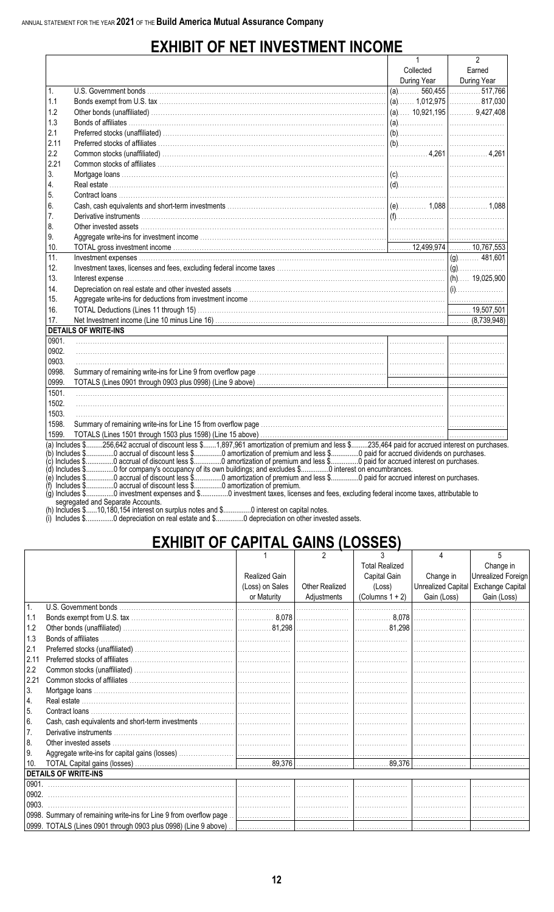## **EXHIBIT OF NET INVESTMENT INCOME**

|       |                                                                                                                                                                                                                                              | 1           | 2           |
|-------|----------------------------------------------------------------------------------------------------------------------------------------------------------------------------------------------------------------------------------------------|-------------|-------------|
|       |                                                                                                                                                                                                                                              | Collected   | Earned      |
|       |                                                                                                                                                                                                                                              | During Year | During Year |
| 1.    |                                                                                                                                                                                                                                              |             |             |
| 1.1   |                                                                                                                                                                                                                                              |             |             |
| 1.2   |                                                                                                                                                                                                                                              |             |             |
| 1.3   |                                                                                                                                                                                                                                              |             |             |
| 2.1   |                                                                                                                                                                                                                                              |             |             |
| 2.11  |                                                                                                                                                                                                                                              |             |             |
| 2.2   |                                                                                                                                                                                                                                              |             |             |
| 2.21  |                                                                                                                                                                                                                                              |             |             |
| 3.    | $\mathsf{Mortgage\,loans\,1}\,.$                                                                                                                                                                                                             |             |             |
| 4.    |                                                                                                                                                                                                                                              |             |             |
| 5.    |                                                                                                                                                                                                                                              |             |             |
| 6.    |                                                                                                                                                                                                                                              |             |             |
| 7.    |                                                                                                                                                                                                                                              |             |             |
| 8.    |                                                                                                                                                                                                                                              |             |             |
| 9.    |                                                                                                                                                                                                                                              |             |             |
| 10.   |                                                                                                                                                                                                                                              |             |             |
| 11.   |                                                                                                                                                                                                                                              |             |             |
| 12.   |                                                                                                                                                                                                                                              |             |             |
| 13.   |                                                                                                                                                                                                                                              |             |             |
| 14.   |                                                                                                                                                                                                                                              |             |             |
| 15.   |                                                                                                                                                                                                                                              |             |             |
| 16.   |                                                                                                                                                                                                                                              |             |             |
| 17.   |                                                                                                                                                                                                                                              |             |             |
|       | <b>DETAILS OF WRITE-INS</b>                                                                                                                                                                                                                  |             |             |
| 0901. | $\frac{1}{2}$ . The contract of the contract of the contract of the contract of the contract of the contract of the contract of the contract of the contract of the contract of the contract of the contract of the contract of t            |             |             |
| 0902. |                                                                                                                                                                                                                                              |             |             |
| 0903. |                                                                                                                                                                                                                                              |             |             |
| 0998. |                                                                                                                                                                                                                                              |             |             |
| 0999. |                                                                                                                                                                                                                                              |             |             |
| 1501. | $\frac{1}{2}$ . The contract of the contract of the contract of the contract of the contract of the contract of the contract of the contract of the contract of the contract of the contract of the contract of the contract of t            |             |             |
| 1502. |                                                                                                                                                                                                                                              |             |             |
| 1503. |                                                                                                                                                                                                                                              |             |             |
| 1598. |                                                                                                                                                                                                                                              |             |             |
| 1599. |                                                                                                                                                                                                                                              |             |             |
|       | (a) Includes \$256,642 accrual of discount less \$1,897,961 amortization of premium and less \$235,464 paid for accrued interest on purchases                                                                                                |             |             |
|       | (b) Includes \$0 accrual of discount less \$0 amortization of premium and less \$0 paid for accrued dividends on purchases.<br>(c) Includes \$0 accrual of discount less \$0 amortization of premium and less \$0 are interest on purchases. |             |             |
|       | (d) Includes \$0 for company's occupancy of its own buildings; and excludes \$0 interest on encumbrances.                                                                                                                                    |             |             |
|       | (e) Includes \$0 accrual of discount less \$0 amortization of premium and less \$0 paid for accrued interest on purchases.                                                                                                                   |             |             |
|       |                                                                                                                                                                                                                                              |             |             |

www.community.com/second-based and with the second process on capital flotes.<br>....0 depreciation on real estate and \$................0 depreciation on other invested assets.

## **EXHIBIT OF CAPITAL GAINS (LOSSES)**

|                |                                                                    |                 | 2                     | 3                     |                    | 5                         |
|----------------|--------------------------------------------------------------------|-----------------|-----------------------|-----------------------|--------------------|---------------------------|
|                |                                                                    |                 |                       | <b>Total Realized</b> |                    | Change in                 |
|                |                                                                    | Realized Gain   |                       | Capital Gain          | Change in          | <b>Unrealized Foreign</b> |
|                |                                                                    | (Loss) on Sales | <b>Other Realized</b> | (Loss)                | Unrealized Capital | Exchange Capital          |
|                |                                                                    | or Maturity     | Adjustments           | (Columns $1 + 2$ )    | Gain (Loss)        | Gain (Loss)               |
| $\mathbf{1}$ . |                                                                    |                 |                       |                       |                    |                           |
| 1.1            |                                                                    |                 |                       |                       |                    |                           |
| 1.2            |                                                                    |                 |                       |                       |                    |                           |
| 1.3            |                                                                    |                 |                       |                       |                    |                           |
| 2.1            |                                                                    |                 |                       |                       |                    |                           |
| 2.11           |                                                                    |                 |                       |                       |                    |                           |
| 2.2            |                                                                    |                 |                       |                       |                    |                           |
| 2.21           |                                                                    |                 |                       |                       |                    |                           |
| 3.             |                                                                    |                 |                       |                       |                    |                           |
| <sup>4.</sup>  |                                                                    |                 |                       |                       |                    |                           |
| 5.             |                                                                    |                 |                       |                       |                    |                           |
| 6.             |                                                                    |                 |                       |                       |                    |                           |
| 7.             |                                                                    |                 |                       |                       |                    |                           |
| 8.             |                                                                    |                 |                       |                       |                    |                           |
| l 9.           |                                                                    |                 |                       |                       |                    |                           |
| 10.            |                                                                    |                 |                       |                       |                    |                           |
|                | <b>DETAILS OF WRITE-INS</b>                                        |                 |                       |                       |                    |                           |
|                |                                                                    |                 |                       |                       |                    |                           |
| 0902.          |                                                                    |                 |                       |                       |                    |                           |
| 0903.          |                                                                    |                 |                       |                       |                    |                           |
|                | 0998. Summary of remaining write-ins for Line 9 from overflow page |                 |                       |                       |                    |                           |
|                |                                                                    |                 |                       |                       |                    |                           |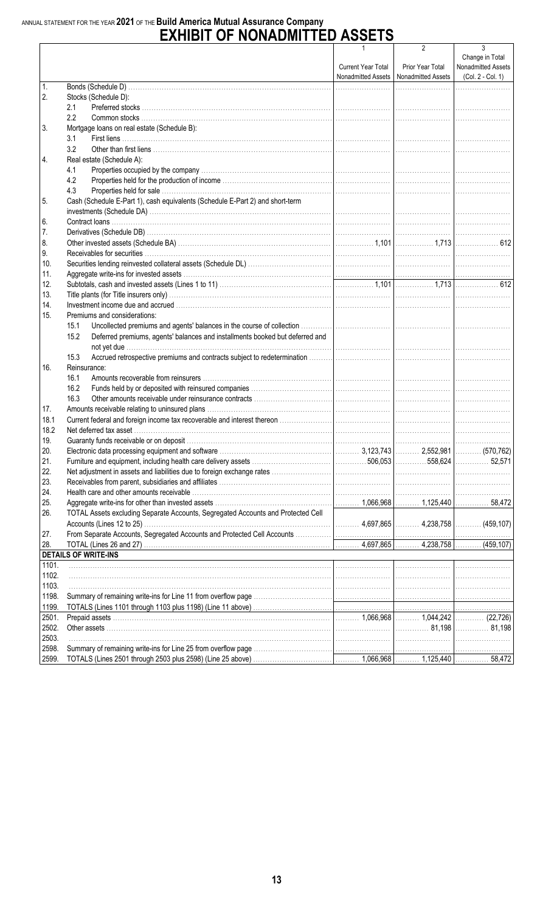# ANNUAL STATEMENT FOR THE YEAR 2021 OF THE Build America Mutual Assurance Company<br>
EXHIBIT OF NONADMITTED ASSETS

|       |                                                                                                                                                                                                                                      | 1                  | 2                                                           | 3                                                          |
|-------|--------------------------------------------------------------------------------------------------------------------------------------------------------------------------------------------------------------------------------------|--------------------|-------------------------------------------------------------|------------------------------------------------------------|
|       |                                                                                                                                                                                                                                      | Current Year Total | Prior Year Total<br>Nonadmitted Assets   Nonadmitted Assets | Change in Total<br>Nonadmitted Assets<br>(Col. 2 - Col. 1) |
| 1.    |                                                                                                                                                                                                                                      |                    |                                                             |                                                            |
| 2.    | Stocks (Schedule D):                                                                                                                                                                                                                 |                    |                                                             |                                                            |
|       | 2.1                                                                                                                                                                                                                                  |                    |                                                             |                                                            |
|       | 2.2                                                                                                                                                                                                                                  |                    |                                                             |                                                            |
| 3.    | Mortgage loans on real estate (Schedule B):                                                                                                                                                                                          |                    |                                                             |                                                            |
|       | 3.1                                                                                                                                                                                                                                  |                    |                                                             |                                                            |
|       | 3.2                                                                                                                                                                                                                                  |                    |                                                             |                                                            |
| 4.    | Real estate (Schedule A):                                                                                                                                                                                                            |                    |                                                             |                                                            |
|       | 4.1                                                                                                                                                                                                                                  |                    |                                                             |                                                            |
|       | 4.2                                                                                                                                                                                                                                  |                    |                                                             |                                                            |
|       | 4.3                                                                                                                                                                                                                                  |                    |                                                             |                                                            |
| 5.    | Cash (Schedule E-Part 1), cash equivalents (Schedule E-Part 2) and short-term                                                                                                                                                        |                    |                                                             |                                                            |
|       |                                                                                                                                                                                                                                      |                    |                                                             |                                                            |
| 6.    |                                                                                                                                                                                                                                      |                    |                                                             |                                                            |
| 7.    |                                                                                                                                                                                                                                      |                    |                                                             |                                                            |
| 8.    |                                                                                                                                                                                                                                      |                    |                                                             |                                                            |
| 9.    |                                                                                                                                                                                                                                      |                    |                                                             |                                                            |
| 10.   |                                                                                                                                                                                                                                      |                    |                                                             |                                                            |
| 11.   |                                                                                                                                                                                                                                      |                    |                                                             |                                                            |
| 12.   |                                                                                                                                                                                                                                      |                    |                                                             |                                                            |
| 13.   |                                                                                                                                                                                                                                      |                    |                                                             |                                                            |
| 14.   |                                                                                                                                                                                                                                      |                    |                                                             |                                                            |
| 15.   | Premiums and considerations:                                                                                                                                                                                                         |                    |                                                             |                                                            |
|       | 15.1                                                                                                                                                                                                                                 |                    |                                                             |                                                            |
|       | 15.2<br>Deferred premiums, agents' balances and installments booked but deferred and                                                                                                                                                 |                    |                                                             |                                                            |
|       |                                                                                                                                                                                                                                      |                    |                                                             |                                                            |
|       | 15.3                                                                                                                                                                                                                                 |                    |                                                             |                                                            |
| 16.   | Reinsurance:                                                                                                                                                                                                                         |                    |                                                             |                                                            |
|       | 16.1                                                                                                                                                                                                                                 |                    |                                                             |                                                            |
|       | 16.2                                                                                                                                                                                                                                 |                    |                                                             |                                                            |
|       | 16.3                                                                                                                                                                                                                                 |                    |                                                             |                                                            |
| 17.   |                                                                                                                                                                                                                                      |                    |                                                             |                                                            |
| 18.1  |                                                                                                                                                                                                                                      |                    |                                                             |                                                            |
| 18.2  |                                                                                                                                                                                                                                      |                    |                                                             |                                                            |
| 19.   |                                                                                                                                                                                                                                      |                    |                                                             |                                                            |
| 20.   |                                                                                                                                                                                                                                      |                    |                                                             |                                                            |
| 21.   |                                                                                                                                                                                                                                      |                    |                                                             |                                                            |
| 22.   |                                                                                                                                                                                                                                      |                    |                                                             |                                                            |
| 23.   |                                                                                                                                                                                                                                      |                    |                                                             |                                                            |
| 24.   |                                                                                                                                                                                                                                      |                    |                                                             |                                                            |
| 25.   |                                                                                                                                                                                                                                      |                    |                                                             |                                                            |
| 26.   | TOTAL Assets excluding Separate Accounts, Segregated Accounts and Protected Cell                                                                                                                                                     |                    |                                                             |                                                            |
|       |                                                                                                                                                                                                                                      |                    |                                                             |                                                            |
| 27.   |                                                                                                                                                                                                                                      |                    |                                                             |                                                            |
| 28.   |                                                                                                                                                                                                                                      |                    |                                                             |                                                            |
|       | <b>DETAILS OF WRITE-INS</b>                                                                                                                                                                                                          |                    |                                                             |                                                            |
| 1101. | <u> 1990 - 1990 - 1990 - 1990 - 1990 - 1990 - 1990 - 1990 - 1990 - 1990 - 1990 - 1990 - 1990 - 1990 - 1990 - 1990 - 1990 - 1990 - 1990 - 1990 - 1990 - 1990 - 1990 - 1990 - 1990 - 1990 - 1990 - 1990 - 1990 - 1990 - 1990 - 199</u> |                    |                                                             |                                                            |
| 1102. |                                                                                                                                                                                                                                      |                    |                                                             |                                                            |
| 1103. |                                                                                                                                                                                                                                      |                    |                                                             |                                                            |
| 1198. |                                                                                                                                                                                                                                      |                    |                                                             |                                                            |
| 1199. |                                                                                                                                                                                                                                      |                    |                                                             |                                                            |
| 2501. |                                                                                                                                                                                                                                      |                    |                                                             |                                                            |
| 2502. |                                                                                                                                                                                                                                      |                    |                                                             |                                                            |
| 2503. |                                                                                                                                                                                                                                      |                    |                                                             |                                                            |
| 2598. |                                                                                                                                                                                                                                      |                    |                                                             |                                                            |
| 2599. |                                                                                                                                                                                                                                      |                    |                                                             |                                                            |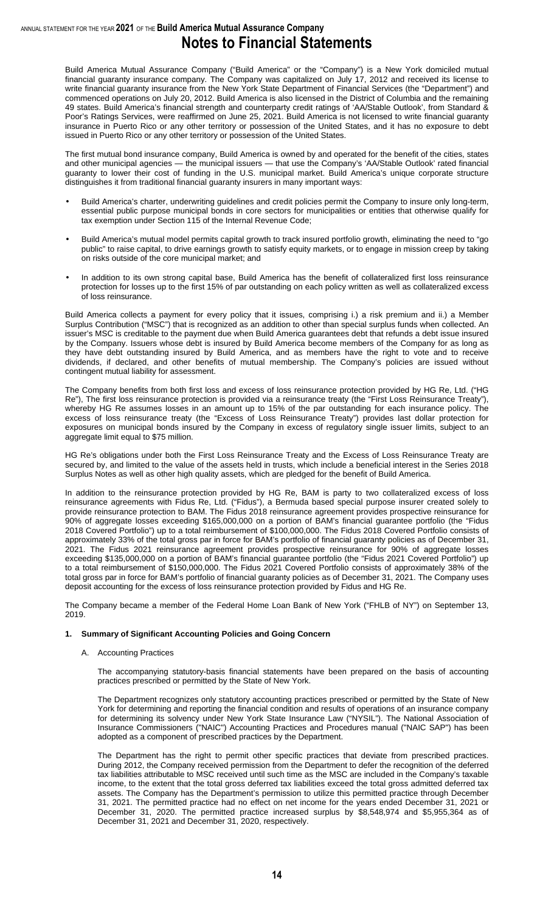Build America Mutual Assurance Company ("Build America" or the "Company") is a New York domiciled mutual financial guaranty insurance company. The Company was capitalized on July 17, 2012 and received its license to write financial guaranty insurance from the New York State Department of Financial Services (the "Department") and commenced operations on July 20, 2012. Build America is also licensed in the District of Columbia and the remaining 49 states. Build America's financial strength and counterparty credit ratings of 'AA/Stable Outlook', from Standard & Poor's Ratings Services, were reaffirmed on June 25, 2021. Build America is not licensed to write financial guaranty insurance in Puerto Rico or any other territory or possession of the United States, and it has no exposure to debt issued in Puerto Rico or any other territory or possession of the United States.

The first mutual bond insurance company, Build America is owned by and operated for the benefit of the cities, states and other municipal agencies — the municipal issuers — that use the Company's 'AA/Stable Outlook' rated financial guaranty to lower their cost of funding in the U.S. municipal market. Build America's unique corporate structure distinguishes it from traditional financial guaranty insurers in many important ways:

- Build America's charter, underwriting guidelines and credit policies permit the Company to insure only long-term, essential public purpose municipal bonds in core sectors for municipalities or entities that otherwise qualify for tax exemption under Section 115 of the Internal Revenue Code;
- Build America's mutual model permits capital growth to track insured portfolio growth, eliminating the need to "go public" to raise capital, to drive earnings growth to satisfy equity markets, or to engage in mission creep by taking on risks outside of the core municipal market; and
- In addition to its own strong capital base, Build America has the benefit of collateralized first loss reinsurance protection for losses up to the first 15% of par outstanding on each policy written as well as collateralized excess of loss reinsurance.

Build America collects a payment for every policy that it issues, comprising i.) a risk premium and ii.) a Member Surplus Contribution ("MSC") that is recognized as an addition to other than special surplus funds when collected. An issuer's MSC is creditable to the payment due when Build America guarantees debt that refunds a debt issue insured by the Company. Issuers whose debt is insured by Build America become members of the Company for as long as they have debt outstanding insured by Build America, and as members have the right to vote and to receive dividends, if declared, and other benefits of mutual membership. The Company's policies are issued without contingent mutual liability for assessment.

The Company benefits from both first loss and excess of loss reinsurance protection provided by HG Re, Ltd. ("HG Re"), The first loss reinsurance protection is provided via a reinsurance treaty (the "First Loss Reinsurance Treaty"), whereby HG Re assumes losses in an amount up to 15% of the par outstanding for each insurance policy. The excess of loss reinsurance treaty (the "Excess of Loss Reinsurance Treaty") provides last dollar protection for exposures on municipal bonds insured by the Company in excess of regulatory single issuer limits, subject to an aggregate limit equal to \$75 million.

HG Re's obligations under both the First Loss Reinsurance Treaty and the Excess of Loss Reinsurance Treaty are secured by, and limited to the value of the assets held in trusts, which include a beneficial interest in the Series 2018 Surplus Notes as well as other high quality assets, which are pledged for the benefit of Build America.

In addition to the reinsurance protection provided by HG Re, BAM is party to two collateralized excess of loss reinsurance agreements with Fidus Re, Ltd. ("Fidus"), a Bermuda based special purpose insurer created solely to provide reinsurance protection to BAM. The Fidus 2018 reinsurance agreement provides prospective reinsurance for 90% of aggregate losses exceeding \$165,000,000 on a portion of BAM's financial guarantee portfolio (the "Fidus 2018 Covered Portfolio") up to a total reimbursement of \$100,000,000. The Fidus 2018 Covered Portfolio consists of approximately 33% of the total gross par in force for BAM's portfolio of financial guaranty policies as of December 31, 2021. The Fidus 2021 reinsurance agreement provides prospective reinsurance for 90% of aggregate losses exceeding \$135,000,000 on a portion of BAM's financial guarantee portfolio (the "Fidus 2021 Covered Portfolio") up to a total reimbursement of \$150,000,000. The Fidus 2021 Covered Portfolio consists of approximately 38% of the total gross par in force for BAM's portfolio of financial guaranty policies as of December 31, 2021. The Company uses deposit accounting for the excess of loss reinsurance protection provided by Fidus and HG Re.

The Company became a member of the Federal Home Loan Bank of New York ("FHLB of NY") on September 13, 2019.

#### **1. Summary of Significant Accounting Policies and Going Concern**

#### A. Accounting Practices

The accompanying statutory-basis financial statements have been prepared on the basis of accounting practices prescribed or permitted by the State of New York.

The Department recognizes only statutory accounting practices prescribed or permitted by the State of New York for determining and reporting the financial condition and results of operations of an insurance company for determining its solvency under New York State Insurance Law ("NYSIL"). The National Association of Insurance Commissioners ("NAIC") Accounting Practices and Procedures manual ("NAIC SAP") has been adopted as a component of prescribed practices by the Department.

The Department has the right to permit other specific practices that deviate from prescribed practices. During 2012, the Company received permission from the Department to defer the recognition of the deferred tax liabilities attributable to MSC received until such time as the MSC are included in the Company's taxable income, to the extent that the total gross deferred tax liabilities exceed the total gross admitted deferred tax assets. The Company has the Department's permission to utilize this permitted practice through December 31, 2021. The permitted practice had no effect on net income for the years ended December 31, 2021 or December 31, 2020. The permitted practice increased surplus by \$8,548,974 and \$5,955,364 as of December 31, 2021 and December 31, 2020, respectively.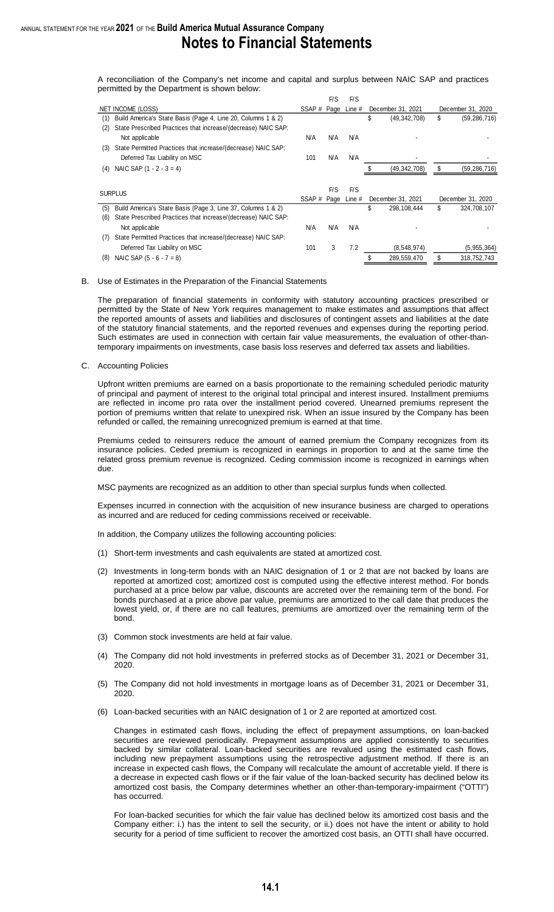A reconciliation of the Company's net income and capital and surplus between NAIC SAP and practices permitted by the Department is shown below:

|     |                                                               |             | F/S        | F/S         |                      |    |                   |
|-----|---------------------------------------------------------------|-------------|------------|-------------|----------------------|----|-------------------|
|     | NET INCOME (LOSS)                                             | SSAP # Page |            | Line #      | December 31, 2021    |    | December 31, 2020 |
| (1) | Build America's State Basis (Page 4, Line 20, Columns 1 & 2)  |             |            |             | \$<br>(49, 342, 708) | \$ | (59, 286, 716)    |
| (2) | State Prescribed Practices that increase/(decrease) NAIC SAP: |             |            |             |                      |    |                   |
|     | Not applicable                                                | N/A         | N/A        | N/A         |                      |    |                   |
| (3) | State Permitted Practices that increase/(decrease) NAIC SAP:  |             |            |             |                      |    |                   |
|     | Deferred Tax Liability on MSC                                 | 101         | <b>N/A</b> | N/A         |                      |    |                   |
| (4) | NAIC SAP $(1 - 2 - 3 = 4)$                                    |             |            |             | (49,342,708)         | S  | (59,286,716)      |
|     |                                                               |             |            |             |                      |    |                   |
|     | <b>SURPLUS</b>                                                |             | F/S        | F/S         |                      |    |                   |
|     |                                                               | SSAP#       |            | Page Line # | December 31, 2021    |    | December 31, 2020 |
| (5) | Build America's State Basis (Page 3, Line 37, Columns 1 & 2)  |             |            |             | \$<br>298,108,444    | \$ | 324,708,107       |
| (6) | State Prescribed Practices that increase/(decrease) NAIC SAP: |             |            |             |                      |    |                   |
|     | Not applicable                                                | N/A         | N/A        | N/A         |                      |    |                   |
| (7) | State Permitted Practices that increase/(decrease) NAIC SAP:  |             |            |             |                      |    |                   |
|     | Deferred Tax Liability on MSC                                 | 101         | 3          | 7.2         | (8,548,974)          |    | (5, 955, 364)     |
| (8) | NAIC SAP $(5 - 6 - 7 = 8)$                                    |             |            |             | 289,559,470          | S  | 318,752,743       |

#### B. Use of Estimates in the Preparation of the Financial Statements

The preparation of financial statements in conformity with statutory accounting practices prescribed or permitted by the State of New York requires management to make estimates and assumptions that affect the reported amounts of assets and liabilities and disclosures of contingent assets and liabilities at the date of the statutory financial statements, and the reported revenues and expenses during the reporting period. Such estimates are used in connection with certain fair value measurements, the evaluation of other-thantemporary impairments on investments, case basis loss reserves and deferred tax assets and liabilities.

C. Accounting Policies

Upfront written premiums are earned on a basis proportionate to the remaining scheduled periodic maturity of principal and payment of interest to the original total principal and interest insured. Installment premiums are reflected in income pro rata over the installment period covered. Unearned premiums represent the portion of premiums written that relate to unexpired risk. When an issue insured by the Company has been refunded or called, the remaining unrecognized premium is earned at that time.

Premiums ceded to reinsurers reduce the amount of earned premium the Company recognizes from its insurance policies. Ceded premium is recognized in earnings in proportion to and at the same time the related gross premium revenue is recognized. Ceding commission income is recognized in earnings when due.

MSC payments are recognized as an addition to other than special surplus funds when collected.

Expenses incurred in connection with the acquisition of new insurance business are charged to operations as incurred and are reduced for ceding commissions received or receivable.

In addition, the Company utilizes the following accounting policies:

- (1) Short-term investments and cash equivalents are stated at amortized cost.
- (2) Investments in long-term bonds with an NAIC designation of 1 or 2 that are not backed by loans are reported at amortized cost; amortized cost is computed using the effective interest method. For bonds purchased at a price below par value, discounts are accreted over the remaining term of the bond. For bonds purchased at a price above par value, premiums are amortized to the call date that produces the lowest yield, or, if there are no call features, premiums are amortized over the remaining term of the bond.
- (3) Common stock investments are held at fair value.
- (4) The Company did not hold investments in preferred stocks as of December 31, 2021 or December 31, 2020.
- (5) The Company did not hold investments in mortgage loans as of December 31, 2021 or December 31, 2020.
- (6) Loan-backed securities with an NAIC designation of 1 or 2 are reported at amortized cost.

Changes in estimated cash flows, including the effect of prepayment assumptions, on loan-backed securities are reviewed periodically. Prepayment assumptions are applied consistently to securities backed by similar collateral. Loan-backed securities are revalued using the estimated cash flows, including new prepayment assumptions using the retrospective adjustment method. If there is an increase in expected cash flows, the Company will recalculate the amount of accretable yield. If there is a decrease in expected cash flows or if the fair value of the loan-backed security has declined below its amortized cost basis, the Company determines whether an other-than-temporary-impairment ("OTTI") has occurred.

For loan-backed securities for which the fair value has declined below its amortized cost basis and the Company either: i.) has the intent to sell the security, or ii.) does not have the intent or ability to hold security for a period of time sufficient to recover the amortized cost basis, an OTTI shall have occurred.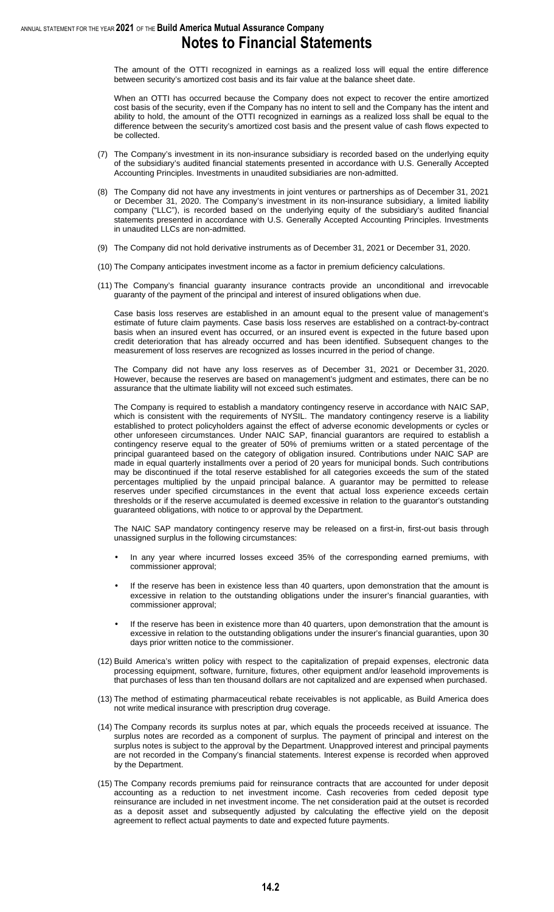The amount of the OTTI recognized in earnings as a realized loss will equal the entire difference between security's amortized cost basis and its fair value at the balance sheet date.

When an OTTI has occurred because the Company does not expect to recover the entire amortized cost basis of the security, even if the Company has no intent to sell and the Company has the intent and ability to hold, the amount of the OTTI recognized in earnings as a realized loss shall be equal to the difference between the security's amortized cost basis and the present value of cash flows expected to be collected.

- (7) The Company's investment in its non-insurance subsidiary is recorded based on the underlying equity of the subsidiary's audited financial statements presented in accordance with U.S. Generally Accepted Accounting Principles. Investments in unaudited subsidiaries are non-admitted.
- (8) The Company did not have any investments in joint ventures or partnerships as of December 31, 2021 or December 31, 2020. The Company's investment in its non-insurance subsidiary, a limited liability company ("LLC"), is recorded based on the underlying equity of the subsidiary's audited financial statements presented in accordance with U.S. Generally Accepted Accounting Principles. Investments in unaudited LLCs are non-admitted.
- (9) The Company did not hold derivative instruments as of December 31, 2021 or December 31, 2020.
- (10) The Company anticipates investment income as a factor in premium deficiency calculations.
- (11) The Company's financial guaranty insurance contracts provide an unconditional and irrevocable guaranty of the payment of the principal and interest of insured obligations when due.

Case basis loss reserves are established in an amount equal to the present value of management's estimate of future claim payments. Case basis loss reserves are established on a contract-by-contract basis when an insured event has occurred, or an insured event is expected in the future based upon credit deterioration that has already occurred and has been identified. Subsequent changes to the measurement of loss reserves are recognized as losses incurred in the period of change.

The Company did not have any loss reserves as of December 31, 2021 or December 31, 2020. However, because the reserves are based on management's judgment and estimates, there can be no assurance that the ultimate liability will not exceed such estimates.

The Company is required to establish a mandatory contingency reserve in accordance with NAIC SAP, which is consistent with the requirements of NYSIL. The mandatory contingency reserve is a liability established to protect policyholders against the effect of adverse economic developments or cycles or other unforeseen circumstances. Under NAIC SAP, financial guarantors are required to establish a contingency reserve equal to the greater of 50% of premiums written or a stated percentage of the principal guaranteed based on the category of obligation insured. Contributions under NAIC SAP are made in equal quarterly installments over a period of 20 years for municipal bonds. Such contributions may be discontinued if the total reserve established for all categories exceeds the sum of the stated percentages multiplied by the unpaid principal balance. A guarantor may be permitted to release reserves under specified circumstances in the event that actual loss experience exceeds certain thresholds or if the reserve accumulated is deemed excessive in relation to the guarantor's outstanding guaranteed obligations, with notice to or approval by the Department.

The NAIC SAP mandatory contingency reserve may be released on a first-in, first-out basis through unassigned surplus in the following circumstances:

- In any year where incurred losses exceed 35% of the corresponding earned premiums, with commissioner approval;
- If the reserve has been in existence less than 40 quarters, upon demonstration that the amount is excessive in relation to the outstanding obligations under the insurer's financial guaranties, with commissioner approval;
- If the reserve has been in existence more than 40 quarters, upon demonstration that the amount is excessive in relation to the outstanding obligations under the insurer's financial guaranties, upon 30 days prior written notice to the commissioner.
- (12) Build America's written policy with respect to the capitalization of prepaid expenses, electronic data processing equipment, software, furniture, fixtures, other equipment and/or leasehold improvements is that purchases of less than ten thousand dollars are not capitalized and are expensed when purchased.
- (13) The method of estimating pharmaceutical rebate receivables is not applicable, as Build America does not write medical insurance with prescription drug coverage.
- (14) The Company records its surplus notes at par, which equals the proceeds received at issuance. The surplus notes are recorded as a component of surplus. The payment of principal and interest on the surplus notes is subject to the approval by the Department. Unapproved interest and principal payments are not recorded in the Company's financial statements. Interest expense is recorded when approved by the Department.
- (15) The Company records premiums paid for reinsurance contracts that are accounted for under deposit accounting as a reduction to net investment income. Cash recoveries from ceded deposit type reinsurance are included in net investment income. The net consideration paid at the outset is recorded as a deposit asset and subsequently adjusted by calculating the effective yield on the deposit agreement to reflect actual payments to date and expected future payments.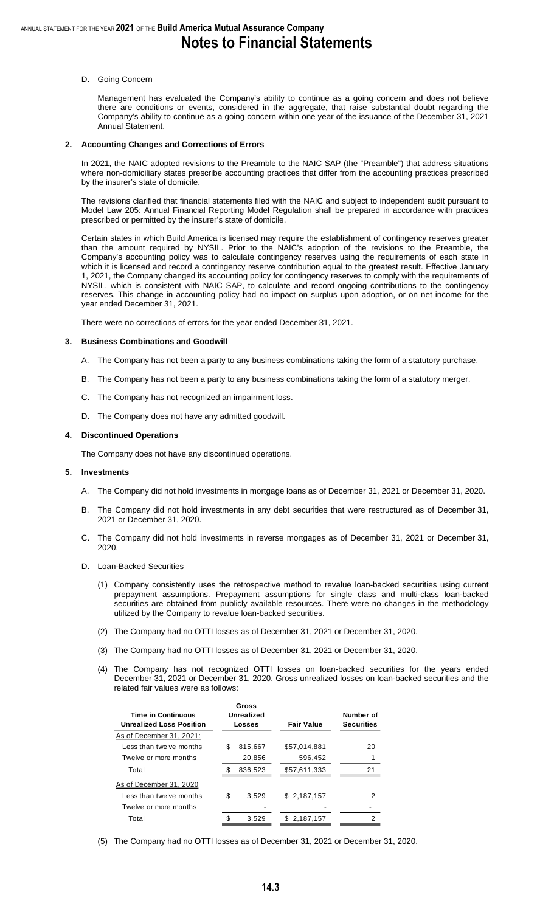#### D. Going Concern

Management has evaluated the Company's ability to continue as a going concern and does not believe there are conditions or events, considered in the aggregate, that raise substantial doubt regarding the Company's ability to continue as a going concern within one year of the issuance of the December 31, 2021 Annual Statement.

#### **2. Accounting Changes and Corrections of Errors**

In 2021, the NAIC adopted revisions to the Preamble to the NAIC SAP (the "Preamble") that address situations where non-domiciliary states prescribe accounting practices that differ from the accounting practices prescribed by the insurer's state of domicile.

The revisions clarified that financial statements filed with the NAIC and subject to independent audit pursuant to Model Law 205: Annual Financial Reporting Model Regulation shall be prepared in accordance with practices prescribed or permitted by the insurer's state of domicile.

Certain states in which Build America is licensed may require the establishment of contingency reserves greater than the amount required by NYSIL. Prior to the NAIC's adoption of the revisions to the Preamble, the Company's accounting policy was to calculate contingency reserves using the requirements of each state in which it is licensed and record a contingency reserve contribution equal to the greatest result. Effective January 1, 2021, the Company changed its accounting policy for contingency reserves to comply with the requirements of NYSIL, which is consistent with NAIC SAP, to calculate and record ongoing contributions to the contingency reserves. This change in accounting policy had no impact on surplus upon adoption, or on net income for the year ended December 31, 2021.

There were no corrections of errors for the year ended December 31, 2021.

#### **3. Business Combinations and Goodwill**

- A. The Company has not been a party to any business combinations taking the form of a statutory purchase.
- B. The Company has not been a party to any business combinations taking the form of a statutory merger.
- C. The Company has not recognized an impairment loss.
- D. The Company does not have any admitted goodwill.

#### **4. Discontinued Operations**

The Company does not have any discontinued operations.

#### **5. Investments**

- A. The Company did not hold investments in mortgage loans as of December 31, 2021 or December 31, 2020.
- B. The Company did not hold investments in any debt securities that were restructured as of December 31, 2021 or December 31, 2020.
- C. The Company did not hold investments in reverse mortgages as of December 31, 2021 or December 31, 2020.
- D. Loan-Backed Securities
	- (1) Company consistently uses the retrospective method to revalue loan-backed securities using current prepayment assumptions. Prepayment assumptions for single class and multi-class loan-backed securities are obtained from publicly available resources. There were no changes in the methodology utilized by the Company to revalue loan-backed securities.
	- (2) The Company had no OTTI losses as of December 31, 2021 or December 31, 2020.
	- (3) The Company had no OTTI losses as of December 31, 2021 or December 31, 2020.
	- (4) The Company has not recognized OTTI losses on loan-backed securities for the years ended December 31, 2021 or December 31, 2020. Gross unrealized losses on loan-backed securities and the related fair values were as follows:

| <b>Time in Continuous</b><br><b>Unrealized Loss Position</b> |    | Gross<br>Unrealized<br>Losses | <b>Fair Value</b> | Number of<br><b>Securities</b> |
|--------------------------------------------------------------|----|-------------------------------|-------------------|--------------------------------|
| As of December 31, 2021:                                     |    |                               |                   |                                |
| Less than twelve months                                      | S  | 815.667                       | \$57,014,881      | 20                             |
| Twelve or more months                                        |    | 20,856                        | 596,452           |                                |
| Total                                                        |    | 836,523                       | \$57,611,333      | 21                             |
| As of December 31, 2020                                      |    |                               |                   |                                |
| Less than twelve months                                      | \$ | 3.529                         | \$2.187.157       | 2                              |
| Twelve or more months                                        |    |                               |                   |                                |
| Total                                                        |    | 3.529                         | \$2,187,157       | 2                              |

(5) The Company had no OTTI losses as of December 31, 2021 or December 31, 2020.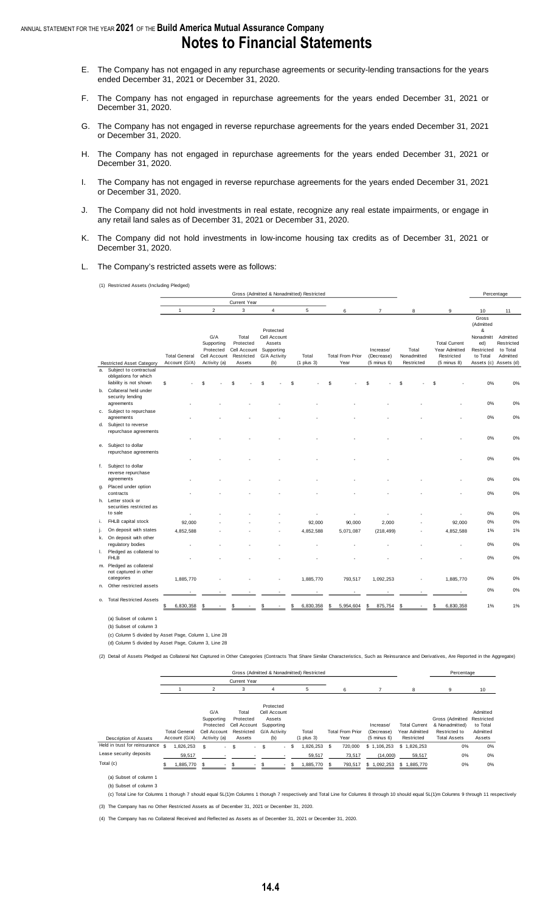- E. The Company has not engaged in any repurchase agreements or security-lending transactions for the years ended December 31, 2021 or December 31, 2020.
- F. The Company has not engaged in repurchase agreements for the years ended December 31, 2021 or December 31, 2020.
- G. The Company has not engaged in reverse repurchase agreements for the years ended December 31, 2021 or December 31, 2020.
- H. The Company has not engaged in repurchase agreements for the years ended December 31, 2021 or December 31, 2020.
- I. The Company has not engaged in reverse repurchase agreements for the years ended December 31, 2021 or December 31, 2020.
- J. The Company did not hold investments in real estate, recognize any real estate impairments, or engage in any retail land sales as of December 31, 2021 or December 31, 2020.
- K. The Company did not hold investments in low-income housing tax credits as of December 31, 2021 or December 31, 2020.
- L. The Company's restricted assets were as follows:

(1) Restricted Assets (Including Pledged)

|    |                                                                 |                                       |                                                                |                                                            |                                                                          | Gross (Admitted & Nonadmitted) Restricted |                                 |                                                   |                                    |                                                                               |                                                                                                | Percentage                                     |
|----|-----------------------------------------------------------------|---------------------------------------|----------------------------------------------------------------|------------------------------------------------------------|--------------------------------------------------------------------------|-------------------------------------------|---------------------------------|---------------------------------------------------|------------------------------------|-------------------------------------------------------------------------------|------------------------------------------------------------------------------------------------|------------------------------------------------|
|    |                                                                 |                                       |                                                                | Current Year                                               |                                                                          |                                           |                                 |                                                   |                                    |                                                                               |                                                                                                |                                                |
|    |                                                                 | $\mathbf{1}$                          | $\overline{2}$                                                 | 3                                                          | $\overline{4}$                                                           | 5                                         | 6                               | $\overline{7}$                                    | 8                                  | 9                                                                             | 10                                                                                             | 11                                             |
|    | <b>Restricted Asset Category</b>                                | <b>Total General</b><br>Account (G/A) | G/A<br>Supporting<br>Protected<br>Cell Account<br>Activity (a) | Total<br>Protected<br>Cell Account<br>Restricted<br>Assets | Protected<br>Cell Account<br>Assets<br>Supporting<br>G/A Activity<br>(b) | Total<br>$(1$ plus $3)$                   | <b>Total From Prior</b><br>Year | Increase/<br>(Decrease)<br>$(5 \text{ minus } 6)$ | Total<br>Nonadmitted<br>Restricted | <b>Total Current</b><br>Year Admitted<br>Restricted<br>$(5 \text{ minus } 8)$ | Gross<br>(Admitted<br>&<br>Nonadmitt<br>ed)<br>Restricted<br>to Total<br>Assets (c) Assets (d) | Admitted<br>Restricted<br>to Total<br>Admitted |
|    | a. Subject to contractual                                       |                                       |                                                                |                                                            |                                                                          |                                           |                                 |                                                   |                                    |                                                                               |                                                                                                |                                                |
|    | obligations for which<br>liability is not shown                 | \$                                    | \$.                                                            | ς                                                          | ٩                                                                        | \$                                        | \$                              | \$.                                               | \$                                 | S                                                                             | 0%                                                                                             | 0%                                             |
|    | b. Collateral held under<br>security lending                    |                                       |                                                                |                                                            |                                                                          |                                           |                                 |                                                   |                                    |                                                                               |                                                                                                |                                                |
|    | agreements                                                      |                                       |                                                                |                                                            |                                                                          |                                           |                                 |                                                   |                                    |                                                                               | 0%                                                                                             | 0%                                             |
|    | c. Subject to repurchase<br>agreements                          |                                       |                                                                |                                                            |                                                                          |                                           |                                 |                                                   |                                    |                                                                               | 0%                                                                                             | 0%                                             |
|    | d. Subject to reverse<br>repurchase agreements                  |                                       |                                                                |                                                            |                                                                          |                                           |                                 |                                                   |                                    |                                                                               |                                                                                                |                                                |
|    | e. Subject to dollar<br>repurchase agreements                   |                                       |                                                                |                                                            |                                                                          |                                           |                                 |                                                   |                                    |                                                                               | 0%                                                                                             | 0%                                             |
|    |                                                                 |                                       |                                                                |                                                            |                                                                          |                                           |                                 |                                                   |                                    |                                                                               | 0%                                                                                             | 0%                                             |
|    | f. Subject to dollar<br>reverse repurchase<br>agreements        |                                       |                                                                |                                                            |                                                                          |                                           |                                 |                                                   |                                    |                                                                               | 0%                                                                                             | 0%                                             |
| g. | Placed under option                                             |                                       |                                                                |                                                            |                                                                          |                                           |                                 |                                                   |                                    |                                                                               |                                                                                                |                                                |
|    | contracts                                                       |                                       |                                                                |                                                            |                                                                          |                                           |                                 |                                                   |                                    |                                                                               | 0%                                                                                             | 0%                                             |
|    | h. Letter stock or<br>securities restricted as<br>to sale       |                                       |                                                                |                                                            |                                                                          |                                           |                                 |                                                   |                                    |                                                                               | 0%                                                                                             | 0%                                             |
| i. | FHLB capital stock                                              |                                       |                                                                |                                                            |                                                                          |                                           |                                 |                                                   |                                    |                                                                               | 0%                                                                                             | 0%                                             |
| j. | On deposit with states                                          | 92,000                                |                                                                |                                                            |                                                                          | 92,000                                    | 90,000                          | 2,000                                             |                                    | 92,000                                                                        | 1%                                                                                             | 1%                                             |
|    | k. On deposit with other                                        | 4,852,588                             |                                                                |                                                            |                                                                          | 4,852,588                                 | 5,071,087                       | (218, 499)                                        |                                    | 4,852,588                                                                     |                                                                                                |                                                |
|    | regulatory bodies                                               |                                       |                                                                |                                                            |                                                                          |                                           |                                 |                                                   |                                    |                                                                               | 0%                                                                                             | 0%                                             |
|    | I. Pledged as collateral to<br><b>FHLB</b>                      |                                       |                                                                |                                                            |                                                                          |                                           |                                 |                                                   |                                    |                                                                               | 0%                                                                                             | 0%                                             |
|    | m. Pledged as collateral<br>not captured in other<br>categories | 1,885,770                             |                                                                |                                                            |                                                                          | 1,885,770                                 | 793,517                         | 1,092,253                                         |                                    | 1,885,770                                                                     | 0%                                                                                             | 0%                                             |
| n. | Other restricted assets                                         |                                       |                                                                |                                                            |                                                                          |                                           |                                 |                                                   |                                    |                                                                               |                                                                                                |                                                |
|    |                                                                 |                                       |                                                                |                                                            |                                                                          |                                           |                                 |                                                   |                                    |                                                                               | 0%                                                                                             | 0%                                             |
|    | o. Total Restricted Assets                                      | 6,830,358                             |                                                                |                                                            |                                                                          | 6,830,358                                 | 5,954,604                       | 875,754                                           |                                    | 6,830,358                                                                     | 1%                                                                                             | 1%                                             |
|    | (a) Subset of column 1                                          |                                       |                                                                |                                                            |                                                                          |                                           |                                 |                                                   |                                    |                                                                               |                                                                                                |                                                |

(b) Subset of column 3

(c) Column 5 divided by Asset Page, Column 1, Line 28

(d) Column 5 divided by Asset Page, Column 3, Line 28

(2) Detail of Assets Pledged as Collateral Not Captured in Other Categories (Contracts That Share Similar Characteristics, Such as Reinsurance and Derivatives, Are Reported in the Aggregate)

|                                 |                                       |                |                                                                |                                                            |                                                                          |        | Gross (Admitted & Nonadmitted) Restricted |    |                                 |                                                   |                                                     | Percentage                                                                |                                                          |
|---------------------------------|---------------------------------------|----------------|----------------------------------------------------------------|------------------------------------------------------------|--------------------------------------------------------------------------|--------|-------------------------------------------|----|---------------------------------|---------------------------------------------------|-----------------------------------------------------|---------------------------------------------------------------------------|----------------------------------------------------------|
|                                 |                                       |                |                                                                | <b>Current Year</b>                                        |                                                                          |        |                                           |    |                                 |                                                   |                                                     |                                                                           |                                                          |
|                                 |                                       | $\mathfrak{p}$ |                                                                | 3                                                          | 4                                                                        |        | 5                                         |    | 6                               |                                                   | 8                                                   | 9                                                                         | 10                                                       |
| Description of Assets           | <b>Total General</b><br>Account (G/A) |                | G/A<br>Supporting<br>Protected<br>Cell Account<br>Activity (a) | Total<br>Protected<br>Cell Account<br>Restricted<br>Assets | Protected<br>Cell Account<br>Assets<br>Supporting<br>G/A Activity<br>(b) |        | Total<br>$(1$ plus $3)$                   |    | <b>Total From Prior</b><br>Year | Increase/<br>(Decrease)<br>$(5 \text{ minus } 6)$ | <b>Total Current</b><br>Year Admitted<br>Restricted | Gross (Admitted<br>& Nonadmitted)<br>Restricted to<br><b>Total Assets</b> | Admitted<br>Restricted<br>to Total<br>Admitted<br>Assets |
| Held in trust for reinsurance s | 1,826,253                             | \$.            | . .                                                            | \$<br>$\sim$                                               | \$                                                                       | $-$ \$ | ,826,253                                  | \$ | 720.000                         | \$1,106,253                                       | \$1.826.253                                         | 0%                                                                        | 0%                                                       |
| Lease security deposits         | 59,517                                |                |                                                                |                                                            |                                                                          |        | 59,517                                    |    | 73,517                          | (14,000)                                          | 59,517                                              | 0%                                                                        | 0%                                                       |
| Total (c)                       | ,885,770                              |                |                                                                |                                                            |                                                                          |        | .885.770                                  | £. | 793,517                         | \$1,092,253                                       | \$1,885,770                                         | 0%                                                                        | 0%                                                       |
| $(a)$ Subest of column 1        |                                       |                |                                                                |                                                            |                                                                          |        |                                           |    |                                 |                                                   |                                                     |                                                                           |                                                          |

(a) Subset of column 1

(b) Subset of column 3

(3) The Company has no Other Restricted Assets as of December 31, 2021 or December 31, 2020. (c) Total Line for Columns 1 thorugh 7 should equal 5L(1)m Columns 1 thorugh 7 respectively and Total Line for Columns 8 through 10 should equal 5L(1)m Columns 9 through 11 respectively

(4) The Company has no Collateral Received and Reflected as Assets as of December 31, 2021 or December 31, 2020.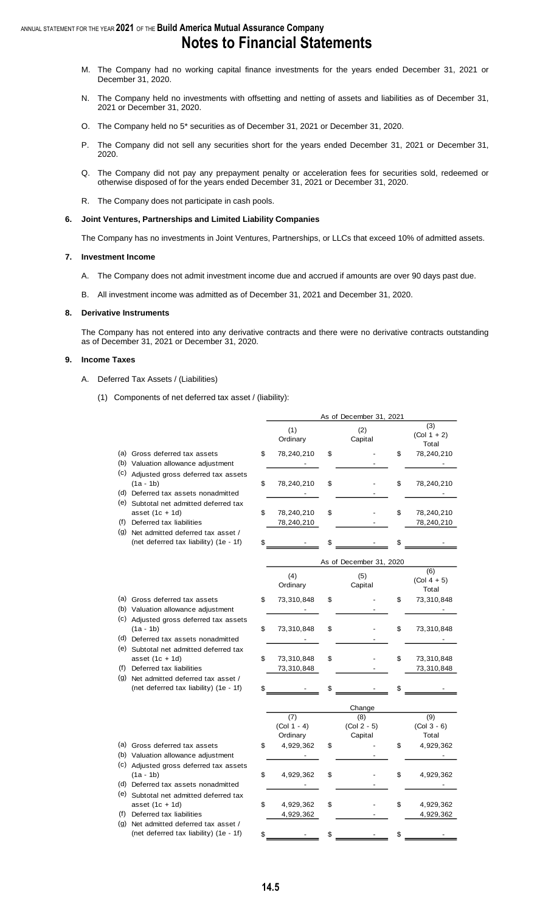- M. The Company had no working capital finance investments for the years ended December 31, 2021 or December 31, 2020.
- N. The Company held no investments with offsetting and netting of assets and liabilities as of December 31, 2021 or December 31, 2020.
- O. The Company held no 5\* securities as of December 31, 2021 or December 31, 2020.
- P. The Company did not sell any securities short for the years ended December 31, 2021 or December 31, 2020.
- Q. The Company did not pay any prepayment penalty or acceleration fees for securities sold, redeemed or otherwise disposed of for the years ended December 31, 2021 or December 31, 2020.
- R. The Company does not participate in cash pools.

#### **6. Joint Ventures, Partnerships and Limited Liability Companies**

The Company has no investments in Joint Ventures, Partnerships, or LLCs that exceed 10% of admitted assets.

#### **7. Investment Income**

- A. The Company does not admit investment income due and accrued if amounts are over 90 days past due.
- B. All investment income was admitted as of December 31, 2021 and December 31, 2020.

#### **8. Derivative Instruments**

The Company has not entered into any derivative contracts and there were no derivative contracts outstanding as of December 31, 2021 or December 31, 2020.

#### **9. Income Taxes**

- A. Deferred Tax Assets / (Liabilities)
	- (1) Components of net deferred tax asset / (liability):

|     |                                                                                              |                                  | As of December 31, 2021         |                                           |
|-----|----------------------------------------------------------------------------------------------|----------------------------------|---------------------------------|-------------------------------------------|
|     |                                                                                              | (1)<br>Ordinary                  | (2)<br>Capital                  | $\overline{3)}$<br>$(Col 1 + 2)$<br>Total |
|     | (a) Gross deferred tax assets<br>(b) Valuation allowance adjustment                          | \$<br>78,240,210                 | \$                              | \$<br>78,240,210                          |
|     | (c) Adjusted gross deferred tax assets<br>$(1a - 1b)$<br>(d) Deferred tax assets nonadmitted | \$<br>78,240,210                 | \$                              | \$<br>78,240,210                          |
| (f) | (e) Subtotal net admitted deferred tax<br>asset $(1c + 1d)$<br>Deferred tax liabilities      | \$<br>78,240,210                 | \$                              | \$<br>78,240,210                          |
|     | (g) Net admitted deferred tax asset /<br>(net deferred tax liability) (1e - 1f)              | \$<br>78,240,210                 | \$                              | \$<br>78,240,210                          |
|     |                                                                                              |                                  | As of December 31, 2020         |                                           |
|     |                                                                                              | (4)<br>Ordinary                  | (5)<br>Capital                  | (6)<br>$(Col 4 + 5)$<br>Total             |
|     | (a) Gross deferred tax assets<br>(b) Valuation allowance adjustment                          | \$<br>73,310,848                 | \$                              | \$<br>73,310,848                          |
|     | (c) Adjusted gross deferred tax assets<br>$(1a - 1b)$<br>(d) Deferred tax assets nonadmitted | \$<br>73,310,848                 | \$                              | \$<br>73,310,848                          |
| (e) | Subtotal net admitted deferred tax<br>asset $(1c + 1d)$<br>(f) Deferred tax liabilities      | \$<br>73,310,848<br>73,310,848   | \$                              | \$<br>73,310,848<br>73,310,848            |
| (g) | Net admitted deferred tax asset /<br>(net deferred tax liability) (1e - 1f)                  | \$                               | \$                              | \$                                        |
|     |                                                                                              |                                  | Change                          |                                           |
|     |                                                                                              | (7)<br>$(Col 1 - 4)$<br>Ordinary | (8)<br>$(Col 2 - 5)$<br>Capital | (9)<br>$(Col 3 - 6)$<br>Total             |
|     | (a) Gross deferred tax assets<br>(b) Valuation allowance adjustment                          | \$<br>4,929,362                  | \$                              | \$<br>4,929,362                           |
|     | (c) Adjusted gross deferred tax assets<br>$(1a - 1b)$<br>(d) Deferred tax assets nonadmitted | \$<br>4,929,362                  | \$                              | \$<br>4,929,362                           |
| (f) | (e) Subtotal net admitted deferred tax<br>asset $(1c + 1d)$<br>Deferred tax liabilities      | \$<br>4,929,362<br>4,929,362     | \$                              | \$<br>4,929,362<br>4,929,362              |
| (g) | Net admitted deferred tax asset /<br>(net deferred tax liability) (1e - 1f)                  | \$                               | \$                              | \$                                        |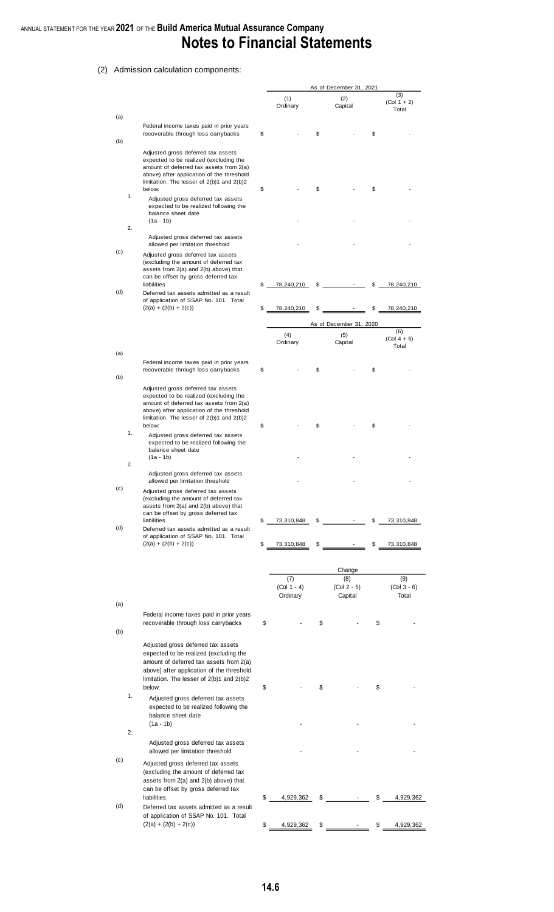### ANNUAL STATEMENT FOR THE YEAR **2021** OF THE **Build America Mutual Assurance Company Notes to Financial Statements**

#### (2) Admission calculation components:

|            |                                                                                                                                                                                                                                 |          |                           |          | As of December 31, 2021                   |          |                               |
|------------|---------------------------------------------------------------------------------------------------------------------------------------------------------------------------------------------------------------------------------|----------|---------------------------|----------|-------------------------------------------|----------|-------------------------------|
| (a)        |                                                                                                                                                                                                                                 |          | (1)<br>Ordinary           |          | (2)<br>Capital                            |          | (3)<br>$(Col 1 + 2)$<br>Total |
|            | Federal income taxes paid in prior years<br>recoverable through loss carrybacks                                                                                                                                                 | \$       |                           | \$       |                                           | \$       |                               |
| (b)        | Adjusted gross deferred tax assets<br>expected to be realized (excluding the<br>amount of deferred tax assets from 2(a)<br>above) after application of the threshold<br>limitation. The lesser of $2(b)1$ and $2(b)2$<br>below: | \$       |                           | \$       |                                           | \$       |                               |
| 1.         | Adjusted gross deferred tax assets<br>expected to be realized following the<br>balance sheet date<br>(1a - 1b)                                                                                                                  |          |                           |          |                                           |          |                               |
| 2.<br>(c)  | Adjusted gross deferred tax assets<br>allowed per limitation threshold                                                                                                                                                          |          |                           |          |                                           |          |                               |
|            | Adjusted gross deferred tax assets<br>(excluding the amount of deferred tax<br>assets from 2(a) and 2(b) above) that<br>can be offset by gross deferred tax                                                                     |          |                           |          |                                           |          |                               |
| (d)        | liabilities<br>Deferred tax assets admitted as a result<br>of application of SSAP No. 101. Total<br>$(2(a) + (2(b) + 2(c))$                                                                                                     | \$<br>\$ | 78,240,210<br>78,240,210  | \$<br>\$ | $\overline{\phantom{a}}$                  | \$<br>\$ | 78,240,210<br>78,240,210      |
|            |                                                                                                                                                                                                                                 |          |                           |          |                                           |          |                               |
|            |                                                                                                                                                                                                                                 |          | (4)<br>Ordinary           |          | As of December 31, 2020<br>(5)<br>Capital |          | (6)<br>$(Col 4 + 5)$<br>Total |
| (a)<br>(b) | Federal income taxes paid in prior years<br>recoverable through loss carrybacks                                                                                                                                                 | \$       |                           | \$       |                                           | \$       |                               |
|            | Adjusted gross deferred tax assets<br>expected to be realized (excluding the<br>amount of deferred tax assets from 2(a)<br>above) after application of the threshold<br>limitation. The lesser of $2(b)1$ and $2(b)2$<br>below: | \$       |                           | \$       |                                           | \$       |                               |
| 1.         | Adjusted gross deferred tax assets<br>expected to be realized following the<br>balance sheet date<br>(1a - 1b)                                                                                                                  |          |                           |          |                                           |          |                               |
| 2.         | Adjusted gross deferred tax assets                                                                                                                                                                                              |          |                           |          |                                           |          |                               |
| (c)        | allowed per limitation threshold<br>Adjusted gross deferred tax assets<br>(excluding the amount of deferred tax<br>assets from 2(a) and 2(b) above) that<br>can be offset by gross deferred tax                                 |          |                           |          |                                           |          |                               |
| (d)        | liabilities<br>Deferred tax assets admitted as a result<br>of application of SSAP No. 101. Total                                                                                                                                | \$       | 73,310,848                | \$       |                                           | \$       | 73,310,848                    |
|            | $(2(a) + (2(b) + 2(c))$                                                                                                                                                                                                         | \$       | 73,310,848                | \$       |                                           | \$       | 73,310,848                    |
|            |                                                                                                                                                                                                                                 |          | (7)                       |          | Change<br>(8)                             |          | (9)                           |
| (a)        |                                                                                                                                                                                                                                 |          | $(Col 1 - 4)$<br>Ordinary |          | $(Col 2 - 5)$<br>Capital                  |          | $(Col 3 - 6)$<br>Total        |
|            | Federal income taxes paid in prior years<br>recoverable through loss carrybacks                                                                                                                                                 | \$       |                           | \$       |                                           | \$       |                               |
| (b)        | Adjusted gross deferred tax assets<br>expected to be realized (excluding the<br>amount of deferred tax assets from 2(a)<br>above) after application of the threshold<br>limitation. The lesser of $2(b)1$ and $2(b)2$<br>below: | \$       |                           | \$       |                                           | \$       |                               |
| 1.         | Adjusted gross deferred tax assets<br>expected to be realized following the<br>balance sheet date<br>$(1a - 1b)$                                                                                                                |          |                           |          |                                           |          |                               |
| 2.         |                                                                                                                                                                                                                                 |          |                           |          |                                           |          |                               |
| (c)        | Adjusted gross deferred tax assets<br>allowed per limitation threshold<br>Adjusted gross deferred tax assets                                                                                                                    |          |                           |          |                                           |          |                               |
|            | (excluding the amount of deferred tax<br>assets from 2(a) and 2(b) above) that<br>can be offset by gross deferred tax                                                                                                           |          |                           |          |                                           |          |                               |
| (d)        | liabilities<br>Deferred tax assets admitted as a result                                                                                                                                                                         | \$       | 4,929,362                 | \$       |                                           | \$       | 4,929,362                     |
|            | of application of SSAP No. 101. Total<br>$(2(a) + (2(b) + 2(c))$                                                                                                                                                                | \$       | 4,929,362                 | \$       |                                           | \$       | 4,929,362                     |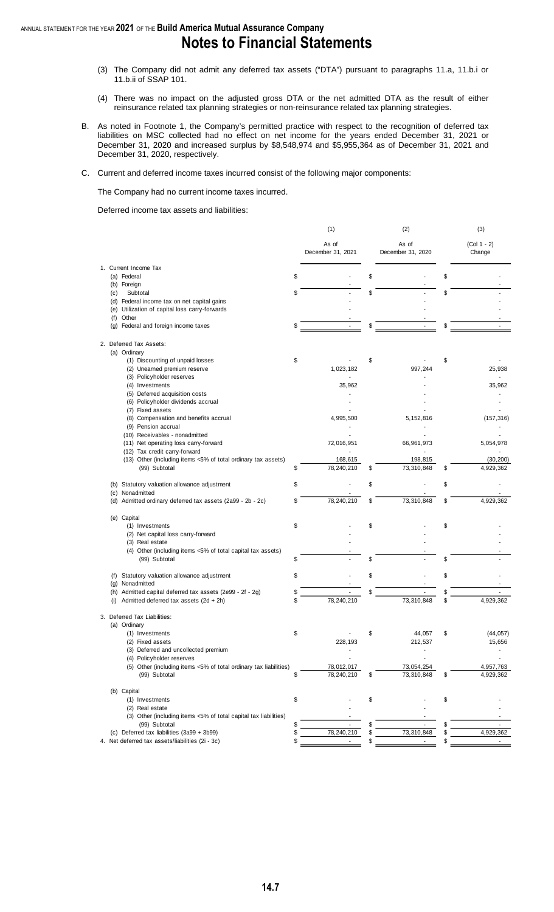- (3) The Company did not admit any deferred tax assets ("DTA") pursuant to paragraphs 11.a, 11.b.i or 11.b.ii of SSAP 101.
- (4) There was no impact on the adjusted gross DTA or the net admitted DTA as the result of either reinsurance related tax planning strategies or non-reinsurance related tax planning strategies.
- B. As noted in Footnote 1, the Company's permitted practice with respect to the recognition of deferred tax liabilities on MSC collected had no effect on net income for the years ended December 31, 2021 or December 31, 2020 and increased surplus by \$8,548,974 and \$5,955,364 as of December 31, 2021 and December 31, 2020, respectively.
- C. Current and deferred income taxes incurred consist of the following major components:

The Company had no current income taxes incurred.

Deferred income tax assets and liabilities:

|                                                                                               | (1)                         |    | (2)                        | (3)                          |
|-----------------------------------------------------------------------------------------------|-----------------------------|----|----------------------------|------------------------------|
|                                                                                               | As of<br>December 31, 2021  |    | As of<br>December 31, 2020 | $(Col 1 - 2)$<br>Change      |
| 1. Current Income Tax                                                                         |                             |    |                            |                              |
| (a) Federal                                                                                   | \$                          | \$ |                            | \$                           |
| (b) Foreign                                                                                   |                             |    |                            |                              |
| Subtotal<br>(c)                                                                               | \$                          | \$ |                            | \$                           |
| (d) Federal income tax on net capital gains<br>(e) Utilization of capital loss carry-forwards |                             |    |                            |                              |
| Other<br>(f)                                                                                  |                             |    |                            |                              |
| (g) Federal and foreign income taxes                                                          | \$<br>÷                     | \$ |                            | \$                           |
| 2. Deferred Tax Assets:                                                                       |                             |    |                            |                              |
| (a) Ordinary                                                                                  |                             |    |                            |                              |
| (1) Discounting of unpaid losses                                                              | \$                          | \$ |                            | \$                           |
| (2) Unearned premium reserve                                                                  | 1,023,182                   |    | 997,244                    | 25,938                       |
| (3) Policyholder reserves<br>(4) Investments                                                  | 35,962                      |    |                            | 35,962                       |
| (5) Deferred acquisition costs                                                                |                             |    |                            |                              |
| (6) Policyholder dividends accrual                                                            |                             |    |                            |                              |
| (7) Fixed assets                                                                              |                             |    |                            |                              |
| (8) Compensation and benefits accrual                                                         | 4,995,500                   |    | 5,152,816                  | (157, 316)                   |
| (9) Pension accrual                                                                           |                             |    |                            |                              |
| (10) Receivables - nonadmitted                                                                |                             |    |                            |                              |
| (11) Net operating loss carry-forward                                                         | 72,016,951                  |    | 66,961,973                 | 5,054,978                    |
| (12) Tax credit carry-forward                                                                 |                             |    |                            |                              |
| (13) Other (including items <5% of total ordinary tax assets)<br>(99) Subtotal                | \$<br>168,615<br>78,240,210 | \$ | 198,815<br>73,310,848      | \$<br>(30, 200)<br>4,929,362 |
|                                                                                               |                             |    |                            |                              |
| Statutory valuation allowance adjustment<br>(b)                                               | \$                          | \$ |                            | \$                           |
| Nonadmitted<br>(c)<br>Admitted ordinary deferred tax assets (2a99 - 2b - 2c)<br>(d)           | \$<br>78,240,210            | \$ | 73,310,848                 | \$<br>4,929,362              |
|                                                                                               |                             |    |                            |                              |
| (e) Capital                                                                                   |                             |    |                            |                              |
| (1) Investments<br>(2) Net capital loss carry-forward                                         | \$                          | \$ |                            | \$                           |
| (3) Real estate                                                                               |                             |    |                            |                              |
| (4) Other (including items <5% of total capital tax assets)                                   |                             |    |                            |                              |
| (99) Subtotal                                                                                 | \$                          | \$ |                            | \$                           |
| Statutory valuation allowance adjustment<br>(f)                                               | \$                          | \$ |                            | \$                           |
| Nonadmitted<br>(g)                                                                            |                             |    |                            |                              |
| Admitted capital deferred tax assets (2e99 - 2f - 2g)<br>(h)                                  | \$                          | \$ |                            | \$                           |
| Admitted deferred tax assets (2d + 2h)<br>(i)                                                 | \$<br>78,240,210            |    | 73,310,848                 | \$<br>4,929,362              |
| 3. Deferred Tax Liabilities:                                                                  |                             |    |                            |                              |
| (a) Ordinary                                                                                  |                             |    |                            |                              |
| (1) Investments<br>(2) Fixed assets                                                           | \$<br>228,193               | \$ | 44,057<br>212,537          | \$<br>(44, 057)<br>15,656    |
| (3) Deferred and uncollected premium                                                          |                             |    |                            |                              |
| (4) Policyholder reserves                                                                     |                             |    |                            |                              |
| (5) Other (including items <5% of total ordinary tax liabilities)                             | 78,012,017                  |    | 73,054,254                 | 4,957,763                    |
| (99) Subtotal                                                                                 | \$<br>78,240,210            | \$ | 73,310,848                 | \$<br>4,929,362              |
| (b) Capital                                                                                   |                             |    |                            |                              |
| (1) Investments                                                                               | \$                          | \$ |                            | \$                           |
| (2) Real estate<br>(3) Other (including items <5% of total capital tax liabilities)           |                             |    |                            |                              |
| (99) Subtotal                                                                                 | \$                          | S  |                            |                              |
| (c) Deferred tax liabilities (3a99 + 3b99)                                                    | \$<br>78,240,210            | \$ | 73,310,848                 | 4,929,362                    |
| 4. Net deferred tax assets/liabilities (2i - 3c)                                              | \$                          | \$ |                            | \$                           |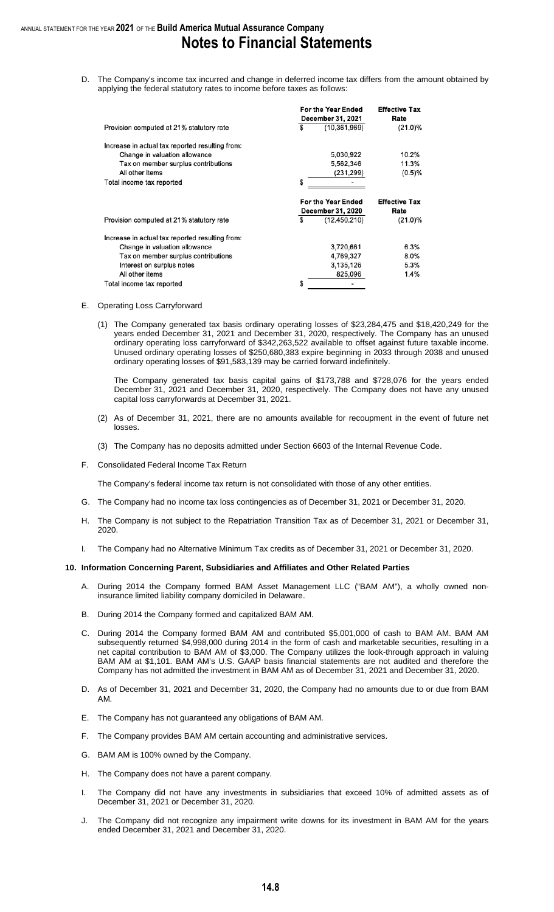D. The Company's income tax incurred and change in deferred income tax differs from the amount obtained by applying the federal statutory rates to income before taxes as follows:

|                                                 | For the Year Ended                             | <b>Effective Tax</b>         |
|-------------------------------------------------|------------------------------------------------|------------------------------|
|                                                 | <b>December 31, 2021</b>                       | Rate                         |
| Provision computed at 21% statutory rate        | \$<br>(10.361.969)                             | $(21.0)\%$                   |
| Increase in actual tax reported resulting from: |                                                |                              |
| Change in valuation allowance                   | 5,030,922                                      | 10.2%                        |
| Tax on member surplus contributions             | 5,562,346                                      | 11.3%                        |
| All other items                                 | (231,299)                                      | (0.5)%                       |
| Total income tax reported                       | \$                                             |                              |
|                                                 | <b>For the Year Ended</b><br>December 31, 2020 | <b>Effective Tax</b><br>Rate |
| Provision computed at 21% statutory rate        | \$<br>(12, 450, 210)                           | $(21.0)\%$                   |
| Increase in actual tax reported resulting from: |                                                |                              |
| Change in valuation allowance                   | 3,720,661                                      | 6.3%                         |
| Tax on member surplus contributions             | 4,769,327                                      | 8.0%                         |
| Interest on surplus notes                       | 3,135,126                                      | 5.3%                         |
| All other items                                 | 825,096                                        | 1.4%                         |
| Total income tax reported                       | \$                                             |                              |

#### E. Operating Loss Carryforward

(1) The Company generated tax basis ordinary operating losses of \$23,284,475 and \$18,420,249 for the years ended December 31, 2021 and December 31, 2020, respectively. The Company has an unused ordinary operating loss carryforward of \$342,263,522 available to offset against future taxable income. Unused ordinary operating losses of \$250,680,383 expire beginning in 2033 through 2038 and unused ordinary operating losses of \$91,583,139 may be carried forward indefinitely.

The Company generated tax basis capital gains of \$173,788 and \$728,076 for the years ended December 31, 2021 and December 31, 2020, respectively. The Company does not have any unused capital loss carryforwards at December 31, 2021.

- (2) As of December 31, 2021, there are no amounts available for recoupment in the event of future net losses.
- (3) The Company has no deposits admitted under Section 6603 of the Internal Revenue Code.
- F. Consolidated Federal Income Tax Return

The Company's federal income tax return is not consolidated with those of any other entities.

- G. The Company had no income tax loss contingencies as of December 31, 2021 or December 31, 2020.
- H. The Company is not subject to the Repatriation Transition Tax as of December 31, 2021 or December 31, 2020.
- I. The Company had no Alternative Minimum Tax credits as of December 31, 2021 or December 31, 2020.

#### **10. Information Concerning Parent, Subsidiaries and Affiliates and Other Related Parties**

- A. During 2014 the Company formed BAM Asset Management LLC ("BAM AM"), a wholly owned noninsurance limited liability company domiciled in Delaware.
- B. During 2014 the Company formed and capitalized BAM AM.
- C. During 2014 the Company formed BAM AM and contributed \$5,001,000 of cash to BAM AM. BAM AM subsequently returned \$4,998,000 during 2014 in the form of cash and marketable securities, resulting in a net capital contribution to BAM AM of \$3,000. The Company utilizes the look-through approach in valuing BAM AM at \$1,101. BAM AM's U.S. GAAP basis financial statements are not audited and therefore the Company has not admitted the investment in BAM AM as of December 31, 2021 and December 31, 2020.
- D. As of December 31, 2021 and December 31, 2020, the Company had no amounts due to or due from BAM AM.
- E. The Company has not guaranteed any obligations of BAM AM.
- F. The Company provides BAM AM certain accounting and administrative services.
- G. BAM AM is 100% owned by the Company.
- H. The Company does not have a parent company.
- I. The Company did not have any investments in subsidiaries that exceed 10% of admitted assets as of December 31, 2021 or December 31, 2020.
- J. The Company did not recognize any impairment write downs for its investment in BAM AM for the years ended December 31, 2021 and December 31, 2020.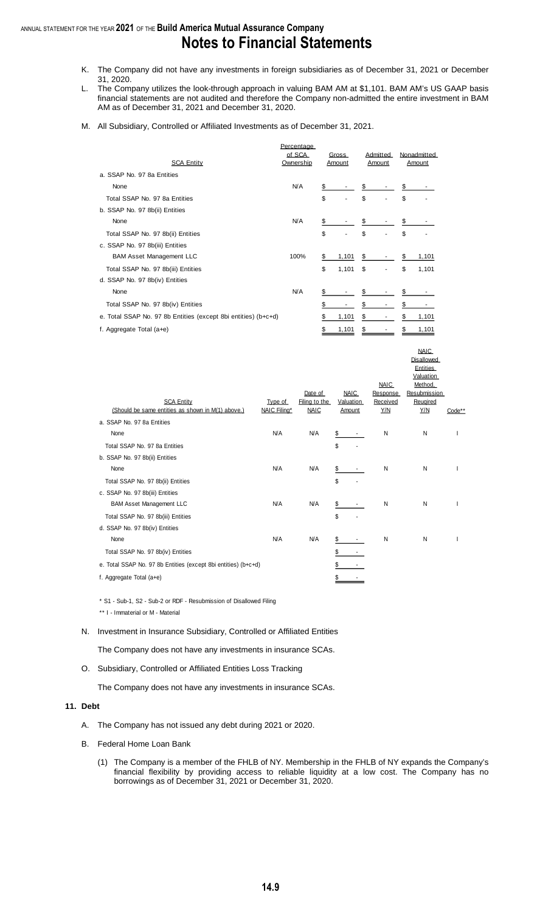- K. The Company did not have any investments in foreign subsidiaries as of December 31, 2021 or December 31, 2020.
- L. The Company utilizes the look-through approach in valuing BAM AM at \$1,101. BAM AM's US GAAP basis financial statements are not audited and therefore the Company non-admitted the entire investment in BAM AM as of December 31, 2021 and December 31, 2020.
- M. All Subsidiary, Controlled or Affiliated Investments as of December 31, 2021.

|                                                                | Percentage          |                 |    |                    |    |                       |
|----------------------------------------------------------------|---------------------|-----------------|----|--------------------|----|-----------------------|
| <b>SCA Entity</b>                                              | of SCA<br>Ownership | Gross<br>Amount |    | Admitted<br>Amount |    | Nonadmitted<br>Amount |
| a. SSAP No. 97 8a Entities                                     |                     |                 |    |                    |    |                       |
| None                                                           | <b>N/A</b>          | \$              | \$ |                    | \$ |                       |
| Total SSAP No. 97 8a Entities                                  |                     | \$              | \$ |                    | \$ |                       |
| b. SSAP No. 97 8b(ii) Entities                                 |                     |                 |    |                    |    |                       |
| None                                                           | <b>N/A</b>          | \$              | \$ |                    |    |                       |
| Total SSAP No. 97 8b(ii) Entities                              |                     | \$              | \$ |                    | \$ |                       |
| c. SSAP No. 97 8b(iii) Entities                                |                     |                 |    |                    |    |                       |
| <b>BAM Asset Management LLC</b>                                | 100%                | \$<br>1,101     | \$ |                    | \$ | 1,101                 |
| Total SSAP No. 97 8b(iii) Entities                             |                     | \$<br>1,101     | \$ |                    | \$ | 1,101                 |
| d. SSAP No. 97 8b(iv) Entities                                 |                     |                 |    |                    |    |                       |
| None                                                           | N/A                 | \$              | S  |                    |    |                       |
| Total SSAP No. 97 8b(iv) Entities                              |                     | \$              | \$ |                    | \$ |                       |
| e. Total SSAP No. 97 8b Entities (except 8bi entities) (b+c+d) |                     | \$<br>1,101     | \$ |                    | S  | 1,101                 |
| f. Aggregate Total $(a+e)$                                     |                     | \$<br>1,101     | \$ |                    | \$ | 1,101                 |

|                                                                |              |                          |                          |                      | <b>NAIC</b>              |        |
|----------------------------------------------------------------|--------------|--------------------------|--------------------------|----------------------|--------------------------|--------|
|                                                                |              |                          |                          |                      | Disallowed               |        |
|                                                                |              |                          |                          |                      | Entities                 |        |
|                                                                |              |                          |                          |                      | Valuation                |        |
|                                                                |              |                          |                          | <b>NAIC</b>          | Method.                  |        |
| <b>SCA Entity</b>                                              | Type of      | Date of<br>Filing to the | <b>NAIC</b><br>Valuation | Response<br>Received | Resubmission<br>Reugired |        |
| (Should be same entities as shown in M(1) above.)              | NAIC Filing* | <b>NAIC</b>              | Amount                   | Y/N                  | Y/N                      | Code** |
| a. SSAP No. 97 8a Entities                                     |              |                          |                          |                      |                          |        |
| None                                                           | N/A          | <b>N/A</b>               | \$                       | N                    | Ν                        |        |
| Total SSAP No. 97 8a Entities                                  |              |                          | \$                       |                      |                          |        |
| b. SSAP No. 97 8b(ii) Entities                                 |              |                          |                          |                      |                          |        |
| None                                                           | N/A          | N/A                      | \$                       | N                    | N                        |        |
| Total SSAP No. 97 8b(ii) Entities                              |              |                          | \$                       |                      |                          |        |
| c. SSAP No. 97 8b(iii) Entities                                |              |                          |                          |                      |                          |        |
| <b>BAM Asset Management LLC</b>                                | N/A          | N/A                      | \$                       | Ν                    | Ν                        |        |
| Total SSAP No. 97 8b(iii) Entities                             |              |                          | \$                       |                      |                          |        |
| d. SSAP No. 97 8b(iv) Entities                                 |              |                          |                          |                      |                          |        |
| None                                                           | N/A          | <b>N/A</b>               | \$                       | N                    | N                        |        |
| Total SSAP No. 97 8b(iv) Entities                              |              |                          | \$                       |                      |                          |        |
| e. Total SSAP No. 97 8b Entities (except 8bi entities) (b+c+d) |              |                          |                          |                      |                          |        |
| f. Aggregate Total $(a+e)$                                     |              |                          |                          |                      |                          |        |
|                                                                |              |                          |                          |                      |                          |        |

\* S1 - Sub-1, S2 - Sub-2 or RDF - Resubmission of Disallowed Filing

\*\* I - Immaterial or M - Material

N. Investment in Insurance Subsidiary, Controlled or Affiliated Entities

The Company does not have any investments in insurance SCAs.

O. Subsidiary, Controlled or Affiliated Entities Loss Tracking

The Company does not have any investments in insurance SCAs.

#### **11. Debt**

- A. The Company has not issued any debt during 2021 or 2020.
- B. Federal Home Loan Bank
	- (1) The Company is a member of the FHLB of NY. Membership in the FHLB of NY expands the Company's financial flexibility by providing access to reliable liquidity at a low cost. The Company has no borrowings as of December 31, 2021 or December 31, 2020.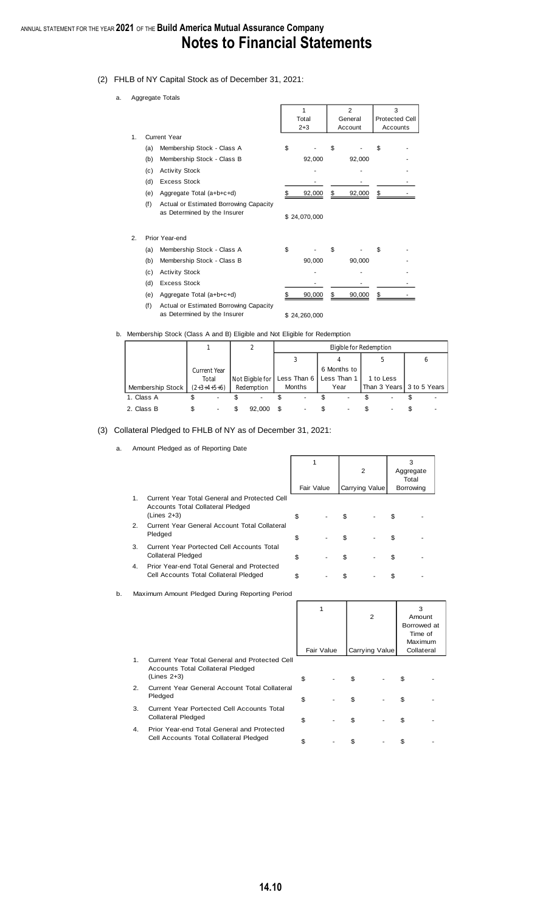- (2) FHLB of NY Capital Stock as of December 31, 2021:
	- a. Aggregate Totals

|                |     | Ayyreyate Tutals                                                       |              |                           |    |                            |
|----------------|-----|------------------------------------------------------------------------|--------------|---------------------------|----|----------------------------|
|                |     |                                                                        | 1<br>Total   | $\overline{2}$<br>General |    | 3<br><b>Protected Cell</b> |
|                |     |                                                                        | $2 + 3$      | Account                   |    | Accounts                   |
| $\mathbf{1}$ . |     | Current Year                                                           |              |                           |    |                            |
|                | (a) | Membership Stock - Class A                                             | \$           | \$                        | S  |                            |
|                | (b) | Membership Stock - Class B                                             | 92,000       | 92,000                    |    |                            |
|                | (c) | <b>Activity Stock</b>                                                  |              |                           |    |                            |
|                | (d) | <b>Excess Stock</b>                                                    |              |                           |    |                            |
|                | (e) | Aggregate Total (a+b+c+d)                                              | \$<br>92,000 | \$<br>92,000              | \$ |                            |
|                | (f) | Actual or Estimated Borrowing Capacity<br>as Determined by the Insurer | \$24,070,000 |                           |    |                            |
| 2.             |     | Prior Year-end                                                         |              |                           |    |                            |
|                | (a) | Membership Stock - Class A                                             | \$           | \$                        | S  |                            |
|                | (b) | Membership Stock - Class B                                             | 90,000       | 90,000                    |    |                            |
|                | (c) | <b>Activity Stock</b>                                                  |              |                           |    |                            |
|                | (d) | <b>Excess Stock</b>                                                    |              |                           |    |                            |
|                | (e) | Aggregate Total (a+b+c+d)                                              | \$<br>90,000 | \$<br>90,000              | \$ |                            |
|                | (f) | Actual or Estimated Borrowing Capacity<br>as Determined by the Insurer | \$24,260,000 |                           |    |                            |

#### b. Membership Stock (Class A and B) Eligible and Not Eligible for Redemption

|                  |               |                  | Eligible for Redemption |               |             |             |                           |  |   |  |  |  |  |
|------------------|---------------|------------------|-------------------------|---------------|-------------|-------------|---------------------------|--|---|--|--|--|--|
|                  |               |                  |                         |               |             |             |                           |  | O |  |  |  |  |
|                  | Current Year  |                  |                         |               |             | 6 Months to |                           |  |   |  |  |  |  |
|                  | Total         | Not Eligible for | Less Than 6             |               | Less Than 1 | 1 to Less   |                           |  |   |  |  |  |  |
| Membership Stock | $(2+3+4+5+6)$ | Redemption       |                         | <b>Months</b> |             | Year        | Than 3 Years 3 to 5 Years |  |   |  |  |  |  |
| 1. Class A       |               |                  |                         |               |             |             |                           |  |   |  |  |  |  |
| 2. Class B       |               | 92.000           |                         |               |             |             |                           |  |   |  |  |  |  |

#### (3) Collateral Pledged to FHLB of NY as of December 31, 2021:

a. Amount Pledged as of Reporting Date

|    |    |                                                                                                            | 1          | 2              |                |    | 3<br>Aggregate<br>Total                          |  |
|----|----|------------------------------------------------------------------------------------------------------------|------------|----------------|----------------|----|--------------------------------------------------|--|
|    |    |                                                                                                            | Fair Value | Carrying Value |                |    | Borrowing                                        |  |
|    | 1. | Current Year Total General and Protected Cell<br><b>Accounts Total Collateral Pledged</b><br>$(Lines 2+3)$ | \$         | \$             |                | \$ |                                                  |  |
|    | 2. | Current Year General Account Total Collateral<br>Pledged                                                   | \$         | \$             |                | \$ |                                                  |  |
|    | 3. | <b>Current Year Portected Cell Accounts Total</b><br>Collateral Pledged                                    | \$         | \$             |                | \$ |                                                  |  |
|    | 4. | Prior Year-end Total General and Protected<br>Cell Accounts Total Collateral Pledged                       | \$         | \$             |                | \$ |                                                  |  |
| b. |    | Maximum Amount Pledged During Reporting Period                                                             |            |                |                |    |                                                  |  |
|    |    |                                                                                                            | 1          |                | $\overline{2}$ |    | 3<br>Amount<br>Borrowed at<br>Time of<br>Maximum |  |
|    |    |                                                                                                            | Fair Value | Carrying Value |                |    | Collateral                                       |  |
|    | 1. | Current Year Total General and Protected Cell<br>Accounts Total Collateral Pledged<br>$(Lines 2+3)$        | \$         | \$             |                | \$ |                                                  |  |
|    | 2. | Current Year General Account Total Collateral<br>Pledged                                                   | \$         | \$             |                | \$ |                                                  |  |

 $at$ 

 $\begin{array}{cccccccccccccc} \text{\$} & & & \text{\$} & & & \text{\$} & & \text{\$} & & \text{\$} & & \text{\$} & & \text{\$} & & \text{\$} & & \text{\$} & & \text{\$} & & \text{\$} & & \text{\$} & & \text{\$} & & \text{\$} & & \text{\$} & & \text{\$} & & \text{\$} & & \text{\$} & & \text{\$} & & \text{\$} & & \text{\$} & & \text{\$} & & \text{\$} & & \text{\$} & & \text{\$} & & \text{\$} & & \text{\$} & & \text{\$} & & \text{\$} & & \text{\$}$ 

| 4. Prior Year-end Total General and Protected |  |               |  |  |
|-----------------------------------------------|--|---------------|--|--|
| Cell Accounts Total Collateral Pledged        |  | $-$ \$ $-$ \$ |  |  |

3. Current Year Portected Cell Accounts Total

Collateral Pledged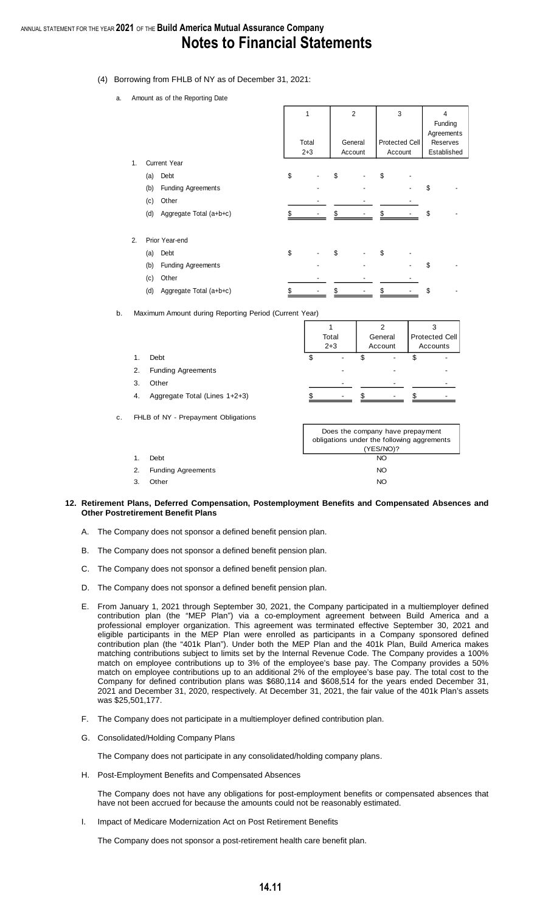- (4) Borrowing from FHLB of NY as of December 31, 2021:
	- a. Amount as of the Reporting Date

|    |     |                           | 1<br>Total<br>$2 + 3$ |    | $\overline{2}$<br>General<br>Account |    | 3<br><b>Protected Cell</b><br>Account | 4<br>Funding<br>Agreements<br>Reserves<br>Established |
|----|-----|---------------------------|-----------------------|----|--------------------------------------|----|---------------------------------------|-------------------------------------------------------|
| 1. |     | <b>Current Year</b>       |                       |    |                                      |    |                                       |                                                       |
|    | (a) | Debt                      | \$                    | \$ |                                      | \$ |                                       |                                                       |
|    | (b) | <b>Funding Agreements</b> |                       |    |                                      |    |                                       | \$                                                    |
|    | (c) | Other                     |                       |    |                                      |    |                                       |                                                       |
|    | (d) | Aggregate Total (a+b+c)   |                       |    |                                      |    |                                       | \$                                                    |
| 2. |     | Prior Year-end            |                       |    |                                      |    |                                       |                                                       |
|    | (a) | Debt                      | \$                    | \$ |                                      | \$ |                                       |                                                       |
|    | (b) | <b>Funding Agreements</b> |                       |    |                                      |    |                                       | \$                                                    |
|    | (c) | Other                     |                       |    |                                      |    |                                       |                                                       |
|    | (d) | Aggregate Total (a+b+c)   | \$                    | \$ |                                      | \$ |                                       | \$                                                    |

b. Maximum Amount during Reporting Period (Current Year)

|    |                               | Total<br>$2 + 3$         | ົ<br>General<br>Account  | ົ<br><b>Protected Cell</b><br>Accounts |
|----|-------------------------------|--------------------------|--------------------------|----------------------------------------|
| 1. | Debt                          | \$                       |                          |                                        |
| 2. | <b>Funding Agreements</b>     |                          |                          |                                        |
| 3. | Other                         |                          |                          |                                        |
| 4. | Aggregate Total (Lines 1+2+3) | $\overline{\phantom{a}}$ | $\overline{\phantom{a}}$ |                                        |

c. FHLB of NY - Prepayment Obligations

|    |                           | Does the company have prepayment<br>obligations under the following aggrements<br>(YES/NO)? |
|----|---------------------------|---------------------------------------------------------------------------------------------|
|    | Debt                      | NO.                                                                                         |
| 2. | <b>Funding Agreements</b> | NO.                                                                                         |
| 3  | Other                     | NO                                                                                          |

#### **12. Retirement Plans, Deferred Compensation, Postemployment Benefits and Compensated Absences and Other Postretirement Benefit Plans**

- A. The Company does not sponsor a defined benefit pension plan.
- B. The Company does not sponsor a defined benefit pension plan.
- C. The Company does not sponsor a defined benefit pension plan.
- D. The Company does not sponsor a defined benefit pension plan.
- E. From January 1, 2021 through September 30, 2021, the Company participated in a multiemployer defined contribution plan (the "MEP Plan") via a co-employment agreement between Build America and a professional employer organization. This agreement was terminated effective September 30, 2021 and eligible participants in the MEP Plan were enrolled as participants in a Company sponsored defined contribution plan (the "401k Plan"). Under both the MEP Plan and the 401k Plan, Build America makes matching contributions subject to limits set by the Internal Revenue Code. The Company provides a 100% match on employee contributions up to 3% of the employee's base pay. The Company provides a 50% match on employee contributions up to an additional 2% of the employee's base pay. The total cost to the Company for defined contribution plans was \$680,114 and \$608,514 for the years ended December 31, 2021 and December 31, 2020, respectively. At December 31, 2021, the fair value of the 401k Plan's assets was \$25,501,177.
- F. The Company does not participate in a multiemployer defined contribution plan.
- G. Consolidated/Holding Company Plans

The Company does not participate in any consolidated/holding company plans.

H. Post-Employment Benefits and Compensated Absences

The Company does not have any obligations for post-employment benefits or compensated absences that have not been accrued for because the amounts could not be reasonably estimated.

I. Impact of Medicare Modernization Act on Post Retirement Benefits

The Company does not sponsor a post-retirement health care benefit plan.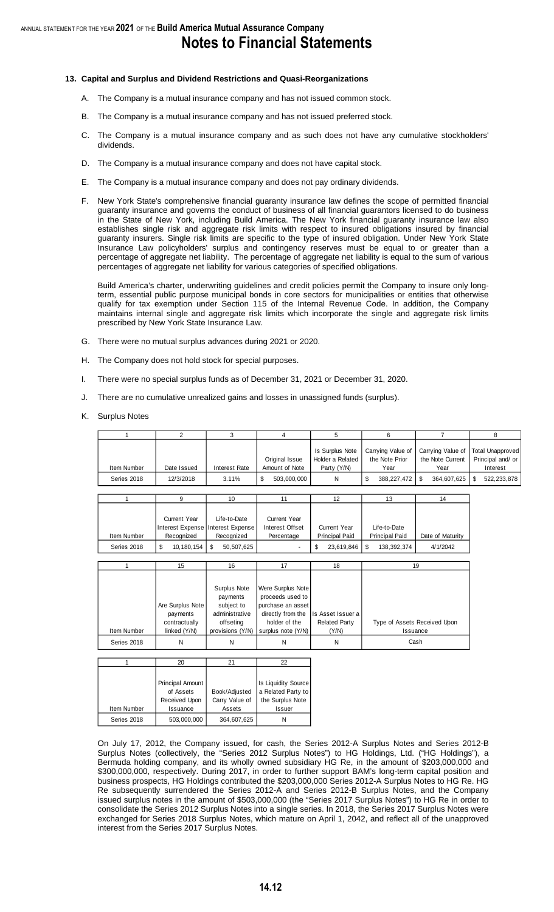## **Notes to Financial Statements**

#### **13. Capital and Surplus and Dividend Restrictions and Quasi-Reorganizations**

- A. The Company is a mutual insurance company and has not issued common stock.
- B. The Company is a mutual insurance company and has not issued preferred stock.
- C. The Company is a mutual insurance company and as such does not have any cumulative stockholders' dividends.
- D. The Company is a mutual insurance company and does not have capital stock.
- E. The Company is a mutual insurance company and does not pay ordinary dividends.
- F. New York State's comprehensive financial guaranty insurance law defines the scope of permitted financial guaranty insurance and governs the conduct of business of all financial guarantors licensed to do business in the State of New York, including Build America. The New York financial guaranty insurance law also establishes single risk and aggregate risk limits with respect to insured obligations insured by financial guaranty insurers. Single risk limits are specific to the type of insured obligation. Under New York State Insurance Law policyholders' surplus and contingency reserves must be equal to or greater than a percentage of aggregate net liability. The percentage of aggregate net liability is equal to the sum of various percentages of aggregate net liability for various categories of specified obligations.

Build America's charter, underwriting guidelines and credit policies permit the Company to insure only longterm, essential public purpose municipal bonds in core sectors for municipalities or entities that otherwise qualify for tax exemption under Section 115 of the Internal Revenue Code. In addition, the Company maintains internal single and aggregate risk limits which incorporate the single and aggregate risk limits prescribed by New York State Insurance Law.

- G. There were no mutual surplus advances during 2021 or 2020.
- H. The Company does not hold stock for special purposes.
- I. There were no special surplus funds as of December 31, 2021 or December 31, 2020.
- J. There are no cumulative unrealized gains and losses in unassigned funds (surplus).
- K. Surplus Notes

|             |             |               |                | Is Surplus Note  |                | Carrying Value of Total Unapproved<br>Carrying Value of |                   |  |
|-------------|-------------|---------------|----------------|------------------|----------------|---------------------------------------------------------|-------------------|--|
|             |             |               | Original Issue | Holder a Related | the Note Prior | the Note Current                                        | Principal and/ or |  |
| Item Number | Date Issued | Interest Rate | Amount of Note | Party (Y/N)      | Year           | Year                                                    | Interest          |  |
| Series 2018 | 12/3/2018   | 3.11%         | 503.000.000    |                  | 388.227.472    | 364.607.625                                             | 522.233.878       |  |

|             |                     | 10                                  |                 | 12                    | 13                    | 14               |
|-------------|---------------------|-------------------------------------|-----------------|-----------------------|-----------------------|------------------|
|             |                     |                                     |                 |                       |                       |                  |
|             | <b>Current Year</b> | Life-to-Date                        | Current Year    |                       |                       |                  |
|             |                     | Interest Expense Interest Expense I | Interest Offset | <b>Current Year</b>   | Life-to-Date          |                  |
| Item Number | Recognized          | Recognized                          | Percentage      | <b>Principal Paid</b> | <b>Principal Paid</b> | Date of Maturity |
| Series 2018 | 10.180.154          | \$<br>50.507.625                    |                 | 23,619,846            | -\$<br>138.392.374    | 4/1/2042         |

|             | 15               | 16                                     | 17                                                         | 18                   | 19                           |
|-------------|------------------|----------------------------------------|------------------------------------------------------------|----------------------|------------------------------|
|             | Are Surplus Note | Surplus Note<br>payments<br>subject to | Were Surplus Note<br>proceeds used to<br>purchase an asset |                      |                              |
|             | payments         | administrative                         | directly from the                                          | Is Asset Issuer a    |                              |
|             | contractually    | offseting                              | holder of the                                              | <b>Related Party</b> | Type of Assets Received Upon |
| Item Number | linked (Y/N)     |                                        | provisions (Y/N) surplus note (Y/N)                        | (Y/N)                | Issuance                     |
| Series 2018 | Ν                | Ν                                      | N                                                          | Ν                    | Cash                         |

|             | 20                      | 21             | 22                  |
|-------------|-------------------------|----------------|---------------------|
|             |                         |                |                     |
|             | <b>Principal Amount</b> |                | Is Liquidity Source |
|             | of Assets               | Book/Adjusted  | a Related Party to  |
|             | Received Upon           | Carry Value of | the Surplus Note    |
| Item Number | Issuance                | Assets         | Issuer              |
| Series 2018 | 503,000,000             | 364,607,625    |                     |

On July 17, 2012, the Company issued, for cash, the Series 2012-A Surplus Notes and Series 2012-B Surplus Notes (collectively, the "Series 2012 Surplus Notes") to HG Holdings, Ltd. ("HG Holdings"), a Bermuda holding company, and its wholly owned subsidiary HG Re, in the amount of \$203,000,000 and \$300,000,000, respectively. During 2017, in order to further support BAM's long-term capital position and business prospects, HG Holdings contributed the \$203,000,000 Series 2012-A Surplus Notes to HG Re. HG Re subsequently surrendered the Series 2012-A and Series 2012-B Surplus Notes, and the Company issued surplus notes in the amount of \$503,000,000 (the "Series 2017 Surplus Notes") to HG Re in order to consolidate the Series 2012 Surplus Notes into a single series. In 2018, the Series 2017 Surplus Notes were exchanged for Series 2018 Surplus Notes, which mature on April 1, 2042, and reflect all of the unapproved interest from the Series 2017 Surplus Notes.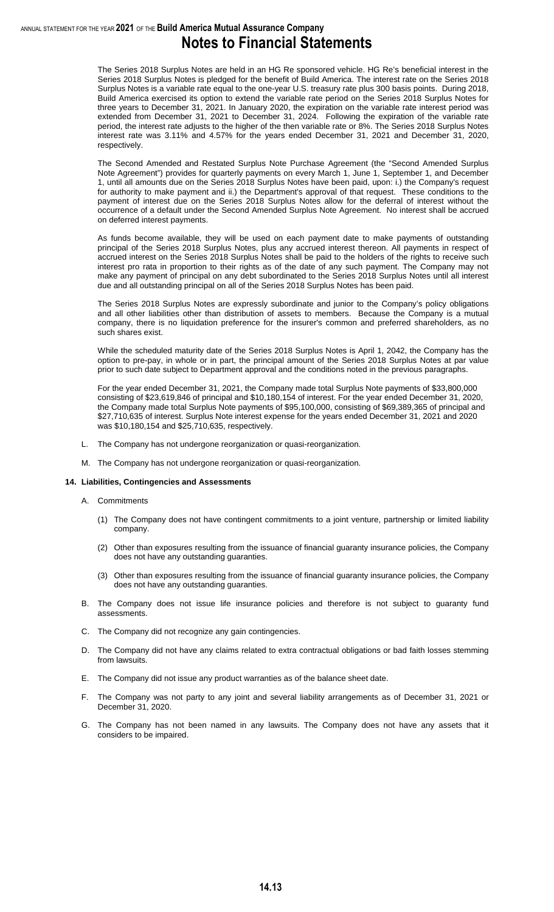The Series 2018 Surplus Notes are held in an HG Re sponsored vehicle. HG Re's beneficial interest in the Series 2018 Surplus Notes is pledged for the benefit of Build America. The interest rate on the Series 2018 Surplus Notes is a variable rate equal to the one-year U.S. treasury rate plus 300 basis points. During 2018, Build America exercised its option to extend the variable rate period on the Series 2018 Surplus Notes for three years to December 31, 2021. In January 2020, the expiration on the variable rate interest period was extended from December 31, 2021 to December 31, 2024. Following the expiration of the variable rate period, the interest rate adjusts to the higher of the then variable rate or 8%. The Series 2018 Surplus Notes interest rate was 3.11% and 4.57% for the years ended December 31, 2021 and December 31, 2020, respectively.

The Second Amended and Restated Surplus Note Purchase Agreement (the "Second Amended Surplus Note Agreement") provides for quarterly payments on every March 1, June 1, September 1, and December 1, until all amounts due on the Series 2018 Surplus Notes have been paid, upon: i.) the Company's request for authority to make payment and ii.) the Department's approval of that request. These conditions to the payment of interest due on the Series 2018 Surplus Notes allow for the deferral of interest without the occurrence of a default under the Second Amended Surplus Note Agreement. No interest shall be accrued on deferred interest payments.

As funds become available, they will be used on each payment date to make payments of outstanding principal of the Series 2018 Surplus Notes, plus any accrued interest thereon. All payments in respect of accrued interest on the Series 2018 Surplus Notes shall be paid to the holders of the rights to receive such interest pro rata in proportion to their rights as of the date of any such payment. The Company may not make any payment of principal on any debt subordinated to the Series 2018 Surplus Notes until all interest due and all outstanding principal on all of the Series 2018 Surplus Notes has been paid.

The Series 2018 Surplus Notes are expressly subordinate and junior to the Company's policy obligations and all other liabilities other than distribution of assets to members. Because the Company is a mutual company, there is no liquidation preference for the insurer's common and preferred shareholders, as no such shares exist.

While the scheduled maturity date of the Series 2018 Surplus Notes is April 1, 2042, the Company has the option to pre-pay, in whole or in part, the principal amount of the Series 2018 Surplus Notes at par value prior to such date subject to Department approval and the conditions noted in the previous paragraphs.

For the year ended December 31, 2021, the Company made total Surplus Note payments of \$33,800,000 consisting of \$23,619,846 of principal and \$10,180,154 of interest. For the year ended December 31, 2020, the Company made total Surplus Note payments of \$95,100,000, consisting of \$69,389,365 of principal and \$27,710,635 of interest. Surplus Note interest expense for the years ended December 31, 2021 and 2020 was \$10,180,154 and \$25,710,635, respectively.

- L. The Company has not undergone reorganization or quasi-reorganization.
- M. The Company has not undergone reorganization or quasi-reorganization.

#### **14. Liabilities, Contingencies and Assessments**

- A. Commitments
	- (1) The Company does not have contingent commitments to a joint venture, partnership or limited liability company.
	- (2) Other than exposures resulting from the issuance of financial guaranty insurance policies, the Company does not have any outstanding guaranties.
	- (3) Other than exposures resulting from the issuance of financial guaranty insurance policies, the Company does not have any outstanding guaranties.
- B. The Company does not issue life insurance policies and therefore is not subject to guaranty fund assessments.
- C. The Company did not recognize any gain contingencies.
- D. The Company did not have any claims related to extra contractual obligations or bad faith losses stemming from lawsuits.
- E. The Company did not issue any product warranties as of the balance sheet date.
- F. The Company was not party to any joint and several liability arrangements as of December 31, 2021 or December 31, 2020.
- G. The Company has not been named in any lawsuits. The Company does not have any assets that it considers to be impaired.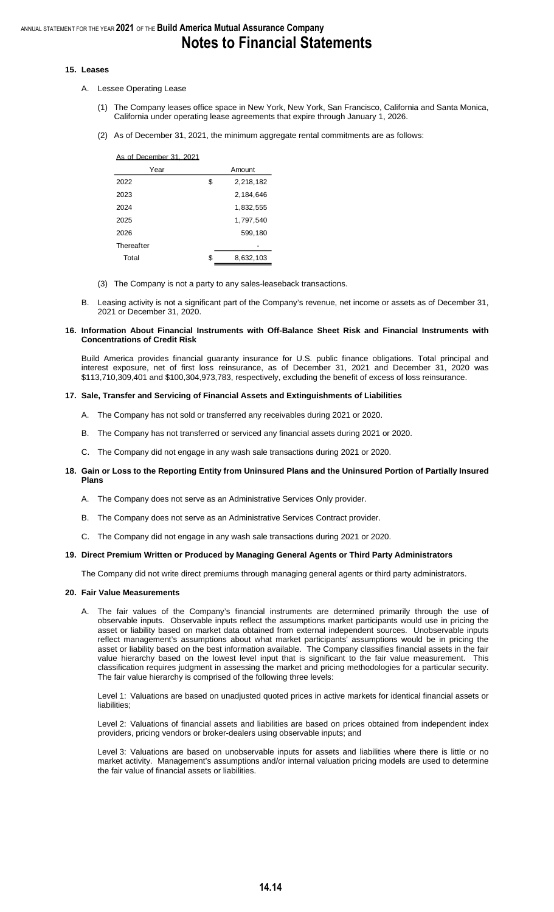#### **15. Leases**

- A. Lessee Operating Lease
	- (1) The Company leases office space in New York, New York, San Francisco, California and Santa Monica, California under operating lease agreements that expire through January 1, 2026.
	- (2) As of December 31, 2021, the minimum aggregate rental commitments are as follows:

| As of December 31, 2021 |                 |  |  |  |  |  |  |
|-------------------------|-----------------|--|--|--|--|--|--|
| Year                    | Amount          |  |  |  |  |  |  |
| 2022                    | \$<br>2,218,182 |  |  |  |  |  |  |
| 2023                    | 2,184,646       |  |  |  |  |  |  |
| 2024                    | 1,832,555       |  |  |  |  |  |  |
| 2025                    | 1,797,540       |  |  |  |  |  |  |
| 2026                    | 599,180         |  |  |  |  |  |  |
| Thereafter              |                 |  |  |  |  |  |  |
| Total                   | \$<br>8,632,103 |  |  |  |  |  |  |
|                         |                 |  |  |  |  |  |  |

- (3) The Company is not a party to any sales-leaseback transactions.
- B. Leasing activity is not a significant part of the Company's revenue, net income or assets as of December 31, 2021 or December 31, 2020.

#### **16. Information About Financial Instruments with Off-Balance Sheet Risk and Financial Instruments with Concentrations of Credit Risk**

Build America provides financial guaranty insurance for U.S. public finance obligations. Total principal and interest exposure, net of first loss reinsurance, as of December 31, 2021 and December 31, 2020 was \$113,710,309,401 and \$100,304,973,783, respectively, excluding the benefit of excess of loss reinsurance.

#### **17. Sale, Transfer and Servicing of Financial Assets and Extinguishments of Liabilities**

- A. The Company has not sold or transferred any receivables during 2021 or 2020.
- B. The Company has not transferred or serviced any financial assets during 2021 or 2020.
- C. The Company did not engage in any wash sale transactions during 2021 or 2020.

#### **18. Gain or Loss to the Reporting Entity from Uninsured Plans and the Uninsured Portion of Partially Insured Plans**

- A. The Company does not serve as an Administrative Services Only provider.
- B. The Company does not serve as an Administrative Services Contract provider.
- C. The Company did not engage in any wash sale transactions during 2021 or 2020.

#### **19. Direct Premium Written or Produced by Managing General Agents or Third Party Administrators**

The Company did not write direct premiums through managing general agents or third party administrators.

#### **20. Fair Value Measurements**

A. The fair values of the Company's financial instruments are determined primarily through the use of observable inputs. Observable inputs reflect the assumptions market participants would use in pricing the asset or liability based on market data obtained from external independent sources. Unobservable inputs reflect management's assumptions about what market participants' assumptions would be in pricing the asset or liability based on the best information available. The Company classifies financial assets in the fair value hierarchy based on the lowest level input that is significant to the fair value measurement. This classification requires judgment in assessing the market and pricing methodologies for a particular security. The fair value hierarchy is comprised of the following three levels:

Level 1: Valuations are based on unadjusted quoted prices in active markets for identical financial assets or liabilities;

Level 2: Valuations of financial assets and liabilities are based on prices obtained from independent index providers, pricing vendors or broker-dealers using observable inputs; and

Level 3: Valuations are based on unobservable inputs for assets and liabilities where there is little or no market activity. Management's assumptions and/or internal valuation pricing models are used to determine the fair value of financial assets or liabilities.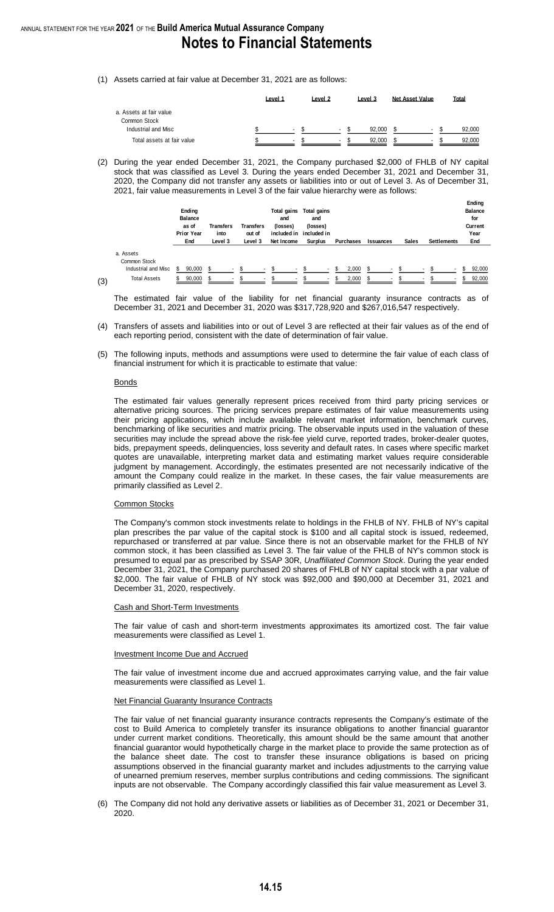(1) Assets carried at fair value at December 31, 2021 are as follows:

|                                     | Level 1 | Level 2 | Level 3                            | Net Asset Value | Total  |
|-------------------------------------|---------|---------|------------------------------------|-----------------|--------|
| a. Assets at fair value             |         |         |                                    |                 |        |
| Common Stock<br>Industrial and Misc |         |         | 92.000<br>۰                        |                 | 92.000 |
| Total assets at fair value          |         |         | 92.000<br>$\overline{\phantom{a}}$ |                 | 92.000 |

(2) During the year ended December 31, 2021, the Company purchased \$2,000 of FHLB of NY capital stock that was classified as Level 3. During the years ended December 31, 2021 and December 31, 2020, the Company did not transfer any assets or liabilities into or out of Level 3. As of December 31, 2021, fair value measurements in Level 3 of the fair value hierarchy were as follows:

|                           | Ending<br><b>Balance</b><br>as of<br><b>Prior Year</b> |        | End |  |  | Transfers<br>into<br>Level 3 |  |  |              | Transfers<br>out of<br>Level 3 |  | Total gains<br>and<br>(losses)<br>Net Income | Total gains<br>and<br>(losses)<br>included in included in<br>Surplus | Purchases<br>Issuances |  |  |        | <b>Sales</b> | Settlements |  |  | <b>Ending</b><br><b>Balance</b><br>for<br>Current<br>Year<br>End |
|---------------------------|--------------------------------------------------------|--------|-----|--|--|------------------------------|--|--|--------------|--------------------------------|--|----------------------------------------------|----------------------------------------------------------------------|------------------------|--|--|--------|--------------|-------------|--|--|------------------------------------------------------------------|
| a. Assets<br>Common Stock |                                                        |        |     |  |  |                              |  |  |              |                                |  |                                              |                                                                      |                        |  |  |        |              |             |  |  |                                                                  |
| Industrial and Misc       | \$                                                     | 90,000 |     |  |  |                              |  |  | \$.          | 2,000                          |  |                                              |                                                                      |                        |  |  | 92,000 |              |             |  |  |                                                                  |
| <b>Total Assets</b>       |                                                        | 90,000 |     |  |  |                              |  |  | -S<br>$\sim$ | 2,000                          |  | $\blacksquare$                               | $\sim$                                                               |                        |  |  | 92,000 |              |             |  |  |                                                                  |

(3)

The estimated fair value of the liability for net financial guaranty insurance contracts as of December 31, 2021 and December 31, 2020 was \$317,728,920 and \$267,016,547 respectively.

- (4) Transfers of assets and liabilities into or out of Level 3 are reflected at their fair values as of the end of each reporting period, consistent with the date of determination of fair value.
- (5) The following inputs, methods and assumptions were used to determine the fair value of each class of financial instrument for which it is practicable to estimate that value:

#### Bonds

The estimated fair values generally represent prices received from third party pricing services or alternative pricing sources. The pricing services prepare estimates of fair value measurements using their pricing applications, which include available relevant market information, benchmark curves, benchmarking of like securities and matrix pricing. The observable inputs used in the valuation of these securities may include the spread above the risk-fee yield curve, reported trades, broker-dealer quotes, bids, prepayment speeds, delinquencies, loss severity and default rates. In cases where specific market quotes are unavailable, interpreting market data and estimating market values require considerable judgment by management. Accordingly, the estimates presented are not necessarily indicative of the amount the Company could realize in the market. In these cases, the fair value measurements are primarily classified as Level 2.

#### Common Stocks

The Company's common stock investments relate to holdings in the FHLB of NY. FHLB of NY's capital plan prescribes the par value of the capital stock is \$100 and all capital stock is issued, redeemed, repurchased or transferred at par value. Since there is not an observable market for the FHLB of NY common stock, it has been classified as Level 3. The fair value of the FHLB of NY's common stock is presumed to equal par as prescribed by SSAP 30R, *Unaffiliated Common Stock*. During the year ended December 31, 2021, the Company purchased 20 shares of FHLB of NY capital stock with a par value of \$2,000. The fair value of FHLB of NY stock was \$92,000 and \$90,000 at December 31, 2021 and December 31, 2020, respectively.

#### Cash and Short-Term Investments

The fair value of cash and short-term investments approximates its amortized cost. The fair value measurements were classified as Level 1.

Investment Income Due and Accrued

The fair value of investment income due and accrued approximates carrying value, and the fair value measurements were classified as Level 1.

#### **Net Financial Guaranty Insurance Contracts**

The fair value of net financial guaranty insurance contracts represents the Company's estimate of the cost to Build America to completely transfer its insurance obligations to another financial guarantor under current market conditions. Theoretically, this amount should be the same amount that another financial guarantor would hypothetically charge in the market place to provide the same protection as of the balance sheet date. The cost to transfer these insurance obligations is based on pricing assumptions observed in the financial guaranty market and includes adjustments to the carrying value of unearned premium reserves, member surplus contributions and ceding commissions. The significant inputs are not observable. The Company accordingly classified this fair value measurement as Level 3.

(6) The Company did not hold any derivative assets or liabilities as of December 31, 2021 or December 31, 2020.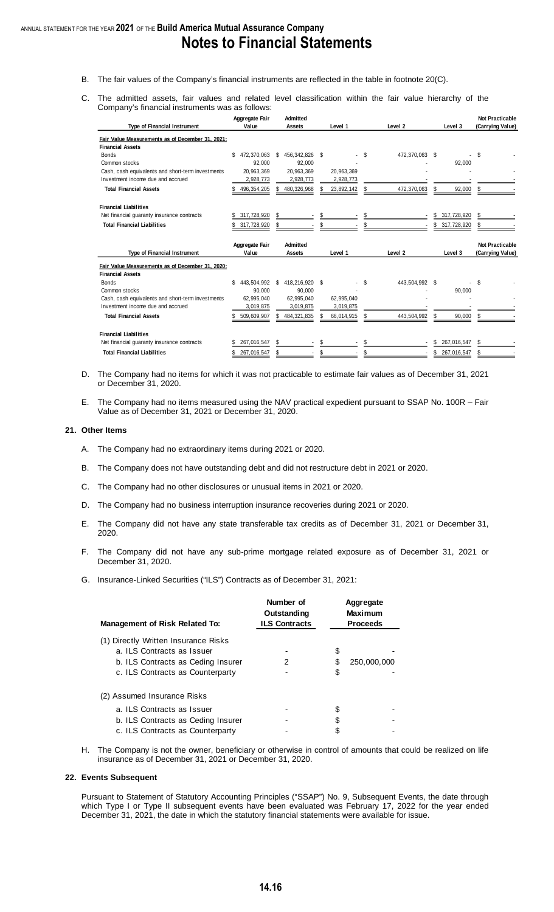- B. The fair values of the Company's financial instruments are reflected in the table in footnote 20(C).
- C. The admitted assets, fair values and related level classification within the fair value hierarchy of the Company's financial instruments was as follows:

| <b>Type of Financial Instrument</b>                                        | Aggregate Fair<br>Value | <b>Admitted</b><br><b>Assets</b> | Level 1    | Level <sub>2</sub> | Level 3      | <b>Not Practicable</b><br>(Carrying Value) |
|----------------------------------------------------------------------------|-------------------------|----------------------------------|------------|--------------------|--------------|--------------------------------------------|
| Fair Value Measurements as of December 31, 2021;                           |                         |                                  |            |                    |              |                                            |
| <b>Financial Assets</b>                                                    |                         |                                  |            |                    |              |                                            |
| <b>Bonds</b>                                                               | 472,370,063<br>S        | 456,342,826 \$<br>S              |            | \$<br>472,370,063  | -S           | \$                                         |
| Common stocks                                                              | 92.000                  | 92,000                           |            |                    | 92,000       |                                            |
| Cash, cash equivalents and short-term investments                          | 20,963,369              | 20,963,369                       | 20,963,369 |                    |              |                                            |
| Investment income due and accrued                                          | 2,928,773               | 2,928,773                        | 2,928,773  |                    |              |                                            |
| <b>Total Financial Assets</b>                                              | 496, 354, 205           | 480,326,968                      | 23,892,142 | 472,370,063        | 92,000<br>S  |                                            |
|                                                                            |                         |                                  |            |                    |              |                                            |
| <b>Financial Liabilities</b>                                               |                         | S                                | \$         | \$                 |              | \$                                         |
| Net financial guaranty insurance contracts                                 | 317,728,920             |                                  |            |                    | 317,728,920  |                                            |
| <b>Total Financial Liabilities</b>                                         | 317,728,920             | S                                |            |                    | 317,728,920  | S                                          |
|                                                                            |                         |                                  |            |                    |              |                                            |
| <b>Type of Financial Instrument</b>                                        | Aggregate Fair<br>Value | <b>Admitted</b><br><b>Assets</b> | Level 1    | Level <sub>2</sub> | Level 3      | <b>Not Practicable</b>                     |
|                                                                            |                         |                                  |            |                    |              | (Carrying Value)                           |
| Fair Value Measurements as of December 31, 2020;                           |                         |                                  |            |                    |              |                                            |
| <b>Financial Assets</b>                                                    |                         |                                  |            |                    |              |                                            |
|                                                                            |                         |                                  |            |                    |              |                                            |
| <b>Bonds</b>                                                               | 443,504,992             | 418,216,920 \$<br>\$             |            | 443,504,992<br>\$  | Ŝ.           | \$                                         |
| Common stocks                                                              | 90.000                  | 90.000                           |            |                    | 90,000       |                                            |
| Cash, cash equivalents and short-term investments                          | 62,995,040              | 62,995,040                       | 62,995,040 |                    |              |                                            |
| Investment income due and accrued                                          | 3,019,875               | 3,019,875                        | 3,019,875  |                    |              |                                            |
| <b>Total Financial Assets</b>                                              | 509,609,907             | 484,321,835<br>S.                | 66,014,915 | 443,504,992        | 90,000<br>\$ |                                            |
|                                                                            |                         |                                  |            |                    |              |                                            |
| <b>Financial Liabilities</b><br>Net financial guaranty insurance contracts | 267,016,547             | \$                               | \$         |                    | 267,016,547  | \$                                         |

- D. The Company had no items for which it was not practicable to estimate fair values as of December 31, 2021 or December 31, 2020.
- E. The Company had no items measured using the NAV practical expedient pursuant to SSAP No. 100R Fair Value as of December 31, 2021 or December 31, 2020.

#### **21. Other Items**

- A. The Company had no extraordinary items during 2021 or 2020.
- B. The Company does not have outstanding debt and did not restructure debt in 2021 or 2020.
- C. The Company had no other disclosures or unusual items in 2021 or 2020.
- D. The Company had no business interruption insurance recoveries during 2021 or 2020.
- E. The Company did not have any state transferable tax credits as of December 31, 2021 or December 31, 2020.
- F. The Company did not have any sub-prime mortgage related exposure as of December 31, 2021 or December 31, 2020.
- G. Insurance-Linked Securities ("ILS") Contracts as of December 31, 2021:

| <b>Management of Risk Related To:</b> | Number of<br>Outstanding<br><b>ILS Contracts</b> |    | Aggregate<br><b>Maximum</b><br><b>Proceeds</b> |
|---------------------------------------|--------------------------------------------------|----|------------------------------------------------|
| (1) Directly Written Insurance Risks  |                                                  |    |                                                |
| a. ILS Contracts as Issuer            |                                                  | \$ |                                                |
| b. ILS Contracts as Ceding Insurer    | 2                                                | S  | 250,000,000                                    |
| c. ILS Contracts as Counterparty      |                                                  | \$ |                                                |
| (2) Assumed Insurance Risks           |                                                  |    |                                                |
| a. ILS Contracts as Issuer            |                                                  |    |                                                |
| b. ILS Contracts as Ceding Insurer    |                                                  |    |                                                |
| c. ILS Contracts as Counterparty      |                                                  |    |                                                |

H. The Company is not the owner, beneficiary or otherwise in control of amounts that could be realized on life insurance as of December 31, 2021 or December 31, 2020.

#### **22. Events Subsequent**

Pursuant to Statement of Statutory Accounting Principles ("SSAP") No. 9, Subsequent Events, the date through which Type I or Type II subsequent events have been evaluated was February 17, 2022 for the year ended December 31, 2021, the date in which the statutory financial statements were available for issue.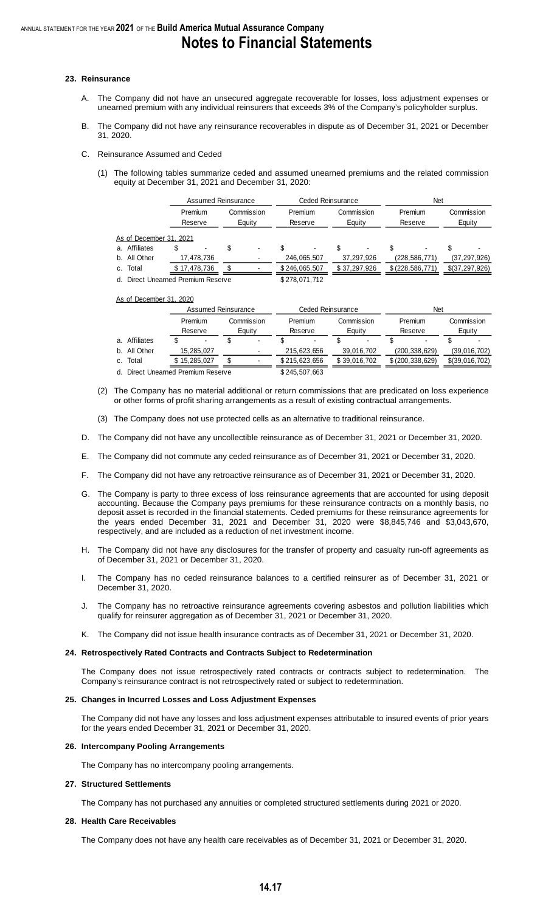#### **23. Reinsurance**

- A. The Company did not have an unsecured aggregate recoverable for losses, loss adjustment expenses or unearned premium with any individual reinsurers that exceeds 3% of the Company's policyholder surplus.
- B. The Company did not have any reinsurance recoverables in dispute as of December 31, 2021 or December 31, 2020.
- C. Reinsurance Assumed and Ceded
	- (1) The following tables summarize ceded and assumed unearned premiums and the related commission equity at December 31, 2021 and December 31, 2020:

|                                       |   | Assumed Reinsurance |  |                      | Ceded Reinsurance |             | <b>Net</b>           |  |                    |  |                      |
|---------------------------------------|---|---------------------|--|----------------------|-------------------|-------------|----------------------|--|--------------------|--|----------------------|
|                                       |   | Premium<br>Reserve  |  | Commission<br>Equity | Premium           | Reserve     | Commission<br>Equity |  | Premium<br>Reserve |  | Commission<br>Equity |
| As of December 31, 2021               |   |                     |  |                      |                   |             |                      |  |                    |  |                      |
| Affiliates<br>а.                      | S |                     |  | $\blacksquare$       |                   |             |                      |  | ۰                  |  |                      |
| b. All Other                          |   | 17,478,736          |  |                      |                   | 246,065,507 | 37,297,926           |  | (228, 586, 771)    |  | (37, 297, 926)       |
| Total<br>C.                           |   | \$17,478,736        |  |                      | \$246,065,507     |             | \$37,297,926         |  | \$ (228, 586, 771) |  | \$(37,297,926)       |
| Direct Unearned Premium Reserve<br>d. |   |                     |  |                      | \$278,071,712     |             |                      |  |                    |  |                      |

As of December 31, 2020

|                                    | Assumed Reinsurance |                    |  | Ceded Reinsurance    |                    |  | <b>Net</b>           |  |                    |  |                      |
|------------------------------------|---------------------|--------------------|--|----------------------|--------------------|--|----------------------|--|--------------------|--|----------------------|
|                                    |                     | Premium<br>Reserve |  | Commission<br>Eauity | Premium<br>Reserve |  | Commission<br>Eauity |  | Premium<br>Reserve |  | Commission<br>Equity |
| a. Affiliates                      |                     | $\blacksquare$     |  | ٠                    |                    |  |                      |  |                    |  |                      |
| b. All Other                       |                     | 15,285,027         |  | ٠                    | 215.623.656        |  | 39,016,702           |  | (200, 338, 629)    |  | (39,016,702)         |
| c. Total                           |                     | \$15,285,027       |  |                      | \$215,623,656      |  | \$39,016,702         |  | \$ (200, 338, 629) |  | \$(39,016,702)       |
| d. Direct Unearned Premium Reserve |                     |                    |  |                      | \$245,507,663      |  |                      |  |                    |  |                      |

- (2) The Company has no material additional or return commissions that are predicated on loss experience or other forms of profit sharing arrangements as a result of existing contractual arrangements.
- (3) The Company does not use protected cells as an alternative to traditional reinsurance.
- D. The Company did not have any uncollectible reinsurance as of December 31, 2021 or December 31, 2020.
- E. The Company did not commute any ceded reinsurance as of December 31, 2021 or December 31, 2020.
- F. The Company did not have any retroactive reinsurance as of December 31, 2021 or December 31, 2020.
- G. The Company is party to three excess of loss reinsurance agreements that are accounted for using deposit accounting. Because the Company pays premiums for these reinsurance contracts on a monthly basis, no deposit asset is recorded in the financial statements. Ceded premiums for these reinsurance agreements for the years ended December 31, 2021 and December 31, 2020 were \$8,845,746 and \$3,043,670, respectively, and are included as a reduction of net investment income.
- H. The Company did not have any disclosures for the transfer of property and casualty run-off agreements as of December 31, 2021 or December 31, 2020.
- I. The Company has no ceded reinsurance balances to a certified reinsurer as of December 31, 2021 or December 31, 2020.
- J. The Company has no retroactive reinsurance agreements covering asbestos and pollution liabilities which qualify for reinsurer aggregation as of December 31, 2021 or December 31, 2020.
- K. The Company did not issue health insurance contracts as of December 31, 2021 or December 31, 2020.

#### **24. Retrospectively Rated Contracts and Contracts Subject to Redetermination**

The Company does not issue retrospectively rated contracts or contracts subject to redetermination. The Company's reinsurance contract is not retrospectively rated or subject to redetermination.

#### **25. Changes in Incurred Losses and Loss Adjustment Expenses**

The Company did not have any losses and loss adjustment expenses attributable to insured events of prior years for the years ended December 31, 2021 or December 31, 2020.

#### **26. Intercompany Pooling Arrangements**

The Company has no intercompany pooling arrangements.

#### **27. Structured Settlements**

The Company has not purchased any annuities or completed structured settlements during 2021 or 2020.

#### **28. Health Care Receivables**

The Company does not have any health care receivables as of December 31, 2021 or December 31, 2020.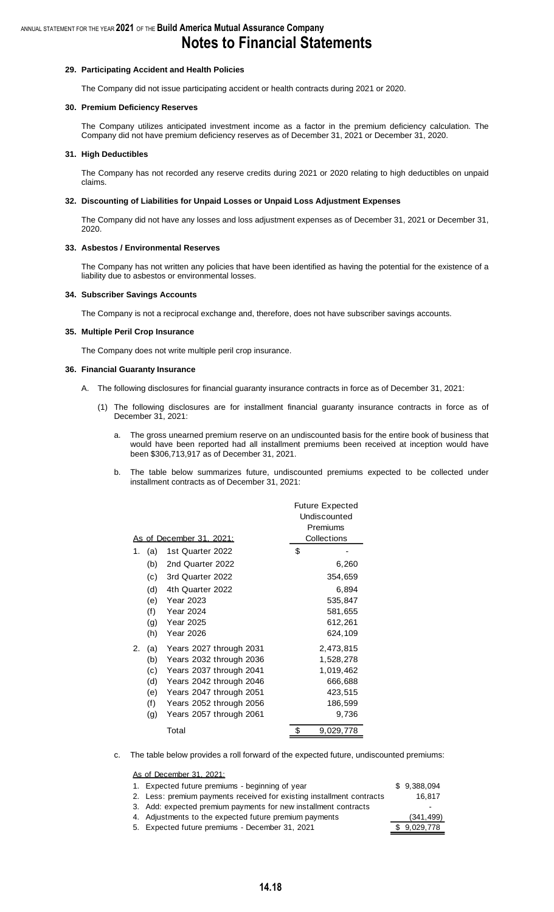## **Notes to Financial Statements**

#### **29. Participating Accident and Health Policies**

The Company did not issue participating accident or health contracts during 2021 or 2020.

#### **30. Premium Deficiency Reserves**

The Company utilizes anticipated investment income as a factor in the premium deficiency calculation. The Company did not have premium deficiency reserves as of December 31, 2021 or December 31, 2020.

#### **31. High Deductibles**

The Company has not recorded any reserve credits during 2021 or 2020 relating to high deductibles on unpaid claims.

#### **32. Discounting of Liabilities for Unpaid Losses or Unpaid Loss Adjustment Expenses**

The Company did not have any losses and loss adjustment expenses as of December 31, 2021 or December 31, 2020.

#### **33. Asbestos / Environmental Reserves**

The Company has not written any policies that have been identified as having the potential for the existence of a liability due to asbestos or environmental losses.

#### **34. Subscriber Savings Accounts**

The Company is not a reciprocal exchange and, therefore, does not have subscriber savings accounts.

#### **35. Multiple Peril Crop Insurance**

The Company does not write multiple peril crop insurance.

#### **36. Financial Guaranty Insurance**

- A. The following disclosures for financial guaranty insurance contracts in force as of December 31, 2021:
	- (1) The following disclosures are for installment financial guaranty insurance contracts in force as of December 31, 2021:
		- a. The gross unearned premium reserve on an undiscounted basis for the entire book of business that would have been reported had all installment premiums been received at inception would have been \$306,713,917 as of December 31, 2021.
		- b. The table below summarizes future, undiscounted premiums expected to be collected under installment contracts as of December 31, 2021:

|    |     |                                 | <b>Future Expected</b> |
|----|-----|---------------------------------|------------------------|
|    |     |                                 | Undiscounted           |
|    |     |                                 | Premiums               |
|    |     | <u>As of December 31, 2021:</u> | Collections            |
| 1. | (a) | 1st Quarter 2022                | \$                     |
|    | (b) | 2nd Quarter 2022                | 6,260                  |
|    | (c) | 3rd Quarter 2022                | 354,659                |
|    | (d) | 4th Quarter 2022                | 6,894                  |
|    | (e) | <b>Year 2023</b>                | 535,847                |
|    | (f) | <b>Year 2024</b>                | 581,655                |
|    | (g) | <b>Year 2025</b>                | 612,261                |
|    | (h) | <b>Year 2026</b>                | 624,109                |
| 2. | (a) | Years 2027 through 2031         | 2,473,815              |
|    | (b) | Years 2032 through 2036         | 1,528,278              |
|    | (c) | Years 2037 through 2041         | 1,019,462              |
|    | (d) | Years 2042 through 2046         | 666,688                |
|    | (e) | Years 2047 through 2051         | 423,515                |
|    | (f) | Years 2052 through 2056         | 186,599                |
|    | (g) | Years 2057 through 2061         | 9,736                  |
|    |     | Total                           | \$<br>9,029,778        |
|    |     |                                 |                        |

c. The table below provides a roll forward of the expected future, undiscounted premiums:

As of December 31, 2021:

| 1. Expected future premiums - beginning of year                       | \$9.388.094 |
|-----------------------------------------------------------------------|-------------|
| 2. Less: premium payments received for existing installment contracts | 16,817      |
| 3. Add: expected premium payments for new installment contracts       |             |
| 4. Adjustments to the expected future premium payments                | (341, 499)  |
| 5. Expected future premiums - December 31, 2021                       | \$9,029,778 |
|                                                                       |             |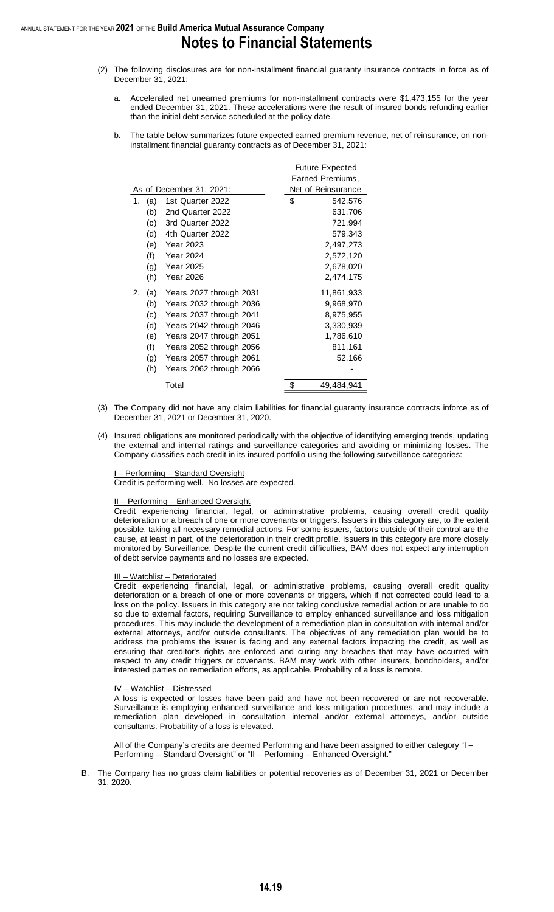#### ANNUAL STATEMENT FOR THE YEAR **2021** OF THE **Build America Mutual Assurance Company Notes to Financial Statements**

- (2) The following disclosures are for non-installment financial guaranty insurance contracts in force as of December 31, 2021:
	- a. Accelerated net unearned premiums for non-installment contracts were \$1,473,155 for the year ended December 31, 2021. These accelerations were the result of insured bonds refunding earlier than the initial debt service scheduled at the policy date.
	- b. The table below summarizes future expected earned premium revenue, net of reinsurance, on noninstallment financial guaranty contracts as of December 31, 2021:

|    |     |                          | <b>Future Expected</b><br>Earned Premiums, |
|----|-----|--------------------------|--------------------------------------------|
|    |     | As of December 31, 2021: | Net of Reinsurance                         |
| 1. | (a) | 1st Quarter 2022         | \$<br>542,576                              |
|    | (b) | 2nd Quarter 2022         | 631,706                                    |
|    | (c) | 3rd Quarter 2022         | 721,994                                    |
|    | (d) | 4th Quarter 2022         | 579,343                                    |
|    | (e) | <b>Year 2023</b>         | 2,497,273                                  |
|    | (f) | <b>Year 2024</b>         | 2,572,120                                  |
|    | (g) | <b>Year 2025</b>         | 2,678,020                                  |
|    | (h) | <b>Year 2026</b>         | 2,474,175                                  |
| 2. | (a) | Years 2027 through 2031  | 11,861,933                                 |
|    | (b) | Years 2032 through 2036  | 9,968,970                                  |
|    | (c) | Years 2037 through 2041  | 8,975,955                                  |
|    | (d) | Years 2042 through 2046  | 3,330,939                                  |
|    | (e) | Years 2047 through 2051  | 1,786,610                                  |
|    | (f) | Years 2052 through 2056  | 811,161                                    |
|    | (g) | Years 2057 through 2061  | 52,166                                     |
|    | (h) | Years 2062 through 2066  |                                            |
|    |     | Total                    | 49,484,941                                 |

- (3) The Company did not have any claim liabilities for financial guaranty insurance contracts inforce as of December 31, 2021 or December 31, 2020.
- (4) Insured obligations are monitored periodically with the objective of identifying emerging trends, updating the external and internal ratings and surveillance categories and avoiding or minimizing losses. The Company classifies each credit in its insured portfolio using the following surveillance categories:

- Performing – Standard Oversight Credit is performing well. No losses are expected.

#### II – Performing – Enhanced Oversight

Credit experiencing financial, legal, or administrative problems, causing overall credit quality deterioration or a breach of one or more covenants or triggers. Issuers in this category are, to the extent possible, taking all necessary remedial actions. For some issuers, factors outside of their control are the cause, at least in part, of the deterioration in their credit profile. Issuers in this category are more closely monitored by Surveillance. Despite the current credit difficulties, BAM does not expect any interruption of debt service payments and no losses are expected.

#### III – Watchlist – Deteriorated

Credit experiencing financial, legal, or administrative problems, causing overall credit quality deterioration or a breach of one or more covenants or triggers, which if not corrected could lead to a loss on the policy. Issuers in this category are not taking conclusive remedial action or are unable to do so due to external factors, requiring Surveillance to employ enhanced surveillance and loss mitigation procedures. This may include the development of a remediation plan in consultation with internal and/or external attorneys, and/or outside consultants. The objectives of any remediation plan would be to address the problems the issuer is facing and any external factors impacting the credit, as well as ensuring that creditor's rights are enforced and curing any breaches that may have occurred with respect to any credit triggers or covenants. BAM may work with other insurers, bondholders, and/or interested parties on remediation efforts, as applicable. Probability of a loss is remote.

#### IV – Watchlist – Distressed

A loss is expected or losses have been paid and have not been recovered or are not recoverable. Surveillance is employing enhanced surveillance and loss mitigation procedures, and may include a remediation plan developed in consultation internal and/or external attorneys, and/or outside consultants. Probability of a loss is elevated.

All of the Company's credits are deemed Performing and have been assigned to either category "I – Performing – Standard Oversight" or "II – Performing – Enhanced Oversight.'

B. The Company has no gross claim liabilities or potential recoveries as of December 31, 2021 or December 31, 2020.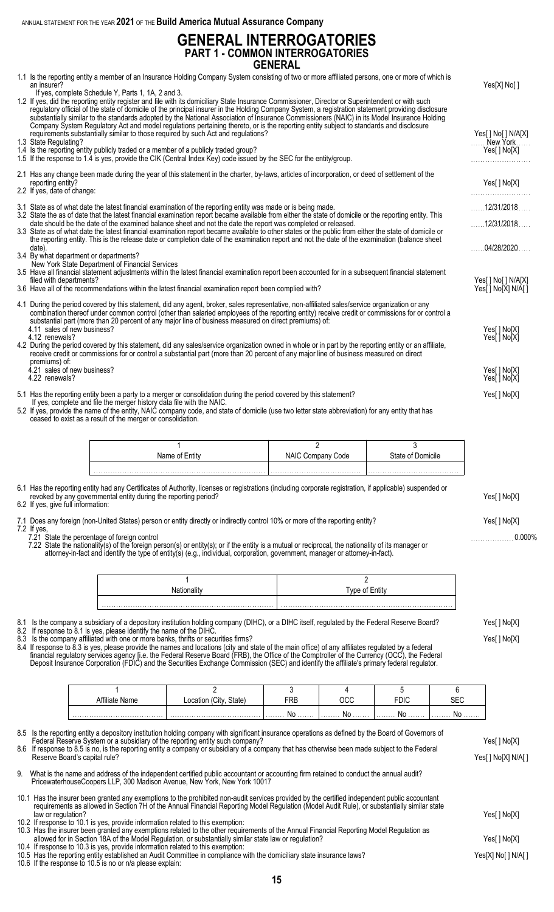ANNUAL STATEMENT FOR THE YEAR **2021** OF THE **Build America Mutual Assurance Company**

### **GENERAL INTERROGATORIES PART 1 - COMMON INTERROGATORIES GENERAL**

| an insurer?                                                                                                                                                                                                                                                                                                                                                                                                                                                                                                                                                                                                                                                                                                                                                                                                                                                                                                    | 1.1 Is the reporting entity a member of an Insurance Holding Company System consisting of two or more affiliated persons, one or more of which is |                                                                                                                                      |                                                                                                                                                                                                                                                                                                                                                                                                                                                                                                                                           |                                     |                |                        |                  | Yes[X] No[]                                    |
|----------------------------------------------------------------------------------------------------------------------------------------------------------------------------------------------------------------------------------------------------------------------------------------------------------------------------------------------------------------------------------------------------------------------------------------------------------------------------------------------------------------------------------------------------------------------------------------------------------------------------------------------------------------------------------------------------------------------------------------------------------------------------------------------------------------------------------------------------------------------------------------------------------------|---------------------------------------------------------------------------------------------------------------------------------------------------|--------------------------------------------------------------------------------------------------------------------------------------|-------------------------------------------------------------------------------------------------------------------------------------------------------------------------------------------------------------------------------------------------------------------------------------------------------------------------------------------------------------------------------------------------------------------------------------------------------------------------------------------------------------------------------------------|-------------------------------------|----------------|------------------------|------------------|------------------------------------------------|
| If yes, complete Schedule Y, Parts 1, 1A, 2 and 3.<br>1.2 If yes, did the reporting entity register and file with its domiciliary State Insurance Commissioner, Director or Superintendent or with such<br>regulatory official of the state of domicile of the principal insurer in the Holding Company System, a registration statement providing disclosure substantially similar to the standards adopted by the National Association<br>Company System Regulatory Act and model regulations pertaining thereto, or is the reporting entity subject to standards and disclosure<br>requirements substantially similar to those required by such Act and regulations?<br>1.3 State Regulating?<br>1.4 Is the reporting entity publicly traded or a member of a publicly traded group?<br>1.5 If the response to 1.4 is yes, provide the CIK (Central Index Key) code issued by the SEC for the entity/group. |                                                                                                                                                   |                                                                                                                                      |                                                                                                                                                                                                                                                                                                                                                                                                                                                                                                                                           |                                     |                |                        |                  | Yes[ ] No[ ] N/A[X]<br>New York<br>Yes[] No[X] |
|                                                                                                                                                                                                                                                                                                                                                                                                                                                                                                                                                                                                                                                                                                                                                                                                                                                                                                                |                                                                                                                                                   |                                                                                                                                      |                                                                                                                                                                                                                                                                                                                                                                                                                                                                                                                                           |                                     |                |                        |                  |                                                |
| reporting entity?<br>2.2 If yes, date of change:                                                                                                                                                                                                                                                                                                                                                                                                                                                                                                                                                                                                                                                                                                                                                                                                                                                               |                                                                                                                                                   |                                                                                                                                      | 2.1 Has any change been made during the year of this statement in the charter, by-laws, articles of incorporation, or deed of settlement of the                                                                                                                                                                                                                                                                                                                                                                                           |                                     |                |                        |                  | Yes[] No[X]                                    |
|                                                                                                                                                                                                                                                                                                                                                                                                                                                                                                                                                                                                                                                                                                                                                                                                                                                                                                                |                                                                                                                                                   |                                                                                                                                      | 3.1 State as of what date the latest financial examination of the reporting entity was made or is being made.<br>3.2 State the as of date that the latest financial examination report became available from either the state of domicile or the reporting entity. This                                                                                                                                                                                                                                                                   |                                     |                |                        |                  | $\ldots$ 12/31/2018 $\ldots$                   |
|                                                                                                                                                                                                                                                                                                                                                                                                                                                                                                                                                                                                                                                                                                                                                                                                                                                                                                                |                                                                                                                                                   |                                                                                                                                      | date should be the date of the examined balance sheet and not the date the report was completed or released.<br>3.3 State as of what date the latest financial examination report became available to other states or the public from either the state of domicile or<br>the reporting entity. This is the release date or completion date of the examination report and not the date of the examination (balance sheet                                                                                                                   |                                     |                |                        |                  | 12/31/2018                                     |
| date).                                                                                                                                                                                                                                                                                                                                                                                                                                                                                                                                                                                                                                                                                                                                                                                                                                                                                                         |                                                                                                                                                   | 3.4 By what department or departments?<br>New York State Department of Financial Services                                            |                                                                                                                                                                                                                                                                                                                                                                                                                                                                                                                                           |                                     |                |                        |                  | 04/28/2020                                     |
| filed with departments?                                                                                                                                                                                                                                                                                                                                                                                                                                                                                                                                                                                                                                                                                                                                                                                                                                                                                        |                                                                                                                                                   |                                                                                                                                      | 3.5 Have all financial statement adjustments within the latest financial examination report been accounted for in a subsequent financial statement<br>3.6 Have all of the recommendations within the latest financial examination report been complied with?                                                                                                                                                                                                                                                                              |                                     |                |                        |                  | Yes[] No[] N/A[X]<br>Yes[ ] No[X] N/A[ ]       |
|                                                                                                                                                                                                                                                                                                                                                                                                                                                                                                                                                                                                                                                                                                                                                                                                                                                                                                                |                                                                                                                                                   |                                                                                                                                      | 4.1 During the period covered by this statement, did any agent, broker, sales representative, non-affiliated sales/service organization or any<br>combination thereof under common control (other than salaried employees of the reporting entity) receive credit or commissions for or control a<br>substantial part (more than 20 percent of any major line of business measured on direct premiums) of:                                                                                                                                |                                     |                |                        |                  |                                                |
| 4.11 sales of new business?<br>4.12 renewals?                                                                                                                                                                                                                                                                                                                                                                                                                                                                                                                                                                                                                                                                                                                                                                                                                                                                  |                                                                                                                                                   |                                                                                                                                      | 4.2 During the period covered by this statement, did any sales/service organization owned in whole or in part by the reporting entity or an affiliate,<br>receive credit or commissions for or control a substantial part (more than 20 percent of any major line of business measured on direct                                                                                                                                                                                                                                          |                                     |                |                        |                  | Yes[] No[X]<br>Yes[ ] No[X]                    |
| premiums) of:<br>4.21 sales of new business?                                                                                                                                                                                                                                                                                                                                                                                                                                                                                                                                                                                                                                                                                                                                                                                                                                                                   |                                                                                                                                                   |                                                                                                                                      |                                                                                                                                                                                                                                                                                                                                                                                                                                                                                                                                           |                                     |                |                        |                  | Yes[ ] No[X]                                   |
| 4.22 renewals?                                                                                                                                                                                                                                                                                                                                                                                                                                                                                                                                                                                                                                                                                                                                                                                                                                                                                                 |                                                                                                                                                   |                                                                                                                                      | 5.1 Has the reporting entity been a party to a merger or consolidation during the period covered by this statement?                                                                                                                                                                                                                                                                                                                                                                                                                       |                                     |                |                        |                  | Yes[ ] No[X]<br>Yes[] No[X]                    |
|                                                                                                                                                                                                                                                                                                                                                                                                                                                                                                                                                                                                                                                                                                                                                                                                                                                                                                                |                                                                                                                                                   | If yes, complete and file the merger history data file with the NAIC.<br>ceased to exist as a result of the merger or consolidation. | 5.2 If yes, provide the name of the entity, NAIC company code, and state of domicile (use two letter state abbreviation) for any entity that has                                                                                                                                                                                                                                                                                                                                                                                          |                                     |                |                        |                  |                                                |
|                                                                                                                                                                                                                                                                                                                                                                                                                                                                                                                                                                                                                                                                                                                                                                                                                                                                                                                |                                                                                                                                                   |                                                                                                                                      | $\mathbf 1$<br>Name of Entity                                                                                                                                                                                                                                                                                                                                                                                                                                                                                                             | $\overline{2}$<br>NAIC Company Code |                | 3<br>State of Domicile |                  |                                                |
|                                                                                                                                                                                                                                                                                                                                                                                                                                                                                                                                                                                                                                                                                                                                                                                                                                                                                                                |                                                                                                                                                   |                                                                                                                                      |                                                                                                                                                                                                                                                                                                                                                                                                                                                                                                                                           |                                     |                |                        |                  |                                                |
|                                                                                                                                                                                                                                                                                                                                                                                                                                                                                                                                                                                                                                                                                                                                                                                                                                                                                                                |                                                                                                                                                   | revoked by any governmental entity during the reporting period?                                                                      | 6.1 Has the reporting entity had any Certificates of Authority, licenses or registrations (including corporate registration, if applicable) suspended or                                                                                                                                                                                                                                                                                                                                                                                  |                                     |                |                        |                  |                                                |
|                                                                                                                                                                                                                                                                                                                                                                                                                                                                                                                                                                                                                                                                                                                                                                                                                                                                                                                | 6.2 If yes, give full information:                                                                                                                |                                                                                                                                      |                                                                                                                                                                                                                                                                                                                                                                                                                                                                                                                                           |                                     |                |                        |                  | Yes[] No[X]                                    |
|                                                                                                                                                                                                                                                                                                                                                                                                                                                                                                                                                                                                                                                                                                                                                                                                                                                                                                                |                                                                                                                                                   |                                                                                                                                      | 7.1 Does any foreign (non-United States) person or entity directly or indirectly control 10% or more of the reporting entity?                                                                                                                                                                                                                                                                                                                                                                                                             |                                     |                |                        |                  | Yes[] No[X]                                    |
| $7.2$ If yes,                                                                                                                                                                                                                                                                                                                                                                                                                                                                                                                                                                                                                                                                                                                                                                                                                                                                                                  |                                                                                                                                                   | 7.21 State the percentage of foreign control                                                                                         | 7.22 State the nationality(s) of the foreign person(s) or entity(s); or if the entity is a mutual or reciprocal, the nationality of its manager or<br>attorney-in-fact and identify the type of entity(s) (e.g., individual, corporation, government, manager or attorney-in-fact).                                                                                                                                                                                                                                                       |                                     |                |                        |                  | 0.000%                                         |
|                                                                                                                                                                                                                                                                                                                                                                                                                                                                                                                                                                                                                                                                                                                                                                                                                                                                                                                |                                                                                                                                                   |                                                                                                                                      | $\mathbf{1}$                                                                                                                                                                                                                                                                                                                                                                                                                                                                                                                              |                                     | $\overline{2}$ |                        |                  |                                                |
|                                                                                                                                                                                                                                                                                                                                                                                                                                                                                                                                                                                                                                                                                                                                                                                                                                                                                                                |                                                                                                                                                   |                                                                                                                                      | Nationality                                                                                                                                                                                                                                                                                                                                                                                                                                                                                                                               |                                     | Type of Entity |                        |                  |                                                |
|                                                                                                                                                                                                                                                                                                                                                                                                                                                                                                                                                                                                                                                                                                                                                                                                                                                                                                                |                                                                                                                                                   | 8.2 If response to 8.1 is yes, please identify the name of the DIHC.                                                                 | 8.1 Is the company a subsidiary of a depository institution holding company (DIHC), or a DIHC itself, regulated by the Federal Reserve Board?<br>8.3 Is the company affiliated with one or more banks, thrifts or securities firms?<br>8.4 If response to 8.3 is yes, please provide the names and locations (city and state of the main office) of any affiliates regulated by a federal<br>financial regulatory services agency [i.e. the Federal Reserve Board (FRB), the Office of the Comptroller of the Currency (OCC), the Federal |                                     |                |                        |                  | Yes[] No[X]<br>Yes[] No[X]                     |
|                                                                                                                                                                                                                                                                                                                                                                                                                                                                                                                                                                                                                                                                                                                                                                                                                                                                                                                |                                                                                                                                                   |                                                                                                                                      | Deposit Insurance Corporation (FDIC) and the Securities Exchange Commission (SEC) and identify the affiliate's primary federal regulator.                                                                                                                                                                                                                                                                                                                                                                                                 |                                     |                |                        |                  |                                                |
|                                                                                                                                                                                                                                                                                                                                                                                                                                                                                                                                                                                                                                                                                                                                                                                                                                                                                                                |                                                                                                                                                   | $\mathbf{1}$                                                                                                                         | $\overline{2}$                                                                                                                                                                                                                                                                                                                                                                                                                                                                                                                            | 3                                   | 4              | 5                      | 6                |                                                |
|                                                                                                                                                                                                                                                                                                                                                                                                                                                                                                                                                                                                                                                                                                                                                                                                                                                                                                                |                                                                                                                                                   | Affiliate Name                                                                                                                       | Location (City, State)                                                                                                                                                                                                                                                                                                                                                                                                                                                                                                                    | <b>FRB</b><br>No                    | OCC<br>No      | <b>FDIC</b><br>No      | <b>SEC</b><br>No |                                                |
|                                                                                                                                                                                                                                                                                                                                                                                                                                                                                                                                                                                                                                                                                                                                                                                                                                                                                                                |                                                                                                                                                   |                                                                                                                                      | 8.5 Is the reporting entity a depository institution holding company with significant insurance operations as defined by the Board of Governors of<br>Federal Reserve System or a subsidiary of the reporting entity such company?<br>8.6 If response to 8.5 is no, is the reporting entity a company or subsidiary of a company that has otherwise been made subject to the Federal                                                                                                                                                      |                                     |                |                        |                  | Yes[] No[X]                                    |
| Reserve Board's capital rule?                                                                                                                                                                                                                                                                                                                                                                                                                                                                                                                                                                                                                                                                                                                                                                                                                                                                                  |                                                                                                                                                   |                                                                                                                                      | 9. What is the name and address of the independent certified public accountant or accounting firm retained to conduct the annual audit?<br>PricewaterhouseCoopers LLP, 300 Madison Avenue, New York, New York 10017                                                                                                                                                                                                                                                                                                                       |                                     |                |                        |                  | Yes[] No[X] N/A[]                              |
|                                                                                                                                                                                                                                                                                                                                                                                                                                                                                                                                                                                                                                                                                                                                                                                                                                                                                                                |                                                                                                                                                   |                                                                                                                                      | 10.1 Has the insurer been granted any exemptions to the prohibited non-audit services provided by the certified independent public accountant<br>requirements as allowed in Section 7H of the Annual Financial Reporting Model Regulation (Model Audit Rule), or substantially similar state                                                                                                                                                                                                                                              |                                     |                |                        |                  |                                                |
| law or regulation?                                                                                                                                                                                                                                                                                                                                                                                                                                                                                                                                                                                                                                                                                                                                                                                                                                                                                             |                                                                                                                                                   |                                                                                                                                      | 10.2 If response to 10.1 is yes, provide information related to this exemption:                                                                                                                                                                                                                                                                                                                                                                                                                                                           |                                     |                |                        |                  | Yes[] No[X]                                    |
|                                                                                                                                                                                                                                                                                                                                                                                                                                                                                                                                                                                                                                                                                                                                                                                                                                                                                                                |                                                                                                                                                   |                                                                                                                                      | 10.3 Has the insurer been granted any exemptions related to the other requirements of the Annual Financial Reporting Model Regulation as<br>allowed for in Section 18A of the Model Regulation, or substantially similar state law or regulation?                                                                                                                                                                                                                                                                                         |                                     |                |                        |                  | Yes[ ] No[X]                                   |
|                                                                                                                                                                                                                                                                                                                                                                                                                                                                                                                                                                                                                                                                                                                                                                                                                                                                                                                |                                                                                                                                                   | 10.6 If the response to 10.5 is no or n/a please explain:                                                                            | 10.4 If response to 10.3 is yes, provide information related to this exemption:<br>10.5 Has the reporting entity established an Audit Committee in compliance with the domiciliary state insurance laws?                                                                                                                                                                                                                                                                                                                                  |                                     |                |                        |                  | Yes[X] No[ ] N/A[ ]                            |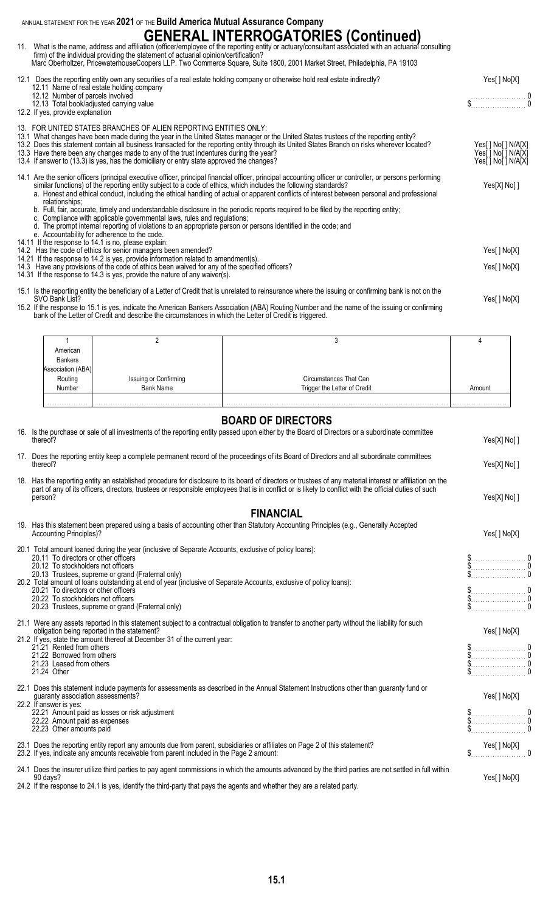ANNUAL STATEMENT FOR THE YEAR **2021** OF THE **Build America Mutual Assurance Company**

## **GENERAL INTERROGATORIES (Continued)**

| 11. What is the name, address and affiliation (officer/employee of the reporting entity or actuary/consultant associated with an actuarial consulting<br>firm) of the individual providing the statement of actuarial opinion/certification?<br>Marc Oberholtzer, PricewaterhouseCoopers LLP. Two Commerce Square, Suite 1800, 2001 Market Street, Philadelphia, PA 19103                                                                                                                                                                                                                                                                                                                                                                                                         |                                                               |
|-----------------------------------------------------------------------------------------------------------------------------------------------------------------------------------------------------------------------------------------------------------------------------------------------------------------------------------------------------------------------------------------------------------------------------------------------------------------------------------------------------------------------------------------------------------------------------------------------------------------------------------------------------------------------------------------------------------------------------------------------------------------------------------|---------------------------------------------------------------|
| 12.1 Does the reporting entity own any securities of a real estate holding company or otherwise hold real estate indirectly?<br>12.11 Name of real estate holding company<br>12.12 Number of parcels involved<br>12.13 Total book/adjusted carrying value<br>12.2 If yes, provide explanation                                                                                                                                                                                                                                                                                                                                                                                                                                                                                     | Yes[] No[X]<br>$\begin{array}{c} 0 \\ \text{S} \end{array}$   |
| 13. FOR UNITED STATES BRANCHES OF ALIEN REPORTING ENTITIES ONLY:<br>13.1 What changes have been made during the year in the United States manager or the United States trustees of the reporting entity?<br>13.2 Does this statement contain all business transacted for the reporting entity through its United States Branch on risks wherever located?<br>13.3 Have there been any changes made to any of the trust indentures during the year?<br>13.4 If answer to (13.3) is yes, has the domiciliary or entry state approved the changes?                                                                                                                                                                                                                                   | Yes[] No[] N/A[X]<br>Yes[] No[] N/A[X]<br>Yes[ ] No[ ] N/A[X] |
| 14.1 Are the senior officers (principal executive officer, principal financial officer, principal accounting officer or controller, or persons performing<br>similar functions) of the reporting entity subject to a code of ethics, which includes the following standards?<br>a. Honest and ethical conduct, including the ethical handling of actual or apparent conflicts of interest between personal and professional<br>relationships;<br>b. Full, fair, accurate, timely and understandable disclosure in the periodic reports required to be filed by the reporting entity;<br>c. Compliance with applicable governmental laws, rules and regulations;<br>d. The prompt internal reporting of violations to an appropriate person or persons identified in the code; and | Yes[X] No[]                                                   |
| e. Accountability for adherence to the code.<br>14.11 If the response to 14.1 is no, please explain:                                                                                                                                                                                                                                                                                                                                                                                                                                                                                                                                                                                                                                                                              |                                                               |
| 14.2 Has the code of ethics for senior managers been amended?<br>14.21 If the response to 14.2 is yes, provide information related to amendment(s).                                                                                                                                                                                                                                                                                                                                                                                                                                                                                                                                                                                                                               | Yes[ ] No[X]                                                  |
| 14.3 Have any provisions of the code of ethics been waived for any of the specified officers?<br>14.31 If the response to 14.3 is yes, provide the nature of any waiver(s).                                                                                                                                                                                                                                                                                                                                                                                                                                                                                                                                                                                                       | Yes[] No[X]                                                   |
| 15.1 Is the reporting entity the beneficiary of a Letter of Credit that is unrelated to reinsurance where the issuing or confirming bank is not on the<br>SVO Bank List?<br>152 If the recepced to 151 is ves, indicate the American Rapkers Association (ARA) Douting Number and the name of the issuing or confirming                                                                                                                                                                                                                                                                                                                                                                                                                                                           | Yes[] No[X]                                                   |

15.2 If the response to 15.1 is yes, indicate the American Bankers Association (ABA) Routing Number and the name of the issuing or confirming bank of the Letter of Credit and describe the circumstances in which the Letter of Credit is triggered.

| American          |                       |                              |        |
|-------------------|-----------------------|------------------------------|--------|
| <b>Bankers</b>    |                       |                              |        |
| Association (ABA) |                       |                              |        |
| Routing           | Issuing or Confirming | Circumstances That Can       |        |
| Number            | <b>Bank Name</b>      | Trigger the Letter of Credit | Amount |
|                   |                       |                              |        |
| .                 |                       |                              |        |

#### **BOARD OF DIRECTORS**

|               | 16. Is the purchase or sale of all investments of the reporting entity passed upon either by the Board of Directors or a subordinate committee<br>thereof?                                                                                                                                                                                                                                                                                                                                        | Yes[X] No[]                                                                                                                                                                                                                                                                                                                        |
|---------------|---------------------------------------------------------------------------------------------------------------------------------------------------------------------------------------------------------------------------------------------------------------------------------------------------------------------------------------------------------------------------------------------------------------------------------------------------------------------------------------------------|------------------------------------------------------------------------------------------------------------------------------------------------------------------------------------------------------------------------------------------------------------------------------------------------------------------------------------|
|               | 17. Does the reporting entity keep a complete permanent record of the proceedings of its Board of Directors and all subordinate committees<br>thereof?                                                                                                                                                                                                                                                                                                                                            | Yes[X] No[]                                                                                                                                                                                                                                                                                                                        |
|               | 18. Has the reporting entity an established procedure for disclosure to its board of directors or trustees of any material interest or affiliation on the<br>part of any of its officers, directors, trustees or responsible employees that is in conflict or is likely to conflict with the official duties of such<br>person?                                                                                                                                                                   | Yes[X] No[]                                                                                                                                                                                                                                                                                                                        |
|               | <b>FINANCIAL</b>                                                                                                                                                                                                                                                                                                                                                                                                                                                                                  |                                                                                                                                                                                                                                                                                                                                    |
|               | 19. Has this statement been prepared using a basis of accounting other than Statutory Accounting Principles (e.g., Generally Accepted<br><b>Accounting Principles)?</b>                                                                                                                                                                                                                                                                                                                           | Yes[] No[X]                                                                                                                                                                                                                                                                                                                        |
|               | 20.1 Total amount loaned during the year (inclusive of Separate Accounts, exclusive of policy loans):<br>20.11 To directors or other officers<br>20.12 To stockholders not officers<br>20.13 Trustees, supreme or grand (Fraternal only)<br>20.2 Total amount of loans outstanding at end of year (inclusive of Separate Accounts, exclusive of policy loans):<br>20.21 To directors or other officers<br>20.22 To stockholders not officers<br>20.23 Trustees, supreme or grand (Fraternal only) |                                                                                                                                                                                                                                                                                                                                    |
|               | 21.1 Were any assets reported in this statement subject to a contractual obligation to transfer to another party without the liability for such<br>obligation being reported in the statement?<br>21.2 If yes, state the amount thereof at December 31 of the current year:<br>21.21 Rented from others<br>21.22 Borrowed from others<br>21.23 Leased from others<br>21.24 Other                                                                                                                  | Yes[] No[X]                                                                                                                                                                                                                                                                                                                        |
|               | 22.1 Does this statement include payments for assessments as described in the Annual Statement Instructions other than guaranty fund or<br>guaranty association assessments?<br>22.2 If answer is yes:<br>22.21 Amount paid as losses or risk adjustment<br>22.22 Amount paid as expenses<br>22.23 Other amounts paid                                                                                                                                                                             | Yes[] No[X]<br>$\frac{1}{2}$ $\frac{1}{2}$ $\frac{1}{2}$ $\frac{1}{2}$ $\frac{1}{2}$ $\frac{1}{2}$ $\frac{1}{2}$ $\frac{1}{2}$ $\frac{1}{2}$ $\frac{1}{2}$ $\frac{1}{2}$ $\frac{1}{2}$ $\frac{1}{2}$ $\frac{1}{2}$ $\frac{1}{2}$ $\frac{1}{2}$ $\frac{1}{2}$ $\frac{1}{2}$ $\frac{1}{2}$ $\frac{1}{2}$ $\frac{1}{2}$ $\frac{1}{2}$ |
|               | 23.1 Does the reporting entity report any amounts due from parent, subsidiaries or affiliates on Page 2 of this statement?<br>23.2 If yes, indicate any amounts receivable from parent included in the Page 2 amount:                                                                                                                                                                                                                                                                             | Yes[] No[X]                                                                                                                                                                                                                                                                                                                        |
| $\sim$ $\sim$ | 24.1 Does the insurer utilize third parties to pay agent commissions in which the amounts advanced by the third parties are not settled in full within<br>90 days?<br>$\mathbf{a}$ and the state and the state of the state of the state of the state of the state of the state of the state of the state of the state of the state of the state of the state of the state of the state of the state of                                                                                           | Yes[] No[X]                                                                                                                                                                                                                                                                                                                        |

24.2 If the response to 24.1 is yes, identify the third-party that pays the agents and whether they are a related party.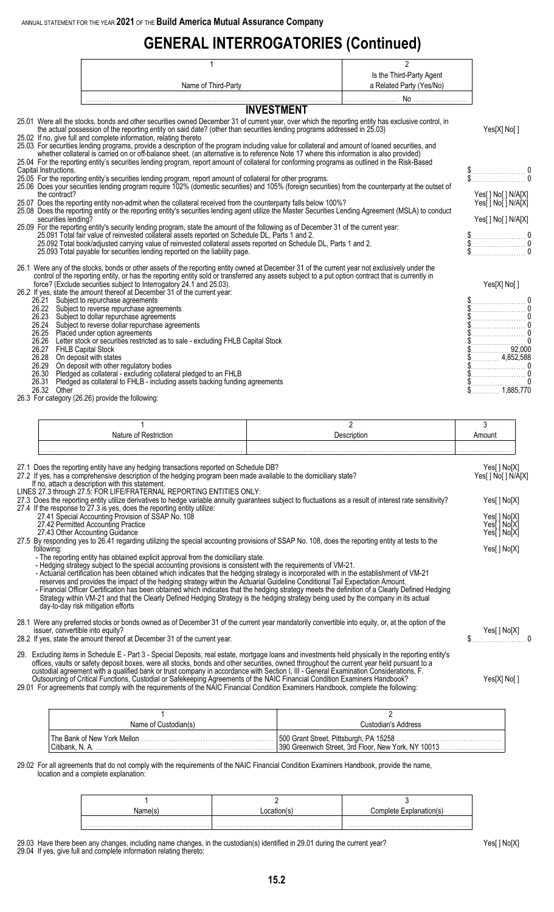## **GENERAL INTERROGATORIES (Continued)**

|                                                                                               |                                                                                                                                                                                                                                                                                                                                                                                                                                                                                                                                                                                                                                                                                                                                                                                                                                                                                                                                                                                                                                                                                                                                                                                                                                                                                                                                                                                                                                                                                                                                                                                                                                                                                                                   | 2                        |                                                                                                                                                                                                                                                                                                                                                                                                                                                                                                                                                                         |
|-----------------------------------------------------------------------------------------------|-------------------------------------------------------------------------------------------------------------------------------------------------------------------------------------------------------------------------------------------------------------------------------------------------------------------------------------------------------------------------------------------------------------------------------------------------------------------------------------------------------------------------------------------------------------------------------------------------------------------------------------------------------------------------------------------------------------------------------------------------------------------------------------------------------------------------------------------------------------------------------------------------------------------------------------------------------------------------------------------------------------------------------------------------------------------------------------------------------------------------------------------------------------------------------------------------------------------------------------------------------------------------------------------------------------------------------------------------------------------------------------------------------------------------------------------------------------------------------------------------------------------------------------------------------------------------------------------------------------------------------------------------------------------------------------------------------------------|--------------------------|-------------------------------------------------------------------------------------------------------------------------------------------------------------------------------------------------------------------------------------------------------------------------------------------------------------------------------------------------------------------------------------------------------------------------------------------------------------------------------------------------------------------------------------------------------------------------|
|                                                                                               |                                                                                                                                                                                                                                                                                                                                                                                                                                                                                                                                                                                                                                                                                                                                                                                                                                                                                                                                                                                                                                                                                                                                                                                                                                                                                                                                                                                                                                                                                                                                                                                                                                                                                                                   | Is the Third-Party Agent |                                                                                                                                                                                                                                                                                                                                                                                                                                                                                                                                                                         |
|                                                                                               | Name of Third-Party                                                                                                                                                                                                                                                                                                                                                                                                                                                                                                                                                                                                                                                                                                                                                                                                                                                                                                                                                                                                                                                                                                                                                                                                                                                                                                                                                                                                                                                                                                                                                                                                                                                                                               | a Related Party (Yes/No) |                                                                                                                                                                                                                                                                                                                                                                                                                                                                                                                                                                         |
|                                                                                               |                                                                                                                                                                                                                                                                                                                                                                                                                                                                                                                                                                                                                                                                                                                                                                                                                                                                                                                                                                                                                                                                                                                                                                                                                                                                                                                                                                                                                                                                                                                                                                                                                                                                                                                   |                          |                                                                                                                                                                                                                                                                                                                                                                                                                                                                                                                                                                         |
|                                                                                               | <b>INVESTMENT</b>                                                                                                                                                                                                                                                                                                                                                                                                                                                                                                                                                                                                                                                                                                                                                                                                                                                                                                                                                                                                                                                                                                                                                                                                                                                                                                                                                                                                                                                                                                                                                                                                                                                                                                 |                          |                                                                                                                                                                                                                                                                                                                                                                                                                                                                                                                                                                         |
| Capital Instructions.<br>the contract?<br>securities lending?                                 | 25.01 Were all the stocks, bonds and other securities owned December 31 of current year, over which the reporting entity has exclusive control, in<br>the actual possession of the reporting entity on said date? (other than securities lending programs addressed in 25.03)<br>25.02 If no, give full and complete information, relating thereto<br>25.03 For securities lending programs, provide a description of the program including value for collateral and amount of loaned securities, and<br>whether collateral is carried on or off-balance sheet. (an alternative is to reference Note 17 where this information is also provided)<br>25.04 For the reporting entity's securities lending program, report amount of collateral for conforming programs as outlined in the Risk-Based<br>25.05 For the reporting entity's securities lending program, report amount of collateral for other programs.<br>25.06 Does your securities lending program require 102% (domestic securities) and 105% (foreign securities) from the counterparty at the outset of<br>25.07 Does the reporting entity non-admit when the collateral received from the counterparty falls below 100%?<br>25.08 Does the reporting entity or the reporting entity's securities lending agent utilize the Master Securities Lending Agreement (MSLA) to conduct<br>25.09 For the reporting entity's security lending program, state the amount of the following as of December 31 of the current year:<br>25.091 Total fair value of reinvested collateral assets reported on Schedule DL, Parts 1 and 2.<br>25.092 Total book/adjusted carrying value of reinvested collateral assets reported on Schedule DL, Parts 1 and 2. |                          | Yes[X] No[]<br>$\begin{array}{c} \texttt{\$} \\ \texttt{\$} \end{array} \hspace{-1.5cm} \begin{array}{c} \texttt{\$} \\ \texttt{\$} \end{array} \hspace{-1.5cm} \begin{array}{c} \texttt{\$} \\ \texttt{\$} \end{array} \hspace{-1.5cm} \begin{array}{c} \texttt{\$} \\ \texttt{\$} \end{array} \hspace{-1.5cm} \begin{array}{c} \texttt{\$} \\ \texttt{\$} \end{array} \hspace{-1.5cm} \begin{array}{c} \texttt{\$} \\ \texttt{\$} \end{array} \hspace{-1.5cm} \begin{array}{c} \texttt{\$} \\ \text$<br>Yes[] No[] N/A[X]<br>Yesi   Noj   N/AjX]<br>Yes[] No[] N/A[X] |
|                                                                                               | 25.093 Total payable for securities lending reported on the liability page.                                                                                                                                                                                                                                                                                                                                                                                                                                                                                                                                                                                                                                                                                                                                                                                                                                                                                                                                                                                                                                                                                                                                                                                                                                                                                                                                                                                                                                                                                                                                                                                                                                       |                          |                                                                                                                                                                                                                                                                                                                                                                                                                                                                                                                                                                         |
| 26.24<br>26.25<br>26.27 FHLB Capital Stock<br>26.28<br>26.29<br>26.30<br>26.31<br>26.32 Other | 26.1 Were any of the stocks, bonds or other assets of the reporting entity owned at December 31 of the current year not exclusively under the<br>control of the reporting entity, or has the reporting entity sold or transferred any assets subject to a put option contract that is currently in<br>force? (Exclude securities subject to Interrogatory 24.1 and 25.03).<br>26.2 If yes, state the amount thereof at December 31 of the current year:<br>26.21 Subject to repurchase agreements<br>26.22 Subject to reverse repurchase agreements<br>26.23 Subject to dollar repurchase agreements<br>Subject to reverse dollar repurchase agreements<br>Placed under option agreements<br>26.26 Letter stock or securities restricted as to sale - excluding FHLB Capital Stock<br>On deposit with states<br>On deposit with other regulatory bodies<br>Pledged as collateral - excluding collateral pledged to an FHLB<br>Pledged as collateral to FHLB - including assets backing funding agreements<br>26.3 For category (26.26) provide the following:                                                                                                                                                                                                                                                                                                                                                                                                                                                                                                                                                                                                                                                     |                          | Yes[X] No[]<br>$$$ 4,852,588<br>1,885,770                                                                                                                                                                                                                                                                                                                                                                                                                                                                                                                               |
|                                                                                               |                                                                                                                                                                                                                                                                                                                                                                                                                                                                                                                                                                                                                                                                                                                                                                                                                                                                                                                                                                                                                                                                                                                                                                                                                                                                                                                                                                                                                                                                                                                                                                                                                                                                                                                   |                          |                                                                                                                                                                                                                                                                                                                                                                                                                                                                                                                                                                         |

|                                                                                                                                                                                                                                                                                 |  | $\overline{2}$ | 3                           |  |
|---------------------------------------------------------------------------------------------------------------------------------------------------------------------------------------------------------------------------------------------------------------------------------|--|----------------|-----------------------------|--|
| Nature of Restriction                                                                                                                                                                                                                                                           |  | Description    | Amount                      |  |
|                                                                                                                                                                                                                                                                                 |  |                |                             |  |
|                                                                                                                                                                                                                                                                                 |  |                |                             |  |
| 27.1 Does the reporting entity have any hedging transactions reported on Schedule DB?                                                                                                                                                                                           |  |                | Yes[ ] No[X]                |  |
| 27.2 If yes, has a comprehensive description of the hedging program been made available to the domiciliary state?<br>If no, attach a description with this statement.                                                                                                           |  |                | Yes[ ] No[ ] N/A[X]         |  |
| LINES 27.3 through 27.5: FOR LIFE/FRATERNAL REPORTING ENTITIES ONLY:                                                                                                                                                                                                            |  |                |                             |  |
| 27.3 Does the reporting entity utilize derivatives to hedge variable annuity guarantees subject to fluctuations as a result of interest rate sensitivity?                                                                                                                       |  | Yes[] No[X]    |                             |  |
| 27.4 If the response to 27.3 is yes, does the reporting entity utilize:                                                                                                                                                                                                         |  |                |                             |  |
| 27.41 Special Accounting Provision of SSAP No. 108<br>27.42 Permitted Accounting Practice                                                                                                                                                                                       |  |                | Yes[] No[X]<br>Yes[ ] No[X] |  |
| 27.43 Other Accounting Guidance                                                                                                                                                                                                                                                 |  |                | Yes[ ] No[X]                |  |
| 27.5 By responding yes to 26.41 regarding utilizing the special accounting provisions of SSAP No. 108, does the reporting entity at tests to the<br>following:                                                                                                                  |  |                | Yes[] No[X]                 |  |
| - The reporting entity has obtained explicit approval from the domiciliary state.                                                                                                                                                                                               |  |                |                             |  |
| - Hedging strategy subject to the special accounting provisions is consistent with the requirements of VM-21.                                                                                                                                                                   |  |                |                             |  |
| - Actuarial certification has been obtained which indicates that the hedging strategy is incorporated with in the establishment of VM-21                                                                                                                                        |  |                |                             |  |
| reserves and provides the impact of the hedging strategy within the Actuarial Guideline Conditional Tail Expectation Amount.<br>- Financial Officer Certification has been obtained which indicates that the hedging strategy meets the definition of a Clearly Defined Hedging |  |                |                             |  |
| Strategy within VM-21 and that the Clearly Defined Hedging Strategy is the hedging strategy being used by the company in its actual                                                                                                                                             |  |                |                             |  |
| day-to-day risk mitigation efforts                                                                                                                                                                                                                                              |  |                |                             |  |
| 28.1 Were any preferred stocks or bonds owned as of December 31 of the current year mandatorily convertible into equity, or, at the option of the                                                                                                                               |  |                |                             |  |
| issuer, convertible into equity?                                                                                                                                                                                                                                                |  |                | Yes[] No[X]                 |  |
| 28.2 If yes, state the amount thereof at December 31 of the current year.                                                                                                                                                                                                       |  |                |                             |  |
| 29. Excluding items in Schedule E - Part 3 - Special Deposits, real estate, mortgage loans and investments held physically in the reporting entity's                                                                                                                            |  |                |                             |  |
| offices, vaults or safety deposit boxes, were all stocks, bonds and other securities, owned throughout the current year held pursuant to a                                                                                                                                      |  |                |                             |  |
| custodial agreement with a qualified bank or trust company in accordance with Section I, III - General Examination Considerations, F.                                                                                                                                           |  |                |                             |  |
| Outsourcing of Critical Functions, Custodial or Safekeeping Agreements of the NAIC Financial Condition Examiners Handbook?<br>29.01 For agreements that comply with the requirements of the NAIC Financial Condition Examiners Handbook, complete the following:                |  |                | Yes[X] No[]                 |  |
|                                                                                                                                                                                                                                                                                 |  |                |                             |  |
|                                                                                                                                                                                                                                                                                 |  |                |                             |  |
| 1                                                                                                                                                                                                                                                                               |  | $\overline{2}$ |                             |  |

29.02 For all agreements that do not comply with the requirements of the NAIC Financial Condition Examiners Handbook, provide the name, location and a complete explanation:

| Name(s) | .omnlete Exr |
|---------|--------------|
|         |              |

Name of Custodian(s) and Custodian's Address

500 Grant Street, Pittsburgh, PA 15258 ....................<br>390 Greenwich Street, 3rd Floor, New York, NY 10013

29.03 Have there been any changes, including name changes, in the custodian(s) identified in 29.01 during the current year? Yes[ ] No[X] 29.04 If yes, give full and complete information relating thereto:

The Bank of New York Mellon . . . . . . . . . . . . . . . . . . . . . . . . . . . . . . . . . . . . . . . . . . . . . . . . . . . . . . . . 500 Grant Street, Pittsburgh, PA 15258 . . . . . . . . . . . . . . . . . . . . . . . . . . . . . . . . . . . . . . . . . . . .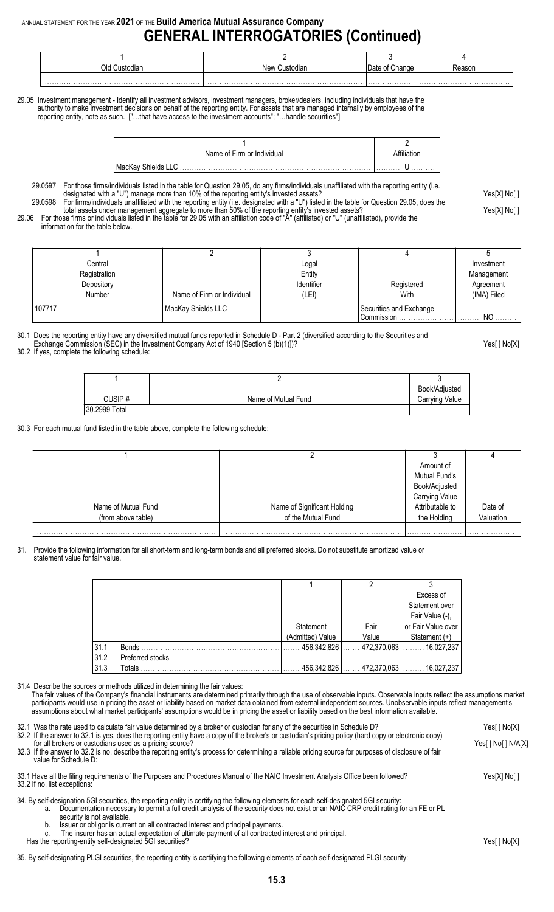### ANNUAL STATEMENT FOR THE YEAR **2021** OF THE **Build America Mutual Assurance Company GENERAL INTERROGATORIES (Continued)**

| New Custodian | : Change | ∢easor    |
|---------------|----------|-----------|
|               |          |           |
|               |          | Date of ' |

29.05 Investment management - Identify all investment advisors, investment managers, broker/dealers, including individuals that have the authority to make investment decisions on behalf of the reporting entity. For assets that are managed internally by employees of the reporting entity, note as such. ["…that have access to the investment accounts"; "…handle securities"]

| Name of Firm or Individual           |   |
|--------------------------------------|---|
| l MacKay Shields LLC<br>. <b>.</b> . | . |

29.0597 For those firms/individuals listed in the table for Question 29.05, do any firms/individuals unaffiliated with the reporting entity (i.e. designated with a "U") manage more than 10% of the reporting entity's invested assets? Yester More than 10% of the reporting entity's invested assets? 29.0598 For firms/individuals unaffiliated with the reporting entity (i.e. designated with a "U") listed in the table for Question 29.05, does the

total assets under management aggregate to more than 50% of the reporting entity's invested assets? Yes[X] No[ ]

29.06 For those firms or individuals listed in the table for 29.05 with an affiliation code of "A" (affiliated) or "U" (unaffiliated), provide the information for the table below.

| Central      |                            | Legal      |                         | Investment     |
|--------------|----------------------------|------------|-------------------------|----------------|
| Registration |                            | Entity     |                         | Management     |
| Depository   |                            | Identifier | Registered              | Agreement      |
| Number       | Name of Firm or Individual | (LEI)      | With                    | (IMA) Filed    |
| 107717       | MacKay Shields LLC.        |            | Securities and Exchange |                |
|              |                            |            | Commission              | N <sub>O</sub> |

30.1 Does the reporting entity have any diversified mutual funds reported in Schedule D - Part 2 (diversified according to the Securities and Exchange Commission (SEC) in the Investment Company Act of 1940 [Section 5 (b)(1)])? Yes[ ] No[X]

30.2 If yes, complete the following schedule:

|                  |                     | diustea<br>Book/Ad        |
|------------------|---------------------|---------------------------|
|                  | Name of Mutual Fund | Value<br>∠arrvınd<br>∪dlı |
| 30.2999<br>Total |                     |                           |

30.3 For each mutual fund listed in the table above, complete the following schedule:

|                     |                             | Amount of            |           |
|---------------------|-----------------------------|----------------------|-----------|
|                     |                             | <b>Mutual Fund's</b> |           |
|                     |                             | Book/Adjusted        |           |
|                     |                             | Carrying Value       |           |
| Name of Mutual Fund | Name of Significant Holding | Attributable to      | Date of   |
| (from above table)  | of the Mutual Fund          | the Holding          | Valuation |
|                     |                             |                      |           |

. . . . . . . . . . . . . . . . . . . . . . . . . . . . . . . . . . . . . . . . . . . . . . . . . . . . . . . . . . . . . . . . . . . . . . . . . . . . . . . . . . . . . . . . . . . . . . . . . . . . . . . . . . . . . . . . . . . . . . . . . . . . . . . . . . . . . . . . . . . . . . . . . . . . . . . . . . . . . . . . . . . . . . . . . . . . . . . . . . . . . . . . . . . . . . . . . .

31. Provide the following information for all short-term and long-term bonds and all preferred stocks. Do not substitute amortized value or statement value for fair value.

|      |                  |                  |               | Excess of           |
|------|------------------|------------------|---------------|---------------------|
|      |                  |                  |               | Statement over      |
|      |                  |                  |               | Fair Value (-),     |
|      |                  | Statement        | Fair          | or Fair Value over  |
|      |                  | (Admitted) Value | Value         | Statement (+)       |
| 31.1 | <b>Bonds</b>     | 456,342,826      | $472,370,063$ | $\ldots$ 16,027,237 |
| 31.2 | Preferred stocks |                  |               |                     |
| 31.3 | Totals           | 456.342.826      | 472,370,063   | 16,027,237          |

31.4 Describe the sources or methods utilized in determining the fair values:

The fair values of the Company's financial instruments are determined primarily through the use of observable inputs. Observable inputs reflect the assumptions market participants would use in pricing the asset or liability based on market data obtained from external independent sources. Unobservable inputs reflect management's assumptions about what market participants' assumptions would be in pricing the asset or liability based on the best information available.

| 32.1 Was the rate used to calculate fair value determined by a broker or custodian for any of the securities in Schedule D?<br>32.2 If the answer to 32.1 is yes, does the reporting entity have a copy of the broker's or custodian's pricing policy (hard copy or electronic copy)<br>for all brokers or custodians used as a pricing source?<br>32.3 If the answer to 32.2 is no, describe the reporting entity's process for determining a reliable pricing source for purposes of disclosure of fair<br>value for Schedule D:                                                     | Yes[] No[X]  |
|----------------------------------------------------------------------------------------------------------------------------------------------------------------------------------------------------------------------------------------------------------------------------------------------------------------------------------------------------------------------------------------------------------------------------------------------------------------------------------------------------------------------------------------------------------------------------------------|--------------|
| 33.1 Have all the filing requirements of the Purposes and Procedures Manual of the NAIC Investment Analysis Office been followed?<br>33.2 If no, list exceptions:                                                                                                                                                                                                                                                                                                                                                                                                                      | Yes[X] No[ ] |
| 34. By self-designation 5GI securities, the reporting entity is certifying the following elements for each self-designated 5GI security:<br>Documentation necessary to permit a full credit analysis of the security does not exist or an NAIC CRP credit rating for an FE or PL<br>а.<br>security is not available.<br>Issuer or obligor is current on all contracted interest and principal payments.<br>b.<br>The insurer has an actual expectation of ultimate payment of all contracted interest and principal.<br>C.<br>Has the reporting-entity self-designated 5GI securities? | Yes[ ] No[X] |
|                                                                                                                                                                                                                                                                                                                                                                                                                                                                                                                                                                                        |              |

35. By self-designating PLGI securities, the reporting entity is certifying the following elements of each self-designated PLGI security: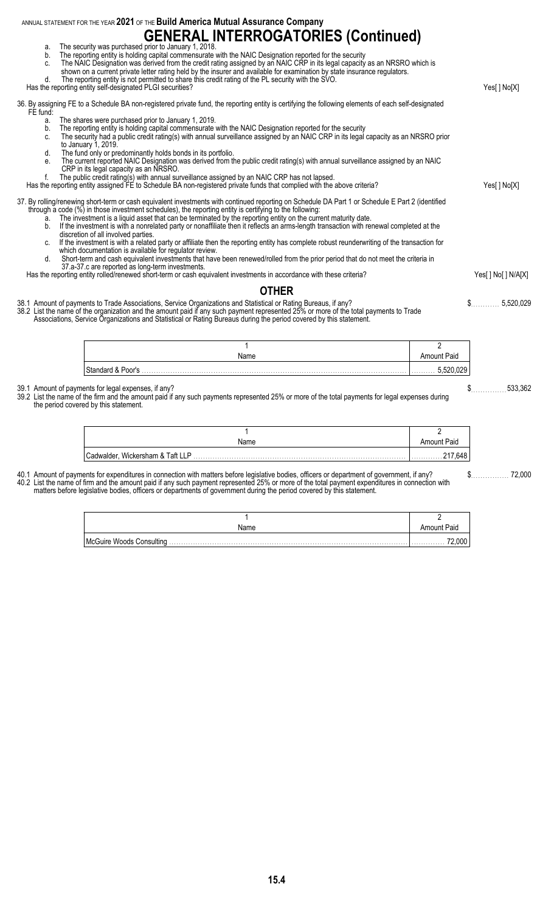ANNUAL STATEMENT FOR THE YEAR **2021** OF THE **Build America Mutual Assurance Company GENERAL INTERROGATORIES (Continued)** a. The security was purchased prior to January 1, 2018. b. The reporting entity is holding capital commensurate with the NAIC Designation reported for the security c. The NAIC Designation was derived from the credit rating assigned by an NAIC CRP in its legal capacity as an NRSRO which is shown on a current private letter rating held by the insurer and available for examination by state insurance regulators. d. The reporting entity is not permitted to share this credit rating of the PL security with the SVO. Has the reporting entity self-designated PLGI securities? The Control of Control of Control of Months and Months and Months and Months are provided PLGI securities? 36. By assigning FE to a Schedule BA non-registered private fund, the reporting entity is certifying the following elements of each self-designated FE fund: a. The shares were purchased prior to January 1, 2019. b. The reporting entity is holding capital commensurate with the NAIC Designation reported for the security<br>c. The security had a public credit rating(s) with annual surveillance assigned by an NAIC CRP in its legal c. The security had a public credit rating(s) with annual surveillance assigned by an NAIC CRP in its legal capacity as an NRSRO prior to January 1, 2019. d. The fund only or predominantly holds bonds in its portfolio. e. The current reported NAIC Designation was derived from the public credit rating(s) with annual surveillance assigned by an NAIC CRP in its legal capacity as an NRSRO. f. The public credit rating(s) with annual surveillance assigned by an NAIC CRP has not lapsed. Has the reporting entity assigned FE to Schedule BA non-registered private funds that complied with the above criteria? Yes[ ] No[X] 37. By rolling/renewing short-term or cash equivalent investments with continued reporting on Schedule DA Part 1 or Schedule E Part 2 (identified through a code (%) in those investment schedules), the reporting entity is certifying to the following: a. The investment is a liquid asset that can be terminated by the reporting entity on the current maturity date. b. If the investment is with a nonrelated party or nonaffiliate then it reflects an arms-length transaction with renewal completed at the discretion of all involved parties. c. If the investment is with a related party or affiliate then the reporting entity has complete robust reunderwriting of the transaction for which documentation is available for regulator review. d. Short-term and cash equivalent investments that have been renewed/rolled from the prior period that do not meet the criteria in 37.a-37.c are reported as long-term investments. Has the reporting entity rolled/renewed short-term or cash equivalent investments in accordance with these criteria? Yes[] No[] N/A[X] **OTHER** 38.1 Amount of payments to Trade Associations, Service Organizations and Statistical or Rating Bureaus, if any? \$. . . . . . . . . . . . 5,520,029 38.2 List the name of the organization and the amount paid if any such payment represented 25% or more of the total payments to Trade Associations, Service Organizations and Statistical or Rating Bureaus during the period covered by this statement. 1 2 Name Amount Paid Standard & Poor's . . . . . . . . . . . . . . . . . . . . . . . . . . . . . . . . . . . . . . . . . . . . . . . . . . . . . . . . . . . . . . . . . . . . . . . . . . . . . . . . . . . . . . . . . . . . . . . . . . . . . . . . . . . . . . . . . . . . . . . . . 5,520,029 39.1 Amount of payments for legal expenses, if any? \$. . . . . . . . . . . . . . . 533,362 39.2 List the name of the firm and the amount paid if any such payments represented 25% or more of the total payments for legal expenses during the period covered by this statement. 1 2 Name Amount Paid Cadwalder, Wickersham & Taft LLP . . . . . . . . . . . . . . . . . . . . . . . . . . . . . . . . . . . . . . . . . . . . . . . . . . . . . . . . . . . . . . . . . . . . . . . . . . . . . . . . . . . . . . . . . . . . . . . . . . . . . . 217,648

40.1 Amount of payments for expenditures in connection with matters before legislative bodies, officers or department of government, if any?<br>40.1 Amount of payments for expenditures in connection with matters before legisl 40.2 List the name of firm and the amount paid if any such payment represented 25% or more of the total payment expenditures in connection with matters before legislative bodies, officers or departments of government during the period covered by this statement.

| Name | Amount Paid |
|------|-------------|
|      | .000<br>.   |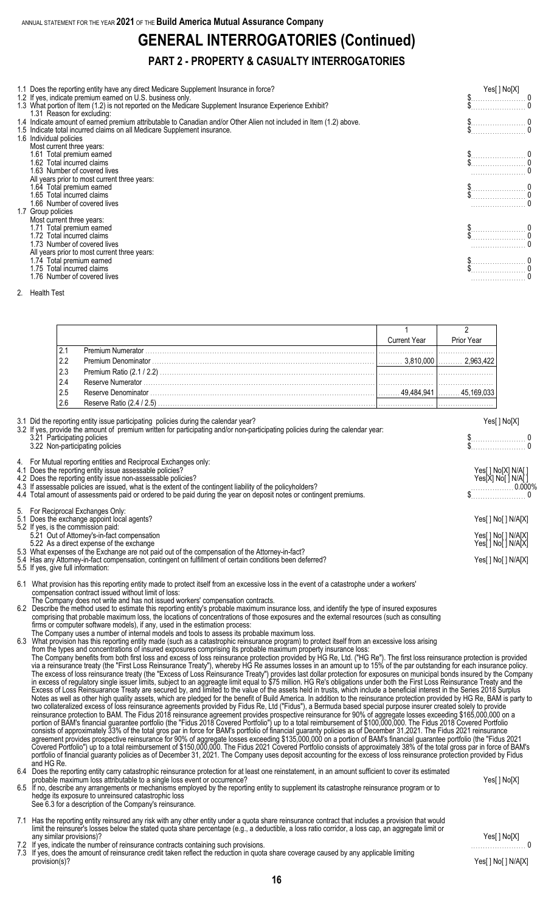# **GENERAL INTERROGATORIES (Continued)**

#### **PART 2 - PROPERTY & CASUALTY INTERROGATORIES**

| 1.1 Does the reporting entity have any direct Medicare Supplement Insurance in force?<br>1.2 If yes, indicate premium earned on U.S. business only.<br>1.3 What portion of Item (1.2) is not reported on the Medicare Supplement Insurance Experience Exhibit?<br>1.31 Reason for excluding: | Yes[ ] No[X] |  |
|----------------------------------------------------------------------------------------------------------------------------------------------------------------------------------------------------------------------------------------------------------------------------------------------|--------------|--|
| 1.4 Indicate amount of earned premium attributable to Canadian and/or Other Alien not included in Item (1.2) above.                                                                                                                                                                          |              |  |
| 1.5 Indicate total incurred claims on all Medicare Supplement insurance.<br>1.6 Individual policies                                                                                                                                                                                          |              |  |
| Most current three years:                                                                                                                                                                                                                                                                    |              |  |
| 1.61 Total premium earned                                                                                                                                                                                                                                                                    |              |  |
| 1.62 Total incurred claims<br>.63 Number of covered lives                                                                                                                                                                                                                                    |              |  |
| All years prior to most current three years:                                                                                                                                                                                                                                                 |              |  |
| 1.64 Total premium earned                                                                                                                                                                                                                                                                    |              |  |
| .65 Total incurred claims                                                                                                                                                                                                                                                                    |              |  |
| .66 Number of covered lives<br>1.7 Group policies                                                                                                                                                                                                                                            |              |  |
| Most current three years:                                                                                                                                                                                                                                                                    |              |  |
| 1.71 Total premium earned                                                                                                                                                                                                                                                                    |              |  |
| 1.72 Total incurred claims<br>1.73 Number of covered lives                                                                                                                                                                                                                                   |              |  |
| All years prior to most current three years:                                                                                                                                                                                                                                                 |              |  |
| 1.74 Total premium earned                                                                                                                                                                                                                                                                    |              |  |
| 1.75 Total incurred claims                                                                                                                                                                                                                                                                   |              |  |
| .76 Number of covered lives                                                                                                                                                                                                                                                                  |              |  |

2. Health Test

|      | <b>Current Year</b> | Prior Year |
|------|---------------------|------------|
|      |                     |            |
| 2.2  |                     |            |
| 2.3  |                     |            |
| 2.4  |                     |            |
| 2.5  |                     |            |
| 12.6 |                     |            |

| 3.1 Did the reporting entity issue participating policies during the calendar year?<br>3.2 If yes, provide the amount of premium written for participating and/or non-participating policies during the calendar year:                                                                                                                                                                                                                                                   | Yes[] No[X]                                                                                                                                                                                                                                                                                                                                                                                    |
|--------------------------------------------------------------------------------------------------------------------------------------------------------------------------------------------------------------------------------------------------------------------------------------------------------------------------------------------------------------------------------------------------------------------------------------------------------------------------|------------------------------------------------------------------------------------------------------------------------------------------------------------------------------------------------------------------------------------------------------------------------------------------------------------------------------------------------------------------------------------------------|
| 3.21 Participating policies<br>3.22 Non-participating policies                                                                                                                                                                                                                                                                                                                                                                                                           | $\begin{array}{c} \n\text{\$} \n\text{\$} \n\text{\$} \n\text{\$} \n\text{\$} \n\text{\$} \n\text{\$} \n\text{\$} \n\text{\$} \n\text{\$} \n\text{\$} \n\text{\$} \n\text{\$} \n\text{\$} \n\text{\$} \n\text{\$} \n\text{\$} \n\text{\$} \n\text{\$} \n\text{\$} \n\text{\$} \n\text{\$} \n\text{\$} \n\text{\$} \n\text{\$} \n\text{\$} \n\text{\$} \n\text{\$} \n\text{\$} \n\text{\$} \n\$ |
| 4. For Mutual reporting entities and Reciprocal Exchanges only:<br>4.1 Does the reporting entity issue assessable policies?<br>4.2 Does the reporting entity issue non-assessable policies?<br>4.3 If assessable policies are issued, what is the extent of the contingent liability of the policyholders?<br>4.4 Total amount of assessments paid or ordered to be paid during the year on deposit notes or contingent premiums.                                        | Yes[ ] No[X] N/A[ ]<br>Yes[X] No[ ] N/A[ ]<br>$\begin{array}{c} 0.000\% \\ \text{} \\ 0 \end{array}$                                                                                                                                                                                                                                                                                           |
| 5. For Reciprocal Exchanges Only:<br>5.1 Does the exchange appoint local agents?<br>5.2 If yes, is the commission paid:<br>5.21 Out of Attorney's-in-fact compensation<br>5.22 As a direct expense of the exchange<br>5.3 What expenses of the Exchange are not paid out of the compensation of the Attorney-in-fact?<br>5.4 Has any Attorney-in-fact compensation, contingent on fulfillment of certain conditions been deferred?<br>5.5 If yes, give full information: | Yes[ ] No[ ] N/A[X]<br>Yes[] No[] N/A[X]<br>Yes[ ] No[ ] N/A[X]<br>Yes[] No[] N/A[X]                                                                                                                                                                                                                                                                                                           |

- 
- 6.1 What provision has this reporting entity made to protect itself from an excessive loss in the event of a catastrophe under a workers' compensation contract issued without limit of loss: The Company does not write and has not issued workers' compensation contracts.

6.2 Describe the method used to estimate this reporting entity's probable maximum insurance loss, and identify the type of insured exposures comprising that probable maximum loss, the locations of concentrations of those exposures and the external resources (such as consulting firms or computer software models), if any, used in the estimation process:

The Company uses a number of internal models and tools to assess its probable maximum loss.

6.3 What provision has this reporting entity made (such as a catastrophic reinsurance program) to protect itself from an excessive loss arising from the types and concentrations of insured exposures comprising its probable maximum property insurance loss:

The Company benefits from both first loss and excess of loss reinsurance protection provided by HG Re, Ltd. ("HG Re"). The first loss reinsurance protection is provided via a reinsurance treaty (the "First Loss Reinsurance Treaty"), whereby HG Re assumes losses in an amount up to 15% of the par outstanding for each insurance policy. The excess of loss reinsurance treaty (the "Excess of Loss Reinsurance Treaty") provides last dollar protection for exposures on municipal bonds insured by the Company in excess of regulatory single issuer limits, subject to an aggreagte limit equal to \$75 million. HG Re's obligations under both the First Loss Reinsurance Treaty and the Excess of Loss Reinsuarance Treaty are secured by, and limited to the value of the assets held in trusts, which include a beneficial interest in the Series 2018 Surplus Notes as well as other high quality assets, which are pledged for the benefit of Build America. In addition to the reinsurance protection provided by HG Re, BAM is party to two collateralized excess of loss reinsurance agreements provided by Fidus Re, Ltd ("Fidus"), a Bermuda based special purpose insurer created solely to provide reinsurance protection to BAM. The Fidus 2018 reinsurance agreement provides prospective reinsurance for 90% of aggregate losses exceeding \$165,000,000 on a portion of BAM's financial guarantee portfolio (the "Fidus 2018 Covered Portfolio") up to a total reimbursement of \$100,000,000. The Fidus 2018 Covered Portfolio consists of approximately 33% of the total gros par in force for BAM's portfolio of financial guaranty policies as of December 31,2021. The Fidus 2021 reinsurance agreement provides prospective reinsurance for 90% of aggregate losses exceeding \$135,000,000 on a portion of BAM's financial guarantee portfolio (the "Fidus 2021 Covered Portfolio") up to a total reimbursement of \$150,000,000. The Fidus 2021 Covered Portfolio consists of approximately 38% of the total gross par in force of BAM's portfolio of financial guaranty policies as of December 31, 2021. The Company uses deposit accounting for the excess of loss reinsurance protection provided by Fidus and HG Re.

6.4 Does the reporting entity carry catastrophic reinsurance protection for at least one reinstatement, in an amount sufficient to cover its estimated probable maximum loss attributable to a single loss event or occurrence? Yes[ ] No[X]

- 6.5 If no, describe any arrangements or mechanisms employed by the reporting entity to supplement its catastrophe reinsurance program or to hedge its exposure to unreinsured catastrophic loss See 6.3 for a description of the Company's reinsurance.
- 7.1 Has the reporting entity reinsured any risk with any other entity under a quota share reinsurance contract that includes a provision that would limit the reinsurer's losses below the stated quota share percentage (e.g., a deductible, a loss ratio corridor, a loss cap, an aggregate limit or any similar provisions)? Yes[] No[X]
- 7.2 If yes, indicate the number of reinsurance contracts containing such provisions.
- 7.3 If yes, does the amount of reinsurance credit taken reflect the reduction in quota share coverage caused by any applicable limiting provision(s)? Yes[ ] No[ ] N/A[X]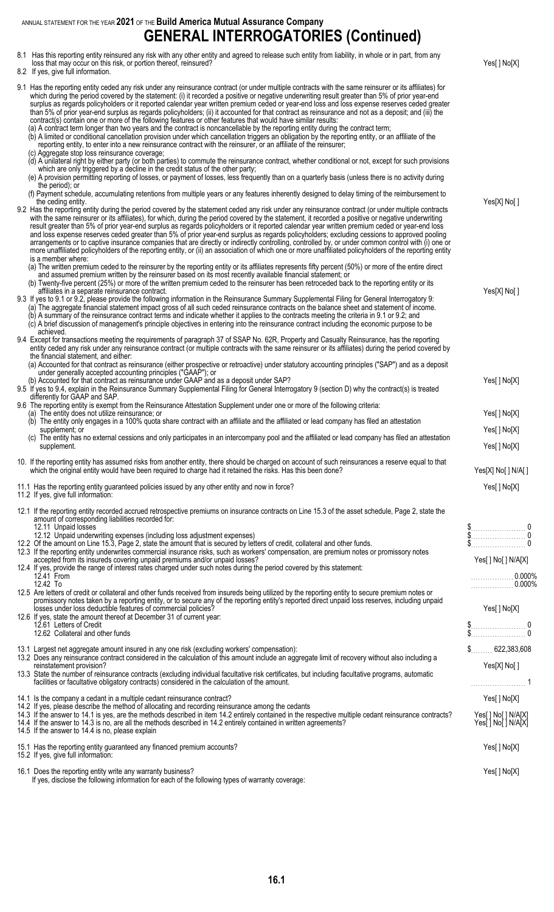ANNUAL STATEMENT FOR THE YEAR **2021** OF THE **Build America Mutual Assurance Company GENERAL INTERROGATORIES (Continued)**

| 8.1 Has this reporting entity reinsured any risk with any other entity and agreed to release such entity from liability, in whole or in part, from any<br>loss that may occur on this risk, or portion thereof, reinsured?<br>8.2 If yes, give full information.                                                                                                                                                                                                                                                                                                                                                                                                                                                                                                                                                                                                                                                                                                                                                                                                                                                                                                                                                                                                                                                                                                                                                                       | Yes[] No[X]                                                                                                                                                                                                                                                                                                                                                                  |
|----------------------------------------------------------------------------------------------------------------------------------------------------------------------------------------------------------------------------------------------------------------------------------------------------------------------------------------------------------------------------------------------------------------------------------------------------------------------------------------------------------------------------------------------------------------------------------------------------------------------------------------------------------------------------------------------------------------------------------------------------------------------------------------------------------------------------------------------------------------------------------------------------------------------------------------------------------------------------------------------------------------------------------------------------------------------------------------------------------------------------------------------------------------------------------------------------------------------------------------------------------------------------------------------------------------------------------------------------------------------------------------------------------------------------------------|------------------------------------------------------------------------------------------------------------------------------------------------------------------------------------------------------------------------------------------------------------------------------------------------------------------------------------------------------------------------------|
| 9.1 Has the reporting entity ceded any risk under any reinsurance contract (or under multiple contracts with the same reinsurer or its affiliates) for<br>which during the period covered by the statement: (i) it recorded a positive or negative underwriting result greater than 5% of prior year-end<br>surplus as regards policyholders or it reported calendar year written premium ceded or year-end loss and loss expense reserves ceded greater<br>than 5% of prior year-end surplus as regards policyholders; (ii) it accounted for that contract as reinsurance and not as a deposit; and (iii) the<br>contract(s) contain one or more of the following features or other features that would have similar results:<br>(a) A contract term longer than two years and the contract is noncancellable by the reporting entity during the contract term;<br>(b) A limited or conditional cancellation provision under which cancellation triggers an obligation by the reporting entity, or an affiliate of the<br>reporting entity, to enter into a new reinsurance contract with the reinsurer, or an affiliate of the reinsurer;<br>(c) Aggregate stop loss reinsurance coverage;<br>(d) A unilateral right by either party (or both parties) to commute the reinsurance contract, whether conditional or not, except for such provisions<br>which are only triggered by a decline in the credit status of the other party; |                                                                                                                                                                                                                                                                                                                                                                              |
| (e) A provision permitting reporting of losses, or payment of losses, less frequently than on a quarterly basis (unless there is no activity during<br>the period); or<br>(f) Payment schedule, accumulating retentions from multiple years or any features inherently designed to delay timing of the reimbursement to<br>the ceding entity.<br>9.2 Has the reporting entity during the period covered by the statement ceded any risk under any reinsurance contract (or under multiple contracts<br>with the same reinsurer or its affiliates), for which, during the period covered by the statement, it recorded a positive or negative underwriting<br>result greater than 5% of prior year-end surplus as regards policyholders or it reported calendar year written premium ceded or year-end loss<br>and loss expense reserves ceded greater than 5% of prior year-end surplus as regards policyholders; excluding cessions to approved pooling                                                                                                                                                                                                                                                                                                                                                                                                                                                                               | Yes[X] No[]                                                                                                                                                                                                                                                                                                                                                                  |
| arrangements or to captive insurance companies that are directly or indirectly controlling, controlled by, or under common control with (i) one or<br>more unaffiliated policyholders of the reporting entity, or (ii) an association of which one or more unaffiliated policyholders of the reporting entity<br>is a member where:<br>(a) The written premium ceded to the reinsurer by the reporting entity or its affiliates represents fifty percent (50%) or more of the entire direct<br>and assumed premium written by the reinsurer based on its most recently available financial statement; or<br>(b) Twenty-five percent (25%) or more of the written premium ceded to the reinsurer has been retroceded back to the reporting entity or its<br>affiliates in a separate reinsurance contract.<br>9.3 If yes to 9.1 or 9.2, please provide the following information in the Reinsurance Summary Supplemental Filing for General Interrogatory 9:<br>(a) The aggregate financial statement impact gross of all such ceded reinsurance contracts on the balance sheet and statement of income.<br>(b) A summary of the reinsurance contract terms and indicate whether it applies to the contracts meeting the criteria in 9.1 or 9.2; and<br>(c) A brief discussion of management's principle objectives in entering into the reinsurance contract including the economic purpose to be                                      | Yes[X] No[]                                                                                                                                                                                                                                                                                                                                                                  |
| achieved.<br>9.4 Except for transactions meeting the requirements of paragraph 37 of SSAP No. 62R, Property and Casualty Reinsurance, has the reporting<br>entity ceded any risk under any reinsurance contract (or multiple contracts with the same reinsurer or its affiliates) during the period covered by<br>the financial statement, and either:<br>(a) Accounted for that contract as reinsurance (either prospective or retroactive) under statutory accounting principles ("SAP") and as a deposit<br>under generally accepted accounting principles ("GAAP"); or<br>(b) Accounted for that contract as reinsurance under GAAP and as a deposit under SAP?<br>9.5 If yes to 9.4, explain in the Reinsurance Summary Supplemental Filing for General Interrogatory 9 (section D) why the contract(s) is treated<br>differently for GAAP and SAP.<br>9.6 The reporting entity is exempt from the Reinsurance Attestation Supplement under one or more of the following criteria:<br>(a) The entity does not utilize reinsurance; or                                                                                                                                                                                                                                                                                                                                                                                             | Yes[] No[X]<br>Yes[] No[X]                                                                                                                                                                                                                                                                                                                                                   |
| (b) The entity only engages in a 100% quota share contract with an affiliate and the affiliated or lead company has filed an attestation<br>supplement; or<br>(c) The entity has no external cessions and only participates in an intercompany pool and the affiliated or lead company has filed an attestation<br>supplement.                                                                                                                                                                                                                                                                                                                                                                                                                                                                                                                                                                                                                                                                                                                                                                                                                                                                                                                                                                                                                                                                                                         | Yes[] No[X]<br>Yes[] No[X]                                                                                                                                                                                                                                                                                                                                                   |
| 10. If the reporting entity has assumed risks from another entity, there should be charged on account of such reinsurances a reserve equal to that<br>which the original entity would have been required to charge had it retained the risks. Has this been done?<br>11.1 Has the reporting entity guaranteed policies issued by any other entity and now in force?<br>11.2 If yes, give full information:                                                                                                                                                                                                                                                                                                                                                                                                                                                                                                                                                                                                                                                                                                                                                                                                                                                                                                                                                                                                                             | Yes[X] No[ ] N/A[ ]<br>Yes[] No[X]                                                                                                                                                                                                                                                                                                                                           |
| 12.1 If the reporting entity recorded accrued retrospective premiums on insurance contracts on Line 15.3 of the asset schedule, Page 2, state the<br>amount of corresponding liabilities recorded for:<br>12.11 Unpaid losses<br>12.12 Unpaid underwriting expenses (including loss adjustment expenses)<br>12.2 Of the amount on Line 15.3, Page 2, state the amount that is secured by letters of credit, collateral and other funds.<br>12.3 If the reporting entity underwrites commercial insurance risks, such as workers' compensation, are premium notes or promissory notes<br>accepted from its insureds covering unpaid premiums and/or unpaid losses?<br>12.4 If yes, provide the range of interest rates charged under such notes during the period covered by this statement:<br>12.41 From<br>12.42 To<br>12.5 Are letters of credit or collateral and other funds received from insureds being utilized by the reporting entity to secure premium notes or<br>promissory notes taken by a reporting entity, or to secure any of the reporting entity's reported direct unpaid loss reserves, including unpaid<br>losses under loss deductible features of commercial policies?<br>12.6 If yes, state the amount thereof at December 31 of current year:<br>12.61 Letters of Credit<br>12.62 Collateral and other funds                                                                                                 | $\begin{matrix} \texttt{\$} & \texttt{\$} \\ \texttt{\$} & \texttt{\$} \\ \texttt{\$} & \texttt{\$} \\ \texttt{\$} & \texttt{\$} \end{matrix}$<br>Yes[ ] No[ ] N/A[X]<br>. 0.000%<br>$\ldots \ldots \ldots \ldots 0.000\%$<br>Yes[] No[X]<br>$\begin{array}{c} \n\text{\$} \\ \n\text{\$} \\ \n\text{\$} \end{array} \hspace{-.5cm} \begin{array}{c} \n0 \\ \n0 \end{array}$ |
| 13.1 Largest net aggregate amount insured in any one risk (excluding workers' compensation):<br>13.2 Does any reinsurance contract considered in the calculation of this amount include an aggregate limit of recovery without also including a<br>reinstatement provision?<br>13.3 State the number of reinsurance contracts (excluding individual facultative risk certificates, but including facultative programs, automatic<br>facilities or facultative obligatory contracts) considered in the calculation of the amount.                                                                                                                                                                                                                                                                                                                                                                                                                                                                                                                                                                                                                                                                                                                                                                                                                                                                                                       | Yes[X] No[]                                                                                                                                                                                                                                                                                                                                                                  |
| 14.1 Is the company a cedant in a multiple cedant reinsurance contract?<br>14.2 If yes, please describe the method of allocating and recording reinsurance among the cedants<br>14.3 If the answer to 14.1 is yes, are the methods described in item 14.2 entirely contained in the respective multiple cedant reinsurance contracts?<br>14.4 If the answer to 14.3 is no, are all the methods described in 14.2 entirely contained in written agreements?<br>14.5 If the answer to 14.4 is no, please explain                                                                                                                                                                                                                                                                                                                                                                                                                                                                                                                                                                                                                                                                                                                                                                                                                                                                                                                         | Yes[] No[X]<br>Yes[ ] No[ ] N/A[X]<br>Yes[ ] No[ ] N/A[X]                                                                                                                                                                                                                                                                                                                    |
| 15.1 Has the reporting entity guaranteed any financed premium accounts?<br>15.2 If yes, give full information:                                                                                                                                                                                                                                                                                                                                                                                                                                                                                                                                                                                                                                                                                                                                                                                                                                                                                                                                                                                                                                                                                                                                                                                                                                                                                                                         | Yes[ ] No[X]                                                                                                                                                                                                                                                                                                                                                                 |
| 16.1 Does the reporting entity write any warranty business?                                                                                                                                                                                                                                                                                                                                                                                                                                                                                                                                                                                                                                                                                                                                                                                                                                                                                                                                                                                                                                                                                                                                                                                                                                                                                                                                                                            | Yes[] No[X]                                                                                                                                                                                                                                                                                                                                                                  |

If yes, disclose the following information for each of the following types of warranty coverage: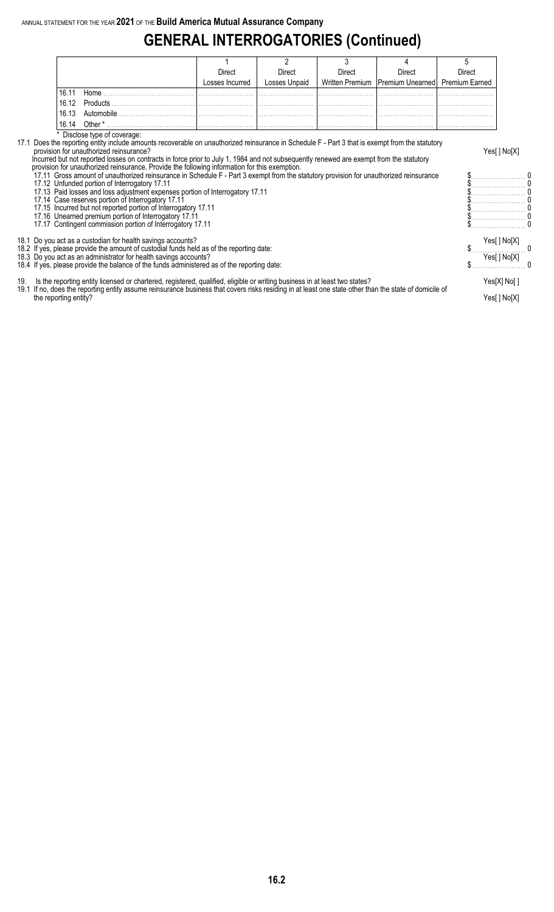# **GENERAL INTERROGATORIES (Continued)**

|                                                                                                                                                                                                                                                                                                                                                                                                                                                                                                                         |                                                                                                                                                                                                                                                                                                                                                                                                                                        |                 |               | 3      |                                    | 5              |                            |  |  |  |  |  |
|-------------------------------------------------------------------------------------------------------------------------------------------------------------------------------------------------------------------------------------------------------------------------------------------------------------------------------------------------------------------------------------------------------------------------------------------------------------------------------------------------------------------------|----------------------------------------------------------------------------------------------------------------------------------------------------------------------------------------------------------------------------------------------------------------------------------------------------------------------------------------------------------------------------------------------------------------------------------------|-----------------|---------------|--------|------------------------------------|----------------|----------------------------|--|--|--|--|--|
|                                                                                                                                                                                                                                                                                                                                                                                                                                                                                                                         |                                                                                                                                                                                                                                                                                                                                                                                                                                        | Direct          | Direct        | Direct | Direct                             | Direct         |                            |  |  |  |  |  |
|                                                                                                                                                                                                                                                                                                                                                                                                                                                                                                                         |                                                                                                                                                                                                                                                                                                                                                                                                                                        | Losses Incurred | Losses Unpaid |        | Written Premium   Premium Unearned | Premium Earned |                            |  |  |  |  |  |
| 16.11                                                                                                                                                                                                                                                                                                                                                                                                                                                                                                                   |                                                                                                                                                                                                                                                                                                                                                                                                                                        |                 |               |        |                                    |                |                            |  |  |  |  |  |
| 16.12                                                                                                                                                                                                                                                                                                                                                                                                                                                                                                                   |                                                                                                                                                                                                                                                                                                                                                                                                                                        |                 |               |        |                                    |                |                            |  |  |  |  |  |
| 16.13                                                                                                                                                                                                                                                                                                                                                                                                                                                                                                                   |                                                                                                                                                                                                                                                                                                                                                                                                                                        |                 |               |        |                                    |                |                            |  |  |  |  |  |
| 16.14                                                                                                                                                                                                                                                                                                                                                                                                                                                                                                                   |                                                                                                                                                                                                                                                                                                                                                                                                                                        |                 |               |        |                                    |                |                            |  |  |  |  |  |
|                                                                                                                                                                                                                                                                                                                                                                                                                                                                                                                         | Disclose type of coverage:                                                                                                                                                                                                                                                                                                                                                                                                             |                 |               |        |                                    |                |                            |  |  |  |  |  |
|                                                                                                                                                                                                                                                                                                                                                                                                                                                                                                                         | 17.1 Does the reporting entity include amounts recoverable on unauthorized reinsurance in Schedule F - Part 3 that is exempt from the statutory<br>provision for unauthorized reinsurance?<br>Incurred but not reported losses on contracts in force prior to July 1, 1984 and not subsequently renewed are exempt from the statutory<br>provision for unauthorized reinsurance. Provide the following information for this exemption. |                 |               |        |                                    |                | Yes[] No[X]                |  |  |  |  |  |
| 17.11 Gross amount of unauthorized reinsurance in Schedule F - Part 3 exempt from the statutory provision for unauthorized reinsurance<br>17.12 Unfunded portion of Interrogatory 17.11<br>17.13 Paid losses and loss adjustment expenses portion of Interrogatory 17.11<br>17.14 Case reserves portion of Interrogatory 17.11<br>17.15 Incurred but not reported portion of Interrogatory 17.11<br>17.16 Unearned premium portion of Interrogatory 17.11<br>17.17 Contingent commission portion of Interrogatory 17.11 |                                                                                                                                                                                                                                                                                                                                                                                                                                        |                 |               |        |                                    |                |                            |  |  |  |  |  |
|                                                                                                                                                                                                                                                                                                                                                                                                                                                                                                                         | 18.1 Do you act as a custodian for health savings accounts?<br>18.2 If yes, please provide the amount of custodial funds held as of the reporting date:<br>18.3 Do you act as an administrator for health savings accounts?<br>18.4 If yes, please provide the balance of the funds administered as of the reporting date:                                                                                                             |                 |               |        |                                    |                | Yes[] No[X]<br>Yes[] No[X] |  |  |  |  |  |

19. Is the reporting entity licensed or chartered, registered, qualified, eligible or writing business in at least two states? Yes[X] No[ ] 19.1 If no, does the reporting entity assume reinsurance business that covers risks residing in at least one state other than the state of domicile of the reporting entity? Yes[ ] No[X]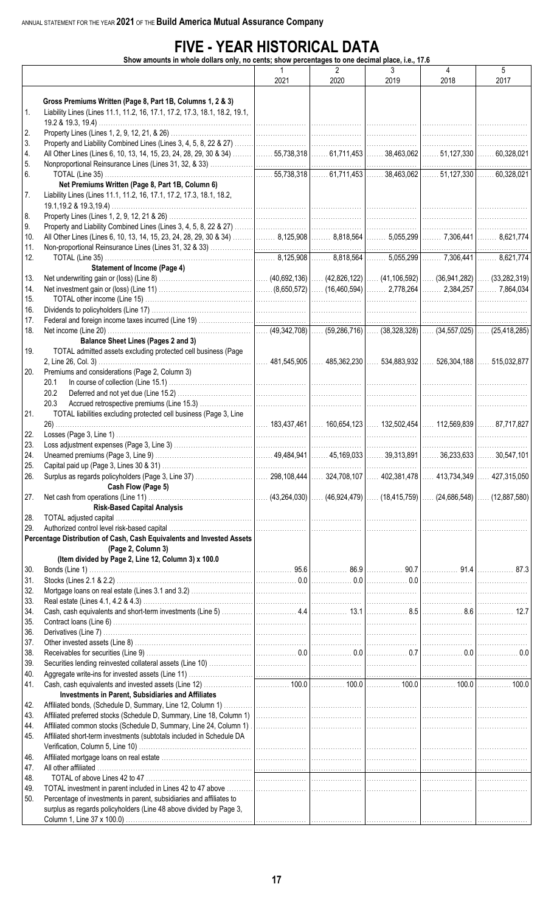# **FIVE - YEAR HISTORICAL DATA**

**Show amounts in whole dollars only, no cents; show percentages to one decimal place, i.e., 17.6**

|     | amounts in whole adilars ding, no cents, show percentages to one accimal place, i.e., 17.0                                                |      |                |      |      |      |
|-----|-------------------------------------------------------------------------------------------------------------------------------------------|------|----------------|------|------|------|
|     |                                                                                                                                           | 1    | $\overline{2}$ | 3    | 4    | 5    |
|     |                                                                                                                                           | 2021 | 2020           | 2019 | 2018 | 2017 |
|     |                                                                                                                                           |      |                |      |      |      |
|     | Gross Premiums Written (Page 8, Part 1B, Columns 1, 2 & 3)                                                                                |      |                |      |      |      |
| 1.  | Liability Lines (Lines 11.1, 11.2, 16, 17.1, 17.2, 17.3, 18.1, 18.2, 19.1,                                                                |      |                |      |      |      |
|     |                                                                                                                                           |      |                |      |      |      |
| 2.  |                                                                                                                                           |      |                |      |      | .    |
| 3.  |                                                                                                                                           |      |                |      |      |      |
| 4.  | All Other Lines (Lines 6, 10, 13, 14, 15, 23, 24, 28, 29, 30 & 34) ……… 55,738,318 …… 61,711,453 …… 38,463,062 …… 51,127,330 …… 60,328,021 |      |                |      |      |      |
|     |                                                                                                                                           |      |                |      |      |      |
| 5.  |                                                                                                                                           |      |                |      |      |      |
| 6.  |                                                                                                                                           |      |                |      |      |      |
|     | Net Premiums Written (Page 8, Part 1B, Column 6)                                                                                          |      |                |      |      |      |
| 7.  | Liability Lines (Lines 11.1, 11.2, 16, 17.1, 17.2, 17.3, 18.1, 18.2,                                                                      |      |                |      |      |      |
|     |                                                                                                                                           |      |                |      |      |      |
| 8.  |                                                                                                                                           |      |                |      |      |      |
| 9.  |                                                                                                                                           |      |                |      |      |      |
| 10. | All Other Lines (Lines 6, 10, 13, 14, 15, 23, 24, 28, 29, 30 & 34) ……… 8,125,908 ……… 8,818,564 ……… 5,055,299 ……… 7,306,441 ……… 8,621,774  |      |                |      |      |      |
| 11. |                                                                                                                                           |      |                |      |      |      |
| 12. |                                                                                                                                           |      |                |      |      |      |
|     |                                                                                                                                           |      |                |      |      |      |
|     | <b>Statement of Income (Page 4)</b>                                                                                                       |      |                |      |      |      |
| 13. |                                                                                                                                           |      |                |      |      |      |
| 14. |                                                                                                                                           |      |                |      |      |      |
| 15. |                                                                                                                                           |      |                |      |      |      |
| 16. |                                                                                                                                           |      |                |      |      |      |
| 17. |                                                                                                                                           |      |                |      |      |      |
| 18. |                                                                                                                                           |      |                |      |      |      |
|     | <b>Balance Sheet Lines (Pages 2 and 3)</b>                                                                                                |      |                |      |      |      |
| 19. | TOTAL admitted assets excluding protected cell business (Page                                                                             |      |                |      |      |      |
|     |                                                                                                                                           |      |                |      |      |      |
|     |                                                                                                                                           |      |                |      |      |      |
| 20. | Premiums and considerations (Page 2, Column 3)                                                                                            |      |                |      |      |      |
|     | 20.1                                                                                                                                      |      |                |      |      |      |
|     | 20.2                                                                                                                                      |      |                |      |      |      |
|     | 20.3                                                                                                                                      |      |                |      |      |      |
| 21. | TOTAL liabilities excluding protected cell business (Page 3, Line                                                                         |      |                |      |      |      |
|     |                                                                                                                                           |      |                |      |      |      |
| 22. |                                                                                                                                           |      |                |      |      |      |
| 23. |                                                                                                                                           |      |                |      |      |      |
| 24. |                                                                                                                                           |      |                |      |      |      |
|     |                                                                                                                                           |      |                |      |      |      |
| 25. | Capital paid up (Page 3, Lines 30 & 31).                                                                                                  |      |                |      |      |      |
| 26. |                                                                                                                                           |      |                |      |      |      |
|     | Cash Flow (Page 5)                                                                                                                        |      |                |      |      |      |
| 27. |                                                                                                                                           |      |                |      |      |      |
|     | <b>Risk-Based Capital Analysis</b>                                                                                                        |      |                |      |      |      |
| 28. |                                                                                                                                           |      |                |      |      |      |
| 29. |                                                                                                                                           |      |                |      |      |      |
|     | Percentage Distribution of Cash, Cash Equivalents and Invested Assets                                                                     |      |                |      |      |      |
|     | (Page 2, Column 3)                                                                                                                        |      |                |      |      |      |
|     | (Item divided by Page 2, Line 12, Column 3) x 100.0                                                                                       |      |                |      |      |      |
|     |                                                                                                                                           |      |                |      |      |      |
| 30. |                                                                                                                                           |      |                |      |      |      |
| 31. |                                                                                                                                           |      |                |      |      |      |
| 32. |                                                                                                                                           |      |                |      |      |      |
| 33. |                                                                                                                                           |      |                |      |      |      |
| 34. |                                                                                                                                           |      |                |      |      |      |
| 35. |                                                                                                                                           |      |                |      |      |      |
| 36. |                                                                                                                                           |      |                |      |      |      |
| 37. |                                                                                                                                           |      |                |      |      |      |
| 38. |                                                                                                                                           |      |                |      |      |      |
| 39. |                                                                                                                                           |      |                |      |      |      |
| 40. |                                                                                                                                           |      |                |      |      |      |
|     |                                                                                                                                           |      |                |      |      |      |
| 41. |                                                                                                                                           |      |                |      |      |      |
|     | Investments in Parent, Subsidiaries and Affiliates                                                                                        |      |                |      |      |      |
| 42. |                                                                                                                                           |      |                |      |      |      |
| 43. |                                                                                                                                           |      |                |      |      |      |
| 44. |                                                                                                                                           |      |                |      |      |      |
| 45. | Affiliated short-term investments (subtotals included in Schedule DA                                                                      |      |                |      |      |      |
|     |                                                                                                                                           |      |                |      |      |      |
| 46. |                                                                                                                                           |      |                |      |      |      |
| 47. |                                                                                                                                           |      |                |      |      |      |
| 48. |                                                                                                                                           |      |                |      |      |      |
|     |                                                                                                                                           |      |                |      |      |      |
| 49. |                                                                                                                                           |      |                |      |      |      |
| 50. | Percentage of investments in parent, subsidiaries and affiliates to                                                                       |      |                |      |      |      |
|     | surplus as regards policyholders (Line 48 above divided by Page 3,                                                                        |      |                |      |      |      |
|     |                                                                                                                                           |      |                |      |      |      |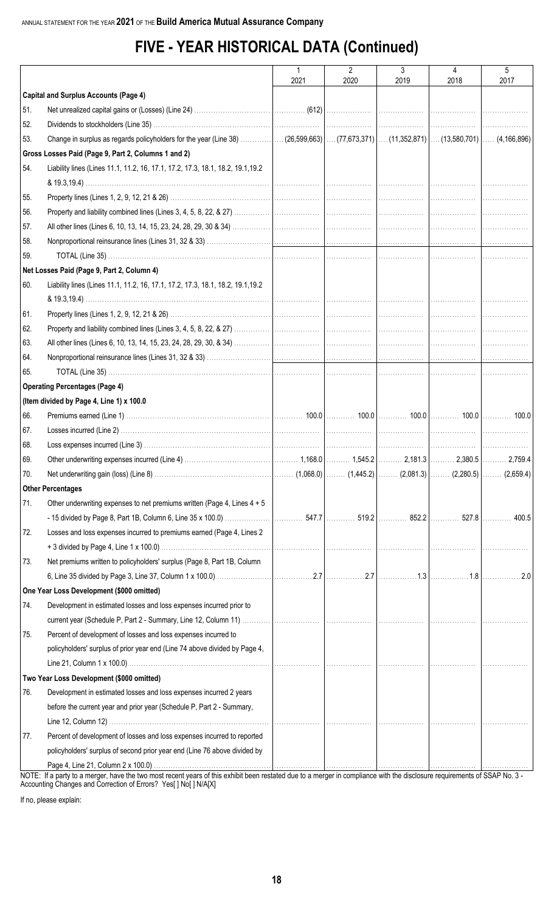# **FIVE - YEAR HISTORICAL DATA (Continued)**

|     |                                                                                                                                                                           | $\mathbf{1}$ | $\overline{2}$ | 3    | 4    | 5    |
|-----|---------------------------------------------------------------------------------------------------------------------------------------------------------------------------|--------------|----------------|------|------|------|
|     |                                                                                                                                                                           | 2021         | 2020           | 2019 | 2018 | 2017 |
|     | <b>Capital and Surplus Accounts (Page 4)</b>                                                                                                                              |              |                |      |      |      |
| 51. |                                                                                                                                                                           |              |                |      |      |      |
| 52. |                                                                                                                                                                           |              |                |      |      |      |
| 53. |                                                                                                                                                                           |              |                |      |      |      |
|     | Gross Losses Paid (Page 9, Part 2, Columns 1 and 2)                                                                                                                       |              |                |      |      |      |
| 54. | Liability lines (Lines 11.1, 11.2, 16, 17.1, 17.2, 17.3, 18.1, 18.2, 19.1, 19.2                                                                                           |              |                |      |      |      |
| 55. |                                                                                                                                                                           |              |                |      |      |      |
| 56. |                                                                                                                                                                           |              |                |      |      |      |
| 57. |                                                                                                                                                                           |              |                |      |      |      |
| 58. |                                                                                                                                                                           |              |                |      |      |      |
| 59. |                                                                                                                                                                           |              |                |      |      |      |
|     | Net Losses Paid (Page 9, Part 2, Column 4)                                                                                                                                |              |                |      |      |      |
| 60. | Liability lines (Lines 11.1, 11.2, 16, 17.1, 17.2, 17.3, 18.1, 18.2, 19.1, 19.2                                                                                           |              |                |      |      |      |
| 61. |                                                                                                                                                                           |              |                |      |      |      |
| 62. |                                                                                                                                                                           |              |                |      |      |      |
| 63. |                                                                                                                                                                           |              |                |      |      |      |
| 64. |                                                                                                                                                                           |              |                |      |      |      |
| 65. |                                                                                                                                                                           |              |                |      |      |      |
|     | <b>Operating Percentages (Page 4)</b>                                                                                                                                     |              |                |      |      |      |
|     | (Item divided by Page 4, Line 1) x 100.0                                                                                                                                  |              |                |      |      |      |
| 66. |                                                                                                                                                                           |              |                |      |      |      |
| 67. |                                                                                                                                                                           |              |                |      |      |      |
| 68. |                                                                                                                                                                           |              |                |      |      |      |
| 69. |                                                                                                                                                                           |              |                |      |      |      |
| 70. |                                                                                                                                                                           |              |                |      |      |      |
|     | <b>Other Percentages</b>                                                                                                                                                  |              |                |      |      |      |
| 71. | Other underwriting expenses to net premiums written (Page 4, Lines 4 + 5                                                                                                  |              |                |      |      |      |
|     |                                                                                                                                                                           |              |                |      |      |      |
| 72. | Losses and loss expenses incurred to premiums earned (Page 4, Lines 2                                                                                                     |              |                |      |      |      |
|     |                                                                                                                                                                           |              |                |      |      |      |
| 73. | Net premiums written to policyholders' surplus (Page 8, Part 1B, Column                                                                                                   |              |                |      |      |      |
|     |                                                                                                                                                                           |              |                |      |      |      |
|     | One Year Loss Development (\$000 omitted)                                                                                                                                 |              |                |      |      |      |
| 74. | Development in estimated losses and loss expenses incurred prior to                                                                                                       |              |                |      |      |      |
|     |                                                                                                                                                                           |              |                |      |      |      |
| 75. | Percent of development of losses and loss expenses incurred to                                                                                                            |              |                |      |      |      |
|     | policyholders' surplus of prior year end (Line 74 above divided by Page 4,                                                                                                |              |                |      |      |      |
|     |                                                                                                                                                                           | .            |                |      |      |      |
|     | Two Year Loss Development (\$000 omitted)                                                                                                                                 |              |                |      |      |      |
| 76. | Development in estimated losses and loss expenses incurred 2 years                                                                                                        |              |                |      |      |      |
|     | before the current year and prior year (Schedule P, Part 2 - Summary,                                                                                                     |              |                |      |      |      |
|     |                                                                                                                                                                           |              |                |      |      |      |
| 77. | Percent of development of losses and loss expenses incurred to reported                                                                                                   |              |                |      |      |      |
|     | policyholders' surplus of second prior year end (Line 76 above divided by                                                                                                 |              |                |      |      |      |
|     | NOTE: If a party to a merger, have the two most recent years of this exhibit been restated due to a merger in compliance with the disclosure requirements of SSAP No. 3 - |              |                |      |      |      |

Accounting Changes and Correction of Errors? Yes[ ] No[ ] N/A[X]

If no, please explain: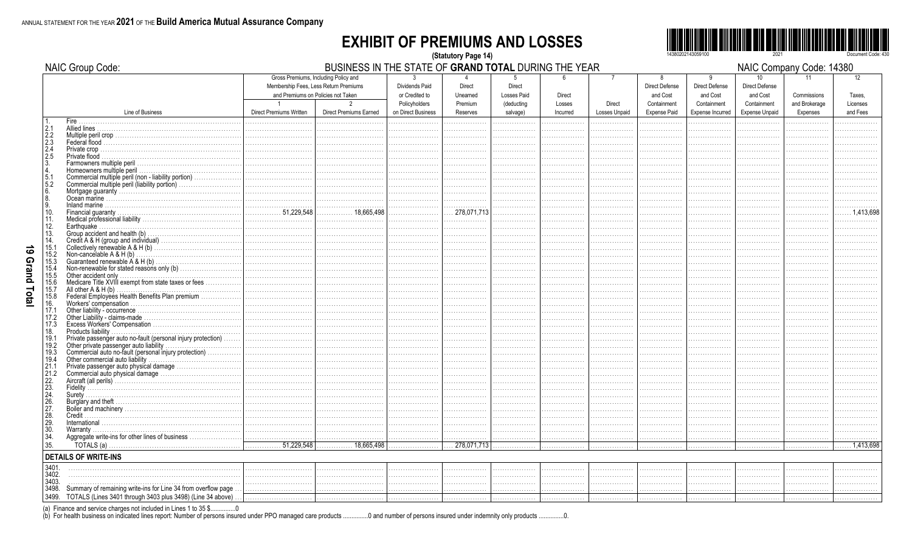#### **EXHIBIT OF PREMIUMS AND LOSSES** (Statutory Page 14)



|                                                  | NAIC Group Code:                                                                                     |                                          | BUSINESS IN THE STATE OF GRAND TOTAL DURING THE YEAR                                                                                  |                                                        | NAIC Company Code: 14380  |                                                              |                  |                          |                                                       |                                                       |                                                        |                                    |                          |
|--------------------------------------------------|------------------------------------------------------------------------------------------------------|------------------------------------------|---------------------------------------------------------------------------------------------------------------------------------------|--------------------------------------------------------|---------------------------|--------------------------------------------------------------|------------------|--------------------------|-------------------------------------------------------|-------------------------------------------------------|--------------------------------------------------------|------------------------------------|--------------------------|
|                                                  |                                                                                                      | $\overline{1}$                           | Gross Premiums, Including Policy and<br>Membership Fees, Less Return Premiums<br>and Premiums on Policies not Taken<br>$\mathfrak{p}$ | 3<br>Dividends Paid<br>or Credited to<br>Policyholders | <b>Direct</b><br>Unearned | <b>Direct</b><br><b>Losses Paid</b><br>Premium<br>(deducting | Direct<br>Losses | $\overline{7}$<br>Direct | 8<br><b>Direct Defense</b><br>and Cost<br>Containment | 9<br><b>Direct Defense</b><br>and Cost<br>Containment | 10<br><b>Direct Defense</b><br>and Cost<br>Containment | 11<br>Commissions<br>and Brokerage | 12<br>Taxes.<br>Licenses |
|                                                  | Line of Business                                                                                     | <b>Direct Premiums Written</b>           | <b>Direct Premiums Earned</b>                                                                                                         | on Direct Business                                     | Reserves                  | salvage)                                                     | Incurred         | <b>Losses Unpaid</b>     | <b>Expense Paid</b>                                   | Expense Incurred                                      | <b>Expense Unpaid</b>                                  | Expenses                           | and Fees                 |
|                                                  | Fire.                                                                                                |                                          |                                                                                                                                       |                                                        |                           |                                                              |                  |                          |                                                       |                                                       |                                                        |                                    |                          |
| $\left  \frac{2.1}{2.2} \right $                 |                                                                                                      |                                          |                                                                                                                                       |                                                        |                           |                                                              |                  |                          |                                                       |                                                       |                                                        |                                    |                          |
| $\begin{array}{c} 2.3 \\ 2.4 \\ 2.5 \end{array}$ |                                                                                                      |                                          |                                                                                                                                       |                                                        |                           |                                                              |                  |                          |                                                       |                                                       |                                                        |                                    |                          |
|                                                  |                                                                                                      |                                          |                                                                                                                                       |                                                        |                           |                                                              |                  |                          |                                                       |                                                       |                                                        |                                    |                          |
|                                                  |                                                                                                      |                                          |                                                                                                                                       |                                                        |                           |                                                              |                  |                          |                                                       |                                                       |                                                        |                                    |                          |
| $\frac{3}{4}$                                    | Homeowners multiple peril.                                                                           |                                          |                                                                                                                                       |                                                        |                           |                                                              |                  |                          |                                                       |                                                       |                                                        |                                    |                          |
| 5.1                                              | Commercial multiple peril (non - liability portion)<br>Commercial multiple peril (liability portion) |                                          |                                                                                                                                       |                                                        |                           |                                                              |                  |                          |                                                       |                                                       |                                                        |                                    |                          |
| $\begin{bmatrix} 5.2 \\ 6. \end{bmatrix}$        |                                                                                                      |                                          |                                                                                                                                       |                                                        | .                         |                                                              |                  |                          |                                                       |                                                       |                                                        |                                    |                          |
| 8.                                               |                                                                                                      |                                          |                                                                                                                                       |                                                        |                           |                                                              |                  |                          |                                                       |                                                       |                                                        |                                    |                          |
| 9.<br>10.                                        |                                                                                                      | $\ldots \ldots \ldots \ldots 51,229,548$ | . 18,665,498                                                                                                                          |                                                        | $\dots 278.071.713$       |                                                              |                  |                          |                                                       |                                                       |                                                        |                                    | $\ldots$ 1,413,698       |
| 11.                                              |                                                                                                      |                                          |                                                                                                                                       | .                                                      | .                         | .                                                            |                  |                          |                                                       |                                                       |                                                        |                                    |                          |
| 12.                                              | Earthquake,                                                                                          |                                          |                                                                                                                                       |                                                        |                           |                                                              |                  |                          |                                                       |                                                       |                                                        |                                    |                          |
| 13.<br>14.                                       |                                                                                                      |                                          |                                                                                                                                       |                                                        |                           |                                                              |                  |                          |                                                       |                                                       |                                                        |                                    |                          |
| 15.1                                             |                                                                                                      |                                          |                                                                                                                                       |                                                        |                           |                                                              |                  |                          |                                                       |                                                       |                                                        |                                    |                          |
| 15.2                                             |                                                                                                      |                                          |                                                                                                                                       |                                                        |                           |                                                              |                  |                          |                                                       |                                                       |                                                        |                                    |                          |
| 15.3                                             | Guaranteed renewable A & H (b)                                                                       |                                          |                                                                                                                                       |                                                        |                           |                                                              |                  |                          |                                                       |                                                       |                                                        |                                    |                          |
| 15.4<br>15.5                                     |                                                                                                      |                                          |                                                                                                                                       | .                                                      |                           | .                                                            |                  | .                        | .                                                     |                                                       |                                                        |                                    |                          |
| 15.6                                             | Medicare Title XVIII exempt from state taxes or fees                                                 |                                          |                                                                                                                                       |                                                        |                           |                                                              |                  |                          |                                                       |                                                       |                                                        |                                    |                          |
| 15.7                                             |                                                                                                      |                                          |                                                                                                                                       |                                                        |                           |                                                              |                  |                          |                                                       |                                                       |                                                        |                                    |                          |
| 15.8<br>16.                                      | Federal Employees Health Benefits Plan premium                                                       |                                          |                                                                                                                                       |                                                        |                           |                                                              |                  |                          |                                                       |                                                       |                                                        |                                    |                          |
| 17.1                                             |                                                                                                      |                                          |                                                                                                                                       |                                                        |                           |                                                              |                  |                          |                                                       |                                                       |                                                        |                                    |                          |
| 17.2                                             |                                                                                                      |                                          |                                                                                                                                       |                                                        |                           |                                                              |                  |                          |                                                       |                                                       |                                                        |                                    |                          |
| 17.3<br>18.                                      |                                                                                                      |                                          |                                                                                                                                       |                                                        |                           |                                                              |                  |                          |                                                       |                                                       |                                                        |                                    |                          |
| 19.1                                             | Private passenger auto no-fault (personal injury protection)                                         |                                          |                                                                                                                                       |                                                        |                           |                                                              |                  | .                        |                                                       |                                                       |                                                        |                                    |                          |
| 19.2                                             |                                                                                                      |                                          |                                                                                                                                       |                                                        |                           |                                                              |                  |                          |                                                       |                                                       |                                                        |                                    |                          |
| 19.3<br>19.4                                     |                                                                                                      |                                          |                                                                                                                                       |                                                        |                           |                                                              |                  |                          |                                                       |                                                       |                                                        |                                    |                          |
|                                                  |                                                                                                      |                                          |                                                                                                                                       |                                                        |                           |                                                              |                  |                          |                                                       |                                                       |                                                        |                                    |                          |
| $\begin{array}{ }\n 21.1 \\  21.2\n \end{array}$ |                                                                                                      |                                          |                                                                                                                                       |                                                        |                           |                                                              |                  |                          |                                                       |                                                       |                                                        |                                    |                          |
| 22.                                              |                                                                                                      |                                          |                                                                                                                                       |                                                        |                           | .                                                            |                  | .                        | .                                                     |                                                       |                                                        |                                    |                          |
| $\frac{23}{24}$<br>26.                           |                                                                                                      |                                          |                                                                                                                                       |                                                        |                           |                                                              |                  |                          |                                                       |                                                       |                                                        |                                    |                          |
|                                                  |                                                                                                      |                                          |                                                                                                                                       |                                                        |                           |                                                              |                  |                          |                                                       |                                                       |                                                        |                                    |                          |
|                                                  |                                                                                                      |                                          |                                                                                                                                       |                                                        |                           |                                                              |                  |                          |                                                       |                                                       |                                                        |                                    |                          |
|                                                  | Credit                                                                                               |                                          |                                                                                                                                       |                                                        | .                         | .<br>.                                                       | .                | .<br>.                   | .                                                     |                                                       |                                                        | .                                  |                          |
| 27<br>28<br>30<br>30<br>34                       |                                                                                                      |                                          |                                                                                                                                       |                                                        |                           |                                                              |                  |                          |                                                       |                                                       |                                                        |                                    |                          |
|                                                  |                                                                                                      |                                          |                                                                                                                                       | .                                                      |                           | .                                                            |                  |                          |                                                       |                                                       |                                                        |                                    |                          |
| 35.                                              |                                                                                                      | . 51.229.548                             |                                                                                                                                       |                                                        | 278.071.713               |                                                              |                  |                          |                                                       |                                                       |                                                        |                                    | $\ldots$ . 1,413,698     |
|                                                  | <b>DETAILS OF WRITE-INS</b>                                                                          |                                          |                                                                                                                                       |                                                        |                           |                                                              |                  |                          |                                                       |                                                       |                                                        |                                    |                          |
| 3401.                                            |                                                                                                      |                                          |                                                                                                                                       |                                                        |                           | .                                                            |                  | .                        | .                                                     |                                                       |                                                        |                                    |                          |
| 3402.<br>3403.                                   |                                                                                                      |                                          |                                                                                                                                       |                                                        | .                         | .                                                            | .                | .                        | .                                                     | .                                                     | .                                                      | .                                  |                          |
| 3498.                                            | Summary of remaining write-ins for Line 34 from overflow page                                        |                                          |                                                                                                                                       | .                                                      | .                         | .<br>.                                                       | .                | .                        | .<br>.                                                | .<br>.                                                | .                                                      | .                                  |                          |
|                                                  | 3499. TOTALS (Lines 3401 through 3403 plus 3498) (Line 34 above)                                     |                                          |                                                                                                                                       |                                                        | .                         | .                                                            | .                | .                        | .                                                     | .                                                     | .                                                      |                                    |                          |
|                                                  |                                                                                                      |                                          |                                                                                                                                       |                                                        |                           |                                                              |                  |                          |                                                       |                                                       |                                                        |                                    |                          |

(a) Finance and service charges not included in Lines 1 to 35 \$.................0<br>(b) For health business on indicated lines report: Number of persons insured under PPO managed care products ...............................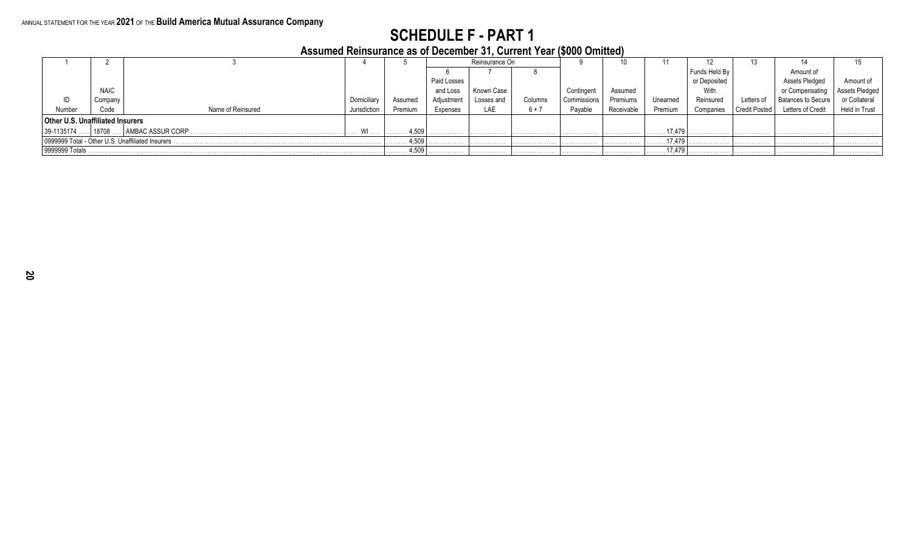#### **Assumed Reinsurance as of December 31, Current Year (\$000 Omitted)**

|                                         |           |                                                   |              |         |             | Reinsurance On |              |             |            |          |               |                      |                           |                |
|-----------------------------------------|-----------|---------------------------------------------------|--------------|---------|-------------|----------------|--------------|-------------|------------|----------|---------------|----------------------|---------------------------|----------------|
|                                         |           |                                                   |              |         |             |                |              |             |            |          | Funds Held By |                      | Amount of                 |                |
|                                         |           |                                                   |              |         | Paid Losses |                |              |             |            |          | or Deposited  |                      | Assets Pledged            | Amount         |
| <b>NAIC</b>                             |           |                                                   |              |         | and Loss    | Known Case     |              | Contingent  | Assumed    |          | With          |                      | or Compensating           | Assets Pledged |
|                                         | Company   |                                                   | Domiciliar   | Assumed | Adjustment  | Losses and     | Columns      | Commissions | Premiums   | Unearned | Reinsured     | Letters of           | <b>Balances to Secure</b> | or Collateral  |
| Number                                  | Code      | Name of Reinsured                                 | Jurisdiction | Premium | Expenses    | LAE            | $6 + 7$      | Payable     | Receivable | Premium  | companies.    | <b>Credit Posted</b> | Letters of Credit         | Held in Trust  |
| <b>Other U.S. Unaffiliated Insurers</b> |           |                                                   |              |         |             |                |              |             |            |          |               |                      |                           |                |
| 39-1135174                              | $18708$ . |                                                   | $\ldots$ WI  | 4,509   |             | .              | . <b>.</b> . | .           | .          | 17.479   |               | .                    | .                         |                |
|                                         |           | 0999999 Total - Other U.S. Unaffiliated Insurers. |              | 4,509   |             |                |              | .           |            | 17.479   |               |                      |                           |                |
| 9999999 Totals                          |           |                                                   |              | 4,509   |             | .              | .            | .           |            | 17,479   |               | .                    |                           | .              |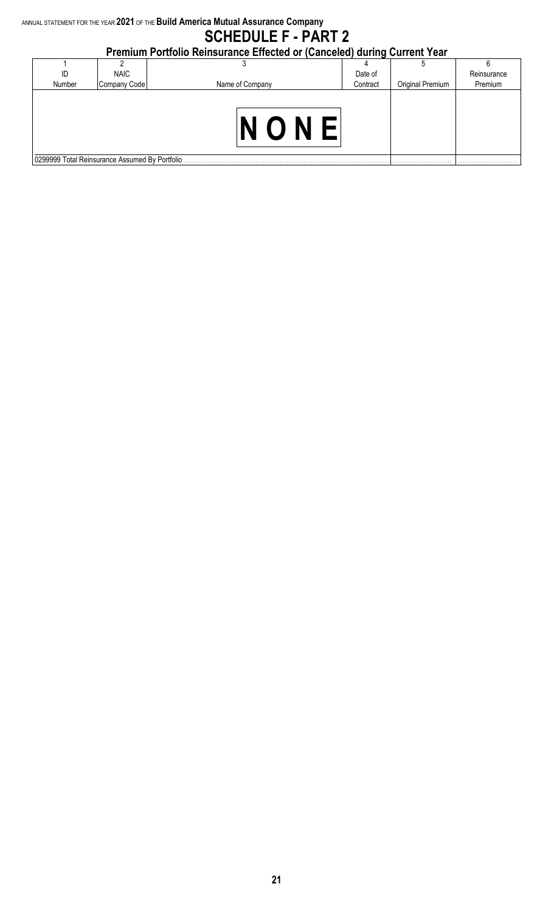## **Premium Portfolio Reinsurance Effected or (Canceled) during Current Year**

| ID                                             | <b>NAIC</b>  |                 | Date of  |                  | Reinsurance |
|------------------------------------------------|--------------|-----------------|----------|------------------|-------------|
| Number                                         | Company Code | Name of Company | Contract | Original Premium | Premium     |
|                                                |              |                 |          |                  |             |
|                                                |              |                 |          |                  |             |
|                                                |              |                 |          |                  |             |
|                                                |              |                 |          |                  |             |
|                                                |              |                 |          |                  |             |
|                                                |              |                 |          |                  |             |
| 0299999 Total Reinsurance Assumed By Portfolio |              |                 |          |                  | .           |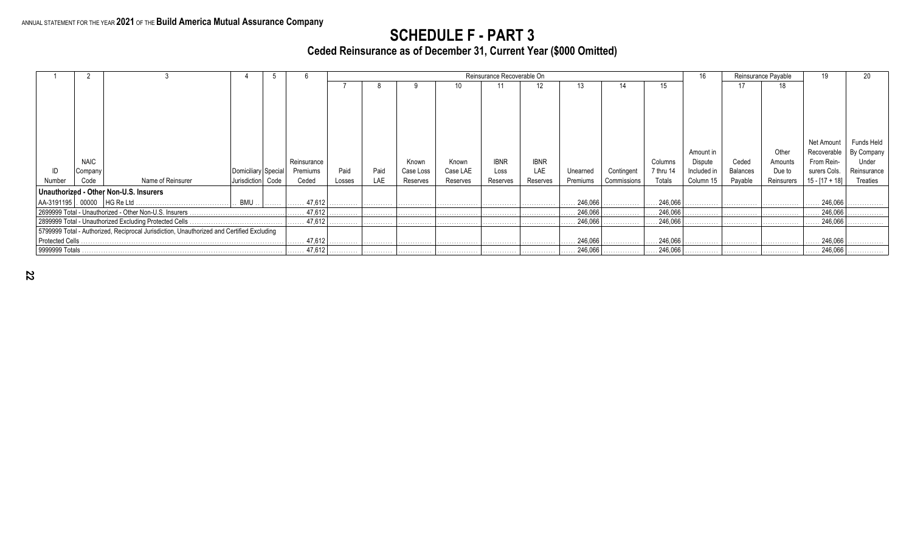**Ceded Reinsurance as of December 31, Current Year (\$000 Omitted)**

|                 |                                                                                           |                                                         |                     |                 |                   |                       |      |           |          | Reinsurance Recoverable On |             |                  |             |                  | 16           |                 | Reinsurance Pavable |                  | 20          |
|-----------------|-------------------------------------------------------------------------------------------|---------------------------------------------------------|---------------------|-----------------|-------------------|-----------------------|------|-----------|----------|----------------------------|-------------|------------------|-------------|------------------|--------------|-----------------|---------------------|------------------|-------------|
|                 |                                                                                           |                                                         |                     |                 |                   |                       |      |           |          |                            | 12          |                  |             | 15               |              | 17              | 18                  |                  |             |
|                 |                                                                                           |                                                         |                     |                 |                   |                       |      |           |          |                            |             |                  |             |                  |              |                 |                     |                  |             |
|                 |                                                                                           |                                                         |                     |                 |                   |                       |      |           |          |                            |             |                  |             |                  |              |                 |                     |                  |             |
|                 |                                                                                           |                                                         |                     |                 |                   |                       |      |           |          |                            |             |                  |             |                  |              |                 |                     |                  |             |
|                 |                                                                                           |                                                         |                     |                 |                   |                       |      |           |          |                            |             |                  |             |                  |              |                 |                     |                  |             |
|                 |                                                                                           |                                                         |                     |                 |                   |                       |      |           |          |                            |             |                  |             |                  |              |                 |                     |                  |             |
|                 |                                                                                           |                                                         |                     |                 |                   |                       |      |           |          |                            |             |                  |             |                  |              |                 |                     | Net Amount       | Funds Held  |
|                 |                                                                                           |                                                         |                     |                 |                   |                       |      |           |          |                            |             |                  |             |                  | Amount in    |                 | Other               | Recoverable      | By Company  |
|                 | <b>NAIC</b>                                                                               |                                                         |                     |                 | Reinsurance       |                       |      | Known     | Known    | <b>IBNR</b>                | <b>IBNR</b> |                  |             | Columns          | Dispute      | Ceded           | Amounts             | From Rein-       | Under       |
|                 | Company                                                                                   |                                                         | Domiciliary Special |                 | Premiums          | Paid                  | Paid | Case Loss | Case LAE | Loss                       | LAE         | Unearned         | Contingent  | 7 thru 14        | Included in  | <b>Balances</b> | Due to              | surers Cols.     | Reinsurance |
| Number          | Code                                                                                      | Name of Reinsurer                                       | Jurisdiction        | Code            | Ceded             | Losses                | LAE  | Reserves  | Reserves | Reserves                   | Reserves    | Premiums         | Commissions | Totals           | Column 15    | Payable         | Reinsurers          | $15 - [17 + 18]$ | Treaties    |
|                 |                                                                                           | Unauthorized - Other Non-U.S. Insurers                  |                     |                 |                   |                       |      |           |          |                            |             |                  |             |                  |              |                 |                     |                  |             |
|                 |                                                                                           |                                                         | . BMU               | .               | $\ldots$ . 47,612 | . <b>.</b> .          | .    |           |          |                            | .           | 246,066          | .           | .246,066         | . <b>.</b> . | .               | .                   | 246,066          |             |
|                 |                                                                                           | 2699999 Total - Unauthorized - Other Non-U.S. Insurers. |                     |                 | 47,612            |                       |      |           |          |                            |             | 246,066          | .           | . 246,066        |              | .               | .                   | 246,066          |             |
|                 |                                                                                           | 2899999 Total - Unauthorized Excluding Protected Cells. |                     |                 | $\ldots$ 47,612   | .                     | .    |           |          |                            |             | 246,066          | .           | 246,066          |              | .               | .                   | 246,066          | .           |
|                 | 5799999 Total - Authorized, Reciprocal Jurisdiction, Unauthorized and Certified Excluding |                                                         |                     |                 |                   |                       |      |           |          |                            |             |                  |             |                  |              |                 |                     |                  |             |
| Protected Cells |                                                                                           |                                                         |                     | $\ldots$ 47,612 | .                 | .                     | .    | .         |          | .                          | 246,066     | .                | .246,066    | .                | .            | .               | 246,066<br>.        | .                |             |
|                 | 9999999 Totals                                                                            |                                                         |                     |                 |                   | $\ldots$ 47,612.<br>. | .    | .         | .        | .                          | .           | $\ldots$ 246,066 | .           | $\ldots$ 246,066 | .            | .               | .                   | 246,066          | .           |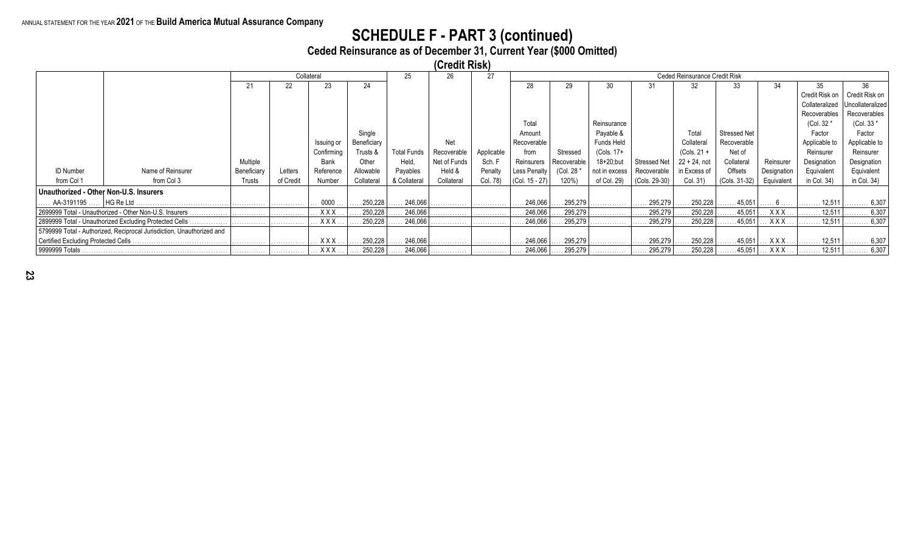#### ANNUAL STATEMENT FOR THE YEAR **2021** OF THE **Build America Mutual Assurance Company**

## **SCHEDULE F - PART 3 (continued)**

**Ceded Reinsurance as of December 31, Current Year (\$000 Omitted)**

|                  |                                                                       |             |           |                   |             |                    | (Credit Risk) |            |                    |             |               |               |                               |                     |                |                    |                  |
|------------------|-----------------------------------------------------------------------|-------------|-----------|-------------------|-------------|--------------------|---------------|------------|--------------------|-------------|---------------|---------------|-------------------------------|---------------------|----------------|--------------------|------------------|
|                  |                                                                       |             |           | Collateral        |             | 25                 | 26            | 27         |                    |             |               |               | Ceded Reinsurance Credit Risk |                     |                |                    |                  |
|                  |                                                                       | 21          | 22        | 23                | 24          |                    |               |            | 28                 |             | 30            | 31            | 32                            | 33                  |                | 35                 | 36               |
|                  |                                                                       |             |           |                   |             |                    |               |            |                    |             |               |               |                               |                     |                | Credit Risk on     | Credit Risk on   |
|                  |                                                                       |             |           |                   |             |                    |               |            |                    |             |               |               |                               |                     |                | Collateralized     | Uncollateralized |
|                  |                                                                       |             |           |                   |             |                    |               |            |                    |             |               |               |                               |                     |                | Recoverables       | Recoverables     |
|                  |                                                                       |             |           |                   |             |                    |               |            | Total              |             | Reinsurance   |               |                               |                     |                | (Col. 32 *         | (Col. 33 *       |
|                  |                                                                       |             |           |                   | Single      |                    |               |            | Amount             |             | Payable &     |               | Total                         | <b>Stressed Net</b> |                | Factor             | Factor           |
|                  |                                                                       |             |           | Issuing or        | Beneficiary |                    | Net           |            | Recoverable        |             | Funds Held    |               | Collateral                    | Recoverable         |                | Applicable to      | Applicable to    |
|                  |                                                                       |             |           | Confirming        | Trusts &    | <b>Total Funds</b> | Recoverable   | Applicable | from               | Stressed    | (Cols. 17+    |               | $(Cols. 21 +$                 | Net of              |                | Reinsurer          | Reinsurer        |
|                  |                                                                       | Multiple    |           | Bank              | Other       | Held.              | Net of Funds  | Sch. F     | Reinsurers         | Recoverable | 18+20;but     | Stressed Net  | $22 + 24$ , not               | Collateral          | Reinsurer      | Designation        | Designation      |
| <b>ID Number</b> | Name of Reinsurer                                                     | Beneficiary | Letters   | Reference         | Allowable   | Payables           | Held &        | Penalty    | Less Penalty       | (Col. 28 *  | not in excess | Recoverable   | in Excess of                  | Offsets             | Designation    | Equivalent         | Equivalent       |
| from Col 1       | from Col 3                                                            | Trusts      | of Credit | Number            | Collateral  | & Collateral       | Collateral    | Col. 78)   | $ $ (Col. 15 - 27) | 120%)       | of Col. 29)   | (Cols. 29-30) | Col. 31)                      | (Cols. 31-32)       | Equivalent     | in Col. 34)        | in Col. $34$ )   |
|                  | Unauthorized - Other Non-U.S. Insurers                                |             |           |                   |             |                    |               |            |                    |             |               |               |                               |                     |                |                    |                  |
|                  | AA-3191195 ……   HG Re Ltd …………………………………… ……………                        |             | .         | $\therefore$ 0000 | 250,228     | 246.066            |               | .          | .246,066           | 295,279     | .             | 295,279       | 250,228                       | .45,051             |                | 12.511             | . 6,307          |
|                  | 2699999 Total - Unauthorized - Other Non-U.S. Insurers.               | .           | .         | . XXX             | 250,228     | 246,066            | .             | .          | $\ldots 246,066$   | 295,279     | . <b>.</b> .  | 295,279       | 250,228                       | .45,051             | . <b>XXX</b> . |                    | . 12,511   6,307 |
|                  |                                                                       |             | .         | . XXX             | 250,228     | 246,066            |               | .          | 246,066            | 295,279     |               | 295,279       | 250,228                       | .45,051             | . XXX          | . 12,511   .       | . 6,307          |
|                  | 5799999 Total - Authorized, Reciprocal Jurisdiction, Unauthorized and |             |           |                   |             |                    |               |            |                    |             |               |               |                               |                     |                |                    |                  |
|                  |                                                                       | .           | .         | . XXX             | 250,228     | 246,066            | .             | .          | .246,066           | 295,279     | .             | 295,279       | 250,228                       | . 45,051            | $.$ $XXX$ .    | . 12,511 $\vert$ . | . 6,307          |
| S999999 Totals . |                                                                       |             | .         | $.$ XXX $.$       | 250,228     | 246,066            | .             | .          | $\ldots$ . 246,066 | .295,279    | .             | 295,279       | 250,228                       | . 45,051            | . <b>X X X</b> |                    | 12,511    6,307  |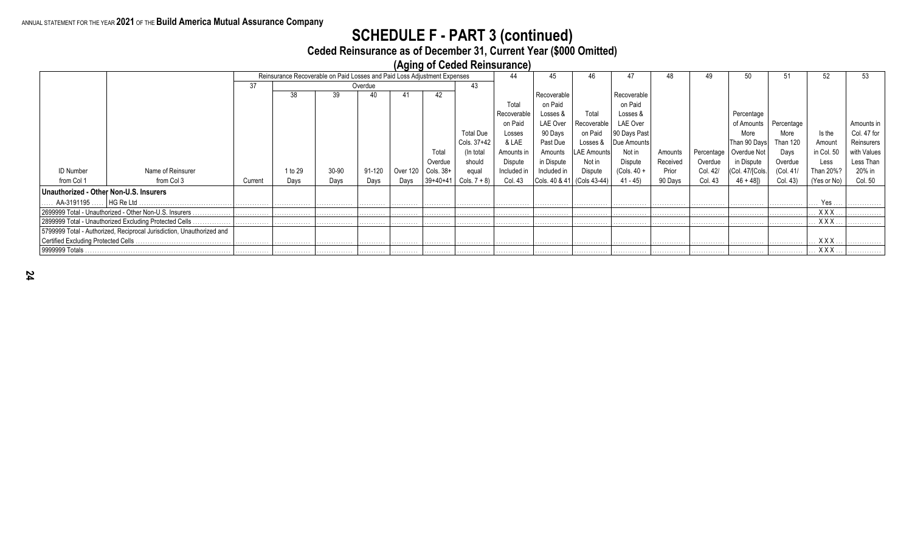#### ANNUAL STATEMENT FOR THE YEAR **2021** OF THE **Build America Mutual Assurance Company**

## **SCHEDULE F - PART 3 (continued)**

**Ceded Reinsurance as of December 31, Current Year (\$000 Omitted)**

**(Aging of Ceded Reinsurance)**

|                                            | Reinsurance Recoverable on Paid Losses and Paid Loss Adjustment Expenses |         |         |       |         |          |            |                  |             |             |                            |                 |          |          |                          |                 |              |             |
|--------------------------------------------|--------------------------------------------------------------------------|---------|---------|-------|---------|----------|------------|------------------|-------------|-------------|----------------------------|-----------------|----------|----------|--------------------------|-----------------|--------------|-------------|
|                                            |                                                                          |         |         |       |         |          |            |                  | 44          |             |                            | 47              |          | 49       | 50                       |                 | 52           |             |
|                                            |                                                                          | 37      |         |       | Overdue |          |            | 43               |             |             |                            |                 |          |          |                          |                 |              |             |
|                                            |                                                                          |         | 38      | 39    |         | 41       | 42         |                  |             | Recoverable |                            | Recoverable     |          |          |                          |                 |              |             |
|                                            |                                                                          |         |         |       |         |          |            |                  | Total       | on Paid     |                            | on Paid         |          |          |                          |                 |              |             |
|                                            |                                                                          |         |         |       |         |          |            |                  | Recoverable | Losses &    | Total                      | Losses &        |          |          | Percentage               |                 |              |             |
|                                            |                                                                          |         |         |       |         |          |            |                  | on Paid     | LAE Over    | Recoverable                | <b>LAE Over</b> |          |          | of Amounts               | Percentage      |              | Amounts in  |
|                                            |                                                                          |         |         |       |         |          |            | <b>Total Due</b> | Losses      | 90 Days     | on Paid                    | 90 Days Past    |          |          | More                     | More            | Is the       | Col. 47 for |
|                                            |                                                                          |         |         |       |         |          |            | Cols. 37+42      | & LAE       | Past Due    | Losses &                   | Due Amounts     |          |          | Than 90 Days             | <b>Than 120</b> | Amount       | Reinsurers  |
|                                            |                                                                          |         |         |       |         |          | Total      | (In total)       | Amounts in  | Amounts     | <b>LAE Amounts!</b>        | Not in          | Amounts  |          | Percentage   Overdue Not | Days            | in Col. 50   | with Values |
|                                            |                                                                          |         |         |       |         |          | Overdue    | should           | Dispute     | in Dispute  | Not in                     | Dispute         | Received | Overdue  | in Dispute               | Overdue         | Less         | Less Than   |
| <b>ID Number</b>                           | Name of Reinsurer                                                        |         | 1 to 29 | 30-90 | 91-120  | Over 120 | Cols. 38+  | equal            | Included in | Included in | Dispute                    | $(Cols. 40 +$   | Prior    | Col. 42/ | (Col. 47/[Cols.          | (Col. 41/       | Than 20%?    | 20% in      |
| from Col 1                                 | from Col 3                                                               | Current | Days    | Days  | Days    | Days     | $39+40+41$ | Cols. $7 + 8$    | Col. 43     |             | Cols. 40 & 41 (Cols 43-44) | 41 - 45)        | 90 Days  | Col. 43  | $46 + 481$               | Col. 43)        | (Yes or No)  | Col. 50     |
|                                            |                                                                          |         |         |       |         |          |            |                  |             |             |                            |                 |          |          |                          |                 |              |             |
| Unauthorized - Other Non-U.S. Insurers     |                                                                          |         |         |       |         |          |            |                  |             |             |                            |                 |          |          |                          |                 |              |             |
| $\ldots$ AA-3191195 $\ldots$   HG Re Ltd . |                                                                          |         | .       | .     | .       | .        | .          | .                | .           | .           | . <b>.</b> .               | .               | .        | .        | .                        | . <b>.</b> .    | $\ldots$ Yes | .           |
|                                            | 2699999 Total - Unauthorized - Other Non-U.S. Insurers.                  | .       | .       | .     | .       | .        | .          | .                | .           | .           | .                          | .               | .        | .        | .                        | .               | <b>XXX</b>   | .           |
|                                            | 2899999 Total - Unauthorized Excluding Protected Cells.<br>.             |         |         |       |         |          |            |                  |             |             |                            |                 |          |          |                          |                 | <b>XXX</b>   | .           |
|                                            | 5799999 Total - Authorized, Reciprocal Jurisdiction, Unauthorized and    |         |         |       |         |          |            |                  |             |             |                            |                 |          |          |                          |                 |              |             |
| Certified Excluding Protected Cells.       |                                                                          |         |         | .     | .       | .        | .          | .                | .           | .           | .                          | .               | .        | .        |                          | . <b>.</b> .    | XXX          | .           |
| 9999999 Totals                             |                                                                          |         |         | .     |         |          |            | .                | .           | .           | .                          | .               | .        |          |                          |                 | . <b>XXX</b> | .           |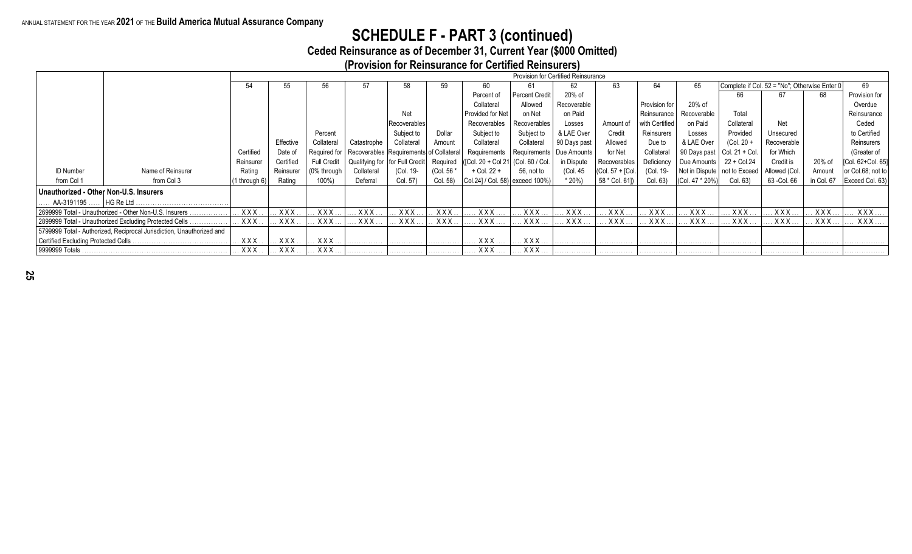#### ANNUAL STATEMENT FOR THE YEAR **2021** OF THE **Build America Mutual Assurance Company**

## **SCHEDULE F - PART 3 (continued)**

**Ceded Reinsurance as of December 31, Current Year (\$000 Omitted)**

**(Provision for Reinsurance for Certified Reinsurers)**

|                                        |                                                                       |               |            | Provision for Certified Reinsurance<br>Complete if Col. 52 = "No"; Otherwise Enter 0 |                                                          |              |            |                                           |                  |              |                  |                |                 |                                 |               |            |                   |
|----------------------------------------|-----------------------------------------------------------------------|---------------|------------|--------------------------------------------------------------------------------------|----------------------------------------------------------|--------------|------------|-------------------------------------------|------------------|--------------|------------------|----------------|-----------------|---------------------------------|---------------|------------|-------------------|
|                                        |                                                                       | 54            | 55         | 56                                                                                   |                                                          | 58           | 59         | 60                                        |                  | 62           | 63               | 64             | 65              |                                 |               |            | 69                |
|                                        |                                                                       |               |            |                                                                                      |                                                          |              |            | Percent of                                | Percent Credit   | 20% of       |                  |                |                 | 66                              | 67            | 68         | Provision for     |
|                                        |                                                                       |               |            |                                                                                      |                                                          |              |            | Collateral                                | Allowed          | Recoverable  |                  | Provision for  | 20% of          |                                 |               |            | Overdue           |
|                                        |                                                                       |               |            |                                                                                      |                                                          | Net          |            | Provided for Net                          | on Net           | on Paid      |                  | Reinsurance    | Recoverable     | Total                           |               |            | Reinsurance       |
|                                        |                                                                       |               |            |                                                                                      |                                                          | Recoverables |            | Recoverables                              | Recoverables     | Losses       | Amount of        | with Certified | on Paid         | Collateral                      | Net           |            | Ceded             |
|                                        |                                                                       |               |            | Percent                                                                              |                                                          | Subject to   | Dollar     | Subject to                                | Subject to       | & LAE Over   | Credit           | Reinsurers     | Losses          | Provided                        | Unsecured     |            | to Certified      |
|                                        |                                                                       |               | Effective  | Collateral                                                                           | Catastrophe                                              | Collateral   | Amount     | Collateral                                | Collateral       | 90 Days past | Allowed          | Due to         | & LAE Over      | $(Col. 20 +$                    | Recoverable   |            | Reinsurers        |
|                                        |                                                                       | Certified     | Date of    |                                                                                      | Required for   Recoverables   Requirements of Collateral |              |            | Requirements   Requirements   Due Amounts |                  |              | for Net          | Collateral     |                 | 90 Days past $ $ Col. 21 + Col. | for Which     |            | (Greater of       |
|                                        |                                                                       | Reinsurer     | Certified  | <b>Full Credit</b>                                                                   | Qualifying for for Full Credit                           |              | Required   | ([Col. 20 + Col 21 (Col. 60 / Col.        |                  | in Dispute   | Recoverables     | Deficiency     | Due Amounts     | 22 + Col.24                     | Credit is     | 20% of     | [Col. 62+Col. 65] |
| <b>ID Number</b>                       | Name of Reinsurer                                                     | Rating        | Reinsurer  | (0% through                                                                          | Collateral                                               | (Col. 19-    | (Col. 56 * | + Col. 22 +                               | 56, not to       | (Col. 45     | (Col. 57 + [Col. | (Col. 19-      |                 | Not in Dispute   not to Exceed  | Allowed (Col. | Amount     | or Col.68; not to |
| from Col 1                             | from Col 3                                                            | (1 through 6) | Rating     | 100%)                                                                                | Deferral                                                 | Col. 57)     | Col. 58)   | Col.24] / Col. 58) exceed 100%)           |                  | $*20\%)$     | 58 * Col. 61])   | Col. 63)       | (Col. 47 * 20%) | Col. 63)                        | 63 - Col. 66  | in Col. 67 | Exceed Col. 63)   |
| Unauthorized - Other Non-U.S. Insurers |                                                                       |               |            |                                                                                      |                                                          |              |            |                                           |                  |              |                  |                |                 |                                 |               |            |                   |
| AA-3191195    HG Re Ltd                |                                                                       |               |            |                                                                                      |                                                          |              |            |                                           |                  |              |                  |                |                 |                                 |               |            |                   |
|                                        | 2699999 Total - Unauthorized - Other Non-U.S. Insurers.               | <b>XXX</b>    | <b>XXX</b> | XXX.                                                                                 | <b>XXX</b>                                               | XXX          | XXX.       | XXX.                                      | XXX.             | <b>XXX</b>   | $.$ X X X        | XXX.           | $. X$ X X X     | XXX.                            | $.$ $XXX$ .   | <b>XXX</b> | $XXX$             |
|                                        | 2899999 Total - Unauthorized Excluding Protected Cells                | $XXX$ .       | XXX.       | XXX.                                                                                 | <b>XXX</b>                                               | XXX          | XXX.       | XXX.                                      | . <b>X X X</b> . | <b>XXX</b>   | $XXX$ .          | XXX.           | $.$ $X$ $X$ $X$ | XXX.                            | . X X X .     | <b>XXX</b> | $XXX$             |
|                                        | 5799999 Total - Authorized, Reciprocal Jurisdiction, Unauthorized and |               |            |                                                                                      |                                                          |              |            |                                           |                  |              |                  |                |                 |                                 |               |            |                   |
|                                        |                                                                       | $.$ X X X     | XXX        | XXX                                                                                  |                                                          |              | .          | XXX                                       | $.$ X X X $.$    |              |                  |                |                 |                                 |               |            |                   |
| 9999999 Totals                         |                                                                       | <b>XXX</b>    | $.$ XXX.   | $XXX$                                                                                |                                                          | .            | .          | <b>XXX</b>                                | XXX              |              | .                | .              |                 |                                 |               |            |                   |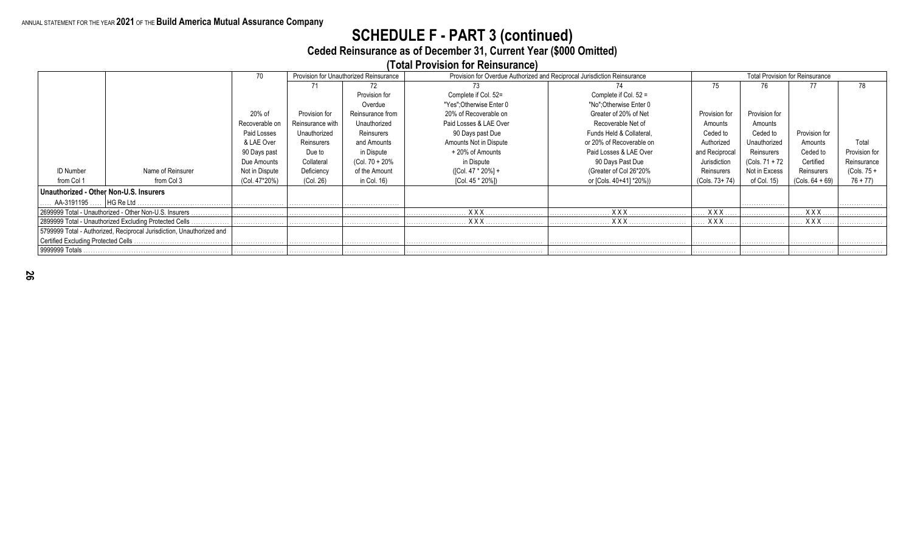# **SCHEDULE F - PART 3 (continued)**

**Ceded Reinsurance as of December 31, Current Year (\$000 Omitted)**

**(Total Provision for Reinsurance)**

|                                        |                                                                       | 70             |                  | Provision for Unauthorized Reinsurance | Provision for Overdue Authorized and Reciprocal Jurisdiction Reinsurance |                          |                |                | <b>Total Provision for Reinsurance</b> |               |
|----------------------------------------|-----------------------------------------------------------------------|----------------|------------------|----------------------------------------|--------------------------------------------------------------------------|--------------------------|----------------|----------------|----------------------------------------|---------------|
|                                        |                                                                       |                | 71               | 72                                     | 73                                                                       |                          | 75             | 76             | 77                                     | 78            |
|                                        |                                                                       |                |                  | Provision for                          | Complete if Col. 52=                                                     | Complete if Col. 52 =    |                |                |                                        |               |
|                                        |                                                                       |                |                  | Overdue                                | "Yes": Otherwise Enter 0                                                 | "No" Otherwise Enter 0   |                |                |                                        |               |
|                                        |                                                                       | 20% of         | Provision for    | Reinsurance from                       | 20% of Recoverable on                                                    | Greater of 20% of Net    | Provision for  | Provision for  |                                        |               |
|                                        |                                                                       | Recoverable on | Reinsurance with | Unauthorized                           | Paid Losses & LAE Over                                                   | Recoverable Net of       | Amounts        | Amounts        |                                        |               |
|                                        |                                                                       | Paid Losses    | Unauthorized     | Reinsurers                             | 90 Days past Due                                                         | Funds Held & Collateral, | Ceded to       | Ceded to       | Provision for                          |               |
|                                        |                                                                       | & LAE Over     | Reinsurers       | and Amounts                            | Amounts Not in Dispute                                                   | or 20% of Recoverable on | Authorized     | Unauthorized   | Amounts                                | Total         |
|                                        |                                                                       | 90 Days past   | Due to           | in Dispute                             | + 20% of Amounts                                                         | Paid Losses & LAE Over   | and Reciprocal | Reinsurers     | Ceded to                               | Provision for |
|                                        |                                                                       | Due Amounts    | Collateral       | (Col. 70 + 20%                         | in Dispute                                                               | 90 Days Past Due         | Jurisdiction   | (Cols. 71 + 72 | Certified                              | Reinsurance   |
| <b>ID Number</b>                       | Name of Reinsurer                                                     | Not in Dispute | Deficiency       | of the Amount                          | ([Col. 47 * 20%] +                                                       | (Greater of Col 26*20%   | Reinsurers     | Not in Excess  | Reinsurers                             | $(Cols. 75 +$ |
| from Col 1                             | from Col 3                                                            | (Col. 47*20%)  | (Col. 26)        | in Col. 16)                            | [Col. 45 * 20%])                                                         | or [Cols. 40+41] *20%))  | (Cols. 73+74)  | of Col. 15)    | $(Cols. 64 + 69)$                      | $76 + 77$     |
| Unauthorized - Other Non-U.S. Insurers |                                                                       |                |                  |                                        |                                                                          |                          |                |                |                                        |               |
| AA-3191195 ……   HG Re Ltd .            |                                                                       |                |                  |                                        |                                                                          |                          |                | .              |                                        | .             |
|                                        | 2699999 Total - Unauthorized - Other Non-U.S. Insurers.               |                |                  |                                        | <b>XXX</b>                                                               | XXX                      | $\ldots$ XXX   |                | <b>XXX</b>                             | .             |
|                                        | 2899999 Total - Unauthorized Excluding Protected Cells.<br>.          |                |                  |                                        | <b>XXX</b>                                                               | <b>XXX</b>               | <b>XXX</b>     |                | XXX.                                   |               |
|                                        | 5799999 Total - Authorized, Reciprocal Jurisdiction, Unauthorized and |                |                  |                                        |                                                                          |                          |                |                |                                        |               |
| l Certified Excluding Protected Cells. |                                                                       |                |                  |                                        |                                                                          |                          | .              | .              | .                                      |               |
| 9999999 Totals                         |                                                                       |                |                  |                                        |                                                                          |                          | .              | .              | .                                      | .             |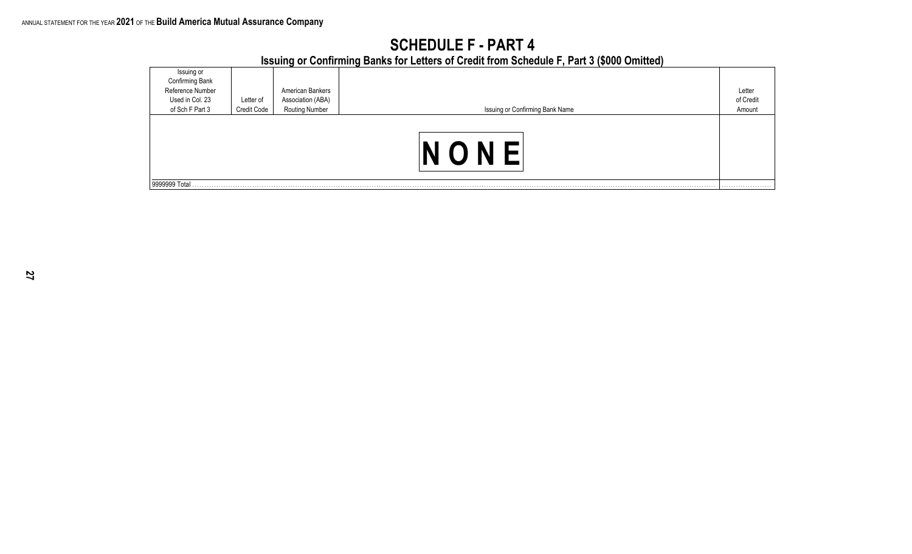|                                     |             |                                     | <u>1998 119 St Administration in Editors of Albert Holli Adilades I in era (Adad Almirae)</u> |           |
|-------------------------------------|-------------|-------------------------------------|-----------------------------------------------------------------------------------------------|-----------|
| Issuing or                          |             |                                     |                                                                                               |           |
| Confirming Bank<br>Reference Number |             | American Bankers                    |                                                                                               | Letter    |
|                                     |             |                                     |                                                                                               |           |
| Used in Col. 23                     | Letter of   |                                     |                                                                                               | of Credit |
| of Sch F Part 3                     | Credit Code | Association (ABA)<br>Routing Number | Issuing or Confirming Bank Name                                                               | Amount    |
|                                     |             |                                     |                                                                                               |           |
| 9999999 Total                       |             |                                     |                                                                                               |           |

## **SCHEDULE F - PART 4 Issuing or Confirming Banks for Letters of Credit from Schedule F, Part 3 (\$000 Omitted)**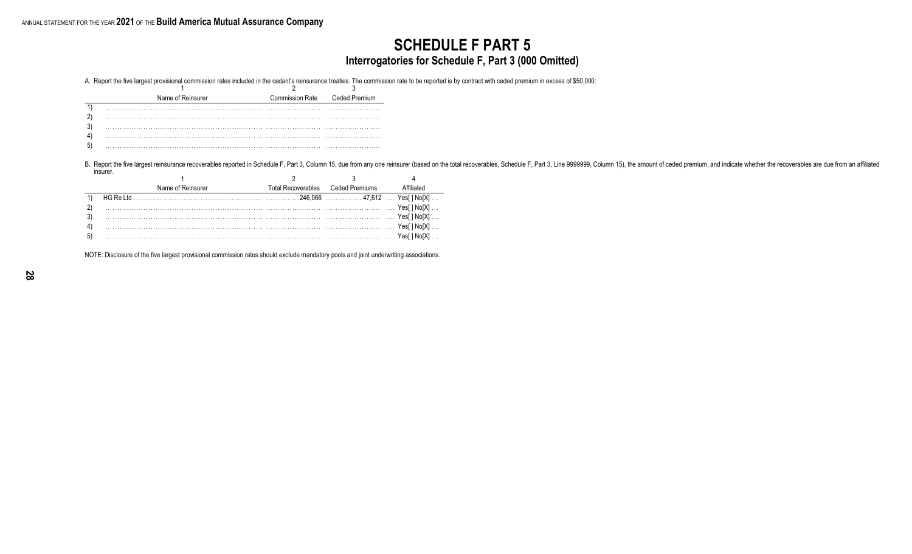## **SCHEDULE F PART 5 Interrogatories for Schedule F, Part 3 (000 Omitted)**

A. Report the five largest provisional commission rates included in the cedant's reinsurance treaties. The commission rate to be reported is by contract with ceded premium in excess of \$50,000:

| Name of Reinsurer | <b>Commission Rate</b> | Ceded Premium |
|-------------------|------------------------|---------------|
|                   |                        |               |
|                   |                        |               |
|                   |                        |               |
|                   |                        |               |
|                   |                        |               |

B. Report the five largest reinsurance recoverables reported in Schedule F, Part 3, Column 15, due from any one reinsurer (based on the total recoverables, Schedule F, Part 3, Line 9999999, Column 15), the amount of ceded insurer.

| Name of Reinsurer | Total Recoverables Ceded Premiums |      |
|-------------------|-----------------------------------|------|
|                   |                                   |      |
|                   |                                   |      |
|                   |                                   |      |
|                   |                                   |      |
|                   |                                   | Yes⊡ |

NOTE: Disclosure of the five largest provisional commission rates should exclude mandatory pools and joint underwriting associations.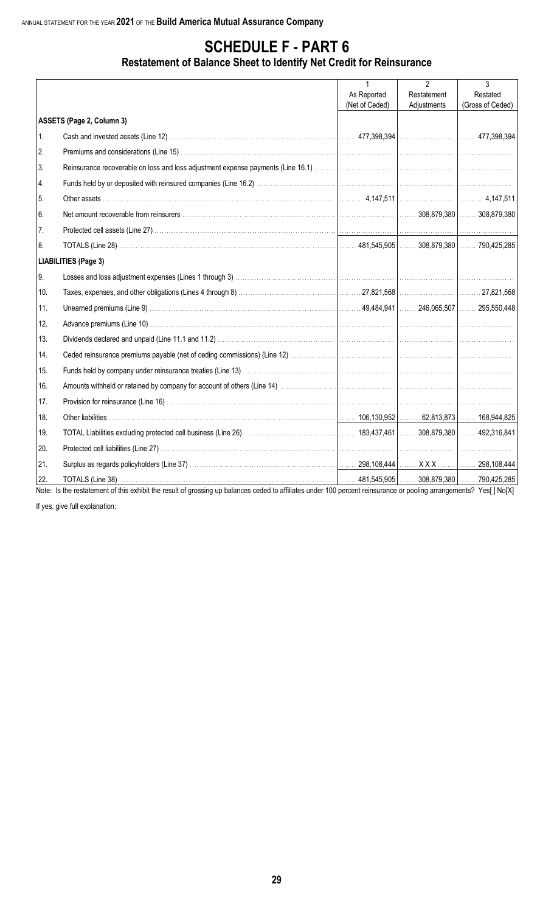## **Restatement of Balance Sheet to Identify Net Credit for Reinsurance**

|     |                                                                                                                                                                  | $\mathbf{1}$   | $\mathfrak{p}$ | 3                |
|-----|------------------------------------------------------------------------------------------------------------------------------------------------------------------|----------------|----------------|------------------|
|     |                                                                                                                                                                  | As Reported    | Restatement    | Restated         |
|     |                                                                                                                                                                  | (Net of Ceded) | Adjustments    | (Gross of Ceded) |
|     | ASSETS (Page 2, Column 3)                                                                                                                                        |                |                |                  |
| 1.  |                                                                                                                                                                  |                |                |                  |
| 2.  |                                                                                                                                                                  |                |                |                  |
| 3.  |                                                                                                                                                                  |                |                |                  |
| 4.  |                                                                                                                                                                  |                |                |                  |
| 5.  |                                                                                                                                                                  |                |                |                  |
| 6.  |                                                                                                                                                                  |                |                |                  |
| 7.  |                                                                                                                                                                  |                |                |                  |
| 8.  |                                                                                                                                                                  |                |                |                  |
|     | <b>LIABILITIES (Page 3)</b>                                                                                                                                      |                |                |                  |
| 9.  |                                                                                                                                                                  |                |                |                  |
| 10. |                                                                                                                                                                  |                |                |                  |
| 11. |                                                                                                                                                                  |                |                |                  |
| 12. |                                                                                                                                                                  |                |                |                  |
| 13. |                                                                                                                                                                  |                |                |                  |
| 14. |                                                                                                                                                                  |                |                |                  |
| 15. |                                                                                                                                                                  |                |                |                  |
| 16. |                                                                                                                                                                  |                |                |                  |
| 17. |                                                                                                                                                                  |                |                |                  |
| 18. |                                                                                                                                                                  |                |                |                  |
| 19. |                                                                                                                                                                  |                |                |                  |
| 20. |                                                                                                                                                                  |                |                |                  |
| 21. |                                                                                                                                                                  |                |                |                  |
| 22. | Note: le the restatement of this exhibit the result of greecing up belenees eaded to officite under 100 persont reinqurence or peoling errorgamente? Veel UNe[V] |                |                |                  |

Note: Is the restatement of this exhibit the result of grossing up balances ceded to affiliates under 100 percent reinsurance or pooling arrangements? Yes[] No[X]

If yes, give full explanation: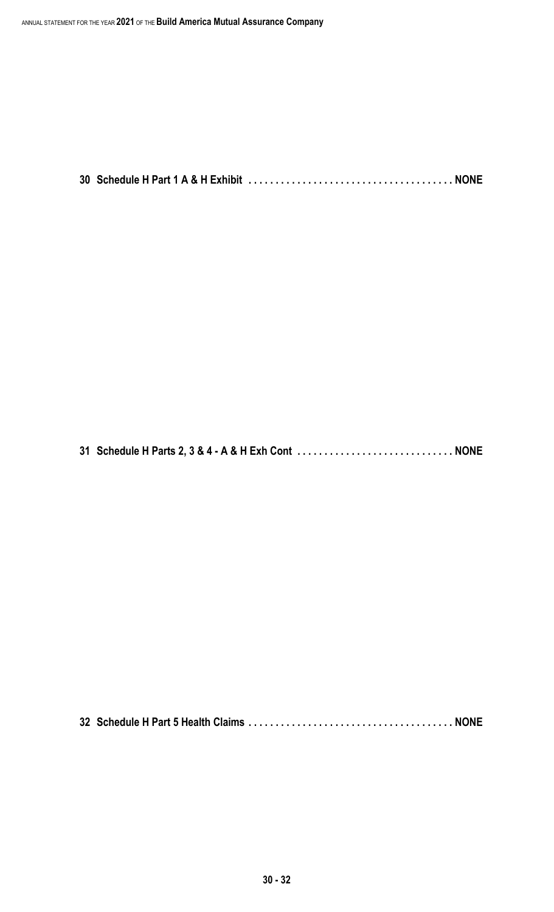**30 Schedule H Part 1 A & H Exhibit . . . . . . . . . . . . . . . . . . . . . . . . . . . . . . . . . . . . . . NONE**

**31 Schedule H Parts 2, 3 & 4 - A & H Exh Cont . . . . . . . . . . . . . . . . . . . . . . . . . . . . . NONE**

**32 Schedule H Part 5 Health Claims . . . . . . . . . . . . . . . . . . . . . . . . . . . . . . . . . . . . . . NONE**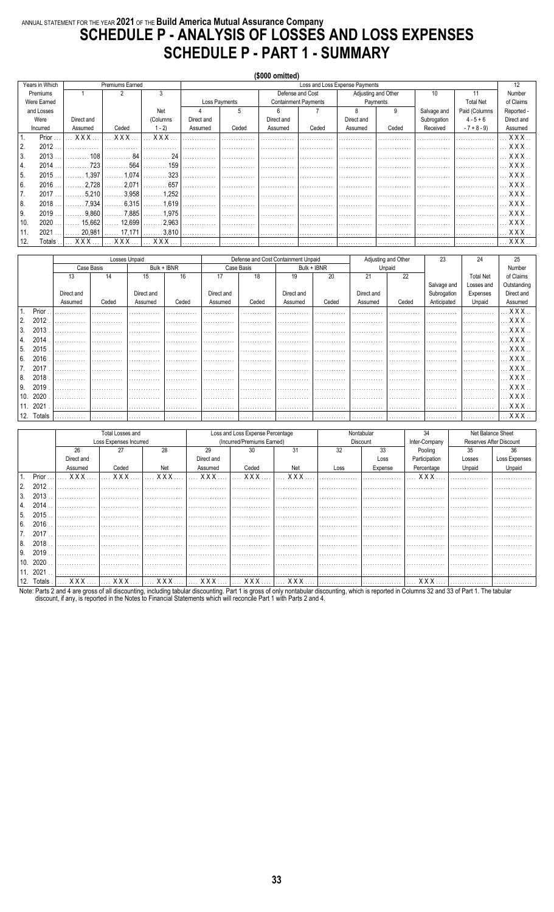# ANNUAL STATEMENT FOR THE YEAR 2021 OF THE Build America Mutual Assurance Company<br>SCHEDULE P - ANALYSIS OF LOSSES AND LOSS EXPENSES **SCHEDULE P - PART 1 - SUMMARY**

|     |                |            |                   |            |            |               | (\$000 omitted) |                             |                                |                     |             |                  |            |
|-----|----------------|------------|-------------------|------------|------------|---------------|-----------------|-----------------------------|--------------------------------|---------------------|-------------|------------------|------------|
|     | Years in Which |            | Premiums Earned   |            |            |               |                 |                             | Loss and Loss Expense Payments |                     |             |                  | 12         |
|     | Premiums       |            | 2                 | 3          |            |               |                 | Defense and Cost            |                                | Adjusting and Other | 10          | 11               | Number     |
|     | Were Earned    |            |                   |            |            | Loss Payments |                 | <b>Containment Payments</b> |                                | Payments            |             | <b>Total Net</b> | of Claims  |
|     | and Losses     |            |                   | Net        |            | 5             | 6               |                             | 8                              | 9                   | Salvage and | Paid (Columns    | Reported - |
|     | Were           | Direct and |                   | (Columns   | Direct and |               | Direct and      |                             | Direct and                     |                     | Subrogation | $4 - 5 + 6$      | Direct and |
|     | Incurred       | Assumed    | Ceded             | $1 - 2$    | Assumed    | Ceded         | Assumed         | Ceded                       | Assumed                        | Ceded               | Received    | $-7 + 8 - 9$     | Assumed    |
|     | Prior          | <b>XXX</b> | <b>XXX</b>        | <b>XXX</b> |            |               |                 |                             |                                |                     |             |                  | XXX.       |
| 2.  | 2012           |            |                   |            |            |               |                 |                             |                                |                     |             |                  | XXX.       |
| 3.  | 2013           | 108        | 84                | 24         |            |               |                 |                             |                                |                     |             |                  | XXX.       |
| 4.  | 2014           | 723        | 564               | 159        |            |               |                 |                             |                                |                     |             |                  | XXX.       |
| 5.  | 2015           | 1.397      | 1.074<br>.        | 323        |            |               |                 |                             |                                |                     |             |                  | XXX.       |
| 6.  | 2016           | 2.728      | 2.071             | 657        |            |               |                 |                             |                                |                     |             |                  | X X X      |
| 7.  | 2017           | 5,210      | 3.958             | 1,252      |            |               |                 |                             |                                |                     |             |                  | <b>XXX</b> |
| 8.  | 2018           | 7,934      | 6,315             | 1,619      |            |               |                 |                             |                                |                     |             |                  | <b>XXX</b> |
| 9.  | 2019           | 9.860      | 7.885             | 1,975<br>. |            |               |                 |                             |                                |                     |             |                  | <b>XXX</b> |
| 10. | 2020           | 15,662     | 12,699            | 2,963      |            |               |                 |                             |                                |                     |             |                  | XXX.       |
| 11. | 2021           | 20,981     | $\ldots$ . 17,171 | .3,810     |            |               |                 |                             |                                |                     |             |                  | XXX.       |
| 12. | Totals         | xxx        | <b>XXX</b>        | XXX        |            |               |                 |                             |                                |                     |             |                  | XXX        |

|      |           | Losses Unpaid |            |            |             |            |            |                                     |             |            |                     |             |                  |                  |
|------|-----------|---------------|------------|------------|-------------|------------|------------|-------------------------------------|-------------|------------|---------------------|-------------|------------------|------------------|
|      |           |               |            |            |             |            |            | Defense and Cost Containment Unpaid |             |            | Adjusting and Other | 23          | 24               | 25               |
|      |           |               | Case Basis |            | Bulk + IBNR |            | Case Basis |                                     | Bulk + IBNR |            | Unpaid              |             |                  | Number           |
|      |           | 13            | 14         | 15         | 16          | 17         | 18         | 19                                  | 20          | 21         | 22                  |             | <b>Total Net</b> | of Claims        |
|      |           |               |            |            |             |            |            |                                     |             |            |                     | Salvage and | Losses and       | Outstanding      |
|      |           | Direct and    |            | Direct and |             | Direct and |            | Direct and                          |             | Direct and |                     | Subrogation | Expenses         | Direct and       |
|      |           | Assumed       | Ceded      | Assumed    | Ceded       | Assumed    | Ceded      | Assumed                             | Ceded       | Assumed    | Ceded               | Anticipated | Unpaid           | Assumed          |
|      | Prior     |               |            | .          | .           | .          |            | .                                   | .           | .          | .                   |             | .                |                  |
| 2.   | 2012      |               |            |            |             |            |            |                                     | .           |            |                     |             | .                | $.$ $\sf XXXX$ . |
| . 3. | 2013      |               |            |            |             |            |            |                                     |             |            |                     |             |                  | XXX.             |
| 4.   | 2014      |               |            |            |             |            |            |                                     |             |            |                     |             |                  | <b>XXX</b> .     |
| ۱5.  | 2015      |               |            |            |             |            |            |                                     |             |            |                     |             |                  | XXX.             |
| 6.   | 2016      |               |            |            |             |            |            |                                     | .           | .          |                     |             |                  | $.$ $\sf XXX$ .  |
| 7.   | 2017      |               |            |            |             | .          |            |                                     | .           | .          |                     |             | .                | . X X X          |
| 8.   | 2018      | .             |            |            |             |            |            |                                     | .           |            |                     |             | .                | XXX.             |
| 9.   | 2019      |               |            |            |             |            |            |                                     |             |            |                     |             |                  | XXX.             |
| 10.  | 2020      |               |            |            |             |            |            |                                     |             |            |                     |             |                  | . X X X .        |
| 11.  | 2021      | .             | .          | .          | .           | .          | .          | .                                   | .           | .          | .                   | .           | .                | $\ldots$ XXX     |
|      | 12 Totals |               |            |            |             |            |            |                                     |             |            |                     |             |                  | <b>XXX</b>       |

|      |         |                         | Total Losses and       |     |                                             | Loss and Loss Expense Percentage |                |      | Nontabular | 34            |        | Net Balance Sheet       |
|------|---------|-------------------------|------------------------|-----|---------------------------------------------|----------------------------------|----------------|------|------------|---------------|--------|-------------------------|
|      |         |                         | Loss Expenses Incurred |     |                                             | (Incurred/Premiums Earned)       |                |      | Discount   | Inter-Company |        | Reserves After Discount |
|      |         | 26                      | 27                     | 28  | 29                                          | 30                               | 31             | 32   | 33         | Pooling       | 35     | 36                      |
|      |         | Direct and              |                        |     | Direct and                                  |                                  |                |      | Loss       | Participation | Losses | Loss Expenses           |
|      |         | Assumed                 | Ceded                  | Net | Assumed                                     | Ceded                            | Net            | Loss | Expense    | Percentage    | Unpaid | Unpaid                  |
|      | Prior.  | XXX                     | XXX.                   | XXX | XXX                                         | XXX                              | <b>XXX</b>     |      |            | XXX           |        |                         |
| l 2. | 2012    |                         |                        |     |                                             |                                  |                |      |            |               |        |                         |
| 3.   | 2013    |                         |                        |     |                                             |                                  |                |      |            |               |        |                         |
| l 4. | 2014    |                         |                        |     |                                             |                                  |                |      |            |               |        |                         |
| l 5. | 2015    |                         |                        |     |                                             |                                  |                |      |            |               |        |                         |
| l 6. | 2016    |                         |                        |     |                                             | .                                |                |      |            |               |        |                         |
|      | 2017    |                         |                        |     |                                             |                                  |                |      |            |               |        |                         |
| l 8. | 2018    |                         |                        |     |                                             |                                  |                |      |            |               |        |                         |
| l 9. | 2019    |                         |                        |     | .                                           | .                                |                |      |            |               | .      | .                       |
|      | 10.2020 |                         |                        |     |                                             |                                  |                |      |            |               |        |                         |
| 11.  | 2021    |                         |                        |     |                                             |                                  |                |      |            |               |        |                         |
| 12.  | Totals  | $\ldots$ X X X $\ldots$ |                        |     | $\ldots$ XXX $\ldots$ $\ldots$ XXX $\ldots$ | $\ldots$ XXX $\ldots$            | . <b>XXX 1</b> |      | .          | XXX           |        |                         |

Note: Parts 2 and 4 are gross of all discounting, including tabular discounting. Part 1 is gross of only nontabular discounting, which is reported in Columns 32 and 33 of Part 1. The tabular discount, if any, is reported i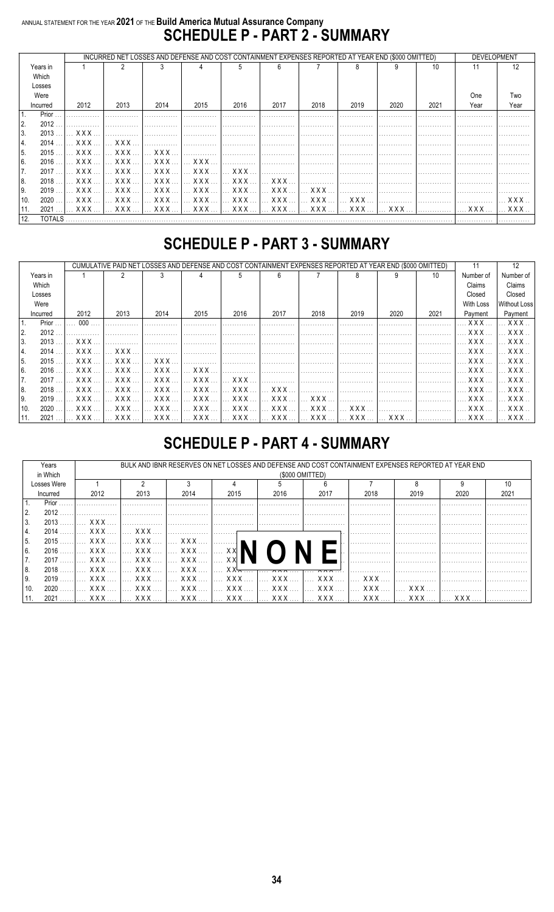# ANNUAL STATEMENT FOR THE YEAR 2021 OF THE Build America Mutual Assurance Company<br>SCHEDULE P - PART 2 - SUMMARY

|      |          | INCURRED NET LOSSES AND DEFENSE AND COST CONTAINMENT EXPENSES REPORTED AT YEAR END (\$000 OMITTED) |                                       | <b>DEVELOPMENT</b>    |        |                                             |        |                 |      |      |      |                                                                                   |                      |
|------|----------|----------------------------------------------------------------------------------------------------|---------------------------------------|-----------------------|--------|---------------------------------------------|--------|-----------------|------|------|------|-----------------------------------------------------------------------------------|----------------------|
|      | Years in |                                                                                                    |                                       |                       |        |                                             | ĥ      |                 |      |      | 10   |                                                                                   |                      |
|      | Which    |                                                                                                    |                                       |                       |        |                                             |        |                 |      |      |      |                                                                                   |                      |
|      | Losses   |                                                                                                    |                                       |                       |        |                                             |        |                 |      |      |      |                                                                                   |                      |
|      | Were     |                                                                                                    |                                       |                       |        |                                             |        |                 |      |      |      | <b>One</b>                                                                        | Two                  |
|      | Incurred | 2012                                                                                               | 2013                                  | 2014                  | 2015   | 2016                                        | 2017   | 2018            | 2019 | 2020 | 2021 | Year                                                                              | Year                 |
|      | Prior    |                                                                                                    |                                       |                       |        |                                             |        |                 |      |      |      |                                                                                   |                      |
| I 2. | $2012$ . |                                                                                                    |                                       |                       |        |                                             |        |                 |      |      |      |                                                                                   |                      |
| 3.   | 2013     | XXX                                                                                                |                                       |                       |        |                                             |        |                 |      |      |      |                                                                                   |                      |
| 4.   | 2014     |                                                                                                    |                                       |                       |        |                                             |        |                 |      |      |      |                                                                                   |                      |
| 5.   | 2015     |                                                                                                    |                                       |                       |        |                                             |        |                 |      |      |      |                                                                                   |                      |
| 6.   | $2016$   |                                                                                                    |                                       |                       |        |                                             |        |                 |      |      |      |                                                                                   |                      |
| 17.  | 2017     | XXX                                                                                                | $\left  \right $ xxx $\left  \right $ | $\ldots$ XXX $\ldots$ |        |                                             | . 1    |                 |      |      |      |                                                                                   |                      |
| 8.   | 2018     | X X X                                                                                              | $\ldots$ XXX $\ldots$                 | XXX                   | XXX    | $\ldots$ XXX $\ldots$                       | XXX    |                 |      |      |      |                                                                                   |                      |
| I 9. | 2019     | X X X                                                                                              | $\ldots$ XXX $\ldots$                 | XXX                   | XXX  I | <b>XXX</b>                                  | XXX  I | $X$ $X$ $X$ $Y$ |      |      |      |                                                                                   |                      |
| 10.  | 2020     | $\ldots$ X X X $\ldots$                                                                            | . X X X I                             | XXX  I                |        | $\ldots$ XXX $\ldots$ $\ldots$ XXX $\ldots$ | XXX  1 | XXX     XXX     |      |      |      |                                                                                   | . X X X <sup>.</sup> |
| 11.  |          |                                                                                                    |                                       |                       |        |                                             |        |                 |      |      |      | .2021   XXX    XXX    XXX    XXX    XXX    XXX    XXX    XXX    XXX    XXX    XXX |                      |
| 12.  |          |                                                                                                    |                                       |                       |        |                                             |        |                 |      |      |      |                                                                                   |                      |

# **SCHEDULE P - PART 3 - SUMMARY**

|          |       |                         |                                                                                                         | CUMULATIVE PAID NET LOSSES AND DEFENSE AND COST CONTAINMENT EXPENSES REPORTED AT YEAR END (\$000 OMITTED) |                       |                       |                       |                       |       |      |      | 11                      | 12                                                                                                      |
|----------|-------|-------------------------|---------------------------------------------------------------------------------------------------------|-----------------------------------------------------------------------------------------------------------|-----------------------|-----------------------|-----------------------|-----------------------|-------|------|------|-------------------------|---------------------------------------------------------------------------------------------------------|
| Years in |       |                         |                                                                                                         |                                                                                                           |                       | 'n.                   | ĥ                     |                       |       |      | 10   | Number of               | Number of                                                                                               |
| Which    |       |                         |                                                                                                         |                                                                                                           |                       |                       |                       |                       |       |      |      | Claims                  | Claims                                                                                                  |
| Losses   |       |                         |                                                                                                         |                                                                                                           |                       |                       |                       |                       |       |      |      | Closed                  | Closed                                                                                                  |
| Were     |       |                         |                                                                                                         |                                                                                                           |                       |                       |                       |                       |       |      |      | With Loss               | <b>Without Loss</b>                                                                                     |
| Incurred |       | 2012                    | 2013                                                                                                    | 2014                                                                                                      | 2015                  | 2016                  | 2017                  | 2018                  | 2019  | 2020 | 2021 | Payment                 | Payment                                                                                                 |
|          | Prior | 000 <sub>o</sub>        |                                                                                                         |                                                                                                           |                       |                       |                       |                       |       |      |      | X X X                   | XXX.                                                                                                    |
| 2.       | 2012  |                         |                                                                                                         |                                                                                                           |                       |                       |                       |                       |       |      |      | XXX                     | X X X .                                                                                                 |
| 3.       | 2013  | XXX.                    |                                                                                                         |                                                                                                           |                       |                       |                       |                       |       |      |      | XXX                     | XXX.                                                                                                    |
| 4.       | 2014  | $\ldots$ X X X $\ldots$ | $\mathbf{X} \times \mathbf{X}$                                                                          |                                                                                                           |                       |                       |                       | .                     |       |      |      | . X X X                 | $\boldsymbol{\mathsf{X}}$ $\boldsymbol{\mathsf{X}}$ $\boldsymbol{\mathsf{X}}$ $\boldsymbol{\mathsf{X}}$ |
| 15.      | 2015  | XXX  I                  | $\mathsf{X} \times \mathsf{X}$                                                                          | $XXX$                                                                                                     |                       |                       |                       |                       |       |      |      | $\ldots$ X X X $\ldots$ | X X X .                                                                                                 |
| 6.       | 2016  | XXX.                    | XXX                                                                                                     | XXX.                                                                                                      | $\ldots$ XXX.         |                       |                       |                       |       |      |      | XXX.                    | X X X .                                                                                                 |
| 7.       | 2017  | XXX                     | $\boldsymbol{\mathsf{X}}$ $\boldsymbol{\mathsf{X}}$ $\boldsymbol{\mathsf{X}}$ $\boldsymbol{\mathsf{X}}$ | XXX                                                                                                       |                       | $\ldots$ XXX $\ldots$ |                       |                       |       |      |      | $\ldots$ X X X $\ldots$ | X X X .                                                                                                 |
| 8.       | 2018  | XXX                     | . X X X 1                                                                                               | XXX                                                                                                       | XXX                   | . <b>XXX</b>          | XXX                   |                       |       |      |      | . X X X                 | X X X .                                                                                                 |
| 9.       | 2019  | $\ldots$ XXX $\ldots$   | $\ldots$ XXX $\ldots$                                                                                   | XXX                                                                                                       | $\ldots$ XXX $\ldots$ | $\ldots$ XXX $\ldots$ | XXX                   | <b>XXX</b>            |       |      |      | X X X                   | XXX.                                                                                                    |
| 10.      | 2020  | $\ldots$ X X X $\ldots$ | $\ldots$ X X X $\ldots$                                                                                 | XXX                                                                                                       | $\ldots$ XXX $\ldots$ | $\ldots$ XXX $\ldots$ | $\ldots$ XXX $\ldots$ | $\ldots$ XXX $\ldots$ | X X X |      |      | $\ldots$ XXX $\ldots$   | $\boldsymbol{\mathsf{X} \times \mathsf{X}}$                                                             |
| 11.      | 2021  | $$ XXX $$               |                                                                                                         |                                                                                                           |                       |                       |                       |                       |       |      |      |                         | . X X X                                                                                                 |

# **SCHEDULE P - PART 4 - SUMMARY**

|      | Years       |                       | BULK AND IBNR RESERVES ON NET LOSSES AND DEFENSE AND COST CONTAINMENT EXPENSES REPORTED AT YEAR END |                                             |      |                      |                                     |                 |      |      |      |
|------|-------------|-----------------------|-----------------------------------------------------------------------------------------------------|---------------------------------------------|------|----------------------|-------------------------------------|-----------------|------|------|------|
|      | in Which    |                       |                                                                                                     |                                             |      | (\$000 OMITTED)      |                                     |                 |      |      |      |
|      | Losses Were |                       |                                                                                                     |                                             |      |                      |                                     |                 |      |      |      |
|      | Incurred    | 2012                  | 2013                                                                                                | 2014                                        | 2015 | 2016                 | 2017                                | 2018            | 2019 | 2020 | 2021 |
|      | Prior       |                       |                                                                                                     |                                             |      |                      |                                     |                 |      |      |      |
| 2.   | 2012        |                       |                                                                                                     |                                             |      |                      |                                     |                 |      |      |      |
| 3.   | $2013$      | X X X                 |                                                                                                     |                                             |      |                      |                                     |                 |      |      |      |
| 4.   | $2014$      | $\ldots$ XXX $\ldots$ | XXX  1                                                                                              | . 1                                         |      |                      |                                     |                 |      |      |      |
| l 5. | $2015$      | $\ldots$ XXX $\ldots$ | $\ldots$ XXX $\ldots$                                                                               | 1 XXX                                       |      |                      |                                     |                 |      |      |      |
| 6.   |             |                       |                                                                                                     |                                             |      |                      |                                     |                 |      |      |      |
|      | $2017$      | $\ldots$ XXX $\ldots$ | l XXX  I                                                                                            | XXX    XX                                   |      |                      |                                     |                 |      |      |      |
| 8.   | $2018$      |                       | XXX   XXX                                                                                           | $\ldots$ XXX $\ldots$ I                     |      | XX <del>X  xxx</del> | $\cdots$ $\wedge$ $\wedge$ $\cdots$ |                 |      |      |      |
| 9.   | $2019$      | XXX  1                | XXX                                                                                                 | $\ldots$ XXX $\ldots$ $\ldots$ XXX $\ldots$ |      | XXX  1               | XXX  1                              | $X$ $X$ $X$ $X$ |      |      |      |
| 10.  | 2020        | $\ldots$ XXX $\ldots$ | XXX  1                                                                                              |                                             |      |                      |                                     |                 |      |      |      |
|      |             |                       |                                                                                                     |                                             |      |                      |                                     |                 |      |      |      |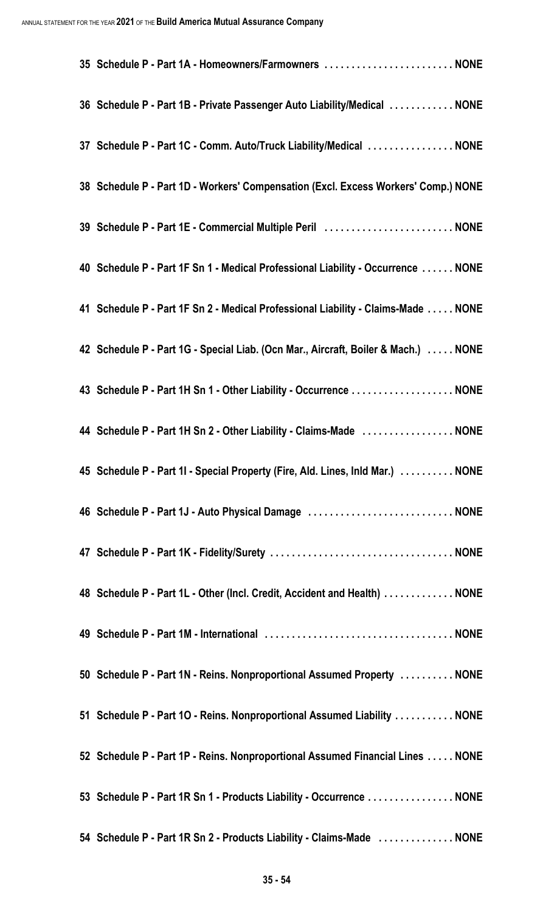| 35 Schedule P - Part 1A - Homeowners/Farmowners  NONE                              |
|------------------------------------------------------------------------------------|
| 36 Schedule P - Part 1B - Private Passenger Auto Liability/Medical  NONE           |
| 37 Schedule P - Part 1C - Comm. Auto/Truck Liability/Medical  NONE                 |
| 38 Schedule P - Part 1D - Workers' Compensation (Excl. Excess Workers' Comp.) NONE |
| 39 Schedule P - Part 1E - Commercial Multiple Peril  NONE                          |
| 40 Schedule P - Part 1F Sn 1 - Medical Professional Liability - Occurrence  NONE   |
| 41 Schedule P - Part 1F Sn 2 - Medical Professional Liability - Claims-Made  NONE  |
| 42 Schedule P - Part 1G - Special Liab. (Ocn Mar., Aircraft, Boiler & Mach.)  NONE |
| 43 Schedule P - Part 1H Sn 1 - Other Liability - Occurrence NONE                   |
| 44 Schedule P - Part 1H Sn 2 - Other Liability - Claims-Made  NONE                 |
| 45 Schedule P - Part 1I - Special Property (Fire, Ald. Lines, Inld Mar.) NONE      |
| 46 Schedule P - Part 1J - Auto Physical Damage  NONE                               |
|                                                                                    |
| 48 Schedule P - Part 1L - Other (Incl. Credit, Accident and Health)  NONE          |
|                                                                                    |
| 50 Schedule P - Part 1N - Reins. Nonproportional Assumed Property  NONE            |
| 51 Schedule P - Part 10 - Reins. Nonproportional Assumed Liability  NONE           |
| 52 Schedule P - Part 1P - Reins. Nonproportional Assumed Financial Lines NONE      |
| 53 Schedule P - Part 1R Sn 1 - Products Liability - Occurrence  NONE               |
| 54 Schedule P - Part 1R Sn 2 - Products Liability - Claims-Made  NONE              |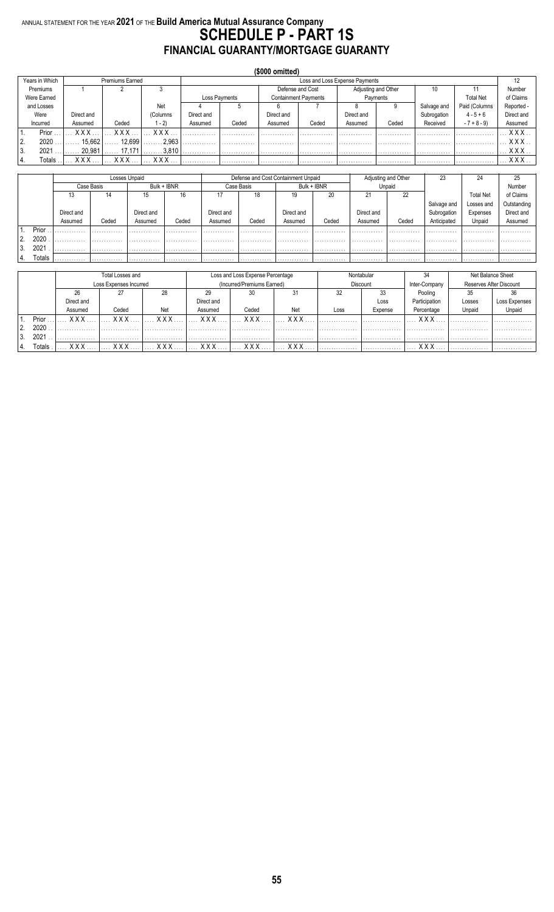#### ANNUAL STATEMENT FOR THE YEAR **2021** OF THE **Build America Mutual Assurance Company SCHEDULE P - PART 1S FINANCIAL GUARANTY/MORTGAGE GUARANTY**

|                |               |            |                 |          |            |                                | (\$000 omitted) |                             |                     |          |             |                  |            |
|----------------|---------------|------------|-----------------|----------|------------|--------------------------------|-----------------|-----------------------------|---------------------|----------|-------------|------------------|------------|
| Years in Which |               |            | Premiums Earned |          |            | Loss and Loss Expense Payments |                 |                             |                     |          |             |                  | 12         |
| Premiums       |               |            |                 |          |            |                                |                 | Defense and Cost            | Adjusting and Other |          | 10          |                  | Number     |
| Were Earned    |               |            |                 |          |            | Loss Payments                  |                 | <b>Containment Payments</b> |                     | Payments |             | <b>Total Net</b> | of Claims  |
| and Losses     |               |            |                 | Net      |            |                                |                 |                             |                     | 9        | Salvage and | Paid (Columns    | Reported - |
| Were           |               | Direct and |                 | (Columns | Direct and |                                | Direct and      |                             | Direct and          |          | Subrogation | $4 - 5 + 6$      | Direct and |
| Incurred       |               | Assumed    | Ceded           | $-2)$    | Assumed    | Ceded                          | Assumed         | Ceded                       | Assumed             | Ceded    | Received    | $-7 + 8 - 9$     | Assumed    |
|                | Prior         | <b>XXX</b> | <b>XXX</b>      | XXX      |            |                                |                 |                             |                     |          |             |                  | XXX        |
| 2.             | 2020          | 15.662     | 12.699          | 2.963    |            |                                |                 |                             |                     |          |             |                  | XXX        |
| 3.             | 2021          | 20.981     | 17.171          | 3.810    |            |                                |                 |                             |                     |          |             |                  | <b>XXX</b> |
| 4.             | <b>Totals</b> | XXX        | XXX             | xxx      |            |                                |                 |                             |                     |          |             |                  | <b>XXX</b> |

|          |        |            |            | Losses Unpaid |             |            | Defense and Cost Containment Unpaid |            |             |            | Adjusting and Other | 23          | 24               | 25          |
|----------|--------|------------|------------|---------------|-------------|------------|-------------------------------------|------------|-------------|------------|---------------------|-------------|------------------|-------------|
|          |        |            | Case Basis |               | Bulk + IBNR |            | Case Basis                          |            | Bulk + IBNR |            | Unpaid              |             |                  | Number      |
|          |        |            | 14         | 15            | 16          |            | 18                                  | 19         | 20          |            | 22                  |             | <b>Total Net</b> | of Claims   |
|          |        |            |            |               |             |            |                                     |            |             |            |                     | Salvage and | Losses and       | Outstanding |
|          |        | Direct and |            | Direct and    |             | Direct and |                                     | Direct and |             | Direct and |                     | Subrogation | Expenses         | Direct and  |
|          |        | Assumed    | Ceded      | Assumed       | Ceded       | Assumed    | Ceded                               | Assumed    | Ceded       | Assumed    | Ceded               | Anticipated | Unpaid           | Assumed     |
|          | Prior  |            |            |               |             |            |                                     |            |             |            |                     |             |                  |             |
| ຳ        | 2020   |            | .          |               | .           | .          |                                     | .          |             |            | .                   | .           | .                | .           |
| ົ<br>. ب | 2021   |            | .          | .             | .           | .          | .                                   | .          | .           | .          | .                   | .           | .                | .           |
| 4.       | Totals | .          | .          | .             | .           | .          | .                                   | .          | .           | .          | .                   | .           | .                | .           |

|    |                    |            | Total Losses and       |              |            | Loss and Loss Expense Percentage |              |      | Nontabular |               |                         | Net Balance Sheet |
|----|--------------------|------------|------------------------|--------------|------------|----------------------------------|--------------|------|------------|---------------|-------------------------|-------------------|
|    |                    |            | Loss Expenses Incurred |              |            | (Incurred/Premiums Earned)       |              |      | Discount   | Inter-Company | Reserves After Discount |                   |
|    |                    | 26         |                        | 28           |            | 30                               | 31           | 32   | 33         | Pooling       | 35                      |                   |
|    |                    | Direct and |                        |              | Direct and |                                  |              |      | Loss       | Participation | Losses                  | Loss Expenses     |
|    |                    | Assumed    | Ceded                  | Net          | Assumed    | Ceded                            | Net          | Loss | Expense    | Percentage    | Unpaid                  | Unpaid            |
|    | Prior              | x x x      | <b>XXX</b>             | <b>V V V</b> | x x x      | <b>XXX</b>                       | <b>V V V</b> |      |            | v v v         |                         |                   |
| 2. | 2020               |            |                        |              |            |                                  |              |      |            |               |                         |                   |
|    | 2021               |            |                        |              |            |                                  |              |      |            |               |                         |                   |
|    | otals <sup>-</sup> | v v v      | <b>XXX</b>             | <b>XXX</b>   | <b>XXX</b> | <b>XXX</b>                       | v v v        |      |            | v v v         |                         |                   |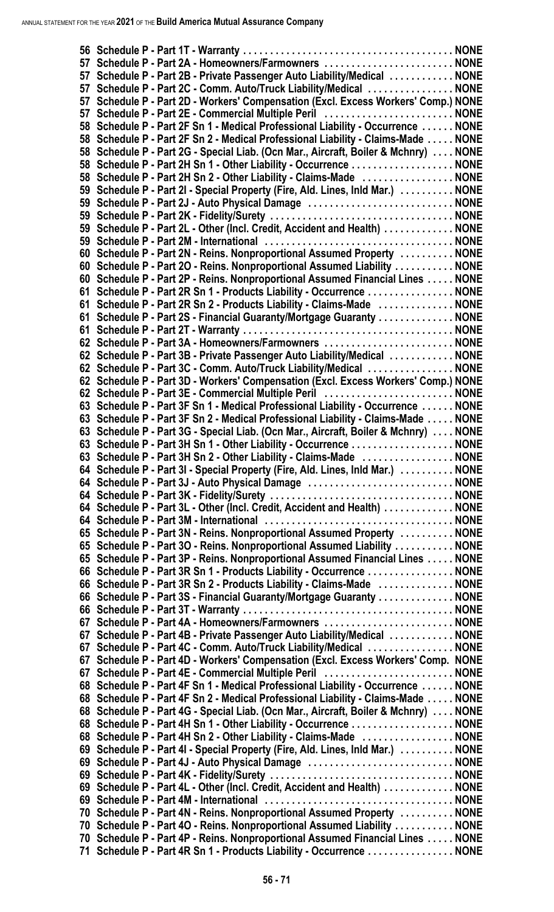|    | 57 Schedule P - Part 2A - Homeowners/Farmowners NONE                                                                                                  |  |
|----|-------------------------------------------------------------------------------------------------------------------------------------------------------|--|
|    | 57 Schedule P - Part 2B - Private Passenger Auto Liability/Medical  NONE                                                                              |  |
| 57 | Schedule P - Part 2C - Comm. Auto/Truck Liability/Medical  NONE                                                                                       |  |
| 57 | 57 Schedule P - Part 2D - Workers' Compensation (Excl. Excess Workers' Comp.) NONE<br>Schedule P - Part 2E - Commercial Multiple Peril  NONE          |  |
|    | 58 Schedule P - Part 2F Sn 1 - Medical Professional Liability - Occurrence  NONE                                                                      |  |
|    | 58 Schedule P - Part 2F Sn 2 - Medical Professional Liability - Claims-Made  NONE                                                                     |  |
|    | 58 Schedule P - Part 2G - Special Liab. (Ocn Mar., Aircraft, Boiler & Mchnry)  NONE                                                                   |  |
|    | 58 Schedule P - Part 2H Sn 1 - Other Liability - Occurrence  NONE                                                                                     |  |
|    | 58 Schedule P - Part 2H Sn 2 - Other Liability - Claims-Made  NONE                                                                                    |  |
|    | 59 Schedule P - Part 2I - Special Property (Fire, Ald. Lines, Inld Mar.) NONE                                                                         |  |
|    | 59 Schedule P - Part 2J - Auto Physical Damage  NONE                                                                                                  |  |
|    |                                                                                                                                                       |  |
|    | 59 Schedule P - Part 2L - Other (Incl. Credit, Accident and Health)  NONE                                                                             |  |
|    |                                                                                                                                                       |  |
|    | 60 Schedule P - Part 2N - Reins. Nonproportional Assumed Property  NONE                                                                               |  |
|    | 60 Schedule P - Part 20 - Reins. Nonproportional Assumed Liability  NONE                                                                              |  |
|    | 60 Schedule P - Part 2P - Reins. Nonproportional Assumed Financial Lines NONE<br>61 Schedule P - Part 2R Sn 1 - Products Liability - Occurrence  NONE |  |
| 61 | Schedule P - Part 2R Sn 2 - Products Liability - Claims-Made  NONE                                                                                    |  |
| 61 | Schedule P - Part 2S - Financial Guaranty/Mortgage Guaranty  NONE                                                                                     |  |
|    |                                                                                                                                                       |  |
|    |                                                                                                                                                       |  |
|    | 62 Schedule P - Part 3B - Private Passenger Auto Liability/Medical  NONE                                                                              |  |
|    | 62 Schedule P - Part 3C - Comm. Auto/Truck Liability/Medical  NONE                                                                                    |  |
|    | 62 Schedule P - Part 3D - Workers' Compensation (Excl. Excess Workers' Comp.) NONE                                                                    |  |
|    | 62 Schedule P - Part 3E - Commercial Multiple Peril NONE                                                                                              |  |
|    | 63 Schedule P - Part 3F Sn 1 - Medical Professional Liability - Occurrence  NONE                                                                      |  |
|    | 63 Schedule P - Part 3F Sn 2 - Medical Professional Liability - Claims-Made  NONE                                                                     |  |
|    | 63 Schedule P - Part 3G - Special Liab. (Ocn Mar., Aircraft, Boiler & Mchnry)  NONE                                                                   |  |
|    | 63 Schedule P - Part 3H Sn 1 - Other Liability - Occurrence  NONE                                                                                     |  |
|    | 63 Schedule P - Part 3H Sn 2 - Other Liability - Claims-Made  NONE                                                                                    |  |
|    | 64 Schedule P - Part 3I - Special Property (Fire, Ald. Lines, Inld Mar.)  NONE                                                                        |  |
|    | 64 Schedule P - Part 3J - Auto Physical Damage  NONE                                                                                                  |  |
|    | 64 Schedule P - Part 3L - Other (Incl. Credit, Accident and Health)  NONE                                                                             |  |
|    |                                                                                                                                                       |  |
|    | 65 Schedule P - Part 3N - Reins. Nonproportional Assumed Property  NONE                                                                               |  |
|    | 65 Schedule P - Part 30 - Reins. Nonproportional Assumed Liability  NONE                                                                              |  |
|    | 65 Schedule P - Part 3P - Reins. Nonproportional Assumed Financial Lines NONE                                                                         |  |
|    | 66 Schedule P - Part 3R Sn 1 - Products Liability - Occurrence  NONE                                                                                  |  |
|    | 66 Schedule P - Part 3R Sn 2 - Products Liability - Claims-Made  NONE                                                                                 |  |
|    | 66 Schedule P - Part 3S - Financial Guaranty/Mortgage Guaranty  NONE                                                                                  |  |
|    |                                                                                                                                                       |  |
|    | 67 Schedule P - Part 4A - Homeowners/Farmowners NONE                                                                                                  |  |
|    | 67 Schedule P - Part 4B - Private Passenger Auto Liability/Medical  NONE                                                                              |  |
| 67 | Schedule P - Part 4C - Comm. Auto/Truck Liability/Medical  NONE                                                                                       |  |
|    | 67 Schedule P - Part 4D - Workers' Compensation (Excl. Excess Workers' Comp. NONE                                                                     |  |
|    | 67 Schedule P - Part 4E - Commercial Multiple Peril NONE<br>68 Schedule P - Part 4F Sn 1 - Medical Professional Liability - Occurrence  NONE          |  |
|    | 68 Schedule P - Part 4F Sn 2 - Medical Professional Liability - Claims-Made  NONE                                                                     |  |
|    | 68 Schedule P - Part 4G - Special Liab. (Ocn Mar., Aircraft, Boiler & Mchnry)  NONE                                                                   |  |
|    | 68 Schedule P - Part 4H Sn 1 - Other Liability - Occurrence  NONE                                                                                     |  |
|    | 68 Schedule P - Part 4H Sn 2 - Other Liability - Claims-Made NONE                                                                                     |  |
|    | 69 Schedule P - Part 4I - Special Property (Fire, Ald. Lines, Inld Mar.) NONE                                                                         |  |
|    | 69 Schedule P - Part 4J - Auto Physical Damage  NONE                                                                                                  |  |
|    |                                                                                                                                                       |  |
|    | 69 Schedule P - Part 4L - Other (Incl. Credit, Accident and Health)  NONE                                                                             |  |
|    |                                                                                                                                                       |  |
|    | 70 Schedule P - Part 4N - Reins. Nonproportional Assumed Property  NONE                                                                               |  |
|    | 70 Schedule P - Part 40 - Reins. Nonproportional Assumed Liability  NONE                                                                              |  |
|    | 70 Schedule P - Part 4P - Reins. Nonproportional Assumed Financial Lines NONE                                                                         |  |
|    | 71 Schedule P - Part 4R Sn 1 - Products Liability - Occurrence  NONE                                                                                  |  |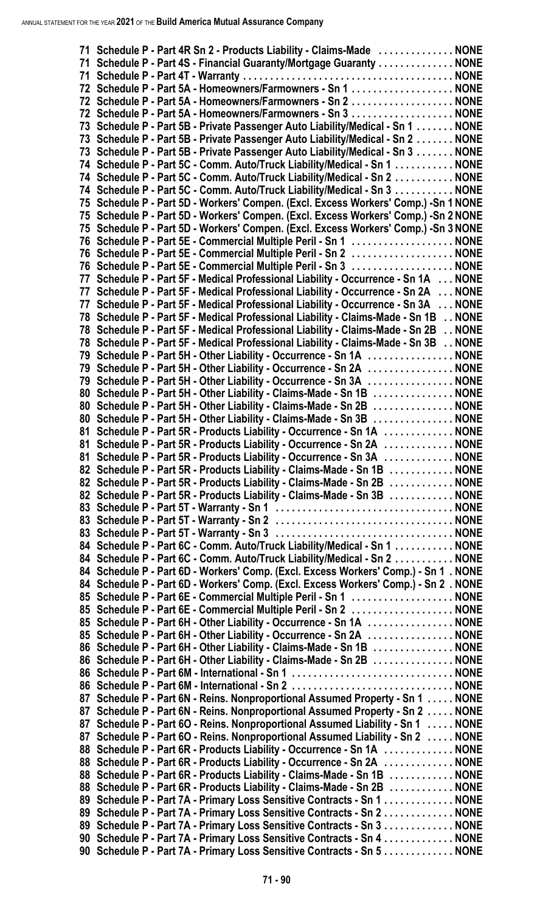| 71 Schedule P - Part 4R Sn 2 - Products Liability - Claims-Made  NONE                                                                                                      |  |
|----------------------------------------------------------------------------------------------------------------------------------------------------------------------------|--|
| 71 Schedule P - Part 4S - Financial Guaranty/Mortgage Guaranty NONE                                                                                                        |  |
|                                                                                                                                                                            |  |
| 72 Schedule P - Part 5A - Homeowners/Farmowners - Sn 1 NONE                                                                                                                |  |
| 72 Schedule P - Part 5A - Homeowners/Farmowners - Sn 2 NONE                                                                                                                |  |
| 72 Schedule P - Part 5A - Homeowners/Farmowners - Sn 3  NONE                                                                                                               |  |
| 73 Schedule P - Part 5B - Private Passenger Auto Liability/Medical - Sn 1  NONE                                                                                            |  |
| 73 Schedule P - Part 5B - Private Passenger Auto Liability/Medical - Sn 2  NONE                                                                                            |  |
| 73 Schedule P - Part 5B - Private Passenger Auto Liability/Medical - Sn 3  NONE                                                                                            |  |
| 74 Schedule P - Part 5C - Comm. Auto/Truck Liability/Medical - Sn 1 NONE                                                                                                   |  |
| 74 Schedule P - Part 5C - Comm. Auto/Truck Liability/Medical - Sn 2  NONE                                                                                                  |  |
| 74 Schedule P - Part 5C - Comm. Auto/Truck Liability/Medical - Sn 3 NONE                                                                                                   |  |
| 75 Schedule P - Part 5D - Workers' Compen. (Excl. Excess Workers' Comp.) -Sn 1 NONE                                                                                        |  |
| 75 Schedule P - Part 5D - Workers' Compen. (Excl. Excess Workers' Comp.) -Sn 2 NONE                                                                                        |  |
| 75 Schedule P - Part 5D - Workers' Compen. (Excl. Excess Workers' Comp.) - Sn 3 NONE                                                                                       |  |
| 76 Schedule P - Part 5E - Commercial Multiple Peril - Sn 1  NONE                                                                                                           |  |
| 76 Schedule P - Part 5E - Commercial Multiple Peril - Sn 2 NONE                                                                                                            |  |
| 76 Schedule P - Part 5E - Commercial Multiple Peril - Sn 3  NONE                                                                                                           |  |
| 77 Schedule P - Part 5F - Medical Professional Liability - Occurrence - Sn 1A  NONE                                                                                        |  |
| 77 Schedule P - Part 5F - Medical Professional Liability - Occurrence - Sn 2A  NONE                                                                                        |  |
| 77 Schedule P - Part 5F - Medical Professional Liability - Occurrence - Sn 3A  NONE                                                                                        |  |
| 78 Schedule P - Part 5F - Medical Professional Liability - Claims-Made - Sn 1B NONE                                                                                        |  |
| 78 Schedule P - Part 5F - Medical Professional Liability - Claims-Made - Sn 2B NONE<br>78 Schedule P - Part 5F - Medical Professional Liability - Claims-Made - Sn 3B NONE |  |
| 79 Schedule P - Part 5H - Other Liability - Occurrence - Sn 1A  NONE                                                                                                       |  |
| 79 Schedule P - Part 5H - Other Liability - Occurrence - Sn 2A  NONE                                                                                                       |  |
| 79 Schedule P - Part 5H - Other Liability - Occurrence - Sn 3A  NONE                                                                                                       |  |
| 80 Schedule P - Part 5H - Other Liability - Claims-Made - Sn 1B  NONE                                                                                                      |  |
| 80 Schedule P - Part 5H - Other Liability - Claims-Made - Sn 2B NONE                                                                                                       |  |
| 80 Schedule P - Part 5H - Other Liability - Claims-Made - Sn 3B  NONE                                                                                                      |  |
| 81 Schedule P - Part 5R - Products Liability - Occurrence - Sn 1A  NONE                                                                                                    |  |
| 81 Schedule P - Part 5R - Products Liability - Occurrence - Sn 2A  NONE                                                                                                    |  |
| 81 Schedule P - Part 5R - Products Liability - Occurrence - Sn 3A  NONE                                                                                                    |  |
| 82 Schedule P - Part 5R - Products Liability - Claims-Made - Sn 1B  NONE                                                                                                   |  |
| 82 Schedule P - Part 5R - Products Liability - Claims-Made - Sn 2B  NONE                                                                                                   |  |
| 82 Schedule P - Part 5R - Products Liability - Claims-Made - Sn 3B  NONE                                                                                                   |  |
|                                                                                                                                                                            |  |
|                                                                                                                                                                            |  |
|                                                                                                                                                                            |  |
| 84 Schedule P - Part 6C - Comm. Auto/Truck Liability/Medical - Sn 1 NONE                                                                                                   |  |
| 84 Schedule P - Part 6C - Comm. Auto/Truck Liability/Medical - Sn 2 NONE                                                                                                   |  |
| 84 Schedule P - Part 6D - Workers' Comp. (Excl. Excess Workers' Comp.) - Sn 1. NONE                                                                                        |  |
| 84 Schedule P - Part 6D - Workers' Comp. (Excl. Excess Workers' Comp.) - Sn 2. NONE                                                                                        |  |
| 85 Schedule P - Part 6E - Commercial Multiple Peril - Sn 1  NONE                                                                                                           |  |
| 85 Schedule P - Part 6E - Commercial Multiple Peril - Sn 2  NONE                                                                                                           |  |
| 85 Schedule P - Part 6H - Other Liability - Occurrence - Sn 1A  NONE                                                                                                       |  |
| 85 Schedule P - Part 6H - Other Liability - Occurrence - Sn 2A  NONE                                                                                                       |  |
| 86 Schedule P - Part 6H - Other Liability - Claims-Made - Sn 1B  NONE                                                                                                      |  |
| 86 Schedule P - Part 6H - Other Liability - Claims-Made - Sn 2B  NONE                                                                                                      |  |
|                                                                                                                                                                            |  |
|                                                                                                                                                                            |  |
| 87 Schedule P - Part 6N - Reins. Nonproportional Assumed Property - Sn 1 NONE                                                                                              |  |
| 87 Schedule P - Part 6N - Reins. Nonproportional Assumed Property - Sn 2  NONE                                                                                             |  |
| 87 Schedule P - Part 60 - Reins. Nonproportional Assumed Liability - Sn 1  NONE                                                                                            |  |
| 87 Schedule P - Part 60 - Reins. Nonproportional Assumed Liability - Sn 2  NONE                                                                                            |  |
| 88 Schedule P - Part 6R - Products Liability - Occurrence - Sn 1A NONE                                                                                                     |  |
| 88 Schedule P - Part 6R - Products Liability - Occurrence - Sn 2A  NONE                                                                                                    |  |
| 88 Schedule P - Part 6R - Products Liability - Claims-Made - Sn 1B  NONE                                                                                                   |  |
| 88 Schedule P - Part 6R - Products Liability - Claims-Made - Sn 2B  NONE                                                                                                   |  |
| 89 Schedule P - Part 7A - Primary Loss Sensitive Contracts - Sn 1 NONE                                                                                                     |  |
| 89 Schedule P - Part 7A - Primary Loss Sensitive Contracts - Sn 2 NONE                                                                                                     |  |
| 89 Schedule P - Part 7A - Primary Loss Sensitive Contracts - Sn 3 NONE                                                                                                     |  |
| 90 Schedule P - Part 7A - Primary Loss Sensitive Contracts - Sn 4 NONE                                                                                                     |  |
| 90 Schedule P - Part 7A - Primary Loss Sensitive Contracts - Sn 5 NONE                                                                                                     |  |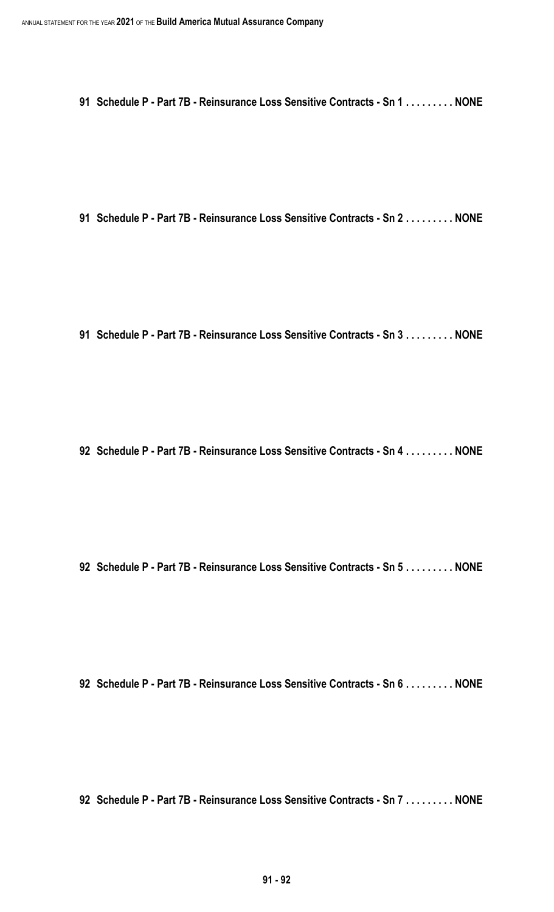**Schedule P - Part 7B - Reinsurance Loss Sensitive Contracts - Sn 1 . . . . . . . . . NONE**

**Schedule P - Part 7B - Reinsurance Loss Sensitive Contracts - Sn 2 . . . . . . . . . NONE**

**Schedule P - Part 7B - Reinsurance Loss Sensitive Contracts - Sn 3 . . . . . . . . . NONE**

**Schedule P - Part 7B - Reinsurance Loss Sensitive Contracts - Sn 4 . . . . . . . . . NONE**

**Schedule P - Part 7B - Reinsurance Loss Sensitive Contracts - Sn 5 . . . . . . . . . NONE**

**Schedule P - Part 7B - Reinsurance Loss Sensitive Contracts - Sn 6 . . . . . . . . . NONE**

**Schedule P - Part 7B - Reinsurance Loss Sensitive Contracts - Sn 7 . . . . . . . . . NONE**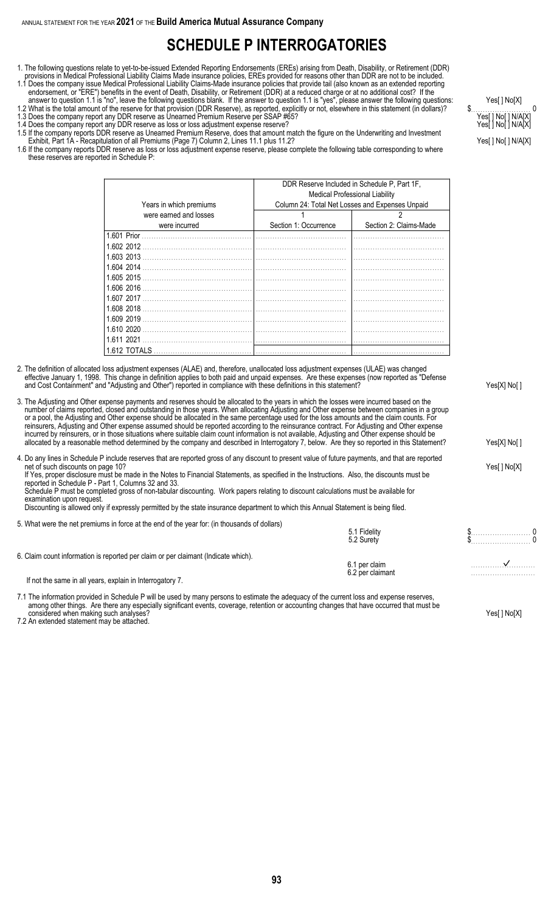# **SCHEDULE P INTERROGATORIES**

- 1. The following questions relate to yet-to-be-issued Extended Reporting Endorsements (EREs) arising from Death, Disability, or Retirement (DDR) provisions in Medical Professional Liability Claims Made insurance policies, EREs provided for reasons other than DDR are not to be included.
- 1.1 Does the company issue Medical Professional Liability Claims-Made insurance policies that provide tail (also known as an extended reporting endorsement, or "ERE") benefits in the event of Death, Disability, or Retirement (DDR) at a reduced charge or at no additional cost? If the

answer to question 1.1 is "no", leave the following questions blank. If the answer to question 1.1 is "yes", please answer the following questions: Yes[ ] No[X] 1.2 What is the total amount of the reserve for that provision (DDR Reserve), as reported, explicitly or not, elsewhere in this statement (in dollars)? \$. . . . . . . . . . . . . . . . . . . . . . . . . 0 1.3 Does the company report any DDR reserve as Unearned Premium Reserve per SSAP #65? Yeses and the company report any DDR reserve as Unearned Premium Reserve per SSAP #65?

- 1.4 Does the company report any DDR reserve as loss or loss adjustment expense reserve? Yeses and the company report any DDR reserve as loss or loss adjustment expense reserve?
- 1.5 If the company reports DDR reserve as Unearned Premium Reserve, does that amount match the figure on the Underwriting and Investment Exhibit, Part 1A - Recapitulation of all Premiums (Page 7) Column 2, Lines 11.1 plus 11.2? Yeser and the column 2 of the column 2 of the column 2 of the column 2 of the column 2 of the column 2 of the column 2 of the colum
- 1.6 If the company reports DDR reserve as loss or loss adjustment expense reserve, please complete the following table corresponding to where these reserves are reported in Schedule P:

| Years in which premiums |                       | DDR Reserve Included in Schedule P, Part 1F,<br><b>Medical Professional Liability</b><br>Column 24: Total Net Losses and Expenses Unpaid |
|-------------------------|-----------------------|------------------------------------------------------------------------------------------------------------------------------------------|
| were earned and losses  |                       |                                                                                                                                          |
| were incurred           | Section 1: Occurrence | Section 2: Claims-Made                                                                                                                   |
| 1.601 Prior             |                       |                                                                                                                                          |
| 1.602 2012              |                       |                                                                                                                                          |
| 1.603 2013              |                       |                                                                                                                                          |
| 1.604 2014              |                       |                                                                                                                                          |
| 1.605 2015              |                       |                                                                                                                                          |
| 1.606 2016              |                       |                                                                                                                                          |
| 1.607 2017              |                       |                                                                                                                                          |
| 1.608 2018              |                       |                                                                                                                                          |
| 1.609 2019              |                       |                                                                                                                                          |
| 1.610 2020              |                       |                                                                                                                                          |
| 1.611 2021              |                       |                                                                                                                                          |
| 1.612 TOTALS            |                       |                                                                                                                                          |

- 2. The definition of allocated loss adjustment expenses (ALAE) and, therefore, unallocated loss adjustment expenses (ULAE) was changed effective January 1, 1998. This change in definition applies to both paid and unpaid expenses. Are these expenses (now reported as "Defense and Cost Containment" and "Adjusting and Other") reported in compliance with these definitions in this statement?
- 3. The Adjusting and Other expense payments and reserves should be allocated to the years in which the losses were incurred based on the number of claims reported, closed and outstanding in those years. When allocating Adjusting and Other expense between companies in a group or a pool, the Adjusting and Other expense should be allocated in the same percentage used for the loss amounts and the claim counts. For reinsurers, Adjusting and Other expense assumed should be reported according to the reinsurance contract. For Adjusting and Other expense incurred by reinsurers, or in those situations where suitable claim count information is not available, Adjusting and Other expense should be allocated by a reasonable method determined by the company and described in Interrogatory 7, below. Are they so reported in this Statement? Yes[X] No[]

4. Do any lines in Schedule P include reserves that are reported gross of any discount to present value of future payments, and that are reported net of such discounts on page 10? Yes[ ] No[X] If Yes, proper disclosure must be made in the Notes to Financial Statements, as specified in the Instructions. Also, the discounts must be reported in Schedule P - Part 1, Columns 32 and 33. Schedule P must be completed gross of non-tabular discounting. Work papers relating to discount calculations must be available for examination upon request. Discounting is allowed only if expressly permitted by the state insurance department to which this Annual Statement is being filed.

- 5. What were the net premiums in force at the end of the year for: (in thousands of dollars)
- 5.1 Fidelity \$………………………… 0 5.2 Surety \$. . . . . . . . . . . . . . . . . . . . . . . . . 0 6. Claim count information is reported per claim or per claimant (Indicate which). 6.1 per claim . . . . . . . . . . . . . . . . . . . . . . . . . . . 6.2 per claimant

If not the same in all years, explain in Interrogatory 7.

7.1 The information provided in Schedule P will be used by many persons to estimate the adequacy of the current loss and expense reserves, among other things. Are there any especially significant events, coverage, retention or accounting changes that have occurred that must be considered when making such analyses? The Constant of the Constant of the Constant of the Constant of the Ves[] No[X]

7.2 An extended statement may be attached.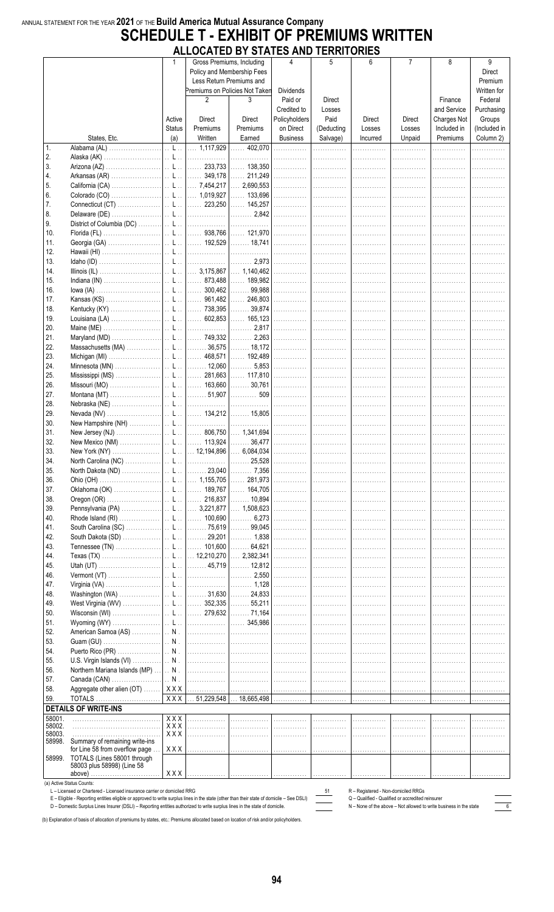#### ANNUAL STATEMENT FOR THE YEAR 2021 OF THE Build America Mutual Assurance Company **SCHEDULE T - EXHIBIT OF PREMIUMS WRITTEN** ALLOCATED BY STATES AND TERRITORIES

|        |                                                                                                                                            | 1                                            |                | Gross Premiums, Including                                                              | 4                | 5          | 6                                   | $\overline{7}$                                    | 8                                                                  | 9            |
|--------|--------------------------------------------------------------------------------------------------------------------------------------------|----------------------------------------------|----------------|----------------------------------------------------------------------------------------|------------------|------------|-------------------------------------|---------------------------------------------------|--------------------------------------------------------------------|--------------|
|        |                                                                                                                                            |                                              |                | Policy and Membership Fees                                                             |                  |            |                                     |                                                   |                                                                    | Direct       |
|        |                                                                                                                                            |                                              |                | Less Return Premiums and                                                               |                  |            |                                     |                                                   |                                                                    | Premium      |
|        |                                                                                                                                            |                                              |                |                                                                                        |                  |            |                                     |                                                   |                                                                    |              |
|        |                                                                                                                                            |                                              |                | Premiums on Policies Not Taken                                                         | <b>Dividends</b> |            |                                     |                                                   |                                                                    | Written for  |
|        |                                                                                                                                            |                                              | $\overline{2}$ | 3                                                                                      | Paid or          | Direct     |                                     |                                                   | Finance                                                            | Federal      |
|        |                                                                                                                                            |                                              |                |                                                                                        |                  |            |                                     |                                                   |                                                                    |              |
|        |                                                                                                                                            |                                              |                |                                                                                        | Credited to      | Losses     |                                     |                                                   | and Service                                                        | Purchasing   |
|        |                                                                                                                                            | Active                                       | Direct         | Direct                                                                                 | Policyholders    | Paid       | <b>Direct</b>                       | Direct                                            | Charges Not                                                        | Groups       |
|        |                                                                                                                                            | <b>Status</b>                                | Premiums       | Premiums                                                                               | on Direct        | (Deducting | Losses                              | Losses                                            | Included in                                                        | (Included in |
|        |                                                                                                                                            |                                              |                |                                                                                        |                  |            |                                     |                                                   |                                                                    |              |
|        | States, Etc.                                                                                                                               | (a)                                          | Written        | Earned                                                                                 | <b>Business</b>  | Salvage)   | Incurred                            | Unpaid                                            | Premiums                                                           | Column 2)    |
| 1.     | Alabama (AL)                                                                                                                               |                                              |                | $\left  \ldots L \ldots \right  \ldots 1,117,929 \left  \ldots \ldots 402,070 \right $ | .                | .          | .                                   | .                                                 | .                                                                  | .            |
|        |                                                                                                                                            |                                              |                |                                                                                        |                  |            |                                     |                                                   |                                                                    |              |
| 2.     |                                                                                                                                            |                                              |                |                                                                                        | 1.               | . 1        | .                                   | .                                                 |                                                                    |              |
| 3.     |                                                                                                                                            |                                              |                |                                                                                        |                  |            |                                     |                                                   | .                                                                  |              |
| 4.     |                                                                                                                                            |                                              |                |                                                                                        |                  |            |                                     |                                                   |                                                                    |              |
|        |                                                                                                                                            |                                              |                |                                                                                        |                  |            |                                     |                                                   |                                                                    |              |
| 5.     |                                                                                                                                            |                                              |                |                                                                                        |                  |            |                                     |                                                   | .                                                                  |              |
| 6.     |                                                                                                                                            |                                              |                |                                                                                        |                  |            |                                     |                                                   |                                                                    |              |
|        |                                                                                                                                            |                                              |                |                                                                                        |                  |            |                                     |                                                   |                                                                    |              |
| 7.     |                                                                                                                                            |                                              |                |                                                                                        |                  |            |                                     |                                                   | .                                                                  |              |
| 8.     |                                                                                                                                            |                                              |                |                                                                                        |                  |            |                                     |                                                   |                                                                    |              |
|        |                                                                                                                                            |                                              |                |                                                                                        |                  |            |                                     |                                                   |                                                                    |              |
| 9.     |                                                                                                                                            |                                              |                |                                                                                        |                  |            |                                     |                                                   |                                                                    |              |
| 10.    |                                                                                                                                            |                                              |                |                                                                                        |                  |            |                                     |                                                   | .                                                                  |              |
| 11.    |                                                                                                                                            |                                              |                |                                                                                        |                  |            |                                     |                                                   | .                                                                  |              |
|        |                                                                                                                                            |                                              |                |                                                                                        |                  |            |                                     |                                                   |                                                                    |              |
| 12.    |                                                                                                                                            |                                              |                |                                                                                        |                  |            |                                     |                                                   |                                                                    |              |
| 13.    |                                                                                                                                            |                                              |                |                                                                                        |                  |            |                                     |                                                   | .                                                                  |              |
|        |                                                                                                                                            |                                              |                |                                                                                        |                  |            |                                     |                                                   |                                                                    |              |
| 14.    |                                                                                                                                            |                                              |                |                                                                                        |                  |            |                                     |                                                   |                                                                    |              |
| 15.    |                                                                                                                                            |                                              |                |                                                                                        |                  |            |                                     |                                                   | .                                                                  |              |
| 16.    |                                                                                                                                            |                                              |                |                                                                                        |                  |            |                                     |                                                   |                                                                    |              |
|        |                                                                                                                                            |                                              |                |                                                                                        |                  |            |                                     |                                                   |                                                                    |              |
| 17.    |                                                                                                                                            |                                              |                |                                                                                        |                  |            |                                     |                                                   |                                                                    |              |
| 18.    |                                                                                                                                            |                                              |                |                                                                                        |                  |            |                                     |                                                   | .                                                                  |              |
|        |                                                                                                                                            |                                              |                |                                                                                        |                  |            |                                     |                                                   |                                                                    |              |
| 19.    |                                                                                                                                            |                                              |                |                                                                                        |                  |            |                                     |                                                   | .                                                                  |              |
| 20.    |                                                                                                                                            |                                              |                |                                                                                        |                  |            |                                     |                                                   |                                                                    |              |
|        |                                                                                                                                            |                                              |                |                                                                                        |                  |            |                                     |                                                   |                                                                    |              |
| 21.    |                                                                                                                                            |                                              |                |                                                                                        |                  |            |                                     |                                                   | .                                                                  |              |
| 22.    |                                                                                                                                            |                                              |                |                                                                                        |                  |            |                                     |                                                   |                                                                    |              |
| 23.    |                                                                                                                                            |                                              |                |                                                                                        |                  |            |                                     |                                                   | .                                                                  |              |
|        |                                                                                                                                            |                                              |                |                                                                                        |                  |            |                                     |                                                   |                                                                    |              |
| 24.    |                                                                                                                                            |                                              |                |                                                                                        |                  |            |                                     |                                                   |                                                                    |              |
| 25.    |                                                                                                                                            |                                              |                |                                                                                        |                  |            |                                     |                                                   |                                                                    |              |
|        |                                                                                                                                            |                                              |                |                                                                                        |                  |            |                                     |                                                   |                                                                    |              |
| 26.    |                                                                                                                                            |                                              |                |                                                                                        |                  |            |                                     |                                                   |                                                                    |              |
| 27.    |                                                                                                                                            |                                              |                |                                                                                        |                  |            |                                     |                                                   | .                                                                  |              |
|        |                                                                                                                                            |                                              |                |                                                                                        |                  |            |                                     |                                                   |                                                                    |              |
| 28.    |                                                                                                                                            |                                              |                |                                                                                        |                  |            |                                     |                                                   |                                                                    |              |
| 29.    |                                                                                                                                            |                                              |                |                                                                                        |                  |            |                                     |                                                   | .                                                                  |              |
| 30.    |                                                                                                                                            |                                              |                |                                                                                        |                  |            |                                     |                                                   |                                                                    |              |
|        |                                                                                                                                            |                                              |                |                                                                                        |                  |            |                                     |                                                   | .                                                                  |              |
| 31.    |                                                                                                                                            |                                              |                |                                                                                        |                  |            |                                     |                                                   | .                                                                  | .            |
| 32.    |                                                                                                                                            |                                              |                |                                                                                        |                  |            |                                     |                                                   |                                                                    |              |
|        |                                                                                                                                            |                                              |                |                                                                                        |                  |            |                                     |                                                   |                                                                    |              |
| 33.    |                                                                                                                                            |                                              |                |                                                                                        |                  |            |                                     |                                                   |                                                                    |              |
| 34.    |                                                                                                                                            |                                              |                |                                                                                        |                  |            |                                     |                                                   | .                                                                  |              |
|        |                                                                                                                                            |                                              |                |                                                                                        |                  |            |                                     |                                                   |                                                                    |              |
| 35.    |                                                                                                                                            |                                              |                |                                                                                        |                  |            |                                     |                                                   | .                                                                  | .            |
| 36.    |                                                                                                                                            |                                              |                |                                                                                        |                  |            |                                     |                                                   |                                                                    |              |
|        |                                                                                                                                            |                                              |                |                                                                                        |                  |            |                                     |                                                   |                                                                    |              |
| 37.    |                                                                                                                                            |                                              |                |                                                                                        |                  |            |                                     |                                                   |                                                                    |              |
| 38.    |                                                                                                                                            |                                              |                |                                                                                        |                  |            |                                     |                                                   | .                                                                  |              |
| 39.    |                                                                                                                                            |                                              |                |                                                                                        |                  |            |                                     |                                                   | .                                                                  |              |
|        |                                                                                                                                            |                                              |                |                                                                                        |                  |            |                                     |                                                   |                                                                    |              |
| 40.    |                                                                                                                                            |                                              |                |                                                                                        |                  |            |                                     |                                                   |                                                                    |              |
| 41.    |                                                                                                                                            |                                              |                |                                                                                        |                  |            |                                     |                                                   | .                                                                  |              |
|        |                                                                                                                                            |                                              |                |                                                                                        |                  |            |                                     |                                                   |                                                                    |              |
| 42.    | South Dakota (SD)    L     29,201    1,838                                                                                                 |                                              |                |                                                                                        |                  |            |                                     |                                                   | .                                                                  |              |
| 43.    |                                                                                                                                            |                                              |                |                                                                                        |                  |            |                                     |                                                   | .                                                                  | .            |
| 44.    |                                                                                                                                            |                                              |                |                                                                                        |                  |            |                                     |                                                   |                                                                    |              |
|        |                                                                                                                                            |                                              |                |                                                                                        |                  |            |                                     |                                                   |                                                                    |              |
| 45.    |                                                                                                                                            |                                              |                |                                                                                        |                  |            |                                     |                                                   | .                                                                  |              |
| 46.    |                                                                                                                                            |                                              |                |                                                                                        |                  |            |                                     |                                                   | .                                                                  |              |
|        |                                                                                                                                            |                                              |                |                                                                                        |                  |            |                                     |                                                   |                                                                    |              |
| 47.    |                                                                                                                                            |                                              |                |                                                                                        |                  |            |                                     |                                                   | .                                                                  |              |
| 48.    |                                                                                                                                            |                                              |                |                                                                                        |                  |            |                                     |                                                   |                                                                    |              |
|        |                                                                                                                                            |                                              |                |                                                                                        |                  |            |                                     |                                                   |                                                                    |              |
| 49.    |                                                                                                                                            |                                              |                |                                                                                        |                  |            |                                     |                                                   | .                                                                  |              |
| 50.    |                                                                                                                                            |                                              |                |                                                                                        |                  |            |                                     |                                                   | .                                                                  |              |
| 51.    |                                                                                                                                            |                                              |                |                                                                                        |                  |            |                                     |                                                   | .                                                                  | .            |
|        |                                                                                                                                            |                                              |                |                                                                                        |                  |            |                                     |                                                   |                                                                    |              |
| 52.    |                                                                                                                                            |                                              |                |                                                                                        |                  |            |                                     |                                                   |                                                                    |              |
| 53.    |                                                                                                                                            |                                              |                |                                                                                        |                  |            |                                     |                                                   | .                                                                  |              |
|        |                                                                                                                                            |                                              |                |                                                                                        |                  |            |                                     |                                                   |                                                                    |              |
| 54.    |                                                                                                                                            |                                              |                |                                                                                        |                  |            |                                     |                                                   | .                                                                  |              |
| 55.    |                                                                                                                                            |                                              |                |                                                                                        |                  |            |                                     |                                                   | .                                                                  |              |
|        |                                                                                                                                            |                                              |                |                                                                                        |                  |            |                                     |                                                   |                                                                    |              |
| 56.    |                                                                                                                                            |                                              |                |                                                                                        |                  |            |                                     |                                                   |                                                                    |              |
| 57.    |                                                                                                                                            |                                              |                |                                                                                        |                  |            |                                     |                                                   |                                                                    |              |
| 58.    | Aggregate other alien (OT) ………   XXX   ………………   ……………   ……………   ……………   ……………   ……………                                                      |                                              |                |                                                                                        |                  |            |                                     |                                                   |                                                                    |              |
|        |                                                                                                                                            |                                              |                |                                                                                        |                  |            |                                     |                                                   | .                                                                  |              |
| 59.    | <b>TOTALS</b>                                                                                                                              | $\overline{X}$ $\overline{X}$ $\overline{X}$ |                | $\ldots$ 51,229,548 $\ldots$ 18,665,498 $\ldots$                                       |                  |            |                                     |                                                   | .                                                                  | .            |
|        | <b>DETAILS OF WRITE-INS</b>                                                                                                                |                                              |                |                                                                                        |                  |            |                                     |                                                   |                                                                    |              |
|        |                                                                                                                                            |                                              |                |                                                                                        |                  |            |                                     |                                                   |                                                                    |              |
| 58001. |                                                                                                                                            | XXX                                          | .              |                                                                                        |                  |            |                                     |                                                   |                                                                    |              |
| 58002. |                                                                                                                                            | XXX                                          | .              | .                                                                                      | .                | .          | .                                   | .                                                 |                                                                    |              |
| 58003. |                                                                                                                                            | XXX                                          | .              | .                                                                                      | 1.               |            |                                     | .                                                 | .                                                                  |              |
| 58998. | Summary of remaining write-ins                                                                                                             |                                              |                |                                                                                        |                  |            |                                     |                                                   |                                                                    |              |
|        | for Line 58 from overflow page                                                                                                             |                                              |                |                                                                                        |                  |            |                                     |                                                   |                                                                    |              |
|        |                                                                                                                                            |                                              |                |                                                                                        |                  |            |                                     |                                                   | . 1                                                                |              |
| 58999. | TOTALS (Lines 58001 through                                                                                                                |                                              |                |                                                                                        |                  |            |                                     |                                                   |                                                                    |              |
|        | 58003 plus 58998) (Line 58                                                                                                                 |                                              |                |                                                                                        |                  |            |                                     |                                                   |                                                                    |              |
|        | above)                                                                                                                                     |                                              |                |                                                                                        |                  |            |                                     |                                                   | .                                                                  |              |
|        | (a) Active Status Counts:                                                                                                                  |                                              |                |                                                                                        |                  |            |                                     |                                                   |                                                                    |              |
|        |                                                                                                                                            |                                              |                |                                                                                        |                  |            |                                     |                                                   |                                                                    |              |
|        | L - Licensed or Chartered - Licensed insurance carrier or domiciled RRG                                                                    |                                              |                |                                                                                        |                  | 51         | R - Registered - Non-domiciled RRGs |                                                   |                                                                    |              |
|        | E - Eligible - Reporting entities eligible or approved to write surplus lines in the state (other than their state of domicile - See DSLI) |                                              |                |                                                                                        |                  |            |                                     | Q - Qualified - Qualified or accredited reinsurer |                                                                    |              |
|        | D - Domestic Surplus Lines Insurer (DSLI) - Reporting entities authorized to write surplus lines in the state of domicile.                 |                                              |                |                                                                                        |                  |            |                                     |                                                   | N - None of the above - Not allowed to write business in the state |              |

E Eligible - Reporting entities eligible or approved to write surplus lines in the state (other than their state of domicile – See DSLI)<br>
D – Domestic Surplus Lines Insurer (DSLI) – Reporting entities authorized to write s

(b) Explanation of basis of allocation of premiums by states, etc.: Premiums allocated based on location of risk and/or policyholders.

 $\overline{6}$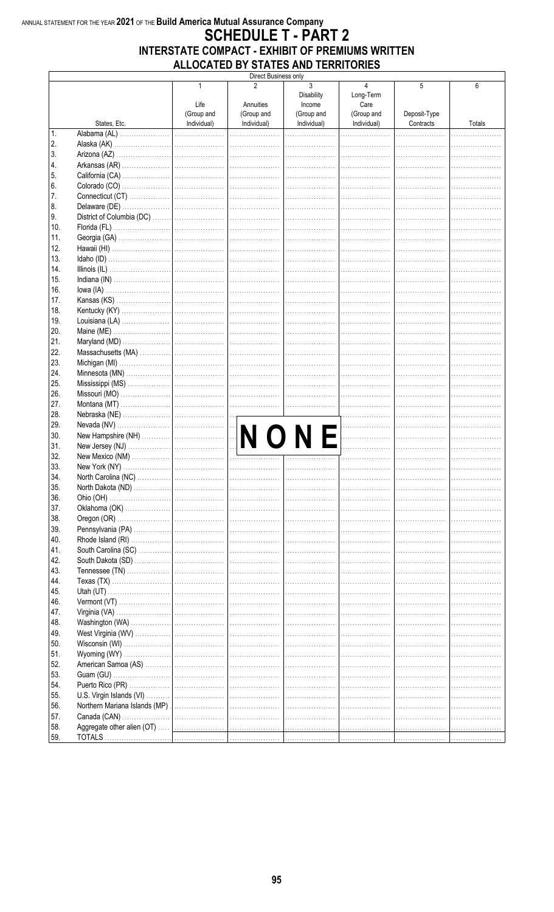### ANNUAL STATEMENT FOR THE YEAR 2021 OF THE Build America Mutual Assurance Company **SCHEDULE T - PART 2** INTERSTATE COMPACT - EXHIBIT OF PREMIUMS WRITTEN ALLOCATED BY STATES AND TERRITORIES

|              |                     |                           | Direct Business only      |                                  |                           |                           |        |
|--------------|---------------------|---------------------------|---------------------------|----------------------------------|---------------------------|---------------------------|--------|
|              |                     | 1<br>Life                 | 2<br>Annuities            | 3<br><b>Disability</b><br>Income | 4<br>Long-Term<br>Care    | 5                         | 6      |
|              | States, Etc.        | (Group and<br>Individual) | (Group and<br>Individual) | (Group and<br>Individual)        | (Group and<br>Individual) | Deposit-Type<br>Contracts | Totals |
| $\mathbf{1}$ | Alabama (AL)        |                           |                           |                                  |                           |                           |        |
| 2.           | Alaska (AK)         |                           |                           |                                  |                           |                           |        |
| 3.           |                     |                           |                           |                                  |                           |                           |        |
| 4.           |                     |                           |                           |                                  |                           |                           |        |
| 5.           |                     |                           |                           |                                  |                           |                           |        |
| 6.           |                     |                           |                           |                                  |                           |                           |        |
| 7.<br>8.     |                     |                           |                           |                                  |                           |                           |        |
| 9.           |                     |                           |                           |                                  |                           |                           |        |
| 10.          |                     |                           |                           |                                  |                           |                           |        |
| 11.          |                     |                           |                           |                                  |                           |                           |        |
| 12.          |                     |                           |                           |                                  |                           |                           |        |
| 13.<br>14.   |                     |                           |                           |                                  |                           |                           |        |
| 15.          |                     |                           |                           |                                  |                           |                           |        |
| 16.          |                     |                           |                           |                                  |                           |                           |        |
| 17.          |                     |                           |                           |                                  |                           |                           |        |
| 18.          |                     |                           |                           |                                  |                           |                           |        |
| 19.          |                     |                           |                           |                                  |                           |                           |        |
| 20.          |                     |                           |                           |                                  |                           |                           |        |
| 21.          |                     |                           |                           |                                  |                           |                           |        |
| 22.          |                     |                           |                           |                                  |                           |                           |        |
| 23.          |                     |                           |                           |                                  |                           |                           |        |
| 24.          |                     |                           |                           |                                  |                           |                           |        |
| 25.          |                     |                           |                           |                                  |                           |                           |        |
| 26.          |                     |                           |                           |                                  |                           |                           |        |
| 27.          |                     |                           |                           |                                  |                           |                           |        |
| 28.          |                     |                           |                           |                                  |                           |                           |        |
| 29.          |                     |                           |                           |                                  |                           |                           |        |
| 30.          |                     |                           |                           | NONE                             | .                         |                           |        |
| 31.<br>32.   |                     |                           |                           |                                  |                           |                           |        |
| 33.          |                     |                           |                           |                                  |                           |                           |        |
| 34.          | North Carolina (NC) |                           |                           |                                  |                           |                           |        |
| 35.          |                     |                           |                           |                                  |                           |                           |        |
| 36.          |                     |                           |                           |                                  |                           |                           |        |
| 37.          |                     |                           |                           |                                  |                           |                           |        |
| 38.          |                     |                           |                           |                                  |                           |                           |        |
| 39.          |                     |                           |                           |                                  |                           |                           |        |
| 40.          |                     |                           |                           |                                  |                           |                           |        |
| 41.          |                     |                           |                           |                                  |                           |                           |        |
| 42.          |                     |                           |                           |                                  |                           |                           |        |
| 43.          |                     |                           |                           |                                  |                           |                           |        |
| 44.          |                     |                           |                           |                                  |                           |                           |        |
| 45.<br>46.   |                     |                           |                           |                                  |                           |                           |        |
| 47.          |                     |                           |                           |                                  |                           |                           |        |
| 48.          |                     |                           |                           |                                  |                           |                           |        |
| 49.          |                     |                           |                           |                                  |                           |                           |        |
| 50.          |                     |                           |                           |                                  |                           |                           |        |
| 51.          |                     |                           |                           |                                  |                           |                           |        |
| 52.          |                     |                           |                           |                                  |                           |                           |        |
| 53.          |                     |                           |                           |                                  |                           |                           |        |
| 54.          |                     |                           |                           |                                  |                           |                           |        |
| 55.          |                     |                           |                           |                                  |                           |                           |        |
| 56.          |                     |                           |                           |                                  |                           |                           |        |
| 57.          |                     |                           |                           |                                  |                           |                           |        |
| 58.          |                     |                           |                           |                                  |                           |                           |        |
| 59.          |                     |                           |                           |                                  |                           |                           |        |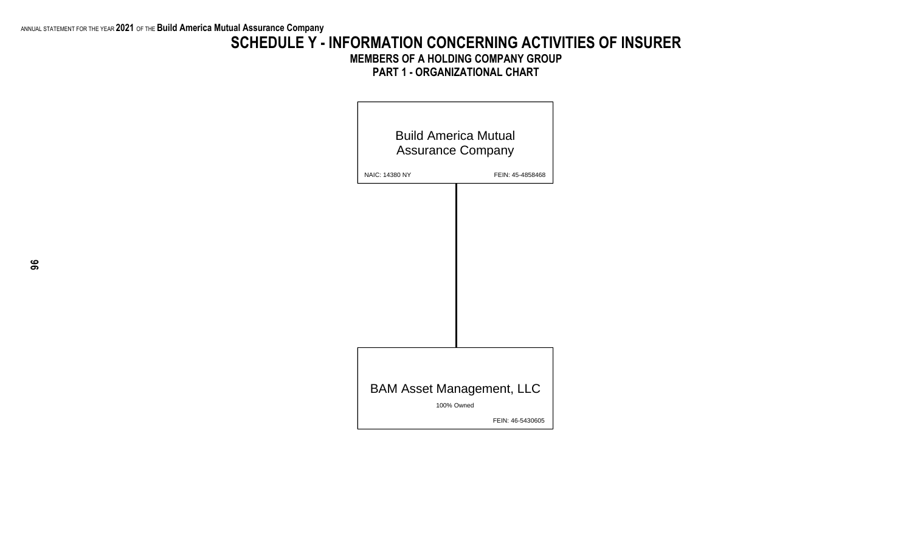## **SCHEDULE Y - INFORMATION CONCERNING ACTIVITIES OF INSURER MEMBERS OF A HOLDING COMPANY GROUP PART 1 - ORGANIZATIONAL CHART**

|                | <b>Build America Mutual</b><br><b>Assurance Company</b> |
|----------------|---------------------------------------------------------|
| NAIC: 14380 NY | FEIN: 45-4858468                                        |
|                |                                                         |
|                |                                                         |
|                |                                                         |
|                |                                                         |
|                |                                                         |
|                |                                                         |
|                |                                                         |
|                |                                                         |
|                | <b>BAM Asset Management, LLC</b><br>100% Owned          |
|                | FEIN: 46-5430605                                        |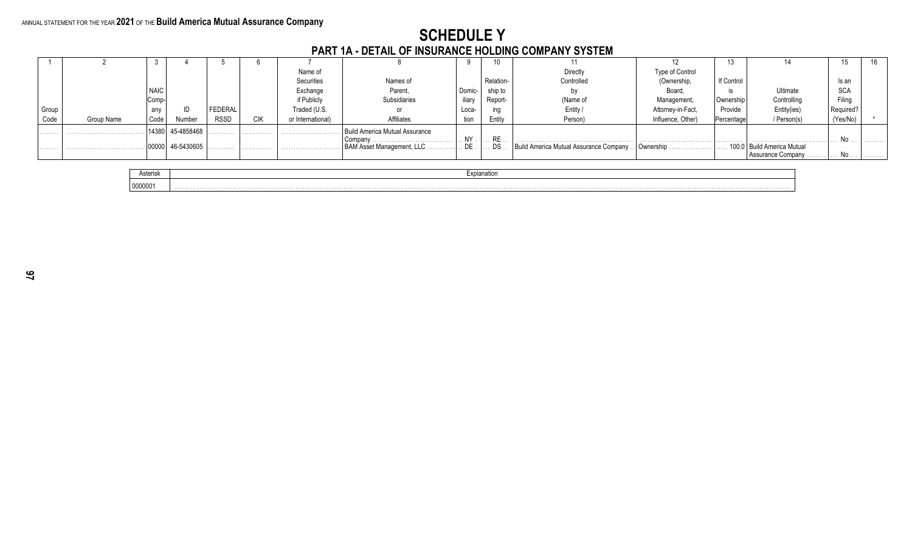# SCHEDULE Y<br>PART 1A - DETAIL OF INSURANCE HOLDING COMPANY SYSTEM

|       |            |             |            |             |            |                   | ווום וסו ט וואוט טוועם וועבריונים ושפטויון וט בותום וכותו ו |        |             |                                                             |                   |            |                              |            |  |
|-------|------------|-------------|------------|-------------|------------|-------------------|-------------------------------------------------------------|--------|-------------|-------------------------------------------------------------|-------------------|------------|------------------------------|------------|--|
|       |            |             |            |             |            |                   |                                                             |        | 10          |                                                             |                   |            |                              |            |  |
|       |            |             |            |             |            | Name of           |                                                             |        |             | Directly                                                    | Type of Control   |            |                              |            |  |
|       |            |             |            |             |            | Securities        | Names of                                                    |        | Relation-   | Controlled                                                  | (Ownership,       | If Control |                              | Is an      |  |
|       |            | <b>NAIC</b> |            |             |            | Exchange          | Parent.                                                     | Domic- | ship to     |                                                             | Board.            |            | Ultimate                     | <b>SCA</b> |  |
|       |            | Comp-       |            |             |            | if Publicly       | Subsidiaries                                                | iliarv | Report-     | (Name of                                                    | Management        | Ownership  | Controlling                  | Filina     |  |
| Group |            | any         |            | FEDERAL     |            | Fraded (U.S.      |                                                             | Loca-  | ina         | Entity                                                      | Attorney-in-Fact. | Provide    | Entity(ies)                  | Required'  |  |
| Code  | Group Name | Code        | Number     | <b>RSSD</b> | <b>CIK</b> | or International) | <b>Affiliates</b>                                           | tion   | Entity      | Person)                                                     | Influence, Other) | Percentage | / Person(s)                  | (Yes/No)   |  |
| .     |            |             | 45-4858468 |             | .          |                   | . Build America Mutual Assurance                            |        |             |                                                             |                   |            |                              |            |  |
|       |            |             |            |             |            |                   |                                                             |        | $\ldots$ RE |                                                             |                   |            |                              |            |  |
|       | .          |             | 46-5430605 | .           | .          |                   | BAM Asset Management, LLC                                   | DE .   |             | DS    Build America Mutual Assurance Company    Ownership . |                   |            | 100.0   Build America Mutual |            |  |
|       |            |             |            |             |            |                   |                                                             |        |             |                                                             |                   |            | <b>Assurance Company</b>     | No         |  |

| Asterisk | Explanation |
|----------|-------------|
| 0000001  |             |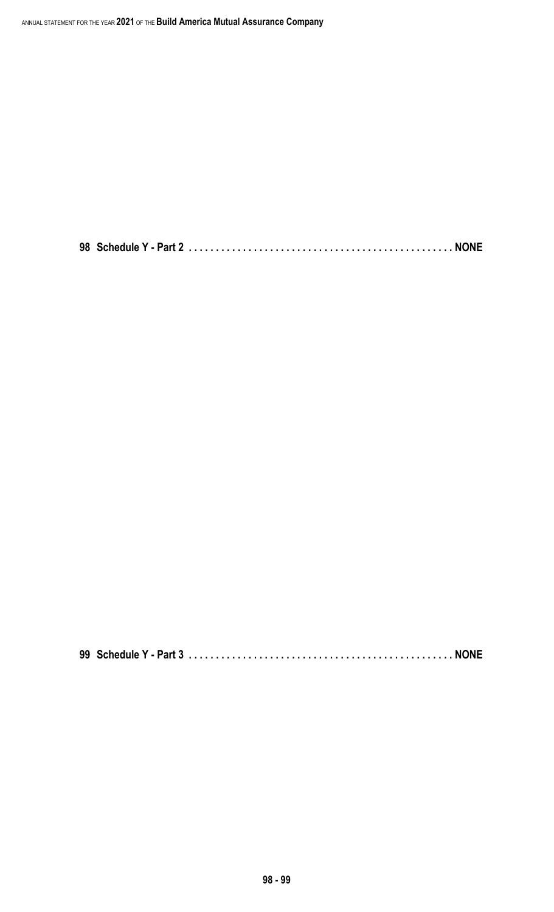**98 Schedule Y - Part 2 . . . . . . . . . . . . . . . . . . . . . . . . . . . . . . . . . . . . . . . . . . . . . . . . . NONE**

**99 Schedule Y - Part 3 . . . . . . . . . . . . . . . . . . . . . . . . . . . . . . . . . . . . . . . . . . . . . . . . . NONE**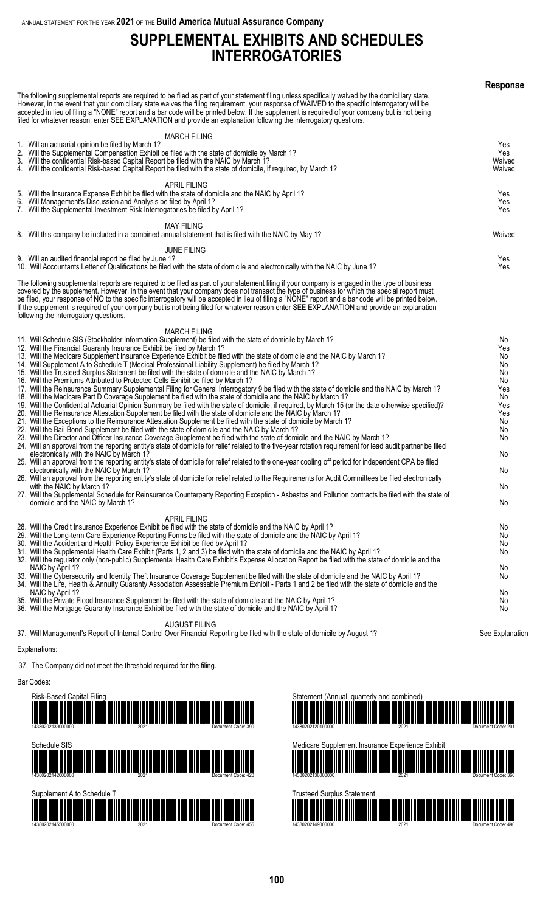# **SUPPLEMENTAL EXHIBITS AND SCHEDULES INTERROGATORIES**

|                                                                                                                                                                                                                                                                                                                                                                                                                                                                                                                                                                                                                                                                                                                                                                                                                                                                                                                                                                                                                                                                                                                                                                                                                                                                                                                                                                                                                                                                                                                                                                                                                                                                                                                                                                                                                                                                                                                                                                                                                                                                                                                                                                                                                                                                                                                          | <b>Response</b>                                                                                        |
|--------------------------------------------------------------------------------------------------------------------------------------------------------------------------------------------------------------------------------------------------------------------------------------------------------------------------------------------------------------------------------------------------------------------------------------------------------------------------------------------------------------------------------------------------------------------------------------------------------------------------------------------------------------------------------------------------------------------------------------------------------------------------------------------------------------------------------------------------------------------------------------------------------------------------------------------------------------------------------------------------------------------------------------------------------------------------------------------------------------------------------------------------------------------------------------------------------------------------------------------------------------------------------------------------------------------------------------------------------------------------------------------------------------------------------------------------------------------------------------------------------------------------------------------------------------------------------------------------------------------------------------------------------------------------------------------------------------------------------------------------------------------------------------------------------------------------------------------------------------------------------------------------------------------------------------------------------------------------------------------------------------------------------------------------------------------------------------------------------------------------------------------------------------------------------------------------------------------------------------------------------------------------------------------------------------------------|--------------------------------------------------------------------------------------------------------|
| The following supplemental reports are required to be filed as part of your statement filing unless specifically waived by the domiciliary state.<br>However, in the event that your domiciliary state waives the filing requirement, your response of WAIVED to the specific interrogatory will be<br>accepted in lieu of filing a "NONE" report and a bar code will be printed below. If the supplement is required of your company but is not being<br>filed for whatever reason, enter SEE EXPLANATION and provide an explanation following the interrogatory questions.                                                                                                                                                                                                                                                                                                                                                                                                                                                                                                                                                                                                                                                                                                                                                                                                                                                                                                                                                                                                                                                                                                                                                                                                                                                                                                                                                                                                                                                                                                                                                                                                                                                                                                                                             |                                                                                                        |
| <b>MARCH FILING</b>                                                                                                                                                                                                                                                                                                                                                                                                                                                                                                                                                                                                                                                                                                                                                                                                                                                                                                                                                                                                                                                                                                                                                                                                                                                                                                                                                                                                                                                                                                                                                                                                                                                                                                                                                                                                                                                                                                                                                                                                                                                                                                                                                                                                                                                                                                      |                                                                                                        |
| 1. Will an actuarial opinion be filed by March 1?<br>2. Will the Supplemental Compensation Exhibit be filed with the state of domicile by March 1?<br>3. Will the confidential Risk-based Capital Report be filed with the NAIC by March 1?<br>4. Will the confidential Risk-based Capital Report be filed with the state of domicile, if required, by March 1?                                                                                                                                                                                                                                                                                                                                                                                                                                                                                                                                                                                                                                                                                                                                                                                                                                                                                                                                                                                                                                                                                                                                                                                                                                                                                                                                                                                                                                                                                                                                                                                                                                                                                                                                                                                                                                                                                                                                                          | Yes<br>Yes<br>Waived<br>Waived                                                                         |
| <b>APRIL FILING</b><br>5. Will the Insurance Expense Exhibit be filed with the state of domicile and the NAIC by April 1?<br>6. Will Management's Discussion and Analysis be filed by April 1?<br>7. Will the Supplemental Investment Risk Interrogatories be filed by April 1?                                                                                                                                                                                                                                                                                                                                                                                                                                                                                                                                                                                                                                                                                                                                                                                                                                                                                                                                                                                                                                                                                                                                                                                                                                                                                                                                                                                                                                                                                                                                                                                                                                                                                                                                                                                                                                                                                                                                                                                                                                          | Yes<br>Yes<br>Yes                                                                                      |
| <b>MAY FILING</b><br>8. Will this company be included in a combined annual statement that is filed with the NAIC by May 1?                                                                                                                                                                                                                                                                                                                                                                                                                                                                                                                                                                                                                                                                                                                                                                                                                                                                                                                                                                                                                                                                                                                                                                                                                                                                                                                                                                                                                                                                                                                                                                                                                                                                                                                                                                                                                                                                                                                                                                                                                                                                                                                                                                                               | Waived                                                                                                 |
| <b>JUNE FILING</b>                                                                                                                                                                                                                                                                                                                                                                                                                                                                                                                                                                                                                                                                                                                                                                                                                                                                                                                                                                                                                                                                                                                                                                                                                                                                                                                                                                                                                                                                                                                                                                                                                                                                                                                                                                                                                                                                                                                                                                                                                                                                                                                                                                                                                                                                                                       |                                                                                                        |
| 9. Will an audited financial report be filed by June 1?<br>10. Will Accountants Letter of Qualifications be filed with the state of domicile and electronically with the NAIC by June 1?                                                                                                                                                                                                                                                                                                                                                                                                                                                                                                                                                                                                                                                                                                                                                                                                                                                                                                                                                                                                                                                                                                                                                                                                                                                                                                                                                                                                                                                                                                                                                                                                                                                                                                                                                                                                                                                                                                                                                                                                                                                                                                                                 | Yes<br>Yes                                                                                             |
| The following supplemental reports are required to be filed as part of your statement filing if your company is engaged in the type of business<br>covered by the supplement. However, in the event that your company does not transact the type of business for which the special report must<br>be filed, your response of NO to the specific interrogatory will be accepted in lieu of filing a "NONE" report and a bar code will be printed below.<br>If the supplement is required of your company but is not being filed for whatever reason enter SEE EXPLANATION and provide an explanation<br>following the interrogatory questions.                                                                                                                                                                                                                                                                                                                                                                                                                                                                                                                                                                                                                                                                                                                                                                                                                                                                                                                                                                                                                                                                                                                                                                                                                                                                                                                                                                                                                                                                                                                                                                                                                                                                            |                                                                                                        |
| <b>MARCH FILING</b>                                                                                                                                                                                                                                                                                                                                                                                                                                                                                                                                                                                                                                                                                                                                                                                                                                                                                                                                                                                                                                                                                                                                                                                                                                                                                                                                                                                                                                                                                                                                                                                                                                                                                                                                                                                                                                                                                                                                                                                                                                                                                                                                                                                                                                                                                                      |                                                                                                        |
| 11. Will Schedule SIS (Stockholder Information Supplement) be filed with the state of domicile by March 1?<br>12. Will the Financial Guaranty Insurance Exhibit be filed by March 1?<br>13. Will the Medicare Supplement Insurance Experience Exhibit be filed with the state of domicile and the NAIC by March 1?<br>14. Will Supplement A to Schedule T (Medical Professional Liability Supplement) be filed by March 1?<br>15. Will the Trusteed Surplus Statement be filed with the state of domicile and the NAIC by March 1?<br>16. Will the Premiums Attributed to Protected Cells Exhibit be filed by March 1?<br>17. Will the Reinsurance Summary Supplemental Filing for General Interrogatory 9 be filed with the state of domicile and the NAIC by March 1?<br>18. Will the Medicare Part D Coverage Supplement be filed with the state of domicile and the NAIC by March 1?<br>19. Will the Confidential Actuarial Opinion Summary be filed with the state of domicile, if required, by March 15 (or the date otherwise specified)?<br>20. Will the Reinsurance Attestation Supplement be filed with the state of domicile and the NAIC by March 1?<br>21. Will the Exceptions to the Reinsurance Attestation Supplement be filed with the state of domicile by March 1?<br>22. Will the Bail Bond Supplement be filed with the state of domicile and the NAIC by March 1?<br>23. Will the Director and Officer Insurance Coverage Supplement be filed with the state of domicile and the NAIC by March 1?<br>24. Will an approval from the reporting entity's state of domicile for relief related to the five-year rotation requirement for lead audit partner be filed<br>electronically with the NAIC by March 1?<br>25. Will an approval from the reporting entity's state of domicile for relief related to the one-year cooling off period for independent CPA be filed<br>electronically with the NAIC by March 1?<br>26. Will an approval from the reporting entity's state of domicile for relief related to the Requirements for Audit Committees be filed electronically<br>with the NAIC by March 1?<br>27. Will the Supplemental Schedule for Reinsurance Counterparty Reporting Exception - Asbestos and Pollution contracts be filed with the state of<br>domicile and the NAIC by March 1? | No<br>Yes<br>No<br>No<br>No<br>No<br>Yes<br>No<br>Yes<br>Yes<br>No<br>No<br>No<br>No<br>No<br>No<br>No |
| <b>APRIL FILING</b><br>28. Will the Credit Insurance Experience Exhibit be filed with the state of domicile and the NAIC by April 1?<br>29. Will the Long-term Care Experience Reporting Forms be filed with the state of domicile and the NAIC by April 1?<br>30. Will the Accident and Health Policy Experience Exhibit be filed by April 1?<br>31. Will the Supplemental Health Care Exhibit (Parts 1, 2 and 3) be filed with the state of domicile and the NAIC by April 1?<br>32. Will the regulator only (non-public) Supplemental Health Care Exhibit's Expense Allocation Report be filed with the state of domicile and the<br>NAIC by April 1?<br>33. Will the Cybersecurity and Identity Theft Insurance Coverage Supplement be filed with the state of domicile and the NAIC by April 1?<br>34. Will the Life, Health & Annuity Guaranty Association Assessable Premium Exhibit - Parts 1 and 2 be filed with the state of domicile and the<br>NAIC by April 1?<br>35. Will the Private Flood Insurance Supplement be filed with the state of domicile and the NAIC by April 1?                                                                                                                                                                                                                                                                                                                                                                                                                                                                                                                                                                                                                                                                                                                                                                                                                                                                                                                                                                                                                                                                                                                                                                                                                              | No<br>No.<br>No.<br>No.<br>No.<br>No<br>No<br>No.                                                      |
| 36. Will the Mortgage Guaranty Insurance Exhibit be filed with the state of domicile and the NAIC by April 1?                                                                                                                                                                                                                                                                                                                                                                                                                                                                                                                                                                                                                                                                                                                                                                                                                                                                                                                                                                                                                                                                                                                                                                                                                                                                                                                                                                                                                                                                                                                                                                                                                                                                                                                                                                                                                                                                                                                                                                                                                                                                                                                                                                                                            | No                                                                                                     |
| <b>AUGUST FILING</b>                                                                                                                                                                                                                                                                                                                                                                                                                                                                                                                                                                                                                                                                                                                                                                                                                                                                                                                                                                                                                                                                                                                                                                                                                                                                                                                                                                                                                                                                                                                                                                                                                                                                                                                                                                                                                                                                                                                                                                                                                                                                                                                                                                                                                                                                                                     |                                                                                                        |

37. Will Management's Report of Internal Control Over Financial Reporting be filed with the state of domicile by August 1? See Explanation

#### Explanations:

37. The Company did not meet the threshold required for the filing.

#### Bar Codes:



14380202145500000 2021 Document Code: 455

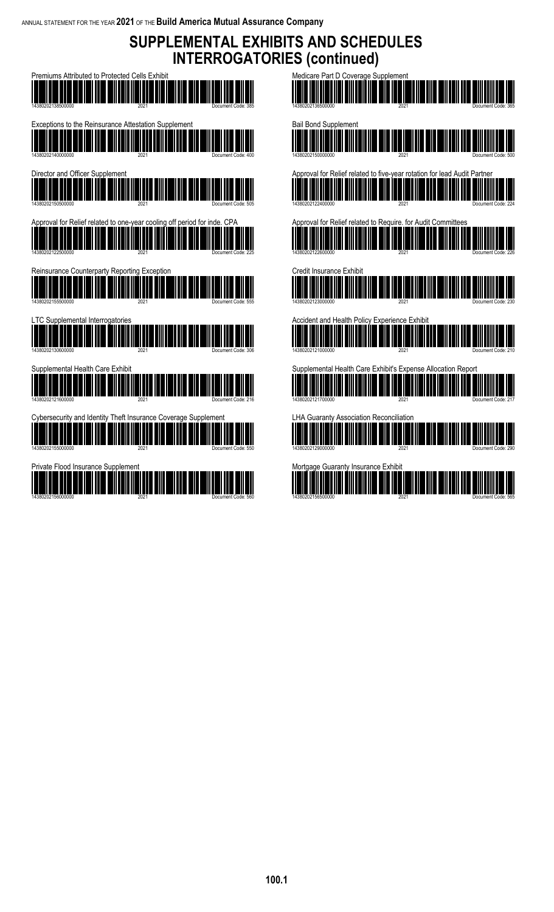**SUPPLEMENTAL EXHIBITS AND SCHEDULES INTERROGATORIES (continued)**

| Premiums Attributed to Protected Cells Exhibit<br>380202138500000<br>2021<br>Document Code: 385                            |
|----------------------------------------------------------------------------------------------------------------------------|
| Exceptions to the Reinsurance Attestation Supplement<br>14380202140000000<br>2021<br>Document Code: 400                    |
| Director and Officer Supplement<br>14380202150500000<br>2021                                                               |
| pproval for Relief related to one-year cooling off period for inde. CPA<br>14380202122500000<br>2021<br>Document Code: 225 |
| Reinsurance Counterparty Reporting Exception                                                                               |
| 14380202155500000<br>2021<br>Document Code: 555<br>C Supplemental Interrogatories                                          |
| 14380202130600000<br>2021<br>Document Code: 306<br>Supplemental Health Care Exhibit                                        |
| 14380202121600000<br>2021<br>Document Code: 216<br>bersecurity and Identity Theft Insurance Coverage Supplement            |
| 14380202155000000<br>2021<br>Document Code: 550<br>Private Flood Insurance Supplement                                      |
|                                                                                                                            |

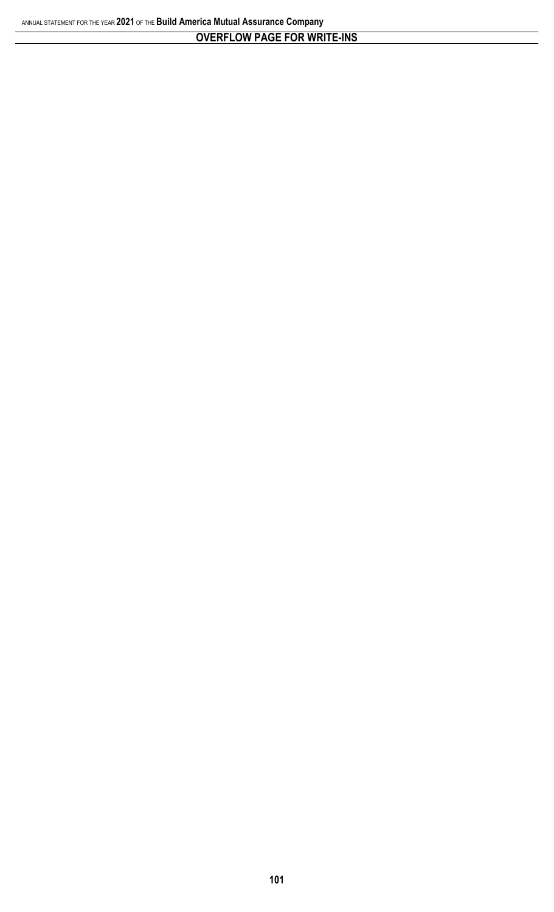## **OVERFLOW PAGE FOR WRITE-INS**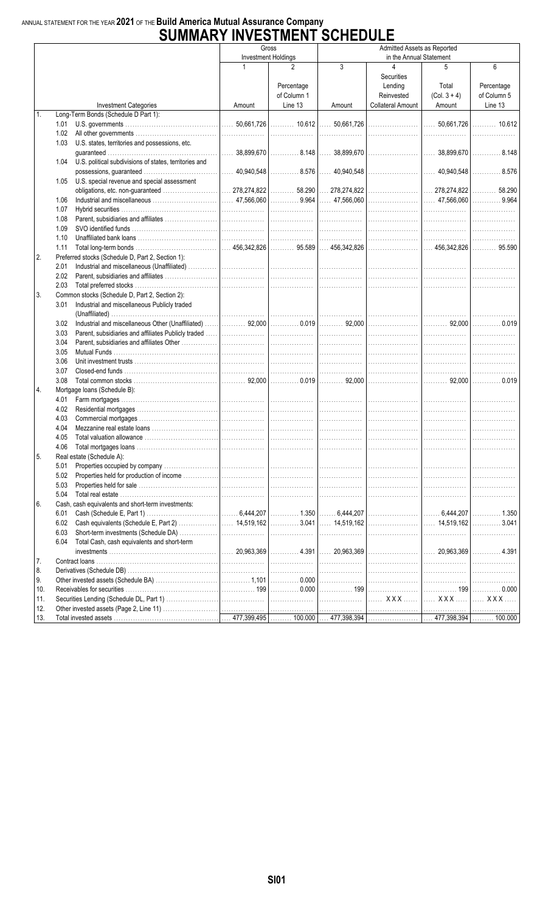# ANNUAL STATEMENT FOR THE YEAR 2021 OF THE Build America Mutual Assurance Company<br>SUMMARY INVESTMENT SCHEDULE

|     | UUMMAN                                                         |        |                            | ◡◡╷╷∟◡◡∟∟                                              |                          |                                     |             |  |  |
|-----|----------------------------------------------------------------|--------|----------------------------|--------------------------------------------------------|--------------------------|-------------------------------------|-------------|--|--|
|     |                                                                |        | Gross                      | Admitted Assets as Reported<br>in the Annual Statement |                          |                                     |             |  |  |
|     |                                                                |        | <b>Investment Holdings</b> |                                                        | 4                        |                                     |             |  |  |
|     |                                                                | 1      | 2                          | 3                                                      |                          | 5                                   | 6           |  |  |
|     |                                                                |        |                            |                                                        | Securities               |                                     |             |  |  |
|     |                                                                |        | Percentage                 |                                                        | Lending                  | Total                               | Percentage  |  |  |
|     |                                                                |        | of Column 1                |                                                        | Reinvested               | $(Col. 3 + 4)$                      | of Column 5 |  |  |
|     | <b>Investment Categories</b>                                   | Amount | Line 13                    | Amount                                                 | <b>Collateral Amount</b> | Amount                              | Line 13     |  |  |
| 1.  | Long-Term Bonds (Schedule D Part 1):                           |        |                            |                                                        |                          |                                     |             |  |  |
|     | 1.01                                                           |        |                            |                                                        |                          | $  \dots 50.661.726   \dots 10.612$ |             |  |  |
|     | 1.02                                                           |        |                            |                                                        |                          |                                     |             |  |  |
|     | 1.03<br>U.S. states, territories and possessions, etc.         |        |                            |                                                        |                          |                                     |             |  |  |
|     |                                                                |        |                            |                                                        |                          |                                     |             |  |  |
|     | U.S. political subdivisions of states, territories and<br>1.04 |        |                            |                                                        |                          |                                     |             |  |  |
|     |                                                                |        |                            |                                                        |                          |                                     |             |  |  |
|     | U.S. special revenue and special assessment<br>1.05            |        |                            |                                                        |                          |                                     |             |  |  |
|     |                                                                |        |                            |                                                        |                          |                                     |             |  |  |
|     | 1.06                                                           |        |                            |                                                        |                          |                                     |             |  |  |
|     | 1.07                                                           |        |                            |                                                        |                          |                                     |             |  |  |
|     | 1.08                                                           |        |                            |                                                        |                          |                                     | .           |  |  |
|     | 1.09                                                           |        |                            |                                                        |                          | .                                   |             |  |  |
|     | 1.10                                                           |        |                            |                                                        |                          | .                                   | .           |  |  |
|     | 1.11                                                           |        |                            |                                                        |                          |                                     |             |  |  |
| 2.  | Preferred stocks (Schedule D, Part 2, Section 1):              |        |                            |                                                        |                          |                                     |             |  |  |
|     | 2.01                                                           |        |                            |                                                        |                          |                                     | .           |  |  |
|     | 2.02                                                           |        |                            | .                                                      |                          | .                                   | .           |  |  |
|     | 2.03                                                           |        |                            |                                                        |                          | .                                   |             |  |  |
| 3.  | Common stocks (Schedule D, Part 2, Section 2):                 |        |                            |                                                        |                          |                                     |             |  |  |
|     | Industrial and miscellaneous Publicly traded<br>3.01           |        |                            |                                                        |                          |                                     |             |  |  |
|     |                                                                |        |                            |                                                        |                          |                                     |             |  |  |
|     |                                                                |        |                            |                                                        |                          |                                     | .           |  |  |
|     | 3.02                                                           |        |                            |                                                        |                          |                                     |             |  |  |
|     | 3.03                                                           |        |                            |                                                        |                          |                                     | .           |  |  |
|     | 3.04                                                           |        |                            |                                                        |                          | .                                   |             |  |  |
|     | 3.05                                                           |        |                            |                                                        |                          | .                                   | .           |  |  |
|     | 3.06                                                           |        |                            |                                                        |                          |                                     |             |  |  |
|     | 3.07                                                           |        |                            |                                                        |                          |                                     | .           |  |  |
|     | 3.08                                                           |        |                            |                                                        |                          |                                     |             |  |  |
| 4.  | Mortgage loans (Schedule B):                                   |        |                            |                                                        |                          |                                     |             |  |  |
|     | 4.01                                                           |        |                            |                                                        |                          |                                     |             |  |  |
|     | 4.02                                                           |        |                            |                                                        |                          | .                                   |             |  |  |
|     | 4.03                                                           |        |                            |                                                        |                          | .                                   |             |  |  |
|     | 4.04                                                           |        |                            |                                                        |                          | .                                   | .           |  |  |
|     | 4.05                                                           |        |                            |                                                        |                          |                                     |             |  |  |
|     | 4.06                                                           |        |                            |                                                        |                          | 1.                                  | .           |  |  |
| 5.  | Real estate (Schedule A):                                      |        |                            |                                                        |                          |                                     |             |  |  |
|     | 5.01                                                           |        |                            |                                                        |                          |                                     |             |  |  |
|     | 5.02                                                           |        |                            |                                                        |                          |                                     |             |  |  |
|     | 5.03                                                           |        |                            |                                                        |                          |                                     | .           |  |  |
|     | 5.04                                                           |        |                            |                                                        |                          |                                     | .           |  |  |
| 6.  | Cash, cash equivalents and short-term investments:             |        |                            |                                                        |                          |                                     |             |  |  |
|     | 6.01                                                           |        |                            |                                                        |                          |                                     |             |  |  |
|     | 6.02                                                           |        |                            |                                                        |                          |                                     |             |  |  |
|     | 6.03                                                           |        |                            |                                                        |                          |                                     | .           |  |  |
|     | Total Cash, cash equivalents and short-term<br>6.04            |        |                            |                                                        |                          |                                     |             |  |  |
|     |                                                                |        |                            |                                                        |                          |                                     |             |  |  |
| 7.  |                                                                |        |                            |                                                        |                          |                                     |             |  |  |
| 8.  |                                                                |        |                            |                                                        |                          |                                     | .           |  |  |
| 9.  |                                                                |        |                            |                                                        |                          |                                     | .           |  |  |
| 10. |                                                                |        |                            |                                                        |                          |                                     |             |  |  |
| 11. |                                                                |        |                            |                                                        |                          |                                     | XXX         |  |  |
| 12. |                                                                |        |                            |                                                        |                          |                                     | .           |  |  |
| 13. |                                                                |        |                            |                                                        |                          |                                     |             |  |  |
|     |                                                                |        |                            |                                                        |                          |                                     |             |  |  |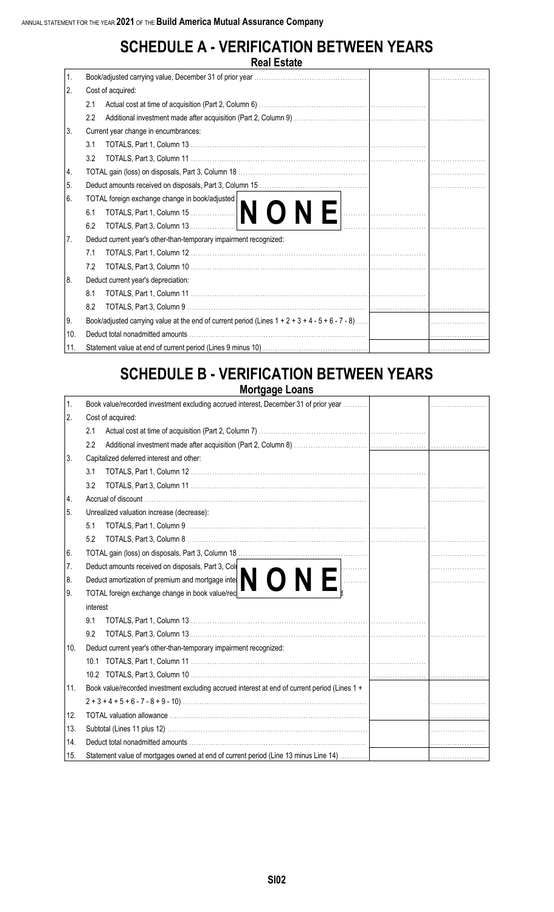### **SCHEDULE A - VERIFICATION BETWEEN YEARS Real Estate**

|     | NGAI LSIAIG                                                                                        |   |
|-----|----------------------------------------------------------------------------------------------------|---|
| 1.  |                                                                                                    |   |
| 2.  | Cost of acquired:                                                                                  |   |
|     | 2.1                                                                                                |   |
|     | 2.2                                                                                                | . |
| 3.  | Current year change in encumbrances:                                                               |   |
|     | 3.1                                                                                                |   |
|     | 3.2                                                                                                |   |
| 14. |                                                                                                    |   |
| 5.  |                                                                                                    |   |
| 6.  | TOTAL foreign exchange change in book/adjusted                                                     |   |
|     | TOTALS, Part 1, Column 15.<br>6.1                                                                  |   |
|     | 6.2                                                                                                |   |
| 7.  | Deduct current year's other-than-temporary impairment recognized:                                  |   |
|     | 7.1                                                                                                |   |
|     | 7.2                                                                                                |   |
| 8.  | Deduct current year's depreciation:                                                                |   |
|     | 8.1                                                                                                |   |
|     | 8.2                                                                                                |   |
| 9.  | Book/adjusted carrying value at the end of current period (Lines $1 + 2 + 3 + 4 - 5 + 6 - 7 - 8$ ) |   |
| 10. |                                                                                                    |   |
| 11. |                                                                                                    | . |

# **SCHEDULE B - VERIFICATION BETWEEN YEARS**

**Mortgage Loans**

| 1.  | Book value/recorded investment excluding accrued interest, December 31 of prior year          |   |  |  |  |  |  |  |
|-----|-----------------------------------------------------------------------------------------------|---|--|--|--|--|--|--|
| 2.  | Cost of acquired:                                                                             |   |  |  |  |  |  |  |
|     | 2.1                                                                                           |   |  |  |  |  |  |  |
|     | 2.2                                                                                           |   |  |  |  |  |  |  |
| 3.  | Capitalized deferred interest and other:                                                      |   |  |  |  |  |  |  |
|     | 3.1                                                                                           |   |  |  |  |  |  |  |
|     | 3.2                                                                                           |   |  |  |  |  |  |  |
| 4.  |                                                                                               |   |  |  |  |  |  |  |
| 5.  | Unrealized valuation increase (decrease):                                                     |   |  |  |  |  |  |  |
|     | 5.1                                                                                           |   |  |  |  |  |  |  |
|     | 5.2                                                                                           |   |  |  |  |  |  |  |
| 6.  |                                                                                               |   |  |  |  |  |  |  |
| 7.  | Deduct amounts received on disposals, Part 3, Col                                             |   |  |  |  |  |  |  |
| 8.  | Deduct amounts received on disposals, r all of one of the <b>NONE</b>                         |   |  |  |  |  |  |  |
| 9.  | TOTAL foreign exchange change in book value/rec                                               |   |  |  |  |  |  |  |
|     | interest                                                                                      |   |  |  |  |  |  |  |
|     | 9.1                                                                                           |   |  |  |  |  |  |  |
|     | 9.2                                                                                           |   |  |  |  |  |  |  |
| 10. | Deduct current year's other-than-temporary impairment recognized:                             |   |  |  |  |  |  |  |
|     |                                                                                               |   |  |  |  |  |  |  |
|     |                                                                                               | . |  |  |  |  |  |  |
| 11. | Book value/recorded investment excluding accrued interest at end of current period (Lines 1 + |   |  |  |  |  |  |  |
|     |                                                                                               |   |  |  |  |  |  |  |
| 12. |                                                                                               |   |  |  |  |  |  |  |
| 13. |                                                                                               |   |  |  |  |  |  |  |
| 14. |                                                                                               |   |  |  |  |  |  |  |
| 15. | Statement value of mortgages owned at end of current period (Line 13 minus Line 14)           |   |  |  |  |  |  |  |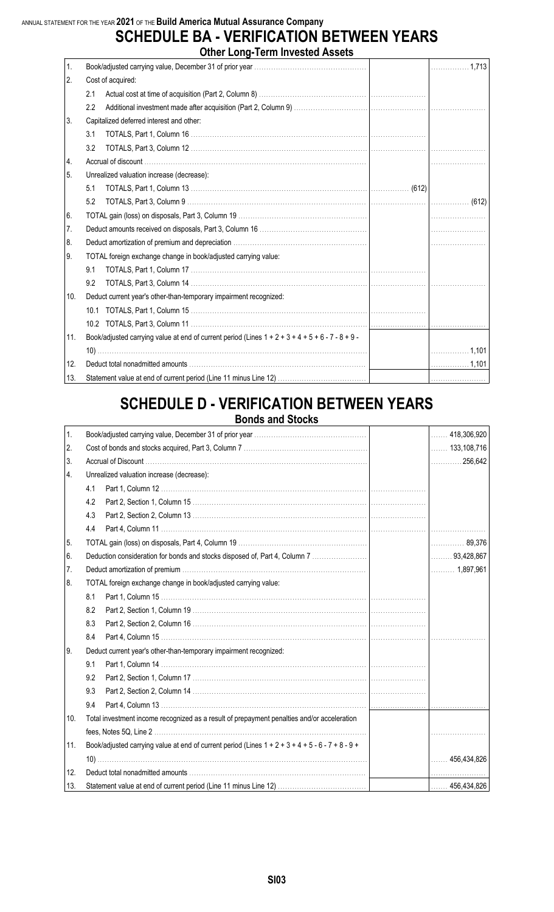#### **SCHEDULE BA - VERIFICATION BETWEEN YEARS Other Long-Term Invested Assets**

|     | <b>ULIEL LUIY'I ENII INVESIEU ASSEIS</b>                                                             |           |
|-----|------------------------------------------------------------------------------------------------------|-----------|
| 1.  |                                                                                                      | . 1,713   |
| 2.  | Cost of acquired:                                                                                    |           |
|     | 2.1                                                                                                  |           |
|     | 2.2                                                                                                  |           |
| 3.  | Capitalized deferred interest and other:                                                             |           |
|     | 3.1                                                                                                  |           |
|     | 3.2                                                                                                  |           |
| 4.  |                                                                                                      |           |
| 5.  | Unrealized valuation increase (decrease):                                                            |           |
|     | 5.1                                                                                                  |           |
|     | 5.2                                                                                                  |           |
| 6.  |                                                                                                      |           |
| 7.  |                                                                                                      |           |
| 8.  |                                                                                                      |           |
| 9.  | TOTAL foreign exchange change in book/adjusted carrying value:                                       |           |
|     | 9.1                                                                                                  |           |
|     | 9.2                                                                                                  |           |
| 10. | Deduct current year's other-than-temporary impairment recognized:                                    |           |
|     |                                                                                                      |           |
|     |                                                                                                      |           |
| 11. | Book/adjusted carrying value at end of current period (Lines $1 + 2 + 3 + 4 + 5 + 6 - 7 - 8 + 9 - 1$ |           |
|     |                                                                                                      |           |
| 12. |                                                                                                      | $ $ 1,101 |
| 13. |                                                                                                      |           |

#### **SCHEDULE D - VERIFICATION BETWEEN YEARS Bonds and Stocks**

| 1.  |                                                                                                      | 418,306,920<br>.       |
|-----|------------------------------------------------------------------------------------------------------|------------------------|
| 2.  |                                                                                                      | $\ldots$ . 133,108,716 |
| 3.  |                                                                                                      | 256,642<br>.           |
| 4.  | Unrealized valuation increase (decrease):                                                            |                        |
|     | 4.1                                                                                                  |                        |
|     | 4.2                                                                                                  |                        |
|     | 4.3                                                                                                  |                        |
|     | 4.4                                                                                                  | .                      |
| 5.  |                                                                                                      | 89,376                 |
| 6.  | Deduction consideration for bonds and stocks disposed of, Part 4, Column 7                           | $\ldots$ 93,428,867    |
| 7.  |                                                                                                      |                        |
| 8.  | TOTAL foreign exchange change in book/adjusted carrying value:                                       |                        |
|     | 8.1                                                                                                  |                        |
|     | 8.2                                                                                                  |                        |
|     | 8.3                                                                                                  |                        |
|     | 8.4                                                                                                  |                        |
| 9.  | Deduct current year's other-than-temporary impairment recognized:                                    |                        |
|     | 9.1                                                                                                  |                        |
|     | 9.2                                                                                                  |                        |
|     | 9.3                                                                                                  |                        |
|     | 9.4                                                                                                  | .                      |
| 10. | Total investment income recognized as a result of prepayment penalties and/or acceleration           |                        |
|     |                                                                                                      |                        |
| 11. | Book/adjusted carrying value at end of current period (Lines $1 + 2 + 3 + 4 + 5 - 6 - 7 + 8 - 9 + 1$ |                        |
|     |                                                                                                      | $\ldots$ . 456,434,826 |
| 12. |                                                                                                      |                        |
| 13. |                                                                                                      | $\ldots$ . 456,434,826 |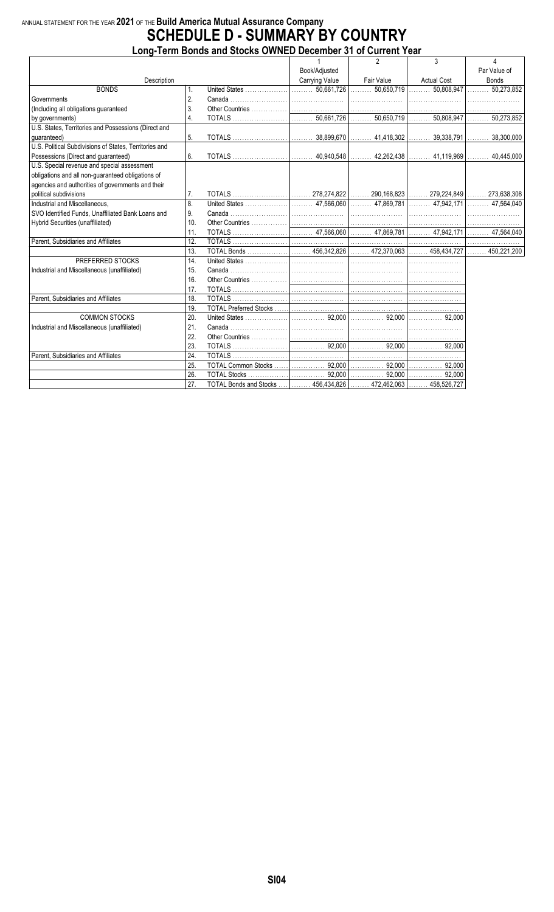#### ANNUAL STATEMENT FOR THE YEAR **2021** OF THE **Build America Mutual Assurance Company SCHEDULE D - SUMMARY BY COUNTRY**

|                                                        |     | Long-Term Bonds and Stocks OWNED December 31 of Current Year         |                       |            |                    |                            |
|--------------------------------------------------------|-----|----------------------------------------------------------------------|-----------------------|------------|--------------------|----------------------------|
|                                                        |     |                                                                      |                       |            | 3                  | 4                          |
|                                                        |     |                                                                      | Book/Adjusted         |            |                    | Par Value of               |
| Description                                            |     |                                                                      | <b>Carrying Value</b> | Fair Value | <b>Actual Cost</b> | <b>Bonds</b>               |
| <b>BONDS</b>                                           | 1.  |                                                                      |                       |            |                    | $\ldots \ldots 50,273,852$ |
| Governments                                            | 2.  |                                                                      |                       |            |                    |                            |
| (Including all obligations guaranteed                  | 3.  |                                                                      |                       |            |                    |                            |
| by governments)                                        | 4.  |                                                                      |                       |            |                    |                            |
| U.S. States, Territories and Possessions (Direct and   |     |                                                                      |                       |            |                    |                            |
| quaranteed)                                            | 5.  |                                                                      |                       |            |                    |                            |
| U.S. Political Subdivisions of States, Territories and |     |                                                                      |                       |            |                    |                            |
| Possessions (Direct and guaranteed)                    | 6.  |                                                                      |                       |            |                    |                            |
| U.S. Special revenue and special assessment            |     |                                                                      |                       |            |                    |                            |
| obligations and all non-guaranteed obligations of      |     |                                                                      |                       |            |                    |                            |
| agencies and authorities of governments and their      |     |                                                                      |                       |            |                    |                            |
| political subdivisions                                 | 7.  |                                                                      |                       |            |                    |                            |
| Industrial and Miscellaneous.                          | 8.  |                                                                      |                       |            |                    |                            |
| SVO Identified Funds, Unaffiliated Bank Loans and      | 9.  |                                                                      |                       |            |                    |                            |
| Hybrid Securities (unaffiliated)                       | 10. |                                                                      |                       |            |                    |                            |
|                                                        | 11. |                                                                      |                       |            |                    |                            |
| Parent. Subsidiaries and Affiliates                    | 12. |                                                                      |                       |            |                    |                            |
|                                                        | 13. |                                                                      |                       |            |                    |                            |
| PREFERRED STOCKS                                       | 14. |                                                                      |                       |            |                    |                            |
| Industrial and Miscellaneous (unaffiliated)            | 15. |                                                                      |                       |            |                    |                            |
|                                                        | 16. |                                                                      |                       |            |                    |                            |
|                                                        | 17. |                                                                      |                       |            |                    |                            |
| Parent, Subsidiaries and Affiliates                    | 18. |                                                                      |                       |            |                    |                            |
|                                                        | 19. |                                                                      |                       |            |                    |                            |
| <b>COMMON STOCKS</b>                                   | 20. |                                                                      |                       |            |                    |                            |
| Industrial and Miscellaneous (unaffiliated)            | 21. |                                                                      |                       |            |                    |                            |
|                                                        | 22. |                                                                      |                       |            |                    |                            |
|                                                        | 23. |                                                                      |                       |            |                    |                            |
| Parent, Subsidiaries and Affiliates                    | 24. |                                                                      |                       |            |                    |                            |
|                                                        | 25. |                                                                      |                       |            |                    |                            |
|                                                        | 26. |                                                                      |                       |            |                    |                            |
|                                                        | 27. | TOTAL Bonds and Stocks     456,434,826    472,462,063    458,526,727 |                       |            |                    |                            |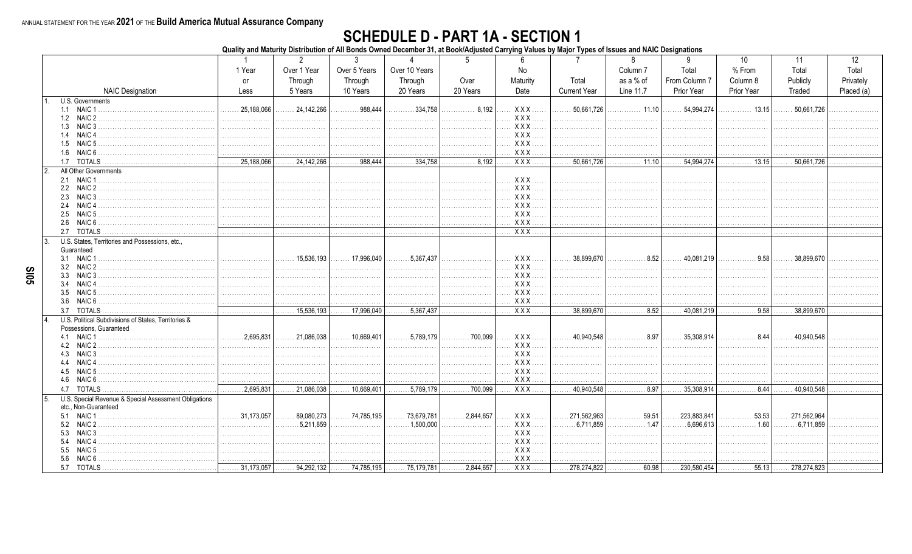#### **SCHEDULE D - PART 1A - SECTION 1**

Quality and Maturity Distribution of All Bonds Owned December 31, at Book/Adjusted Carrying Values by Major Types of Issues and NAIC Designations

|                                                       |                           | $\overline{2}$                                           | $\mathbf{3}$                   |                                           |             |                                  |                            | 8                                             | 9                     | 10                                            | 11                  | 12         |
|-------------------------------------------------------|---------------------------|----------------------------------------------------------|--------------------------------|-------------------------------------------|-------------|----------------------------------|----------------------------|-----------------------------------------------|-----------------------|-----------------------------------------------|---------------------|------------|
|                                                       | 1 Year                    | Over 1 Year                                              | Over 5 Years                   | Over 10 Years                             |             | No                               |                            | Column <sub>7</sub>                           | Total                 | % From                                        | Total               | Total      |
|                                                       | <b>or</b>                 | Through                                                  | Through                        | Through                                   | Over        | Maturity                         | Total                      | as a % of                                     | From Column 7         | Column 8                                      | Publicly            | Privately  |
| <b>NAIC Designation</b>                               | Less                      | 5 Years                                                  | 10 Years                       | 20 Years                                  | 20 Years    | Date                             | <b>Current Year</b>        | Line 11.7                                     | Prior Year            | <b>Prior Year</b>                             | Traded              | Placed (a) |
| U.S. Governments                                      |                           |                                                          |                                |                                           |             |                                  |                            |                                               |                       |                                               |                     |            |
| 1.1 NAIC 1                                            | 25,188,066                | 24,142,266                                               | .988,444                       | 334,758                                   | 8,192<br>.  | <b>XXX</b>                       | 50,661,726<br>.            | 11.10                                         | 54,994,274            | . 13.15                                       | 50,661,726          |            |
| 1.2 NAIC 2                                            | .                         | .                                                        |                                | .                                         | .           | XXX                              | .                          | .                                             | .                     |                                               |                     |            |
| 1.3 NAIC 3                                            | .                         | .                                                        | .                              | .                                         | .           | <b>XXX</b>                       | .                          | .                                             | .                     |                                               |                     |            |
| NAIC 4<br>1.4                                         | .                         | .                                                        | .                              |                                           | .           | <b>XXX</b>                       | .                          | .                                             | .                     |                                               |                     |            |
| 1.5 NAIC 5.                                           | .                         | .                                                        |                                | .                                         | .           | <b>XXX</b>                       | .                          | .                                             | .                     |                                               |                     |            |
| 1.6 NAIC 6                                            | .                         | .                                                        | .                              | .                                         | .           | XXX                              |                            | .                                             | .                     | .                                             |                     |            |
| 1.7 TOTALS                                            | 25,188,066<br>.           | 24, 142, 266<br>.                                        | .988,444<br>.                  | $\overline{\ldots \ldots \ldots 334,758}$ | 8,192<br>.  | $XXX$                            | 50,661,726                 | 11.10                                         | 54,994,274<br>.       | 13.15                                         | 50,661,726          |            |
| $\mathfrak{p}$<br>All Other Governments               |                           |                                                          |                                |                                           |             |                                  |                            |                                               |                       |                                               |                     |            |
| 2.1 NAIC 1                                            |                           | .                                                        |                                | .                                         | .           | . XXX                            | .                          | .                                             | .                     |                                               |                     |            |
| 2.2 NAIC 2                                            |                           |                                                          |                                | .                                         | .           | XXX                              | .                          | .                                             |                       | .                                             | .                   |            |
| NAIC 3<br>2.3<br>NAIC 4<br>2.4                        |                           |                                                          |                                |                                           |             | XXX<br>XXX                       | .                          | .                                             |                       | .                                             | .                   |            |
| NAIC 5<br>2.5                                         |                           |                                                          |                                |                                           |             | XXX.<br>$\langle \ldots \rangle$ | .<br>.                     | .<br>.                                        | .                     |                                               | .                   |            |
| NAIC 6<br>2.6                                         | .                         | .                                                        |                                | .                                         | .           | XXX                              | .                          | .                                             |                       | .                                             |                     |            |
| <b>TOTALS</b><br>2.7                                  | .                         | .                                                        | .                              | .                                         | .           | $\overline{XXX}$                 | .                          | .                                             | .                     | .                                             | .                   |            |
| U.S. States, Territories and Possessions, etc.        |                           |                                                          |                                |                                           |             |                                  |                            |                                               |                       |                                               |                     |            |
| Guaranteed                                            |                           |                                                          |                                |                                           |             |                                  |                            |                                               |                       |                                               |                     |            |
| 3.1 NAIC 1                                            |                           | .15.536.193<br>.                                         | . 17.996.040                   | .5.367.437                                | .           | $XXX$                            | $\ldots \ldots 38,899,670$ | . 8.52                                        | $\ldots$ , 40.081.219 | .9.58                                         | 38.899.670          |            |
| 3.2 NAIC 2                                            |                           |                                                          |                                | .                                         | .           | <b>XXX</b>                       | .                          | .                                             |                       |                                               |                     |            |
| 3.3<br>NAIC <sub>3</sub>                              |                           |                                                          |                                |                                           | .           | XXX                              | .                          | .                                             | .                     |                                               |                     |            |
| NAIC <sub>4</sub><br>3.4                              |                           |                                                          |                                |                                           | .           | XXX                              | .                          |                                               |                       |                                               |                     |            |
| NAIC 5<br>3.5                                         |                           |                                                          |                                |                                           |             | XXX.                             | .                          |                                               |                       |                                               |                     |            |
| 3.6 NAIC 6                                            |                           | .<br>.                                                   | .                              | .                                         | .           | <b>XXX</b>                       |                            | .                                             |                       | .                                             |                     |            |
| 3.7 TOTALS                                            | .                         | $\overline{\ldots \ldots 15,536,193}$                    | $\overline{\ldots}$ 17,996,040 | $\overline{5,367,437}$                    | .           | $XXX$ .                          | .38,899,670                | $\overline{\ldots \ldots \ldots \ldots 8.52}$ | 40,081,219            | 0.58                                          | 38,899,670          |            |
| U.S. Political Subdivisions of States, Territories &  |                           |                                                          |                                |                                           |             |                                  |                            |                                               |                       |                                               |                     |            |
| Possessions, Guaranteed                               |                           |                                                          |                                |                                           |             |                                  |                            |                                               |                       |                                               |                     |            |
|                                                       | $\ldots \ldots 2.695.831$ | $\ldots$ 21.086.038                                      | . 10,669,401 $\vert$           | . 5.789.179                               | . 700,099   | XXX                              | 40,940,548                 | $\cdots$ 8.97                                 | $\ldots$ 35.308.914   | . 8.44                                        | $\ldots$ 40.940.548 |            |
| 4.2 NAIC 2                                            |                           |                                                          |                                | .                                         | .           | XXX.<br>.                        | .                          | .                                             | .                     | .                                             | .                   |            |
| 4.3 NAIC 3<br>4.4 NAIC 4                              |                           |                                                          |                                | .                                         | .           | $XXX$<br>.                       | .                          |                                               | .                     |                                               |                     |            |
| NAIC 5<br>4.5                                         |                           |                                                          |                                | .                                         | .           | XXX.<br>XXX.                     | .                          | .                                             | .                     | .                                             |                     |            |
| 4.6 NAIC 6                                            |                           | .<br>.                                                   | .                              | .<br>.                                    | .           | XXX                              | .<br>.                     | .                                             | .<br>.                | .                                             |                     |            |
| 4.7 TOTALS                                            | .2,695,831                | 21,086,038                                               | 10,669,401                     | .5,789,179                                | 700,099     | $XXX$                            | .40,940,548                | . 8.97                                        | 35,308,914            | . 8.44                                        | 40.940.548          |            |
| U.S. Special Revenue & Special Assessment Obligations |                           |                                                          |                                |                                           |             |                                  |                            |                                               |                       |                                               |                     |            |
| etc., Non-Guaranteed                                  |                           |                                                          |                                |                                           |             |                                  |                            |                                               |                       |                                               |                     |            |
| 5.1 NAIC 1                                            | $\ldots$ 31,173,057       | 89,080,273<br>.                                          | 74,785,195                     | 73,679,781                                | . 2,844,657 | XXX                              | .271,562,963<br>.          | 59.51<br>.                                    | 223,883,841<br>.      | 53.53<br>.                                    | .271,562,964        |            |
| 5.2 NAIC 2                                            |                           | .5.211.859<br>.                                          | .                              | .1.500.000<br>.                           | .           | XXX.                             | $\ldots \ldots 6.711.859$  | .1.47<br>.                                    | 6.696.613<br>.        | 1.60<br>.                                     | 6.711.859           |            |
| NAIC <sub>3</sub><br>5.3                              |                           | .                                                        |                                | .                                         | .           | $XXX$<br>.                       | .                          | .                                             |                       |                                               |                     |            |
| NAIC <sub>4</sub><br>5.4                              |                           |                                                          |                                |                                           | .           | XXX                              | .                          |                                               | .                     | .                                             |                     |            |
| NAIC 5<br>5.5                                         |                           |                                                          |                                | .                                         | .           | $XXX$                            | .                          | .                                             | .                     |                                               |                     |            |
| NAIC 6 .<br>5.6                                       |                           |                                                          |                                |                                           |             | $XXX$                            |                            |                                               |                       |                                               | .                   |            |
| 5.7 TOTALS                                            |                           | 31,173,057  94,292,132  74,785,195  75,179,781 2,844,657 |                                |                                           |             | <b>XXX</b>                       | .278,274,822               | . 60.98 $\vert$                               |                       | $\ldots 230,580,454$ $\ldots$ 55.13 $\lfloor$ | .278,274,823        |            |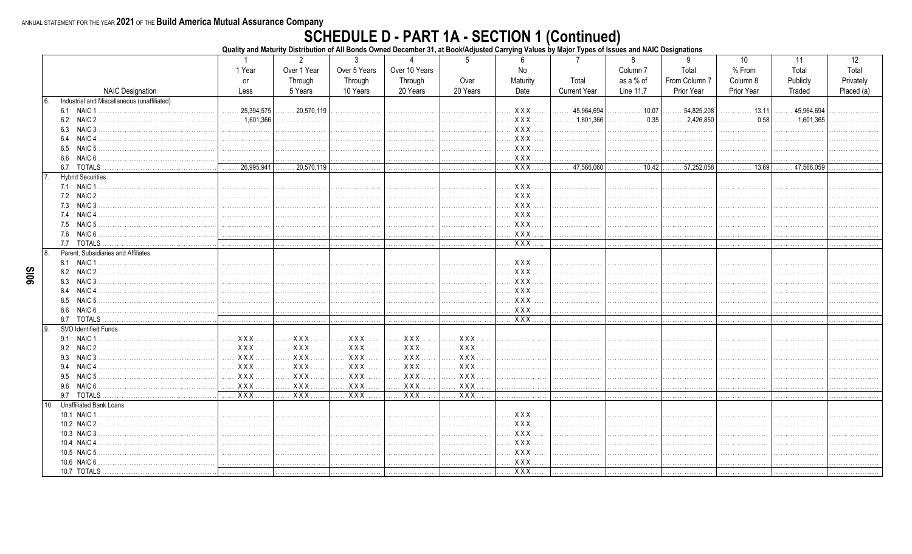# SCHEDULE D - PART 1A - SECTION 1 (Continued)<br>Quality and Maturity Distribution of All Bonds Owned December 31, at Book/Adjusted Carrying Values by Major Types of Issues and NAIC Designations

|                                                     | $\overline{1}$     | $\overline{2}$        | 3            | $\mathbf{\Delta}$ | 5               | 6                                                                                                                                                                                                                                                                                                                                                                                    | -7                  | 8                         | 9                         | 10                | 11                        | 12         |
|-----------------------------------------------------|--------------------|-----------------------|--------------|-------------------|-----------------|--------------------------------------------------------------------------------------------------------------------------------------------------------------------------------------------------------------------------------------------------------------------------------------------------------------------------------------------------------------------------------------|---------------------|---------------------------|---------------------------|-------------------|---------------------------|------------|
|                                                     | 1 Year             | Over 1 Year           | Over 5 Years | Over 10 Years     |                 | No                                                                                                                                                                                                                                                                                                                                                                                   |                     | Column <sub>7</sub>       | Total                     | % From            | Total                     | Total      |
|                                                     | or                 | Through               | Through      | Through           | Over            | Maturity                                                                                                                                                                                                                                                                                                                                                                             | Total               | as a % of                 | From Column 7             | Column 8          | Publicly                  | Privately  |
| <b>NAIC Designation</b>                             | Less               | 5 Years               | 10 Years     | 20 Years          | 20 Years        | Date                                                                                                                                                                                                                                                                                                                                                                                 | <b>Current Year</b> | Line 11.7                 | Prior Year                | <b>Prior Year</b> | Traded                    | Placed (a) |
| Industrial and Miscellaneous (unaffiliated)<br>6.   |                    |                       |              |                   |                 |                                                                                                                                                                                                                                                                                                                                                                                      |                     |                           |                           |                   |                           |            |
|                                                     | 25,394,575         | $\ldots$ 20,570,119   | .            |                   | .               | $XXX$                                                                                                                                                                                                                                                                                                                                                                                | 45,964,694          | 10.07                     | .54,825,208<br>.          | 13.11             | 45,964,694                |            |
|                                                     | $\ldots$ 1.601.366 | .                     |              |                   |                 | <b>XXX</b>                                                                                                                                                                                                                                                                                                                                                                           | $\ldots$ 1.601.366  |                           | $\ldots \ldots 2,426,850$ | . 0.58            | $\ldots \ldots 1.601.365$ |            |
| 6.3<br>NAIC 3                                       |                    |                       |              |                   |                 | XXX                                                                                                                                                                                                                                                                                                                                                                                  | .                   | .                         |                           | .                 |                           |            |
| NAIC <sub>4</sub><br>6.4                            | .                  |                       | .            | .                 | .               | XXX                                                                                                                                                                                                                                                                                                                                                                                  | .                   | .                         | .                         |                   |                           |            |
| 6.5<br>NAIC <sub>5</sub>                            | .                  |                       |              |                   |                 | XXX                                                                                                                                                                                                                                                                                                                                                                                  | .                   | .                         |                           | .                 |                           |            |
| 6.6<br>NAIC 6                                       |                    |                       |              |                   |                 | XXX                                                                                                                                                                                                                                                                                                                                                                                  | .                   | .                         |                           |                   | .                         |            |
| 6.7                                                 | 26,995,941         | .20,570,119           | .            | .                 |                 | . XXX                                                                                                                                                                                                                                                                                                                                                                                | .47,566,060<br>.    | $\overline{\cdots}$ 10.42 | $\overline{57,252,058}$   | 13.69             | .47,566,059               |            |
| <b>Hybrid Securities</b>                            |                    |                       |              |                   |                 |                                                                                                                                                                                                                                                                                                                                                                                      |                     |                           |                           |                   |                           |            |
|                                                     |                    |                       |              |                   |                 | XXX                                                                                                                                                                                                                                                                                                                                                                                  | .                   |                           |                           |                   |                           |            |
| 7.2 NAIC 2                                          |                    |                       |              |                   | .               | <b>XXX</b>                                                                                                                                                                                                                                                                                                                                                                           | .                   | .                         | .                         | .                 |                           |            |
| NAIC 3<br>7.3                                       |                    |                       |              |                   |                 | XXX                                                                                                                                                                                                                                                                                                                                                                                  | .                   | .                         |                           | .                 | .                         |            |
| 7.4 NAIC 4                                          |                    |                       |              |                   |                 | <b>XXX</b>                                                                                                                                                                                                                                                                                                                                                                           |                     | .                         |                           | .                 |                           |            |
| 7.5                                                 |                    |                       |              |                   |                 | XXX                                                                                                                                                                                                                                                                                                                                                                                  | .                   | .                         |                           |                   | .                         |            |
| 7.6<br>NAIC 6.                                      | .                  | .                     | .            | .                 | .               | XXX                                                                                                                                                                                                                                                                                                                                                                                  | .                   | .                         | .                         | .                 | .                         |            |
|                                                     |                    | .                     | .            |                   | .               | XXX                                                                                                                                                                                                                                                                                                                                                                                  | .                   | .                         | .                         | .                 | .                         |            |
| $\mathsf{R}$<br>Parent. Subsidiaries and Affiliates |                    |                       |              |                   |                 |                                                                                                                                                                                                                                                                                                                                                                                      |                     |                           |                           |                   |                           |            |
|                                                     |                    |                       |              |                   |                 | XXX                                                                                                                                                                                                                                                                                                                                                                                  | .                   |                           |                           |                   |                           |            |
| 8.2 NAIC 2                                          |                    |                       |              |                   | .               | $XXX$                                                                                                                                                                                                                                                                                                                                                                                | .                   | .                         |                           | .                 |                           |            |
| NAIC 3.<br>8.3                                      |                    |                       |              |                   |                 | XXX                                                                                                                                                                                                                                                                                                                                                                                  | .                   | .                         |                           | .                 | .                         |            |
| NAIC <sub>4</sub><br>8.4                            |                    |                       |              |                   |                 | XXX                                                                                                                                                                                                                                                                                                                                                                                  | .                   | .                         |                           | .                 | .                         |            |
| 8.5                                                 |                    |                       |              |                   |                 | XXX                                                                                                                                                                                                                                                                                                                                                                                  | .                   |                           |                           |                   |                           | .          |
| 8.6<br>NAIC 6 .                                     |                    |                       |              |                   |                 | XXX                                                                                                                                                                                                                                                                                                                                                                                  | .                   | .                         | .                         | .                 | .                         | .          |
| 8.7 TOTALS                                          | .                  |                       |              |                   |                 | $\overline{X}$ $\overline{X}$ $\overline{X}$ $\overline{X}$ $\overline{X}$ $\overline{X}$ $\overline{X}$ $\overline{X}$ $\overline{X}$ $\overline{X}$ $\overline{X}$ $\overline{X}$ $\overline{X}$ $\overline{X}$ $\overline{X}$ $\overline{X}$ $\overline{X}$ $\overline{X}$ $\overline{X}$ $\overline{X}$ $\overline{X}$ $\overline{X}$ $\overline{X}$ $\overline{X}$ $\overline{$ | .                   | .                         | .                         | .                 |                           |            |
| 9<br>SVO Identified Funds                           |                    |                       |              |                   |                 |                                                                                                                                                                                                                                                                                                                                                                                      |                     |                           |                           |                   |                           |            |
| 9.1 NAIC 1                                          | <b>XXX</b>         |                       | XXX          | XXX               | <b>XXX</b><br>. |                                                                                                                                                                                                                                                                                                                                                                                      |                     |                           |                           |                   |                           |            |
| 9.2 NAIC 2                                          | XXX.<br>.          | XXX                   | <b>XXX</b>   | XXX<br>1.1.1.1    | <b>XXX</b>      | .                                                                                                                                                                                                                                                                                                                                                                                    | .                   | .                         |                           | .                 |                           |            |
| NAIC <sub>3</sub><br>9.3                            | <b>XXX</b><br>.    | $ $ $XXX$             |              | xxx    xxx        | <b>XXX</b>      |                                                                                                                                                                                                                                                                                                                                                                                      | .                   |                           |                           | .                 | .                         |            |
|                                                     | <b>XXX</b><br>.    | XXX                   | XXX.         | XXX               | <b>XXX</b><br>. |                                                                                                                                                                                                                                                                                                                                                                                      |                     |                           |                           |                   |                           |            |
| NAIC 5<br>9.5                                       | <b>XXX</b>         | <b>XXX</b><br>1.1.1.1 | <b>XXX</b> . | XXX               | <b>XXX</b>      | .                                                                                                                                                                                                                                                                                                                                                                                    | .                   | .                         | .                         | .                 |                           |            |
| NAIC 6.<br>9.6                                      | X X X              | XXX                   |              |                   | XXX             |                                                                                                                                                                                                                                                                                                                                                                                      | .                   | .                         | .                         | .                 | .                         |            |
| 9.7 TOTALS                                          | $XXX$              | $XXX$                 | XXX          | $\overline{XXX}$  | $XXX$           | .                                                                                                                                                                                                                                                                                                                                                                                    | .                   | .                         |                           | .                 |                           |            |
| <b>Unaffiliated Bank Loans</b><br>10 <sub>1</sub>   |                    |                       |              |                   |                 |                                                                                                                                                                                                                                                                                                                                                                                      |                     |                           |                           |                   |                           |            |
|                                                     |                    |                       |              |                   |                 | XXX                                                                                                                                                                                                                                                                                                                                                                                  | .                   |                           |                           |                   |                           |            |
| 10.2 NAIC 2.                                        |                    |                       |              |                   |                 | XXX                                                                                                                                                                                                                                                                                                                                                                                  | .                   |                           |                           |                   |                           |            |
| 10.3 NAIC 3                                         |                    |                       |              |                   |                 | <b>XXX</b><br>.                                                                                                                                                                                                                                                                                                                                                                      | .                   | .                         |                           | .                 |                           |            |
| 10.4 NAIC 4                                         |                    |                       |              |                   |                 | XXX                                                                                                                                                                                                                                                                                                                                                                                  | .                   | .                         |                           |                   | .                         |            |
| 10.5 NAIC 5                                         | .                  |                       |              |                   |                 | XXX.                                                                                                                                                                                                                                                                                                                                                                                 |                     |                           | .                         | .                 |                           |            |
| 10.6 NAIC 6.                                        |                    |                       |              |                   |                 | XXX                                                                                                                                                                                                                                                                                                                                                                                  | .                   | .                         |                           | .                 | .                         |            |
| 10.7 TOTALS                                         | .                  | .                     | .            | .                 | .               | . <b>XXX</b>                                                                                                                                                                                                                                                                                                                                                                         | .                   | .                         |                           | .                 | .                         |            |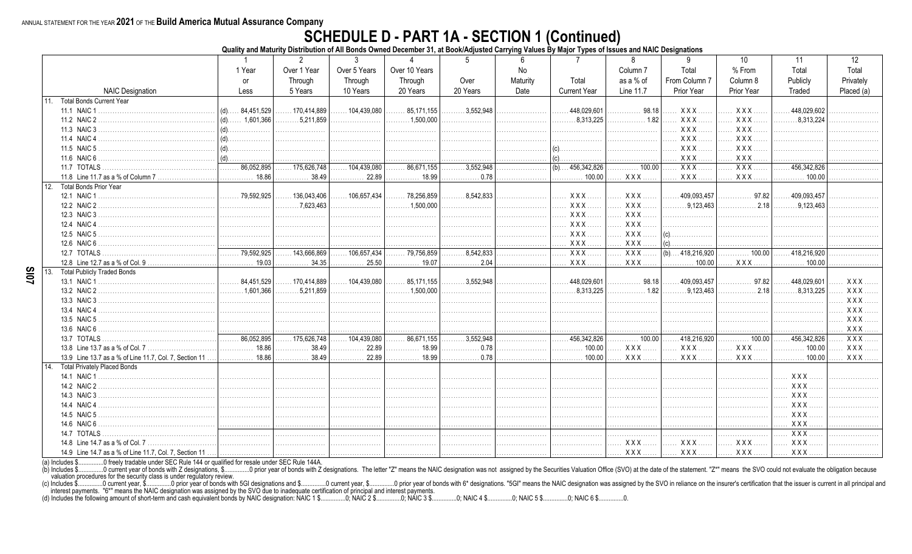## **SCHEDULE D - PART 1A - SECTION 1 (Continued)**<br>Quality and Maturity Distribution of All Bonds Owned December 31, at Book/Adjusted Carrying Values By Major Types of Issues and NAIC Designations

| Over 5 Years<br>Over 1 Year<br>Over 10 Years<br>Total<br>% From<br>Total<br>Total<br>1 Year<br>No<br>Column <sub>7</sub><br>From Column 7<br>Total<br>as a % of<br>Column 8<br>Publicly<br>Through<br>Through<br>Through<br>Over<br>Maturity<br>Privately<br><b>or</b><br><b>NAIC Designation</b><br>20 Years<br><b>Current Year</b><br>Line 11.7<br>Prior Year<br><b>Prior Year</b><br>5 Years<br>10 Years<br>20 Years<br>Date<br>Traded<br>Placed (a)<br>Less<br><b>Total Bonds Current Year</b><br>11.<br>.448,029,601<br>98.18<br>XXX.<br>XXX.<br>448,029,602<br>.170,414,889<br>104.439.080<br>85.171.155<br>3.552.948<br>11.1 NAIC 1<br>84,451,529<br>(d)<br>.<br>$\ldots \ldots 5,211,859$<br>.8,313,225<br>1.82<br><b>XXX</b><br>$XXX$<br>$\ldots \ldots 8,313,224$<br>11.2 NAIC 2<br>$(d)$ 1,601,366<br>.<br>.<br>.<br>.<br><b>XXX</b><br>XXX.<br>11.3 NAIC 3<br><b>XXX</b><br><b>XXX</b><br>.<br>.<br>.<br>.<br><b>XXX</b><br>XXX.<br>11.5 NAIC 5<br>.<br>.<br>$XXX$<br><b>XXX</b><br>11.6 NAIC 6<br>$ $ (d).<br>$\vert$ (c).<br>.<br>.<br>.<br>$\overline{XXX}$ .<br>86.052.895<br>$\overline{3.552.948}$<br>$\overline{XXX}$<br>11.7 TOTALS<br>.86,671,155<br>$(b)$ 456,342,826<br>100.00<br>456,342,826<br>175.626.748<br>.104.439.080<br>.<br><b>XXX</b><br><b>XXX</b><br>11.8 Line 11.7 as a % of Column 7<br>18.86<br>. 38.49<br>22.89<br>18.99<br><b>XXX</b> .<br>. 100.00<br>. 0.78<br>$\ldots \ldots \ldots 100.00$<br>.<br>12.<br><b>Total Bonds Prior Year</b><br>$XXX$<br><b>XXX</b><br>.79,592,925<br>$\ldots \ldots 8.542.833$<br>97.82<br>. 136,043,406<br>$\ldots$ 106,657,434<br>$\ldots$ 78,256,859<br>409,093,457<br>.409,093,457<br>12.1 NAIC 1<br>$\cdots$<br>.<br>.<br>.2.18<br>.7.623.463<br>.1,500,000<br>XXX<br><b>XXX</b><br>.9,123,463<br>$\ldots \ldots 9,123,463$<br>12.2 NAIC 2<br>.<br>.<br>.<br>$\cdots$<br>.<br>.<br>.<br>XXX.<br>$XXX$<br>12.3 NAIC 3<br>.<br>.<br>.<br>.<br>.<br>XXX<br>XXX<br>12.4 NAIC 4<br>XXX<br><b>XXX</b><br>$(c)$<br>12.5 NAIC 5<br>.<br>.<br>XXX.<br><b>XXX</b><br>12.6 NAIC 6<br>$(c)$ .<br>.<br>.<br>.<br>.<br>.<br>$\overline{XXX}$ .<br>$\overline{XXX}$<br>$\overline{1,1}$ 79,592,925<br>.143,666,869<br>$\overline{79,756,859}$<br>.8,542,833<br>$(b) \ldots 418,216,920$<br>$\overline{\cdots}$ 100.00<br>12.7 TOTALS<br>$\ldots$ 106,657,434<br>.418,216,920<br>.<br>.<br>XXX.<br>19.03<br>34.35<br>25.50<br>19.07<br>. 2.04<br>XXX.<br><b>XXX</b><br>12.8 Line 12.7 as a % of Col. 9<br>.100.00<br>100.00<br>.<br>.<br>13.<br><b>Total Publicly Traded Bonds</b><br>170,414,889<br>$\ldots$ 104,439,080<br>85,171,155<br>$\ldots \ldots 3,552,948$<br>$\ldots$ . 448,029,601<br>. 98.18<br>$\ldots$ . 409,093,457<br>$\ldots$ 84,451,529<br>. 97.82<br>$\ldots$ . 448,029,601<br>$XXX$<br>13.1 NAIC 1<br>.<br>$\ldots \ldots \ldots 1.500.000$<br>$\ldots \ldots \ldots 1.601.366$<br>.5.211.859<br>.8.313.225<br>. 1.82<br>.9.123.463<br>.2.18<br>.8.313.225<br>13.2 NAIC 2<br>XXX<br>.<br>.<br><u>.</u><br>.<br>$XXX$<br>13.3 NAIC 3.<br>.<br>.<br>.<br>.<br>.<br>.<br><b>XXX</b><br>13.4 NAIC 4<br>.<br>.<br>.<br>.<br>.<br>13.5 NAIC 5<br><b>XXX</b><br>.<br>.<br>.<br>13.6 NAIC 6<br><b>XXX</b><br>$\overline{\ldots \ldots 86,052,895}$<br>$\overline{\ldots}$ 175,626,748<br>$\overline{104,439,080}$<br>$\overline{\ldots \ldots 86,671,155}$<br>$\overline{\ldots \ldots 3,552,948}$<br>$\overline{111111}$ 456,342,826<br>$\overline{\cdots}$ 100.00<br>.418,216,920<br>$\overline{\cdots}$ 100.00<br>$\overline{\ldots \ldots 456,342,826}$<br>$XXX$<br>13.7 TOTALS<br>.<br>18.86<br>38.49<br>22.89<br>18.99<br>0.78<br>100.00<br>XXX.<br><b>XXX</b><br>XXX.<br><b>XXX</b><br>13.8 Line 13.7 as a % of Col. 7<br>100.00<br>.<br>.18.86 |                                                        |   | 2     | 3     | $\Lambda$ | 5     | 6 | $\overline{7}$ | 8       | 9    | 10    | 11                            | 12         |
|----------------------------------------------------------------------------------------------------------------------------------------------------------------------------------------------------------------------------------------------------------------------------------------------------------------------------------------------------------------------------------------------------------------------------------------------------------------------------------------------------------------------------------------------------------------------------------------------------------------------------------------------------------------------------------------------------------------------------------------------------------------------------------------------------------------------------------------------------------------------------------------------------------------------------------------------------------------------------------------------------------------------------------------------------------------------------------------------------------------------------------------------------------------------------------------------------------------------------------------------------------------------------------------------------------------------------------------------------------------------------------------------------------------------------------------------------------------------------------------------------------------------------------------------------------------------------------------------------------------------------------------------------------------------------------------------------------------------------------------------------------------------------------------------------------------------------------------------------------------------------------------------------------------------------------------------------------------------------------------------------------------------------------------------------------------------------------------------------------------------------------------------------------------------------------------------------------------------------------------------------------------------------------------------------------------------------------------------------------------------------------------------------------------------------------------------------------------------------------------------------------------------------------------------------------------------------------------------------------------------------------------------------------------------------------------------------------------------------------------------------------------------------------------------------------------------------------------------------------------------------------------------------------------------------------------------------------------------------------------------------------------------------------------------------------------------------------------------------------------------------------------------------------------------------------------------------------------------------------------------------------------------------------------------------------------------------------------------------------------------------------------------------------------------------------------------------------------------------------------------------------------------------------------------------------------------------------------------------------------------------------------------------------------------------------------------------------------------------------|--------------------------------------------------------|---|-------|-------|-----------|-------|---|----------------|---------|------|-------|-------------------------------|------------|
|                                                                                                                                                                                                                                                                                                                                                                                                                                                                                                                                                                                                                                                                                                                                                                                                                                                                                                                                                                                                                                                                                                                                                                                                                                                                                                                                                                                                                                                                                                                                                                                                                                                                                                                                                                                                                                                                                                                                                                                                                                                                                                                                                                                                                                                                                                                                                                                                                                                                                                                                                                                                                                                                                                                                                                                                                                                                                                                                                                                                                                                                                                                                                                                                                                                                                                                                                                                                                                                                                                                                                                                                                                                                                                                                  |                                                        |   |       |       |           |       |   |                |         |      |       |                               |            |
|                                                                                                                                                                                                                                                                                                                                                                                                                                                                                                                                                                                                                                                                                                                                                                                                                                                                                                                                                                                                                                                                                                                                                                                                                                                                                                                                                                                                                                                                                                                                                                                                                                                                                                                                                                                                                                                                                                                                                                                                                                                                                                                                                                                                                                                                                                                                                                                                                                                                                                                                                                                                                                                                                                                                                                                                                                                                                                                                                                                                                                                                                                                                                                                                                                                                                                                                                                                                                                                                                                                                                                                                                                                                                                                                  |                                                        |   |       |       |           |       |   |                |         |      |       |                               |            |
|                                                                                                                                                                                                                                                                                                                                                                                                                                                                                                                                                                                                                                                                                                                                                                                                                                                                                                                                                                                                                                                                                                                                                                                                                                                                                                                                                                                                                                                                                                                                                                                                                                                                                                                                                                                                                                                                                                                                                                                                                                                                                                                                                                                                                                                                                                                                                                                                                                                                                                                                                                                                                                                                                                                                                                                                                                                                                                                                                                                                                                                                                                                                                                                                                                                                                                                                                                                                                                                                                                                                                                                                                                                                                                                                  |                                                        |   |       |       |           |       |   |                |         |      |       |                               |            |
|                                                                                                                                                                                                                                                                                                                                                                                                                                                                                                                                                                                                                                                                                                                                                                                                                                                                                                                                                                                                                                                                                                                                                                                                                                                                                                                                                                                                                                                                                                                                                                                                                                                                                                                                                                                                                                                                                                                                                                                                                                                                                                                                                                                                                                                                                                                                                                                                                                                                                                                                                                                                                                                                                                                                                                                                                                                                                                                                                                                                                                                                                                                                                                                                                                                                                                                                                                                                                                                                                                                                                                                                                                                                                                                                  |                                                        |   |       |       |           |       |   |                |         |      |       |                               |            |
|                                                                                                                                                                                                                                                                                                                                                                                                                                                                                                                                                                                                                                                                                                                                                                                                                                                                                                                                                                                                                                                                                                                                                                                                                                                                                                                                                                                                                                                                                                                                                                                                                                                                                                                                                                                                                                                                                                                                                                                                                                                                                                                                                                                                                                                                                                                                                                                                                                                                                                                                                                                                                                                                                                                                                                                                                                                                                                                                                                                                                                                                                                                                                                                                                                                                                                                                                                                                                                                                                                                                                                                                                                                                                                                                  |                                                        |   |       |       |           |       |   |                |         |      |       |                               |            |
|                                                                                                                                                                                                                                                                                                                                                                                                                                                                                                                                                                                                                                                                                                                                                                                                                                                                                                                                                                                                                                                                                                                                                                                                                                                                                                                                                                                                                                                                                                                                                                                                                                                                                                                                                                                                                                                                                                                                                                                                                                                                                                                                                                                                                                                                                                                                                                                                                                                                                                                                                                                                                                                                                                                                                                                                                                                                                                                                                                                                                                                                                                                                                                                                                                                                                                                                                                                                                                                                                                                                                                                                                                                                                                                                  |                                                        |   |       |       |           |       |   |                |         |      |       |                               |            |
|                                                                                                                                                                                                                                                                                                                                                                                                                                                                                                                                                                                                                                                                                                                                                                                                                                                                                                                                                                                                                                                                                                                                                                                                                                                                                                                                                                                                                                                                                                                                                                                                                                                                                                                                                                                                                                                                                                                                                                                                                                                                                                                                                                                                                                                                                                                                                                                                                                                                                                                                                                                                                                                                                                                                                                                                                                                                                                                                                                                                                                                                                                                                                                                                                                                                                                                                                                                                                                                                                                                                                                                                                                                                                                                                  |                                                        |   |       |       |           |       |   |                |         |      |       |                               |            |
|                                                                                                                                                                                                                                                                                                                                                                                                                                                                                                                                                                                                                                                                                                                                                                                                                                                                                                                                                                                                                                                                                                                                                                                                                                                                                                                                                                                                                                                                                                                                                                                                                                                                                                                                                                                                                                                                                                                                                                                                                                                                                                                                                                                                                                                                                                                                                                                                                                                                                                                                                                                                                                                                                                                                                                                                                                                                                                                                                                                                                                                                                                                                                                                                                                                                                                                                                                                                                                                                                                                                                                                                                                                                                                                                  |                                                        |   |       |       |           |       |   |                |         |      |       |                               |            |
|                                                                                                                                                                                                                                                                                                                                                                                                                                                                                                                                                                                                                                                                                                                                                                                                                                                                                                                                                                                                                                                                                                                                                                                                                                                                                                                                                                                                                                                                                                                                                                                                                                                                                                                                                                                                                                                                                                                                                                                                                                                                                                                                                                                                                                                                                                                                                                                                                                                                                                                                                                                                                                                                                                                                                                                                                                                                                                                                                                                                                                                                                                                                                                                                                                                                                                                                                                                                                                                                                                                                                                                                                                                                                                                                  |                                                        |   |       |       |           |       |   |                |         |      |       |                               |            |
|                                                                                                                                                                                                                                                                                                                                                                                                                                                                                                                                                                                                                                                                                                                                                                                                                                                                                                                                                                                                                                                                                                                                                                                                                                                                                                                                                                                                                                                                                                                                                                                                                                                                                                                                                                                                                                                                                                                                                                                                                                                                                                                                                                                                                                                                                                                                                                                                                                                                                                                                                                                                                                                                                                                                                                                                                                                                                                                                                                                                                                                                                                                                                                                                                                                                                                                                                                                                                                                                                                                                                                                                                                                                                                                                  |                                                        |   |       |       |           |       |   |                |         |      |       |                               |            |
|                                                                                                                                                                                                                                                                                                                                                                                                                                                                                                                                                                                                                                                                                                                                                                                                                                                                                                                                                                                                                                                                                                                                                                                                                                                                                                                                                                                                                                                                                                                                                                                                                                                                                                                                                                                                                                                                                                                                                                                                                                                                                                                                                                                                                                                                                                                                                                                                                                                                                                                                                                                                                                                                                                                                                                                                                                                                                                                                                                                                                                                                                                                                                                                                                                                                                                                                                                                                                                                                                                                                                                                                                                                                                                                                  |                                                        |   |       |       |           |       |   |                |         |      |       |                               |            |
|                                                                                                                                                                                                                                                                                                                                                                                                                                                                                                                                                                                                                                                                                                                                                                                                                                                                                                                                                                                                                                                                                                                                                                                                                                                                                                                                                                                                                                                                                                                                                                                                                                                                                                                                                                                                                                                                                                                                                                                                                                                                                                                                                                                                                                                                                                                                                                                                                                                                                                                                                                                                                                                                                                                                                                                                                                                                                                                                                                                                                                                                                                                                                                                                                                                                                                                                                                                                                                                                                                                                                                                                                                                                                                                                  |                                                        |   |       |       |           |       |   |                |         |      |       |                               |            |
|                                                                                                                                                                                                                                                                                                                                                                                                                                                                                                                                                                                                                                                                                                                                                                                                                                                                                                                                                                                                                                                                                                                                                                                                                                                                                                                                                                                                                                                                                                                                                                                                                                                                                                                                                                                                                                                                                                                                                                                                                                                                                                                                                                                                                                                                                                                                                                                                                                                                                                                                                                                                                                                                                                                                                                                                                                                                                                                                                                                                                                                                                                                                                                                                                                                                                                                                                                                                                                                                                                                                                                                                                                                                                                                                  |                                                        |   |       |       |           |       |   |                |         |      |       |                               |            |
|                                                                                                                                                                                                                                                                                                                                                                                                                                                                                                                                                                                                                                                                                                                                                                                                                                                                                                                                                                                                                                                                                                                                                                                                                                                                                                                                                                                                                                                                                                                                                                                                                                                                                                                                                                                                                                                                                                                                                                                                                                                                                                                                                                                                                                                                                                                                                                                                                                                                                                                                                                                                                                                                                                                                                                                                                                                                                                                                                                                                                                                                                                                                                                                                                                                                                                                                                                                                                                                                                                                                                                                                                                                                                                                                  |                                                        |   |       |       |           |       |   |                |         |      |       |                               |            |
|                                                                                                                                                                                                                                                                                                                                                                                                                                                                                                                                                                                                                                                                                                                                                                                                                                                                                                                                                                                                                                                                                                                                                                                                                                                                                                                                                                                                                                                                                                                                                                                                                                                                                                                                                                                                                                                                                                                                                                                                                                                                                                                                                                                                                                                                                                                                                                                                                                                                                                                                                                                                                                                                                                                                                                                                                                                                                                                                                                                                                                                                                                                                                                                                                                                                                                                                                                                                                                                                                                                                                                                                                                                                                                                                  |                                                        |   |       |       |           |       |   |                |         |      |       |                               |            |
|                                                                                                                                                                                                                                                                                                                                                                                                                                                                                                                                                                                                                                                                                                                                                                                                                                                                                                                                                                                                                                                                                                                                                                                                                                                                                                                                                                                                                                                                                                                                                                                                                                                                                                                                                                                                                                                                                                                                                                                                                                                                                                                                                                                                                                                                                                                                                                                                                                                                                                                                                                                                                                                                                                                                                                                                                                                                                                                                                                                                                                                                                                                                                                                                                                                                                                                                                                                                                                                                                                                                                                                                                                                                                                                                  |                                                        |   |       |       |           |       |   |                |         |      |       |                               |            |
|                                                                                                                                                                                                                                                                                                                                                                                                                                                                                                                                                                                                                                                                                                                                                                                                                                                                                                                                                                                                                                                                                                                                                                                                                                                                                                                                                                                                                                                                                                                                                                                                                                                                                                                                                                                                                                                                                                                                                                                                                                                                                                                                                                                                                                                                                                                                                                                                                                                                                                                                                                                                                                                                                                                                                                                                                                                                                                                                                                                                                                                                                                                                                                                                                                                                                                                                                                                                                                                                                                                                                                                                                                                                                                                                  |                                                        |   |       |       |           |       |   |                |         |      |       |                               |            |
|                                                                                                                                                                                                                                                                                                                                                                                                                                                                                                                                                                                                                                                                                                                                                                                                                                                                                                                                                                                                                                                                                                                                                                                                                                                                                                                                                                                                                                                                                                                                                                                                                                                                                                                                                                                                                                                                                                                                                                                                                                                                                                                                                                                                                                                                                                                                                                                                                                                                                                                                                                                                                                                                                                                                                                                                                                                                                                                                                                                                                                                                                                                                                                                                                                                                                                                                                                                                                                                                                                                                                                                                                                                                                                                                  |                                                        |   |       |       |           |       |   |                |         |      |       |                               |            |
|                                                                                                                                                                                                                                                                                                                                                                                                                                                                                                                                                                                                                                                                                                                                                                                                                                                                                                                                                                                                                                                                                                                                                                                                                                                                                                                                                                                                                                                                                                                                                                                                                                                                                                                                                                                                                                                                                                                                                                                                                                                                                                                                                                                                                                                                                                                                                                                                                                                                                                                                                                                                                                                                                                                                                                                                                                                                                                                                                                                                                                                                                                                                                                                                                                                                                                                                                                                                                                                                                                                                                                                                                                                                                                                                  |                                                        |   |       |       |           |       |   |                |         |      |       |                               |            |
|                                                                                                                                                                                                                                                                                                                                                                                                                                                                                                                                                                                                                                                                                                                                                                                                                                                                                                                                                                                                                                                                                                                                                                                                                                                                                                                                                                                                                                                                                                                                                                                                                                                                                                                                                                                                                                                                                                                                                                                                                                                                                                                                                                                                                                                                                                                                                                                                                                                                                                                                                                                                                                                                                                                                                                                                                                                                                                                                                                                                                                                                                                                                                                                                                                                                                                                                                                                                                                                                                                                                                                                                                                                                                                                                  |                                                        |   |       |       |           |       |   |                |         |      |       |                               |            |
|                                                                                                                                                                                                                                                                                                                                                                                                                                                                                                                                                                                                                                                                                                                                                                                                                                                                                                                                                                                                                                                                                                                                                                                                                                                                                                                                                                                                                                                                                                                                                                                                                                                                                                                                                                                                                                                                                                                                                                                                                                                                                                                                                                                                                                                                                                                                                                                                                                                                                                                                                                                                                                                                                                                                                                                                                                                                                                                                                                                                                                                                                                                                                                                                                                                                                                                                                                                                                                                                                                                                                                                                                                                                                                                                  |                                                        |   |       |       |           |       |   |                |         |      |       |                               |            |
|                                                                                                                                                                                                                                                                                                                                                                                                                                                                                                                                                                                                                                                                                                                                                                                                                                                                                                                                                                                                                                                                                                                                                                                                                                                                                                                                                                                                                                                                                                                                                                                                                                                                                                                                                                                                                                                                                                                                                                                                                                                                                                                                                                                                                                                                                                                                                                                                                                                                                                                                                                                                                                                                                                                                                                                                                                                                                                                                                                                                                                                                                                                                                                                                                                                                                                                                                                                                                                                                                                                                                                                                                                                                                                                                  |                                                        |   |       |       |           |       |   |                |         |      |       |                               |            |
|                                                                                                                                                                                                                                                                                                                                                                                                                                                                                                                                                                                                                                                                                                                                                                                                                                                                                                                                                                                                                                                                                                                                                                                                                                                                                                                                                                                                                                                                                                                                                                                                                                                                                                                                                                                                                                                                                                                                                                                                                                                                                                                                                                                                                                                                                                                                                                                                                                                                                                                                                                                                                                                                                                                                                                                                                                                                                                                                                                                                                                                                                                                                                                                                                                                                                                                                                                                                                                                                                                                                                                                                                                                                                                                                  |                                                        |   |       |       |           |       |   |                |         |      |       |                               |            |
|                                                                                                                                                                                                                                                                                                                                                                                                                                                                                                                                                                                                                                                                                                                                                                                                                                                                                                                                                                                                                                                                                                                                                                                                                                                                                                                                                                                                                                                                                                                                                                                                                                                                                                                                                                                                                                                                                                                                                                                                                                                                                                                                                                                                                                                                                                                                                                                                                                                                                                                                                                                                                                                                                                                                                                                                                                                                                                                                                                                                                                                                                                                                                                                                                                                                                                                                                                                                                                                                                                                                                                                                                                                                                                                                  |                                                        |   |       |       |           |       |   |                |         |      |       |                               |            |
|                                                                                                                                                                                                                                                                                                                                                                                                                                                                                                                                                                                                                                                                                                                                                                                                                                                                                                                                                                                                                                                                                                                                                                                                                                                                                                                                                                                                                                                                                                                                                                                                                                                                                                                                                                                                                                                                                                                                                                                                                                                                                                                                                                                                                                                                                                                                                                                                                                                                                                                                                                                                                                                                                                                                                                                                                                                                                                                                                                                                                                                                                                                                                                                                                                                                                                                                                                                                                                                                                                                                                                                                                                                                                                                                  |                                                        |   |       |       |           |       |   |                |         |      |       |                               |            |
|                                                                                                                                                                                                                                                                                                                                                                                                                                                                                                                                                                                                                                                                                                                                                                                                                                                                                                                                                                                                                                                                                                                                                                                                                                                                                                                                                                                                                                                                                                                                                                                                                                                                                                                                                                                                                                                                                                                                                                                                                                                                                                                                                                                                                                                                                                                                                                                                                                                                                                                                                                                                                                                                                                                                                                                                                                                                                                                                                                                                                                                                                                                                                                                                                                                                                                                                                                                                                                                                                                                                                                                                                                                                                                                                  |                                                        |   |       |       |           |       |   |                |         |      |       |                               |            |
|                                                                                                                                                                                                                                                                                                                                                                                                                                                                                                                                                                                                                                                                                                                                                                                                                                                                                                                                                                                                                                                                                                                                                                                                                                                                                                                                                                                                                                                                                                                                                                                                                                                                                                                                                                                                                                                                                                                                                                                                                                                                                                                                                                                                                                                                                                                                                                                                                                                                                                                                                                                                                                                                                                                                                                                                                                                                                                                                                                                                                                                                                                                                                                                                                                                                                                                                                                                                                                                                                                                                                                                                                                                                                                                                  |                                                        |   |       |       |           |       |   |                |         |      |       |                               |            |
|                                                                                                                                                                                                                                                                                                                                                                                                                                                                                                                                                                                                                                                                                                                                                                                                                                                                                                                                                                                                                                                                                                                                                                                                                                                                                                                                                                                                                                                                                                                                                                                                                                                                                                                                                                                                                                                                                                                                                                                                                                                                                                                                                                                                                                                                                                                                                                                                                                                                                                                                                                                                                                                                                                                                                                                                                                                                                                                                                                                                                                                                                                                                                                                                                                                                                                                                                                                                                                                                                                                                                                                                                                                                                                                                  |                                                        |   |       |       |           |       |   |                |         |      |       |                               |            |
|                                                                                                                                                                                                                                                                                                                                                                                                                                                                                                                                                                                                                                                                                                                                                                                                                                                                                                                                                                                                                                                                                                                                                                                                                                                                                                                                                                                                                                                                                                                                                                                                                                                                                                                                                                                                                                                                                                                                                                                                                                                                                                                                                                                                                                                                                                                                                                                                                                                                                                                                                                                                                                                                                                                                                                                                                                                                                                                                                                                                                                                                                                                                                                                                                                                                                                                                                                                                                                                                                                                                                                                                                                                                                                                                  |                                                        |   |       |       |           |       |   |                |         |      |       |                               |            |
|                                                                                                                                                                                                                                                                                                                                                                                                                                                                                                                                                                                                                                                                                                                                                                                                                                                                                                                                                                                                                                                                                                                                                                                                                                                                                                                                                                                                                                                                                                                                                                                                                                                                                                                                                                                                                                                                                                                                                                                                                                                                                                                                                                                                                                                                                                                                                                                                                                                                                                                                                                                                                                                                                                                                                                                                                                                                                                                                                                                                                                                                                                                                                                                                                                                                                                                                                                                                                                                                                                                                                                                                                                                                                                                                  |                                                        |   |       |       |           |       |   |                |         |      |       |                               |            |
|                                                                                                                                                                                                                                                                                                                                                                                                                                                                                                                                                                                                                                                                                                                                                                                                                                                                                                                                                                                                                                                                                                                                                                                                                                                                                                                                                                                                                                                                                                                                                                                                                                                                                                                                                                                                                                                                                                                                                                                                                                                                                                                                                                                                                                                                                                                                                                                                                                                                                                                                                                                                                                                                                                                                                                                                                                                                                                                                                                                                                                                                                                                                                                                                                                                                                                                                                                                                                                                                                                                                                                                                                                                                                                                                  | 13.9 Line 13.7 as a % of Line 11.7, Col. 7, Section 11 | . | 38.49 | 22.89 | 18.99     | .0.78 |   | 100.00         | $XXX$ . | XXX. | $XXX$ | $\ldots \ldots \ldots 100.00$ | <b>XXX</b> |
| <b>Total Privately Placed Bonds</b><br>14                                                                                                                                                                                                                                                                                                                                                                                                                                                                                                                                                                                                                                                                                                                                                                                                                                                                                                                                                                                                                                                                                                                                                                                                                                                                                                                                                                                                                                                                                                                                                                                                                                                                                                                                                                                                                                                                                                                                                                                                                                                                                                                                                                                                                                                                                                                                                                                                                                                                                                                                                                                                                                                                                                                                                                                                                                                                                                                                                                                                                                                                                                                                                                                                                                                                                                                                                                                                                                                                                                                                                                                                                                                                                        |                                                        |   |       |       |           |       |   |                |         |      |       |                               |            |
| $XXX$<br>.<br>.<br>.<br>.<br>.<br>.<br>.                                                                                                                                                                                                                                                                                                                                                                                                                                                                                                                                                                                                                                                                                                                                                                                                                                                                                                                                                                                                                                                                                                                                                                                                                                                                                                                                                                                                                                                                                                                                                                                                                                                                                                                                                                                                                                                                                                                                                                                                                                                                                                                                                                                                                                                                                                                                                                                                                                                                                                                                                                                                                                                                                                                                                                                                                                                                                                                                                                                                                                                                                                                                                                                                                                                                                                                                                                                                                                                                                                                                                                                                                                                                                         |                                                        |   |       |       |           |       |   |                |         |      |       |                               |            |
| XXX<br>14.2 NAIC 2<br>.<br>.<br>.                                                                                                                                                                                                                                                                                                                                                                                                                                                                                                                                                                                                                                                                                                                                                                                                                                                                                                                                                                                                                                                                                                                                                                                                                                                                                                                                                                                                                                                                                                                                                                                                                                                                                                                                                                                                                                                                                                                                                                                                                                                                                                                                                                                                                                                                                                                                                                                                                                                                                                                                                                                                                                                                                                                                                                                                                                                                                                                                                                                                                                                                                                                                                                                                                                                                                                                                                                                                                                                                                                                                                                                                                                                                                                |                                                        |   |       |       |           |       |   |                |         |      |       |                               |            |
| $XXX$<br>14.3 NAIC 3<br>.<br>.<br>.<br>.<br>.<br>.<br>.<br>.                                                                                                                                                                                                                                                                                                                                                                                                                                                                                                                                                                                                                                                                                                                                                                                                                                                                                                                                                                                                                                                                                                                                                                                                                                                                                                                                                                                                                                                                                                                                                                                                                                                                                                                                                                                                                                                                                                                                                                                                                                                                                                                                                                                                                                                                                                                                                                                                                                                                                                                                                                                                                                                                                                                                                                                                                                                                                                                                                                                                                                                                                                                                                                                                                                                                                                                                                                                                                                                                                                                                                                                                                                                                     |                                                        |   |       |       |           |       |   |                |         |      |       |                               |            |
| <b>XXX</b><br>14.4 NAIC 4<br>.<br>.                                                                                                                                                                                                                                                                                                                                                                                                                                                                                                                                                                                                                                                                                                                                                                                                                                                                                                                                                                                                                                                                                                                                                                                                                                                                                                                                                                                                                                                                                                                                                                                                                                                                                                                                                                                                                                                                                                                                                                                                                                                                                                                                                                                                                                                                                                                                                                                                                                                                                                                                                                                                                                                                                                                                                                                                                                                                                                                                                                                                                                                                                                                                                                                                                                                                                                                                                                                                                                                                                                                                                                                                                                                                                              |                                                        |   |       |       |           |       |   |                |         |      |       |                               |            |
| XXX.<br>14.5 NAIC 5<br>.<br>.<br>.<br>.<br>.<br>.<br>.<br>.                                                                                                                                                                                                                                                                                                                                                                                                                                                                                                                                                                                                                                                                                                                                                                                                                                                                                                                                                                                                                                                                                                                                                                                                                                                                                                                                                                                                                                                                                                                                                                                                                                                                                                                                                                                                                                                                                                                                                                                                                                                                                                                                                                                                                                                                                                                                                                                                                                                                                                                                                                                                                                                                                                                                                                                                                                                                                                                                                                                                                                                                                                                                                                                                                                                                                                                                                                                                                                                                                                                                                                                                                                                                      |                                                        |   |       |       |           |       |   |                |         |      |       |                               |            |
| <b>XXX</b><br>14.6 NAIC 6<br>.                                                                                                                                                                                                                                                                                                                                                                                                                                                                                                                                                                                                                                                                                                                                                                                                                                                                                                                                                                                                                                                                                                                                                                                                                                                                                                                                                                                                                                                                                                                                                                                                                                                                                                                                                                                                                                                                                                                                                                                                                                                                                                                                                                                                                                                                                                                                                                                                                                                                                                                                                                                                                                                                                                                                                                                                                                                                                                                                                                                                                                                                                                                                                                                                                                                                                                                                                                                                                                                                                                                                                                                                                                                                                                   |                                                        |   |       |       |           |       |   |                |         |      |       |                               |            |
| $XXX$ .<br>14.7 TOTALS<br>.<br>.<br>.<br>.                                                                                                                                                                                                                                                                                                                                                                                                                                                                                                                                                                                                                                                                                                                                                                                                                                                                                                                                                                                                                                                                                                                                                                                                                                                                                                                                                                                                                                                                                                                                                                                                                                                                                                                                                                                                                                                                                                                                                                                                                                                                                                                                                                                                                                                                                                                                                                                                                                                                                                                                                                                                                                                                                                                                                                                                                                                                                                                                                                                                                                                                                                                                                                                                                                                                                                                                                                                                                                                                                                                                                                                                                                                                                       |                                                        |   |       |       |           |       |   |                |         |      |       |                               |            |
| XXX.<br>XXX<br><b>XXX</b><br>14.8 Line 14.7 as a % of Col. 7<br><b>XXX</b><br>.<br>.<br>.<br>.                                                                                                                                                                                                                                                                                                                                                                                                                                                                                                                                                                                                                                                                                                                                                                                                                                                                                                                                                                                                                                                                                                                                                                                                                                                                                                                                                                                                                                                                                                                                                                                                                                                                                                                                                                                                                                                                                                                                                                                                                                                                                                                                                                                                                                                                                                                                                                                                                                                                                                                                                                                                                                                                                                                                                                                                                                                                                                                                                                                                                                                                                                                                                                                                                                                                                                                                                                                                                                                                                                                                                                                                                                   |                                                        |   |       |       |           |       |   |                |         |      |       |                               |            |
| XXX<br>$XXX$<br>XXX<br>XXX<br>14.9 Line 14.7 as a % of Line 11.7, Col. 7, Section 11<br>.<br>.<br>.<br>.                                                                                                                                                                                                                                                                                                                                                                                                                                                                                                                                                                                                                                                                                                                                                                                                                                                                                                                                                                                                                                                                                                                                                                                                                                                                                                                                                                                                                                                                                                                                                                                                                                                                                                                                                                                                                                                                                                                                                                                                                                                                                                                                                                                                                                                                                                                                                                                                                                                                                                                                                                                                                                                                                                                                                                                                                                                                                                                                                                                                                                                                                                                                                                                                                                                                                                                                                                                                                                                                                                                                                                                                                         |                                                        |   |       |       |           |       |   |                |         |      |       |                               |            |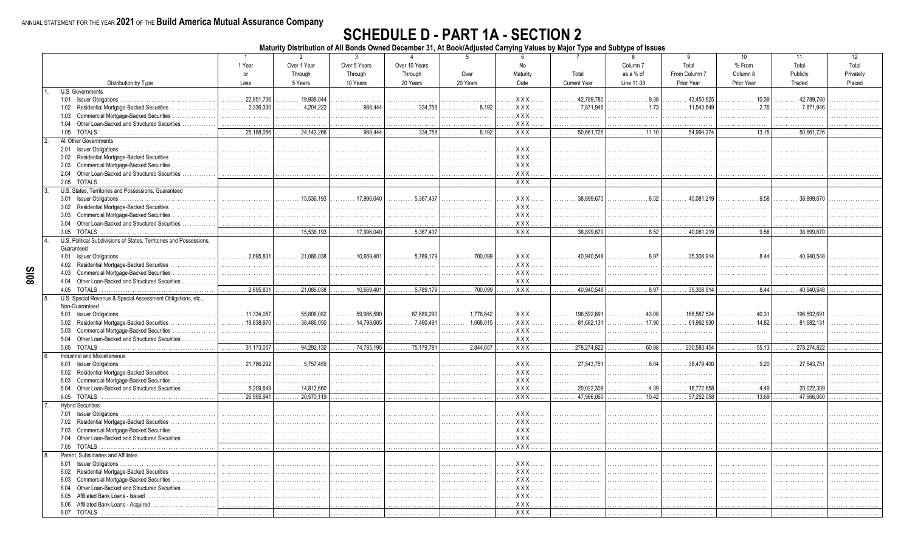#### **SCHEDULE D - PART 1A - SECTION 2**

Maturity Distribution of All Bonds Owned December 31, At Book/Adjusted Carrying Values by Major Type and Subtype of Issues

|              |                                                                                           | $\overline{1}$                               | $\overline{2}$      | $\mathbf{3}$               | $\overline{4}$        | -5                            | 6                      | $\overline{7}$                   | 8                         | 9                           | 10 <sup>1</sup>                               | 11                          | 12        |
|--------------|-------------------------------------------------------------------------------------------|----------------------------------------------|---------------------|----------------------------|-----------------------|-------------------------------|------------------------|----------------------------------|---------------------------|-----------------------------|-----------------------------------------------|-----------------------------|-----------|
|              |                                                                                           | 1 Year                                       | Over 1 Year         | Over 5 Years               | Over 10 Years         |                               | No                     |                                  | Column <sub>7</sub>       | Total                       | % From                                        | Total                       | Total     |
|              |                                                                                           | or                                           | Through             | Through                    | Through               | Over                          | Maturity               | Total                            | as a % of                 | From Column 7               | Column 8                                      | Publicly                    | Privatelv |
|              | Distribution by Type                                                                      | Less                                         | 5 Years             | 10 Years                   | 20 Years              | 20 Years                      | Date                   | <b>Current Year</b>              | Line 11.08                | Prior Year                  | Prior Year                                    | Traded                      | Placed    |
|              | U.S. Governments                                                                          |                                              |                     |                            |                       |                               |                        |                                  |                           |                             |                                               |                             |           |
|              | 1.01 Issuer Obligations                                                                   | 22.851.736                                   | $\ldots$ 19,938,044 |                            |                       |                               | XXX.                   | 42.789.780                       | .9.38                     | 43,450,625                  | 10.39                                         | 42.789.780                  |           |
|              | 1.02 Residential Mortgage-Backed Securities.<br>.                                         | 2,336,330<br>.                               | 4,204,222<br>.      | 988,444<br>.               | 334.758<br>.          | . 8,192                       | <b>XXX</b><br>$\cdots$ | $\ldots \ldots \ldots$ 7,871,946 | . 1.73                    |                             | .2.76<br>.                                    | 7.871.946<br>.              |           |
|              | 1.03 Commercial Mortgage-Backed Securities                                                | .                                            | .                   | .                          | .                     | 1.1.1.1                       | XXX<br>1.1.1.          | $\mathbf{1}$                     | .                         |                             |                                               |                             |           |
|              | 1.04 Other Loan-Backed and Structured Securities                                          | .                                            | .                   | .                          | .                     | .                             | . X X X                | .                                | .                         | .                           | .                                             |                             |           |
|              | 1.05 TOTALS                                                                               | 25.188.066<br>.                              | 24.142.266          | 988.444<br>.               | 334.758<br>.          | 8.192<br>.                    | $\overline{XXX}$       | 50,661,726<br>.                  | 11.10<br>.                | 54.994.274<br>.             | 13.15<br>.                                    | 50,661,726                  |           |
|              | All Other Governments                                                                     |                                              |                     |                            |                       |                               |                        |                                  |                           |                             |                                               |                             |           |
|              |                                                                                           | .                                            |                     |                            | .                     | .                             | $XXX$                  |                                  |                           |                             |                                               |                             |           |
|              |                                                                                           |                                              |                     |                            |                       |                               | XXX                    |                                  |                           |                             |                                               |                             |           |
|              | 2.02 Residential Mortgage-Backed Securities<br>2.03 Commercial Mortgage-Backed Securities |                                              |                     | .                          | .                     | .                             | . XXX                  | .                                | .                         | .                           | .                                             |                             |           |
|              |                                                                                           | .                                            |                     |                            |                       | .                             | <b>XXX</b> .           |                                  | .                         | .                           |                                               |                             |           |
|              | 2.04 Other Loan-Backed and Structured Securities                                          | .                                            |                     |                            | .                     | .                             |                        | .                                | .                         | .                           | .                                             |                             |           |
|              | 2.05 TOTALS                                                                               | .                                            | .                   | .                          | .                     | .                             | $XXX$                  | .                                | .                         | .                           | .                                             |                             |           |
| $\mathbf{3}$ | U.S. States, Territories and Possessions, Guaranteed                                      |                                              |                     |                            |                       |                               |                        |                                  |                           |                             |                                               |                             |           |
|              |                                                                                           | .                                            | 15.536.193<br>.     | $\ldots \ldots 17,996,040$ | 5.367.437             |                               | $XXX$                  | 38.899.670                       | 8.52                      | 40.081.219                  | .9.58                                         | 38,899.670                  |           |
|              | 3.02 Residential Mortgage-Backed Securities                                               |                                              |                     | .                          | .                     | .                             | $XXX$<br>.             | .                                | .                         | .                           | .                                             |                             |           |
|              | 3.03 Commercial Mortgage-Backed Securities                                                | .                                            |                     |                            |                       |                               | XXX<br>.               |                                  |                           |                             |                                               |                             |           |
|              | 3.04 Other Loan-Backed and Structured Securities                                          | .                                            | .                   | .                          | .                     | .                             | $\ldots$ XXX           | .                                | .                         | .                           | .                                             |                             |           |
|              | 3.05<br>TOTALS                                                                            | .                                            | 15,536,193<br>.     |                            | 5,367,437<br>.        | .                             | . XXX                  | 38,899,670<br>.                  | .8.52<br>.                | 40,081,219<br>.             | $\ldots \ldots \ldots \ldots 9.58$            | 38,899,670<br>.             | .         |
| 4.           | U.S. Political Subdivisions of States, Territories and Possessions.                       |                                              |                     |                            |                       |                               |                        |                                  |                           |                             |                                               |                             |           |
|              | Guaranteed                                                                                |                                              |                     |                            |                       |                               |                        |                                  |                           |                             |                                               |                             |           |
|              |                                                                                           | 2.695.831<br>.                               |                     | $\ldots \ldots 10,669,401$ | 5,789,179<br>.        | 700,099<br>.                  | . X X X                | 40.940.548<br>.                  | .8.97<br>.                | $\ldots \ldots 35,308,914$  | . 8.44                                        | 40.940.548                  |           |
|              | 4.02 Residential Mortgage-Backed Securities                                               | .                                            | .                   | .                          |                       | .                             | XXX.<br>.<br>.         | .                                | .                         |                             |                                               |                             |           |
|              | 4.03 Commercial Mortgage-Backed Securities                                                | .                                            |                     |                            | .                     | .                             | . XXX                  | .                                | .                         | .                           | .                                             |                             |           |
|              | 4.04 Other Loan-Backed and Structured Securities                                          | .                                            |                     | .                          | .                     | .                             | $XXX$<br>.             | .                                | .                         | .                           |                                               |                             |           |
|              |                                                                                           |                                              |                     |                            |                       |                               |                        |                                  |                           |                             |                                               |                             |           |
|              | 4.05 TOTALS                                                                               | 2,695,831<br>.                               |                     |                            | 5,789,179<br>.        | 700.099<br>.                  | XXX                    | 40,940,548<br>.                  | . 8.97                    | 35,308,914<br>.             | $\overline{\cdots \cdots \cdots \cdots 8.44}$ | 40.940.548<br>.             |           |
|              | U.S. Special Revenue & Special Assessment Obligations, etc.,                              |                                              |                     |                            |                       |                               |                        |                                  |                           |                             |                                               |                             |           |
|              | Non-Guaranteed                                                                            |                                              |                     |                            |                       |                               |                        |                                  |                           |                             |                                               |                             |           |
|              |                                                                                           | 11,334,087<br>.                              | 55,806,082          | 59.986.590                 | 67.689.290            | 1.776.642<br>.                | $XXX$<br>1.1.1.        | 196,592,691                      | 43.08<br>.                | $\ldots \ldots 168,587,524$ | 40.31                                         | $\ldots \ldots 196.592.691$ |           |
|              | 5.02 Residential Mortgage-Backed Securities                                               | 19.838.970<br>.                              | 38.486.050          | 14.798.605                 | 7.490.491             | 1.068.015<br>.                | $XXX$<br>.             | 81.682.131<br>.                  | 17.90<br>.                | 61.992.930                  | 14.82                                         | 81.682.131                  |           |
|              | Commercial Mortgage-Backed Securities<br>5.03                                             | .                                            |                     | .                          | .                     | .                             | $XXX$<br>.             | .                                | .                         | .                           | .                                             | .                           |           |
|              | 5.04 Other Loan-Backed and Structured Securities                                          |                                              |                     |                            | .                     |                               | <b>XXX</b> .           |                                  |                           |                             |                                               |                             |           |
|              |                                                                                           | $\overline{\ldots \ldots \ldots}$ 31,173,057 |                     |                            | $\ldots$ . 75,179,781 | $\overline{\ldots}$ 2,844,657 |                        | 278.274.822<br>.                 | 60.98<br>.                | $\ldots$ . 230,580,454      | 55.13                                         | $\ldots \ldots 278,274,822$ | .         |
|              | Industrial and Miscellaneous                                                              |                                              |                     |                            |                       |                               |                        |                                  |                           |                             |                                               |                             |           |
|              | 6.01 Issuer Obligations.                                                                  | 21,786,292<br>.                              | 5.757.459           |                            |                       | .                             | XXX                    | 27.543.751                       | 6.04                      | 38.479.400                  | .9.20                                         | 27.543.751                  |           |
|              | 6.02 Residential Mortgage-Backed Securities                                               |                                              |                     |                            | .                     | .                             | XXX                    | .                                |                           |                             |                                               | .                           |           |
|              | Commercial Mortgage-Backed Securities<br>6.03                                             | .                                            |                     |                            |                       | .                             | $XXX$<br>.             | .                                | .                         | .                           |                                               |                             |           |
|              | 6.04 Other Loan-Backed and Structured Securities.                                         | 5,209,649<br>.                               |                     | .<br>.                     | .                     | .                             | XXX                    | 20,022,309<br>.                  | . 4.39                    |                             | . 4.49                                        |                             |           |
|              | 6.05 TOTALS                                                                               | 26,995,941<br>.                              | $\cdots$ 20,570,119 | .                          | .                     | .                             | . X X X                | 47,566,060<br>.                  | $\overline{\cdots}$ 10.42 |                             | $\overline{\cdots}$ 13.69                     | $\ldots \ldots 47,566,060$  | .         |
|              | <b>Hybrid Securities</b>                                                                  |                                              |                     |                            |                       |                               |                        |                                  |                           |                             |                                               |                             |           |
|              |                                                                                           | .                                            |                     |                            |                       | .                             | XXX.<br>.              |                                  |                           |                             |                                               |                             |           |
|              | 7.02 Residential Mortgage-Backed Securities                                               | .                                            |                     | .                          | .                     | .                             | . X X X                |                                  | .                         |                             |                                               |                             |           |
|              | Commercial Mortgage-Backed Securities<br>7.03                                             | .                                            |                     | .                          | .                     | .                             | XXX                    | .                                | .                         | .                           | .                                             |                             |           |
|              | 7.04 Other Loan-Backed and Structured Securities.                                         | .                                            | .                   |                            | .                     | .                             | <b>XXX</b> .           |                                  | .                         |                             |                                               |                             |           |
|              |                                                                                           | .                                            |                     | .                          | .                     | .                             |                        | .                                | .                         |                             | .                                             | .                           | .         |
|              | Parent, Subsidiaries and Affiliates                                                       |                                              |                     |                            |                       |                               |                        |                                  |                           |                             |                                               |                             |           |
|              |                                                                                           |                                              |                     | .                          |                       | .                             | $XXX$                  |                                  |                           |                             |                                               |                             |           |
|              |                                                                                           |                                              |                     |                            | .                     |                               | . XXX                  | .                                | .                         |                             | .                                             |                             |           |
|              | 8.02 Residential Mortgage-Backed Securities<br>8.03                                       |                                              |                     |                            | .                     | .<br>.                        | . XXX                  |                                  | .                         | .                           |                                               |                             |           |
|              | Commercial Mortgage-Backed Securities                                                     |                                              |                     |                            |                       |                               |                        |                                  |                           |                             |                                               |                             |           |
|              | 8.04 Other Loan-Backed and Structured Securities                                          | .                                            |                     |                            | .                     | .                             | . XXX                  |                                  | .                         | .<br>.                      |                                               |                             |           |
|              | 8.05 Affiliated Bank Loans - Issued                                                       |                                              |                     |                            | .                     | .                             | <b>XXX</b> .           |                                  | .                         |                             | .                                             |                             |           |
|              | 8.06<br>Affiliated Bank Loans - Acquired<br>8.07 TOTALS                                   | .                                            |                     | .<br>.                     | .                     | .                             | $XXX$<br>$XXX$         |                                  | .<br>.                    | .                           | .<br>.                                        |                             |           |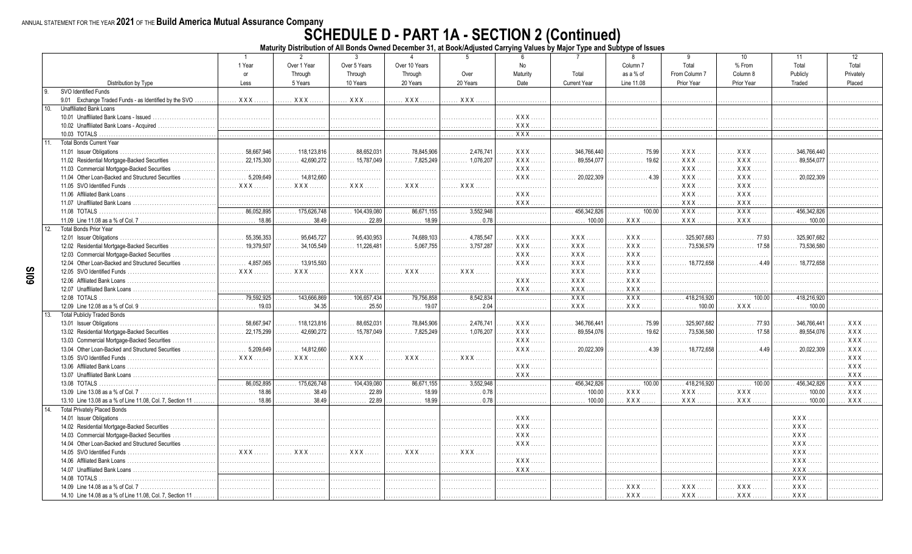# ANNUAL STATEMENT FOR THE YEAR 2021 OF THE Build America Mutual Assurance Company<br>Maturity Distribution of All Bonds Owned December 31, at Book/Adjusted Carrying Values by Major Type and Subtype of Issues

|                                                            | $\overline{1}$   | $\overline{2}$               | $\mathbf{3}$               | $\overline{4}$   | 5              | 6                      | $\overline{7}$      | $\mathbf{8}$               | 9                  | 10               | 11                     | 12         |
|------------------------------------------------------------|------------------|------------------------------|----------------------------|------------------|----------------|------------------------|---------------------|----------------------------|--------------------|------------------|------------------------|------------|
|                                                            | 1 Year           | Over 1 Year                  | Over 5 Years               | Over 10 Years    |                | No                     |                     | Column <sub>7</sub>        | Total              | % From           | Total                  | Total      |
|                                                            | or               | Through                      | Through                    | Through          | Over           | Maturity               | Total               | as a % of                  | From Column 7      | Column 8         | Publicly               | Privately  |
| Distribution by Type                                       | Less             | 5 Years                      | 10 Years                   | 20 Years         | 20 Years       | Date                   | <b>Current Year</b> | Line 11.08                 | Prior Year         | Prior Year       | Traded                 | Placed     |
| SVO Identified Funds                                       |                  |                              |                            |                  |                |                        |                     |                            |                    |                  |                        |            |
| 9.01 Exchange Traded Funds - as Identified by the SVO      | $XXX$            | XXX                          | . <b>XXX</b>               | $XXX$            | XXX.           | .                      | .                   | .                          | .                  | .                |                        |            |
| 10.<br><b>Unaffiliated Bank Loans</b>                      |                  |                              |                            |                  |                |                        |                     |                            |                    |                  |                        |            |
| 10.01 Unaffiliated Bank Loans - Issued                     | .                | .                            |                            |                  |                | XXX<br>.               | .                   | .                          | .                  | .                |                        |            |
| 10.02 Unaffiliated Bank Loans - Acquired.                  | .                | .                            | .                          |                  |                | XXX.                   | .                   | .                          | .                  |                  |                        |            |
| 10.03 TOTALS                                               | .                | .                            | .                          | .                | .              | $\overline{XXX}$ .     | .                   | .                          | .                  | .                |                        |            |
| <b>Total Bonds Current Year</b><br>11.                     |                  |                              |                            |                  |                |                        |                     |                            |                    |                  |                        |            |
| 11.01 Issuer Obligations.                                  | 58.667.946       | $\ldots$ . 118.123.816       | 88.652.031                 | 78.845.906       | 2.476.741      | $XXX$                  | 346.766.440         | 75.99                      | XXX.               | $XXX$            | 346.766.440            |            |
| 11.02 Residential Mortgage-Backed Securities               | 22,175,300       | 42,690,272                   | $\ldots \ldots 15.787.049$ | 7,825,249        | 1,076,207<br>. | XXX.                   | 89.554.077<br>.     | 19.62<br>.                 | XXX.               | $XXX$            | 89.554.077             |            |
| 11.03 Commercial Mortgage-Backed Securities                | .                | .                            |                            | .                | .              | XXX.<br>.              | .                   | .                          | <b>XXX</b>         | $XXX$            |                        |            |
| 11.04 Other Loan-Backed and Structured Securities          | $5,209,649$<br>. | 14,812,660                   | .                          | .                | .              | XXX                    | 20.022.309<br>.     | . 4.39                     | <b>XXX</b>         | <b>XXX</b>       | 20.022.309<br>.        |            |
| 11.05 SVO Identified Funds                                 | XXX              | $XXX$<br>1.1.1.1             | XXX                        | $XXX$            | XXX            | .                      | .                   | .                          | XXX.               | $XXX$            |                        |            |
| 11.06 Affiliated Bank Loans                                | .                | .                            |                            | .                | .              | XXX<br>.               | .                   | .                          | XXX.<br>1.1.1.1    | X X X            |                        |            |
| 11.07 Unaffiliated Bank Loans                              | .                |                              | .                          | .                | .              | XXX                    | .                   | .                          | XXX.               | XXX.             |                        |            |
| 11.08 TOTALS                                               | 86,052,895<br>.  | 175.626.748                  | 104.439.080                | 86.671.155       | 3,552,948<br>. | .                      | 456.342.826<br>.    | 100.00<br>.                | $\overline{XXX}$   | $\overline{XXX}$ | 456.342.826            |            |
| 11.09 Line 11.08 as a % of Col. 7                          | . 18.86          | 38.49                        | 22.89                      | $\ldots$ 18.99   | 0.78           |                        | 100.00              | XXX                        | XXX.               | $XXX$            | 100.00                 |            |
| 12.<br><b>Total Bonds Prior Year</b>                       |                  |                              |                            |                  |                |                        |                     |                            |                    |                  |                        |            |
|                                                            | 55.356.353<br>.  | $\ldots \ldots$ 95.645.727   | 95.430.953<br>.            |                  | 4.785.547<br>. | XXX<br>.               | . XXX               | $XXX$<br>$\ldots$          | 325.907.683<br>.   | 77.93<br>.       | 325.907.682            |            |
| 12.02 Residential Mortgage-Backed Securities               | 19,379,507<br>.  | $\ldots \ldots 34.105.549$   |                            | 5.067.755        | 3.757.287<br>. | XXX.<br>1.1.1.<br>.    | <b>XXX</b> .        | $XXX$<br>$\cdots$          | 73.536.579<br>.    | 17.58<br>.       | 73.536.580             |            |
| 12.03 Commercial Mortgage-Backed Securities                | .                |                              | .                          | .                | .              | $XXX$<br>.             | XXX.<br>.           | XXX<br>.                   | .                  | .                |                        |            |
| 12.04 Other Loan-Backed and Structured Securities          | 4.857.065<br>.   | 13.915.593<br>.              | .                          | .                | .              | $XXX$<br>.             | XXX.                | . XXX                      | 18.772.658<br>.    | 449<br>.         | $\ldots$ 18.772.658    |            |
| 12.05 SVO Identified Funds                                 | XXX              | XXX                          | XXX<br>1.1.1.1             | $XXX$<br>1.1.1.1 | XXX.<br>.      | .                      | XXX                 | XXX<br>.                   | .                  | .                |                        |            |
| 12.06 Affiliated Bank Loans                                | .                | .                            | .                          | .                | .              | <b>XXX</b><br>$\cdots$ | <b>XXX</b> .        | XXX.<br>$\cdots$           |                    | .                |                        |            |
| 12.07 Unaffiliated Bank Loans                              | .                |                              |                            | .                | .              | XXX.                   | <b>XXX</b>          | <b>XXX</b>                 |                    |                  |                        |            |
| 12.08 TOTALS                                               | 79.592.925       | 143,666,869                  | . 106,657,434              |                  | 8,542,834<br>. | .                      | $XXX$ .             | <b>XXX</b>                 | 418.216.920        | 100.00           | 1.1.1418.216.920       |            |
| 12.09 Line 12.08 as a % of Col. 9.                         | . 19.03          | $\ldots \ldots \ldots 34.35$ | 25.50                      | $\ldots$ 19.07   | . 2.04         |                        | <b>XXX</b>          | XXX.                       | 100.00<br>.        | $\ldots$ XXX     | 100.00                 |            |
| <b>Total Publicly Traded Bonds</b><br>13.                  |                  |                              |                            |                  |                |                        |                     |                            |                    |                  |                        |            |
| 13.01 Issuer Obligations.                                  | 58,667,947       | $\ldots \ldots 118,123,816$  | 88,652,031                 | 78,845,906       | 2,476,741      | <b>XXX</b><br>.        | 346,766,441<br>.    | 75.99                      | 325,907,682<br>.   | 77.93<br>.       | 346,766,441            | $XXX$      |
| 13.02 Residential Mortgage-Backed Securities               | 22.175.299       | 42.690.272                   | 15.787.049                 | 7.825.249        | 1.076.207      | $XXX$<br>.             | 89.554.076<br>.     | 19.62<br>.                 | 73.536.580         | 17.58            | 89.554.076             | XXX        |
| 13.03 Commercial Mortgage-Backed Securities<br>.           | .                |                              | .                          | .                | .              | <b>XXX</b><br>.        | .                   | .                          | .                  | .                | .                      | XXX        |
| 13.04 Other Loan-Backed and Structured Securities          | 5.209.649<br>.   | 14,812,660<br>.              |                            | .                | .              | $XXX$<br>.             | 20.022.309<br>.     | .4.39<br>.                 | 18.772.658         | .4.49<br>.       | 20.022.309             | $XXX$      |
| 13.05 SVO Identified Funds                                 | XXX              | XXX                          | XXX                        | <b>XXX</b>       | XXX            | .                      | .                   | .                          |                    |                  |                        | <b>XXX</b> |
| 13.06 Affiliated Bank Loans                                |                  |                              |                            |                  | .              | <b>XXX</b>             |                     |                            |                    |                  |                        | <b>XXX</b> |
| 13.07 Unaffiliated Bank Loans                              | .                | .                            | .                          | .                | .              | XXX                    | .                   | .                          | .                  | .                | .                      | <b>XXX</b> |
| 13.08 TOTALS                                               | 86.052.895<br>.  | $\ldots$ 175,626,748         | $\overline{104,439,080}$   | 86.671.155<br>.  | 3.552.948<br>. | .                      | 456.342.826<br>.    | $\overline{\cdots}$ 100.00 | 418.216.920<br>.   | $\frac{1}{2}$    | 456.342.826<br>1.1.1.1 | $XXX$      |
| 13.09 Line 13.08 as a % of Col. 7                          | 18.86<br>.       | 38.49                        | 22.89                      |                  | .0.78          | .                      | 100.00<br>.         | XXX.                       | XXX.<br>$\ldots$ . | XXX.             | 100.00<br>.            | XXX.       |
| 13.10 Line 13.08 as a % of Line 11.08, Col. 7, Section 11  | 18.86            | 38.49                        | 22.89                      | 18.99            | .0.78          |                        | 100.00              | XXX.                       | XXX.               | XXX.             | 100.00                 | <b>XXX</b> |
| <b>Total Privately Placed Bonds</b><br>14.                 |                  |                              |                            |                  |                |                        |                     |                            |                    |                  |                        |            |
| 14.01 Issuer Obligations.                                  |                  |                              | .                          |                  | .              | XXX<br>.               | .                   | .                          | .                  | .                | XXX                    |            |
| 14.02 Residential Mortgage-Backed Securities               | .                |                              | .                          |                  | .              | XXX.<br>$\cdots$       | .                   | .                          | .                  |                  | <b>XXX</b>             |            |
| 14.03 Commercial Mortgage-Backed Securities                | .                |                              | .                          |                  | .              | XXX.<br>1.1.1.         | .                   | .                          | .                  |                  | <b>XXX</b>             |            |
| 14.04 Other Loan-Backed and Structured Securities          | .                |                              | .                          |                  | .              | XXX.<br>.              | .                   | .                          |                    | .                | <b>XXX</b>             |            |
| 14.05 SVO Identified Funds                                 | <b>XXX</b>       | XXX                          | XXX                        | . XXX            | XXX.           | .                      | .                   | .                          | .                  | .                | $XXX$                  |            |
| 14.06 Affiliated Bank Loans.                               | .                | .                            | .                          | .                | .              | XXX                    | .                   | .                          |                    | .                | $XXX$                  |            |
| 14.07 Unaffiliated Bank Loans                              | .                |                              |                            |                  |                | <b>XXX</b>             |                     | .                          | .                  |                  | <b>XXX</b>             |            |
| 14.08 TOTALS                                               | .                |                              |                            |                  |                | .                      | .                   | .                          | .                  |                  | <b>XXX</b>             |            |
| 14.09 Line 14.08 as a % of Col. 7                          | .                |                              |                            |                  |                | .                      | .                   | . XXX.                     | XXX.               | XXX.             | <b>XXX</b>             |            |
| 14.10 Line 14.08 as a % of Line 11.08, Col. 7, Section 11. |                  |                              |                            |                  |                |                        | .                   | XXX                        | XXX                | <b>XXX</b>       | <b>XXX</b>             |            |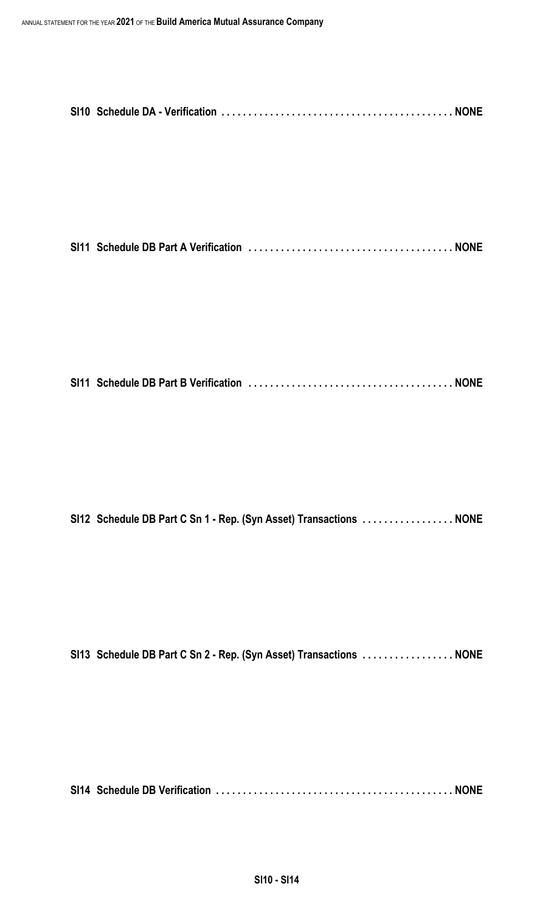|--|--|--|

|--|--|--|--|

|  |  |  |  | SI12 Schedule DB Part C Sn 1 - Rep. (Syn Asset) Transactions  NONE |
|--|--|--|--|--------------------------------------------------------------------|
|--|--|--|--|--------------------------------------------------------------------|

|  |  | SI13 Schedule DB Part C Sn 2 - Rep. (Syn Asset) Transactions  NONE |  |
|--|--|--------------------------------------------------------------------|--|
|--|--|--------------------------------------------------------------------|--|

**SI14 Schedule DB Verification . . . . . . . . . . . . . . . . . . . . . . . . . . . . . . . . . . . . . . . . . . . . NONE**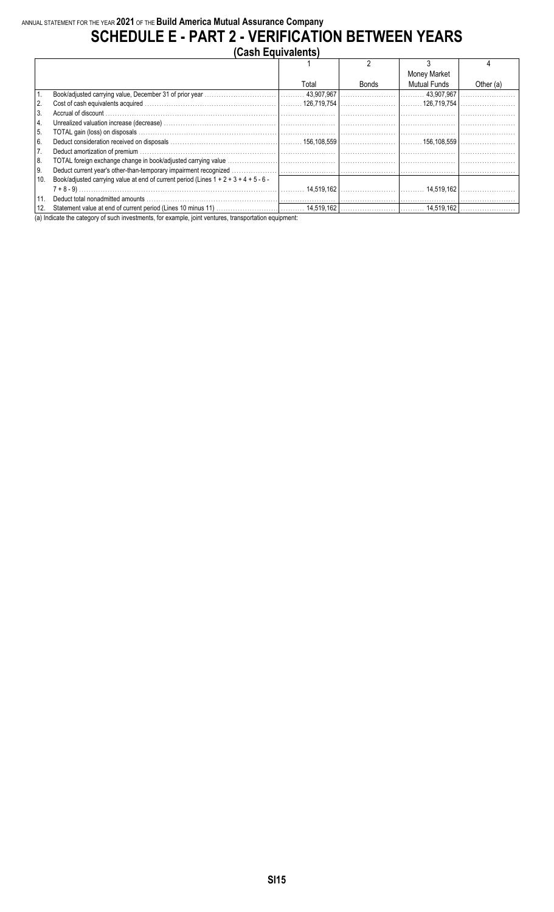#### **SCHEDULE E - PART 2 - VERIFICATION BETWEEN YEARS**

|               | (Cash Equivalents)                                                                       |       |       |              |             |
|---------------|------------------------------------------------------------------------------------------|-------|-------|--------------|-------------|
|               |                                                                                          |       |       |              |             |
|               |                                                                                          |       |       | Money Market |             |
|               |                                                                                          | Total | Bonds | Mutual Funds | Other $(a)$ |
| 1.            |                                                                                          |       |       |              |             |
| 2.            |                                                                                          |       |       |              |             |
| l 3.          |                                                                                          |       |       |              |             |
| 4.            |                                                                                          |       |       |              |             |
| <sup>5.</sup> |                                                                                          |       |       |              |             |
| 6.            |                                                                                          |       |       |              |             |
| 7.            |                                                                                          |       |       |              |             |
| 8.            |                                                                                          |       |       |              |             |
| 9.            |                                                                                          |       |       |              |             |
| 10.           | Book/adjusted carrying value at end of current period (Lines $1 + 2 + 3 + 4 + 5 - 6 - 1$ |       |       |              |             |
|               |                                                                                          |       |       |              |             |
| l 11.         |                                                                                          |       |       |              |             |
| 12.           |                                                                                          |       |       |              |             |

(a) Indicate the category of such investments, for example, joint ventures, transportation equipment: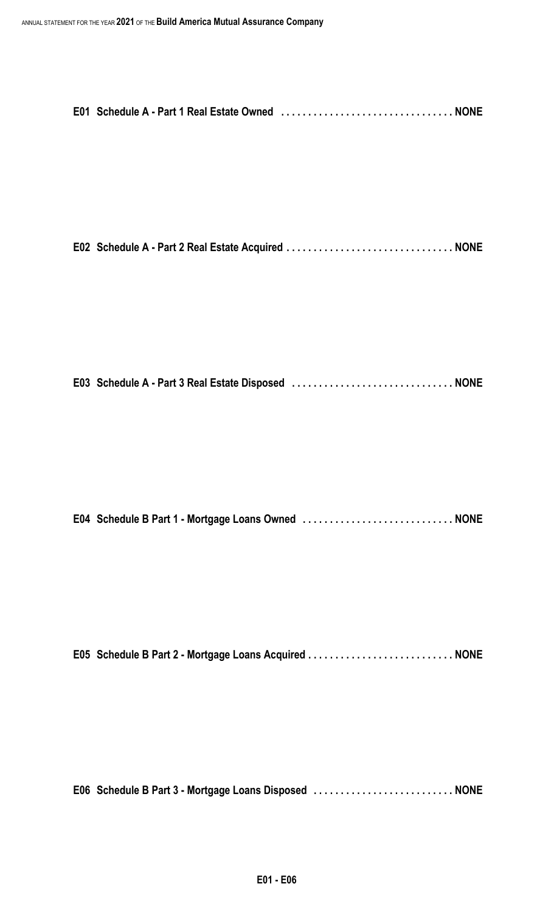|--|--|

|--|--|--|

|--|--|--|

|--|--|--|--|

|  |  | E05 Schedule B Part 2 - Mortgage Loans Acquired  NONE |  |
|--|--|-------------------------------------------------------|--|
|  |  |                                                       |  |

**E06 Schedule B Part 3 - Mortgage Loans Disposed . . . . . . . . . . . . . . . . . . . . . . . . . . NONE**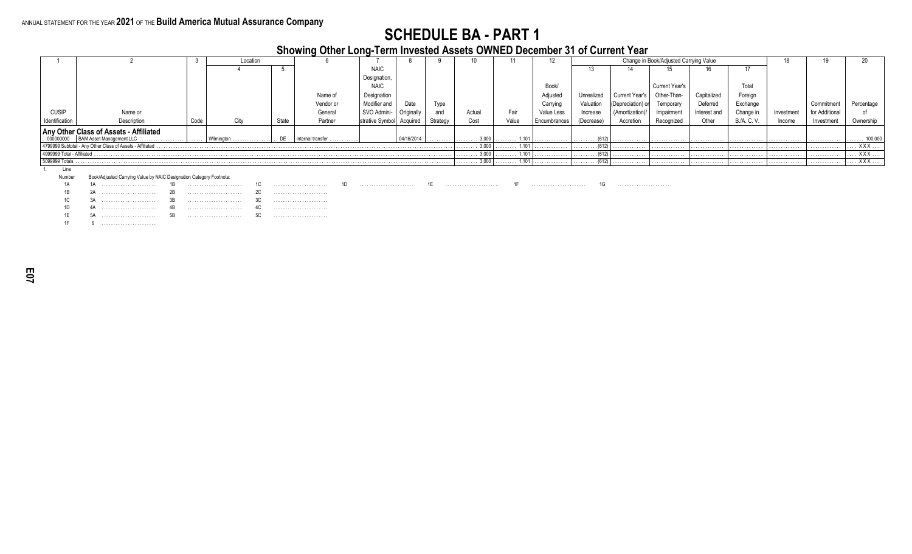**Showing Other Long-Term Invested Assets OWNED December 31 of Current Year**

|                            |                                                                                  |      | Location                               |          |                   |                          |            |          |                              |                       |              |                              |                    | Change in Book/Adjusted Carrying Value |              |             |            |               |            |
|----------------------------|----------------------------------------------------------------------------------|------|----------------------------------------|----------|-------------------|--------------------------|------------|----------|------------------------------|-----------------------|--------------|------------------------------|--------------------|----------------------------------------|--------------|-------------|------------|---------------|------------|
|                            |                                                                                  |      |                                        |          |                   | <b>NAIC</b>              |            |          |                              |                       |              |                              |                    |                                        |              |             |            |               |            |
|                            |                                                                                  |      |                                        |          |                   | Designation,             |            |          |                              |                       |              |                              |                    |                                        |              |             |            |               |            |
|                            |                                                                                  |      |                                        |          |                   | <b>NAIC</b>              |            |          |                              |                       | Book/        |                              |                    | <b>Current Year's</b>                  |              | Total       |            |               |            |
|                            |                                                                                  |      |                                        |          | Name of           | Designation              |            |          |                              |                       | Adjusted     | Unrealized                   | Current Year's     | Other-Than-                            | Capitalizec  | Foreign     |            |               |            |
|                            |                                                                                  |      |                                        |          | Vendor or         | Modifier and             | Date       | Type     |                              |                       | Carrying     | Valuation                    | (Depreciation) orl | Temporarv                              | Deferred     | Exchange    |            | Commitmen     | Percentage |
| <b>CUSIP</b>               | Name or                                                                          |      |                                        |          | General           | SVO Admini-              | Originally | and      | Actual                       | Fair                  | Value Less   | Increase                     | (Amortization)/    | Impairment                             | Interest and | Change in   | Investment | for Additiona |            |
| Identification             | Description                                                                      | Code |                                        | $C+$     | Partner           | strative Symbol Acquired |            | Strategy | Cost                         | Value                 | Encumbrances | (Decrease)                   | Accretion          | Recognized                             | Other        | B./A. C. V. | Income     | Investment    | Ownership  |
|                            |                                                                                  |      |                                        |          |                   |                          |            |          |                              |                       |              |                              |                    |                                        |              |             |            |               |            |
|                            | Any Other Class of Assets - Affiliated<br>. 000000000   BAM Asset Management LLC |      | Wilmington $\dots\dots\dots\dots\dots$ | $.$ $DE$ | internal transfer |                          | 04/16/2014 | .        | $\ldots \ldots \ldots 3,000$ | 1.101<br>.            | .            | $\ldots \ldots \ldots (612)$ | .                  | .                                      | .            | .           | .          | .             | 100.000    |
|                            |                                                                                  |      |                                        |          |                   |                          |            |          | $\ldots \ldots 3,000$        | $\ldots \ldots 1,101$ |              | . (612) $\vert$              | .                  | .                                      | .            | .           | .          | .             | XXX .      |
| 4999999 Total - Affiliated |                                                                                  |      |                                        |          |                   |                          |            |          | .3,000<br>.                  | 1.101<br>.            | .            | $\ldots \ldots \ldots (612)$ | .                  | .                                      | .            | .           | .          | .             | XXX        |
| 5099999 Totals             |                                                                                  |      |                                        |          |                   |                          |            |          | $\ldots \ldots \ldots 3,000$ | 1,101                 | .            |                              | . (612) $\vert$    | .                                      | .            | .           | .          | .             | XXX        |
| Line                       |                                                                                  |      |                                        |          |                   |                          |            |          |                              |                       |              |                              |                    |                                        |              |             |            |               |            |
| Number                     | Book/Adjusted Carrying Value by NAIC Designation Category Footnote:              |      |                                        |          |                   |                          |            |          |                              |                       |              |                              |                    |                                        |              |             |            |               |            |
|                            |                                                                                  |      |                                        |          |                   |                          |            |          |                              |                       |              |                              |                    |                                        |              |             |            |               |            |

1A 1A . . . . . . . . . . . . . . . . . . . . . . . 1B . . . . . . . . . . . . . . . . . . . . . . . 1C . . . . . . . . . . . . . . . . . . . . . . . 1D . . . . . . . . . . . . . . . . . . . . . . . 1E . . . . . . . . . . . . . . . . . . . . . . . 1F . . . . . . . . . . . . . . . . . . . . . . . 1G . . . . . . . . . . . . . . . . . . . . . . .

1B 2A . . . . . . . . . . . . . . . . . . . . . . . 2B . . . . . . . . . . . . . . . . . . . . . . . 2C . . . . . . . . . . . . . . . . . . . . . . . 1C 3A . . . . . . . . . . . . . . . . . . . . . . . 3B . . . . . . . . . . . . . . . . . . . . . . . 3C . . . . . . . . . . . . . . . . . . . . . . . 1D 4A . . . . . . . . . . . . . . . . . . . . . . . 4B . . . . . . . . . . . . . . . . . . . . . . . 4C . . . . . . . . . . . . . . . . . . . . . . .

1E 5A . . . . . . . . . . . . . . . . . . . . . . . 5B . . . . . . . . . . . . . . . . . . . . . . . 5C . . . . . . . . . . . . . . . . . . . . . . .

1F 6 . . . . . . . . . . . . . . . . . . . . . . .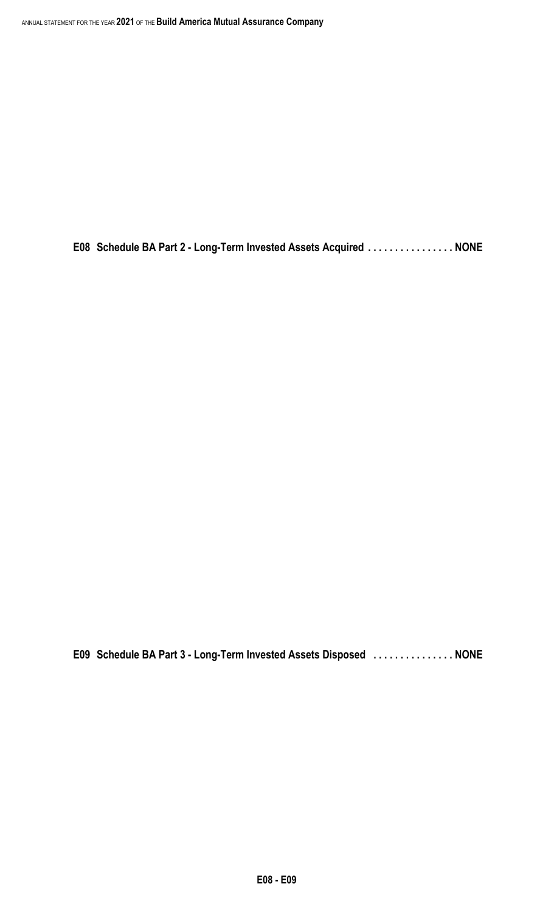**E08 Schedule BA Part 2 - Long-Term Invested Assets Acquired . . . . . . . . . . . . . . . . NONE**

**E09 Schedule BA Part 3 - Long-Term Invested Assets Disposed . . . . . . . . . . . . . . . NONE**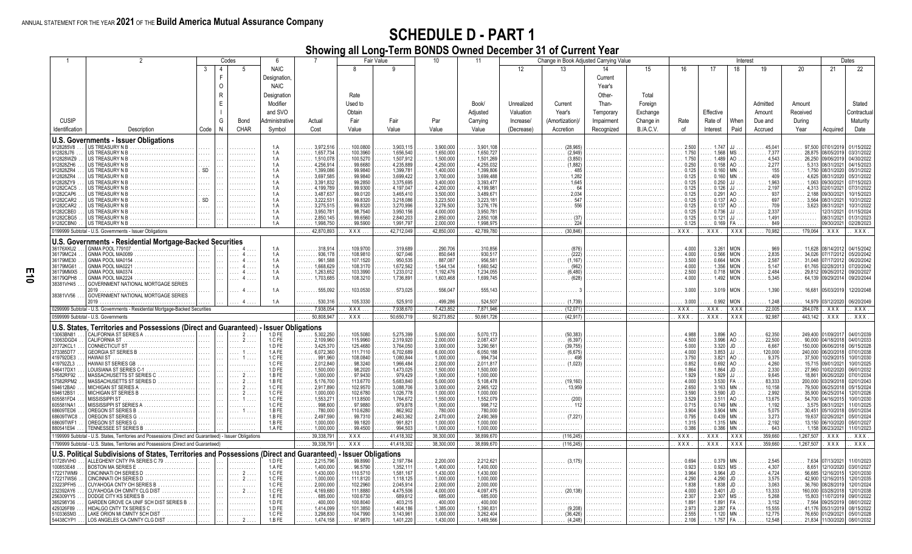#### **SCHEDULE D - PART 1**

|                        |                                                                                                          |                        |              | Codes      | 6                |                                                 |                           | Fair Value                                      | 10                                         | 11                                       |            | Change in Book Adjusted Carrying Value |            |                  |                     |                            | Interest                  |                                                |                                            |                                        | Dates                    |
|------------------------|----------------------------------------------------------------------------------------------------------|------------------------|--------------|------------|------------------|-------------------------------------------------|---------------------------|-------------------------------------------------|--------------------------------------------|------------------------------------------|------------|----------------------------------------|------------|------------------|---------------------|----------------------------|---------------------------|------------------------------------------------|--------------------------------------------|----------------------------------------|--------------------------|
|                        |                                                                                                          | 3                      | 4            | 5          | <b>NAIC</b>      |                                                 | 8                         | 9                                               |                                            |                                          | 12         | 13                                     | 14         | 15               | 16                  | 17                         | 18                        | 19                                             | 20                                         | 21                                     | 22                       |
|                        |                                                                                                          |                        | E            |            | Designation,     |                                                 |                           |                                                 |                                            |                                          |            |                                        | Current    |                  |                     |                            |                           |                                                |                                            |                                        |                          |
|                        |                                                                                                          |                        | $\Omega$     |            | <b>NAIC</b>      |                                                 |                           |                                                 |                                            |                                          |            |                                        | Year's     |                  |                     |                            |                           |                                                |                                            |                                        |                          |
|                        |                                                                                                          |                        | $\mathsf{R}$ |            | Designation      |                                                 | Rate                      |                                                 |                                            |                                          |            |                                        | Other-     | Total            |                     |                            |                           |                                                |                                            |                                        |                          |
|                        |                                                                                                          |                        | E            |            | Modifier         |                                                 | Used to                   |                                                 |                                            | Book/                                    | Unrealized | Current                                | Than-      | Foreign          |                     |                            |                           | Admitted                                       | Amount                                     |                                        | Stated                   |
|                        |                                                                                                          |                        |              |            | and SVO          |                                                 | Obtain                    |                                                 |                                            | Adjusted                                 | Valuation  | Year's                                 | Temporary  | Exchange         |                     | Effective                  |                           | Amount                                         | Received                                   |                                        | Contractua               |
|                        |                                                                                                          |                        |              |            |                  |                                                 |                           |                                                 |                                            |                                          |            |                                        |            |                  |                     |                            |                           |                                                |                                            |                                        |                          |
| <b>CUSIP</b>           |                                                                                                          |                        | G            | Bond       | Administrative   | Actual                                          | Fair                      | Fair                                            | Par                                        | Carrying                                 | Increase/  | Amortization)/                         | Impairment | Change in        | Rate                | Rate of                    | When                      | Due and                                        | During                                     |                                        | Maturity                 |
| Identification         | Description                                                                                              | Code                   | N            | CHAR       | Symbol           | Cost                                            | Value                     | Value                                           | Value                                      | Value                                    | (Decrease) | Accretion                              | Recognized | <b>B./A.C.V.</b> | of                  | Interest                   | Paid                      | Accrued                                        | Year                                       | Acquired                               | Date                     |
|                        | U.S. Governments - Issuer Obligations                                                                    |                        |              |            |                  |                                                 |                           |                                                 |                                            |                                          |            |                                        |            |                  |                     |                            |                           |                                                |                                            |                                        |                          |
| 9128285V8              | US TREASURY N B                                                                                          | 1111                   |              |            | 1.A              | 3.972.516                                       | 100.0800                  | 3.903.115                                       | .3.900.000                                 | .3.901.108                               | .          | $\ldots \ldots (28.965)$               | .          |                  | 2.500               | 1.747                      | JJ.                       | $\ldots$ . 45,041                              | $\ldots$ 97.500 07/01/2019                 |                                        | 01/15/2022               |
| 912828J76              | US TREASURY N B                                                                                          | $\cdots$               |              | .          | 1.A              | 1,657,734<br>.                                  | 100.3960                  | 1,656,540                                       | $\ldots$ . 1,650,000                       | 1,650,727                                | .          | $\ldots$ (2,949)                       | .          | .                | 1.750               | 1.568                      | MS                        | . 7,377                                        | . 28,875  08/05/2019                       |                                        | 03/31/2022               |
| 912828WZ9<br>912828ZH6 | US TREASURY N B<br>US TREASURY N B                                                                       |                        |              | .          | 1.A<br>1.A       | 1,510,078<br>.<br>4,256,914<br>.                | 100.5270<br>99.6680       | 1,507,912<br>4,235,889                          | 1,500,000<br>4,250,000                     | 1,501,269<br>4,255,032                   | .<br>.     | (3,850)<br>$\ldots \ldots$ (1,882)     | .          | .                | 1.750<br>0.250      | 1.489<br>0.158             | AO<br>AO                  | $\ldots \ldots 4.543$<br>$\ldots$ 2,277        | 26,250<br>$\ldots \ldots 5,313$ 08/31/2021 | 09/06/201                              | 04/30/2022<br>04/15/2023 |
| 912828ZR4              | US TREASURY N B                                                                                          | $\overline{\text{SD}}$ |              | .          | 1.A              | 1.399.086<br>.                                  | 99.9840                   | 1,399,781                                       | 1.400.000                                  | 1.399.806                                | .          |                                        | .<br>.     | .                | $\ldots$ 0.125      | 0.160                      | <b>MN</b>                 | $\ldots \ldots 155$                            | .                                          | 1,750 08/31/2020                       | 05/31/2022               |
| 912828ZR4              | US TREASURY N B                                                                                          | .                      |              | .          | 1.A              | 3.697.585<br>.                                  | 99.9840                   | 3.699.422                                       | 3.700.000                                  | 3.699.488                                | .          | $\ldots \ldots \ldots 1.282$           | .          | .                | 0.125               | $0.160$ MN                 |                           | $\ldots \ldots 409$                            | .                                          | 4.625 08/31/2020                       | 05/31/2022               |
| 912828ZY9<br>91282CAC5 | US TREASURY N B                                                                                          | 1.1.1                  |              | .          | 1.A              | 3.391.832<br>.                                  | 99.2850                   | 3.375.695<br>4,197,047                          | 3.400.000<br>4,200,000                     | $\ldots$ 3.393.477<br>4,199,981          | .          | $\ldots \ldots \ldots 1.645$<br>64     | .          | .                | 0.125<br>0.125      | $0.250$ JJ.<br>$0.126$ JJ  |                           | $\ldots \ldots 1,963$                          | 1,063                                      | 09/30/2021<br>4,313 02/01/2021         | 07/15/2023<br>07/31/2022 |
| 91282CAP6              | US TREASURY N B<br>US TREASURY N B                                                                       | .                      |              | .          | 1.A<br>1.A       | 4,199,789<br>3,487,637                          | 99.9300<br>99.0120        | 3,465,410                                       | 3,500,000                                  | 3,489,671                                | .          | .<br>. 2.034                           | .          | .                | 0.125               | 0.291                      | AO                        | $\ldots \ldots 2,197$<br>$\cdots$ 937          | 2,188                                      | 09/30/2021                             | 10/15/2023               |
| 91282CAR2              | US TREASURY N B                                                                                          | SD                     |              |            | 1.A              | 3,222,531                                       | 99.8320                   | 3.218.086                                       | 3,223,500                                  | 3,223,181                                |            | 547                                    |            |                  | 0.125               | 0.137                      | AO                        | $\ldots \ldots 697$                            | 3,564                                      | 08/31/2021                             | 10/31/2022               |
| 91282CAR2              |                                                                                                          |                        |              |            | 1.A              | 3.275.515                                       | 99.8320                   | 3.270.996                                       | 3.276.500                                  | 3.276.176                                |            |                                        |            |                  | 0.125               | 0.137                      | AO.                       | . 709                                          | 3.623                                      | 08/31/2021                             | 10/31/2022               |
| 91282CBE0<br>91282CBG5 | US TREASURY N B<br>US TREASURY N B                                                                       |                        |              |            | 1.A<br>1.A       | 3,950,78<br>2,850,145                           | 98.7540<br>99.6560        | 3,950,156<br>2,840,203                          | 4,000,000<br>2,850,000                     | 3,950,781<br>2,850,108                   |            |                                        |            |                  | 0.125<br>0.125      | 0.736<br>0.121             | JJ.<br>L.LL.              | $\ldots \ldots 2,337$<br>$\ldots \ldots 1,491$ | .                                          | 12/31/2021<br>08/31/2021               | 01/15/2024<br>01/31/2023 |
| 91282CBN0              | US TREASURY N B                                                                                          |                        |              |            | 1.A              | . 1,998,750                                     | 99.5900                   | 1,991,797                                       | .2,000,000                                 | 1,998,975                                | .<br>.     | . 224                                  |            |                  | . 0.125             | 0.169                      | FA.                       | $\ldots$ 849                                   | .                                          | 09/30/2021                             | 02/28/2023               |
|                        | 0199999 Subtotal - U.S. Governments - Issuer Obligations                                                 |                        |              |            |                  | 42,870,893                                      | XXX.                      | 42,712,049                                      | 42,850,000                                 | 42,789,780                               | .          | (30, 846)                              | .          | .                | XXX.                | XXX.                       | XXX                       | $\ldots$ . 70,982                              | $\ldots$ .179,064                          | XXX                                    | XXX                      |
|                        |                                                                                                          |                        |              |            |                  |                                                 |                           |                                                 |                                            |                                          |            |                                        |            |                  |                     |                            |                           |                                                |                                            |                                        |                          |
|                        | U.S. Governments - Residential Mortgage-Backed Securities                                                |                        |              |            |                  |                                                 |                           |                                                 |                                            |                                          |            |                                        |            |                  |                     |                            |                           |                                                |                                            |                                        |                          |
| 36176XKU2<br>36179MC24 | GNMA POOL MA0089                                                                                         |                        |              |            | 1.A<br>1.A       | .318.914<br>.936.178<br>.                       | 109.9700<br>108.9810      | .319.689<br>927.046                             | 290.706<br>850.648                         | .310.856<br>.930.517                     | .          | (222)<br>.                             | .          | .                | 4.000<br>4.000      | 3.261                      | <b>MON</b><br>$0.566$ MON | 969<br>$\ldots \ldots 2,835$                   | 34.026                                     | 11,628 08/14/2012<br>07/17/2012        | 04/15/2042<br>05/20/2042 |
| 36179ME30              | GNMA POOL MA0154                                                                                         | 1.1.1                  |              |            | 1.A              | .961,588<br>.                                   | 107.1520                  | 950,535                                         | 887,087                                    | .956,581                                 | .          | $\ldots \ldots \ldots$ (1,167)         | .          | .                | 3.500               | 0.664                      | <b>MON</b>                | $\ldots \ldots 2.587$                          | 31,048                                     | 07/17/2012                             | 06/20/2042               |
| 36179MG61              | GNMA POOL MA0221                                                                                         | 1.1.1                  |              |            | 1.A              | $\ldots$ . 1,668,629                            | 108.3170                  | 1,672,562                                       | 1.544.134                                  | 1.660.542                                | .          | . (962)                                | .          | .                | 4.000               |                            | $1.356$ MON               | $\ldots \ldots 5,147$                          | $\ldots$ . 61,765 02/28/2013               |                                        | 07/20/2042               |
| 36179MMX5<br>36179QPH8 | GNMA POOL MA0374                                                                                         |                        |              |            | 1.A<br>1.A       | 1,263,652<br>.<br>1.703.685                     | 103.3990                  | 1,233,012<br>1.736,891                          | 1,192,476<br>.1603.468                     | 1,234,055                                | .          | (6.480)                                | .          | .                | 2.500               | 1.492                      | $0.718$ MON<br><b>MON</b> | $\ldots \ldots 2,484$<br>$\ldots \ldots 5,345$ |                                            | 29,812 09/26/2012<br>64.139 09/29/2014 | 09/20/2027               |
| 38381VH45              | GNMA POOL MA2224<br>GOVERNMENT NATIONAL MORTGAGE SERIES                                                  |                        |              |            |                  |                                                 | 108.3210                  |                                                 |                                            | 1.699.745                                |            |                                        |            |                  | 4.000               |                            |                           |                                                |                                            |                                        | 09/20/2044               |
|                        | 2019.                                                                                                    |                        |              |            | 1.A              | 555,092                                         | 103.0530                  | 573,025                                         | $\ldots \ldots 556.047$                    | $\ldots \ldots 555,143$                  |            |                                        |            |                  | 3.000               | $.3.019$ MON               |                           | $\ldots$ . 1.390                               | 16,681                                     | 05/03/2019                             | 12/20/2048               |
| 38381VV56              | GOVERNMENT NATIONAL MORTGAGE SERIES                                                                      |                        |              |            |                  |                                                 |                           |                                                 |                                            |                                          |            |                                        |            |                  |                     |                            |                           |                                                |                                            |                                        |                          |
|                        |                                                                                                          |                        |              |            | 1.A              | .530,316                                        | 105.3330                  | 525,910                                         | 499.286                                    | .524,507                                 |            | (1,739)                                |            |                  | . . 3.000           | 0.992                      | <b>MON</b>                | $\ldots 1,248$                                 | 14,979                                     | 03/12/2020                             | 06/20/2049               |
|                        | 0299999 Subtotal - U.S. Governments - Residential Mortgage-Backed Securities                             |                        |              |            |                  | 7.938.054                                       | XXX.                      | 7.938.670                                       | 7.423.852                                  | 7,871,946                                | .          | (12,071)                               |            | .                | <b>XXX</b>          | XXX.                       | <b>XXX</b>                | 22,005                                         | 264,078                                    | <b>XXX</b>                             | XXX                      |
|                        | 0599999 Subtotal - U.S. Governments                                                                      |                        |              |            |                  | 50,808,947                                      | $XXX$ .                   | 50.650.719                                      | 50.273.852                                 | 50,661,726                               | .          | (42.917)                               | .          | .                | $\overline{XXX}$    | $\overline{XXX}$           | $\overline{XX}$           | 92.987                                         | 443.142                                    | $\overline{XXX}$                       | $\overline{XXX}$         |
|                        | U.S. States, Territories and Possessions (Direct and Guaranteed) - Issuer Obligations                    |                        |              |            |                  |                                                 |                           |                                                 |                                            |                                          |            |                                        |            |                  |                     |                            |                           |                                                |                                            |                                        |                          |
| 13063BN81              | CALIFORNIA ST SERIES A                                                                                   | $\ldots$               |              | $2 \ldots$ | 1.D FE           | 5,302,250                                       | 105.5080                  | 5,275,399                                       | 5,000,000                                  | 5,070,173                                |            | (50, 383)                              | .          |                  | 4.988               | 3.896                      | AO                        | 62,350                                         |                                            | 249,400 01/09/2017                     | 04/01/2039               |
| 13063DGD4<br>20772KCL1 | CALIFORNIA ST<br>CONNECTICUT ST                                                                          |                        |              |            | 1.C FE<br>1.D FE | 2,109,960<br>3,425,370<br>.                     | 115.9960<br>125.4680      | 2,319,920<br>3,764,050                          | 2,000,000<br>3,000,000                     | 2.087.437<br>3.290.561                   |            | (6.397)<br>(39.755)                    | .          |                  | 4.500<br>5.000      | 3.996<br>3.320             | AO<br>JD                  | 22,500<br>$\ldots \ldots 6,667$                | 150,000<br>.                               | 90,000 04/18/2018<br>06/06/2018        | 04/01/2033<br>06/15/2028 |
| 373385DT7              | GEORGIA ST SERIES B                                                                                      |                        |              |            | 1.AFE            | 6,072,360<br>.                                  | 111.7110                  | 6,702,689                                       | 6,000,000                                  | 6.050.188                                | .<br>.     | $\ldots \ldots$ (6.675)                | .<br>.     |                  | 4.000               | 3.853                      | JJ.                       | $\ldots$ . 120,000                             | 240,000                                    | 06/20/201                              | 07/01/2038               |
| 419792DE3              | <b>HAWAII ST</b>                                                                                         | $\cdots$               |              |            | 1.C FE           | .991,960<br>.                                   | 108.0840                  | 1.080.844                                       | 1,000,000                                  | .994.734                                 | .          | 498                                    | .          |                  | $\ldots$ 3.750      | 3.821                      | AO                        | . 9,375                                        |                                            | 37.500 10/29/2015                      | 10/01/2030               |
| 419792ZL3              | HAWAII ST SERIES GB                                                                                      | $\cdots$               |              | .          | 1.C FE           | 2,012,840<br>.                                  | 98.3240                   | $\ldots$ . 1,966,484                            | 2,000,000                                  | 2,011,817                                | .          | $(1,023)$                              | .          | .                | $\ldots$ 0.852      | $0.692$ AO                 |                           | $\ldots \ldots 4,260$                          | $\ldots$ . 15,715 09/01/2021               |                                        | 10/01/2025               |
| 546417DX1<br>57582RF92 | LOUISIANA ST SERIES C-1                                                                                  | .<br>.                 |              | .<br>. 2   | 1.D FE<br>1.B FE | $\ldots$ . 1,500,000<br>1.000.000<br>.          | 98.2020<br>97.9430        | $\ldots$ . 1,473,025<br>$\ldots \ldots 979.429$ | $\ldots$ . 1,500,000<br>$\ldots$ 1.000.000 | $\ldots$ 1,500,000<br>$\ldots$ 1.000.000 | .<br>.     | .<br>.                                 | .<br>.     | .<br>.           | 1.864<br>1.929      | $1.864$ JD.<br>$1.929$ JJ. |                           | $\cdots$ 2,330<br>$\ldots \ldots 9,645$        | $\ldots$ . 27,960<br>18,861                | 10/02/2020<br>06/26/2020               | 06/01/2032<br>07/01/2034 |
| 57582RPM2              | MASSACHUSETTS ST SERIES C<br>MASSACHUSETTS ST SERIES D<br>MASSACHUSETTS ST SERIES D                      | 1.1.1                  |              | . 2        | 1.B FE           | 5,176,700<br>.                                  | 113.6770                  | 5.683,840                                       | 5.000.000                                  | 5.108.478                                | .          | $\ldots \ldots$ (19,160)               | .          | .                | 4.000               | $3.530$ FA.                |                           | $\ldots$ . 83,333                              | 200,000                                    | 03/29/2018                             | 02/01/2043               |
| 594612BA0              | MICHIGAN ST SERIES A                                                                                     |                        |              |            | 1.C FE           | 2,917,890                                       | 102.9570                  | 3,088,706                                       | 3,000,000                                  | 2.965.122                                |            |                                        |            |                  | 2.650               | $3.163$ MN                 |                           | 10,158                                         |                                            | 79,500 06/25/2018                      | 05/15/2024               |
| 594612BS1<br>605581FD4 | MICHIGAN ST SERIES B<br>MISSISSIPPI ST                                                                   |                        |              |            | 1.C FE<br>1.C FE | 1,000,000<br>1.553.27                           | 102.6780<br>113,8500      | 1,026,778<br>1.764.672                          | 1,000,000<br>1.550.000                     | 1,000,000<br>1.552.079                   |            |                                        |            |                  | 3.590<br>3.529      | $3.590$ JD.<br>3.511       | AO                        | $\ldots \ldots 2,992$<br>$\ldots$ . 13,675     | 35,900<br>54.700                           | 06/25/2014<br>04/16/2015               | 12/01/2026<br>10/01/2030 |
| 605581NA1              | MISSISSIPPI ST SERIES A                                                                                  |                        |              |            | 1.C FE           | 998,600<br>.                                    | 97,9880                   | 979,878                                         | 1,000,000                                  | .998,712                                 |            |                                        |            |                  | 0.715               | 0.749                      | <b>MN</b>                 | $\ldots$ . 1,192                               | 3,575                                      | 08/31/2021                             | 11/01/2025               |
| 68609TED6              | OREGON ST SERIES B                                                                                       |                        |              |            | 1.B FE           | 780,000<br>.                                    | 110.6280                  | 862.902                                         | 780,000                                    | $\ldots \ldots 780,000$                  | .          |                                        |            |                  | 3.904               | 3.904                      | <b>MN</b>                 | $\ldots \ldots 5.075$                          |                                            | 30.451 05/10/2018                      | 05/01/2034               |
| 68609TWC8              | OREGON ST SERIES G                                                                                       |                        |              |            | 1.B FE           | 2,497,590<br>$\cdots$                           | 99.7310                   | 2,463,362                                       | 2.470.000                                  | 2.490.369                                |            |                                        |            |                  | 0.795               | 0.439                      | <b>MN</b>                 | 3,273<br>.                                     | 19,637                                     | 02/26/2021                             | 05/01/2024               |
| 68609TWF1<br>880541E94 | OREGON ST SERIES G.<br>TENNESSEE ST SERIES B                                                             | .                      |              |            | 1.BFE<br>1.AFE   | 1,000,000<br>.<br>$\ldots$ 1,000,000            | 99.1820<br>99.4500        | .991,821<br>994,503                             | 1,000,000<br>1,000,000                     | 1.000.000<br>1,000,000                   | .<br>.     | .<br>.                                 |            | .                | 1.315<br>0.386      | 1.315<br>0.386             | <b>MN</b><br>MN.          | $\ldots \ldots 2,192$<br>$\ldots \ldots 643$   | $\ldots$ 1,158 06/23/2021                  | 13.150 06/10/2020                      | 05/01/2027<br>11/01/2023 |
|                        | 1199999 Subtotal - U.S. States, Territories and Possessions (Direct and Guaranteed) - Issuer Obligations |                        |              |            |                  | $\ldots$ . 39,338,791                           | XXX.                      | . 41,418,302                                    | 38,300,000                                 | 38,899,670                               | .          | $(116, 245)$                           | .          | .                | XXX.                | XXX.                       | XXX                       | $\ldots$ 359,660                               | $\ldots$ 1,267,507                         | XXX                                    | XXX                      |
|                        | 1799999 Subtotal - U.S. States, Territories and Possessions (Direct and Guaranteed)                      |                        |              |            |                  | 39,338,791                                      | $XXX$ .                   | 41,418,302                                      | 38,300,000                                 | 38,899,670                               |            | (116, 245)                             | .          | .                | XXX.                | XXX.                       | <b>XXX</b>                | 359,660                                        | 1,267,507                                  | XXX                                    | XXX                      |
|                        |                                                                                                          |                        |              |            |                  |                                                 |                           |                                                 |                                            |                                          |            |                                        |            |                  |                     |                            |                           |                                                |                                            |                                        |                          |
|                        | U.S. Political Subdivisions of States, Territories and Possessions                                       |                        |              |            |                  | (Direct and Guaranteed)                         | <b>Issuer Obligations</b> |                                                 |                                            |                                          |            |                                        |            |                  |                     |                            |                           |                                                |                                            |                                        |                          |
| 01728VVH0<br>100853E48 | ALLEGHENY CNTY PA SERIES C 79.<br>. 1<br>BOSTON MA SERIES E                                              | .                      |              |            | 1.D FE<br>1.AFE  | $\ldots$ . 2.215.796<br>1.400.000               | 99.8990<br>96.5790        | 2.197.784<br>1.352.111                          | 2.200.000<br>1.400.000                     | 2.212.621<br>1.400.000                   |            |                                        |            |                  | .0694<br>0.923      | 0.379<br>0.923             | MN.<br>M <sub>S</sub>     | $\ldots$ . 2.545<br>$\ldots \ldots 4.307$      |                                            | 7.634 07/13/2021<br>8.651 12/10/2020   | 11/01/2023<br>03/01/2027 |
| 172217WM9              | CINCINNATI OH SERIES D                                                                                   |                        |              |            | 1.C FE           | 1,430,000<br>.                                  | 110.5710                  | 1,581,167                                       | 1,430,000                                  | 1,430,000                                |            |                                        |            |                  | 3.964               | 3.964                      | JD.                       | $\ldots \ldots 4,724$                          | 56,685                                     | 12/16/2015                             | 12/01/2030               |
| 172217WS6              | CINCINNATI OH SERIES D<br>.                                                                              |                        |              | . 2        | 1.C FE           | 1,000,000<br>.                                  | 111.8120                  | 1,118,125                                       | 1,000,000                                  | 1,000,000                                | .          |                                        |            |                  | 4.290               | $4.290$ JD                 |                           | $\ldots \ldots 3,575$                          |                                            | 42,900 12/16/201                       | 12/01/2035               |
| 23223PFH5              | CUYAHOGA CNTY OH SERIES B<br>.                                                                           | $\ldots$               |              | .          | 1.C FE           | 2,000,000<br>.                                  | 102.2960                  | 2,045,914                                       | 2.000.000                                  | 2.000.000                                | .          | .                                      |            | .                | 1.838<br>.          | $1.838$ JD                 |                           | . 3,063<br>.                                   |                                            | 36,760 08/28/201                       | 12/01/2024               |
| 232392AY6<br>256309YY5 | CUYAHOGA OH CMNTY CLG DIST<br>DODGE CITY KS SERIES B<br>.                                                | 1.1.1                  |              | . 2<br>.   | 1.C FE<br>1.E FE | $\ldots$ . 4,169,680<br>$\ldots \ldots 685,000$ | 111.8880<br>100.6730      | 4.475.506<br>$\ldots$ 689.612                   | 4.000.000<br>$\ldots$ 685.000              | 4.097.475<br>$\ldots$ 685.000            | .<br>.     | $\ldots \ldots$ (20.138)<br>.          | .          | .                | 4.000<br>2.307<br>. | $3.401$ JD.<br>$2.307$ MS  |                           | $\ldots$ . 13,333<br>$\ldots \ldots 5,268$     | 160,000                                    | 03/28/201<br>15.803 11/07/2019         | 12/01/2038<br>09/01/2022 |
| 365298Y36              | GARDEN GROVE CA UNIF SCH DIST SERIES B                                                                   |                        |              | .          | 1.D FE           | 400,000                                         | 100.8040                  | 403,215                                         | .400,000                                   | .400.000                                 |            | .                                      |            |                  | 1.891               |                            | $1.891$ FA                | $\ldots \ldots 3,152$                          |                                            | 7,564 09/25/2019                       | 08/01/2022               |
| 429326F89              | HIDALGO CNTY TX SERIES C                                                                                 |                        |              | .          | 1.D FE           | 1,414,099                                       | 101.3850                  | 1.404.186                                       | 1,385,000                                  | 1,390,831                                | .          | (9,208)                                |            |                  | 2.973               | $2.287$ FA.                |                           | 15,555                                         |                                            | 41,176 05/31/2019                      | 08/15/2022               |
| 510336SM3              | LAKE ORION MI CMNTY SCH DIST                                                                             |                        |              | .          | 1.C FE           | 3,298,830                                       | 104.7990                  | 3,143,961                                       | 3,000,000                                  | 3,262,404                                | .          | $\ldots \ldots$ (36,426)               |            |                  | 2.555               |                            | $1.120$ MN.               | $\ldots \ldots 12,775$                         | $\ldots \ldots 76,650$ 01/29/2021          |                                        | 05/01/2028               |
| 54438CYP1              | LOS ANGELES CA CMNTY CLG DIST                                                                            |                        |              | $2 \ldots$ | 1.BFE            | 1.474.158                                       | 97,9870                   | 1,401,220                                       | 1.430.000                                  | 1.469.566                                |            | (4,248)                                |            |                  | 2.106               |                            | $1.757$ FA                | 12,548                                         |                                            | 21,834 11/30/2020                      | 08/01/2032               |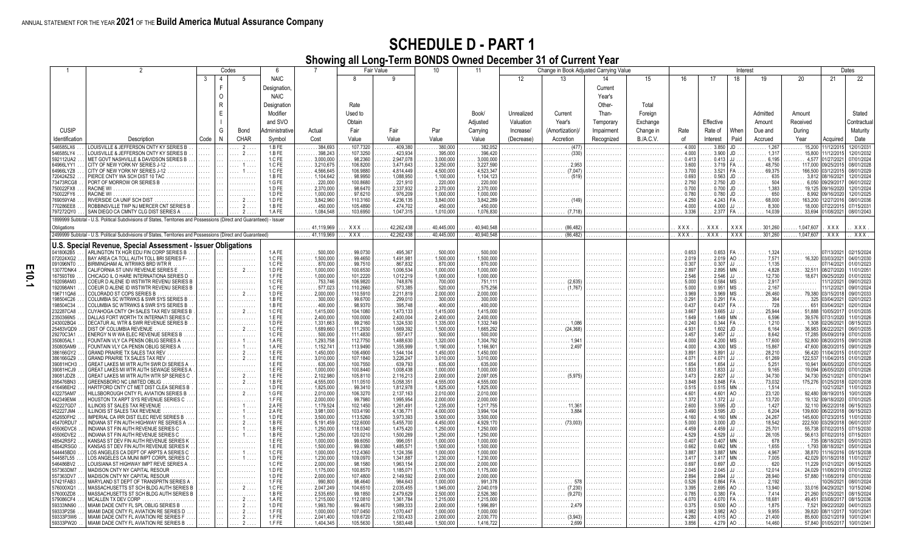|                        |                                                                                                                        |          |                | Codes    | 6                |                                               |                      | <b>Fair Value</b>      | 10 <sup>1</sup>        | 11                            |                   | Change in Book Adjusted Carrying Value  |            |                  |                |                            | Interest        |                                 |                             |                                        | Dates                    |
|------------------------|------------------------------------------------------------------------------------------------------------------------|----------|----------------|----------|------------------|-----------------------------------------------|----------------------|------------------------|------------------------|-------------------------------|-------------------|-----------------------------------------|------------|------------------|----------------|----------------------------|-----------------|---------------------------------|-----------------------------|----------------------------------------|--------------------------|
|                        |                                                                                                                        | -3       | $\overline{4}$ | -5       | <b>NAIC</b>      |                                               |                      | -9                     |                        |                               | $12 \overline{ }$ | 13                                      | 14         | 15               | 16             | 17                         | 18              | 19                              | 20                          | 21                                     | 22                       |
|                        |                                                                                                                        |          | F              |          | Designation,     |                                               |                      |                        |                        |                               |                   |                                         | Current    |                  |                |                            |                 |                                 |                             |                                        |                          |
|                        |                                                                                                                        |          | $\Omega$       |          | <b>NAIC</b>      |                                               |                      |                        |                        |                               |                   |                                         | Year's     |                  |                |                            |                 |                                 |                             |                                        |                          |
|                        |                                                                                                                        |          | $\mathsf{R}$   |          | Designation      |                                               | Rate                 |                        |                        |                               |                   |                                         | Other-     | Total            |                |                            |                 |                                 |                             |                                        |                          |
|                        |                                                                                                                        |          | E              |          | Modifier         |                                               | Used to              |                        |                        | Book/                         | Unrealized        | Current                                 | Than-      | Foreign          |                |                            |                 | Admitted                        | Amount                      |                                        | Stated                   |
|                        |                                                                                                                        |          |                |          |                  |                                               |                      |                        |                        |                               |                   |                                         |            |                  |                |                            |                 |                                 |                             |                                        |                          |
|                        |                                                                                                                        |          |                |          | and SVO          |                                               | Obtain               |                        |                        | Adiusted                      | Valuation         | Year's                                  | Temporary  | Exchange         |                | Effective                  |                 | Amount                          | Received                    |                                        | Contractua               |
| <b>CUSIP</b>           |                                                                                                                        |          | G              | Bond     | vdministrative   | Actual                                        | Fair                 | Fair                   | Par                    | Carrying                      | Increase/         | (Amortization)/                         | Impairment | Change in        | Rate           | Rate of                    | When            | Due and                         | Durina                      |                                        | Maturity                 |
| Identification         | Description                                                                                                            | Code     | N              | CHAR     | Symbol           | Cost                                          | Value                | Value                  | Value                  | Value                         | (Decrease)        | Accretion                               | Recognized | <b>B./A.C.V.</b> | of             | Interest                   | Paid            | Accrued                         | Year                        | Acquired                               | Date                     |
| 546585LX6<br>546585LY4 | LOUISVILLE & JEFFERSON CNTY KY SERIES B<br><b>OUISVILLE &amp; JEFFERSON CNTY KY SERIES B</b>                           |          |                |          | 1.B FE           | 384.693<br>398,243                            | 107.7320<br>107.3250 | 409.380<br>423.934     | 380,000                | 382.052<br>$\ldots$ . 396.420 | .                 | .                                       |            |                  | 4.000<br>4.000 | 3.850                      | JD              | 1,267                           | 15.200                      | 11/12/201                              | 2/01/2031<br>12/01/2032  |
| 592112UA2              | MET GOVT NASHVILLE & DAVIDSON SERIES B                                                                                 | $\cdots$ |                | . 2<br>. | 1.B FE<br>1.C FE | 3.000.000                                     | 98.2360              | 2.947.078              | . 395.000<br>3.000.000 | 3.000.000                     | .<br>.            | (330)<br>.<br>.                         | .          | .                | 0.413          | 3.900<br>0.413             | JD              | 1,317<br>6.195                  | $\ldots$ . 15,800<br>4.577  | 11/12/2015<br>01/27/2021               | 07/01/2024               |
| 64966LYY1              | CITY OF NEW YORK NY SERIES J-12                                                                                        | .        |                | . 1      | 1.C FE           | 3.210.675                                     | 106.8200             | 3.471.643              | 3.250.000              | 3.227.590                     | .                 | . 2.953<br>.                            |            |                  | 3.600          | 3.719                      |                 | 48.750                          | 117,000                     | 09/25/2015                             | 08/01/2028               |
| 64966LYZ8              | CITY OF NEW YORK NY SERIES J-12                                                                                        |          |                |          | 1.C FE           | 4,566,645                                     | 106.9880             | 4.814.449              | 4,500,000              | 4,523,347                     |                   | (7,047)                                 |            |                  | 3.700          | 3.521                      |                 | 69,375                          | 166,500                     | 03/12/2015                             | 08/01/2029               |
| 720424ZS2<br>73473RCG8 | PIERCE CNTY WA SCH DIST 10 TAC<br>PORT OF MORROW OR SERIES B                                                           |          |                |          | 1.BFE<br>1.GFE   | 1.104.642<br>.220.000                         | 98.9950<br>100.8680  | 1.088.950<br>221.910   | 1.100.000<br>.220.000  | 1.104.123<br>.220.000         |                   |                                         |            |                  | 0.693<br>2.750 | 0.563<br>2.750             | JD              | 635<br>504                      | 6.050                       | 3.812 08/16/2021<br>09/29/2011         | 12/01/2024<br>06/01/2022 |
| 750022FX8              | <b>RACINE WI</b>                                                                                                       |          |                |          | 1.D FE           | 2,370,000                                     | 98.6470              | 2,337,932              | 2,370,000              | 2,370,000                     |                   |                                         |            |                  | 0.700          | 0.700                      |                 | 1,383                           | 19,125                      | 09/16/2020                             | 12/01/2024               |
| 750022FY6              | <b>RACINE WI</b>                                                                                                       |          |                |          | 1.D FE           | 1,000,000                                     | 97.6210              | 976,209                | 1,000,000              | 1,000,000                     |                   |                                         |            |                  | 0.780          | 0.780                      |                 | 650                             | 8,992                       | 09/16/2020                             | 12/01/2025               |
| 769059YA8<br>770286EE8 | RIVERSIDE CA UNIF SCH DIST<br>ROBBINSVILLE TWP NJ MERCER CNT SERIES B                                                  |          |                |          | 1.D FE<br>1.B FE | 3,842,960<br>.450,000                         | 110.3160<br>105.4890 | 4,236,135<br>474,702   | 3,840,000<br>.450,000  | 3,842,289<br>.450,000         |                   |                                         |            |                  | 4.250<br>4.000 | 4.243<br>4.000             |                 | 68,000<br>8,300                 | 163,200<br>18,000           | 12/27/2016<br>7/22/2015                | 08/01/2036<br>07/15/2031 |
| 797272QY0              | SAN DIEGO CA CMNTY CLG DIST SERIES A                                                                                   |          |                |          | 1.AFE            | 1,084,548                                     | 103.6950             | 1,047,315              | 1,010,000              | 1,076,830                     |                   | (7,718)                                 |            |                  | 3.336          | 2.377 FA                   |                 | 14,039                          | . 33,694                    | 01/08/2021                             | 08/01/2043               |
|                        | 1899999 Subtotal - U.S. Political Subdivisions of States. Territories and Possessions (Direct and Guaranteed) - Issuer |          |                |          |                  |                                               |                      |                        |                        |                               |                   |                                         |            |                  |                |                            |                 |                                 |                             |                                        |                          |
| Obligations            |                                                                                                                        |          |                |          |                  | 41,119,969                                    | XXX                  | 42,262,438             | 40,445,000             | 40,940,548                    |                   | (86, 482)                               |            |                  | XXX            | XXX                        | <b>XXX</b>      | 301,260                         | 1,047,607                   | XXX                                    | XXX                      |
|                        | 2499999 Subtotal - U.S. Political Subdivisions of States, Territories and Possessions (Direct and Guaranteed)          |          |                |          |                  | 41,119,969                                    | XXX                  | 42,262,438             | 40,445,000             | 40,940,548                    |                   | (86, 482)                               | .          | .                | <b>XXX</b>     | XXX                        | XXX             | 301,260                         | 1,047,607                   | <b>XXX</b>                             | XXX                      |
|                        | U.S. Special Revenue, Special Assessment - Issuer Obligations                                                          |          |                |          |                  |                                               |                      |                        |                        |                               |                   |                                         |            |                  |                |                            |                 |                                 |                             |                                        |                          |
| 0418062B5              | ARLINGTON TX HGR EDU FIN CORP SERIES B                                                                                 | .        |                | .        | 1.AFE            | 500,000                                       | 99.0730              | 495.367                | .500,000               | .500,000                      | .                 | .                                       |            |                  | 0.653          | 0.653                      | FA.             | $\ldots$ . 1,324                | .                           | 07/13/2021                             | 02/15/2024               |
| 072024XG2              | BAY AREA CA TOLL AUTH TOLL BRI SERIES F-                                                                               |          |                |          | 1.C FE           | $\ldots$ . 1,500,000                          | 99.4650              | $\ldots$ 1.491.981     | 1,500,000              | 1.500.000                     | .                 |                                         | .          |                  | 2.019          | $2.019$ $AO$               |                 | .7,571                          | $\ldots \ldots$ 16,320      | 03/03/2021                             | 04/01/2030               |
| 091096NT0<br>13077DNK4 | BIRMINGHAM AL WTRWKS BRD WTR R<br>CALIFORNIA ST UNIV REVENUE SERIES E                                                  |          |                | . 2      | 1.C FE<br>1.D FE | .870.000<br>1.000.000<br>.                    | 99.7510<br>100.6530  | 867.832<br>1.006.534   | 870,000<br>1.000.000   | .870.000<br>1.000.000         | .<br>.            | .                                       |            |                  | 0.307<br>2.897 | $0.307$ JJ<br>2.895        | MN              | $\ldots$ . 1,135<br>4.828<br>.  | $\ldots$ . 32.511           | 107/14/2021<br>108/27/2020             | 01/01/2023<br>1/01/2051  |
| 167593T69              | CHICAGO IL O HARE INTERNATIONA SERIES D                                                                                | $\cdots$ |                | .        | 1.FFE            | 1,000,000<br>.                                | 101.2220             | 1.012.219              | 1.000.000              | 1,000,000                     | .                 | .                                       | .          |                  | 2.546          | 2.546                      |                 | 12,730<br>.                     | $\ldots \ldots 18,671$      | 09/25/2020                             | 01/01/2032               |
| 192098AM3              | COEUR D ALENE ID WSTWTR REVENU SERIES B                                                                                |          |                | .        | 1.C FE           | $\ldots \ldots 753,746$                       | 106.9820             | .748.876               | $\ldots$ . 700.000     | $\ldots$ . 751.11             | .                 | $\ldots$ (2,635)                        |            |                  | 5.000          | $0.584$ MS                 |                 | $\ldots \ldots 2,917$           |                             | 11/12/2021                             | 09/01/2023               |
| 192098AN1<br>196711QA6 | COEUR D ALENE ID WSTWTR REVENU SERIES B<br>COLORADO ST COPS SERIES B                                                   |          |                | .        | 1.C FE<br>1.D FE | .577,023<br>2.000.000                         | 110.2660<br>110.5910 | 573.385<br>2.211.819   | .520.000<br>2.000.000  | .575.256<br>2,000,000         |                   | . (1,767                                |            |                  | 5.000<br>3.969 | 0.951<br>$3.969$ $MS$      | <b>MS</b>       | $\ldots \ldots 2,167$<br>26.460 | 79,380                      | 1/12/2021<br>03/15/2018                | 09/01/2024<br>09/01/2033 |
| 198504C26              | COLUMBIA SC WTRWKS & SWR SYS SERIES B                                                                                  |          |                |          | 1.BFE            | .300.000                                      | 99.6700              | 299.010                | .300.000               | .300.000                      |                   |                                         |            |                  | 0.291          | 0.291                      | FA              | 364                             | 325                         | 03/04/2021                             | 02/01/2023               |
| 198504C34              | COLUMBIA SC WTRWKS & SWR SYS SERIES B                                                                                  |          |                |          | 1.B FE           | $\ldots \ldots 400,000$                       | 98.9370              | 395,748                | 400.000                | .400.000                      |                   |                                         |            |                  | 0.437          | 0.437                      |                 | 728                             | 651                         | 03/04/2021                             | 02/01/2024               |
| 232287CA8<br>2350366N5 | CUYAHOGA CNTY OH SALES TAX REV SERIES B                                                                                |          |                |          | 1.C FE           | 1,415,000                                     | 104.1080             | 1,473,133              | 1,415,000              | 1,415,000                     | .                 |                                         |            |                  | 3.667          | 3.665                      | MN              | . 25,944                        | 51,888                      | 0/05/201                               | 01/01/2035               |
| 243002BQ4              | DALLAS FORT WORTH TX INTERNATI SERIES C<br>DECATUR AL WTR & SWR REVENUE SERIES B                                       |          |                | .        | 1.E FE<br>1.D FE | 2,400,000<br>1,331,663                        | 100.0000<br>99.2160  | 2,400,004<br>1,324,530 | 2,400,000<br>1,335,000 | 2,400,000<br>1,332,749        | .                 | .                                       |            |                  | 1.649<br>0.240 | 1.649<br>0.344             |                 | .6,596<br>1,210                 | 39,576<br>1,308             | 7/31/2020<br>02/26/2021                | 11/01/2026<br>08/15/2023 |
| 25483VQD9              | DIST OF COLUMBIA REVENUE                                                                                               |          |                |          | 1.C FE           | 1.689.660                                     | 111.2930             | 1.669.392              | 1.500.000              | 1.665.292                     | .                 | (24, 368)<br>.                          |            |                  | 4.931          | 1.602                      | JD              | 6.164                           | 36,983                      | 06/22/202                              | 06/01/2035               |
| 29270C3A1              | ENERGY N W WA ELEC REVENUE SERIES B                                                                                    |          |                |          | 1.C FE           | .500.000                                      | 111.4830             | 557.417                | 500.000                | .500.000                      | .                 | .                                       |            |                  | 3.457          | 3.457                      |                 | 8.642                           | 17.285                      | 05/09/201                              | 07/01/2035               |
| 350805AL1<br>350805AM9 | FOUNTAIN VLY CA PENSN OBLIG SERIES A<br>FOUNTAIN VLY CA PENSN OBLIG SERIES A                                           |          |                |          | 1.AFE<br>1.AFE   | 1,293,758<br>.<br>$\ldots$ . 1,152,741        | 112.7750<br>113.9490 | 1.488.630<br>1,355,999 | 1.320.000<br>1,190,000 | 1.304.792<br>1,166,901        | .<br>.            | $\ldots \ldots \ldots 1.941$<br>. 2,497 | .          |                  | 4.000<br>4.000 | 4.200<br>4.300             | <b>MS</b><br>MS | 17,600<br>15,867                | 52,800<br>.<br>47,600       | 08/20/2015<br> 08/20/2015              | 09/01/2028<br>09/01/2029 |
| 386166GY2              | <b>GRAND PRAIRIE TX SALES TAX REV</b>                                                                                  |          |                |          | 1.E FE           | 1,450,000<br>.                                | 106.4900             | 1.544.104              | 1.450,000              | 1,450,000                     | .                 | .                                       |            |                  | 3.891          | 3.891                      |                 | 28,210                          | 56,420                      | 1/04/2015                              | 01/01/2027               |
| 386166GZ9              | <b>GRAND PRAIRIE TX SALES TAX REV</b>                                                                                  |          |                |          | 1.E FE           | 3.010.000                                     | 107.1840             | 3.226.247              | 3.010.000              | 3.010.000                     |                   |                                         |            |                  | 4.071          | 4.071                      |                 | 61,269                          | 122.537                     | 1/04/2015                              | 01/01/2028               |
| 39081HCH3<br>39081HCJ9 | GREAT LAKES MI WTR AUTH SWR DI SERIES A<br>GREAT LAKES MI WTR AUTH SEWAGE SERIES A                                     |          |                |          | 1.E FE<br>1.E FE | $\ldots \ldots 635,000$<br>$\ldots$ 1.000.000 | 100.7550<br>100.8440 | . 639.793<br>1.008.438 | .635.000<br>1.000.000  | .635,000<br>1.000.000         |                   |                                         |            |                  | 1.654<br>1.833 | 1.654<br>1.833             |                 | 5,251<br>9.165                  | 10.941<br>19.094            | 06/05/2020<br>06/05/2020               | 07/01/2025<br>07/01/2026 |
| 39081JDZ8              | GREAT LAKES MI WTR AUTH WTR SP SERIES C                                                                                |          |                |          | 1.E FE           | $\ldots$ . 2,102,980                          | 105.8110             | 2.116.213              | 2.000.000              | 2,097,005                     | .                 | . (5,975                                | .          |                  | 3.473          | 2.827                      |                 | 34.730                          | $\ldots \ldots 34,730$      | 05/21/2021                             | 07/01/2041               |
| 395476BN3              | GREENSBORO NC LIMITED OBLIG                                                                                            |          |                |          | 1.B FE           | 4,555,000                                     | 111.0510             | 5.058.35               | 4,555,000              | 4,555,000                     | .                 | .                                       |            |                  | 3.848          | 3.848                      | FA.             | 73,032                          | 175,276                     | 01/25/2018                             | 02/01/2038               |
| 416498EH2<br>432275AM7 | HARTFORD CNTY CT MET DIST CLEA SERIES B<br>HILLSBOROUGH CNTY FL AVIATION SERIES B                                      |          |                |          | 1.D FE<br>1.GFE  | $\ldots$ . 1,825,000<br>2.010.000             | 99.3410<br>106.3270  | 1.812.978<br>2.137.163 | 1.825.000<br>2.010.000 | 1,825,000<br>2.010.000        | .                 | .                                       | .          |                  | 0.515<br>4.601 | $0.515$ MN<br>$4.601$ $AO$ |                 | . 1.514<br>23.120               | $\ldots$ . 92.480           | 10/21/2021<br>08/19/2015               | 11/01/2023<br>10/01/2029 |
| 442349EM4              | HOUSTON TX ARPT SYS REVENUE SERIES C                                                                                   |          |                |          | 1.FFE            | 2.000.000<br>.                                | 99.7980              | 1.995.954              | 2.000.000              | 2.000.000                     | .<br>.            | .<br>.                                  | .<br>.     |                  | 1.372          | 1.372                      |                 | 13.720                          | 19.132<br>.                 | 109/18/2020                            | 07/01/2025               |
| 452227GD7              | LLINOIS ST SALES TAX REVENUE                                                                                           |          |                |          | 2.AFE            | $\ldots$ . 1,179,524                          | 102.1450             | 1,261,491              | 1,235,000              | 1,217,755                     | .                 | . 11,361                                |            |                  | 2.600          | 3.595                      | JD              | . 1,427                         | 32,110                      | 06/22/2018                             | 06/15/2023               |
| 452227JM4              | LLINOIS ST SALES TAX REVENUE                                                                                           |          |                |          | 2.AFE<br>1.DFE   | 3,981,000<br>3,500,000                        | 103.4190<br>113.5260 | 4,136,77<br>3.973.393  | 4,000,000<br>3,500,000 | 3,994,104<br>3,500,000        | .                 | . 3,884                                 |            |                  | 3.490<br>4.160 | 3.595<br>4.160             | JD<br>MN        | 6,204                           | 139,600<br>145,600          | 06/22/2018                             | 06/15/2023               |
| 452650FH2<br>45470RDU7 | MPERIAL CA IRR DIST ELEC REVE SERIES B<br>NDIANA ST FIN AUTH HIGHWAY RE SERIES A                                       |          |                |          | 1.B FE           | 5,191,459                                     | 122.6000             | 5,455,700              | 4.450.000              | 4,929,170                     |                   |                                         |            |                  | 5.000          | 3.000                      | JD              | 24,267<br>18,542                | 222,500                     | 07/23/2015<br>03/29/2018               | 11/01/2030<br>06/01/2037 |
| 45506DVC6              | NDIANA ST FIN AUTH REVENUE SERIES C                                                                                    |          |                |          | 1.B FE           | 1.250.000                                     | 118.0340             | 1.475.420              | 1.250.000              | 1.250.000                     |                   |                                         |            |                  | 4.459          | 4.459                      |                 | 25,701                          | 55.738                      | 7/02/2015                              | 07/15/2030               |
| 45506DVE2              | NDIANA ST FIN AUTH REVENUE SERIES C                                                                                    |          |                |          | 1.B FE           | 1,250,000                                     | 120.0210             | 1.500.269              | 1,250,000              | 1,250,000                     |                   |                                         |            |                  | 4.529          | 4.529                      |                 | 26.105                          | 56,613                      | 7/02/201!                              | 07/15/2031               |
| 48542RSF2<br>48542RSG0 | KANSAS ST DEV FIN AUTH REVENUE SERIES K<br>KANSAS ST DEV FIN AUTH REVENUE SERIES K                                     |          |                |          | 1.E FE<br>1.E FE | 1,000,000<br>1,500,000                        | 99.6050<br>99.0380   | 996.051<br>1,485,57    | 1.000.000<br>1,500,000 | 1.000.000<br>1,500,000        | .<br>.            | .                                       |            |                  | 0.407<br>0.662 | 0.407<br>0.662             | MN<br><b>MN</b> | . 678<br>1,655                  | . 735<br>1,793              | I08/18/2021<br> 08/18/2021             | 05/01/2023<br>05/01/2024 |
| 544445BD0              | LOS ANGELES CA DEPT OF ARPTS A SERIES C                                                                                |          |                |          | 1.C FE           | 1.000.000                                     | 112.4360             | 1.124.356              | 1.000.000              | 1.000.000                     | .                 | .                                       |            |                  | 3.887          | 3.887                      | MN              | 4,967                           | 38,870                      | /16/201                                | 05/15/2038               |
| 544587L55              | LOS ANGELES CA MUNI IMPT CORPL SERIES C                                                                                |          |                | . 1      | 1.D FE           | 1.230.000                                     | 109.0970             | 1.341.887              | 1.230.000              | 1,230,000                     | .                 |                                         |            |                  | 3.417          | 3.417                      |                 | . 7,005                         | 42.029                      | /18/2018                               | 1/01/2027                |
| 546486BV2<br>557363DM7 | LOUISIANA ST HIGHWAY IMPT REVE SERIES A<br>MADISON CNTY NY CAPITAL RESOUR                                              |          |                | .        | 1.C FE<br>1.D FE | 2.000.000<br>1.175.000                        | 98.1580<br>100.8570  | 1.963.154<br>1.185.071 | 2.000.000<br>1.175.000 | 2.000.000<br>1.175.000        | .<br>.            | .                                       | .          | .                | 0.697<br>2.045 | 0.697<br>2.045             | JD              | 620<br>12.014                   | 11.229<br>.<br>24.029       | 1/21/202<br>1/08/201                   | 06/15/2025<br>07/01/2022 |
| 557363DV7              | MADISON CNTY NY CAPITAL RESOUR                                                                                         |          |                |          | 1.D FE           | 2.000.000                                     | 107.4800             | 2.149.592              | 2.000.000              | 2.000.000                     |                   |                                         |            |                  | 2.894          | 2.894                      |                 | 28.940                          | 57,880                      | 1/08/2019                              | 07/01/2030               |
| 57421FAB3              | MARYLAND ST DEPT OF TRANSPRTN SERIES A                                                                                 |          |                |          | 1.FFE            | .990.800                                      | 98.4640              | .984.643               | 1.000.000              | .991.378                      |                   |                                         |            |                  | 0.526          | 0.864                      | <b>FA</b>       | 2.192                           |                             | 0/26/2021                              | 08/01/2024               |
| 576000XQ1<br>576000ZD8 | MASSACHUSETTS ST SCH BLDG AUTH SERIES B<br>MASSACHUSETTS ST SCH BLDG AUTH SERIES B                                     |          |                |          | 1.C FE<br>1.B FE | 2.047.249<br>2.535.650                        | 104.6510<br>99.1850  | 2.035.455<br>2.479.629 | 1.945.000<br>2.500.000 | 2.040.019<br>2.526.380        |                   | (7.230)<br>.                            |            |                  | 3.395<br>0.785 | 2.695<br>0.380             | AO              | 13.940<br>.7.414                | 33,016<br>$\ldots$ . 21.260 | 04/29/2021                             | 10/15/2040<br>08/15/2024 |
| 579086CF4              | MCALLEN TX DEV CORP                                                                                                    |          |                |          | 1.AFE            | $\ldots$ . 1,215,000                          | 112.0810             | 1,361,784              | 1,215,000              | 1,215,000                     | .                 |                                         |            |                  | 4.070          | 4.070                      | FA              | 18,681                          | 49,451                      | 01/25/2021<br>03/08/2017               | 08/15/2036               |
| 59333NN90              | MIAMI DADE CNTY FL SPL OBLIG SERIES B                                                                                  |          |                |          | 1.D FE           | $\ldots$ . 1,993,780                          | 99.4670              | 1,989,333              | 2,000,000              | 1,996,891                     |                   |                                         |            |                  | 0.375          | 0.500                      | AO.             | 1,875                           | $\ldots \ldots 7,521$       | 09/22/2020                             | 04/01/2023               |
| 59333P2S6              | MIAMI DADE CNTY FL AVIATION RE SERIES D                                                                                |          |                |          | 1.FFE            | 1,000,000                                     | 107.0450             | 1,070,447              | 1,000,000              | 1,000,000                     |                   |                                         |            |                  | 3.982          | 3.982 AO                   |                 | . 9,955                         | $\ldots$ . 39,820           | 08/11/2017                             | 10/01/2041               |
| 59333P3W6<br>59333PW20 | MIAMI DADE CNTY FL AVIATION RE SERIES F<br>MIAMI DADE CNTY FL AVIATION RE SERIES B                                     |          |                |          | 1.FFE<br>1.FFE   | 2,041,400<br>1,404,345                        | 109.6720<br>105.5630 | 2,193,433<br>1,583,448 | 2,000,000<br>1,500,000 | 2,030,770<br>1,416,722        | .                 | $\ldots$ (3,943)<br>.2,699              |            |                  | 4.280<br>3.856 | $4.015$ $AO$ .<br>4.279 AO |                 | 21,400<br>14,460                |                             | 85,600 03/21/2019<br>57,840 01/05/2017 | 10/01/2041<br>10/01/2041 |
|                        |                                                                                                                        |          |                |          |                  |                                               |                      |                        |                        |                               |                   |                                         |            |                  |                |                            |                 |                                 |                             |                                        |                          |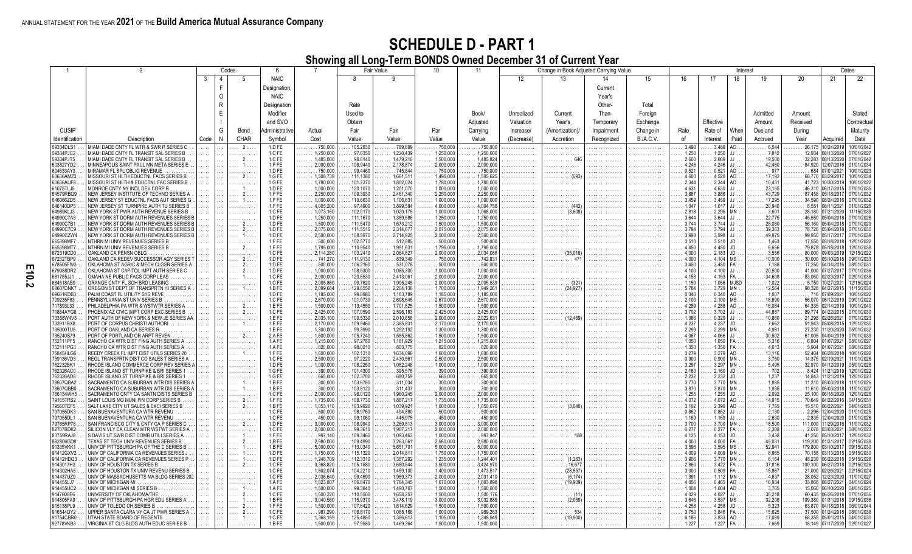|                        |                                                                                    |      |              | Codes      | 6                |                                          |                      | <b>Fair Value</b>      | 10 <sup>1</sup>        | 11                     |                   | Change in Book Adjusted Carrying Value |            |                  |                |                | Interest          |                  |                              |                           | Dates                    |
|------------------------|------------------------------------------------------------------------------------|------|--------------|------------|------------------|------------------------------------------|----------------------|------------------------|------------------------|------------------------|-------------------|----------------------------------------|------------|------------------|----------------|----------------|-------------------|------------------|------------------------------|---------------------------|--------------------------|
|                        |                                                                                    | -3   | 4            | -5         | <b>NAIC</b>      |                                          |                      | -9                     |                        |                        | $12 \overline{ }$ | 13                                     | 14         | 15               | 16             | 17             | 18                | 19               | 20                           | 21                        | 22                       |
|                        |                                                                                    |      | F            |            | Designation,     |                                          |                      |                        |                        |                        |                   |                                        | Current    |                  |                |                |                   |                  |                              |                           |                          |
|                        |                                                                                    |      | $\Omega$     |            | <b>NAIC</b>      |                                          |                      |                        |                        |                        |                   |                                        | Year's     |                  |                |                |                   |                  |                              |                           |                          |
|                        |                                                                                    |      | $\mathsf{R}$ |            | Designation      |                                          | Rate                 |                        |                        |                        |                   |                                        | Other-     | Total            |                |                |                   |                  |                              |                           |                          |
|                        |                                                                                    |      | E            |            | Modifier         |                                          | Used to              |                        |                        | Book/                  | Unrealized        | Current                                | Than-      | Foreign          |                |                |                   | Admitted         | Amount                       |                           | Stated                   |
|                        |                                                                                    |      |              |            |                  |                                          |                      |                        |                        |                        |                   |                                        |            |                  |                |                |                   |                  |                              |                           |                          |
|                        |                                                                                    |      |              |            | and SVO          |                                          | Obtain               |                        |                        | Adiusted               | Valuation         | Year's                                 | Temporary  | Exchange         |                | Effective      |                   | Amount           | Received                     |                           | Contractua               |
| <b>CUSIP</b>           |                                                                                    |      | G            | Bond       | dministrative    | Actual                                   | Fair                 | Fair                   | Par                    | Carrying               | Increase/         | (Amortization)/                        | Impairment | Change in        | Rate           | Rate of        | When              | Due and          | During                       |                           | Maturity                 |
| Identification         | Description                                                                        | Code | $\mathsf{N}$ | CHAR       | Symbol           | Cost                                     | Value                | Value                  | Value                  | Value                  | (Decrease)        | Accretion                              | Recognized | <b>B./A.C.V.</b> | of             | Interest       | Paid              | Accrued          | Year                         | Acquired                  | Date                     |
| 59334DLS1<br>59334PJC2 | MIAMI DADE CNTY FL WTR & SWR R SERIES C<br>MIAMI DADE CNTY FL TRANSIT SAL SERIES B |      |              | $2$ .<br>. | 1.D FE<br>1.C FE | 750,000<br>1,250,000                     | 105.2930<br>97.6350  | 789.699<br>1,220,439   | 750,000<br>1,250,000   | 750,000<br>1,250,000   | .<br>.            | .                                      |            |                  | 3.490<br>1.250 | 3.489<br>1.250 | $\Omega$          | 6,544<br>7,812   | 26,175<br>$\ldots$ . 12,934  | 10/24/2019<br>08/13/2020  | 0/01/2042<br>07/01/2027  |
| 59334PJT5              | MIAMI DADE CNTY FL TRANSIT SAL SERIES B                                            |      |              |            | 1.C FE           | 1,485,000                                | 98.6140              | 1.479.216              | 1.500.000              | 1.485.824              |                   | .                                      |            | .                | 2.600          | 2.669          |                   | 19,500           | 32,283                       | 08/13/2020                | 07/01/2042               |
| 603827YD2              | MINNEAPOLIS SAINT PAUL MN META SERIES E                                            |      |              |            | 1.FFE            | 2,000,000                                | 108.9440             | 2,178,874              | 2,000,000              | 2,000,000              |                   |                                        |            |                  | 4.246          | 4.246          |                   | 42,460           | 84,920                       | 12/07/2016                | 01/01/2034               |
| 604633AY3<br>60636AMZ3 | MIRAMAR FL SPL OBLIG REVENUE<br>MISSOURI ST HLTH EDUCTNL FACS SERIES B             |      |              |            | 1.D FE<br>1.G FE | .750,000<br>1.508.739                    | 99.4460<br>111.1380  | .745.844<br>1.661.51   | .750,000<br>1.495.000  | .750.000<br>1.505.625  |                   |                                        |            |                  | 0.521<br>4.600 | 0.521<br>4.520 | AO.<br>AO         | . 977<br>17.192  | 684<br>68,770                | 07/01/2021<br>03/29/2017  | 10/01/2023<br>10/01/2034 |
| 60636AUF8              | MISSOURI ST HLTH & EDUCTNL FAC SERIES B                                            |      |              |            | 1.G FE           | 1.780.000                                | 101.2370             | 1.802.024              | 1.780.000              | 1.780.000              |                   |                                        |            |                  | 2.344          | 2.344          |                   | 10.431           | 41.723                       | 0/30/2019                 | 10/01/2022               |
| 61075TLJ5              | MONROE CNTY NY INDL DEV CORP R                                                     |      |              |            | 1.D FE           | 1.000.000                                | 120.1070             | 1,201,070              | 1,000,000              | 1,000,000              |                   |                                        |            |                  | 4.631          | 4.630          |                   | 23.155           | 46,310                       | 06/17/2015                | 07/01/2035               |
| 64579RBQ9<br>646066ZD5 | NEW JERSEY INSTITUTE OF TECHNO SERIES A<br>NEW JERSEY ST EDUCTNL FACS AUT SERIES G |      |              |            | 1.FFE<br>1.FFE   | 2,250,000<br>1,000,000                   | 109.3930<br>110.6630 | 2,461,340<br>1,106,631 | 2,250,000<br>1,000,000 | 2,250,000<br>1,000,000 | .                 |                                        |            |                  | 3.887<br>3.459 | 3.886<br>3.459 |                   | 43,729<br>17,295 | 87,458<br>34,590             | 05/18/2017<br>08/24/2016  | 07/01/2032<br>07/01/2032 |
| 646140DP5              | NEW JERSEY ST TURNPIKE AUTH TU SERIES B                                            |      |              |            | 1.FFE            | 4.005.200                                | 97.4900              | 3.899.584              | 4.000.000              | 4,004,758              |                   | .                                      |            |                  | 1.047          | 1.017          |                   | 20,940           | 8,551                        | 108/11/202                | 01/01/2026               |
| 64989KLJ3<br>64990C7A3 | NEW YORK ST PWR AUTH REVENUE SERIES B<br>NEW YORK ST DORM AUTH REVENUES SERIES I   |      |              |            | 1.C FE<br>1.D FE | 1.073.160<br>1,250,000                   | 102.0170<br>111.1670 | 1.020.175<br>1.389.586 | 1.000.000<br>1.250.00  | 1.068.000<br>1,250,000 | .                 | (3,608)<br>.                           |            |                  | 2.818<br>3.644 | 2.295<br>3.644 |                   | 3.601<br>22,775  | 28.180<br>45.550             | 07/21/2020<br>05/04/2018  | 11/15/2039<br>07/01/2028 |
| 64990C7B1              | NEW YORK ST DORM AUTH REVENUES SERIES I                                            |      |              |            | 1.D FE           | 1,500,000                                | 111.5470             | 1,673,212              | 1,500,000              | 1,500,000              | .<br>.            | .<br>.                                 | .          |                  | 3.744          | 3.744          |                   | 28,080           | 56,160                       | 05/04/2018                | 07/01/2029               |
| 64990C7C9              | NEW YORK ST DORM AUTH REVENUES SERIES E                                            |      |              |            | 1.D FE           | 2,075,000                                | 111.5510             | 2.314.677              | 2,075,000              | 2,075,000              |                   | .                                      |            |                  | 3.794          | 3.794          |                   | 39,363           | 78,726                       | 05/04/2018                | 07/01/2030               |
| 64990CZW4<br>665398MF7 | NEW YORK ST DORM AUTH REVENUES SERIES B<br>NTHRN MI UNIV REVENUES SERIES B         |      |              |            | 1.D FE<br>1.FFE  | 2.500.000<br>$\ldots \ldots 500.000$     | 108,5970<br>102.5770 | 2.714.925<br>.512.885  | 2.500.000<br>.500.000  | 2.500.000<br>.500.000  |                   |                                        |            |                  | 3.998<br>3.510 | 3.998<br>3.510 | JD                | 49.975<br>1.463  | 99.950<br>17.550             | 05/17/2017<br>105/18/2018 | 07/01/2039<br>12/01/2022 |
| 665398MT7              | VTHRN MI UNIV REVENUES SERIES B                                                    |      |              |            | 1.FFE            | $\ldots$ 1,795,000                       | 110.9540             | 1,991,631              | 1,795,000              | 1,795,000              |                   |                                        |            |                  | 4.450          | 4.450          | JD                | 6,656            | 79,878                       | 05/18/2018                | 12/01/2038               |
| 672319CD0              | OAKLAND CA PENSN OBLG                                                              |      |              |            | 1.C FE           | $\ldots$ . 2,114,280                     | 103.2410             | 2,064,82               | 2,000,000              | 2,034,088              | .                 | . (35,016                              | .          |                  | 4.000          | 2.183          | JD                | 3,556            | 80,000<br>.                  | 09/03/2019                | 12/15/2022               |
| 67232TBP9<br>678505FW3 | OAKLAND CA REDEV SUCCESSOR AGY SERIES<br>OKLAHOMA ST AGRIC & MECH CLGSR SERIES A   |      |              |            | 1.D FE<br>1.D FE | .741,270<br>500,000                      | 111.9130<br>106.2160 | 839,349<br>531.078     | .750,000<br>500,000    | .742,831<br>500,000    | .                 | . 47                                   |            |                  | 4.000<br>3.450 | 4.104<br>3.450 | MS<br>FA          | 10,000<br>.7.188 | 30,000<br>17,250             | 05/10/2018<br>04/14/2016  | 09/01/2033<br>08/01/2031 |
| 679088DR2              | OKLAHOMA ST CAPITOL IMPT AUTH SERIES C                                             |      |              |            | 1.D FE           | 1.000.000                                | 108.5300             | 1.085.300              | 1.000.000              | 1.000.000              | .<br>.            |                                        |            |                  | 4.100          | 4.100          |                   | 20,500           | 41.000                       | 7/27/201                  | 07/01/2036               |
| 681785JJ1              | OMAHA NE PUBLIC FACS CORP LEAS                                                     |      |              |            | 1.C FE           | 2,000,000                                | 120.6530             | 2.413.06               | 2,000,000              | 2,000,000              | .                 | .                                      |            |                  | 4.153          | $4.153$ FA     |                   | 34,608           | 83,060                       | 02/23/2017                | 02/01/2038               |
| 684518AB9<br>68607DNK7 | ORANGE CNTY FL SCH BRD LEASING<br>OREGON ST DEPT OF TRANSPRTN HI SERIES A          |      |              |            | 1.C FE<br>1.B FE | 2.005.860<br>2,099,684                   | 99.7620<br>129.6550  | 1.995.245<br>2.204.136 | 2.000.000<br>1,700,000 | 2.005.539<br>1.949.26  | .                 | . (321<br>(24,927<br>.                 |            |                  | 1.150<br>5.784 | 1.056<br>3.729 | <b>MJSD</b><br>MN | 1.022<br>12,564  | 5.750<br>98,328              | 10/27/2021<br> 04/27/2015 | 12/15/2024<br>11/15/2030 |
| 69661KDB3              | PALM COAST FL UTILITY SYS REVE                                                     |      |              |            | 1.D FE           | 1.185.000                                | 99.8980              | 1.183.789              | 1.185.000              | 1.185.000              |                   |                                        |            |                  | 0.340          | 0.340          | AO.               | 1.007            | .716                         | 107/09/2021               | 10/01/2022               |
| 709235F83              | PENNSYLVANIA ST UNIV SERIES B                                                      |      |              |            | 1.C FE           | 2,670,000                                | 101.0730             | 2.698.645              | 2.670.000              | 2,670,000              |                   |                                        |            |                  | 2.100          | 2.100          | MS                | 18,690           | 56,070                       | 06/12/2019                | 09/01/2022               |
| 717893L33<br>71884AYG8 | PHILADELPHIA PA WTR & WSTWTR SERIES A<br>PHOENIX AZ CIVIC IMPT CORP EXC SERIES B   |      |              |            | 1.E FE<br>1.C FE | 1,500,000<br>2,425,000                   | 113.4550<br>107.0590 | 1,701,825<br>2,596,183 | 1,500,000<br>2,425,000 | 1,500,000<br>2,425,000 | .                 | .                                      |            |                  | 4.289<br>3.702 | 4.288<br>3.702 |                   | 16,084<br>44,887 | 64,335<br>89,774             | 02/14/2019<br>04/22/2015  | 0/01/2040<br>07/01/2030  |
| 73358W4V3              | PORT AUTH OF NEW YORK & NEW JE SERIES AA                                           |      |              |            | 1.E FE           | 2,035,100                                | 100.5330             | 2,010,658              | 2,000,000              | 2,022,631              | .                 | . (12,469                              | .          |                  | 1.086          | 0.329          |                   | 10,860           | 21,298                       | 02/26/2021                | 07/01/2023               |
| 733911BX8<br>735000TU5 | PORT OF CORPUS CHRISTI AUTHORI                                                     |      |              |            | 1.E FE<br>1.E FE | 2.170.000<br>1,300,000                   | 109.9460<br>99.3990  | 2,385,83<br>1.292.192  | 2,170,000<br>1.300.000 | 2,170,000<br>1.300.000 |                   |                                        |            |                  | 4.237<br>2.299 | 4.237          | JD.               | 7,662<br>4.981   | 91,943<br>27,230             | 05/08/201                 | 12/01/2030<br>05/01/2032 |
| 735240S79              | PORT OF OAKLAND CA SERIES R<br>PORT OF PORTLAND OR ARPT REVEN                      |      |              |            | 2.AFE            | 1.500.000                                | 105.7240             | 1.585.862              | 1.500.000              | 1.500.000              | .                 |                                        |            |                  | 4.067          | 2.299<br>4.066 |                   | 30.502           | 61.005                       | 1/20/2020<br>104/04/2019  | 07/01/2039               |
| 752111PF5              | RANCHO CA WTR DIST FING AUTH SERIES A                                              |      |              | .          | 1.AFE            | 1,215,000                                | 97.2780              | 1.181.929              | 1.215.00               | 1.215.000              | .                 | .                                      | .          |                  | 1.050          | 1.050          |                   | 5.316            | 6,804<br>.                   | 101/07/202                | 08/01/2027               |
| 752111PG3<br>75845HLG6 | RANCHO CA WTR DIST FING AUTH SERIES A<br>REEDY CREEK FL IMPT DIST UTILS SERIES 20  |      |              |            | 1.AFE<br>1.FFE   | $\ldots \ldots 820,000$<br>1,600,000     | 98.0210<br>102.1310  | 803.775<br>1,634,096   | .820.000<br>1,600,000  | .820,000<br>1,600,000  |                   | .                                      |            |                  | 1.350<br>3.279 | 1.350<br>3.279 | AO                | 4.613<br>13,116  | 5,904<br>52,464              | 101/07/2021<br>06/28/2018 | 08/01/2028<br>10/01/2022 |
| 759136VD3              | REGL TRANSPRTN DIST CO SALES T SERIES A                                            |      |              |            | 1.C FE           | 2,500,000                                | 97.2220              | 2.430.561              | 2.500.000              | 2.500.000              |                   | .                                      |            |                  | 0.900          | 0.900          | MN                | 3.750            | 14.375                       | 02/19/2021                | 11/01/2026               |
| 762232BK1              | RHODE ISLAND COMMERCE CORP REV SERIES.                                             |      |              |            | 1.D FE           | $\ldots$ 1,000,000                       | 108.2250             | 1,082,248              | 1,000,000              | 1,000,000              |                   |                                        |            |                  | 3.297          | 3.297          | MN                | 5,495            | 32,970                       | 04/12/2019                | 05/01/2028               |
| 762326AC0<br>762326AD8 | RHODE ISLAND ST TURNPIKE & BRI SERIES<br>RHODE ISLAND ST TURNPIKE & BRI SERIES     |      |              |            | 1.G FE<br>1.G FE | $\ldots \ldots 390,000$<br>.665,000<br>. | 101.4300<br>102.3700 | 395.576<br>680,759     | 390,000<br>665,000     | .390.000<br>.665,000   | .<br>.            | .<br>.                                 | .          |                  | 2.160<br>2.232 | 2.160<br>2.232 | JD<br>JD          | 702<br>1,237     | 8,424<br>14,843              | 11/21/2019<br>11/21/2019  | 12/01/2022<br>12/01/2023 |
| 78607QBA2              | SACRAMENTO CA SUBURBAN WTR DIS SERIES.                                             |      |              |            | 1.B FE           | 300,000                                  | 103.6780             | 311,034                | 300,000                | 300,000                | .                 |                                        |            |                  | 3.770          | 3.770          | <b>MN</b>         | 1,885            | 11,310                       | 05/03/2018                | 1/01/2026                |
| 78607QBB0              | SACRAMENTO CA SUBURBAN WTR DIS SERIES /                                            |      |              |            | 1.B FE           | 300.000                                  | 103.8120             | 311.437                | 300.000                | 300,000                | .                 |                                        |            |                  | 3.870          | 3.870          | MN                | 1,935            | 11,610                       | 05/03/2018                | 1/01/2027                |
| 786134WH5<br>79165TRS2 | SACRAMENTO CNTY CA SANTN DISTS SERIES B<br>SAINT LOUIS MO MUNI FIN CORP SERIES B   |      |              |            | 1.C FE<br>1.FFE  | 2.000.000<br>1,735,000                   | 98.0120<br>108.7730  | 1.960.245<br>1.887.21  | 2.000.000<br>1.735.000 | 2.000.000<br>1,735,000 | .<br>.            | .<br>.                                 | .          |                  | 1.255<br>4.072 | 1.255<br>4.072 | .ID<br>AO.        | 2.092<br>14,915  | 25,100<br>70,649             | 106/18/2020<br>04/22/2016 | 2/01/2026<br>04/15/2031  |
| 79560TEF5              | SALT LAKE CITY UT SALES & EXCI SERIES B                                            |      |              |            | 1.B FE           | 1,053,110                                | 103.9920             | 1.039.921              | 1.000.000              | 1.050.070              | .                 | . (3,040                               |            |                  | 3.102          | 2.390          |                   | 7.755            |                              | 15.510 06/22/2021         | 04/01/2038               |
| 797055DK3              | SAN BUENAVENTURA CA WTR REVENU                                                     |      |              |            | 1.C FE<br>1.C FE | 500,000                                  | 98.9760<br>99.1060   | 494.880<br>445.975     | .500,000<br>450.000    | .500,000               |                   |                                        |            |                  | 0.852          | 0.852<br>1.169 |                   | 2,130            | 2,296                        | 12/04/2020                | 01/01/2025               |
| 797055DL1<br>79765RP78 | SAN BUENAVENTURA CA WTR REVENU<br>SAN FRANCISCO CITY & CNTY CA P SERIES C          |      |              |            | 1.D FE           | 450,000<br>3.000.000                     | 108.9940             | 3.269.813              | 3.000.000              | .450,000<br>3.000.000  |                   |                                        |            |                  | 1.169<br>3.700 | 3.700          | MN                | 2,630<br>18,500  | 2,835<br>111.000             | 12/04/2020<br>1/29/2016   | 01/01/2026<br>1/01/2032  |
| 82707BDK2              | SILICON VLY CA CLEAN WTR WSTWT SERIES A                                            |      |              |            | 1.C FE           | 2,000,000                                | 99.3610              | 1,987,21               | 2,000,000              | 2,000,000              |                   |                                        |            |                  | 0.277          | 0.277          |                   | 2,308            | 2,078                        | 3/03/2021                 | 08/01/2023               |
| 83759RAJ8<br>882806GD8 | S DAVIS UT SWR DIST COMB UTILI SERIES A<br>TEXAS ST TECH UNIV REVENUES SERIES B    |      |              |            | 1.FFE<br>1.BFE   | .997,140<br>2,980,000                    | 109.3460<br>109.4990 | 1,093,463<br>3,263,06  | 1,000,000<br>2,980,000 | .997,94<br>2,980,000   | .                 | .                                      |            |                  | 4.125<br>4.000 | 4.153<br>4.000 | JD<br>FA          | 3,438<br>45,031  | 41,250<br>119,200            | 05/10/201<br>1/31/2011    | 12/01/2032<br>02/15/2038 |
| 91335VKK1              | UNIV OF PITTSBURGH PA OF THE C SERIES B                                            |      |              |            | 1.B FE           | 5,000,000                                | 113.0340             | 5.651.70               | 5,000,000              | 5.000.000              | .                 | .                                      |            |                  | 3.596          | 3.595          | MS.               | 52,941           | 179,800                      | 03/10/201                 | 09/15/2030               |
| 91412GXV2              | UNIV OF CALIFORNIA CA REVENUES SERIES.                                             |      |              |            | 1.D FE           | 1.750.000                                | 115.1320             | 2.014.81               | 1.750.000              | 1.750.000              |                   |                                        |            |                  | 4.009          | 4.009          |                   | 8.965            | 70.158                       | 03/13/2015                | 05/15/2030               |
| 91412HDQ3<br>9143017H3 | UNIV OF CALIFORNIA CA REVENUES SERIES P<br>UNIV OF HOUSTON TX SERIES B             |      |              |            | 1.D FE<br>1.C FE | 1.248.709<br>3,368,820                   | 112.3310<br>105.1580 | 1.387.292<br>3,680,544 | 1.235.000<br>3,500,000 | 1.244.401<br>3,424,970 | .<br>.            | (1.283)<br>.<br>. 16,677               |            |                  | 3.906<br>2.860 | 3.770<br>3.422 | MN<br>FA          | 6.164<br>37,816  | 48.239<br>100,100            | 06/22/2018<br>06/27/2018  | 05/15/2028<br>02/15/2026 |
| 914302HA5              | UNIV OF HOUSTON TX UNIV REVENU SERIES B                                            |      |              |            | 1.C FE           | 1,502,074                                | 104.2210             | 1,459,100              | 1,400,000              | 1,473,51               |                   | (28, 557)                              |            |                  | 3.000          | 0.509          | FA                | 15,867           | 21,000                       | 02/26/2021                | 02/15/2024               |
| 914437UZ9              | UNIV OF MASSACHUSETTS MA BLDG SERIES 202                                           |      |              |            | 1.C FE           | 2,036,640                                | 99.4690              | 1.989.373              | 2,000,000              | 2,031,410              |                   | (5, 174)                               |            |                  | 1.391          | 1.112          | <b>MN</b>         | 4,637            | 28,052                       | 12/23/2020                | 11/01/2027               |
| 914455LJ7<br>914455UC2 | UNIV OF MICHIGAN MI<br>UNIV OF MICHIGAN MI SERIES B.                               |      |              |            | 1.AFE<br>1.AFE   | 1,823,807<br>$\ldots$ 1,500,000          | 106.8470<br>99.3840  | 1.784.345<br>1,490,767 | 1.670.000<br>1,500,000 | 1.803.898<br>1,500,000 | .                 | (19,909)                               |            |                  | 4.056<br>1.004 | 0.465<br>1.004 | AO<br>AO.         | 16.934<br>3,765  | 33,868<br>15,060<br>.        | 08/27/2021<br>06/10/2020  | 04/01/2024<br>04/01/2025 |
| 9147608E6              | UNIVERSITY OF OKLAHOMA/THE                                                         |      |              |            | 1.C FE           | 1,500,220                                | 110.5500             | 1,658,257              | 1,500,000              | 1,500,176              | .                 |                                        |            |                  | 4.029          | 4.027          |                   | 30,218           | 60,435                       | 06/26/2018                | 07/01/2036               |
| 914805FA9              | UNIV OF PITTSBURGH PA HGR EDU SERIES A<br>UNIV OF TOLEDO OH SERIES B               |      |              |            | 1.B FE<br>1.FFE  | 3,040,560<br>1.500.000                   | 115.9370             | 3,478,119              | 3,000,000              | 3,032,889<br>1,500,000 | .                 | . (2,059)                              |            |                  | 3.646          | 3.537          | MS                | 32,206           | 109,380<br>.                 | 01/31/2018                | 09/15/2036               |
| 915138PL9<br>916544DY2 | UPPER SANTA CLARA VY CA JT PWR SERIES A                                            |      |              |            | 1.C FE           | 987.290                                  | 107.6420<br>108.8170 | 1,614,629<br>1.088.166 | 1,500,000<br>1.000.000 | 989.263                | .                 |                                        |            |                  | 4.258<br>3.750 | 4.258<br>3.846 | JD<br><b>FA</b>   | 5,323<br>15,625  | 63,870<br>$\ldots$ . 37.500  | 04/18/2018<br>01/24/2018  | 06/01/2044<br>08/01/2038 |
| 91754CBR0              | UTAH STATE BOARD OF REGENTS                                                        |      |              |            | 1.C FE           | 1.368.189                                | 125.4850             | 1.386.613              | 1.105.000              | 1.248.949              | .                 | $\ldots \ldots$ (19,900)               |            |                  | 6.186          | $3.833$ $AO$   |                   | 17,089           | .                            | 68.355 05/01/2015         | 04/01/2030               |
| 92778VKB3              | VIRGINIA ST CLG BLDG AUTH EDUC SERIES B                                            |      |              |            | 1.B FE           | 1,500,000                                | 97.9580              | 1,469,364              | 1,500,000              | 1,500,000              |                   |                                        |            |                  | 1.227          | $1.227$ FA.    |                   | $\ldots$ 7,669   | $\ldots$ 18,149   07/17/2020 |                           | 02/01/2027               |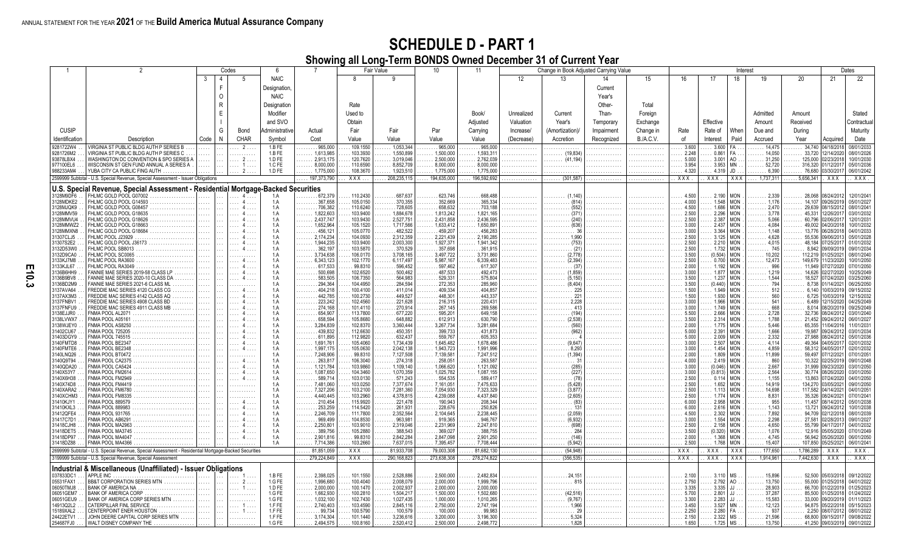|                        |                                                                                                      |          |              | Codes | 6                     |                                |                      | Fair Value             | 10                      | 11                      |            | Change in Book Adjusted Carrying Value |            |                  |                |                  | Interest                 |                                                |                         |                      | Dates                    |
|------------------------|------------------------------------------------------------------------------------------------------|----------|--------------|-------|-----------------------|--------------------------------|----------------------|------------------------|-------------------------|-------------------------|------------|----------------------------------------|------------|------------------|----------------|------------------|--------------------------|------------------------------------------------|-------------------------|----------------------|--------------------------|
|                        |                                                                                                      | 3        | $\Delta$     | 5     | <b>NAIC</b>           |                                | R                    | 9                      |                         |                         | 12         | 13                                     | 14         | 15               | 16             | 17               | 18                       |                                                | 20                      | 21                   | 22                       |
|                        |                                                                                                      |          | E            |       |                       |                                |                      |                        |                         |                         |            |                                        |            |                  |                |                  |                          |                                                |                         |                      |                          |
|                        |                                                                                                      |          |              |       | Designation,          |                                |                      |                        |                         |                         |            |                                        | Current    |                  |                |                  |                          |                                                |                         |                      |                          |
|                        |                                                                                                      |          | $\Omega$     |       | <b>NAIC</b>           |                                |                      |                        |                         |                         |            |                                        | Year's     |                  |                |                  |                          |                                                |                         |                      |                          |
|                        |                                                                                                      |          | $\mathsf{R}$ |       | Designation           |                                | Rate                 |                        |                         |                         |            |                                        | Other-     | Total            |                |                  |                          |                                                |                         |                      |                          |
|                        |                                                                                                      |          |              |       |                       |                                |                      |                        |                         |                         |            |                                        |            |                  |                |                  |                          |                                                |                         |                      |                          |
|                        |                                                                                                      |          | E            |       | Modifier              |                                | Used to              |                        |                         | Book/                   | Unrealized | Current                                | Than-      | Foreign          |                |                  |                          | Admitted                                       | Amount                  |                      | Stated                   |
|                        |                                                                                                      |          |              |       | and SVO               |                                | Obtain               |                        |                         | Adjusted                | Valuation  | Year's                                 | Temporary  | Exchange         |                | Effective        |                          | Amount                                         | Received                |                      | Contractual              |
|                        |                                                                                                      |          |              |       |                       |                                |                      |                        |                         |                         |            |                                        |            |                  |                |                  |                          |                                                |                         |                      |                          |
| <b>CUSIP</b>           |                                                                                                      |          | G            | Bond  | <b>Administrative</b> | Actual                         | Fair                 | Fair                   | Par                     | Carrying                | Increase/  | (Amortization)/                        | Impairment | Change in        | Rate           | Rate of          | When                     | Due and                                        | During                  |                      | Maturity                 |
| Identification         | Description                                                                                          | Code     | N            | CHAR  | Symbol                | Cost                           | Value                | Value                  | Value                   | Value                   | (Decrease) | Accretion                              | Recognized | <b>B./A.C.V.</b> | of             | Interest         | Paid                     | Accrued                                        | Year                    | Acquired             | Date                     |
|                        |                                                                                                      |          |              |       |                       |                                |                      |                        |                         |                         |            |                                        |            |                  |                |                  |                          |                                                |                         |                      |                          |
| 9281722W4              | VIRGINIA ST PUBLIC BLDG AUTH P SERIES B                                                              |          |              | . 2   | 1.BFE                 | 965,000<br>.                   | 109.1550             | 1,053,344              | 965,000                 | .965,000                | .          |                                        | .          | .                | 3.600          | 3.600            | FA.                      | 14,475                                         | 34,740 04/18/201        |                      | 08/01/2033               |
| 9281726M2              | VIRGINIA ST PUBLIC BLDG AUTH P SERIES C                                                              |          |              |       | 1.BFE                 | 1,613,985<br>.                 | 103.3930             | 1,550,899              | 1,500,000               | 1,593,31                |            | . (19,834)                             |            |                  | 2.248          | 0.861            | FA                       | 14,050<br>.                                    | $\ldots \ldots 33,720$  | 12/14/202            | 08/01/2026               |
| 93878LBX4              | WASHINGTON DC CONVENTION & SPO SERIES A                                                              |          |              |       | 1.D FE                | 2,913,175<br>.                 | 120.7620             | 3,019,046              | 2,500,000               | 2,762,039               | .          | $\ldots$ (41,194)                      |            |                  | 5.000          | 3.001            | AO<br><b>MN</b>          | $\ldots \ldots 31,250$                         | $\ldots \ldots 125,000$ | 02/23/201            | 10/01/2030               |
| 977100EL6              | WISCONSIN ST GEN FUND ANNUAL A SERIES A                                                              | .        |              |       | 1.C FE                | 8,000,000<br>.                 | 110.6590             | 8,852,709              | 8,000,000               | 8.000.000               | .          |                                        |            | .                | 3.954          | 3.953            |                          | 52,720<br>.                                    | 316,320<br>.            | 01/12/201            | 05/01/2036               |
| 988233AM4              | YUBA CITY CA PUBLIC FING AUTH.                                                                       |          |              |       | 1.D FE                | $\ldots$ .1,775,000            | 108.3670             | 1,923,510              | 1,775,000               | 1,775,000               | .          |                                        |            |                  | 4.320          | 4.319            | JD                       | $\ldots \ldots 6,390$                          | $\ldots$ . 76,680       | 03/30/201            | 06/01/2042               |
|                        | 2599999 Subtotal - U.S. Special Revenue, Special Assessment - Issuer Obligations                     |          |              |       |                       | 197,373,790                    | XXX.                 | 208,235,115            | 194,635,000             | 196,592,692             | .          | (301, 587)                             |            | .                | XXX.           | XXX.             | XXX                      | 1,737,311                                      | 5,656,341               | <b>XXX</b>           | XXX                      |
|                        | U.S. Special Revenue, Special Assessment - Residential Mortgage-Backed Securities                    |          |              |       |                       |                                |                      |                        |                         |                         |            |                                        |            |                  |                |                  |                          |                                                |                         |                      |                          |
| 3128M9DF6              | FHLMC GOLD POOL G07002.                                                                              |          |              |       | 1.A                   |                                | 110.2430             | 687.637                | 623.746                 | 668.488                 |            | (1.140)                                |            |                  | 4.500          | 2.190            | <b>MON</b>               | 2,339                                          | 28,068                  | 08/24/201            | 12/01/204                |
|                        | .<br>FHLMC GOLD POOL G14593                                                                          | .        |              |       | 1.A                   | .672,379<br>.<br>.367,658      | 105.0150             | .370.355               | 352.669                 | 365.334                 |            |                                        |            |                  | 4.000          | 1.548            | <b>MON</b>               |                                                |                         | 09/26/201            | 05/01/2027               |
| 3128MDKE2<br>3128MJQK9 | .                                                                                                    | $\cdots$ |              |       | 1.A                   | .<br>706.382                   |                      | 728,605                | .                       | 703.188                 | .          | . (814)                                | .          | .                | 4.500          | 1.686            | <b>MON</b>               | $\ldots \ldots 1,176$                          | 14.107<br>29.639        |                      | 08/01/204                |
|                        | FHLMC GOLD POOL G08457<br>.                                                                          | .        |              |       |                       | .                              | 110.6240             |                        | 658.632                 |                         | .          |                                        |            |                  |                |                  |                          | $\ldots \ldots 2,470$                          |                         | 08/15/201            |                          |
| 3128MMV59              | FHLMC GOLD POOL G18635<br>.                                                                          | 1.111    |              |       | 1.A                   | 1.822.603<br>.                 | 103.9400             | 1.884.678              | 1.813.242               | 1.821.165               |            | (371)<br>.                             |            |                  | 2.500<br>2.500 | 2.296            | <b>MON</b>               | $\ldots \ldots 3.778$                          | 45.331                  | 12/26/201            | 03/01/2032               |
| 3128MMVU4              | FHLMC GOLD POOL G18626<br>.                                                                          | $\cdots$ |              |       | 1.A<br>1.A            | 2,437,747<br>.                 | 103.9430             | 2.527.751              | 2.431.858<br>1.633.412  | 2.436.595               | .          | .                                      |            |                  | 3.000          | 2.387            | <b>MON</b><br><b>MON</b> | $\ldots \ldots 5,066$                          | 60.796                  | 02/06/201            | 12/01/203                |
| 3128MMWZ2              | FHLMC GOLD POOL G18663<br>.                                                                          |          |              |       |                       | 1,652,964                      | 105.1520             | 1,717,566              |                         | 1,650,891               |            |                                        |            |                  |                | 2.437            | <b>MON</b>               | $\ldots \ldots 4,084$                          |                         | 49,002 04/20/201     | 10/01/2032               |
| 3128MMXN8              | FHLMC GOLD POOL G18684                                                                               |          |              |       | 1.A                   | 456,121                        | 105.0770             | 482.522                | .459.207                | .456.283                |            |                                        |            |                  | 3.000          | 3.364            |                          | $\ldots \ldots 1.148$                          | 13.776                  | 06/28/201            | 04/01/2033               |
| 31307CLJ5<br>31307S2E2 | FHLMC POOL J23929                                                                                    |          |              |       | 1.A<br>1.A            | 2.174.234<br>1,944,235         | 104.0930             | 2.312.359              | 2.221.439               | 2.190.285               |            | (753)                                  |            |                  | 2.500          | 3.125            | <b>MON</b><br><b>MON</b> | $\ldots \ldots 4,628$<br>$\ldots \ldots 4.015$ | 55.536                  | 09/06/201            | 05/01/2028               |
| 3132D53W0              | FHLMC GOLD POOL J36173                                                                               |          |              |       |                       | .<br>.362,197                  | 103.9400             | 2,003,300              | 1,927,371<br>357,698    | 1,941,342<br>. .361,915 |            |                                        |            |                  | 2.500<br>2.500 | 2.210<br>1.732   | <b>MON</b>               |                                                | 48,184                  | 7/25/201             | 01/01/2032               |
|                        | FHLMC POOL SB8013                                                                                    |          |              |       | 1.A                   | .<br>3,734,638                 | 103.5870             | .370,529               |                         |                         | .          |                                        |            |                  |                |                  | <b>MON</b>               | . 745                                          | 8,942<br>112,219        | 09/09/201            | 09/01/2034               |
| 3132D9CA0<br>3133KJ7M8 | FHLMC POOL SC0065<br>FHLMC POOL RA3600                                                               |          |              |       | 1.A<br>1.A            | .<br>6,343,123                 | 106.0170<br>102.1770 | 3,708,165<br>6,117,497 | 3,497,722<br>5,987,167  | 3,731,860<br>6.339.483  | .          | (2, 394)                               | .          |                  | 3.500<br>2.500 | (0.504)<br>0.700 | <b>MON</b>               | $\ldots$ . 10,202<br>$\ldots$ . 12,473         | 149,679                 | 1/25/202<br>1/23/202 | 08/01/2040<br>10/01/2050 |
| 3133KJL67              | FHLMC POOL RA3049                                                                                    |          |              |       | 1.A                   | $\cdots$<br>.617.533<br>.      | 99.8310              | 596.452                | $\ldots \ldots 597.462$ | .617.307                | .          | . (37)                                 |            |                  | 2.000          | 1.192            | <b>MON</b>               | $\ldots \ldots 996$                            | 11.949                  | 7/27/202             | 07/01/2050               |
| 3136B6HH9              | FANNIE MAE SERIES 2019-58 CLASS LP                                                                   | .        |              |       | 1.A                   | 500.698<br>.                   | 102.6520             | 500.462                | 487,533                 | .492.473                | .<br>.     | (1.859)<br>.                           |            |                  | 3.000          | 1.877            | <b>MON</b>               | $\ldots \ldots 1,219$                          | 14.626                  | 02/27/202            | 10/25/2049               |
| 3136B9BV8              | FANNIE MAE SERIES 2020-10 CLASS DA<br>.                                                              | $\cdots$ |              |       | 1.A                   | .583.505<br>.                  | 106.7350             | 564.983                | 529.331                 | .575.804                | .          | (5.150)<br>.                           | .          | .                | 3.500          | 1.237            | <b>MON</b>               | $\ldots \ldots 1,544$                          | 18.527                  | 07/24/202            | 03/25/2060               |
| 3136BD2M9              | FANNIE MAE SERIES 2021-6 CLASS ML                                                                    |          |              |       | 1.A                   | . 294,364<br>.                 | 104.4950             | 284,594                | 272,353                 | 285,960                 | .          | (8.404)                                |            |                  | 3.500          |                  | $(0.440)$ MON            | $\cdots \cdots$ 794                            |                         | 8,738 01/14/2021     | 06/25/2050               |
| 3137AVA64              | FREDDIE MAC SERIES 4120 CLASS CG                                                                     |          |              |       | 1.A                   | 404,218<br>.                   | 100.4100             | 411.014                | 409.334                 | .404.857                | .          | 225                                    |            |                  | 1.500          |                  | 1.949 MON                | 512<br>.                                       | 6.140                   | 10/03/201            | 09/15/2032               |
| 3137AX3M3              | FREDDIE MAC SERIES 4142 CLASS AQ                                                                     |          |              |       | 1.A                   | 442.785<br>.                   | 100.2730             | 449.527                | 448.301                 | 443.337                 |            | 221                                    |            |                  | 1.500          | 1.930            | <b>MON</b>               | 560<br>.                                       | 6.725                   | 10/03/201            | 12/15/2032               |
| 3137FNBV1              | FREDDIE MAC SERIES 4908 CLASS BD                                                                     |          |              |       | 1.A                   | . 223,242<br>.                 | 102.4560             | .221,628               | $\ldots \ldots 216,315$ | . 220,431               | .          | . 2,228                                |            |                  | 3.000          | 1.966            | <b>MON</b>               | . 541                                          | 6,489                   | 12/15/202            | 04/25/204                |
| 3137FNFU9              | FREDDIE MAC SERIES 4911 CLASS MB                                                                     |          |              |       | 1.A                   | .274,168<br>.                  | 101.4110             | 270,914                | $\ldots \ldots 267,145$ | .269,586                |            | 413                                    |            |                  | 3.000          |                  | 1.749 MON                | 668                                            | 8,014                   | 08/20/201            | 09/25/204                |
| 3138EJJR0              | FNMA POOL AL2071                                                                                     | $\cdots$ |              |       | 1.A                   | 654,907<br>.                   | 113.7800             | .677,220               | 595,201<br>.            | 649,158                 | .          | $\ldots \ldots \ldots$ (194)           | .          | .                | 5.500          |                  | 2.666 MON                | $\ldots \ldots 2,728$                          | 32,736                  | 08/24/201            | 03/01/2040               |
| 3138LVWX7              | FNMA POOL A05161                                                                                     | .        |              |       | 1.A                   | 658,594<br>$\cdots$            | 105.8680             | .648,882               | 612,913                 | 630,790                 | .          | $\ldots$ (2,538)                       |            |                  | 3.500          |                  | 2.314 MON                | $\ldots \ldots 1.788$                          | 21,452                  | 09/24/2012           | 06/01/2027               |
| 3138WJEY0              | FNMA POOL AS8250                                                                                     |          |              |       | 1.A                   | $\ldots$ 3,284,839             | 102.8370             | 3.360.444              | $\ldots$ . 3,267,734    | 3,281,684               | .          | . (560)                                |            | .                | 2.000          | 1.775            | <b>MON</b>               | $\ldots \ldots 5,446$                          | 65,355                  | 1/04/201             | 11/01/203                |
| 31402CU67              | <b>NMA POOL 725205</b>                                                                               | .        |              |       | 1.A                   | 439.832<br>.                   | 112.6630             | .450.351               | $\ldots \ldots$ 399.733 | $\ldots$ . 431.873      | .          | . (962)                                |            |                  | 5.000          | 2.391            | <b>MON</b>               | $\ldots \ldots 1,666$                          | 19.987                  | 09/24/201:           | 03/01/2034               |
| 31403DGY9              | NMA POOL 745515                                                                                      | $\cdots$ |              |       | 1.A                   | .611,895<br>.                  | 112.9820             | .632,437               | 559,767                 | .605.353                | .          | .                                      |            |                  | 5.000          | 2.009            | <b>MON</b>               | $\ldots$ 2,332                                 | 27,988                  | 08/24/201            | 05/01/2036               |
| 3140FMTD8              | FNMA POOL BE2347                                                                                     | $\cdots$ |              |       | 1.A                   | 1,691,761<br>.                 | 105.4060             | 1.734.439              | 1.645,482               | 1.678.486               | .          | $\ldots \ldots \ldots$ (9,647)         |            |                  | 3.000          | 2.507            | <b>MON</b>               | $\ldots \ldots$ 4,114                          | 49.364                  | 04/05/201            | 02/01/2032               |
| 3140FMTE6              | NMA POOL BE2348                                                                                      |          |              |       | 1.A                   | 1,997,175<br>.                 | 105.0630             | 2,042,138              | 1,943,723               | 1.991.996               |            | . 8,293                                |            |                  | 3.000          | 1.454            | <b>MON</b>               | $\ldots \ldots 4,859$                          |                         | 58,312 04/05/201     | 02/01/2032               |
| 3140LNQ26              | FNMA POOL BT0472.                                                                                    |          |              |       | 1.A                   | 7,248,906                      | 99.8310              | 7.127.508              | 7.139.581               | 7.247.512               |            | (1.394)                                |            |                  | 2.000          | 1.809            | <b>MON</b>               | $\ldots$ . 11,899                              | 59,497                  | 07/12/2021           | 07/01/205                |
| 3140Q9T94              | FNMA POOL CA2375                                                                                     |          |              |       | 1.A                   | .263.817                       | 106.3040             | .274.318               | 258.051                 | 263.587                 |            |                                        |            |                  | 4.000          |                  | 2.419 MON                | . 860                                          | 10.322                  | 02/25/201            | 09/01/2048               |
| 3140QDA20              | FNMA POOL CA5424.                                                                                    |          |              |       | 1A                    | 1.121.784<br>.                 | 103.9860             | 1.109.140              | 1.066.620               | 1.121.092               |            |                                        |            |                  | 3.000          | (0.046)          | <b>MON</b>               | $\cdots$ 2,667                                 | 31.999                  | 09/23/202            | 03/01/2050               |
| 3140X53Y7              | FNMA POOL FM2614                                                                                     |          |              |       | 1.A                   | 1,087,650<br>.                 | 104.3460             | 1,070,359              | 1,025,782               | 1,087,155               |            | . (227)                                |            |                  | 3.000          | (0.813)          | <b>MON</b>               | $\ldots \ldots 2,564$                          | 30,774                  | 08/26/202            | 03/01/2050               |
| 3140X6H38              | FNMA POOL FM2949                                                                                     |          |              |       | 1.A                   | .589,714<br>.                  | 103.0130             | .571,243               | 554,535                 | .589,417                | .          |                                        | .          |                  | 2.500          | 0.114            | <b>MON</b>               | $\ldots \ldots 1,155$                          | 13,863                  | 17/24/202            | 04/01/2050               |
| 3140X74D8              | FNMA POOL FM4419                                                                                     |          |              |       | 1.A                   | $\ldots$ . 7,481,060           | 103.0250             | 7,377,674              | 7,161,051               | 7,475,633               | .          | (5, 428)                               |            |                  | 2.500          | 1.652            | <b>MON</b>               | $\ldots$ . 14,919                              | 134,270                 | 03/05/202            | 09/01/2050               |
| 3140XARA2              | FNMA POOL FM6780                                                                                     | .        |              |       | 1.A                   | $\ldots$ . 7,327,206           | 103.2100             | 7,281,360              | 7.054.930               | 7,323,329               | .          | (3, 877)<br>.                          |            |                  | 2.500          | 1.113            | <b>MON</b>               | $\ldots$ . 14,698                              | 117,582                 | 04/14/202            | 04/01/205                |
| 3140XCHM3              | FNMA POOL FM8335                                                                                     |          |              |       | 1.A                   | 4,440,445<br>.                 | 103.2960             | 4,378,815              | 4,239,088               | 4,437,840               | .          | (2,605)                                | .          | .                | 2.500          |                  | 1.774 MON                | $\ldots \ldots 8.831$                          | 35,326                  | 08/24/202            | 07/01/204                |
| 31410KJY1              | FNMA POOL 889579                                                                                     | $\cdots$ |              |       | 1.A                   | $\ldots \ldots \ldots 210,454$ | 115.9920             | .221,478               | $\ldots$ . 190,943      | $\ldots$ . 208,344      | .          | (83)<br>.                              | .          |                  | 6.000          |                  | 2.958 MON                | $\cdots \cdots$ 955                            | 11.457                  | 08/14/201            | 05/01/2038               |
| 31410KXL3              | FNMA POOL 889983                                                                                     |          |              |       | 1.A                   | $\ldots \ldots 253.259$        | 114.5420             | 261,931                | $\ldots$ . 228,676      | .250,826                | .          | 131                                    |            |                  | 6.000          |                  | $2.616$ MON              | $\ldots \ldots 1,143$                          | 13,721                  | 09/24/201            | 10/01/2038               |
| 31412QFE4              | FNMA POOL 931765                                                                                     |          |              |       | 1.A                   | 2,246,709<br>.                 | 111.7800             | 2,352,564              | 2,104,645               | 2,238,445               |            | (2,059)                                |            |                  | 4.500          | 2.302            | <b>MON</b>               | $\ldots \ldots 7,892$                          | 94,709                  | 02/12/201            | 08/01/2039               |
| 31417C7D1              | FNMA POOL AB6291                                                                                     |          |              |       | 1.A                   | .969,499                       | 104.8530             | .963.981               | .919.365                | .946.767                |            | (6.932)                                |            |                  | 3.000          | 1.554            | <b>MON</b>               | 2.298<br>.                                     | 27.581                  | 02/28/201            | 09/01/2027               |
| 31418CJH8              | FNMA POOL MA2963                                                                                     |          |              |       | 1.A                   | 2,250,801<br>.                 | 103.9010             | 2.319.046              | 2.231.969               | 2.247.810               | .          | (698)                                  |            |                  | 2.500          | 2.158            | <b>MON</b>               | $\ldots \ldots 4,650$                          | 55,799                  | 04/17/201            | 04/01/2032               |
| 31418DET5              | FNMA POOL MA3745                                                                                     |          |              |       | 1.A                   | .389,756<br>.                  | 105.2880             | 388,543                | .369.027                | .388,755                |            | 284                                    |            |                  | 3.500          | (0.320)          | <b>MON</b>               | $\ldots \ldots 1.076$                          | 12,916                  | 05/05/202            | 07/01/2049               |
| 31418DP97              | FNMA POOL MA4047                                                                                     |          |              |       | 1.A                   | $\ldots$ . 2,901,816           | 99.8310              | 2,842,284              | 2.847.098               | 2,901,250               | .          | $\ldots \ldots \ldots$ (146)           |            |                  | 2.000          | 1.368            | <b>MON</b>               | $\ldots \ldots 4,745$                          | 56,942<br>.             | 05/26/202            | 06/01/2050               |
| 31418DZ88              | FNMA POOL MA4366                                                                                     |          |              |       | 1.A                   | $\ldots$ . 7,714,386           | 103.2660             | 7,637,015              | 7,395,457               | 7,708,444               |            | (5,942)                                |            |                  | $\ldots$ 2.500 | . . 1.768        | <b>MON</b>               | $\ldots$ .15,407                               | $\ldots$ 107,850        | 05/25/2021           | 06/01/204                |
|                        | 2699999 Subtotal - U.S. Special Revenue, Special Assessment - Residential Mortgage-Backed Securities |          |              |       |                       | 81,851,059                     | $\overline{XXX}$ .   | 81,933,708             | 79,003,308              | 81,682,130              | .          | (54, 948)                              |            |                  | XXX            | XXX.             | $\overline{XXX}$         | 177,650                                        | 1,786,289               | $\overline{XXX}$     | $\overline{XXX}$         |
|                        | 3199999 Subtotal - U.S. Special Revenue, Special Assessment                                          |          |              |       |                       | 279,224,849                    | XXX.                 | 290.168.823            | 273,638,308             | 278,274,822             | .          | (356, 535)                             | .          | .                | XXX            | XXX.             | $\overline{XX}$          | 1,914,961                                      | 7,442,630               | <b>XXX</b>           | XXX                      |
|                        | <b>Industrial &amp; Miscellaneous (Unaffiliated) - Issuer Obligations</b>                            |          |              |       |                       |                                |                      |                        |                         |                         |            |                                        |            |                  |                |                  |                          |                                                |                         |                      |                          |
| 037833DC1              |                                                                                                      |          |              |       | 1.BFE                 | 2.398.025                      | 101.1550             | 2.528.886              | 2.500.000               | 2.482.834               |            |                                        |            |                  |                | 3.110            | MS                       | 15,896                                         | 52.500                  | 05/03/201            | 09/12/2022               |
| 05531FAX1              |                                                                                                      |          |              |       | 1.G FE                | 1,996,680                      | 100.4040             | 2,008,079              | 2,000,000               | 1,999,796               |            |                                        |            |                  | 2.750          | 2.792            | AO.                      | 13,750                                         | 55,000                  | 01/25/2018           | 04/01/2022               |
| 06050TMJ8              | <b>BANK OF AMERICA NA.</b>                                                                           |          |              |       | 1.D FE                | 2,000,000                      | 100.1470             | 2.002.937              | 2.000.000               | 2.000.000               |            |                                        |            |                  | 3.335          | 3.335            |                          | 28,903                                         | 66,700                  | 01/22/201            | 01/25/2023               |
| 06051GEM7              | <b>BANK OF AMERICA CORP</b>                                                                          |          |              |       | 1.G FE                | $\ldots$ . 1,662,930           | 100.2810             | 1,504,217              | 1,500,000               | 1.502.680               |            | (42.516)                               |            |                  | 5.700          | 2.801            |                          | 37,287                                         | 85.500                  | 01/25/201            | 01/24/2022               |
| 06051GEU9              | BANK OF AMERICA CORP SERIES MTN                                                                      |          |              |       | 1.G FE                | $\ldots$ . 1,032,100           | 102.7430             | 1.027.435              | 1.000.000               | 1.010.265               |            | $\ldots \ldots$ (9.767)                |            |                  | 3.300          | 2.283            | JJ                       | 15.583                                         | 33,000                  | 09/20/201            | 01/11/2023               |
| 14913Q2L2              | CATERPILLAR FINL SERVICE.                                                                            |          |              |       | 1.FFE                 | $\ldots$ . 2,740,403           | 103.4590             | 2,845,116              | $\ldots$ . 2,750,000    | 2,747,194               |            | $\ldots \ldots \ldots 1.966$           |            |                  | 3.450          | 3.527            | <b>MN</b>                | $\ldots$ . 12,123                              | $\ldots \ldots 94,875$  | 05/22/201            | 05/15/2023               |
| 15189XAL2              | CENTERPOINT ENER HOUSTON<br>.                                                                        |          |              |       | 1.FFE                 | 99,734<br>.                    | 100.5790             | 100,579                | $\ldots \ldots 100,000$ | .99,983                 |            | 29                                     |            |                  | 2.250          | 2.280            | FA.                      | . 937                                          | $\ldots \ldots 2,250$   | 08/07/201            | 08/01/2022               |
| 24422ETV1              | JOHN DEERE CAPITAL CORP SERIES MTN                                                                   | .        |              |       | 1.FFE                 | .3,174,304                     | 101.1440             | 3,236,616              | 3,200,000               | 3,196,300               | .          | $\ldots \ldots \ldots 5,324$           |            | .                | 2.150          | 2.322 MS         |                          | $\ldots \ldots 21,596$                         |                         | 68,800 09/15/2017    | 09/08/2022               |
| 254687FJ0              | WALT DISNEY COMPANY THE                                                                              |          |              |       | 1.GFE                 | 2,494,575                      | 100.8160             | 2,520,412              | 2,500,000               | 2,498,772               |            | 1,828                                  |            |                  | 1.650          | $1.725$ MS       |                          | 13,750                                         |                         | 41,250 09/03/2019    | 09/01/2022               |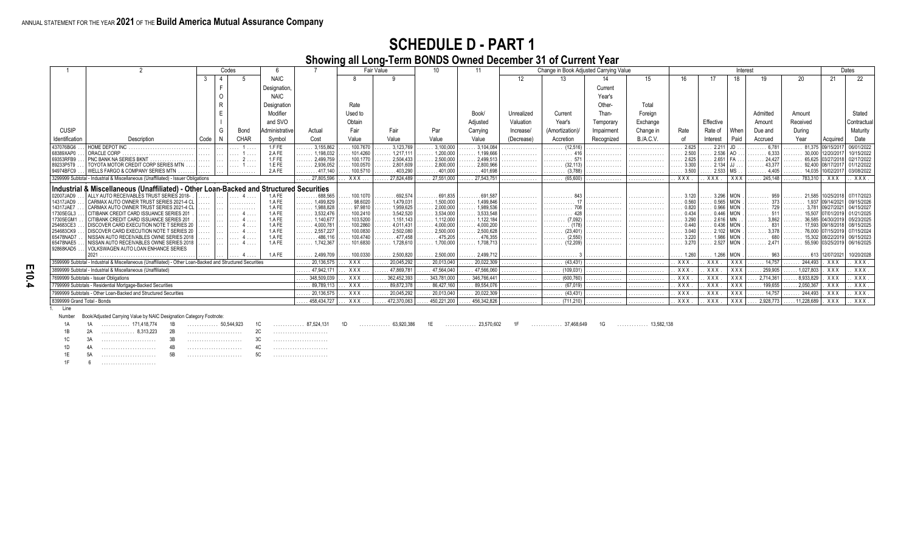#### **Showing all Long-Term BONDS Owned December 31 of Current Year**

|                                       |                                                                                                            |       | Codes |             |                |                                   |                     | Fair Value                        | 10                      |                                 |            | Change in Book Adjusted Carrying Value |            |                  |                           |                       | Interest    |                    |                                         |                   | Dates                        |
|---------------------------------------|------------------------------------------------------------------------------------------------------------|-------|-------|-------------|----------------|-----------------------------------|---------------------|-----------------------------------|-------------------------|---------------------------------|------------|----------------------------------------|------------|------------------|---------------------------|-----------------------|-------------|--------------------|-----------------------------------------|-------------------|------------------------------|
|                                       |                                                                                                            | 3     |       |             | <b>NAIC</b>    |                                   |                     | a                                 |                         |                                 | 12         | 13                                     | 14         | 15               |                           |                       | 18          |                    | 20                                      | 21                | 22                           |
|                                       |                                                                                                            |       |       |             | Designation    |                                   |                     |                                   |                         |                                 |            |                                        | Current    |                  |                           |                       |             |                    |                                         |                   |                              |
|                                       |                                                                                                            |       |       |             |                |                                   |                     |                                   |                         |                                 |            |                                        |            |                  |                           |                       |             |                    |                                         |                   |                              |
|                                       |                                                                                                            |       |       |             | <b>NAIC</b>    |                                   |                     |                                   |                         |                                 |            |                                        | Year's     |                  |                           |                       |             |                    |                                         |                   |                              |
|                                       |                                                                                                            |       |       |             | Designation    |                                   | Rate                |                                   |                         |                                 |            |                                        | Other-     | Total            |                           |                       |             |                    |                                         |                   |                              |
|                                       |                                                                                                            |       |       |             | Modifier       |                                   | Used to             |                                   |                         | Book/                           | Unrealized | Current                                | Than-      | Foreian          |                           |                       |             | Admitted           | Amount                                  |                   | Stated                       |
|                                       |                                                                                                            |       |       |             | and SVO        |                                   | Obtain              |                                   |                         | Adjusted                        | Valuation  | Year's                                 | Temporary  | Exchange         |                           | Effective             |             | Amount             | Received                                |                   | Contractua                   |
| <b>CUSIP</b>                          |                                                                                                            |       | G     | Bond        | Administrative | Actual                            | Fair                | Fair                              | Par                     | Carrving                        | Increase/  | (Amortization)                         | Impairment | Change in        | Rate                      | Rate of               | When        | Due and            | Durina                                  |                   | Maturity                     |
| Identification                        | Description                                                                                                | Code  |       | <b>CHAR</b> | Symbol         | Cost                              | Value               | Value                             | Value                   | Value                           | (Decrease) | Accretion                              | Recognized | <b>B./A.C.V.</b> | of                        | Interest              | Paid        | Accrued            | Year                                    | Acquired          | Date                         |
| 437076BG6                             | HOME DEPOT INC                                                                                             |       |       |             | 1.FFE          | $\ldots$ 3.155.862                | 100.7670            | 3.123.769                         | .3,100,000              | $\ldots$ 3.104.084              |            | $\ldots$ (12,516)                      |            |                  | $\overline{\ldots}$ 2.625 | 2.211                 |             | .6.781             |                                         | 81.375 09/15/201  | 06/01/2022                   |
| 68389XAP0                             | ORACLE CORP                                                                                                | 1.1.1 |       |             | 2.AFE          | 1,198,032<br>.                    | 101.4260            | 1.217.11                          | 1.200.000               | 1,199,666                       | .          |                                        |            | .                | 2.500                     | 2.536                 |             | 6.333              |                                         | 30.000 12/20/201  | 10/15/2022                   |
| 69353RFB9                             | PNC BANK NA SERIES BKNT                                                                                    |       |       |             | 1.FFE          | $\ldots$ . 2,499,759              | 100.1770            | 2.504.433                         | 2,500,000               | 2,499,513                       |            | .                                      |            | .                | $\therefore$ 2.625        | 2.651                 |             | 24,427             |                                         |                   | 02/17/2022                   |
| 89233P5T9                             | TOYOTA MOTOR CREDIT CORP SERIES MTN                                                                        |       |       |             | 1.E FE         | 2,936,052<br>.                    | 100.0570            | 2.801.609                         | 2,800,000               | 2,800,966                       | .          | (32.1)<br>.                            |            | .                | 3.300                     | 2.134                 |             |                    | 92.400                                  |                   | 01/12/2022                   |
| 94974BFC9                             | WELLS FARGO & COMPANY SERIES MTN                                                                           |       |       |             | 2.AFE          | $\ldots \ldots$ . 417.140         | 100.5710            | .403.290                          | $\ldots \ldots 401.000$ | $\ldots$ 401.698                | .          | (3.788)<br>.                           |            | .                | $\ldots$ 3.500            | $2.533$ MS            |             | 4.405              |                                         | 14.035 10/02/2017 | 03/08/2022                   |
|                                       | 3299999 Subtotal - Industrial & Miscellaneous (Unaffiliated) - Issuer Obligations                          |       |       |             |                | $\overline{27,805,596}$           | XXX                 | . 27.824.489                      | $\ldots$ 27,551,000     | 27.543.751                      | .          | (65,600)<br>.                          | .          | .                | <b>XXX</b>                | $.$ $XXX.$            | XXX         | $\ldots$ . 245,148 | $\ldots$ . 783.310                      | . XXX             | . XXX.                       |
|                                       | Industrial & Miscellaneous (Unaffiliated) - Other Loan-Backed and Structured Securities                    |       |       |             |                |                                   |                     |                                   |                         |                                 |            |                                        |            |                  |                           |                       |             |                    |                                         |                   |                              |
| 02007JAD9                             | ALLY AUTO RECEIVABLES TRUST SERIES 2018-                                                                   |       |       |             | 1.AFE          | .688,565                          | 100.1070            | .692.574                          | $\ldots \ldots 691.835$ | $\ldots \ldots 691,58$          | .          |                                        |            |                  |                           | 3.296                 |             |                    |                                         | 21.585 10/25/2018 | 07/17/2023                   |
| 14317JAD9                             | CARMAX AUTO OWNER TRUST SERIES 2021-4 CL                                                                   |       |       |             | 1.AFE          | 1,499,829<br>.                    | 98.6020             | 1.479.031                         | $\ldots$ 1.500.000      | 1,499,846                       |            | .                                      |            |                  | $\ldots 0.560$            | 0.565                 |             |                    |                                         |                   | 09/15/2026                   |
| 14317JAE7<br>17305EGL3                | CARMAX AUTO OWNER TRUST SERIES 2021-4 CL<br>CITIBANK CREDIT CARD ISSUANCE SERIES 201                       |       |       |             | 1.AFE<br>1.AFE | $\ldots$ . 1,988,828<br>3.532.476 | 97.9810<br>100.2410 | $\ldots$ . 1,959,625<br>3.542.520 | .2,000,000<br>3.534.000 | $\ldots$ 1,989,536<br>3,533,548 | .          | .                                      |            | .                | 0.820<br>0.434            | 0.446                 | $0.966$ MON |                    |                                         |                   | 04/15/2027<br>01/21/2025     |
| 17305EGM1                             | CITIBANK CREDIT CARD ISSUANCE SERIES 201                                                                   |       |       |             | 1.AFE          | .<br>$\ldots$ . 1,140,677         | 103.5200            | $\ldots$ 1.151.143                | $\ldots$ 1.112.000      | $\ldots$ . 1,122,184            | .          | $\ldots \ldots$ (7,092)                |            | .                | $\ldots$ 3.290            |                       |             |                    |                                         |                   | 05/23/2025                   |
| 254683CE3                             | DISCOVER CARD EXECUTION NOTE T SERIES 20                                                                   |       |       |             | 1.AFE          | 4,000,781<br>.                    | 100.2860            | 4.011.431                         | 4.000.000               | 4,000,20                        |            |                                        |            |                  |                           | 0.436                 |             |                    |                                         |                   | 08/15/2025                   |
| 254683CK9                             | DISCOVER CARD EXECUTION NOTE T SERIES 20                                                                   |       |       |             | 1.AFE          | $\ldots$ . 2,557,227              | 100.0830            | 2,502,080                         | $\ldots$ . 2,500,000    | 2,500,628                       |            | (23.40)                                |            | .                | $\ldots$ 3.040            |                       | 2.102 MON   |                    | 76,000 107/                             | 15/2019           | 07/15/2024                   |
| 65478NAD7                             | NISSAN AUTO RECEIVABLES OWNE SERIES 2018                                                                   |       |       |             | 1.AFE          | 486.116<br>.                      | 100.4740            | .477.458                          | $\ldots \ldots$ 475.205 | .476,355                        |            |                                        |            | .                | 3.220                     | 1.986                 |             |                    |                                         | 15.302 08/22/2019 | 06/15/2023                   |
| 65478NAE5<br>92868KAD5                | NISSAN AUTO RECEIVABLES OWNE SERIES 2018<br>VOLKSWAGEN AUTO LOAN ENHANCE SERIES                            |       |       |             | 1.AFE          | $\ldots$ . 1.742.367              | 101.6830            | $\ldots$ . 1.728.610              | $\ldots$ . 1.700.000    | $\ldots$ 1.708.713              | .          | (12.209)<br>.                          |            |                  | $\ldots$ 3.270            |                       | 2.527 MON   | $\ldots$ . 2.471   |                                         |                   | 55.590 03/25/2019 06/16/2025 |
|                                       | 2021                                                                                                       |       |       |             | 1.AFE          | $\ldots$ . 2.499.709              | $\ldots$ 100.0330   | $\ldots$ . 2.500.820              | $\ldots$ . 2,500,000    | $\ldots$ . 2,499,712            | .          | .                                      |            | .                | $\ldots$ 1.260            | $\ldots$ 1.266   MON. |             | . 963              | $\ldots \ldots \ldots$ 613   12/07/2021 |                   | 10/20/2028                   |
|                                       | 3599999 Subtotal - Industrial & Miscellaneous (Unaffiliated) - Other Loan-Backed and Structured Securities |       |       |             |                | $\ldots$ 20,136,575               | XXX                 | .20,045,292                       | 20,013,040              | 20,022,309                      | .          | (43, 431)<br>.                         |            | .                | . XXX                     | . XXX .               | XXX         | . 14,757           | $\ldots$ . 244,493                      | . XXX             | . XXX.                       |
|                                       | 3899999 Subtotal - Industrial & Miscellaneous (Unaffiliated)                                               |       |       |             |                | 47,942,171                        | <b>XXX</b>          | 47,869,781                        | 47,564,040              | 47,566,060                      | .          | (109, 031)<br>1.1.1.1                  | .          | .                | . XXX                     | XXX                   | XXX         | 259,905            | .1,027,803                              | . XXX             | XXX.                         |
|                                       | 7699999 Subtotals - Issuer Obligations                                                                     |       |       |             |                | 348,509,039                       | XXX                 | 362,452,393                       | 343,781,000             | 346,766,441                     | .          | (600, 760)<br>.                        |            | .                | <b>XXX</b>                | XXX                   | XXX         | 2,714,361          | .8,933,829                              | <b>XXX</b>        | XXX                          |
|                                       | 7799999 Subtotals - Residential Mortgage-Backed Securities                                                 |       |       |             |                | . 89,789,113                      | <b>XXX</b>          | . 89,872,378                      | . 86,427,160            | 89,554,076                      | .          | (67, 019)<br>1.1.1.1                   | .          | .                | <b>XXX</b>                | XXX                   | XXX         | $\ldots$ 199,655   | .2,050,367                              | <b>XXX</b>        | XXX.                         |
|                                       | 7999999 Subtotals - Other Loan-Backed and Structured Securities                                            |       |       |             |                | 20,136,575                        | <b>XXX</b>          | . 20,045,292                      | 20,013,040              | 20,022,309                      | .          | (43, 431)<br>.                         | .          | .                | XXX                       | XXX                   | XXX         | 14.757             | .244,493                                | . XXX             | . XXX.                       |
| 8399999 Grand Total - Bonds<br>1 line |                                                                                                            |       |       |             |                | 458.434.727                       | <b>XXX</b>          | 472.370.063                       | 450.221.200             | 456.342.826                     |            | (711.210)                              |            |                  | <b>XXX</b>                | XXX                   | XXX         | 2,928,773          | 11,228,689                              | . XXX             | $.$ $XXX.$                   |

**E10.4**

Line

Number Book/Adjusted Carrying Value by NAIC Designation Category Footnote:

1A 1A . . . . . . . . . . . . 171,418,774 1B . . . . . . . . . . . . . 50,544,923 1C . . . . . . . . . . . . . 87,524,131 1D . . . . . . . . . . . . . 63,920,386 1E . . . . . . . . . . . . . 23,570,602 1F . . . . . . . . . . . . . 37,468,649 1G . . . . . . . . . . . . . 13,582,138

1B 2A . . . . . . . . . . . . . . 8,313,223 2B . . . . . . . . . . . . . . . . . . . . . . . 2C . . . . . . . . . . . . . . . . . . . . . . .

1C 3A . . . . . . . . . . . . . . . . . . . . . . . 3B . . . . . . . . . . . . . . . . . . . . . . . 3C . . . . . . . . . . . . . . . . . . . . . . .

1D 4A . . . . . . . . . . . . . . . . . . . . . . . 4B . . . . . . . . . . . . . . . . . . . . . . . 4C . . . . . . . . . . . . . . . . . . . . . . .

1E 5A . . . . . . . . . . . . . . . . . . . . . . . 5B . . . . . . . . . . . . . . . . . . . . . . . 5C . . . . . . . . . . . . . . . . . . . . . . .

1F 6 . . . . . . . . . . . . . . . . . . . . . . .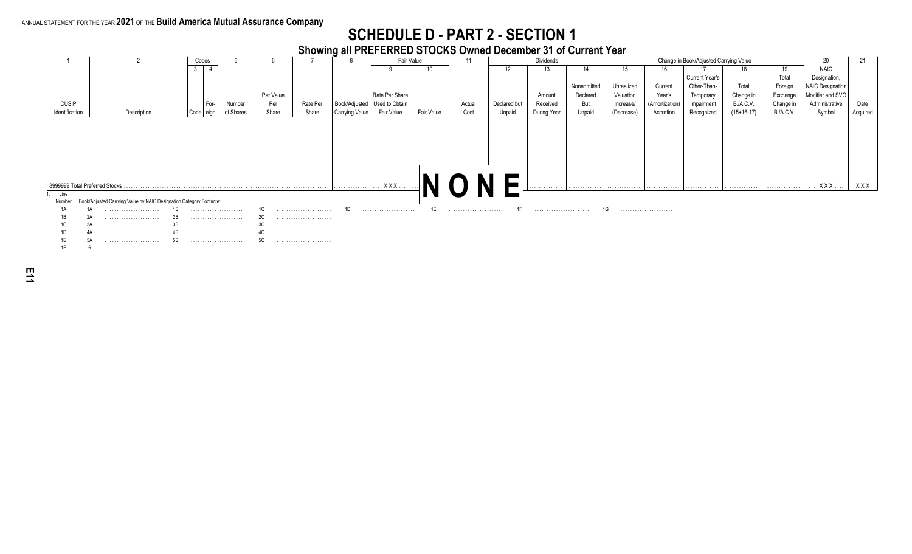#### **SCHEDULE D - PART 2 - SECTION 1**

#### **Showing all PREFERRED STOCKS Owned December 31 of Current Year**

|                                |                                                                     |     | Codes           |           |           |          |                |                                | Fair Value | 11     |              | Dividends   |             |            |                | Change in Book/Adjusted Carrying Value |                  |           | 20                      | 21       |
|--------------------------------|---------------------------------------------------------------------|-----|-----------------|-----------|-----------|----------|----------------|--------------------------------|------------|--------|--------------|-------------|-------------|------------|----------------|----------------------------------------|------------------|-----------|-------------------------|----------|
|                                |                                                                     |     | $\overline{4}$  |           |           |          |                |                                | 10         |        |              | 13          | 14          | 15         | 16             |                                        |                  | 19        | <b>NAIC</b>             |          |
|                                |                                                                     |     |                 |           |           |          |                |                                |            |        |              |             |             |            |                | <b>Current Year's</b>                  |                  | Total     | Designation,            |          |
|                                |                                                                     |     |                 |           |           |          |                |                                |            |        |              |             | Nonadmitted | Unrealized | Current        | Other-Than-                            | Total            | Foreign   | <b>NAIC Designation</b> |          |
|                                |                                                                     |     |                 |           | Par Value |          |                | Rate Per Share                 |            |        |              | Amount      | Declared    | Valuation  | Year's         | Temporary                              | Change in        | Exchange  | Modifier and SVO        |          |
| <b>CUSIP</b>                   |                                                                     |     | I For-          | Number    | Per       | Rate Per |                | Book/Adjusted   Used to Obtain |            | Actual | Declared but | Received    | But         | Increase/  | (Amortization) | Impairment                             | <b>B./A.C.V.</b> | Change in | Administrative          | Date     |
| Identification                 | Description                                                         |     | , Code   eign ' | of Shares | Share     | Share    | Carrying Value | Fair Value                     | Fair Value | Cost   | Unpaid       | During Year | Unpaid      | (Decrease) | Accretion      | Recognized                             | $(15+16-17)$     | B./A.C.V. | Symbol                  | Acquired |
|                                |                                                                     |     |                 |           |           |          |                |                                |            |        |              |             |             |            |                |                                        |                  |           |                         |          |
|                                |                                                                     |     |                 |           |           |          |                |                                |            |        |              |             |             |            |                |                                        |                  |           |                         |          |
|                                |                                                                     |     |                 |           |           |          |                |                                |            |        |              |             |             |            |                |                                        |                  |           |                         |          |
|                                |                                                                     |     |                 |           |           |          |                |                                |            |        |              |             |             |            |                |                                        |                  |           |                         |          |
|                                |                                                                     |     |                 |           |           |          |                |                                |            |        |              |             |             |            |                |                                        |                  |           |                         |          |
|                                |                                                                     |     |                 |           |           |          |                |                                |            |        |              |             |             |            |                |                                        |                  |           |                         |          |
|                                |                                                                     |     |                 |           |           |          |                |                                |            |        |              |             |             |            |                |                                        |                  |           |                         |          |
|                                |                                                                     |     |                 |           |           |          |                |                                |            |        |              |             |             |            |                |                                        |                  |           |                         |          |
|                                |                                                                     |     |                 |           |           |          |                |                                |            |        |              |             |             |            |                |                                        |                  |           |                         |          |
| 8999999 Total Preferred Stocks |                                                                     |     |                 |           |           |          | .              | XXX                            |            |        |              | .           | .           | .          | .              | .                                      | .                | .         | xxx                     | XXX.     |
| Line                           |                                                                     |     |                 |           |           |          |                |                                |            |        |              |             |             |            |                |                                        |                  |           |                         |          |
| Number                         | Book/Adjusted Carrying Value by NAIC Designation Category Footnote: |     |                 |           |           |          |                |                                |            |        |              |             |             |            |                |                                        |                  |           |                         |          |
|                                |                                                                     |     |                 |           |           |          |                |                                | 1E         |        | 1F           |             |             | ا تا ا     |                |                                        |                  |           |                         |          |
|                                |                                                                     | -26 |                 |           | 20        |          |                |                                |            |        |              |             |             |            |                |                                        |                  |           |                         |          |
|                                |                                                                     | 3E  |                 |           |           |          |                |                                |            |        |              |             |             |            |                |                                        |                  |           |                         |          |
|                                |                                                                     |     |                 |           | 4U        |          |                |                                |            |        |              |             |             |            |                |                                        |                  |           |                         |          |
|                                |                                                                     |     |                 |           | 5C        |          |                |                                |            |        |              |             |             |            |                |                                        |                  |           |                         |          |
|                                |                                                                     |     |                 |           |           |          |                |                                |            |        |              |             |             |            |                |                                        |                  |           |                         |          |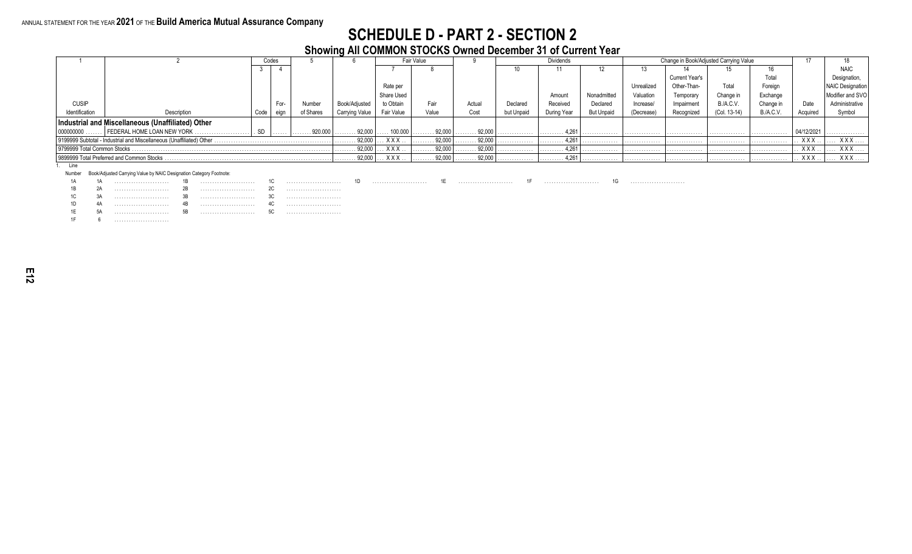#### **SCHEDULE D - PART 2 - SECTION 2**

#### **Showing All COMMON STOCKS Owned December 31 of Current Year**

|                             |                                                                      |      | Codes |           |                |            | Fair Value  |        |            | <b>Dividends</b> |                   |            | Change in Book/Adjusted Carrying Value |                  |                  |            |                         |
|-----------------------------|----------------------------------------------------------------------|------|-------|-----------|----------------|------------|-------------|--------|------------|------------------|-------------------|------------|----------------------------------------|------------------|------------------|------------|-------------------------|
|                             |                                                                      |      |       |           |                |            |             |        |            | 11               | L.                |            |                                        |                  |                  |            | <b>NAIC</b>             |
|                             |                                                                      |      |       |           |                |            |             |        |            |                  |                   |            | <b>Current Year's</b>                  |                  | Total            |            | Designation             |
|                             |                                                                      |      |       |           |                | Rate per   |             |        |            |                  |                   | Unrealized | Other-Than-                            | Total            | Foreign          |            | <b>NAIC Designation</b> |
|                             |                                                                      |      |       |           |                | Share Used |             |        |            | Amoun            | Nonadmitted       | Valuation  | Temporary                              | Change in        | Exchange         |            | Modifier and SVO        |
| <b>CUSIP</b>                |                                                                      |      | For-  | Numbei    | Book/Adjusteo  | to Obtain  | Fair        | Actual | Declared   | Received         | Declared          | Increase   | Impairment                             | <b>B./A.C.V.</b> | Change in        | Date       | Administrative          |
| Identification              | Description                                                          | Code | eian  | of Shares | Carrying Value | Fair Value | Value       | Cost   | but Unpaid | During Year      | <b>But Unpaid</b> | (Decrease) | Recognized                             | (Col. 13-14)     | <b>B./A.C.V.</b> | Acquired   | Symbol                  |
|                             | Industrial and Miscellaneous (Unaffiliated) Other                    |      |       |           |                |            |             |        |            |                  |                   |            |                                        |                  |                  |            |                         |
| 000000000                   | FEDERAL HOME LOAN NEW YORK                                           |      |       | 920.000   | 92,000         | 100.000    | 92,000      | 92,000 |            | 4,261<br>.       | .                 | .          | .                                      | .                | .                | 04/12/2021 | .                       |
|                             | 9199999 Subtotal - Industrial and Miscellaneous (Unaffiliated) Other |      |       |           | 92,000<br>.    | XXX        | . 92,000    | 92,000 | .          | 4,261<br>.       | .                 | .          | .                                      | .                | .                | <b>XXX</b> | XXX                     |
| 1799999 Total Common Stocks |                                                                      |      |       |           | 92,00          | <b>XXX</b> | 92,000<br>. | 92.000 |            | 4.261<br>.       | .                 | .          | .                                      |                  | .                | <b>XXX</b> | <b>XXX</b>              |
|                             | I 9899999 Total Preferred and Common Stocks                          |      |       |           | 92,00          | <b>XXX</b> | 92,000      | 92,000 |            | 4,261            |                   |            | .                                      |                  |                  | <b>XXX</b> | XXX                     |

1. Line

Number Book/Adjusted Carrying Value by NAIC Designation Category Footnote:

1A 1A . . . . . . . . . . . . . . . . . . . . . . . 1B . . . . . . . . . . . . . . . . . . . . . . . 1C . . . . . . . . . . . . . . . . . . . . . . . 1D . . . . . . . . . . . . . . . . . . . . . . . 1E . . . . . . . . . . . . . . . . . . . . . . . 1F . . . . . . . . . . . . . . . . . . . . . . . 1G . . . . . . . . . . . . . . . . . . . . . . .

1B 2A . . . . . . . . . . . . . . . . . . . . . . . 2B . . . . . . . . . . . . . . . . . . . . . . . 2C . . . . . . . . . . . . . . . . . . . . . . .

1C 3A . . . . . . . . . . . . . . . . . . . . . . . 3B . . . . . . . . . . . . . . . . . . . . . . . 3C . . . . . . . . . . . . . . . . . . . . . . .

1D 4A . . . . . . . . . . . . . . . . . . . . . . . 4B . . . . . . . . . . . . . . . . . . . . . . . 4C . . . . . . . . . . . . . . . . . . . . . . . 1E 5A . . . . . . . . . . . . . . . . . . . . . . . 5B . . . . . . . . . . . . . . . . . . . . . . . 5C . . . . . . . . . . . . . . . . . . . . . . .

1F 6 . . . . . . . . . . . . . . . . . . . . . . .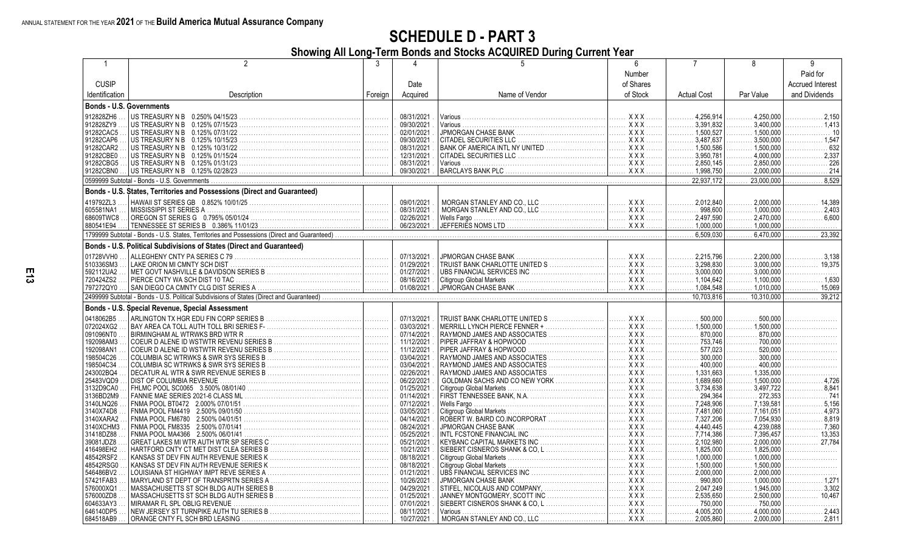#### **Showing All Long-Term Bonds and Stocks ACQUIRED During Current Year**

| -1                     |                                                                            | 3                     |                          |                                 | 6                      |                                              |                                  | 9                       |
|------------------------|----------------------------------------------------------------------------|-----------------------|--------------------------|---------------------------------|------------------------|----------------------------------------------|----------------------------------|-------------------------|
|                        |                                                                            |                       |                          |                                 | Number                 |                                              |                                  | Paid for                |
| <b>CUSIP</b>           |                                                                            |                       | Date                     |                                 | of Shares              |                                              |                                  | <b>Accrued Interest</b> |
| Identification         | Description                                                                | Foreign               | Acquired                 | Name of Vendor                  | of Stock               | <b>Actual Cost</b>                           | Par Value                        | and Dividends           |
|                        |                                                                            |                       |                          |                                 |                        |                                              |                                  |                         |
|                        | <b>Bonds - U.S. Governments</b>                                            |                       |                          |                                 |                        |                                              |                                  |                         |
| 912828ZH6              | US TREASURY N B  0.250% 04/15/23                                           | .                     | 08/31/2021               | Various                         | <b>XXX</b><br>.        | 4.256.914<br>.                               | 4.250.000<br>.                   | 2,150                   |
| 912828ZY9              | US TREASURY N B 0.125% 07/15/23                                            | .                     | 09/30/2021               | Various                         | $XXX$<br>.             | .3,391,832<br>.                              | 3,400,000                        | 1,413                   |
| 91282CAC5              | 0.125% 07/31/22<br>US TREASURY N B                                         | 1.                    | 02/01/2021               |                                 | XXX                    |                                              | $\ldots \ldots \ldots 1,500,000$ | . 10                    |
| 91282CAP6              | US TREASURY N B<br>0.125% 10/15/23                                         | .                     | 09/30/2021               | CITADEL SECURITIES LLC          | XXX                    | $\ldots \ldots 3,487,637$                    | 3,500,000<br>.                   | 1,547                   |
| 91282CAR2              | US TREASURY N B<br>0.125% 10/31/22                                         |                       | 08/31/2021               | BANK OF AMERICA INTL NY UNITED  | XXX                    |                                              | $\ldots$ 1,500,000               | 632                     |
| 91282CBE0              | US TREASURY N B<br>0.125% 01/15/24                                         |                       | 12/31/2021               | <b>CITADEL SECURITIES LLC</b>   | . X X X                | $\ldots \ldots 3.950.781$                    | .4.000.000                       | 2,337                   |
| 91282CBG5              | US TREASURY N B<br>0.125% 01/31/23                                         |                       | 08/31/2021               | Various                         | XXX                    | .2.850.145<br>.                              | 2.850.000<br>de de la cal        | 226                     |
| 91282CBN0              | US TREASURY N B 0.125% 02/28/23                                            |                       | 09/30/2021               | <b>BARCLAYS BANK PLC</b>        | XXX                    | $\ldots \ldots \ldots 1,998,750$             | 2,000,000<br>.                   | . 214<br>.              |
|                        | 0599999 Subtotal - Bonds - U.S. Governments                                |                       |                          |                                 |                        | 22,937,172                                   | 23,000,000                       | 8.529                   |
|                        | Bonds - U.S. States, Territories and Possessions (Direct and Guaranteed)   |                       |                          |                                 |                        |                                              |                                  |                         |
|                        |                                                                            |                       |                          |                                 |                        |                                              |                                  |                         |
| 419792ZL3              | HAWAII ST SERIES GB 0.852% 10/01/25.                                       |                       | 09/01/2021               | MORGAN STANLEY AND CO., LLC     |                        | .2.012.840<br>.                              | 2.000.000                        | 14,389                  |
| 605581NA1              | MISSISSIPPI ST SERIES A                                                    |                       | 08/31/2021               | MORGAN STANLEY AND CO., LLC     | XXX                    | 998.600                                      | 1.000.000                        | 2,403                   |
| 68609TWC8              | OREGON ST SERIES G  0.795% 05/01/24 .                                      |                       | 02/26/2021               |                                 | XXX                    | .2.497.590<br>.                              | 2.470.000                        | 6,600                   |
| 880541E94              |                                                                            |                       | 06/23/2021               | JEFFERIES NOMS LTD.             |                        |                                              | 1.000.000                        |                         |
|                        |                                                                            |                       |                          |                                 |                        | 6.509.030                                    | 6,470,000                        | 23,392                  |
|                        | Bonds - U.S. Political Subdivisions of States (Direct and Guaranteed)      |                       |                          |                                 |                        |                                              |                                  |                         |
| 01728VVH0              |                                                                            |                       | 07/13/2021               | JPMORGAN CHASE BANK.            | <b>XXX</b>             | 2.215.796<br>.                               | 2.200.000                        | 3,138                   |
| 510336SM3              | LAKE ORION MI CMNTY SCH DIST                                               | .                     | 01/29/2021               | TRUIST BANK CHARLOTTE UNITED S  | <b>XXX</b><br>.        | .3,298,830<br>.                              | 3,000,000                        | 19,375                  |
| 592112UA2              |                                                                            |                       | 01/27/2021               | UBS FINANCIAL SERVICES INC      | XXX                    |                                              | 3.000.000                        |                         |
|                        |                                                                            |                       |                          |                                 |                        |                                              |                                  | .<br>.1,630             |
| 720424ZS2<br>797272QY0 | PIERCE CNTY WA SCH DIST 10 TAC                                             |                       | 08/16/2021               | Citigroup Global Markets        | XXX<br>. <b>XXX</b>    |                                              | 1,100,000                        |                         |
|                        |                                                                            |                       | 01/08/2021               |                                 |                        |                                              | 1,010,000<br>de de la cal        | 15,069                  |
|                        |                                                                            |                       |                          |                                 |                        | 10.703,816                                   | 10,310,000                       | 39.212                  |
|                        | Bonds - U.S. Special Revenue, Special Assessment                           |                       |                          |                                 |                        |                                              |                                  |                         |
| 0418062B5              | ARLINGTON TX HGR EDU FIN CORP SERIES B                                     | $\bigg] \dots \bigg]$ | 07/13/2021               | TRUIST BANK CHARLOTTE UNITED S  | XXX                    | 500.000<br>.                                 | 500.000                          |                         |
| 072024XG2              |                                                                            | .                     | 03/03/2021               | MERRILL LYNCH PIERCE FENNER +   | <b>XXX</b><br>.        |                                              | $\ldots \ldots 1,500,000$        |                         |
| 091096NT0              | BIRMINGHAM AL WTRWKS BRD WTR R                                             | .                     | 07/14/2021               | RAYMOND JAMES AND ASSOCIATES    | XXX                    | 870,000<br>.                                 | 870,000<br>.                     |                         |
| 192098AM3              | COEUR D ALENE ID WSTWTR REVENU SERIES B                                    | .                     | 11/12/2021               | PIPER JAFFRAY & HOPWOOD         | XXX                    | 753,746<br>.                                 | 700,000<br>.                     |                         |
| 192098AN1              | COEUR D ALENE ID WSTWTR REVENU SERIES B                                    | 1.                    | 11/12/2021               | PIPER JAFFRAY & HOPWOOD         | . X X X                | 577.023<br>.                                 | 520.000<br>.                     |                         |
| 198504C26              | COLUMBIA SC WTRWKS & SWR SYS SERIES B                                      | .                     | 03/04/2021               | RAYMOND JAMES AND ASSOCIATES    | XXX                    | 300.000<br>.                                 | 300.000<br>.                     | .                       |
| 198504C34              | COLUMBIA SC WTRWKS & SWR SYS SERIES B                                      | 1.                    | 03/04/2021               | RAYMOND JAMES AND ASSOCIATES    | XXX                    | 400.000<br>.                                 | 400.000<br>.                     |                         |
| 243002BQ4              | DECATUR AL WTR & SWR REVENUE SERIES B                                      | 1.                    | 02/26/2021               | RAYMOND JAMES AND ASSOCIATES    | <b>XXX</b><br>.        | $\ldots \ldots \ldots 1.331.663$             | 1.335.000                        |                         |
| 25483VQD9              | DIST OF COLUMBIA REVENUE                                                   |                       | 06/22/2021               | GOLDMAN SACHS AND CO NEW YORK   | XXX                    | $\ldots \ldots \ldots 1,689,660$             | $\ldots \ldots \ldots 1.500.000$ | . 4,726                 |
| 3132D9CA0              | FHLMC POOL SC0065 3.500% 08/01/40                                          |                       | 01/25/2021               | <b>Citigroup Global Markets</b> | <b>XXX</b><br>.        | $\ldots$ , $3.734.638$                       | 3,497,722<br>.                   | 8,841                   |
| 3136BD2M9              | FANNIE MAE SERIES 2021-6 CLASS ML                                          |                       | 01/14/2021               |                                 | XXX                    | 294.364<br>.                                 | 272,353<br>.                     | 741                     |
| 3140LNQ26              |                                                                            |                       | 07/12/2021               | Wells Fargo                     | XXX                    | $\ldots$ , 7.248.906                         | $\ldots$ , 7.139.581             | 5.156                   |
| 3140X74D8              | FNMA POOL FM4419 2.500% 09/01/50                                           |                       | 03/05/2021               | Citigroup Global Markets        | XXX                    | $\ldots \ldots \ldots 7.481.060$             | 7.161.051                        | 4.973                   |
| 3140XARA2              |                                                                            |                       |                          | ROBERT W. BAIRD CO.INCORPORAT   |                        |                                              | 7.054.930                        |                         |
| 3140XCHM3              | FNMA POOL FM6780<br>2.500% 04/01/51<br>FNMA POOL FM8335<br>2.500% 07/01/41 |                       | 04/14/2021<br>08/24/2021 | JPMORGAN CHASE BANK.            | . X X X                | $\ldots \ldots \ldots 4.440.445$             | .<br>4,239,088                   | 8.819<br>7,360          |
|                        |                                                                            |                       |                          |                                 | . X X X                | $\frac{1}{2}$                                |                                  |                         |
| 31418DZ88              | FNMA POOL MA4366 2.500% 06/01/41                                           |                       | 05/25/2021               | INTL FCSTONE FINANCIAL INC      |                        |                                              | 7,395,457<br>.                   | 13,353                  |
| 39081JDZ8              | GREAT LAKES MI WTR AUTH WTR SP SERIES C                                    |                       | 05/21/2021               | KEYBANC CAPITAL MARKETS INC     | XXX                    |                                              | 2.000.000                        | 27.784                  |
| 416498EH2              | HARTFORD CNTY CT MET DIST CLEA SERIES B                                    |                       | 10/21/2021               | SIEBERT CISNEROS SHANK & CO, L  |                        | $\ldots$ X X X $\ldots$   $\ldots$ 1,825,000 |                                  | .                       |
| 48542RSF2              | KANSAS ST DEV FIN AUTH REVENUE SERIES K                                    | .                     | 08/18/2021               | Citigroup Global Markets        | XXX                    | $\ldots \ldots \ldots 1.000.000$             | .1.000.000                       |                         |
| 48542RSG0              |                                                                            |                       | 08/18/2021               | Citigroup Global Markets        | XXX                    | $\ldots$ , , 1.500.000                       | $\ldots$ , 1.500.000             |                         |
| 546486BV2              | LOUISIANA ST HIGHWAY IMPT REVE SERIES A                                    | .                     | 01/21/2021               | UBŠ FINANCIAL SERVICES INC      | <b>XXX</b><br>.        | $\ldots \ldots \ldots 2.000.000$             | 2.000.000                        |                         |
| 57421FAB3              |                                                                            | 1.                    | 10/26/2021               | JPMORGAN CHASE BANK             | XXX                    | 990.800<br>.                                 | $\ldots \ldots \ldots 1,000,000$ | . 1,271                 |
| 576000XQ1              | MASSACHUSETTS ST SCH BLDG AUTH SERIES B                                    | .                     | 04/29/2021               | STIFEL, NICOLAUS AND COMPANY,   | <b>XXX</b><br>$\cdots$ | 2,047,249<br>.                               | 1,945,000<br>.                   | 3,302                   |
| 576000ZD8              | MASSACHUSETTS ST SCH BLDG AUTH SERIES B                                    | .                     | 01/25/2021               | JANNEY MONTGOMERY, SCOTT INC    | <b>XXX</b><br>.        | .2,535,650                                   | 2,500,000                        | 10,467                  |
| 604633AY3              | MIRAMAR FL SPL OBLIG REVENUE                                               | .                     | 07/01/2021               |                                 | XXX<br>.               | 750,000                                      | 750,000                          |                         |
| 646140DP5              | NEW JERSEY ST TURNPIKE AUTH TU SERIES B                                    | 1.                    | 08/11/2021               | Various                         |                        |                                              | 4.000.000<br>.                   | 2.443<br>.              |
| 684518AB9              | ORANGE CNTY FL SCH BRD LEASING                                             | .                     | 10/27/2021               | MORGAN STANLEY AND CO., LLC     | $XXX$<br>.             | $\ldots \ldots 2.005.860$                    | 2.000.000                        | 2.811                   |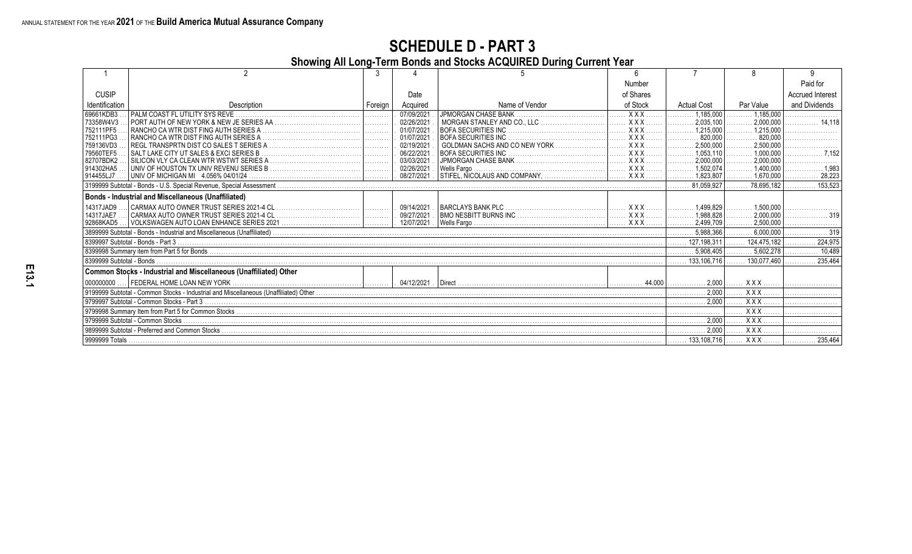**Showing All Long-Term Bonds and Stocks ACQUIRED During Current Year**

|                          |                                                                   |         |              |                            | Number     |                                     |                         | Paid for                |
|--------------------------|-------------------------------------------------------------------|---------|--------------|----------------------------|------------|-------------------------------------|-------------------------|-------------------------|
| <b>CUSIP</b>             |                                                                   |         | Date         |                            | of Shares  |                                     |                         | <b>Accrued Interest</b> |
| Identification           | Description                                                       | Foreian | Acquired     | Name of Vendor             | of Stock   | <b>Actual Cost</b>                  | Par Value               | and Dividends           |
| 69661KDB3                |                                                                   | .       | 07/09/2021   | <b>JPMORGAN CHASE BANK</b> | $XXX$      | 1,185,000<br>. 1                    | $\ldots$ , 1.185.000    |                         |
| 73358W4V3                |                                                                   |         | 02/26/2021   |                            | $XXX$      |                                     | 2,000,000<br>.          | 14.118<br>.             |
| 752111PF5                |                                                                   |         | 01/07/2021   |                            | $XXX$      |                                     | 1,215,000               |                         |
| 752111PG3                |                                                                   |         | 01/07/2021   |                            | $XXX$      | 820,000                             | $\frac{1}{2}$ 820,000   |                         |
| 759136VD3                |                                                                   |         | 02/19/2021   |                            | $XXX$      | .2,500,000<br>.                     | 2,500,000               |                         |
| 79560TEF5                | SALT LAKE CITY UT SALES & EXCI SERIES B                           |         | 06/22/2021   |                            | <b>XXX</b> | 1,053,110                           | 1,000,000               | .7.152                  |
| 82707BDK2                |                                                                   |         | 03/03/2021   |                            |            | .2.000.000<br>.                     | 2,000,000               |                         |
| 914302HA5                |                                                                   |         | 02/26/2021   | Wells Fargo.               |            |                                     | 1,400,000<br>.          |                         |
| 914455LJ7                |                                                                   |         | . 08/27/2021 |                            |            |                                     | . 1,670,000             | 28.223                  |
|                          |                                                                   |         |              |                            |            | 81.059.927                          | 78.695.182              | 153.523                 |
|                          | Bonds - Industrial and Miscellaneous (Unaffiliated)               |         |              |                            |            |                                     |                         |                         |
| 14317JAD9                |                                                                   |         | 09/14/2021.  |                            | $XXX$      |                                     |                         |                         |
| 14317JAE7                |                                                                   |         | . 09/27/2021 |                            | $XXX$      |                                     | 2,000,000               |                         |
| 92868KAD5                |                                                                   |         | 12/07/2021   |                            |            | $\ldots \ldots \ldots 2,499,709$    |                         |                         |
|                          |                                                                   |         |              |                            |            | $\ldots \ldots \ldots 5.988.366$    | . $6.000.000$ $\vert$ . | . 319                   |
|                          |                                                                   |         |              |                            |            | 127,198,311                         | 124.475.182             | 224.975                 |
|                          |                                                                   |         |              |                            |            | $\ldots$ , 5.908.405                | 5,602,278               | 10,489                  |
| 8399999 Subtotal - Bonds |                                                                   |         |              |                            |            | 133.106.716                         | 130.077.460             | 235.464                 |
|                          | Common Stocks - Industrial and Miscellaneous (Unaffiliated) Other |         |              |                            |            |                                     |                         |                         |
| 000000000                |                                                                   |         |              |                            |            | . 2,000                             | . X X X                 |                         |
|                          |                                                                   |         |              |                            |            | . 2,000                             | XXX                     |                         |
|                          |                                                                   |         |              |                            |            | 1.                                  | XXX                     |                         |
|                          |                                                                   |         |              |                            |            |                                     | $\overline{XXX}$        |                         |
|                          |                                                                   |         |              |                            |            | $\ldots \ldots \ldots \ldots 2,000$ | . X X X                 |                         |
|                          |                                                                   |         |              |                            |            | $\ldots \ldots \ldots \ldots 2.000$ | . X X X                 |                         |
|                          |                                                                   |         |              |                            |            |                                     | <b>XXX</b>              | $ $ 235,464             |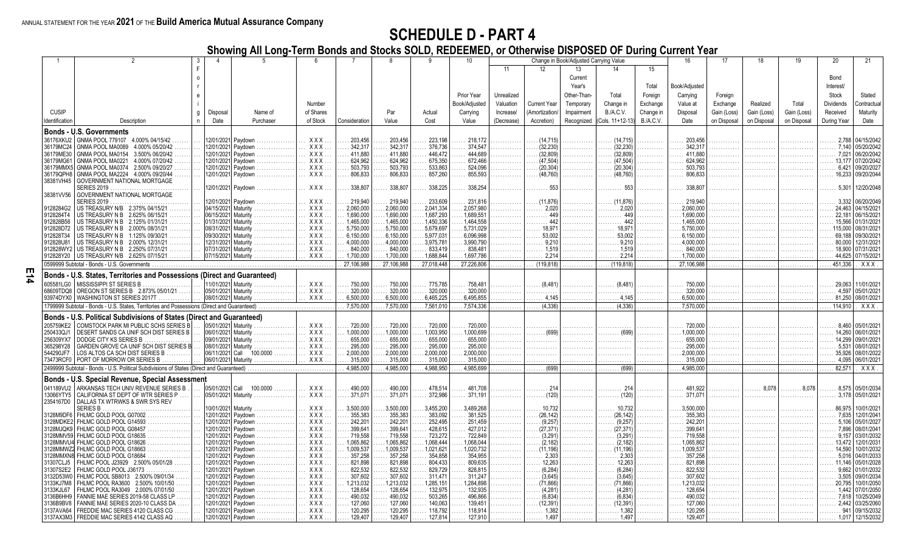**E14**

#### **SCHEDULE D - PART 4**

**Showing All Long-Term Bonds and Stocks SOLD, REDEEMED, or Otherwise DISPOSED OF During Current Year**

|                        |                                                                                             |          |                     |                                          |                          |                        |                        |                        | 10                     |              |                     | Change in Book/Adjusted Carrying Value |                     |                  | 16                   |             | 18          | 19          | 20               | 21                      |
|------------------------|---------------------------------------------------------------------------------------------|----------|---------------------|------------------------------------------|--------------------------|------------------------|------------------------|------------------------|------------------------|--------------|---------------------|----------------------------------------|---------------------|------------------|----------------------|-------------|-------------|-------------|------------------|-------------------------|
|                        |                                                                                             |          |                     |                                          |                          |                        |                        |                        |                        | 11           | 12                  | 13                                     | 14                  | 15               |                      |             |             |             |                  |                         |
|                        |                                                                                             | $\Omega$ |                     |                                          |                          |                        |                        |                        |                        |              |                     | Current                                |                     |                  |                      |             |             |             | Bond             |                         |
|                        |                                                                                             |          |                     |                                          |                          |                        |                        |                        |                        |              |                     | Year's                                 |                     | Total            | Book/Adjusted        |             |             |             | Interest/        |                         |
|                        |                                                                                             |          |                     |                                          |                          |                        |                        |                        | Prior Year             | Unrealized   |                     | Other-Than-                            | Total               | Foreign          | Carrying             | Foreign     |             |             | Stock            | Stated                  |
|                        |                                                                                             |          |                     |                                          | Number                   |                        |                        |                        | Book/Adiusted          | Valuation    | <b>Current Year</b> | Temporary                              | Change in           | Exchange         | Value at             | Exchange    | Realized    | Total       | <b>Dividends</b> | contractual             |
| <b>CUSIP</b>           |                                                                                             |          |                     | Name of                                  | of Shares                |                        | Par                    | Actual                 |                        | Increase/    | Amortization        | Impairment                             | <b>B./A.C.V.</b>    |                  | Disposal             | Gain (Loss) | Gain (Loss) | Gain (Loss) | Received         | Maturity                |
|                        |                                                                                             | q        | Disposal            |                                          |                          |                        |                        |                        | Carrying               |              |                     |                                        |                     | Change in        |                      |             |             |             |                  |                         |
| Identification         | Description                                                                                 | n.       | Date                | Purchaser                                | of Stock                 | Consideration          | Value                  | Cost                   | Value                  | (Decrease)   | Accretion)          | Recognized                             | Cols. 11+12-13)     | <b>B./A.C.V.</b> | Date                 | on Disposal | on Disposal | on Disposal | During Year      | Date                    |
|                        | <b>Bonds - U.S. Governments</b>                                                             |          |                     |                                          |                          |                        |                        |                        |                        |              |                     |                                        |                     |                  |                      |             |             |             |                  |                         |
| 36176XKU2              | GNMA POOL 779107 4.000% 04/15/42                                                            |          |                     | 12/01/2021 Paydown                       | XXX                      | 203,456                | 203,456                | 223,198                | 218,172                |              | (14, 715)           |                                        | (14, 715)           |                  | 203,456              | .           |             |             | 2,788            | 04/15/2042              |
| 36179MC24              | GNMA POOL MA0089<br>4.000% 05/20/42                                                         |          |                     | 12/01/2021 Paydown                       | <b>XXX</b>               | 342.317                | 342.317                | 376.736                | 374.547                |              | (32.230)            |                                        | (32.230)            |                  | 342.317              |             |             |             | 7.140            | 05/20/2042              |
| 36179ME30              | GNMA POOL MA0154<br>3.500% 06/20/42                                                         |          |                     | 12/01/2021 Paydown                       | XXX                      | 411,880                | 411.880                | 446,472                | 444.689                |              | (32, 809)           |                                        | (32, 809)           |                  | 411,880              |             |             |             | 7,021            | 06/20/204               |
| 36179MG61              | GNMA POOL MA0221<br>4.000% 07/20/42                                                         |          |                     | 12/01/2021 Paydown                       | <b>XXX</b>               | 624.962                | 624.962                | 675.350                | 672,466                |              | (47.504)            |                                        | (47.504)            |                  | 624.962              |             |             |             | 13.177           | 07/20/204               |
| 36179MMX5              | GNMA POOL MA0374 2.500% 09/20/27                                                            |          |                     | 12/01/2021 Paydown                       | XXX.                     | 503,793                | 503,793                | 533,863                | 524,096                |              | (20, 304)           |                                        | (20, 304)           |                  | 503,793              |             |             |             | 6,421            | 09/20/202               |
| 36179QPH8              | GNMA POOL MA2224 4.000% 09/20/44                                                            |          |                     | 12/01/2021 Paydown                       | XXX.                     | 806,833                | 806.833                | 857,260                | 855.593                | .            | (48, 760)           | .                                      | (48.760)            | .                | 806.833              | .           |             |             | 16,233           | 09/20/2044              |
| 38381VH45              | <b>GOVERNMENT NATIONAL MORTGAGE</b>                                                         |          |                     |                                          |                          |                        |                        |                        |                        |              |                     |                                        |                     |                  |                      |             |             |             |                  |                         |
|                        | <b>SERIES 2019</b>                                                                          |          |                     | 12/01/2021  Pavdown                      | <b>XXX</b>               | 338.807                | 338,807                | 338.225                | 338.254                |              | 553                 |                                        |                     |                  | 338.807              |             |             |             | 5.301            | 12/20/2048              |
| 38381VV56              | <b>GOVERNMENT NATIONAL MORTGAGE</b>                                                         |          |                     |                                          |                          |                        |                        |                        |                        |              |                     |                                        |                     |                  |                      |             |             |             |                  |                         |
|                        | SERIES 2019                                                                                 |          | 12/01/2021          | Pavdown<br>04/15/2021 Maturity           | <b>XXX</b>               | 219.940                | 219,940                | 233,609                | 231,816                |              | 2.020               |                                        | (11.876)            |                  | 219,940<br>2.060.000 |             |             |             | 3.332<br>24,463  | 06/20/2049              |
| 9128284G2<br>9128284T4 | US TREASURY N/B 2.375% 04/15/21<br>US TREASURY N B 2.625% 06/15/21                          |          | 06/15/2021 Maturity |                                          | <b>XXX</b><br><b>XXX</b> | 2,060,000<br>1,690,000 | 2.060.000<br>1,690,000 | 2,041,334<br>1,687,293 | 2.057.980<br>1.689.551 | .            | 449                 | .                                      | . 2.020<br>449      | .                | 1,690,000            | .           | .           |             | 22,181           | 04/15/2021<br>06/15/202 |
| 912828B58              | US TREASURY N B 2.125% 01/31/21                                                             |          | 01/31/2021 Maturity |                                          | <b>XXX</b>               | 1.465.000              | 1,465,000              | 1,450,336              | 1.464.558              |              | 442                 |                                        | 442                 |                  | 1.465.000            |             |             |             | 15,566           | 01/31/202               |
| 912828D72              | US TREASURY N B 2.000% 08/31/21                                                             |          | 08/31/2021 Maturity |                                          | <b>XXX</b>               | 5,750,000              | 5,750,000              | 5,679,697              | 5,731,029              |              | 18.971              |                                        |                     |                  | 5,750,000            |             |             |             | 115,000          | 08/31/202               |
| 912828T34              | US TREASURY N B 1.125% 09/30/21                                                             |          | 09/30/2021 Maturity |                                          | XXX.                     | 6,150,000              | 6,150,000              | 5,977,031              | 6.096.998              |              | 53,002              |                                        | 53.002              |                  | 6.150.000            | .           |             |             | 69.188           | 09/30/202               |
| 912828U81              | US TREASURY N B 2.000% 12/31/21                                                             |          |                     | 12/31/2021 Maturity                      | XXX.                     | 4,000,000              | 4,000,000              | 3,975,781              | 3,990,790              | .            | 9,210               | .                                      | .9.210              |                  | 4,000,000            |             |             |             | 80,000           | 12/31/202               |
| 912828WY2              | US TREASURY N B 2.250% 07/31/21<br>.                                                        |          | 07/31/2021 Maturity |                                          | XXX.                     | 840,000                | 840,000                | 833,419                | 838.48                 |              | 1.519               |                                        | $\ldots$ 1.519      |                  | 840,000              |             |             |             | 18,900           | 07/31/202               |
|                        | 912828Y20   US TREASURY N/B 2.625% 07/15/21                                                 |          | 07/15/2021 Maturity |                                          | XXX                      | 1,700,000              | 1,700,000              | .1,688,844             | 1,697,786              |              | 2,214               |                                        | .2.214              |                  | 1,700,000            |             |             |             | 44,625           | 07/15/202 <sup>-</sup>  |
|                        | 0599999 Subtotal - Bonds - U.S. Governments                                                 |          |                     |                                          |                          | 27.106.988             | 27,106,988             | 27,018,448             | 27,226,806             |              | (119.818)           | .                                      | (119.818)           |                  | 27.106.988           |             |             |             | 451.336          | XXX                     |
|                        |                                                                                             |          |                     |                                          |                          |                        |                        |                        |                        |              |                     |                                        |                     |                  |                      |             |             |             |                  |                         |
|                        | Bonds - U.S. States, Territories and Possessions (Direct and Guaranteed)                    |          |                     |                                          |                          |                        |                        |                        |                        |              |                     |                                        |                     |                  |                      |             |             |             |                  |                         |
| 605581LG0              | MISSISSIPPI ST SERIES B                                                                     |          | 11/01/2021 Maturity |                                          | XXX                      | 750,000                | 750,000                | 775,785                | 758.48                 |              | (8.481)             |                                        | (8.481)             |                  | 750,000              |             |             |             | 29.063           | 11/01/202               |
| 68609TDQ8              | OREGON ST SERIES B 2.873% 05/01/21                                                          |          | 05/01/2021 Maturity | .                                        | $XXX$                    | 320,000                | 320,000                | 320,000                | 320,000                |              |                     |                                        |                     |                  | 320,000              |             |             |             | 4.597            | 05/01/202               |
|                        | 93974DYX0   WASHINGTON ST SERIES 2017T                                                      |          | 08/01/2021 Maturity | .                                        | XXX.                     | 6,500,000              | 6,500,000              | 6,465,225              | 6,495,855              | .            |                     |                                        |                     |                  | 6,500,000            |             |             |             | 81,250           | 08/01/2021              |
|                        | 1799999 Subtotal - Bonds - U.S. States, Territories and Possessions (Direct and Guaranteed) |          |                     |                                          |                          | 7.570.000              | 7,570,000              | 7,561,010              | 7,574,336              |              | (4.336)             |                                        | (4.336)             |                  | 7.570.000            |             |             |             | 114.910          | XXX                     |
|                        | Bonds - U.S. Political Subdivisions of States (Direct and Guaranteed)                       |          |                     |                                          |                          |                        |                        |                        |                        |              |                     |                                        |                     |                  |                      |             |             |             |                  |                         |
| 205759KE2              | COMSTOCK PARK MI PUBLIC SCHS SERIES B                                                       |          |                     | 05/01/2021 Maturity                      | <b>XXX</b>               | 720,000                | 720,000                | 720,000                | 720,000                |              |                     |                                        |                     |                  | 720,000              |             |             |             | 8.460            | 05/01/202               |
| 250433QJ1              | DESERT SANDS CA UNIF SCH DIST SERIES B                                                      |          |                     | 06/01/2021 Maturity                      | <b>XXX</b>               | 1,000,000              | 1,000,000              | 1,003,950              | 1,000,699              |              | $\ldots$ (699)      |                                        |                     |                  | 1,000,000            |             |             |             | 14,260           | 06/01/202               |
| 256309YX7              | DODGE CITY KS SERIES B                                                                      |          | 09/01/2021 Maturity |                                          | <b>XXX</b>               | 655,000                | 655,000                | 655,000                | 655,000                |              |                     |                                        |                     |                  | 655,000              |             |             |             | 14,299           | 09/01/202               |
| 365298Y28              | GARDEN GROVE CA UNIF SCH DIST SERIES B                                                      |          | 08/01/2021 Maturity |                                          | XXX                      | 295,000                | 295,000                | 295,000                | 295,000                |              |                     |                                        |                     |                  | 295,000              |             |             |             | 5,531            | 08/01/202               |
| 544290JF7              | LOS ALTOS CA SCH DIST SERIES B                                                              |          | 06/11/2021 Call     | 100.0000                                 | $XXX$                    | 2,000,000              | 2,000,000              | 2,000,000              | 2,000,000              |              |                     | .                                      |                     |                  | 2,000,000            |             |             |             | 35.926           | 08/01/2022              |
|                        | 73473RCF0   PORT OF MORROW OR SERIES B                                                      |          |                     | 06/01/2021 Maturity                      | XXX.                     | 315,000                | 315,000                | 315,000                | 315,000                | a sa sa sala |                     | .                                      |                     |                  | 315,000              |             |             |             | 4,095            | 06/01/2021              |
|                        | 2499999 Subtotal - Bonds - U.S. Political Subdivisions of States (Direct and Guaranteed)    |          |                     |                                          |                          | 4,985,000              | 4,985,000              | 4,988,950              | 4,985,699              | .            | (699)               | .                                      | (699)               |                  | 4,985,000            |             |             |             | 82,571           | $\overline{XXX}$        |
|                        |                                                                                             |          |                     |                                          |                          |                        |                        |                        |                        |              |                     |                                        |                     |                  |                      |             |             |             |                  |                         |
|                        | Bonds - U.S. Special Revenue, Special Assessment                                            |          |                     |                                          |                          |                        |                        |                        |                        |              |                     |                                        |                     |                  |                      |             |             |             |                  |                         |
| 041189VU2              | ARKANSAS TECH UNIV REVENUE SERIES B                                                         |          | 05/01/2021 Call     | 100.0000                                 | XXX                      | 490,000                | 490.000                | 478,514                | 481,708                |              | 214                 |                                        |                     |                  | 481.922              |             |             |             | 8,575            | 05/01/2034              |
| 13066YTY5              | CALIFORNIA ST DEPT OF WTR SERIES P                                                          |          |                     | 05/01/2021 Maturity                      | XXX.                     | 371.071                | 371.071                | 372.986                | 371.191                |              | (120)               |                                        |                     |                  | 371.071              |             |             |             | 3.178            | 05/01/2021              |
| 2354167D0              | DALLAS TX WTRWKS & SWR SYS REV                                                              |          |                     |                                          |                          |                        |                        |                        |                        |              |                     |                                        |                     |                  |                      |             |             |             |                  |                         |
|                        | <b>SERIES B</b>                                                                             |          |                     | 10/01/2021 Maturity                      | XXX.                     | 3.500.000              | 3.500.000              | 3.455.200              | 3.489.268              |              | 10.732              |                                        |                     |                  | 3.500.000            |             |             |             | 86.975           | 10/01/202               |
| 3128M9DF6              | FHLMC GOLD POOL G07002                                                                      |          |                     | 12/01/2021 Paydown                       | XXX.                     | 355,383                | 355,383                | 383,092                | 381.525                |              | (26.142)            |                                        | (26.142)            |                  | 355,383              | .           |             |             | 7.635            | 12/01/204               |
| 3128MDKE2              | FHLMC GOLD POOL G14593                                                                      |          |                     | 12/01/2021 Paydown<br>12/01/2021 Pavdown | XXX.                     | 242,201<br>399.641     | 242.20<br>399.641      | 252,495                | 251,459<br>427.012     |              | (9.257)<br>(27.371) |                                        | (9.257)             |                  | 242,201<br>399.641   |             |             |             | 5.106<br>7,896   | 05/01/202               |
| 3128MJQK9<br>3128MMV59 | FHLMC GOLD POOL G08457<br>FHLMC GOLD POOL G18635                                            |          |                     | 12/01/2021 Paydown                       | XXX.<br><b>XXX</b>       | 719.558                | 719.558                | 428,615<br>723,272     | 722,849                |              | (3.291)             |                                        | (27.371)<br>(3.291) |                  | 719.558              |             |             |             | 9,157            | 08/01/204<br>03/01/2032 |
|                        | 3128MMVU4 FHLMC GOLD POOL G18626                                                            |          |                     | 12/01/2021 Paydown                       | <b>XXX</b>               | 1,065,862              | 1,065,862              | 1,068,444              | 1,068,044              |              | (2.182)             |                                        | (2, 182)            |                  | 1,065,862            | .           |             |             | 13,472           | 12/01/203               |
|                        | 3128MMWZ2 FHLMC GOLD POOL G18663                                                            |          |                     | 12/01/2021 Paydown                       | XXX.                     | 1,009,537              | 1,009,537              | 1,021,621              | 1,020,732              | a sa sa sala | (11, 196)           | .                                      | (11.196)            | .                | 1,009,537            | .           | .           |             | 14.590<br>.      | 10/01/2032              |
| 3128MMXN8              | FHLMC GOLD POOL G18684                                                                      |          |                     | 12/01/2021  Paydown                      | XXX                      | 357,258                | 357,258                | 354,858                | 354,955                |              | 2,303               |                                        | 2,303               |                  | 357,258              |             |             |             | 5,016            | 04/01/2033              |
| 31307CLJ5              | FHLMC POOL J23929 2.500% 05/01/28                                                           |          |                     | 12/01/2021 Paydown                       | <b>XXX</b>               | 821,898                | 821,898                | 804,433                | 809.635                |              | 12.263              |                                        | 12.263              |                  | 821,898              |             |             |             | 11.146           | 05/01/2028              |
| 31307S2E2              | FHLMC GOLD POOL J36173                                                                      |          |                     | 12/01/2021 Paydown                       | XXX                      | 822.532                | 822.532                | 829,729                | 828,815                |              | (6.284)             |                                        | (6.284)             |                  | 822,532              |             |             |             | 9.662            | 01/01/203               |
| 3132D53W0              | FHLMC POOL SB8013 2.500% 09/01/34                                                           |          |                     | 12/01/2021 Paydown                       | <b>XXX</b>               | 307,602                | 307.602                | 311,471                | 311.247                |              | (3.645)             |                                        | (3.645)             |                  | 307,602              |             |             |             | 3.505            | 09/01/203               |
| 3133KJ7M8              | FHLMC POOL RA3600 2.500% 10/01/50                                                           |          |                     | 12/01/2021 Paydown<br>.                  | XXX.                     | 1,213,032              | 1.213.032              | 1,285,151              | 1.284.898              |              | (71.866)            |                                        | (71.866)            |                  | 1.213.032            | .           |             |             | 20.795           | 10/01/2050              |
| 3133KJL67              | FHLMC POOL RA3049<br>2.000% 07/01/50                                                        |          |                     | 12/01/2021 Paydown                       | <b>XXX</b>               | 128,654                | 128,654                | 132,975                | 132.935                | .            | (4, 281)            | .                                      | (4.281)             |                  | 128,654              | .           |             |             | 1.442            | 07/01/2050              |
| 3136B6HH9              | FANNIE MAE SERIES 2019-58 CLASS LP                                                          |          |                     | 12/01/2021 Pavdown                       | <b>XXX</b>               | 490.032                | 490.032                | 503.265                | 496,866                |              | (6.834)             |                                        | (6.834)             |                  | 490.032              |             |             |             | 7.618            | 10/25/2049              |
| 3136B9BV8              | FANNIE MAE SERIES 2020-10 CLASS DA                                                          |          | 12/01/2021          | Pavdown                                  | XXX                      | 127,060                | 127,060                | 140,063                | 139.451                |              | (12.391)            |                                        | (12, 391)           |                  | 127,060              |             |             |             | 2.442            | 03/25/2060              |
| 3137AVA64              | FREDDIE MAC SERIES 4120 CLASS CG                                                            |          |                     | 12/01/2021 Paydown                       | <b>XXX</b>               | 120.295                | 120.295                | 118,792                | 118.914                |              | 1.382               |                                        | 1.382               |                  | 120,295              |             |             |             | 941              | 09/15/2032              |
|                        | 3137AX3M3 FREDDIE MAC SERIES 4142 CLASS AQ                                                  |          |                     | 12/01/2021 Paydown                       | <b>XXX</b>               | 129,407                | 129,407                | 127,814                | 127.910                |              | 1.497               |                                        | 1.497               |                  | 129,407              |             |             |             |                  | 1,017 12/15/2032        |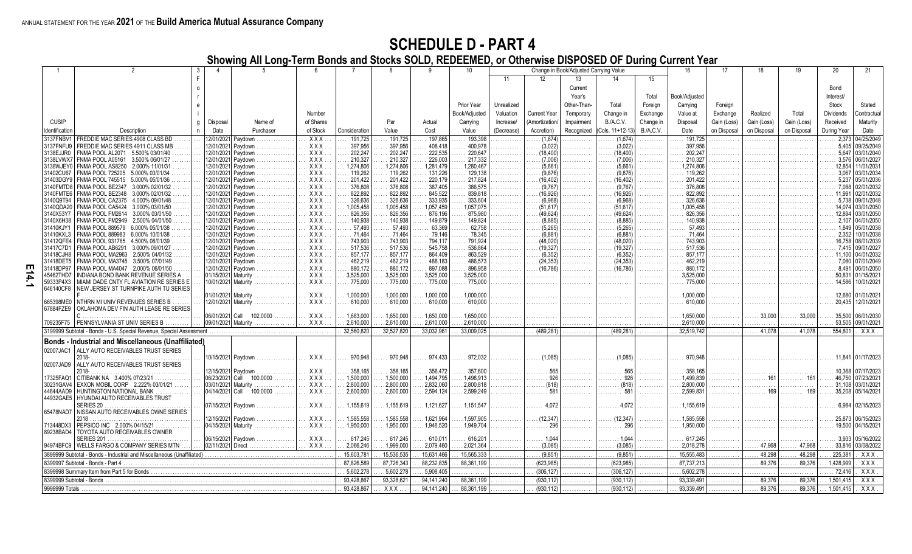**Showing All Long-Term Bonds and Stocks SOLD, REDEEMED, or Otherwise DISPOSED OF During Current Year**

|                          |                                                                        |   |                  |                          |                  |               |            |              |               |            |                     | Change in Book/Adjusted Carrying Value |                  |                  |               | 17          |             | 19          | 20               |                        |
|--------------------------|------------------------------------------------------------------------|---|------------------|--------------------------|------------------|---------------|------------|--------------|---------------|------------|---------------------|----------------------------------------|------------------|------------------|---------------|-------------|-------------|-------------|------------------|------------------------|
|                          |                                                                        |   |                  |                          |                  |               |            |              |               | 11         | 12 <sup>°</sup>     | 13                                     | 14               | 15               |               |             |             |             |                  |                        |
|                          |                                                                        |   |                  |                          |                  |               |            |              |               |            |                     | Current                                |                  |                  |               |             |             |             | Bond             |                        |
|                          |                                                                        |   |                  |                          |                  |               |            |              |               |            |                     | Year's                                 |                  |                  |               |             |             |             | Interest/        |                        |
|                          |                                                                        |   |                  |                          |                  |               |            |              |               |            |                     |                                        |                  | Total            | Book/Adjusted |             |             |             |                  |                        |
|                          |                                                                        |   |                  |                          |                  |               |            |              | Prior Year    | Unrealized |                     | Other-Than                             | Total            | Foreign          | Carrying      | Foreign     |             |             | Stock            | Stated                 |
|                          |                                                                        |   |                  |                          | Number           |               |            |              | Book/Adjusted | Valuation  | <b>Current Year</b> | Temporary                              | Change in        | Exchange         | Value at      | Exchange    | Realized    | Total       | <b>Dividends</b> | ontractua              |
| <b>CUSIP</b>             |                                                                        | g | Disposal         | Name of                  | of Shares        |               | Par        | Actual       | Carrying      | Increase/  | Amortization/       | Impairment                             | B./A.C.V.        | Change in        | Disposal      | Gain (Loss) | Gain (Loss) | Gain (Loss) | Received         | Maturity               |
| Identification           | Description                                                            |   | Date             | Purchaser                | of Stock         | Consideration | Value      | Cost         | Value         | (Decrease) | Accretion)          | Recognized                             | (Cols. 11+12-13) | <b>B./A.C.V.</b> | Date          | on Disposal | on Disposal | on Disposal | During Year      | Date                   |
| 3137FNBV1                | FREDDIE MAC SERIES 4908 CLASS BD                                       |   |                  | 2/01/2021 Paydown        | $\overline{XXX}$ | 191,725       | 191,725    | 197,865      | 193,398       |            | (1,674)             |                                        | (1.674)          |                  | 191,725       |             | .           |             | 2,373            | 04/25/2049             |
| 3137FNFU9                | FREDDIE MAC SERIES 4911 CLASS MB                                       |   | 12/01/2021       | Pavdown                  | <b>XXX</b>       | 397,956       | 397.956    | 408.418      | 400.978       |            | (3.022)             |                                        | (3.022)          |                  | 397.956       |             | .           |             | 5.405            | 09/25/2049             |
| 3138EJJR0                | FNMA POOL AL2071 5.500% 03/01/40                                       |   | 12/01/2021       | Pavdown                  | XXX              | 202,247       | 202.24     | 222,535      | 220,647       |            | (18.400)            |                                        | (18.400)         |                  | 202.247       |             |             |             | 5.647            | 03/01/2040             |
| 3138LVWX7                | FNMA POOL A05161<br>3.500% 06/01/27                                    |   | 12/01/2021       | Pavdown                  | <b>XXX</b>       | 210,327       | 210,327    | 226,003      | 217,332       |            | (7,006)             |                                        | (7.006)          |                  | 210,327       |             |             |             | 3.576            | 06/01/2027             |
| 3138WJEY0                | FNMA POOL AS8250 2.000% 11/01/31                                       |   |                  | 12/01/2021 Paydown       | <b>XXX</b>       | 1,274,806     | 1,274,806  | 1,281,479    | 1,280,467     |            | (5.661)             |                                        | (5.661)          |                  | 1.274.806     |             | .           |             | 12.854           | 11/01/203 <sup>-</sup> |
| 31402CU67                | <b>FNMA POOL 725205</b><br>5.000% 03/01/34                             |   | 12/01/2021       | Pavdown                  | <b>XXX</b>       | 119,262       | 119.26     | 131,226      | 129,138       |            | (9.876)             |                                        | (9.876)          |                  | 119,262       |             |             |             | 3.067            | 03/01/2034             |
| 31403DGY9                | FNMA POOL 745515<br>5.000% 05/01/36                                    |   |                  | 12/01/2021 Paydown       | <b>XXX</b>       | 201,422       | 201,422    | 220,179      | 217.824       |            | 16.402              |                                        | (16.402)         |                  | 201.422       |             | .           |             | 5.237            | 05/01/2036             |
| 3140FMTD8                | FNMA POOL BE2347<br>3.000% 02/01/32                                    |   | 2/01/2021        | Paydown                  | <b>XXX</b>       | 376,808       | 376,808    | 387,405      | 386,575       |            | (9,767)             |                                        | (9.767)          |                  | 376.808       |             |             |             | 7.088            | 02/01/2032             |
| 3140FMTE6                | FNMA POOL BE2348<br>3.000% 02/01/32                                    |   | 12/01/2021       | Pavdown                  | <b>XXX</b>       | 822,892       | 822,892    | 845,522      | 839,818       |            | (16, 926)           |                                        | (16, 926)        |                  | 822,892       |             |             |             | 11.991           | 02/01/2032             |
| 3140Q9T94                | FNMA POOL CA2375<br>4.000% 09/01/48                                    |   |                  | 12/01/2021 Paydown       | <b>XXX</b>       | 326,636       | 326,636    | 333.935      | 333.604       |            | (6.968)             | .                                      | (6.968)          |                  | 326.636       | .           | .           |             | 5.738            | 09/01/2048             |
| 3140QDA20                | FNMA POOL CA5424<br>3.000% 03/01/50                                    |   | 12/01/2021       | Paydown                  | <b>XXX</b>       | 1,005,458     | 1,005,458  | 1,057,459    | 1,057,075     |            | (51.617)            |                                        | (51, 617)        |                  | 1.005.458     |             |             |             | 14.074           | 03/01/2050             |
| 3140X53Y7                | FNMA POOL FM2614<br>3.000% 03/01/50                                    |   | 12/01/2021       | Paydown                  | <b>XXX</b>       | 826,356       | 826,356    | 876,196      | 875,980       |            | (49.624)            |                                        | (49.624          |                  | 826,356       |             |             |             | 12.894           | 03/01/2050             |
| 3140X6H38                | FNMA POOL FM2949<br>2.500% 04/01/50                                    |   |                  | 2/01/2021 Paydown        | <b>XXX</b>       | 140,938       | 140.938    | 149,879      | 149,824       |            | (8.885)             |                                        | (8.885)          |                  | 140.938       |             | .           |             | 2.107            | 04/01/2050             |
| 31410KJY1                | <b>FNMA POOL 889579</b><br>6.000% 05/01/38                             |   | 12/01/2021       | Pavdown                  | <b>XXX</b>       | 57.493        | 57.493     | 63,369       | 62.758        |            | (5,265)             |                                        | (5.265)          |                  | 57.493        |             |             |             | 1.849            | 05/01/2038             |
| 31410KXL3                | <b>FNMA POOL 889983</b><br>6.000% 10/01/38                             |   |                  | 12/01/2021 Paydown       | <b>XXX</b>       | 71,464        | 71.464     | 79,146       | 78.345        |            | (6.881)             |                                        | (6.881)          |                  | 71.464        | .           | .           |             | 2,352            | 10/01/2038             |
| 31412QFE4                | <b>FNMA POOL 931765</b><br>4.500% 08/01/39                             |   | 12/01/2021       | Paydown                  | XXX              | 743,903       | 743.903    | 794,117      | 791,924       |            | (48,020)            |                                        | (48,020)         |                  | 743,903       |             | .           |             | 16,758           | 08/01/2039             |
| 31417C7D1                | FNMA POOL AB6291<br>3.000% 09/01/27                                    |   | 12/01/2021       | Paydown                  | <b>XXX</b>       | 517,536       | 517,536    | 545,758      | 536,864       |            | (19,327)            |                                        | (19, 327)        |                  | 517,536       |             |             |             | 7415             | 09/01/202              |
| 31418CJH8                | FNMA POOL MA2963<br>2.500% 04/01/32                                    |   |                  | 12/01/2021 Paydown       | <b>XXX</b>       | 857.177       | 857.177    | 864.409      | 863.529       |            | (6.352)             |                                        | (6.352)          |                  | 857.177       |             | .           |             | 11 100           | 04/01/2032             |
| 31418DET5                | FNMA POOL MA3745 3.500% 07/01/49                                       |   | 12/01/2021       | Pavdown                  | <b>XXX</b>       | 462.219       | 462.219    | 488.183      | 486.573       |            | (24.353)            |                                        | (24.353)         |                  | 462.219       |             |             |             | 7.080            | 07/01/2049             |
| 31418DP97                | FNMA POOL MA4047 2.000% 06/01/50                                       |   |                  | 12/01/2021 Pavdown       | <b>XXX</b>       | 880.172       | 880.172    | 897.088      | 896,958       |            | (16.786)            |                                        | (16.786)         |                  | 880.172       |             |             |             | 8.491            | 06/01/2050             |
| 45462THD7                | <b>INDIANA BOND BANK REVENUE SERIES A</b>                              |   |                  | 01/15/2021 Maturity      | <b>XXX</b>       | 3,525,000     | 3,525,000  | 3.525.000    | 3,525,000     |            |                     |                                        |                  |                  | 3.525.000     |             | .           |             | 50.831           | 01/15/2021             |
| 59333P4X3                | MIAMI DADE CNTY FL AVIATION RE SERIES E                                |   |                  | 10/01/2021 Maturity      | <b>XXX</b>       | 775,000       | 775.000    | 775.000      | 775,000       |            |                     |                                        |                  |                  | 775.000       |             |             |             | 14.586           | 10/01/2021             |
| 646140CF8                | NEW JERSEY ST TURNPIKE AUTH TU SERIES                                  |   |                  |                          |                  |               |            |              |               |            |                     |                                        |                  |                  |               |             |             |             |                  |                        |
|                          |                                                                        |   |                  | 01/01/2021 Maturity      | XXX              | 1.000.000     | 1.000.000  | 1.000.000    | 1.000.000     |            |                     |                                        |                  |                  | 1.000.000     |             |             |             | 12.680           | 01/01/2021             |
| 665398ME0                | NTHRN MI UNIV REVENUES SERIES B                                        |   |                  | 12/01/2021 Maturity      | <b>XXX</b>       | 610,000       | 610,000    | 610,000      | 610,000       |            |                     |                                        |                  |                  | 610,000       |             |             |             | 20,435           | 12/01/2021             |
| 67884FZE9                | OKLAHOMA DEV FIN AUTH LEASE RE SERIES                                  |   |                  |                          |                  |               |            |              |               |            |                     |                                        |                  |                  |               |             |             |             |                  |                        |
|                          |                                                                        |   | 06/01/2021 Call  | 102.0000                 | <b>XXX</b>       | 1,683,000     | 1,650,000  | 1,650,000    | 1.650.000     |            |                     |                                        |                  |                  | 1.650.000     |             | 33,000      | 33,000      | 35.500           | 06/01/2030             |
| 709235F75                | PENNSYLVANIA ST UNIV SERIES B                                          |   |                  |                          | <b>XXX</b>       | 2,610,000     | 2,610,000  | 2,610,000    | 2,610,000     |            |                     |                                        |                  |                  | 2,610,000     |             |             |             | 53,505           | 09/01/2021             |
|                          | 3199999 Subtotal - Bonds - U.S. Special Revenue. Special Assessment    |   |                  |                          |                  | 32.560.820    | 32.527.820 | 33.032.961   | 33.009.025    |            | (489.281)           |                                        | (489.281)        |                  | 32.519.742    |             | 41.078      | 41.078      | 554.801          | <b>XXX</b>             |
|                          | <b>Bonds - Industrial and Miscellaneous (Unaffiliated)</b>             |   |                  |                          |                  |               |            |              |               |            |                     |                                        |                  |                  |               |             |             |             |                  |                        |
| 02007JAC1                | ALLY AUTO RECEIVABLES TRUST SERIES                                     |   |                  |                          |                  |               |            |              |               |            |                     |                                        |                  |                  |               |             |             |             |                  |                        |
|                          | 2018-                                                                  |   |                  | 0/15/2021 Paydown<br>.   | XXX              | 970,948       | 970.948    | 974.433      | 972.032       |            | (1.085)             |                                        | $\ldots$ (1.085) |                  | 970.948       |             |             |             | $\ldots$ 11.841  | 01/17/2023             |
| 02007JAD9                | ALLY AUTO RECEIVABLES TRUST SERIES                                     |   |                  |                          |                  |               |            |              |               |            |                     |                                        |                  |                  |               |             |             |             |                  |                        |
|                          | 2018-                                                                  |   |                  | 12/15/2021  Pavdown      | <b>XXX</b>       | 358.165       | 358.165    | 356,472      | 357,600       |            |                     |                                        |                  |                  | 358,165       |             |             |             | 10.368           | 07/17/2023             |
| 17325FAQ1                | CITIBANK NA 3.400% 07/23/21                                            |   | 06/23/2021       | Call<br>100.0000         | XXX              | 1,500,000     | 1,500,000  | 1,494,795    | 1,498,913     |            | 926                 |                                        | 926<br>.         |                  | 1,499,839     | .           | . 161       | . 161       |                  | 07/23/2021             |
| 30231GAV4                | EXXON MOBIL CORP 2.222% 03/01/21                                       |   |                  | 03/01/2021 Maturity<br>. | <b>XXX</b>       | 2,800,000     | 2,800,000  | 2,832,060    | 2,800,818     |            |                     |                                        |                  |                  | 2,800,000     |             |             |             | 31.108           | 03/01/2021             |
| 44644AAD9                | HUNTINGTON NATIONAL BANK                                               |   | 04/14/2021  Call | 100.0000                 | $XXX$ .<br>.     | 2.600.000     | 2.600.000  | 2,594,124    | 2.599.249     | .          | 581                 |                                        | 581<br>.         |                  | 2.599.831     | .           | . 169       |             | 35,208           | 05/14/2021             |
| 44932GAE5                | HYUNDAI AUTO RECEIVABLES TRUST                                         |   |                  |                          |                  |               |            |              |               |            |                     |                                        |                  |                  |               |             |             |             |                  |                        |
|                          | SERIES 20                                                              |   |                  | 07/15/2021  Pavdown      | <b>XXX</b>       | 1.155.619     | 1.155.619  | 1.121.627    | .1.151.54     |            |                     |                                        |                  |                  | 1.155.619     |             |             |             | 6.984            | 02/15/2023             |
| 65478NAD7                | NISSAN AUTO RECEIVABLES OWNE SERIES                                    |   |                  |                          |                  |               |            |              |               |            |                     |                                        |                  |                  |               |             |             |             |                  |                        |
|                          | 2018                                                                   |   |                  | 12/15/2021 Paydown       | <b>XXX</b>       | 1,585,558     | 1,585,558  | 1,621,964    | 1,597,905     |            | (12.347)            |                                        | (12.347)         |                  | 1.585.558     |             |             |             | 25.873           | 06/15/2023             |
| 713448DX3                | PEPSICO INC 2.000% 04/15/21                                            |   |                  | 04/15/2021 Maturity      | XXX              | 1,950,000     | 1,950,000  | 1.946.520    | 1.949.704     |            |                     |                                        | 296              |                  | 1.950.000     |             |             |             | 19,500           | 04/15/2021             |
| 89238BAD4                | <b>TOYOTA AUTO RECEIVABLES OWNER</b>                                   |   |                  |                          |                  |               |            |              |               |            |                     |                                        |                  |                  |               |             |             |             |                  |                        |
|                          | SERIES 201                                                             |   |                  | 06/15/2021 Paydown       | XXX              | . 617,245     | 617,245    | 610,011      | 616,20        |            | 1.044               |                                        | .1.044           |                  | 617,245       |             |             |             | 3,933            | 05/16/2022             |
| 94974BFC9                | WELLS FARGO & COMPANY SERIES MTN                                       |   | 02/11/2021       | Direct                   | <b>XXX</b>       | 2,066,246     | 1,999,000  | 2,079,460    | 2,021,364     |            | (3,085)             |                                        | (3,085)          |                  | 2,018,278     |             | 47,968      | 47,968      | 33,816           | 03/08/2022             |
|                          | 3899999 Subtotal - Bonds - Industrial and Miscellaneous (Unaffiliated) |   |                  |                          |                  | 15,603,781    | 15,536,535 | 15,631,466   | 15,565,333    |            | (9, 851)            |                                        | (9, 851)         |                  | 15,555,483    |             | 48,298      | 48,298      | 225,381          | XXX                    |
|                          | 8399997 Subtotal - Bonds - Part 4                                      |   |                  |                          |                  | 87,826,589    | 87,726,343 | 88,232,835   | 88.361.199    |            | (623, 985)          |                                        | (623, 985)       | 1.1.1.1          | 87,737,213    |             | 89.376      | 89.376      | 1,428,999        | XXX                    |
|                          | 8399998 Summary Item from Part 5 for Bonds                             |   |                  |                          |                  | 5.602.278     | 5,602,278  | 5,908,405    |               |            | (306.127)           |                                        | (306, 127)       |                  | 5,602,278     |             | .           |             | 72,416           | XXX                    |
| 8399999 Subtotal - Bonds |                                                                        |   |                  |                          |                  | 93,428,867    | 93,328,621 | 94, 141, 240 | 88,361,199    |            | (930, 112)          |                                        | (930, 112)       |                  | 93,339,491    |             | 89,376      | 89,376      | 1,501,415        | XXX                    |
|                          |                                                                        |   |                  |                          |                  |               |            |              |               |            |                     |                                        |                  |                  |               |             |             |             |                  |                        |
| 9999999 Totals           |                                                                        |   |                  |                          |                  | 93,428,867    | <b>XXX</b> | 94,141,240   | 88,361,199    |            | (930.112)           |                                        | (930, 112)       |                  | 93,339,491    |             | 89,376      | 89.376      | 1,501,415        | XXX                    |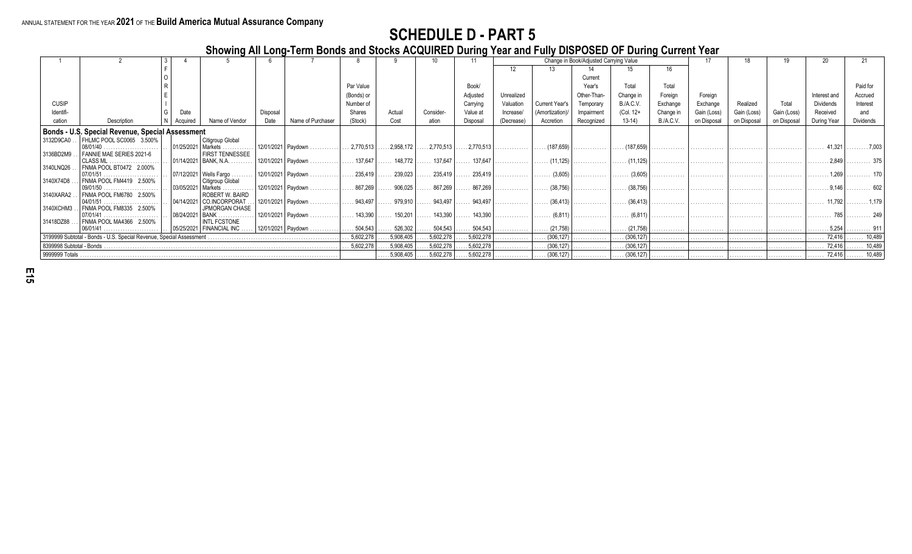**Showing All Long-Term Bonds and Stocks ACQUIRED During Year and Fully DISPOSED OF During Current Year**

|                          |                                                                      |                      |                                                       |                       |                                   |                         |                    |                              |                                     |            |                                         | Change in Book/Adjusted Carrying Value |                    |                  |             |             |             |                                 |                   |
|--------------------------|----------------------------------------------------------------------|----------------------|-------------------------------------------------------|-----------------------|-----------------------------------|-------------------------|--------------------|------------------------------|-------------------------------------|------------|-----------------------------------------|----------------------------------------|--------------------|------------------|-------------|-------------|-------------|---------------------------------|-------------------|
|                          |                                                                      |                      |                                                       |                       |                                   |                         |                    |                              |                                     |            |                                         |                                        |                    |                  |             |             |             |                                 |                   |
|                          |                                                                      |                      |                                                       |                       |                                   |                         |                    |                              |                                     |            |                                         | Current                                |                    |                  |             |             |             |                                 |                   |
|                          |                                                                      |                      |                                                       |                       |                                   | Par Value               |                    |                              | Book/                               |            |                                         | Year's                                 | Total              | Total            |             |             |             |                                 | Paid for          |
|                          |                                                                      |                      |                                                       |                       |                                   | (Bonds) or              |                    |                              | Adjusted                            | Unrealized |                                         | Other-Than-                            | Change in          | Foreign          | Foreian     |             |             | Interest and                    | Accrued           |
| <b>CUSIP</b>             |                                                                      |                      |                                                       |                       |                                   | Number of               |                    |                              | Carrying                            | Valuation  | Current Year's                          | Temporary                              | <b>B./A.C.V.</b>   | Exchange         | Exchange    | Realized    | Total       | Dividends                       | Interest          |
| Identifi-                |                                                                      | Date                 |                                                       | Disposal              |                                   | Shares                  | Actual             | Consider                     | Value at                            | Increase/  | (Amortization)                          | Impairment                             | (Col. 12+          | Change in        | Gain (Loss) | Gain (Lossː | Gain (Loss) | Received                        | and               |
|                          | Description                                                          | Acauired             | Name of Vendor                                        | Date                  | Name of Purchaser                 | (Stock)                 | Cost               | ation                        | Disposal                            | (Decrease) | Accretion                               | Recognized                             | $13-14$            | <b>B./A.C.V.</b> | on Disposal | on Disposa  | on Disposal | During Year                     | Dividends         |
|                          |                                                                      |                      |                                                       |                       |                                   |                         |                    |                              |                                     |            |                                         |                                        |                    |                  |             |             |             |                                 |                   |
|                          | Bonds - U.S. Special Revenue, Special Assessment                     |                      |                                                       |                       |                                   |                         |                    |                              |                                     |            |                                         |                                        |                    |                  |             |             |             |                                 |                   |
| 3132D9CA0                | FHLMC POOL SC0065 3.500%                                             |                      | Citigroup Global                                      |                       |                                   |                         |                    |                              |                                     |            |                                         |                                        |                    |                  |             |             |             |                                 |                   |
| 3136BD2M9                | FANNIE MAE SERIES 2021-6                                             |                      | 01/25/2021   Markets .<br>.<br><b>FIRST TENNESSEE</b> | 12/01/2021   Paydown. |                                   | $.2,770,513$ .          | 2,958,172          | $\ldots$ 2,770,513 $\vert$ . | $\ldots$ 2,770,513                  | .          | $\left  \ldots \right $ (187,659)       | .                                      | $\ldots$ (187,659) | .                | .           | .           | .           | 41.321                          |                   |
|                          |                                                                      |                      | 01/14/2021   BANK, N.A.                               |                       | 12/01/2021 Paydown                | $\  \dots 137.647 \ $ . | $\ldots$ 148,772   |                              | . 137,647 $\vert$ 137,647 $\vert$ . |            |                                         |                                        |                    |                  |             |             |             | . 2,849                         | . 375             |
| 3140LNQ26.               | FNMA POOL BT0472 2.000%                                              |                      |                                                       |                       |                                   |                         |                    |                              |                                     |            |                                         |                                        |                    |                  |             |             |             |                                 |                   |
|                          |                                                                      |                      | 07/12/2021   Wells Fargo                              | 12/01/2021   Paydown. |                                   | $\ldots$ 235,419        | $\ldots$ 239,023   | $\ldots$ 235,419             | 235,419                             | .          | $\left  \ldots \ldots \right $ (3,605)  | .                                      | $\ldots$ (3,605)   | .                | .           | .           | .           | . 1,269   .                     | . 170             |
| 3140X74D8                | FNMA POOL FM4419 2.500%                                              |                      | Citigroup Global                                      |                       |                                   |                         |                    |                              |                                     |            |                                         |                                        |                    |                  |             |             |             |                                 |                   |
|                          |                                                                      | 03/05/2021   Markets |                                                       |                       | $12/01/2021$ Paydown              | $\ldots$ 867,269        | $\ldots$ . 906,025 | $\ldots$ 867,269             | 867,269                             | .          | $\left  \ldots \ldots \right $ (38,756) | .                                      | $\ldots$ (38,756)  |                  |             |             |             | . 9,146                         | . 602             |
| 3140XARA2                | FNMA POOL FM6780 2.500%                                              |                      | ROBERT W. BAIRD<br>04/14/2021 CO.INCORPORAT           |                       | 12/01/2021   Paydown.             | $\ldots$ 943,497 .      | $\ldots$ 979,910   | . 943,497   .                | $\ldots$ 943,497                    |            |                                         |                                        |                    |                  |             |             |             | . 11,792   .                    | . 1,179           |
| 3140XCHM3                | FNMA POOL FM8335 2.500%                                              |                      | <b>JPMORGAN CHASE</b>                                 |                       |                                   |                         |                    |                              |                                     |            |                                         |                                        |                    |                  |             |             |             |                                 |                   |
|                          |                                                                      | 08/24/2021 BANK.     |                                                       |                       | 12/01/2021   Paydown     143,390  |                         | $\ldots$ . 150,201 | $143,390$                    | $\ldots$ 143,390                    |            |                                         |                                        |                    |                  |             |             |             | . 785 249                       |                   |
| 31418DZ88                | FNMA POOL MA4366 2.500%                                              |                      | <b>INTL FCSTONE</b>                                   |                       |                                   |                         |                    |                              |                                     |            |                                         |                                        |                    |                  |             |             |             |                                 |                   |
|                          |                                                                      |                      | 05/25/2021   FINANCIAL INC.                           |                       | $ 12/01/2021 $ Paydown    504,543 |                         | $\ldots 526,302$   | 504,543                      | $\ldots$ 504,543                    | .          | $\ldots$ (21,758)                       | .                                      | $\ldots$ (21,758)  | .                |             |             |             | $\ldots \ldots 5,254$           |                   |
|                          | 3199999 Subtotal - Bonds - U.S. Special Revenue, Special Assessment. |                      |                                                       |                       |                                   |                         | $\ldots$ 5,908,405 | 5,602,278                    | .5,602,278                          | .          | $\ldots$ (306,127)                      | .                                      | $\ldots$ (306,127) | .                |             |             |             | $\ldots$ 72,416                 | $\ldots$ 10,489   |
| 8399998 Subtotal - Bonds |                                                                      |                      |                                                       |                       |                                   | $\ldots 5,602,278$      | $\ldots$ 5,908,405 | 5,602,278                    | .5,602,278                          | .          | $\ldots$ (306.127)                      | .                                      | $\ldots$ (306,127) | .                |             | .           |             | 72.416                          | $\ldots$ . 10,489 |
|                          |                                                                      |                      |                                                       |                       |                                   |                         | $\ldots 5,908,405$ | .5,602,278                   | 5,602,278                           |            |                                         |                                        |                    |                  |             |             |             | $\ldots$ 72,416 $\ldots$ 10,489 |                   |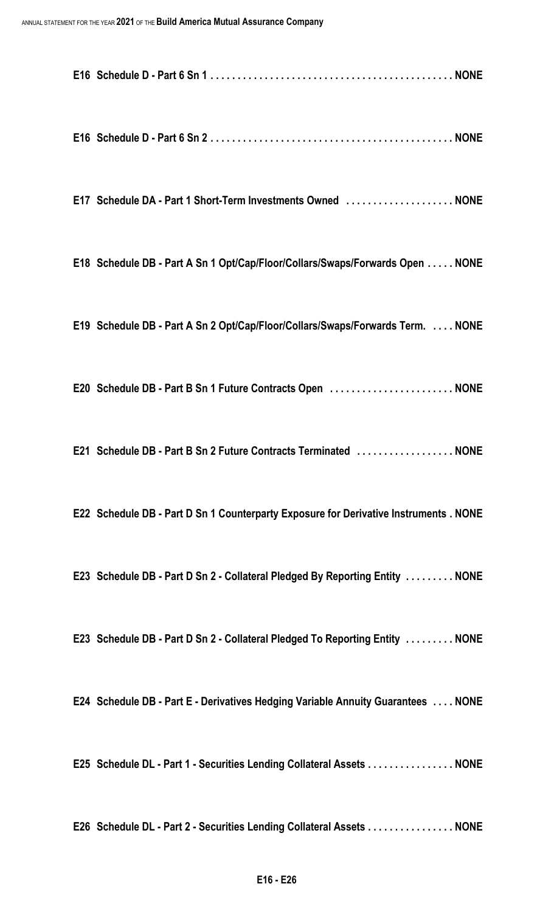| E17 Schedule DA - Part 1 Short-Term Investments Owned  NONE                           |
|---------------------------------------------------------------------------------------|
| E18 Schedule DB - Part A Sn 1 Opt/Cap/Floor/Collars/Swaps/Forwards Open NONE          |
| E19 Schedule DB - Part A Sn 2 Opt/Cap/Floor/Collars/Swaps/Forwards Term.  NONE        |
| E20 Schedule DB - Part B Sn 1 Future Contracts Open  NONE                             |
| E21 Schedule DB - Part B Sn 2 Future Contracts Terminated NONE                        |
| E22 Schedule DB - Part D Sn 1 Counterparty Exposure for Derivative Instruments . NONE |
| E23 Schedule DB - Part D Sn 2 - Collateral Pledged By Reporting Entity  NONE          |
| E23 Schedule DB - Part D Sn 2 - Collateral Pledged To Reporting Entity  NONE          |
| E24 Schedule DB - Part E - Derivatives Hedging Variable Annuity Guarantees  NONE      |
| E25 Schedule DL - Part 1 - Securities Lending Collateral Assets NONE                  |
| E26 Schedule DL - Part 2 - Securities Lending Collateral Assets NONE                  |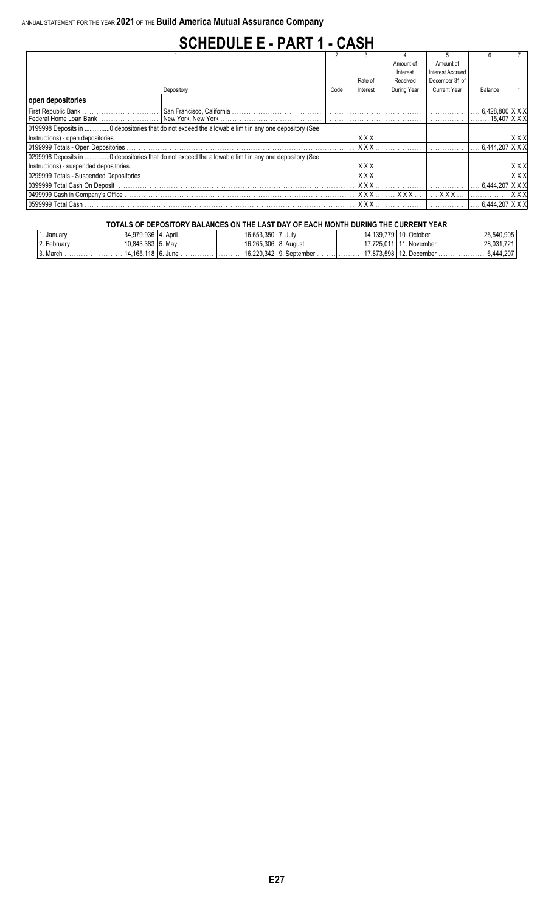### **SCHEDULE E - PART 1 - CASH**

|                     |                                                                                                      |      |                                | Amount of   | Amount of               |                  |                    |
|---------------------|------------------------------------------------------------------------------------------------------|------|--------------------------------|-------------|-------------------------|------------------|--------------------|
|                     |                                                                                                      |      |                                | Interest    | <b>Interest Accrued</b> |                  |                    |
|                     |                                                                                                      |      | Rate of                        | Received    | December 31 of          |                  |                    |
|                     | Depository                                                                                           | Code | Interest                       | During Year | <b>Current Year</b>     | Balance          |                    |
| open depositories   |                                                                                                      |      |                                |             |                         |                  |                    |
| First Republic Bank | San Francisco, California …………………………  …………  ………  ……………  ……………                                        |      |                                |             |                         | 6,428,800  X X X |                    |
|                     |                                                                                                      |      |                                |             |                         | .15.407 X X X    |                    |
|                     |                                                                                                      |      |                                |             |                         |                  |                    |
|                     |                                                                                                      |      | <b>XXX</b>                     |             |                         |                  | XX)                |
|                     |                                                                                                      |      | $\mathbf{X} \times \mathbf{X}$ |             |                         | 6.444.207 X X X  |                    |
|                     | 0299998 Deposits in 0 depositories that do not exceed the allowable limit in any one depository (See |      |                                |             |                         |                  |                    |
|                     |                                                                                                      |      | <b>XXX</b>                     |             |                         |                  | X X >              |
|                     |                                                                                                      |      |                                |             |                         |                  | <b>XXX</b>         |
|                     |                                                                                                      |      | $\ldots$ XXX                   |             |                         | 6.444.207 X X X  |                    |
|                     |                                                                                                      |      | $\ldots$ XXX $\ldots$          | . X X X     | $XXX$                   |                  | $\vert$ X $\times$ |
| 0599999 Total Cash  |                                                                                                      |      | $. X$ $X$ $X$                  |             |                         | 6.444.207 IX X X |                    |

#### **TOTALS OF DEPOSITORY BALANCES ON THE LAST DAY OF EACH MONTH DURING THE CURRENT YEAR**

| 1. January                                                                                                             |  |  |  | 26.540.905       |
|------------------------------------------------------------------------------------------------------------------------|--|--|--|------------------|
| . 2. February …………. ……… 10.843.383   5. May ………………. ……… 16.265.306   8. August                                         |  |  |  | . . 28.031.721 l |
| .3. March ………………………… 14.165.118   6. June …………………………… 16.220.342   9. September ……………………………………………………………………………6.444.207 |  |  |  |                  |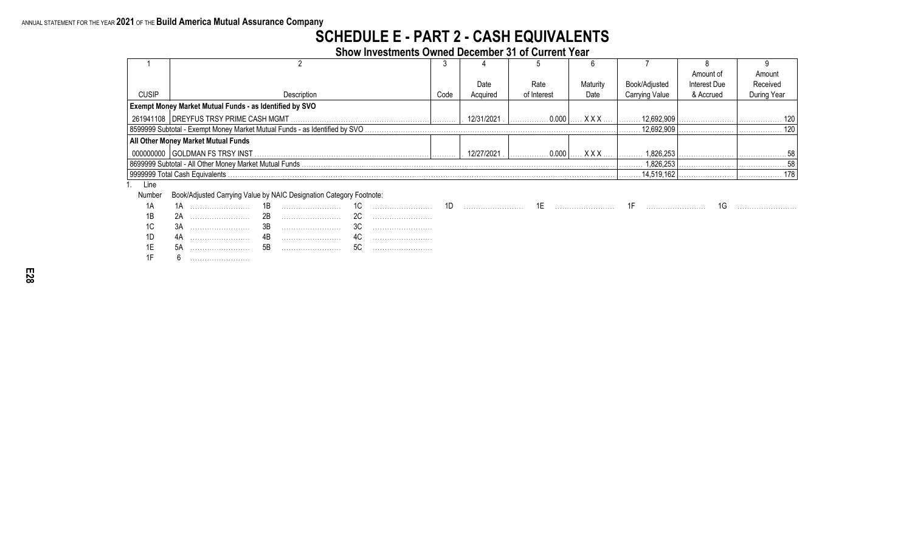#### **SCHEDULE E - PART 2 - CASH EQUIVALENTS**

**Show Investments Owned December 31 of Current Year**

|              |                                                                             |      |            |             |            |                       | Amount of    | Amount      |
|--------------|-----------------------------------------------------------------------------|------|------------|-------------|------------|-----------------------|--------------|-------------|
|              |                                                                             |      | Date       | Rate        | Maturity   | Book/Adjusted         | Interest Due | Received    |
| <b>CUSIP</b> | Description                                                                 | Code | Acquired   | of Interest | Date       | <b>Carrying Value</b> | & Accrued    | During Year |
|              | <b>Exempt Money Market Mutual Funds - as Identified by SVO</b>              |      |            |             |            |                       |              |             |
|              |                                                                             |      | 12/31/2021 | 0.000       | XXX.       | 12.692.909            |              | 120         |
|              | 8599999 Subtotal - Exempt Money Market Mutual Funds - as Identified by SVO. |      |            |             |            | 12.692.909            |              | 120         |
|              | <b>All Other Money Market Mutual Funds</b>                                  |      |            |             |            |                       |              |             |
|              | 000000000 GOLDMAN FS TRSY INST                                              |      | 12/27/2021 | 0.000       | <b>XXX</b> | 1.826.253             |              |             |
|              |                                                                             |      |            |             |            | 1,826,253             |              | 58          |
|              | 9999999 Total Cash Equivalents                                              |      |            |             |            | 14.519.162            |              | 178         |
| Line         |                                                                             |      |            |             |            |                       |              |             |
| Number       | Book/Adjusted Carrying Value by NAIC Designation Category Footnote:         |      |            |             |            |                       |              |             |

|     | <b>Tambor Boownajactoa Sarrying value by twice Boolgnation Sategory Foundts.</b> |     |  |     |  |  |  |  |  |  |  |  |
|-----|----------------------------------------------------------------------------------|-----|--|-----|--|--|--|--|--|--|--|--|
|     |                                                                                  | 1 D |  | ∣∪  |  |  |  |  |  |  |  |  |
| 1B  | $\Omega$                                                                         | ZD  |  | ∠∪  |  |  |  |  |  |  |  |  |
|     | ິ∪۳                                                                              | ◡   |  | ັບບ |  |  |  |  |  |  |  |  |
| ᠃   |                                                                                  |     |  |     |  |  |  |  |  |  |  |  |
| . . | υr                                                                               | ⊔ب  |  | ◡   |  |  |  |  |  |  |  |  |
|     |                                                                                  |     |  |     |  |  |  |  |  |  |  |  |